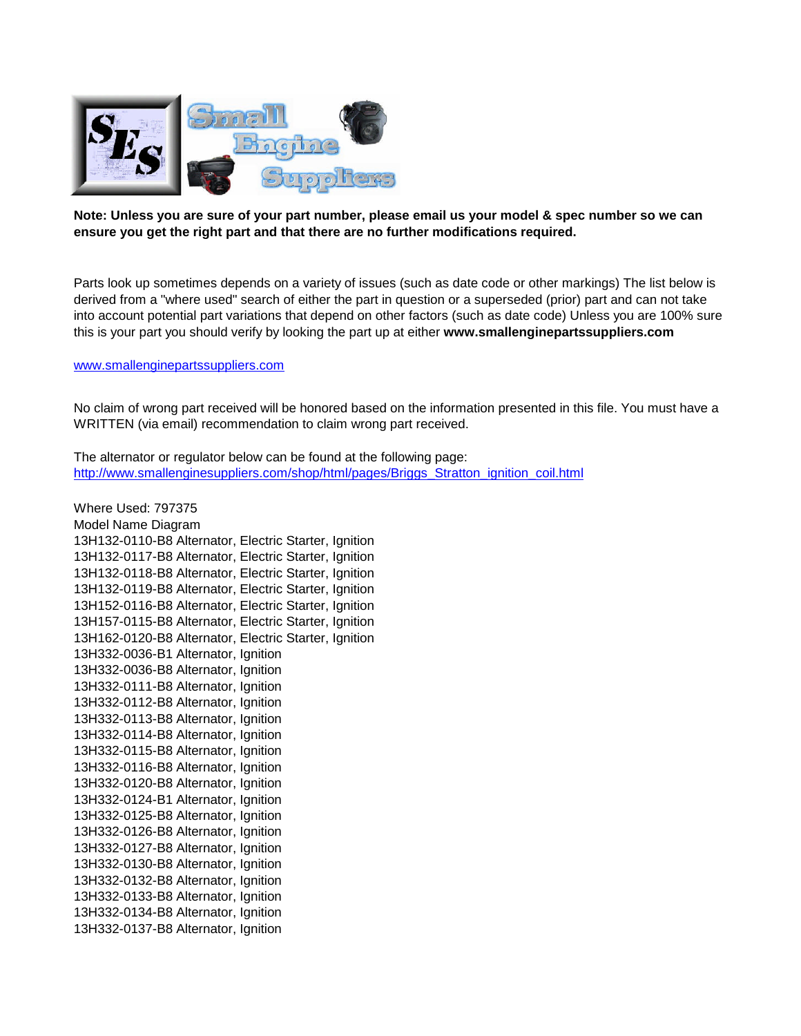

## **Note: Unless you are sure of your part number, please email us your model & spec number so we can ensure you get the right part and that there are no further modifications required.**

Parts look up sometimes depends on a variety of issues (such as date code or other markings) The list below is derived from a "where used" search of either the part in question or a superseded (prior) part and can not take into account potential part variations that depend on other factors (such as date code) Unless you are 100% sure this is your part you should verify by looking the part up at either **www.smallenginepartssuppliers.com**

## www.smallenginepartssuppliers.com

No claim of wrong part received will be honored based on the information presented in this file. You must have a WRITTEN (via email) recommendation to claim wrong part received.

The alternator or regulator below can be found at the following page: http://www.smallenginesuppliers.com/shop/html/pages/Briggs\_Stratton\_ignition\_coil.html

Where Used: 797375 Model Name Diagram 13H132-0110-B8 Alternator, Electric Starter, Ignition 13H132-0117-B8 Alternator, Electric Starter, Ignition 13H132-0118-B8 Alternator, Electric Starter, Ignition 13H132-0119-B8 Alternator, Electric Starter, Ignition 13H152-0116-B8 Alternator, Electric Starter, Ignition 13H157-0115-B8 Alternator, Electric Starter, Ignition 13H162-0120-B8 Alternator, Electric Starter, Ignition 13H332-0036-B1 Alternator, Ignition 13H332-0036-B8 Alternator, Ignition 13H332-0111-B8 Alternator, Ignition 13H332-0112-B8 Alternator, Ignition 13H332-0113-B8 Alternator, Ignition 13H332-0114-B8 Alternator, Ignition 13H332-0115-B8 Alternator, Ignition 13H332-0116-B8 Alternator, Ignition 13H332-0120-B8 Alternator, Ignition 13H332-0124-B1 Alternator, Ignition 13H332-0125-B8 Alternator, Ignition 13H332-0126-B8 Alternator, Ignition 13H332-0127-B8 Alternator, Ignition 13H332-0130-B8 Alternator, Ignition 13H332-0132-B8 Alternator, Ignition 13H332-0133-B8 Alternator, Ignition 13H332-0134-B8 Alternator, Ignition 13H332-0137-B8 Alternator, Ignition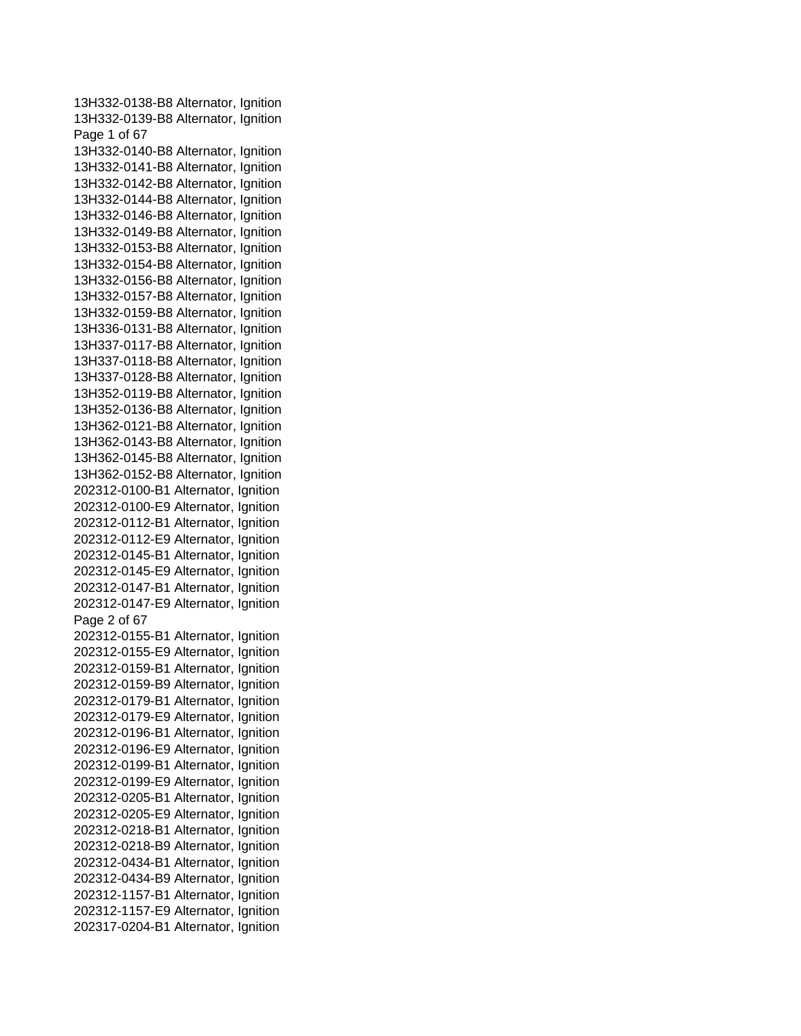13H332-0138-B8 Alternator, Ignition 13H332-0139-B8 Alternator, Ignition Page 1 of 67 13H332-0140-B8 Alternator, Ignition 13H332-0141-B8 Alternator, Ignition 13H332-0142-B8 Alternator, Ignition 13H332-0144-B8 Alternator, Ignition 13H332-0146-B8 Alternator, Ignition 13H332-0149-B8 Alternator, Ignition 13H332-0153-B8 Alternator, Ignition 13H332-0154-B8 Alternator, Ignition 13H332-0156-B8 Alternator, Ignition 13H332-0157-B8 Alternator, Ignition 13H332-0159-B8 Alternator, Ignition 13H336-0131-B8 Alternator, Ignition 13H337-0117-B8 Alternator, Ignition 13H337-0118-B8 Alternator, Ignition 13H337-0128-B8 Alternator, Ignition 13H352-0119-B8 Alternator, Ignition 13H352-0136-B8 Alternator, Ignition 13H362-0121-B8 Alternator, Ignition 13H362-0143-B8 Alternator, Ignition 13H362-0145-B8 Alternator, Ignition 13H362-0152-B8 Alternator, Ignition 202312-0100-B1 Alternator, Ignition 202312-0100-E9 Alternator, Ignition 202312-0112-B1 Alternator, Ignition 202312-0112-E9 Alternator, Ignition 202312-0145-B1 Alternator, Ignition 202312-0145-E9 Alternator, Ignition 202312-0147-B1 Alternator, Ignition 202312-0147-E9 Alternator, Ignition Page 2 of 67 202312-0155-B1 Alternator, Ignition 202312-0155-E9 Alternator, Ignition 202312-0159-B1 Alternator, Ignition 202312-0159-B9 Alternator, Ignition 202312-0179-B1 Alternator, Ignition 202312-0179-E9 Alternator, Ignition 202312-0196-B1 Alternator, Ignition 202312-0196-E9 Alternator, Ignition 202312-0199-B1 Alternator, Ignition 202312-0199-E9 Alternator, Ignition 202312-0205-B1 Alternator, Ignition 202312-0205-E9 Alternator, Ignition 202312-0218-B1 Alternator, Ignition 202312-0218-B9 Alternator, Ignition 202312-0434-B1 Alternator, Ignition 202312-0434-B9 Alternator, Ignition 202312-1157-B1 Alternator, Ignition 202312-1157-E9 Alternator, Ignition 202317-0204-B1 Alternator, Ignition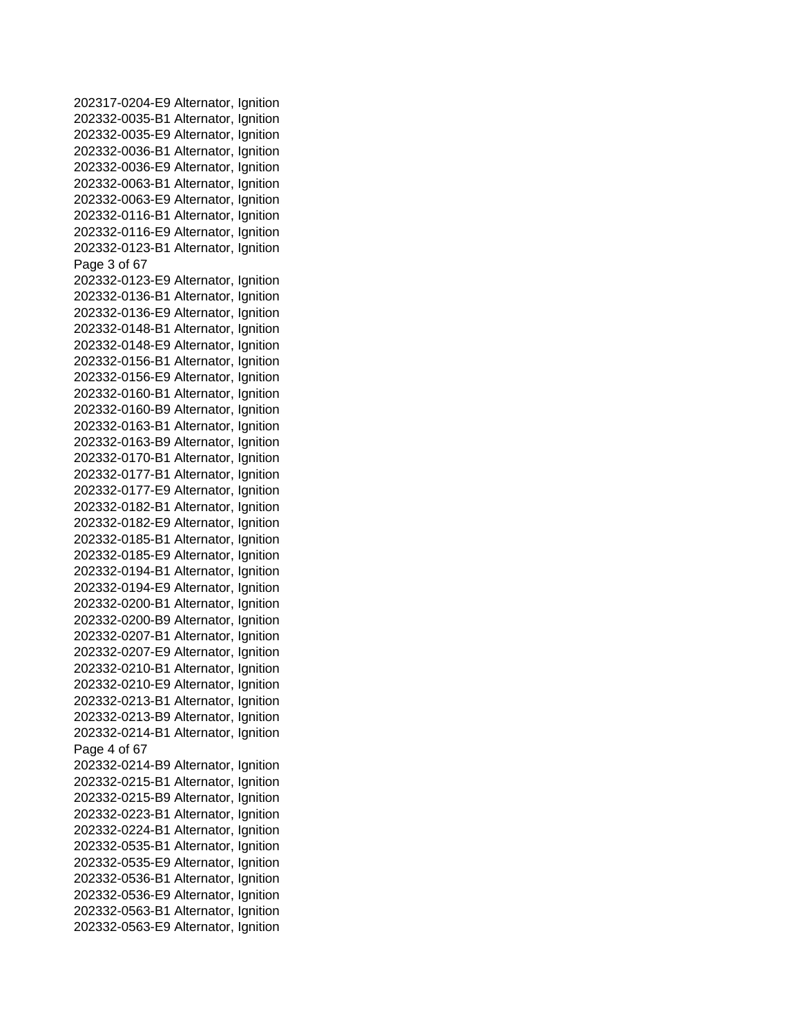202317-0204-E9 Alternator, Ignition 202332-0035-B1 Alternator, Ignition 202332-0035-E9 Alternator, Ignition 202332-0036-B1 Alternator, Ignition 202332-0036-E9 Alternator, Ignition 202332-0063-B1 Alternator, Ignition 202332-0063-E9 Alternator, Ignition 202332-0116-B1 Alternator, Ignition 202332-0116-E9 Alternator, Ignition 202332-0123-B1 Alternator, Ignition Page 3 of 67 202332-0123-E9 Alternator, Ignition 202332-0136-B1 Alternator, Ignition 202332-0136-E9 Alternator, Ignition 202332-0148-B1 Alternator, Ignition 202332-0148-E9 Alternator, Ignition 202332-0156-B1 Alternator, Ignition 202332-0156-E9 Alternator, Ignition 202332-0160-B1 Alternator, Ignition 202332-0160-B9 Alternator, Ignition 202332-0163-B1 Alternator, Ignition 202332-0163-B9 Alternator, Ignition 202332-0170-B1 Alternator, Ignition 202332-0177-B1 Alternator, Ignition 202332-0177-E9 Alternator, Ignition 202332-0182-B1 Alternator, Ignition 202332-0182-E9 Alternator, Ignition 202332-0185-B1 Alternator, Ignition 202332-0185-E9 Alternator, Ignition 202332-0194-B1 Alternator, Ignition 202332-0194-E9 Alternator, Ignition 202332-0200-B1 Alternator, Ignition 202332-0200-B9 Alternator, Ignition 202332-0207-B1 Alternator, Ignition 202332-0207-E9 Alternator, Ignition 202332-0210-B1 Alternator, Ignition 202332-0210-E9 Alternator, Ignition 202332-0213-B1 Alternator, Ignition 202332-0213-B9 Alternator, Ignition 202332-0214-B1 Alternator, Ignition Page 4 of 67 202332-0214-B9 Alternator, Ignition 202332-0215-B1 Alternator, Ignition 202332-0215-B9 Alternator, Ignition 202332-0223-B1 Alternator, Ignition 202332-0224-B1 Alternator, Ignition 202332-0535-B1 Alternator, Ignition 202332-0535-E9 Alternator, Ignition 202332-0536-B1 Alternator, Ignition 202332-0536-E9 Alternator, Ignition 202332-0563-B1 Alternator, Ignition 202332-0563-E9 Alternator, Ignition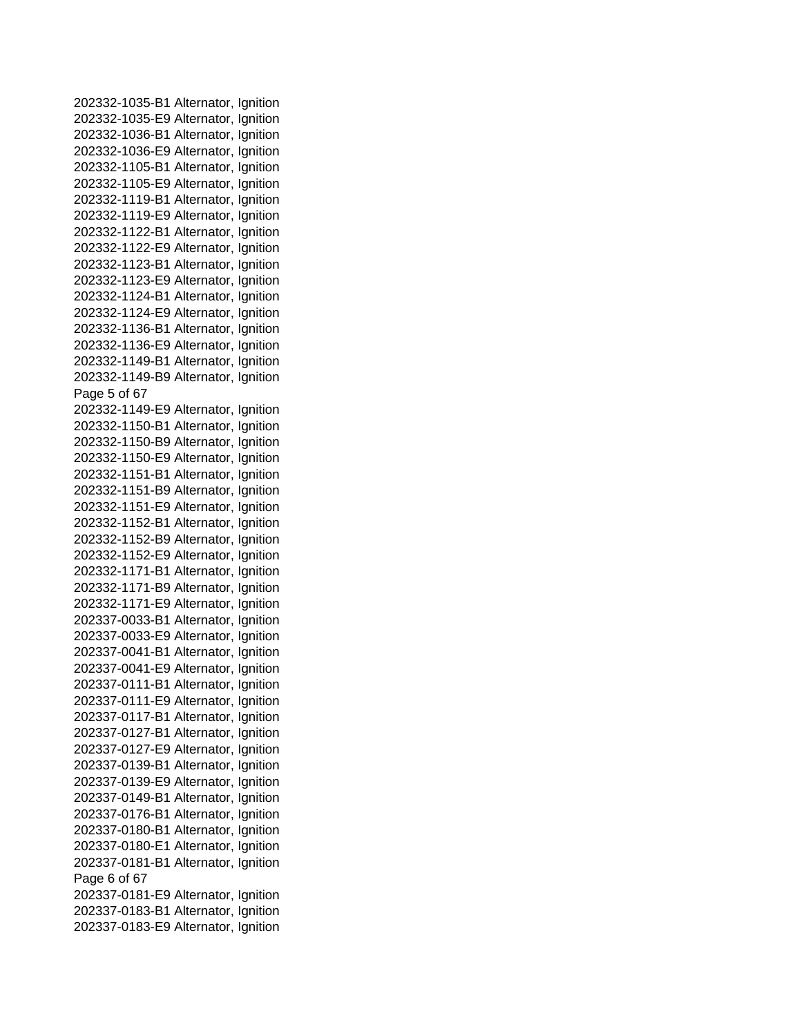202332-1035-B1 Alternator, Ignition 202332-1035-E9 Alternator, Ignition 202332-1036-B1 Alternator, Ignition 202332-1036-E9 Alternator, Ignition 202332-1105-B1 Alternator, Ignition 202332-1105-E9 Alternator, Ignition 202332-1119-B1 Alternator, Ignition 202332-1119-E9 Alternator, Ignition 202332-1122-B1 Alternator, Ignition 202332-1122-E9 Alternator, Ignition 202332-1123-B1 Alternator, Ignition 202332-1123-E9 Alternator, Ignition 202332-1124-B1 Alternator, Ignition 202332-1124-E9 Alternator, Ignition 202332-1136-B1 Alternator, Ignition 202332-1136-E9 Alternator, Ignition 202332-1149-B1 Alternator, Ignition 202332-1149-B9 Alternator, Ignition Page 5 of 67 202332-1149-E9 Alternator, Ignition 202332-1150-B1 Alternator, Ignition 202332-1150-B9 Alternator, Ignition 202332-1150-E9 Alternator, Ignition 202332-1151-B1 Alternator, Ignition 202332-1151-B9 Alternator, Ignition 202332-1151-E9 Alternator, Ignition 202332-1152-B1 Alternator, Ignition 202332-1152-B9 Alternator, Ignition 202332-1152-E9 Alternator, Ignition 202332-1171-B1 Alternator, Ignition 202332-1171-B9 Alternator, Ignition 202332-1171-E9 Alternator, Ignition 202337-0033-B1 Alternator, Ignition 202337-0033-E9 Alternator, Ignition 202337-0041-B1 Alternator, Ignition 202337-0041-E9 Alternator, Ignition 202337-0111-B1 Alternator, Ignition 202337-0111-E9 Alternator, Ignition 202337-0117-B1 Alternator, Ignition 202337-0127-B1 Alternator, Ignition 202337-0127-E9 Alternator, Ignition 202337-0139-B1 Alternator, Ignition 202337-0139-E9 Alternator, Ignition 202337-0149-B1 Alternator, Ignition 202337-0176-B1 Alternator, Ignition 202337-0180-B1 Alternator, Ignition 202337-0180-E1 Alternator, Ignition 202337-0181-B1 Alternator, Ignition Page 6 of 67 202337-0181-E9 Alternator, Ignition 202337-0183-B1 Alternator, Ignition 202337-0183-E9 Alternator, Ignition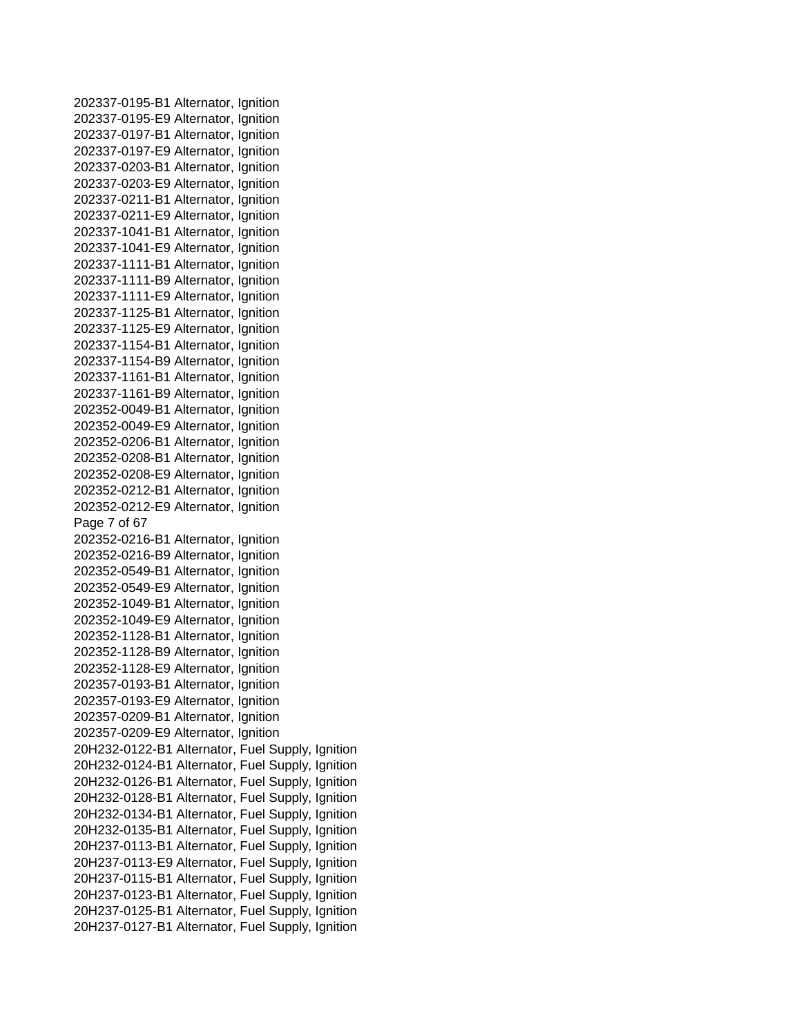202337-0195-B1 Alternator, Ignition 202337-0195-E9 Alternator, Ignition 202337-0197-B1 Alternator, Ignition 202337-0197-E9 Alternator, Ignition 202337-0203-B1 Alternator, Ignition 202337-0203-E9 Alternator, Ignition 202337-0211-B1 Alternator, Ignition 202337-0211-E9 Alternator, Ignition 202337-1041-B1 Alternator, Ignition 202337-1041-E9 Alternator, Ignition 202337-1111-B1 Alternator, Ignition 202337-1111-B9 Alternator, Ignition 202337-1111-E9 Alternator, Ignition 202337-1125-B1 Alternator, Ignition 202337-1125-E9 Alternator, Ignition 202337-1154-B1 Alternator, Ignition 202337-1154-B9 Alternator, Ignition 202337-1161-B1 Alternator, Ignition 202337-1161-B9 Alternator, Ignition 202352-0049-B1 Alternator, Ignition 202352-0049-E9 Alternator, Ignition 202352-0206-B1 Alternator, Ignition 202352-0208-B1 Alternator, Ignition 202352-0208-E9 Alternator, Ignition 202352-0212-B1 Alternator, Ignition 202352-0212-E9 Alternator, Ignition Page 7 of 67 202352-0216-B1 Alternator, Ignition 202352-0216-B9 Alternator, Ignition 202352-0549-B1 Alternator, Ignition 202352-0549-E9 Alternator, Ignition 202352-1049-B1 Alternator, Ignition 202352-1049-E9 Alternator, Ignition 202352-1128-B1 Alternator, Ignition 202352-1128-B9 Alternator, Ignition 202352-1128-E9 Alternator, Ignition 202357-0193-B1 Alternator, Ignition 202357-0193-E9 Alternator, Ignition 202357-0209-B1 Alternator, Ignition 202357-0209-E9 Alternator, Ignition 20H232-0122-B1 Alternator, Fuel Supply, Ignition 20H232-0124-B1 Alternator, Fuel Supply, Ignition 20H232-0126-B1 Alternator, Fuel Supply, Ignition 20H232-0128-B1 Alternator, Fuel Supply, Ignition 20H232-0134-B1 Alternator, Fuel Supply, Ignition 20H232-0135-B1 Alternator, Fuel Supply, Ignition 20H237-0113-B1 Alternator, Fuel Supply, Ignition 20H237-0113-E9 Alternator, Fuel Supply, Ignition 20H237-0115-B1 Alternator, Fuel Supply, Ignition 20H237-0123-B1 Alternator, Fuel Supply, Ignition 20H237-0125-B1 Alternator, Fuel Supply, Ignition 20H237-0127-B1 Alternator, Fuel Supply, Ignition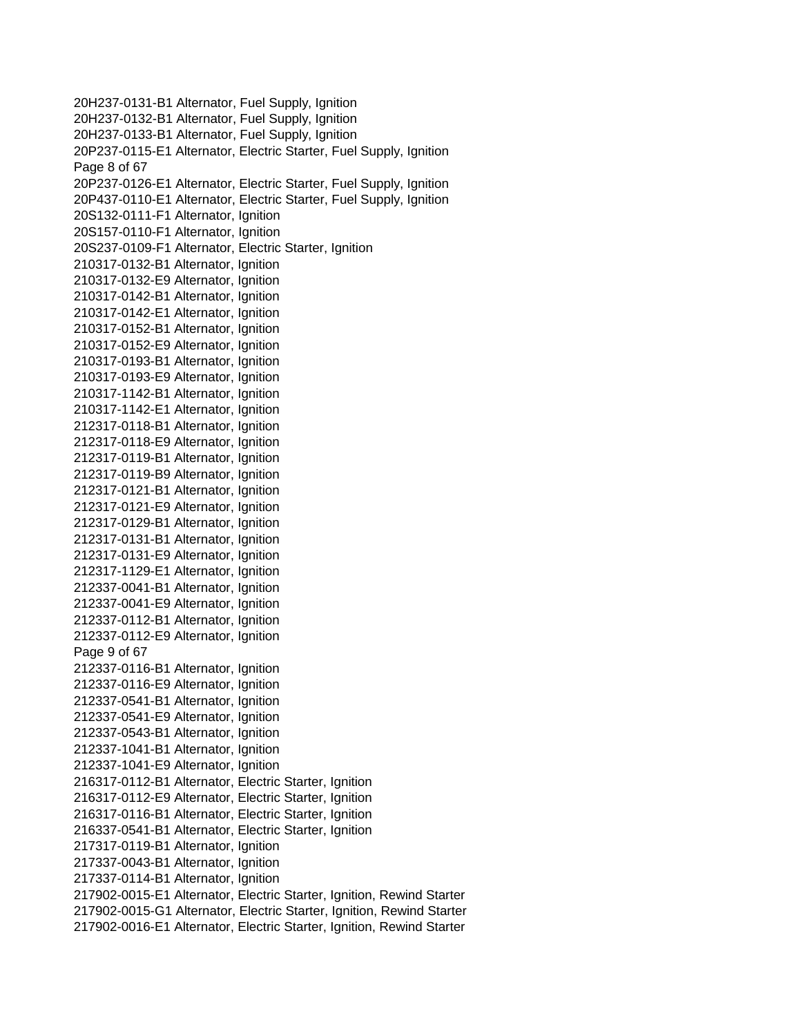20H237-0131-B1 Alternator, Fuel Supply, Ignition 20H237-0132-B1 Alternator, Fuel Supply, Ignition 20H237-0133-B1 Alternator, Fuel Supply, Ignition 20P237-0115-E1 Alternator, Electric Starter, Fuel Supply, Ignition Page 8 of 67 20P237-0126-E1 Alternator, Electric Starter, Fuel Supply, Ignition 20P437-0110-E1 Alternator, Electric Starter, Fuel Supply, Ignition 20S132-0111-F1 Alternator, Ignition 20S157-0110-F1 Alternator, Ignition 20S237-0109-F1 Alternator, Electric Starter, Ignition 210317-0132-B1 Alternator, Ignition 210317-0132-E9 Alternator, Ignition 210317-0142-B1 Alternator, Ignition 210317-0142-E1 Alternator, Ignition 210317-0152-B1 Alternator, Ignition 210317-0152-E9 Alternator, Ignition 210317-0193-B1 Alternator, Ignition 210317-0193-E9 Alternator, Ignition 210317-1142-B1 Alternator, Ignition 210317-1142-E1 Alternator, Ignition 212317-0118-B1 Alternator, Ignition 212317-0118-E9 Alternator, Ignition 212317-0119-B1 Alternator, Ignition 212317-0119-B9 Alternator, Ignition 212317-0121-B1 Alternator, Ignition 212317-0121-E9 Alternator, Ignition 212317-0129-B1 Alternator, Ignition 212317-0131-B1 Alternator, Ignition 212317-0131-E9 Alternator, Ignition 212317-1129-E1 Alternator, Ignition 212337-0041-B1 Alternator, Ignition 212337-0041-E9 Alternator, Ignition 212337-0112-B1 Alternator, Ignition 212337-0112-E9 Alternator, Ignition Page 9 of 67 212337-0116-B1 Alternator, Ignition 212337-0116-E9 Alternator, Ignition 212337-0541-B1 Alternator, Ignition 212337-0541-E9 Alternator, Ignition 212337-0543-B1 Alternator, Ignition 212337-1041-B1 Alternator, Ignition 212337-1041-E9 Alternator, Ignition 216317-0112-B1 Alternator, Electric Starter, Ignition 216317-0112-E9 Alternator, Electric Starter, Ignition 216317-0116-B1 Alternator, Electric Starter, Ignition 216337-0541-B1 Alternator, Electric Starter, Ignition 217317-0119-B1 Alternator, Ignition 217337-0043-B1 Alternator, Ignition 217337-0114-B1 Alternator, Ignition 217902-0015-E1 Alternator, Electric Starter, Ignition, Rewind Starter 217902-0015-G1 Alternator, Electric Starter, Ignition, Rewind Starter 217902-0016-E1 Alternator, Electric Starter, Ignition, Rewind Starter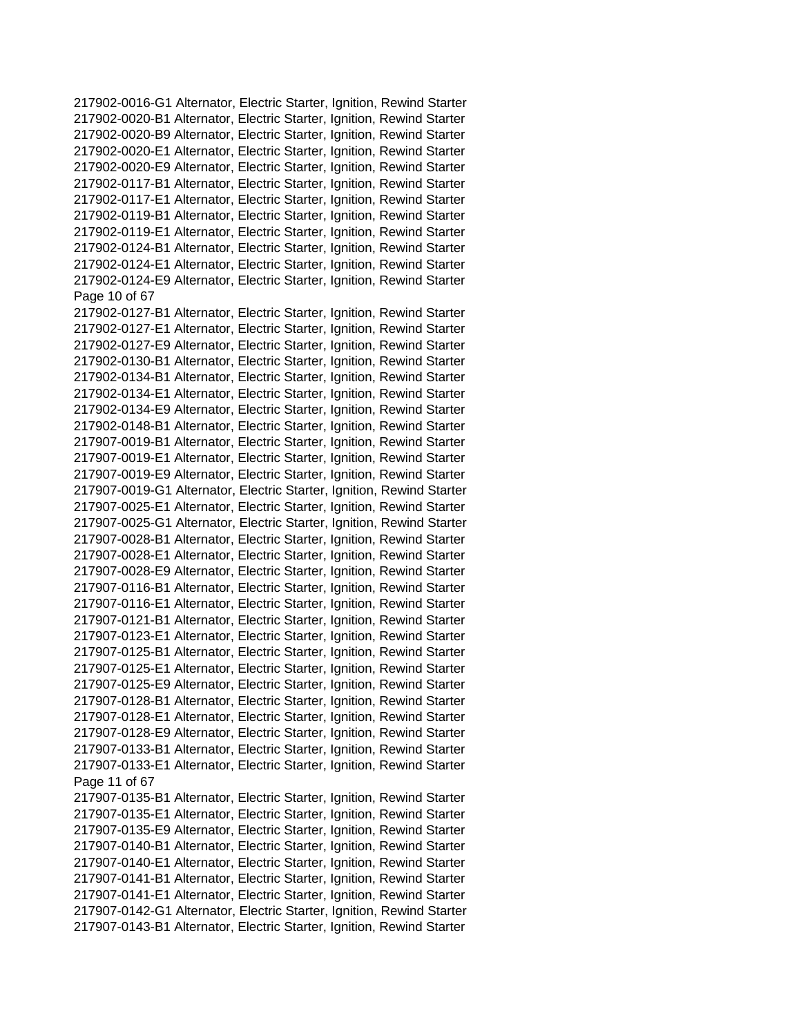217902-0016-G1 Alternator, Electric Starter, Ignition, Rewind Starter 217902-0020-B1 Alternator, Electric Starter, Ignition, Rewind Starter 217902-0020-B9 Alternator, Electric Starter, Ignition, Rewind Starter 217902-0020-E1 Alternator, Electric Starter, Ignition, Rewind Starter 217902-0020-E9 Alternator, Electric Starter, Ignition, Rewind Starter 217902-0117-B1 Alternator, Electric Starter, Ignition, Rewind Starter 217902-0117-E1 Alternator, Electric Starter, Ignition, Rewind Starter 217902-0119-B1 Alternator, Electric Starter, Ignition, Rewind Starter 217902-0119-E1 Alternator, Electric Starter, Ignition, Rewind Starter 217902-0124-B1 Alternator, Electric Starter, Ignition, Rewind Starter 217902-0124-E1 Alternator, Electric Starter, Ignition, Rewind Starter 217902-0124-E9 Alternator, Electric Starter, Ignition, Rewind Starter Page 10 of 67 217902-0127-B1 Alternator, Electric Starter, Ignition, Rewind Starter 217902-0127-E1 Alternator, Electric Starter, Ignition, Rewind Starter 217902-0127-E9 Alternator, Electric Starter, Ignition, Rewind Starter 217902-0130-B1 Alternator, Electric Starter, Ignition, Rewind Starter 217902-0134-B1 Alternator, Electric Starter, Ignition, Rewind Starter 217902-0134-E1 Alternator, Electric Starter, Ignition, Rewind Starter 217902-0134-E9 Alternator, Electric Starter, Ignition, Rewind Starter 217902-0148-B1 Alternator, Electric Starter, Ignition, Rewind Starter 217907-0019-B1 Alternator, Electric Starter, Ignition, Rewind Starter 217907-0019-E1 Alternator, Electric Starter, Ignition, Rewind Starter 217907-0019-E9 Alternator, Electric Starter, Ignition, Rewind Starter 217907-0019-G1 Alternator, Electric Starter, Ignition, Rewind Starter 217907-0025-E1 Alternator, Electric Starter, Ignition, Rewind Starter 217907-0025-G1 Alternator, Electric Starter, Ignition, Rewind Starter 217907-0028-B1 Alternator, Electric Starter, Ignition, Rewind Starter 217907-0028-E1 Alternator, Electric Starter, Ignition, Rewind Starter 217907-0028-E9 Alternator, Electric Starter, Ignition, Rewind Starter 217907-0116-B1 Alternator, Electric Starter, Ignition, Rewind Starter 217907-0116-E1 Alternator, Electric Starter, Ignition, Rewind Starter 217907-0121-B1 Alternator, Electric Starter, Ignition, Rewind Starter 217907-0123-E1 Alternator, Electric Starter, Ignition, Rewind Starter 217907-0125-B1 Alternator, Electric Starter, Ignition, Rewind Starter 217907-0125-E1 Alternator, Electric Starter, Ignition, Rewind Starter 217907-0125-E9 Alternator, Electric Starter, Ignition, Rewind Starter 217907-0128-B1 Alternator, Electric Starter, Ignition, Rewind Starter 217907-0128-E1 Alternator, Electric Starter, Ignition, Rewind Starter 217907-0128-E9 Alternator, Electric Starter, Ignition, Rewind Starter 217907-0133-B1 Alternator, Electric Starter, Ignition, Rewind Starter 217907-0133-E1 Alternator, Electric Starter, Ignition, Rewind Starter Page 11 of 67 217907-0135-B1 Alternator, Electric Starter, Ignition, Rewind Starter 217907-0135-E1 Alternator, Electric Starter, Ignition, Rewind Starter 217907-0135-E9 Alternator, Electric Starter, Ignition, Rewind Starter 217907-0140-B1 Alternator, Electric Starter, Ignition, Rewind Starter 217907-0140-E1 Alternator, Electric Starter, Ignition, Rewind Starter 217907-0141-B1 Alternator, Electric Starter, Ignition, Rewind Starter 217907-0141-E1 Alternator, Electric Starter, Ignition, Rewind Starter 217907-0142-G1 Alternator, Electric Starter, Ignition, Rewind Starter 217907-0143-B1 Alternator, Electric Starter, Ignition, Rewind Starter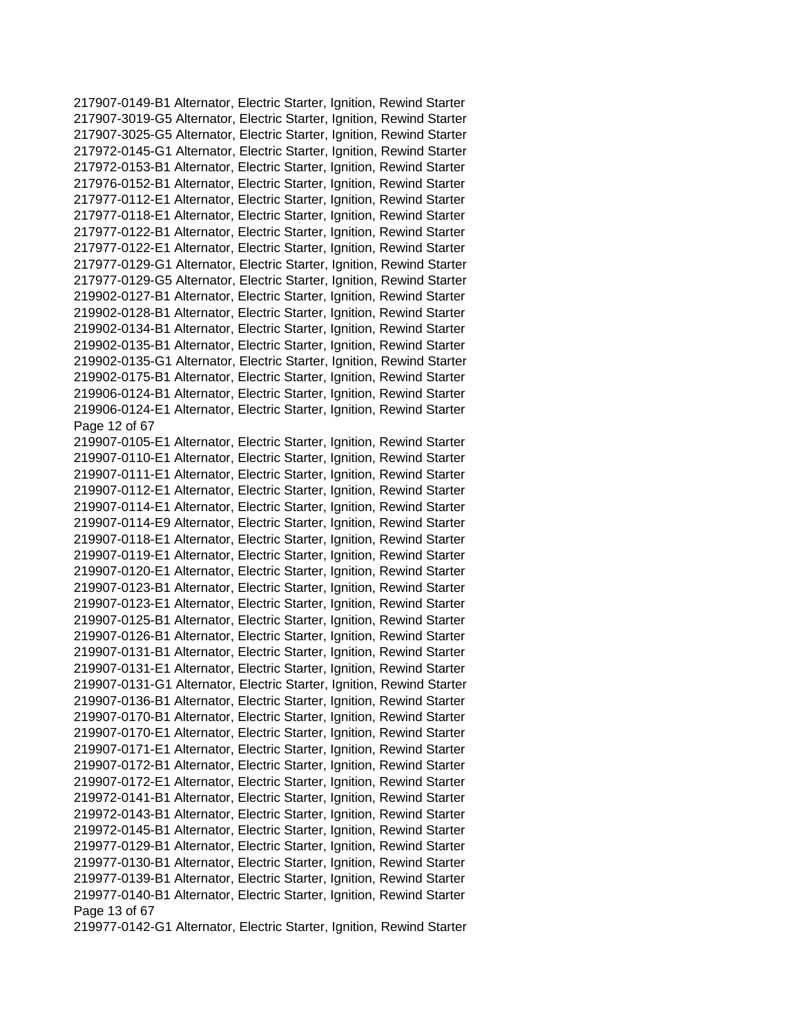217907-0149-B1 Alternator, Electric Starter, Ignition, Rewind Starter 217907-3019-G5 Alternator, Electric Starter, Ignition, Rewind Starter 217907-3025-G5 Alternator, Electric Starter, Ignition, Rewind Starter 217972-0145-G1 Alternator, Electric Starter, Ignition, Rewind Starter 217972-0153-B1 Alternator, Electric Starter, Ignition, Rewind Starter 217976-0152-B1 Alternator, Electric Starter, Ignition, Rewind Starter 217977-0112-E1 Alternator, Electric Starter, Ignition, Rewind Starter 217977-0118-E1 Alternator, Electric Starter, Ignition, Rewind Starter 217977-0122-B1 Alternator, Electric Starter, Ignition, Rewind Starter 217977-0122-E1 Alternator, Electric Starter, Ignition, Rewind Starter 217977-0129-G1 Alternator, Electric Starter, Ignition, Rewind Starter 217977-0129-G5 Alternator, Electric Starter, Ignition, Rewind Starter 219902-0127-B1 Alternator, Electric Starter, Ignition, Rewind Starter 219902-0128-B1 Alternator, Electric Starter, Ignition, Rewind Starter 219902-0134-B1 Alternator, Electric Starter, Ignition, Rewind Starter 219902-0135-B1 Alternator, Electric Starter, Ignition, Rewind Starter 219902-0135-G1 Alternator, Electric Starter, Ignition, Rewind Starter 219902-0175-B1 Alternator, Electric Starter, Ignition, Rewind Starter 219906-0124-B1 Alternator, Electric Starter, Ignition, Rewind Starter 219906-0124-E1 Alternator, Electric Starter, Ignition, Rewind Starter Page 12 of 67 219907-0105-E1 Alternator, Electric Starter, Ignition, Rewind Starter 219907-0110-E1 Alternator, Electric Starter, Ignition, Rewind Starter 219907-0111-E1 Alternator, Electric Starter, Ignition, Rewind Starter 219907-0112-E1 Alternator, Electric Starter, Ignition, Rewind Starter 219907-0114-E1 Alternator, Electric Starter, Ignition, Rewind Starter 219907-0114-E9 Alternator, Electric Starter, Ignition, Rewind Starter 219907-0118-E1 Alternator, Electric Starter, Ignition, Rewind Starter 219907-0119-E1 Alternator, Electric Starter, Ignition, Rewind Starter 219907-0120-E1 Alternator, Electric Starter, Ignition, Rewind Starter 219907-0123-B1 Alternator, Electric Starter, Ignition, Rewind Starter 219907-0123-E1 Alternator, Electric Starter, Ignition, Rewind Starter 219907-0125-B1 Alternator, Electric Starter, Ignition, Rewind Starter 219907-0126-B1 Alternator, Electric Starter, Ignition, Rewind Starter 219907-0131-B1 Alternator, Electric Starter, Ignition, Rewind Starter 219907-0131-E1 Alternator, Electric Starter, Ignition, Rewind Starter 219907-0131-G1 Alternator, Electric Starter, Ignition, Rewind Starter 219907-0136-B1 Alternator, Electric Starter, Ignition, Rewind Starter 219907-0170-B1 Alternator, Electric Starter, Ignition, Rewind Starter 219907-0170-E1 Alternator, Electric Starter, Ignition, Rewind Starter 219907-0171-E1 Alternator, Electric Starter, Ignition, Rewind Starter 219907-0172-B1 Alternator, Electric Starter, Ignition, Rewind Starter 219907-0172-E1 Alternator, Electric Starter, Ignition, Rewind Starter 219972-0141-B1 Alternator, Electric Starter, Ignition, Rewind Starter 219972-0143-B1 Alternator, Electric Starter, Ignition, Rewind Starter 219972-0145-B1 Alternator, Electric Starter, Ignition, Rewind Starter 219977-0129-B1 Alternator, Electric Starter, Ignition, Rewind Starter 219977-0130-B1 Alternator, Electric Starter, Ignition, Rewind Starter 219977-0139-B1 Alternator, Electric Starter, Ignition, Rewind Starter 219977-0140-B1 Alternator, Electric Starter, Ignition, Rewind Starter Page 13 of 67

219977-0142-G1 Alternator, Electric Starter, Ignition, Rewind Starter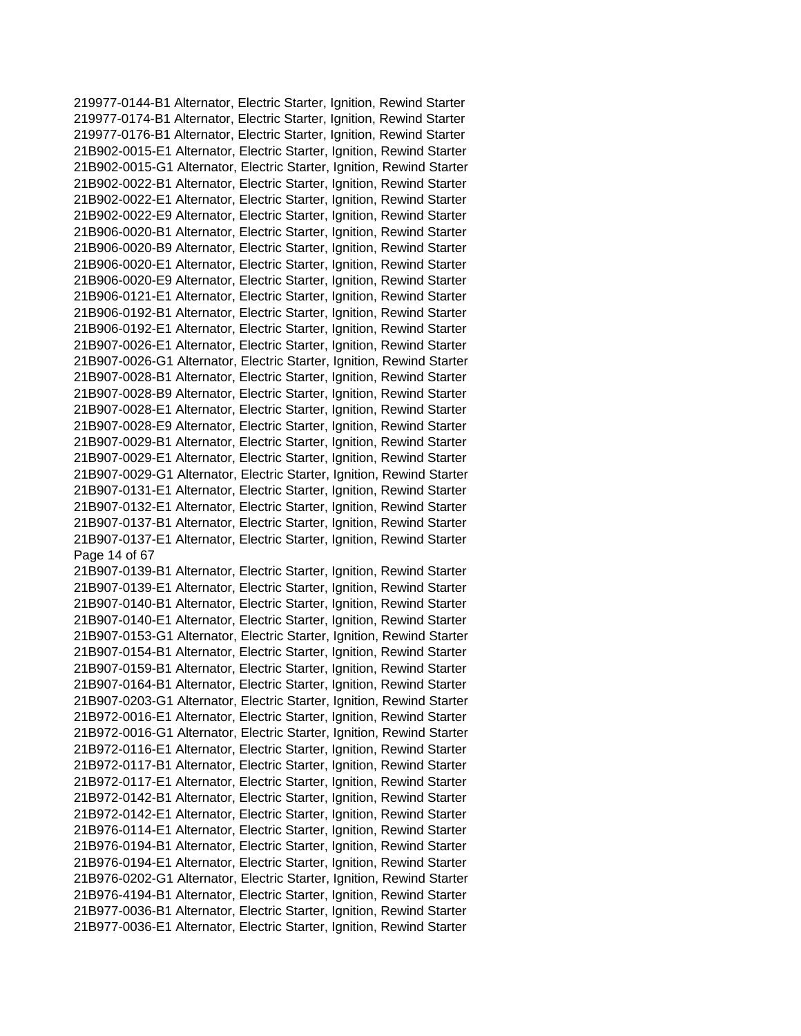219977-0144-B1 Alternator, Electric Starter, Ignition, Rewind Starter 219977-0174-B1 Alternator, Electric Starter, Ignition, Rewind Starter 219977-0176-B1 Alternator, Electric Starter, Ignition, Rewind Starter 21B902-0015-E1 Alternator, Electric Starter, Ignition, Rewind Starter 21B902-0015-G1 Alternator, Electric Starter, Ignition, Rewind Starter 21B902-0022-B1 Alternator, Electric Starter, Ignition, Rewind Starter 21B902-0022-E1 Alternator, Electric Starter, Ignition, Rewind Starter 21B902-0022-E9 Alternator, Electric Starter, Ignition, Rewind Starter 21B906-0020-B1 Alternator, Electric Starter, Ignition, Rewind Starter 21B906-0020-B9 Alternator, Electric Starter, Ignition, Rewind Starter 21B906-0020-E1 Alternator, Electric Starter, Ignition, Rewind Starter 21B906-0020-E9 Alternator, Electric Starter, Ignition, Rewind Starter 21B906-0121-E1 Alternator, Electric Starter, Ignition, Rewind Starter 21B906-0192-B1 Alternator, Electric Starter, Ignition, Rewind Starter 21B906-0192-E1 Alternator, Electric Starter, Ignition, Rewind Starter 21B907-0026-E1 Alternator, Electric Starter, Ignition, Rewind Starter 21B907-0026-G1 Alternator, Electric Starter, Ignition, Rewind Starter 21B907-0028-B1 Alternator, Electric Starter, Ignition, Rewind Starter 21B907-0028-B9 Alternator, Electric Starter, Ignition, Rewind Starter 21B907-0028-E1 Alternator, Electric Starter, Ignition, Rewind Starter 21B907-0028-E9 Alternator, Electric Starter, Ignition, Rewind Starter 21B907-0029-B1 Alternator, Electric Starter, Ignition, Rewind Starter 21B907-0029-E1 Alternator, Electric Starter, Ignition, Rewind Starter 21B907-0029-G1 Alternator, Electric Starter, Ignition, Rewind Starter 21B907-0131-E1 Alternator, Electric Starter, Ignition, Rewind Starter 21B907-0132-E1 Alternator, Electric Starter, Ignition, Rewind Starter 21B907-0137-B1 Alternator, Electric Starter, Ignition, Rewind Starter 21B907-0137-E1 Alternator, Electric Starter, Ignition, Rewind Starter Page 14 of 67 21B907-0139-B1 Alternator, Electric Starter, Ignition, Rewind Starter 21B907-0139-E1 Alternator, Electric Starter, Ignition, Rewind Starter 21B907-0140-B1 Alternator, Electric Starter, Ignition, Rewind Starter 21B907-0140-E1 Alternator, Electric Starter, Ignition, Rewind Starter 21B907-0153-G1 Alternator, Electric Starter, Ignition, Rewind Starter 21B907-0154-B1 Alternator, Electric Starter, Ignition, Rewind Starter 21B907-0159-B1 Alternator, Electric Starter, Ignition, Rewind Starter 21B907-0164-B1 Alternator, Electric Starter, Ignition, Rewind Starter 21B907-0203-G1 Alternator, Electric Starter, Ignition, Rewind Starter 21B972-0016-E1 Alternator, Electric Starter, Ignition, Rewind Starter 21B972-0016-G1 Alternator, Electric Starter, Ignition, Rewind Starter 21B972-0116-E1 Alternator, Electric Starter, Ignition, Rewind Starter 21B972-0117-B1 Alternator, Electric Starter, Ignition, Rewind Starter 21B972-0117-E1 Alternator, Electric Starter, Ignition, Rewind Starter 21B972-0142-B1 Alternator, Electric Starter, Ignition, Rewind Starter 21B972-0142-E1 Alternator, Electric Starter, Ignition, Rewind Starter 21B976-0114-E1 Alternator, Electric Starter, Ignition, Rewind Starter 21B976-0194-B1 Alternator, Electric Starter, Ignition, Rewind Starter 21B976-0194-E1 Alternator, Electric Starter, Ignition, Rewind Starter 21B976-0202-G1 Alternator, Electric Starter, Ignition, Rewind Starter 21B976-4194-B1 Alternator, Electric Starter, Ignition, Rewind Starter 21B977-0036-B1 Alternator, Electric Starter, Ignition, Rewind Starter 21B977-0036-E1 Alternator, Electric Starter, Ignition, Rewind Starter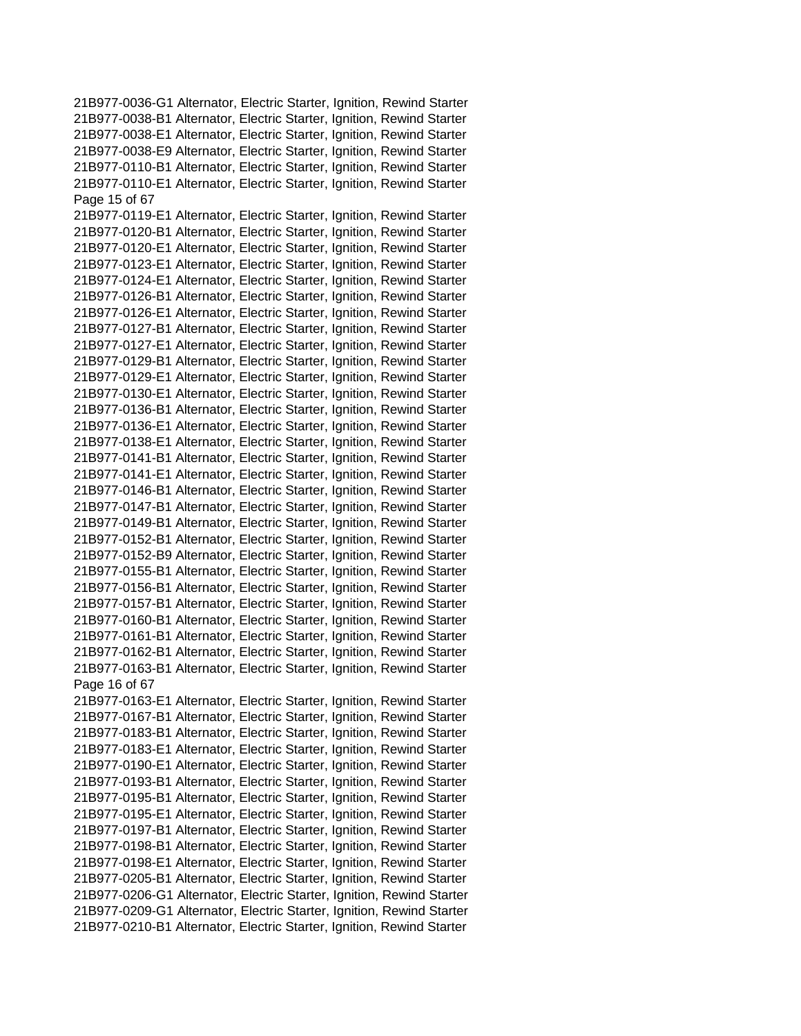21B977-0036-G1 Alternator, Electric Starter, Ignition, Rewind Starter 21B977-0038-B1 Alternator, Electric Starter, Ignition, Rewind Starter 21B977-0038-E1 Alternator, Electric Starter, Ignition, Rewind Starter 21B977-0038-E9 Alternator, Electric Starter, Ignition, Rewind Starter 21B977-0110-B1 Alternator, Electric Starter, Ignition, Rewind Starter 21B977-0110-E1 Alternator, Electric Starter, Ignition, Rewind Starter Page 15 of 67 21B977-0119-E1 Alternator, Electric Starter, Ignition, Rewind Starter 21B977-0120-B1 Alternator, Electric Starter, Ignition, Rewind Starter 21B977-0120-E1 Alternator, Electric Starter, Ignition, Rewind Starter 21B977-0123-E1 Alternator, Electric Starter, Ignition, Rewind Starter 21B977-0124-E1 Alternator, Electric Starter, Ignition, Rewind Starter 21B977-0126-B1 Alternator, Electric Starter, Ignition, Rewind Starter 21B977-0126-E1 Alternator, Electric Starter, Ignition, Rewind Starter 21B977-0127-B1 Alternator, Electric Starter, Ignition, Rewind Starter 21B977-0127-E1 Alternator, Electric Starter, Ignition, Rewind Starter 21B977-0129-B1 Alternator, Electric Starter, Ignition, Rewind Starter 21B977-0129-E1 Alternator, Electric Starter, Ignition, Rewind Starter 21B977-0130-E1 Alternator, Electric Starter, Ignition, Rewind Starter 21B977-0136-B1 Alternator, Electric Starter, Ignition, Rewind Starter 21B977-0136-E1 Alternator, Electric Starter, Ignition, Rewind Starter 21B977-0138-E1 Alternator, Electric Starter, Ignition, Rewind Starter 21B977-0141-B1 Alternator, Electric Starter, Ignition, Rewind Starter 21B977-0141-E1 Alternator, Electric Starter, Ignition, Rewind Starter 21B977-0146-B1 Alternator, Electric Starter, Ignition, Rewind Starter 21B977-0147-B1 Alternator, Electric Starter, Ignition, Rewind Starter 21B977-0149-B1 Alternator, Electric Starter, Ignition, Rewind Starter 21B977-0152-B1 Alternator, Electric Starter, Ignition, Rewind Starter 21B977-0152-B9 Alternator, Electric Starter, Ignition, Rewind Starter 21B977-0155-B1 Alternator, Electric Starter, Ignition, Rewind Starter 21B977-0156-B1 Alternator, Electric Starter, Ignition, Rewind Starter 21B977-0157-B1 Alternator, Electric Starter, Ignition, Rewind Starter 21B977-0160-B1 Alternator, Electric Starter, Ignition, Rewind Starter 21B977-0161-B1 Alternator, Electric Starter, Ignition, Rewind Starter 21B977-0162-B1 Alternator, Electric Starter, Ignition, Rewind Starter 21B977-0163-B1 Alternator, Electric Starter, Ignition, Rewind Starter Page 16 of 67 21B977-0163-E1 Alternator, Electric Starter, Ignition, Rewind Starter 21B977-0167-B1 Alternator, Electric Starter, Ignition, Rewind Starter 21B977-0183-B1 Alternator, Electric Starter, Ignition, Rewind Starter 21B977-0183-E1 Alternator, Electric Starter, Ignition, Rewind Starter 21B977-0190-E1 Alternator, Electric Starter, Ignition, Rewind Starter 21B977-0193-B1 Alternator, Electric Starter, Ignition, Rewind Starter 21B977-0195-B1 Alternator, Electric Starter, Ignition, Rewind Starter 21B977-0195-E1 Alternator, Electric Starter, Ignition, Rewind Starter 21B977-0197-B1 Alternator, Electric Starter, Ignition, Rewind Starter 21B977-0198-B1 Alternator, Electric Starter, Ignition, Rewind Starter 21B977-0198-E1 Alternator, Electric Starter, Ignition, Rewind Starter 21B977-0205-B1 Alternator, Electric Starter, Ignition, Rewind Starter 21B977-0206-G1 Alternator, Electric Starter, Ignition, Rewind Starter 21B977-0209-G1 Alternator, Electric Starter, Ignition, Rewind Starter 21B977-0210-B1 Alternator, Electric Starter, Ignition, Rewind Starter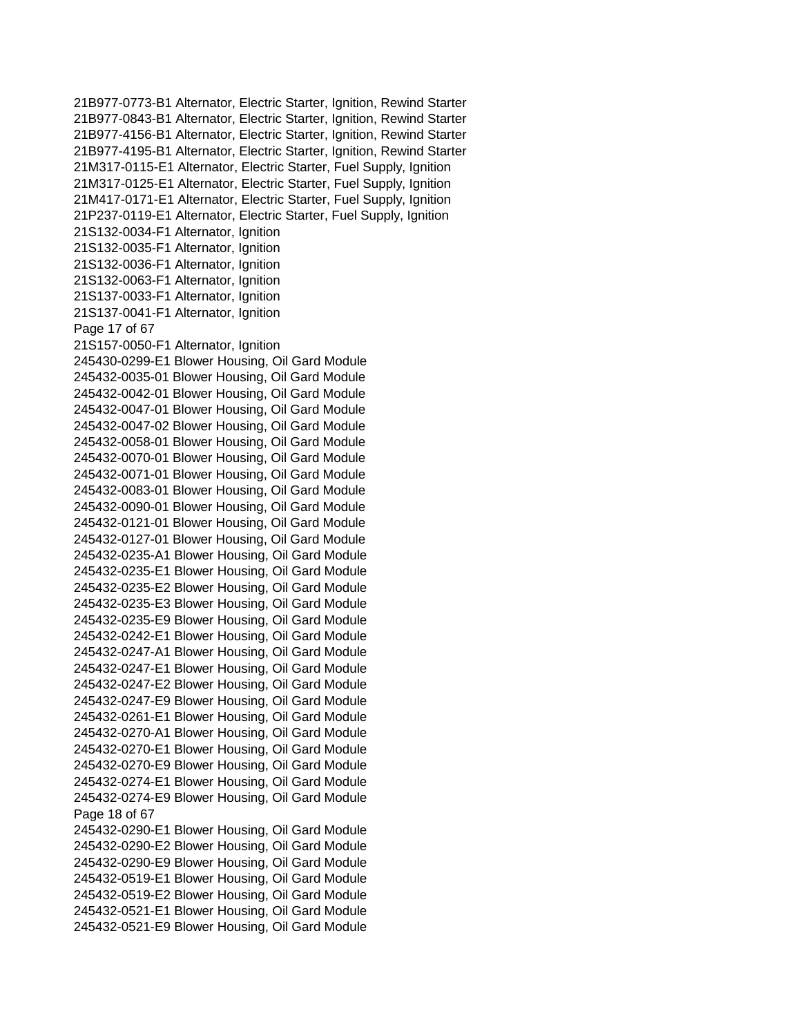21B977-0773-B1 Alternator, Electric Starter, Ignition, Rewind Starter 21B977-0843-B1 Alternator, Electric Starter, Ignition, Rewind Starter 21B977-4156-B1 Alternator, Electric Starter, Ignition, Rewind Starter 21B977-4195-B1 Alternator, Electric Starter, Ignition, Rewind Starter 21M317-0115-E1 Alternator, Electric Starter, Fuel Supply, Ignition 21M317-0125-E1 Alternator, Electric Starter, Fuel Supply, Ignition 21M417-0171-E1 Alternator, Electric Starter, Fuel Supply, Ignition 21P237-0119-E1 Alternator, Electric Starter, Fuel Supply, Ignition 21S132-0034-F1 Alternator, Ignition 21S132-0035-F1 Alternator, Ignition 21S132-0036-F1 Alternator, Ignition 21S132-0063-F1 Alternator, Ignition 21S137-0033-F1 Alternator, Ignition 21S137-0041-F1 Alternator, Ignition Page 17 of 67 21S157-0050-F1 Alternator, Ignition 245430-0299-E1 Blower Housing, Oil Gard Module 245432-0035-01 Blower Housing, Oil Gard Module 245432-0042-01 Blower Housing, Oil Gard Module 245432-0047-01 Blower Housing, Oil Gard Module 245432-0047-02 Blower Housing, Oil Gard Module 245432-0058-01 Blower Housing, Oil Gard Module 245432-0070-01 Blower Housing, Oil Gard Module 245432-0071-01 Blower Housing, Oil Gard Module 245432-0083-01 Blower Housing, Oil Gard Module 245432-0090-01 Blower Housing, Oil Gard Module 245432-0121-01 Blower Housing, Oil Gard Module 245432-0127-01 Blower Housing, Oil Gard Module 245432-0235-A1 Blower Housing, Oil Gard Module 245432-0235-E1 Blower Housing, Oil Gard Module 245432-0235-E2 Blower Housing, Oil Gard Module 245432-0235-E3 Blower Housing, Oil Gard Module 245432-0235-E9 Blower Housing, Oil Gard Module 245432-0242-E1 Blower Housing, Oil Gard Module 245432-0247-A1 Blower Housing, Oil Gard Module 245432-0247-E1 Blower Housing, Oil Gard Module 245432-0247-E2 Blower Housing, Oil Gard Module 245432-0247-E9 Blower Housing, Oil Gard Module 245432-0261-E1 Blower Housing, Oil Gard Module 245432-0270-A1 Blower Housing, Oil Gard Module 245432-0270-E1 Blower Housing, Oil Gard Module 245432-0270-E9 Blower Housing, Oil Gard Module 245432-0274-E1 Blower Housing, Oil Gard Module 245432-0274-E9 Blower Housing, Oil Gard Module Page 18 of 67 245432-0290-E1 Blower Housing, Oil Gard Module 245432-0290-E2 Blower Housing, Oil Gard Module 245432-0290-E9 Blower Housing, Oil Gard Module 245432-0519-E1 Blower Housing, Oil Gard Module 245432-0519-E2 Blower Housing, Oil Gard Module 245432-0521-E1 Blower Housing, Oil Gard Module 245432-0521-E9 Blower Housing, Oil Gard Module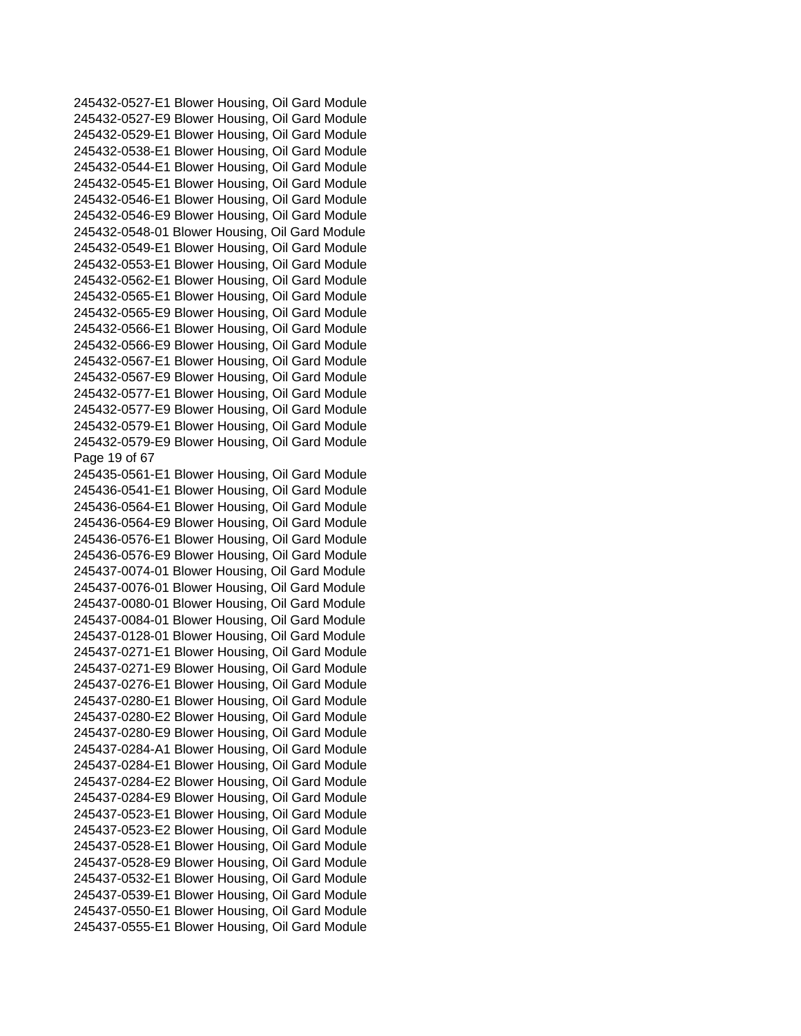245432-0527-E1 Blower Housing, Oil Gard Module 245432-0527-E9 Blower Housing, Oil Gard Module 245432-0529-E1 Blower Housing, Oil Gard Module 245432-0538-E1 Blower Housing, Oil Gard Module 245432-0544-E1 Blower Housing, Oil Gard Module 245432-0545-E1 Blower Housing, Oil Gard Module 245432-0546-E1 Blower Housing, Oil Gard Module 245432-0546-E9 Blower Housing, Oil Gard Module 245432-0548-01 Blower Housing, Oil Gard Module 245432-0549-E1 Blower Housing, Oil Gard Module 245432-0553-E1 Blower Housing, Oil Gard Module 245432-0562-E1 Blower Housing, Oil Gard Module 245432-0565-E1 Blower Housing, Oil Gard Module 245432-0565-E9 Blower Housing, Oil Gard Module 245432-0566-E1 Blower Housing, Oil Gard Module 245432-0566-E9 Blower Housing, Oil Gard Module 245432-0567-E1 Blower Housing, Oil Gard Module 245432-0567-E9 Blower Housing, Oil Gard Module 245432-0577-E1 Blower Housing, Oil Gard Module 245432-0577-E9 Blower Housing, Oil Gard Module 245432-0579-E1 Blower Housing, Oil Gard Module 245432-0579-E9 Blower Housing, Oil Gard Module Page 19 of 67 245435-0561-E1 Blower Housing, Oil Gard Module 245436-0541-E1 Blower Housing, Oil Gard Module 245436-0564-E1 Blower Housing, Oil Gard Module 245436-0564-E9 Blower Housing, Oil Gard Module 245436-0576-E1 Blower Housing, Oil Gard Module 245436-0576-E9 Blower Housing, Oil Gard Module 245437-0074-01 Blower Housing, Oil Gard Module 245437-0076-01 Blower Housing, Oil Gard Module 245437-0080-01 Blower Housing, Oil Gard Module 245437-0084-01 Blower Housing, Oil Gard Module 245437-0128-01 Blower Housing, Oil Gard Module 245437-0271-E1 Blower Housing, Oil Gard Module 245437-0271-E9 Blower Housing, Oil Gard Module 245437-0276-E1 Blower Housing, Oil Gard Module 245437-0280-E1 Blower Housing, Oil Gard Module 245437-0280-E2 Blower Housing, Oil Gard Module 245437-0280-E9 Blower Housing, Oil Gard Module 245437-0284-A1 Blower Housing, Oil Gard Module 245437-0284-E1 Blower Housing, Oil Gard Module 245437-0284-E2 Blower Housing, Oil Gard Module 245437-0284-E9 Blower Housing, Oil Gard Module 245437-0523-E1 Blower Housing, Oil Gard Module 245437-0523-E2 Blower Housing, Oil Gard Module 245437-0528-E1 Blower Housing, Oil Gard Module 245437-0528-E9 Blower Housing, Oil Gard Module 245437-0532-E1 Blower Housing, Oil Gard Module 245437-0539-E1 Blower Housing, Oil Gard Module 245437-0550-E1 Blower Housing, Oil Gard Module 245437-0555-E1 Blower Housing, Oil Gard Module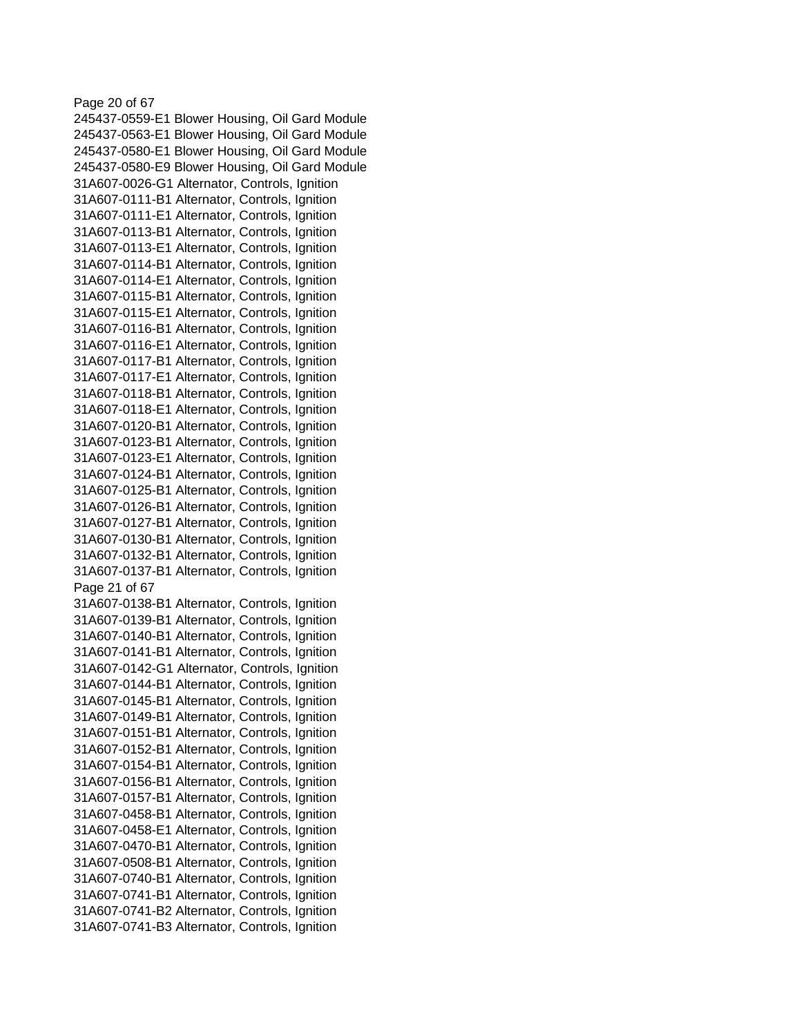Page 20 of 67 245437-0559-E1 Blower Housing, Oil Gard Module 245437-0563-E1 Blower Housing, Oil Gard Module 245437-0580-E1 Blower Housing, Oil Gard Module 245437-0580-E9 Blower Housing, Oil Gard Module 31A607-0026-G1 Alternator, Controls, Ignition 31A607-0111-B1 Alternator, Controls, Ignition 31A607-0111-E1 Alternator, Controls, Ignition 31A607-0113-B1 Alternator, Controls, Ignition 31A607-0113-E1 Alternator, Controls, Ignition 31A607-0114-B1 Alternator, Controls, Ignition 31A607-0114-E1 Alternator, Controls, Ignition 31A607-0115-B1 Alternator, Controls, Ignition 31A607-0115-E1 Alternator, Controls, Ignition 31A607-0116-B1 Alternator, Controls, Ignition 31A607-0116-E1 Alternator, Controls, Ignition 31A607-0117-B1 Alternator, Controls, Ignition 31A607-0117-E1 Alternator, Controls, Ignition 31A607-0118-B1 Alternator, Controls, Ignition 31A607-0118-E1 Alternator, Controls, Ignition 31A607-0120-B1 Alternator, Controls, Ignition 31A607-0123-B1 Alternator, Controls, Ignition 31A607-0123-E1 Alternator, Controls, Ignition 31A607-0124-B1 Alternator, Controls, Ignition 31A607-0125-B1 Alternator, Controls, Ignition 31A607-0126-B1 Alternator, Controls, Ignition 31A607-0127-B1 Alternator, Controls, Ignition 31A607-0130-B1 Alternator, Controls, Ignition 31A607-0132-B1 Alternator, Controls, Ignition 31A607-0137-B1 Alternator, Controls, Ignition Page 21 of 67 31A607-0138-B1 Alternator, Controls, Ignition 31A607-0139-B1 Alternator, Controls, Ignition 31A607-0140-B1 Alternator, Controls, Ignition 31A607-0141-B1 Alternator, Controls, Ignition 31A607-0142-G1 Alternator, Controls, Ignition 31A607-0144-B1 Alternator, Controls, Ignition 31A607-0145-B1 Alternator, Controls, Ignition 31A607-0149-B1 Alternator, Controls, Ignition 31A607-0151-B1 Alternator, Controls, Ignition 31A607-0152-B1 Alternator, Controls, Ignition 31A607-0154-B1 Alternator, Controls, Ignition 31A607-0156-B1 Alternator, Controls, Ignition 31A607-0157-B1 Alternator, Controls, Ignition 31A607-0458-B1 Alternator, Controls, Ignition 31A607-0458-E1 Alternator, Controls, Ignition 31A607-0470-B1 Alternator, Controls, Ignition 31A607-0508-B1 Alternator, Controls, Ignition 31A607-0740-B1 Alternator, Controls, Ignition 31A607-0741-B1 Alternator, Controls, Ignition 31A607-0741-B2 Alternator, Controls, Ignition 31A607-0741-B3 Alternator, Controls, Ignition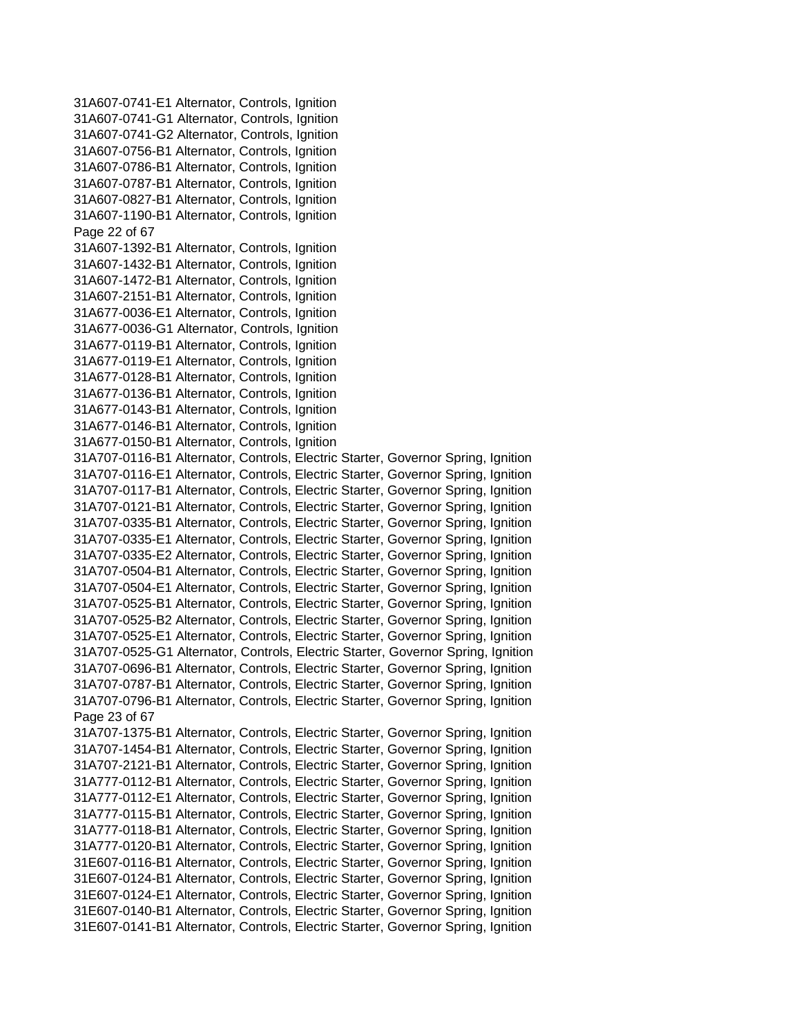31A607-0741-E1 Alternator, Controls, Ignition 31A607-0741-G1 Alternator, Controls, Ignition 31A607-0741-G2 Alternator, Controls, Ignition 31A607-0756-B1 Alternator, Controls, Ignition 31A607-0786-B1 Alternator, Controls, Ignition 31A607-0787-B1 Alternator, Controls, Ignition 31A607-0827-B1 Alternator, Controls, Ignition 31A607-1190-B1 Alternator, Controls, Ignition Page 22 of 67 31A607-1392-B1 Alternator, Controls, Ignition 31A607-1432-B1 Alternator, Controls, Ignition 31A607-1472-B1 Alternator, Controls, Ignition 31A607-2151-B1 Alternator, Controls, Ignition 31A677-0036-E1 Alternator, Controls, Ignition 31A677-0036-G1 Alternator, Controls, Ignition 31A677-0119-B1 Alternator, Controls, Ignition 31A677-0119-E1 Alternator, Controls, Ignition 31A677-0128-B1 Alternator, Controls, Ignition 31A677-0136-B1 Alternator, Controls, Ignition 31A677-0143-B1 Alternator, Controls, Ignition 31A677-0146-B1 Alternator, Controls, Ignition 31A677-0150-B1 Alternator, Controls, Ignition 31A707-0116-B1 Alternator, Controls, Electric Starter, Governor Spring, Ignition 31A707-0116-E1 Alternator, Controls, Electric Starter, Governor Spring, Ignition 31A707-0117-B1 Alternator, Controls, Electric Starter, Governor Spring, Ignition 31A707-0121-B1 Alternator, Controls, Electric Starter, Governor Spring, Ignition 31A707-0335-B1 Alternator, Controls, Electric Starter, Governor Spring, Ignition 31A707-0335-E1 Alternator, Controls, Electric Starter, Governor Spring, Ignition 31A707-0335-E2 Alternator, Controls, Electric Starter, Governor Spring, Ignition 31A707-0504-B1 Alternator, Controls, Electric Starter, Governor Spring, Ignition 31A707-0504-E1 Alternator, Controls, Electric Starter, Governor Spring, Ignition 31A707-0525-B1 Alternator, Controls, Electric Starter, Governor Spring, Ignition 31A707-0525-B2 Alternator, Controls, Electric Starter, Governor Spring, Ignition 31A707-0525-E1 Alternator, Controls, Electric Starter, Governor Spring, Ignition 31A707-0525-G1 Alternator, Controls, Electric Starter, Governor Spring, Ignition 31A707-0696-B1 Alternator, Controls, Electric Starter, Governor Spring, Ignition 31A707-0787-B1 Alternator, Controls, Electric Starter, Governor Spring, Ignition 31A707-0796-B1 Alternator, Controls, Electric Starter, Governor Spring, Ignition Page 23 of 67 31A707-1375-B1 Alternator, Controls, Electric Starter, Governor Spring, Ignition 31A707-1454-B1 Alternator, Controls, Electric Starter, Governor Spring, Ignition 31A707-2121-B1 Alternator, Controls, Electric Starter, Governor Spring, Ignition 31A777-0112-B1 Alternator, Controls, Electric Starter, Governor Spring, Ignition 31A777-0112-E1 Alternator, Controls, Electric Starter, Governor Spring, Ignition 31A777-0115-B1 Alternator, Controls, Electric Starter, Governor Spring, Ignition 31A777-0118-B1 Alternator, Controls, Electric Starter, Governor Spring, Ignition 31A777-0120-B1 Alternator, Controls, Electric Starter, Governor Spring, Ignition 31E607-0116-B1 Alternator, Controls, Electric Starter, Governor Spring, Ignition 31E607-0124-B1 Alternator, Controls, Electric Starter, Governor Spring, Ignition 31E607-0124-E1 Alternator, Controls, Electric Starter, Governor Spring, Ignition 31E607-0140-B1 Alternator, Controls, Electric Starter, Governor Spring, Ignition 31E607-0141-B1 Alternator, Controls, Electric Starter, Governor Spring, Ignition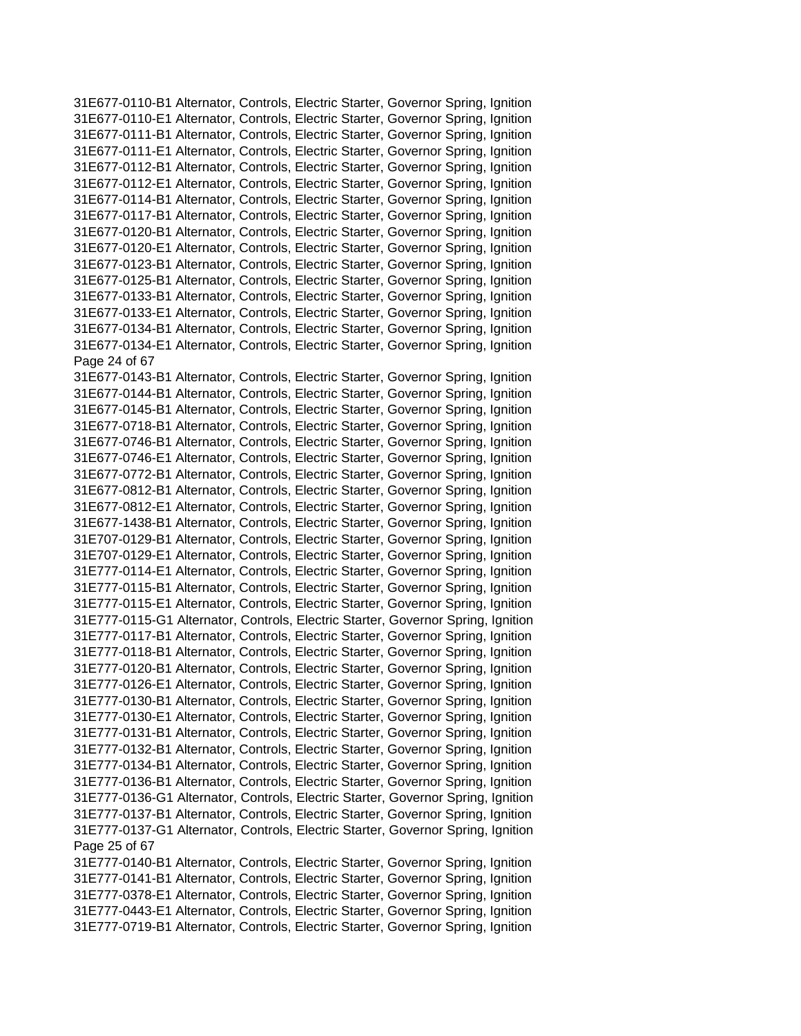31E677-0110-B1 Alternator, Controls, Electric Starter, Governor Spring, Ignition 31E677-0110-E1 Alternator, Controls, Electric Starter, Governor Spring, Ignition 31E677-0111-B1 Alternator, Controls, Electric Starter, Governor Spring, Ignition 31E677-0111-E1 Alternator, Controls, Electric Starter, Governor Spring, Ignition 31E677-0112-B1 Alternator, Controls, Electric Starter, Governor Spring, Ignition 31E677-0112-E1 Alternator, Controls, Electric Starter, Governor Spring, Ignition 31E677-0114-B1 Alternator, Controls, Electric Starter, Governor Spring, Ignition 31E677-0117-B1 Alternator, Controls, Electric Starter, Governor Spring, Ignition 31E677-0120-B1 Alternator, Controls, Electric Starter, Governor Spring, Ignition 31E677-0120-E1 Alternator, Controls, Electric Starter, Governor Spring, Ignition 31E677-0123-B1 Alternator, Controls, Electric Starter, Governor Spring, Ignition 31E677-0125-B1 Alternator, Controls, Electric Starter, Governor Spring, Ignition 31E677-0133-B1 Alternator, Controls, Electric Starter, Governor Spring, Ignition 31E677-0133-E1 Alternator, Controls, Electric Starter, Governor Spring, Ignition 31E677-0134-B1 Alternator, Controls, Electric Starter, Governor Spring, Ignition 31E677-0134-E1 Alternator, Controls, Electric Starter, Governor Spring, Ignition Page 24 of 67 31E677-0143-B1 Alternator, Controls, Electric Starter, Governor Spring, Ignition 31E677-0144-B1 Alternator, Controls, Electric Starter, Governor Spring, Ignition 31E677-0145-B1 Alternator, Controls, Electric Starter, Governor Spring, Ignition 31E677-0718-B1 Alternator, Controls, Electric Starter, Governor Spring, Ignition 31E677-0746-B1 Alternator, Controls, Electric Starter, Governor Spring, Ignition 31E677-0746-E1 Alternator, Controls, Electric Starter, Governor Spring, Ignition 31E677-0772-B1 Alternator, Controls, Electric Starter, Governor Spring, Ignition 31E677-0812-B1 Alternator, Controls, Electric Starter, Governor Spring, Ignition 31E677-0812-E1 Alternator, Controls, Electric Starter, Governor Spring, Ignition 31E677-1438-B1 Alternator, Controls, Electric Starter, Governor Spring, Ignition 31E707-0129-B1 Alternator, Controls, Electric Starter, Governor Spring, Ignition 31E707-0129-E1 Alternator, Controls, Electric Starter, Governor Spring, Ignition 31E777-0114-E1 Alternator, Controls, Electric Starter, Governor Spring, Ignition 31E777-0115-B1 Alternator, Controls, Electric Starter, Governor Spring, Ignition 31E777-0115-E1 Alternator, Controls, Electric Starter, Governor Spring, Ignition 31E777-0115-G1 Alternator, Controls, Electric Starter, Governor Spring, Ignition 31E777-0117-B1 Alternator, Controls, Electric Starter, Governor Spring, Ignition 31E777-0118-B1 Alternator, Controls, Electric Starter, Governor Spring, Ignition 31E777-0120-B1 Alternator, Controls, Electric Starter, Governor Spring, Ignition 31E777-0126-E1 Alternator, Controls, Electric Starter, Governor Spring, Ignition 31E777-0130-B1 Alternator, Controls, Electric Starter, Governor Spring, Ignition 31E777-0130-E1 Alternator, Controls, Electric Starter, Governor Spring, Ignition 31E777-0131-B1 Alternator, Controls, Electric Starter, Governor Spring, Ignition 31E777-0132-B1 Alternator, Controls, Electric Starter, Governor Spring, Ignition 31E777-0134-B1 Alternator, Controls, Electric Starter, Governor Spring, Ignition 31E777-0136-B1 Alternator, Controls, Electric Starter, Governor Spring, Ignition 31E777-0136-G1 Alternator, Controls, Electric Starter, Governor Spring, Ignition 31E777-0137-B1 Alternator, Controls, Electric Starter, Governor Spring, Ignition 31E777-0137-G1 Alternator, Controls, Electric Starter, Governor Spring, Ignition Page 25 of 67 31E777-0140-B1 Alternator, Controls, Electric Starter, Governor Spring, Ignition 31E777-0141-B1 Alternator, Controls, Electric Starter, Governor Spring, Ignition 31E777-0378-E1 Alternator, Controls, Electric Starter, Governor Spring, Ignition 31E777-0443-E1 Alternator, Controls, Electric Starter, Governor Spring, Ignition 31E777-0719-B1 Alternator, Controls, Electric Starter, Governor Spring, Ignition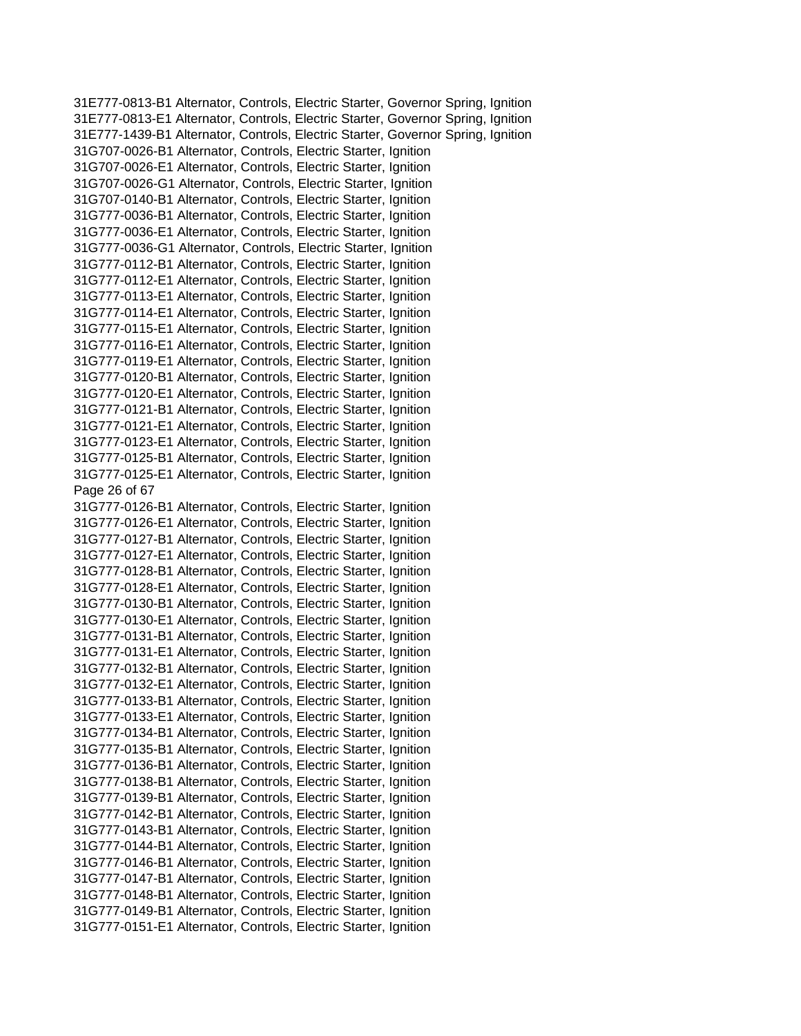31E777-0813-B1 Alternator, Controls, Electric Starter, Governor Spring, Ignition 31E777-0813-E1 Alternator, Controls, Electric Starter, Governor Spring, Ignition 31E777-1439-B1 Alternator, Controls, Electric Starter, Governor Spring, Ignition 31G707-0026-B1 Alternator, Controls, Electric Starter, Ignition 31G707-0026-E1 Alternator, Controls, Electric Starter, Ignition 31G707-0026-G1 Alternator, Controls, Electric Starter, Ignition 31G707-0140-B1 Alternator, Controls, Electric Starter, Ignition 31G777-0036-B1 Alternator, Controls, Electric Starter, Ignition 31G777-0036-E1 Alternator, Controls, Electric Starter, Ignition 31G777-0036-G1 Alternator, Controls, Electric Starter, Ignition 31G777-0112-B1 Alternator, Controls, Electric Starter, Ignition 31G777-0112-E1 Alternator, Controls, Electric Starter, Ignition 31G777-0113-E1 Alternator, Controls, Electric Starter, Ignition 31G777-0114-E1 Alternator, Controls, Electric Starter, Ignition 31G777-0115-E1 Alternator, Controls, Electric Starter, Ignition 31G777-0116-E1 Alternator, Controls, Electric Starter, Ignition 31G777-0119-E1 Alternator, Controls, Electric Starter, Ignition 31G777-0120-B1 Alternator, Controls, Electric Starter, Ignition 31G777-0120-E1 Alternator, Controls, Electric Starter, Ignition 31G777-0121-B1 Alternator, Controls, Electric Starter, Ignition 31G777-0121-E1 Alternator, Controls, Electric Starter, Ignition 31G777-0123-E1 Alternator, Controls, Electric Starter, Ignition 31G777-0125-B1 Alternator, Controls, Electric Starter, Ignition 31G777-0125-E1 Alternator, Controls, Electric Starter, Ignition Page 26 of 67 31G777-0126-B1 Alternator, Controls, Electric Starter, Ignition 31G777-0126-E1 Alternator, Controls, Electric Starter, Ignition 31G777-0127-B1 Alternator, Controls, Electric Starter, Ignition 31G777-0127-E1 Alternator, Controls, Electric Starter, Ignition 31G777-0128-B1 Alternator, Controls, Electric Starter, Ignition 31G777-0128-E1 Alternator, Controls, Electric Starter, Ignition 31G777-0130-B1 Alternator, Controls, Electric Starter, Ignition 31G777-0130-E1 Alternator, Controls, Electric Starter, Ignition 31G777-0131-B1 Alternator, Controls, Electric Starter, Ignition 31G777-0131-E1 Alternator, Controls, Electric Starter, Ignition 31G777-0132-B1 Alternator, Controls, Electric Starter, Ignition 31G777-0132-E1 Alternator, Controls, Electric Starter, Ignition 31G777-0133-B1 Alternator, Controls, Electric Starter, Ignition 31G777-0133-E1 Alternator, Controls, Electric Starter, Ignition 31G777-0134-B1 Alternator, Controls, Electric Starter, Ignition 31G777-0135-B1 Alternator, Controls, Electric Starter, Ignition 31G777-0136-B1 Alternator, Controls, Electric Starter, Ignition 31G777-0138-B1 Alternator, Controls, Electric Starter, Ignition 31G777-0139-B1 Alternator, Controls, Electric Starter, Ignition 31G777-0142-B1 Alternator, Controls, Electric Starter, Ignition 31G777-0143-B1 Alternator, Controls, Electric Starter, Ignition 31G777-0144-B1 Alternator, Controls, Electric Starter, Ignition 31G777-0146-B1 Alternator, Controls, Electric Starter, Ignition 31G777-0147-B1 Alternator, Controls, Electric Starter, Ignition 31G777-0148-B1 Alternator, Controls, Electric Starter, Ignition 31G777-0149-B1 Alternator, Controls, Electric Starter, Ignition 31G777-0151-E1 Alternator, Controls, Electric Starter, Ignition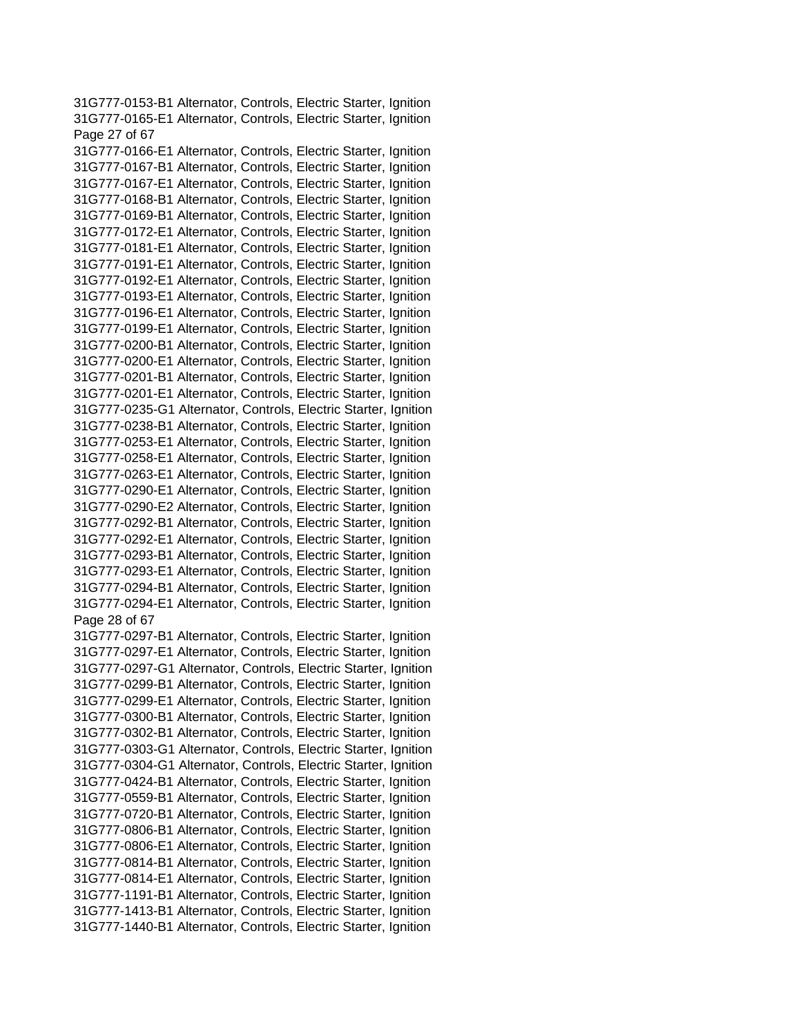31G777-0153-B1 Alternator, Controls, Electric Starter, Ignition 31G777-0165-E1 Alternator, Controls, Electric Starter, Ignition Page 27 of 67 31G777-0166-E1 Alternator, Controls, Electric Starter, Ignition 31G777-0167-B1 Alternator, Controls, Electric Starter, Ignition 31G777-0167-E1 Alternator, Controls, Electric Starter, Ignition 31G777-0168-B1 Alternator, Controls, Electric Starter, Ignition 31G777-0169-B1 Alternator, Controls, Electric Starter, Ignition 31G777-0172-E1 Alternator, Controls, Electric Starter, Ignition 31G777-0181-E1 Alternator, Controls, Electric Starter, Ignition 31G777-0191-E1 Alternator, Controls, Electric Starter, Ignition 31G777-0192-E1 Alternator, Controls, Electric Starter, Ignition 31G777-0193-E1 Alternator, Controls, Electric Starter, Ignition 31G777-0196-E1 Alternator, Controls, Electric Starter, Ignition 31G777-0199-E1 Alternator, Controls, Electric Starter, Ignition 31G777-0200-B1 Alternator, Controls, Electric Starter, Ignition 31G777-0200-E1 Alternator, Controls, Electric Starter, Ignition 31G777-0201-B1 Alternator, Controls, Electric Starter, Ignition 31G777-0201-E1 Alternator, Controls, Electric Starter, Ignition 31G777-0235-G1 Alternator, Controls, Electric Starter, Ignition 31G777-0238-B1 Alternator, Controls, Electric Starter, Ignition 31G777-0253-E1 Alternator, Controls, Electric Starter, Ignition 31G777-0258-E1 Alternator, Controls, Electric Starter, Ignition 31G777-0263-E1 Alternator, Controls, Electric Starter, Ignition 31G777-0290-E1 Alternator, Controls, Electric Starter, Ignition 31G777-0290-E2 Alternator, Controls, Electric Starter, Ignition 31G777-0292-B1 Alternator, Controls, Electric Starter, Ignition 31G777-0292-E1 Alternator, Controls, Electric Starter, Ignition 31G777-0293-B1 Alternator, Controls, Electric Starter, Ignition 31G777-0293-E1 Alternator, Controls, Electric Starter, Ignition 31G777-0294-B1 Alternator, Controls, Electric Starter, Ignition 31G777-0294-E1 Alternator, Controls, Electric Starter, Ignition Page 28 of 67 31G777-0297-B1 Alternator, Controls, Electric Starter, Ignition 31G777-0297-E1 Alternator, Controls, Electric Starter, Ignition 31G777-0297-G1 Alternator, Controls, Electric Starter, Ignition 31G777-0299-B1 Alternator, Controls, Electric Starter, Ignition 31G777-0299-E1 Alternator, Controls, Electric Starter, Ignition 31G777-0300-B1 Alternator, Controls, Electric Starter, Ignition 31G777-0302-B1 Alternator, Controls, Electric Starter, Ignition 31G777-0303-G1 Alternator, Controls, Electric Starter, Ignition 31G777-0304-G1 Alternator, Controls, Electric Starter, Ignition 31G777-0424-B1 Alternator, Controls, Electric Starter, Ignition 31G777-0559-B1 Alternator, Controls, Electric Starter, Ignition 31G777-0720-B1 Alternator, Controls, Electric Starter, Ignition 31G777-0806-B1 Alternator, Controls, Electric Starter, Ignition 31G777-0806-E1 Alternator, Controls, Electric Starter, Ignition 31G777-0814-B1 Alternator, Controls, Electric Starter, Ignition 31G777-0814-E1 Alternator, Controls, Electric Starter, Ignition 31G777-1191-B1 Alternator, Controls, Electric Starter, Ignition 31G777-1413-B1 Alternator, Controls, Electric Starter, Ignition 31G777-1440-B1 Alternator, Controls, Electric Starter, Ignition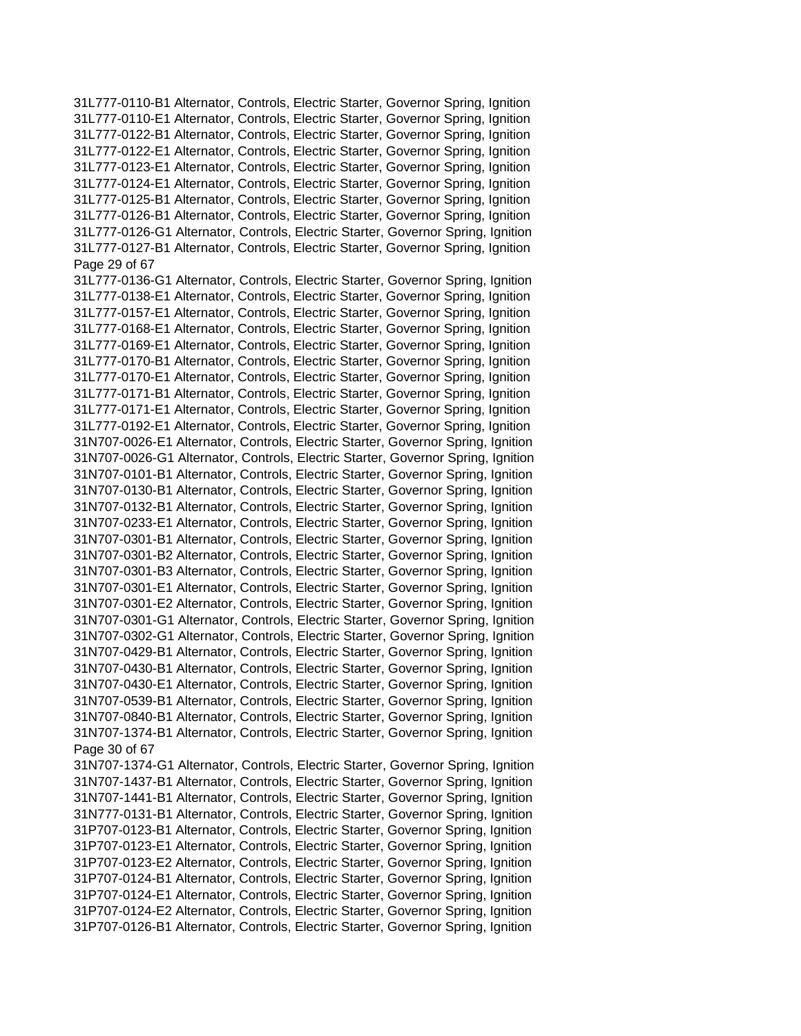31L777-0110-B1 Alternator, Controls, Electric Starter, Governor Spring, Ignition 31L777-0110-E1 Alternator, Controls, Electric Starter, Governor Spring, Ignition 31L777-0122-B1 Alternator, Controls, Electric Starter, Governor Spring, Ignition 31L777-0122-E1 Alternator, Controls, Electric Starter, Governor Spring, Ignition 31L777-0123-E1 Alternator, Controls, Electric Starter, Governor Spring, Ignition 31L777-0124-E1 Alternator, Controls, Electric Starter, Governor Spring, Ignition 31L777-0125-B1 Alternator, Controls, Electric Starter, Governor Spring, Ignition 31L777-0126-B1 Alternator, Controls, Electric Starter, Governor Spring, Ignition 31L777-0126-G1 Alternator, Controls, Electric Starter, Governor Spring, Ignition 31L777-0127-B1 Alternator, Controls, Electric Starter, Governor Spring, Ignition Page 29 of 67 31L777-0136-G1 Alternator, Controls, Electric Starter, Governor Spring, Ignition 31L777-0138-E1 Alternator, Controls, Electric Starter, Governor Spring, Ignition 31L777-0157-E1 Alternator, Controls, Electric Starter, Governor Spring, Ignition 31L777-0168-E1 Alternator, Controls, Electric Starter, Governor Spring, Ignition 31L777-0169-E1 Alternator, Controls, Electric Starter, Governor Spring, Ignition 31L777-0170-B1 Alternator, Controls, Electric Starter, Governor Spring, Ignition 31L777-0170-E1 Alternator, Controls, Electric Starter, Governor Spring, Ignition 31L777-0171-B1 Alternator, Controls, Electric Starter, Governor Spring, Ignition 31L777-0171-E1 Alternator, Controls, Electric Starter, Governor Spring, Ignition 31L777-0192-E1 Alternator, Controls, Electric Starter, Governor Spring, Ignition 31N707-0026-E1 Alternator, Controls, Electric Starter, Governor Spring, Ignition 31N707-0026-G1 Alternator, Controls, Electric Starter, Governor Spring, Ignition 31N707-0101-B1 Alternator, Controls, Electric Starter, Governor Spring, Ignition 31N707-0130-B1 Alternator, Controls, Electric Starter, Governor Spring, Ignition 31N707-0132-B1 Alternator, Controls, Electric Starter, Governor Spring, Ignition 31N707-0233-E1 Alternator, Controls, Electric Starter, Governor Spring, Ignition 31N707-0301-B1 Alternator, Controls, Electric Starter, Governor Spring, Ignition 31N707-0301-B2 Alternator, Controls, Electric Starter, Governor Spring, Ignition 31N707-0301-B3 Alternator, Controls, Electric Starter, Governor Spring, Ignition 31N707-0301-E1 Alternator, Controls, Electric Starter, Governor Spring, Ignition 31N707-0301-E2 Alternator, Controls, Electric Starter, Governor Spring, Ignition 31N707-0301-G1 Alternator, Controls, Electric Starter, Governor Spring, Ignition 31N707-0302-G1 Alternator, Controls, Electric Starter, Governor Spring, Ignition 31N707-0429-B1 Alternator, Controls, Electric Starter, Governor Spring, Ignition 31N707-0430-B1 Alternator, Controls, Electric Starter, Governor Spring, Ignition 31N707-0430-E1 Alternator, Controls, Electric Starter, Governor Spring, Ignition 31N707-0539-B1 Alternator, Controls, Electric Starter, Governor Spring, Ignition 31N707-0840-B1 Alternator, Controls, Electric Starter, Governor Spring, Ignition 31N707-1374-B1 Alternator, Controls, Electric Starter, Governor Spring, Ignition Page 30 of 67 31N707-1374-G1 Alternator, Controls, Electric Starter, Governor Spring, Ignition 31N707-1437-B1 Alternator, Controls, Electric Starter, Governor Spring, Ignition 31N707-1441-B1 Alternator, Controls, Electric Starter, Governor Spring, Ignition 31N777-0131-B1 Alternator, Controls, Electric Starter, Governor Spring, Ignition 31P707-0123-B1 Alternator, Controls, Electric Starter, Governor Spring, Ignition 31P707-0123-E1 Alternator, Controls, Electric Starter, Governor Spring, Ignition 31P707-0123-E2 Alternator, Controls, Electric Starter, Governor Spring, Ignition 31P707-0124-B1 Alternator, Controls, Electric Starter, Governor Spring, Ignition 31P707-0124-E1 Alternator, Controls, Electric Starter, Governor Spring, Ignition 31P707-0124-E2 Alternator, Controls, Electric Starter, Governor Spring, Ignition 31P707-0126-B1 Alternator, Controls, Electric Starter, Governor Spring, Ignition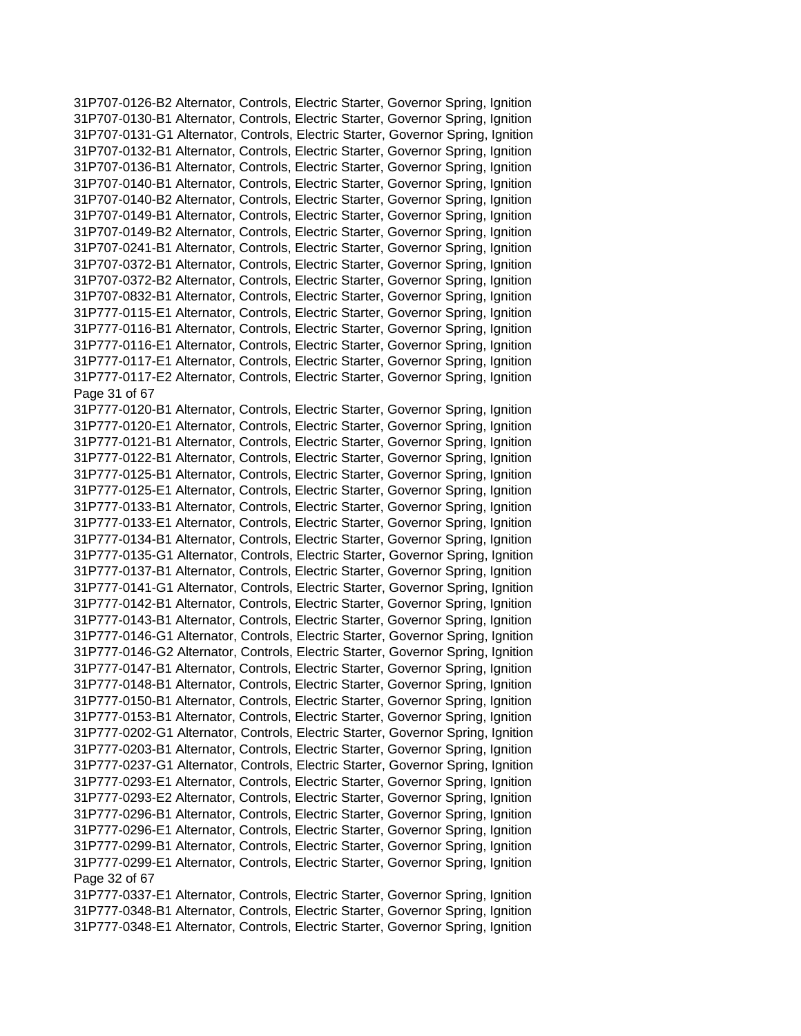31P707-0126-B2 Alternator, Controls, Electric Starter, Governor Spring, Ignition 31P707-0130-B1 Alternator, Controls, Electric Starter, Governor Spring, Ignition 31P707-0131-G1 Alternator, Controls, Electric Starter, Governor Spring, Ignition 31P707-0132-B1 Alternator, Controls, Electric Starter, Governor Spring, Ignition 31P707-0136-B1 Alternator, Controls, Electric Starter, Governor Spring, Ignition 31P707-0140-B1 Alternator, Controls, Electric Starter, Governor Spring, Ignition 31P707-0140-B2 Alternator, Controls, Electric Starter, Governor Spring, Ignition 31P707-0149-B1 Alternator, Controls, Electric Starter, Governor Spring, Ignition 31P707-0149-B2 Alternator, Controls, Electric Starter, Governor Spring, Ignition 31P707-0241-B1 Alternator, Controls, Electric Starter, Governor Spring, Ignition 31P707-0372-B1 Alternator, Controls, Electric Starter, Governor Spring, Ignition 31P707-0372-B2 Alternator, Controls, Electric Starter, Governor Spring, Ignition 31P707-0832-B1 Alternator, Controls, Electric Starter, Governor Spring, Ignition 31P777-0115-E1 Alternator, Controls, Electric Starter, Governor Spring, Ignition 31P777-0116-B1 Alternator, Controls, Electric Starter, Governor Spring, Ignition 31P777-0116-E1 Alternator, Controls, Electric Starter, Governor Spring, Ignition 31P777-0117-E1 Alternator, Controls, Electric Starter, Governor Spring, Ignition 31P777-0117-E2 Alternator, Controls, Electric Starter, Governor Spring, Ignition Page 31 of 67 31P777-0120-B1 Alternator, Controls, Electric Starter, Governor Spring, Ignition 31P777-0120-E1 Alternator, Controls, Electric Starter, Governor Spring, Ignition 31P777-0121-B1 Alternator, Controls, Electric Starter, Governor Spring, Ignition 31P777-0122-B1 Alternator, Controls, Electric Starter, Governor Spring, Ignition 31P777-0125-B1 Alternator, Controls, Electric Starter, Governor Spring, Ignition 31P777-0125-E1 Alternator, Controls, Electric Starter, Governor Spring, Ignition 31P777-0133-B1 Alternator, Controls, Electric Starter, Governor Spring, Ignition 31P777-0133-E1 Alternator, Controls, Electric Starter, Governor Spring, Ignition 31P777-0134-B1 Alternator, Controls, Electric Starter, Governor Spring, Ignition 31P777-0135-G1 Alternator, Controls, Electric Starter, Governor Spring, Ignition 31P777-0137-B1 Alternator, Controls, Electric Starter, Governor Spring, Ignition 31P777-0141-G1 Alternator, Controls, Electric Starter, Governor Spring, Ignition 31P777-0142-B1 Alternator, Controls, Electric Starter, Governor Spring, Ignition 31P777-0143-B1 Alternator, Controls, Electric Starter, Governor Spring, Ignition 31P777-0146-G1 Alternator, Controls, Electric Starter, Governor Spring, Ignition 31P777-0146-G2 Alternator, Controls, Electric Starter, Governor Spring, Ignition 31P777-0147-B1 Alternator, Controls, Electric Starter, Governor Spring, Ignition 31P777-0148-B1 Alternator, Controls, Electric Starter, Governor Spring, Ignition 31P777-0150-B1 Alternator, Controls, Electric Starter, Governor Spring, Ignition 31P777-0153-B1 Alternator, Controls, Electric Starter, Governor Spring, Ignition 31P777-0202-G1 Alternator, Controls, Electric Starter, Governor Spring, Ignition 31P777-0203-B1 Alternator, Controls, Electric Starter, Governor Spring, Ignition 31P777-0237-G1 Alternator, Controls, Electric Starter, Governor Spring, Ignition 31P777-0293-E1 Alternator, Controls, Electric Starter, Governor Spring, Ignition 31P777-0293-E2 Alternator, Controls, Electric Starter, Governor Spring, Ignition 31P777-0296-B1 Alternator, Controls, Electric Starter, Governor Spring, Ignition 31P777-0296-E1 Alternator, Controls, Electric Starter, Governor Spring, Ignition 31P777-0299-B1 Alternator, Controls, Electric Starter, Governor Spring, Ignition 31P777-0299-E1 Alternator, Controls, Electric Starter, Governor Spring, Ignition Page 32 of 67 31P777-0337-E1 Alternator, Controls, Electric Starter, Governor Spring, Ignition 31P777-0348-B1 Alternator, Controls, Electric Starter, Governor Spring, Ignition 31P777-0348-E1 Alternator, Controls, Electric Starter, Governor Spring, Ignition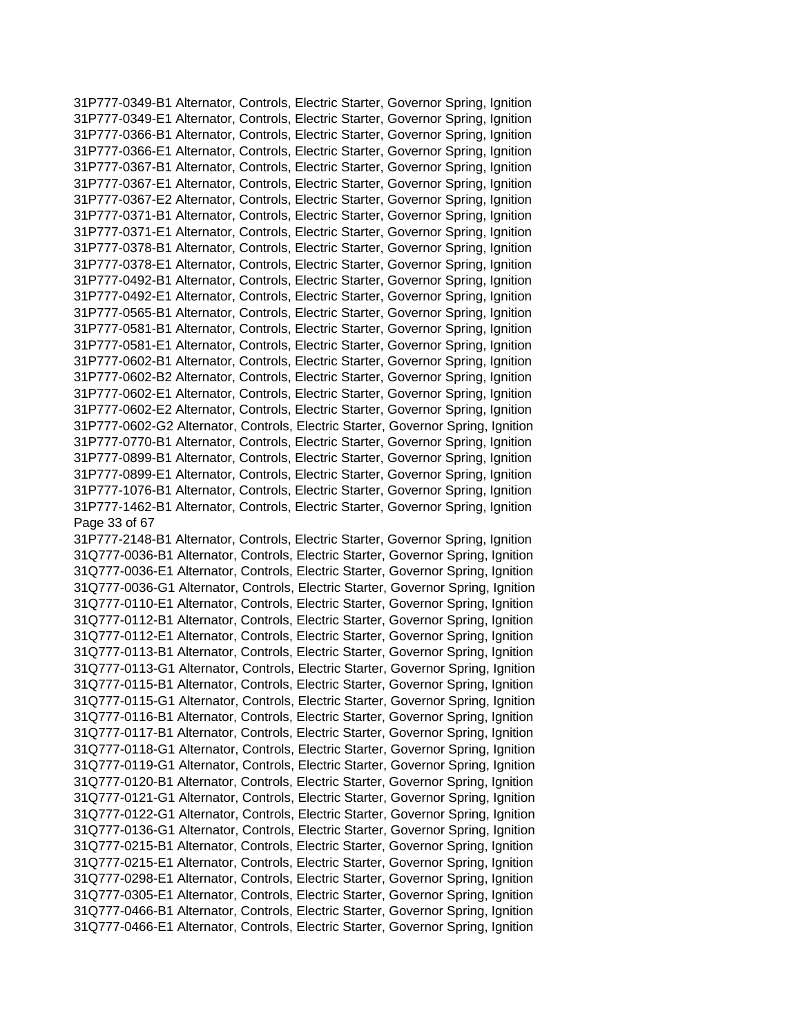31P777-0349-B1 Alternator, Controls, Electric Starter, Governor Spring, Ignition 31P777-0349-E1 Alternator, Controls, Electric Starter, Governor Spring, Ignition 31P777-0366-B1 Alternator, Controls, Electric Starter, Governor Spring, Ignition 31P777-0366-E1 Alternator, Controls, Electric Starter, Governor Spring, Ignition 31P777-0367-B1 Alternator, Controls, Electric Starter, Governor Spring, Ignition 31P777-0367-E1 Alternator, Controls, Electric Starter, Governor Spring, Ignition 31P777-0367-E2 Alternator, Controls, Electric Starter, Governor Spring, Ignition 31P777-0371-B1 Alternator, Controls, Electric Starter, Governor Spring, Ignition 31P777-0371-E1 Alternator, Controls, Electric Starter, Governor Spring, Ignition 31P777-0378-B1 Alternator, Controls, Electric Starter, Governor Spring, Ignition 31P777-0378-E1 Alternator, Controls, Electric Starter, Governor Spring, Ignition 31P777-0492-B1 Alternator, Controls, Electric Starter, Governor Spring, Ignition 31P777-0492-E1 Alternator, Controls, Electric Starter, Governor Spring, Ignition 31P777-0565-B1 Alternator, Controls, Electric Starter, Governor Spring, Ignition 31P777-0581-B1 Alternator, Controls, Electric Starter, Governor Spring, Ignition 31P777-0581-E1 Alternator, Controls, Electric Starter, Governor Spring, Ignition 31P777-0602-B1 Alternator, Controls, Electric Starter, Governor Spring, Ignition 31P777-0602-B2 Alternator, Controls, Electric Starter, Governor Spring, Ignition 31P777-0602-E1 Alternator, Controls, Electric Starter, Governor Spring, Ignition 31P777-0602-E2 Alternator, Controls, Electric Starter, Governor Spring, Ignition 31P777-0602-G2 Alternator, Controls, Electric Starter, Governor Spring, Ignition 31P777-0770-B1 Alternator, Controls, Electric Starter, Governor Spring, Ignition 31P777-0899-B1 Alternator, Controls, Electric Starter, Governor Spring, Ignition 31P777-0899-E1 Alternator, Controls, Electric Starter, Governor Spring, Ignition 31P777-1076-B1 Alternator, Controls, Electric Starter, Governor Spring, Ignition 31P777-1462-B1 Alternator, Controls, Electric Starter, Governor Spring, Ignition Page 33 of 67 31P777-2148-B1 Alternator, Controls, Electric Starter, Governor Spring, Ignition 31Q777-0036-B1 Alternator, Controls, Electric Starter, Governor Spring, Ignition 31Q777-0036-E1 Alternator, Controls, Electric Starter, Governor Spring, Ignition 31Q777-0036-G1 Alternator, Controls, Electric Starter, Governor Spring, Ignition 31Q777-0110-E1 Alternator, Controls, Electric Starter, Governor Spring, Ignition 31Q777-0112-B1 Alternator, Controls, Electric Starter, Governor Spring, Ignition 31Q777-0112-E1 Alternator, Controls, Electric Starter, Governor Spring, Ignition 31Q777-0113-B1 Alternator, Controls, Electric Starter, Governor Spring, Ignition 31Q777-0113-G1 Alternator, Controls, Electric Starter, Governor Spring, Ignition 31Q777-0115-B1 Alternator, Controls, Electric Starter, Governor Spring, Ignition 31Q777-0115-G1 Alternator, Controls, Electric Starter, Governor Spring, Ignition 31Q777-0116-B1 Alternator, Controls, Electric Starter, Governor Spring, Ignition 31Q777-0117-B1 Alternator, Controls, Electric Starter, Governor Spring, Ignition 31Q777-0118-G1 Alternator, Controls, Electric Starter, Governor Spring, Ignition 31Q777-0119-G1 Alternator, Controls, Electric Starter, Governor Spring, Ignition 31Q777-0120-B1 Alternator, Controls, Electric Starter, Governor Spring, Ignition 31Q777-0121-G1 Alternator, Controls, Electric Starter, Governor Spring, Ignition 31Q777-0122-G1 Alternator, Controls, Electric Starter, Governor Spring, Ignition 31Q777-0136-G1 Alternator, Controls, Electric Starter, Governor Spring, Ignition 31Q777-0215-B1 Alternator, Controls, Electric Starter, Governor Spring, Ignition 31Q777-0215-E1 Alternator, Controls, Electric Starter, Governor Spring, Ignition 31Q777-0298-E1 Alternator, Controls, Electric Starter, Governor Spring, Ignition 31Q777-0305-E1 Alternator, Controls, Electric Starter, Governor Spring, Ignition 31Q777-0466-B1 Alternator, Controls, Electric Starter, Governor Spring, Ignition 31Q777-0466-E1 Alternator, Controls, Electric Starter, Governor Spring, Ignition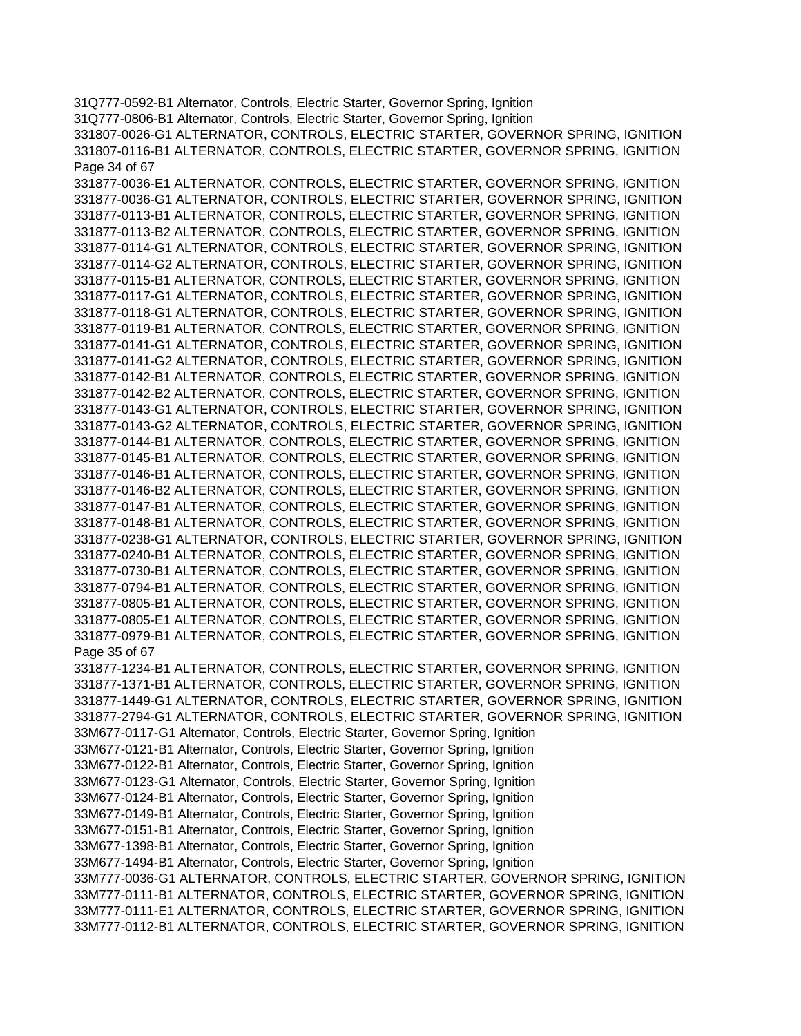31Q777-0806-B1 Alternator, Controls, Electric Starter, Governor Spring, Ignition 331807-0026-G1 ALTERNATOR, CONTROLS, ELECTRIC STARTER, GOVERNOR SPRING, IGNITION 331807-0116-B1 ALTERNATOR, CONTROLS, ELECTRIC STARTER, GOVERNOR SPRING, IGNITION Page 34 of 67 331877-0036-E1 ALTERNATOR, CONTROLS, ELECTRIC STARTER, GOVERNOR SPRING, IGNITION 331877-0036-G1 ALTERNATOR, CONTROLS, ELECTRIC STARTER, GOVERNOR SPRING, IGNITION 331877-0113-B1 ALTERNATOR, CONTROLS, ELECTRIC STARTER, GOVERNOR SPRING, IGNITION 331877-0113-B2 ALTERNATOR, CONTROLS, ELECTRIC STARTER, GOVERNOR SPRING, IGNITION 331877-0114-G1 ALTERNATOR, CONTROLS, ELECTRIC STARTER, GOVERNOR SPRING, IGNITION 331877-0114-G2 ALTERNATOR, CONTROLS, ELECTRIC STARTER, GOVERNOR SPRING, IGNITION 331877-0115-B1 ALTERNATOR, CONTROLS, ELECTRIC STARTER, GOVERNOR SPRING, IGNITION 331877-0117-G1 ALTERNATOR, CONTROLS, ELECTRIC STARTER, GOVERNOR SPRING, IGNITION 331877-0118-G1 ALTERNATOR, CONTROLS, ELECTRIC STARTER, GOVERNOR SPRING, IGNITION 331877-0119-B1 ALTERNATOR, CONTROLS, ELECTRIC STARTER, GOVERNOR SPRING, IGNITION 331877-0141-G1 ALTERNATOR, CONTROLS, ELECTRIC STARTER, GOVERNOR SPRING, IGNITION 331877-0141-G2 ALTERNATOR, CONTROLS, ELECTRIC STARTER, GOVERNOR SPRING, IGNITION 331877-0142-B1 ALTERNATOR, CONTROLS, ELECTRIC STARTER, GOVERNOR SPRING, IGNITION 331877-0142-B2 ALTERNATOR, CONTROLS, ELECTRIC STARTER, GOVERNOR SPRING, IGNITION 331877-0143-G1 ALTERNATOR, CONTROLS, ELECTRIC STARTER, GOVERNOR SPRING, IGNITION 331877-0143-G2 ALTERNATOR, CONTROLS, ELECTRIC STARTER, GOVERNOR SPRING, IGNITION 331877-0144-B1 ALTERNATOR, CONTROLS, ELECTRIC STARTER, GOVERNOR SPRING, IGNITION 331877-0145-B1 ALTERNATOR, CONTROLS, ELECTRIC STARTER, GOVERNOR SPRING, IGNITION 331877-0146-B1 ALTERNATOR, CONTROLS, ELECTRIC STARTER, GOVERNOR SPRING, IGNITION 331877-0146-B2 ALTERNATOR, CONTROLS, ELECTRIC STARTER, GOVERNOR SPRING, IGNITION 331877-0147-B1 ALTERNATOR, CONTROLS, ELECTRIC STARTER, GOVERNOR SPRING, IGNITION 331877-0148-B1 ALTERNATOR, CONTROLS, ELECTRIC STARTER, GOVERNOR SPRING, IGNITION 331877-0238-G1 ALTERNATOR, CONTROLS, ELECTRIC STARTER, GOVERNOR SPRING, IGNITION 331877-0240-B1 ALTERNATOR, CONTROLS, ELECTRIC STARTER, GOVERNOR SPRING, IGNITION 331877-0730-B1 ALTERNATOR, CONTROLS, ELECTRIC STARTER, GOVERNOR SPRING, IGNITION 331877-0794-B1 ALTERNATOR, CONTROLS, ELECTRIC STARTER, GOVERNOR SPRING, IGNITION 331877-0805-B1 ALTERNATOR, CONTROLS, ELECTRIC STARTER, GOVERNOR SPRING, IGNITION 331877-0805-E1 ALTERNATOR, CONTROLS, ELECTRIC STARTER, GOVERNOR SPRING, IGNITION 331877-0979-B1 ALTERNATOR, CONTROLS, ELECTRIC STARTER, GOVERNOR SPRING, IGNITION Page 35 of 67 331877-1234-B1 ALTERNATOR, CONTROLS, ELECTRIC STARTER, GOVERNOR SPRING, IGNITION 331877-1371-B1 ALTERNATOR, CONTROLS, ELECTRIC STARTER, GOVERNOR SPRING, IGNITION 331877-1449-G1 ALTERNATOR, CONTROLS, ELECTRIC STARTER, GOVERNOR SPRING, IGNITION 331877-2794-G1 ALTERNATOR, CONTROLS, ELECTRIC STARTER, GOVERNOR SPRING, IGNITION 33M677-0117-G1 Alternator, Controls, Electric Starter, Governor Spring, Ignition 33M677-0121-B1 Alternator, Controls, Electric Starter, Governor Spring, Ignition 33M677-0122-B1 Alternator, Controls, Electric Starter, Governor Spring, Ignition 33M677-0123-G1 Alternator, Controls, Electric Starter, Governor Spring, Ignition 33M677-0124-B1 Alternator, Controls, Electric Starter, Governor Spring, Ignition 33M677-0149-B1 Alternator, Controls, Electric Starter, Governor Spring, Ignition 33M677-0151-B1 Alternator, Controls, Electric Starter, Governor Spring, Ignition 33M677-1398-B1 Alternator, Controls, Electric Starter, Governor Spring, Ignition 33M677-1494-B1 Alternator, Controls, Electric Starter, Governor Spring, Ignition 33M777-0036-G1 ALTERNATOR, CONTROLS, ELECTRIC STARTER, GOVERNOR SPRING, IGNITION 33M777-0111-B1 ALTERNATOR, CONTROLS, ELECTRIC STARTER, GOVERNOR SPRING, IGNITION 33M777-0111-E1 ALTERNATOR, CONTROLS, ELECTRIC STARTER, GOVERNOR SPRING, IGNITION 33M777-0112-B1 ALTERNATOR, CONTROLS, ELECTRIC STARTER, GOVERNOR SPRING, IGNITION

31Q777-0592-B1 Alternator, Controls, Electric Starter, Governor Spring, Ignition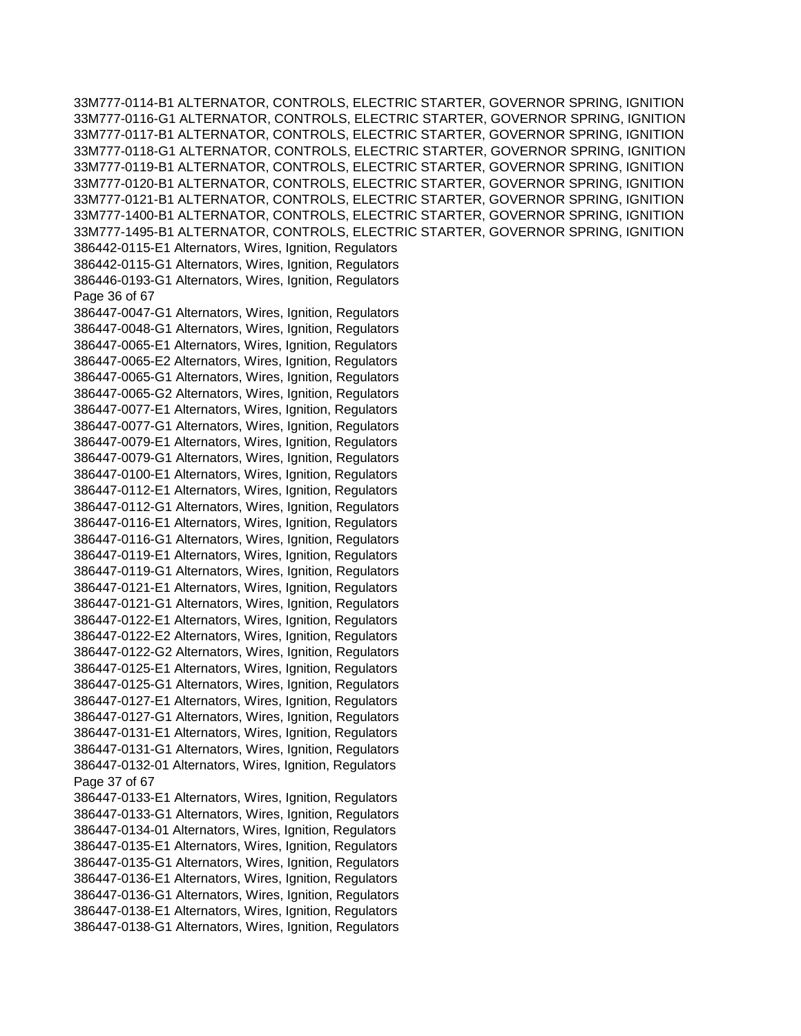33M777-0114-B1 ALTERNATOR, CONTROLS, ELECTRIC STARTER, GOVERNOR SPRING, IGNITION 33M777-0116-G1 ALTERNATOR, CONTROLS, ELECTRIC STARTER, GOVERNOR SPRING, IGNITION 33M777-0117-B1 ALTERNATOR, CONTROLS, ELECTRIC STARTER, GOVERNOR SPRING, IGNITION 33M777-0118-G1 ALTERNATOR, CONTROLS, ELECTRIC STARTER, GOVERNOR SPRING, IGNITION 33M777-0119-B1 ALTERNATOR, CONTROLS, ELECTRIC STARTER, GOVERNOR SPRING, IGNITION 33M777-0120-B1 ALTERNATOR, CONTROLS, ELECTRIC STARTER, GOVERNOR SPRING, IGNITION 33M777-0121-B1 ALTERNATOR, CONTROLS, ELECTRIC STARTER, GOVERNOR SPRING, IGNITION 33M777-1400-B1 ALTERNATOR, CONTROLS, ELECTRIC STARTER, GOVERNOR SPRING, IGNITION 33M777-1495-B1 ALTERNATOR, CONTROLS, ELECTRIC STARTER, GOVERNOR SPRING, IGNITION 386442-0115-E1 Alternators, Wires, Ignition, Regulators 386442-0115-G1 Alternators, Wires, Ignition, Regulators 386446-0193-G1 Alternators, Wires, Ignition, Regulators Page 36 of 67 386447-0047-G1 Alternators, Wires, Ignition, Regulators 386447-0048-G1 Alternators, Wires, Ignition, Regulators 386447-0065-E1 Alternators, Wires, Ignition, Regulators 386447-0065-E2 Alternators, Wires, Ignition, Regulators 386447-0065-G1 Alternators, Wires, Ignition, Regulators 386447-0065-G2 Alternators, Wires, Ignition, Regulators 386447-0077-E1 Alternators, Wires, Ignition, Regulators 386447-0077-G1 Alternators, Wires, Ignition, Regulators 386447-0079-E1 Alternators, Wires, Ignition, Regulators 386447-0079-G1 Alternators, Wires, Ignition, Regulators 386447-0100-E1 Alternators, Wires, Ignition, Regulators 386447-0112-E1 Alternators, Wires, Ignition, Regulators 386447-0112-G1 Alternators, Wires, Ignition, Regulators 386447-0116-E1 Alternators, Wires, Ignition, Regulators 386447-0116-G1 Alternators, Wires, Ignition, Regulators 386447-0119-E1 Alternators, Wires, Ignition, Regulators 386447-0119-G1 Alternators, Wires, Ignition, Regulators 386447-0121-E1 Alternators, Wires, Ignition, Regulators 386447-0121-G1 Alternators, Wires, Ignition, Regulators 386447-0122-E1 Alternators, Wires, Ignition, Regulators 386447-0122-E2 Alternators, Wires, Ignition, Regulators 386447-0122-G2 Alternators, Wires, Ignition, Regulators 386447-0125-E1 Alternators, Wires, Ignition, Regulators 386447-0125-G1 Alternators, Wires, Ignition, Regulators 386447-0127-E1 Alternators, Wires, Ignition, Regulators 386447-0127-G1 Alternators, Wires, Ignition, Regulators 386447-0131-E1 Alternators, Wires, Ignition, Regulators 386447-0131-G1 Alternators, Wires, Ignition, Regulators 386447-0132-01 Alternators, Wires, Ignition, Regulators Page 37 of 67 386447-0133-E1 Alternators, Wires, Ignition, Regulators 386447-0133-G1 Alternators, Wires, Ignition, Regulators 386447-0134-01 Alternators, Wires, Ignition, Regulators 386447-0135-E1 Alternators, Wires, Ignition, Regulators 386447-0135-G1 Alternators, Wires, Ignition, Regulators 386447-0136-E1 Alternators, Wires, Ignition, Regulators 386447-0136-G1 Alternators, Wires, Ignition, Regulators 386447-0138-E1 Alternators, Wires, Ignition, Regulators 386447-0138-G1 Alternators, Wires, Ignition, Regulators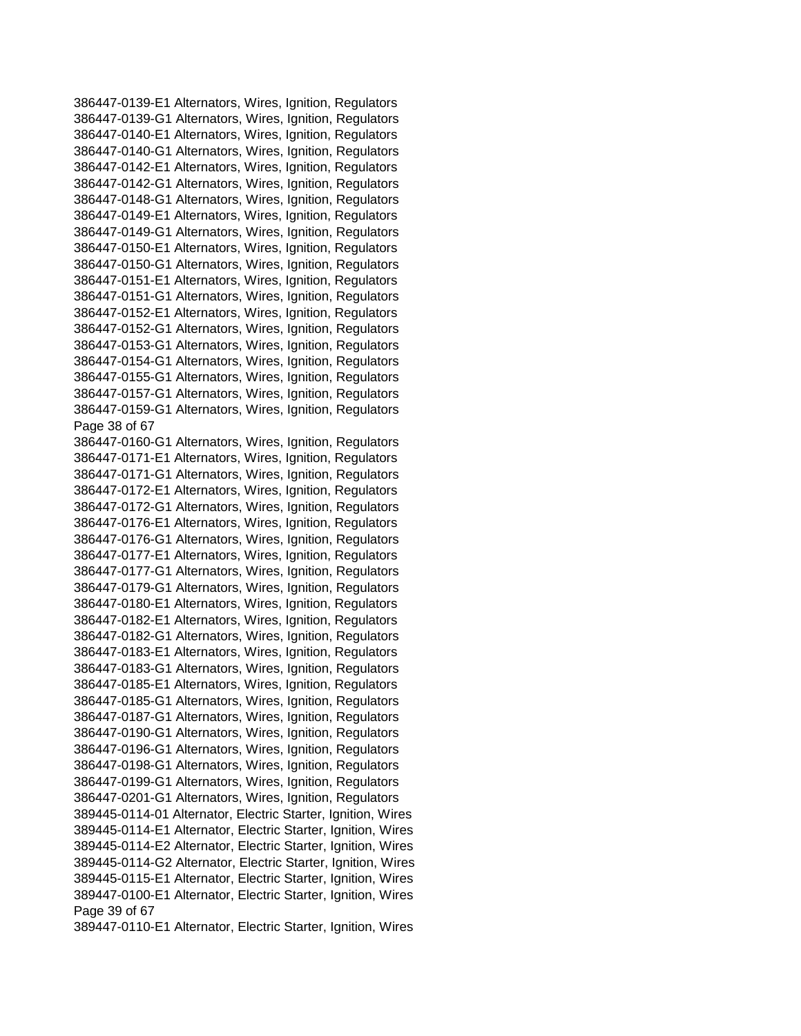386447-0139-E1 Alternators, Wires, Ignition, Regulators 386447-0139-G1 Alternators, Wires, Ignition, Regulators 386447-0140-E1 Alternators, Wires, Ignition, Regulators 386447-0140-G1 Alternators, Wires, Ignition, Regulators 386447-0142-E1 Alternators, Wires, Ignition, Regulators 386447-0142-G1 Alternators, Wires, Ignition, Regulators 386447-0148-G1 Alternators, Wires, Ignition, Regulators 386447-0149-E1 Alternators, Wires, Ignition, Regulators 386447-0149-G1 Alternators, Wires, Ignition, Regulators 386447-0150-E1 Alternators, Wires, Ignition, Regulators 386447-0150-G1 Alternators, Wires, Ignition, Regulators 386447-0151-E1 Alternators, Wires, Ignition, Regulators 386447-0151-G1 Alternators, Wires, Ignition, Regulators 386447-0152-E1 Alternators, Wires, Ignition, Regulators 386447-0152-G1 Alternators, Wires, Ignition, Regulators 386447-0153-G1 Alternators, Wires, Ignition, Regulators 386447-0154-G1 Alternators, Wires, Ignition, Regulators 386447-0155-G1 Alternators, Wires, Ignition, Regulators 386447-0157-G1 Alternators, Wires, Ignition, Regulators 386447-0159-G1 Alternators, Wires, Ignition, Regulators Page 38 of 67 386447-0160-G1 Alternators, Wires, Ignition, Regulators 386447-0171-E1 Alternators, Wires, Ignition, Regulators 386447-0171-G1 Alternators, Wires, Ignition, Regulators 386447-0172-E1 Alternators, Wires, Ignition, Regulators 386447-0172-G1 Alternators, Wires, Ignition, Regulators 386447-0176-E1 Alternators, Wires, Ignition, Regulators 386447-0176-G1 Alternators, Wires, Ignition, Regulators 386447-0177-E1 Alternators, Wires, Ignition, Regulators 386447-0177-G1 Alternators, Wires, Ignition, Regulators 386447-0179-G1 Alternators, Wires, Ignition, Regulators 386447-0180-E1 Alternators, Wires, Ignition, Regulators 386447-0182-E1 Alternators, Wires, Ignition, Regulators 386447-0182-G1 Alternators, Wires, Ignition, Regulators 386447-0183-E1 Alternators, Wires, Ignition, Regulators 386447-0183-G1 Alternators, Wires, Ignition, Regulators 386447-0185-E1 Alternators, Wires, Ignition, Regulators 386447-0185-G1 Alternators, Wires, Ignition, Regulators 386447-0187-G1 Alternators, Wires, Ignition, Regulators 386447-0190-G1 Alternators, Wires, Ignition, Regulators 386447-0196-G1 Alternators, Wires, Ignition, Regulators 386447-0198-G1 Alternators, Wires, Ignition, Regulators 386447-0199-G1 Alternators, Wires, Ignition, Regulators 386447-0201-G1 Alternators, Wires, Ignition, Regulators 389445-0114-01 Alternator, Electric Starter, Ignition, Wires 389445-0114-E1 Alternator, Electric Starter, Ignition, Wires 389445-0114-E2 Alternator, Electric Starter, Ignition, Wires 389445-0114-G2 Alternator, Electric Starter, Ignition, Wires 389445-0115-E1 Alternator, Electric Starter, Ignition, Wires 389447-0100-E1 Alternator, Electric Starter, Ignition, Wires Page 39 of 67 389447-0110-E1 Alternator, Electric Starter, Ignition, Wires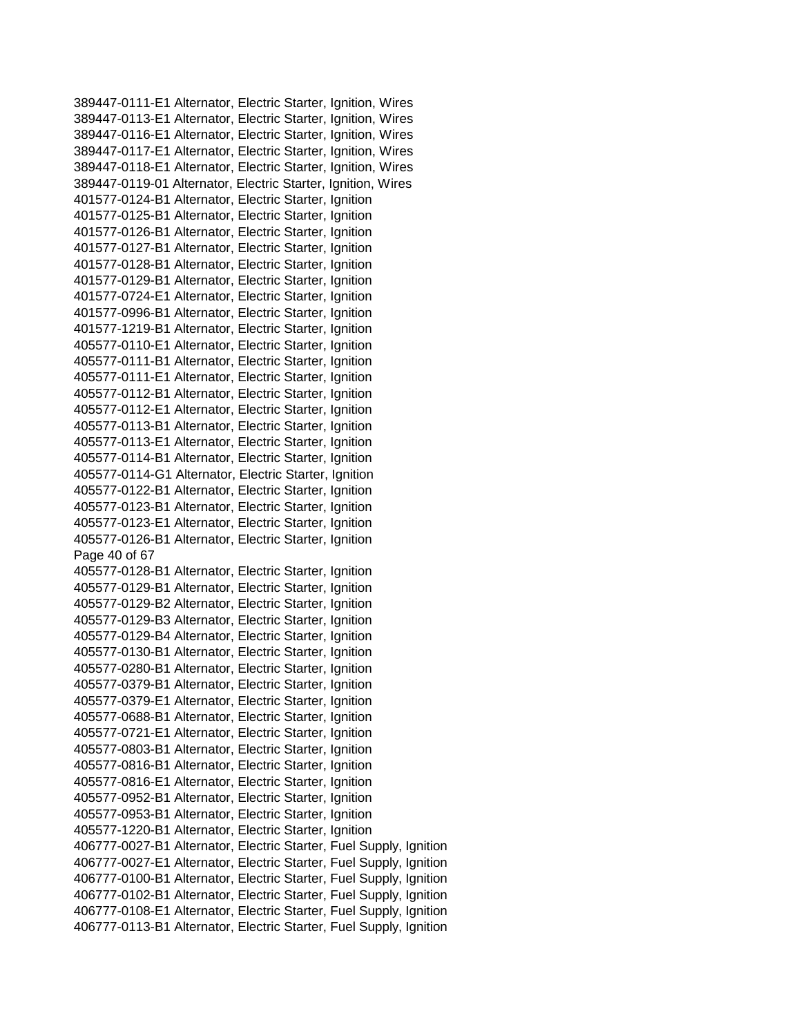389447-0111-E1 Alternator, Electric Starter, Ignition, Wires 389447-0113-E1 Alternator, Electric Starter, Ignition, Wires 389447-0116-E1 Alternator, Electric Starter, Ignition, Wires 389447-0117-E1 Alternator, Electric Starter, Ignition, Wires 389447-0118-E1 Alternator, Electric Starter, Ignition, Wires 389447-0119-01 Alternator, Electric Starter, Ignition, Wires 401577-0124-B1 Alternator, Electric Starter, Ignition 401577-0125-B1 Alternator, Electric Starter, Ignition 401577-0126-B1 Alternator, Electric Starter, Ignition 401577-0127-B1 Alternator, Electric Starter, Ignition 401577-0128-B1 Alternator, Electric Starter, Ignition 401577-0129-B1 Alternator, Electric Starter, Ignition 401577-0724-E1 Alternator, Electric Starter, Ignition 401577-0996-B1 Alternator, Electric Starter, Ignition 401577-1219-B1 Alternator, Electric Starter, Ignition 405577-0110-E1 Alternator, Electric Starter, Ignition 405577-0111-B1 Alternator, Electric Starter, Ignition 405577-0111-E1 Alternator, Electric Starter, Ignition 405577-0112-B1 Alternator, Electric Starter, Ignition 405577-0112-E1 Alternator, Electric Starter, Ignition 405577-0113-B1 Alternator, Electric Starter, Ignition 405577-0113-E1 Alternator, Electric Starter, Ignition 405577-0114-B1 Alternator, Electric Starter, Ignition 405577-0114-G1 Alternator, Electric Starter, Ignition 405577-0122-B1 Alternator, Electric Starter, Ignition 405577-0123-B1 Alternator, Electric Starter, Ignition 405577-0123-E1 Alternator, Electric Starter, Ignition 405577-0126-B1 Alternator, Electric Starter, Ignition Page 40 of 67 405577-0128-B1 Alternator, Electric Starter, Ignition 405577-0129-B1 Alternator, Electric Starter, Ignition 405577-0129-B2 Alternator, Electric Starter, Ignition 405577-0129-B3 Alternator, Electric Starter, Ignition 405577-0129-B4 Alternator, Electric Starter, Ignition 405577-0130-B1 Alternator, Electric Starter, Ignition 405577-0280-B1 Alternator, Electric Starter, Ignition 405577-0379-B1 Alternator, Electric Starter, Ignition 405577-0379-E1 Alternator, Electric Starter, Ignition 405577-0688-B1 Alternator, Electric Starter, Ignition 405577-0721-E1 Alternator, Electric Starter, Ignition 405577-0803-B1 Alternator, Electric Starter, Ignition 405577-0816-B1 Alternator, Electric Starter, Ignition 405577-0816-E1 Alternator, Electric Starter, Ignition 405577-0952-B1 Alternator, Electric Starter, Ignition 405577-0953-B1 Alternator, Electric Starter, Ignition 405577-1220-B1 Alternator, Electric Starter, Ignition 406777-0027-B1 Alternator, Electric Starter, Fuel Supply, Ignition 406777-0027-E1 Alternator, Electric Starter, Fuel Supply, Ignition 406777-0100-B1 Alternator, Electric Starter, Fuel Supply, Ignition 406777-0102-B1 Alternator, Electric Starter, Fuel Supply, Ignition 406777-0108-E1 Alternator, Electric Starter, Fuel Supply, Ignition 406777-0113-B1 Alternator, Electric Starter, Fuel Supply, Ignition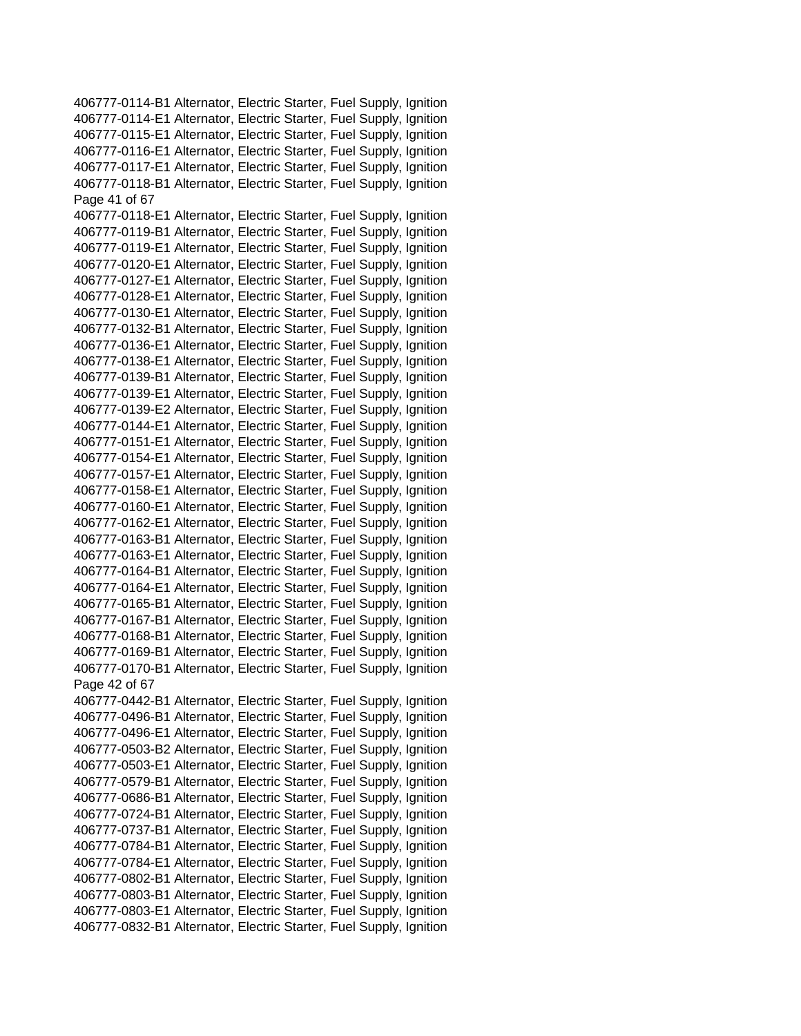406777-0114-B1 Alternator, Electric Starter, Fuel Supply, Ignition 406777-0114-E1 Alternator, Electric Starter, Fuel Supply, Ignition 406777-0115-E1 Alternator, Electric Starter, Fuel Supply, Ignition 406777-0116-E1 Alternator, Electric Starter, Fuel Supply, Ignition 406777-0117-E1 Alternator, Electric Starter, Fuel Supply, Ignition 406777-0118-B1 Alternator, Electric Starter, Fuel Supply, Ignition Page 41 of 67 406777-0118-E1 Alternator, Electric Starter, Fuel Supply, Ignition 406777-0119-B1 Alternator, Electric Starter, Fuel Supply, Ignition 406777-0119-E1 Alternator, Electric Starter, Fuel Supply, Ignition 406777-0120-E1 Alternator, Electric Starter, Fuel Supply, Ignition 406777-0127-E1 Alternator, Electric Starter, Fuel Supply, Ignition 406777-0128-E1 Alternator, Electric Starter, Fuel Supply, Ignition 406777-0130-E1 Alternator, Electric Starter, Fuel Supply, Ignition 406777-0132-B1 Alternator, Electric Starter, Fuel Supply, Ignition 406777-0136-E1 Alternator, Electric Starter, Fuel Supply, Ignition 406777-0138-E1 Alternator, Electric Starter, Fuel Supply, Ignition 406777-0139-B1 Alternator, Electric Starter, Fuel Supply, Ignition 406777-0139-E1 Alternator, Electric Starter, Fuel Supply, Ignition 406777-0139-E2 Alternator, Electric Starter, Fuel Supply, Ignition 406777-0144-E1 Alternator, Electric Starter, Fuel Supply, Ignition 406777-0151-E1 Alternator, Electric Starter, Fuel Supply, Ignition 406777-0154-E1 Alternator, Electric Starter, Fuel Supply, Ignition 406777-0157-E1 Alternator, Electric Starter, Fuel Supply, Ignition 406777-0158-E1 Alternator, Electric Starter, Fuel Supply, Ignition 406777-0160-E1 Alternator, Electric Starter, Fuel Supply, Ignition 406777-0162-E1 Alternator, Electric Starter, Fuel Supply, Ignition 406777-0163-B1 Alternator, Electric Starter, Fuel Supply, Ignition 406777-0163-E1 Alternator, Electric Starter, Fuel Supply, Ignition 406777-0164-B1 Alternator, Electric Starter, Fuel Supply, Ignition 406777-0164-E1 Alternator, Electric Starter, Fuel Supply, Ignition 406777-0165-B1 Alternator, Electric Starter, Fuel Supply, Ignition 406777-0167-B1 Alternator, Electric Starter, Fuel Supply, Ignition 406777-0168-B1 Alternator, Electric Starter, Fuel Supply, Ignition 406777-0169-B1 Alternator, Electric Starter, Fuel Supply, Ignition 406777-0170-B1 Alternator, Electric Starter, Fuel Supply, Ignition Page 42 of 67 406777-0442-B1 Alternator, Electric Starter, Fuel Supply, Ignition 406777-0496-B1 Alternator, Electric Starter, Fuel Supply, Ignition 406777-0496-E1 Alternator, Electric Starter, Fuel Supply, Ignition 406777-0503-B2 Alternator, Electric Starter, Fuel Supply, Ignition 406777-0503-E1 Alternator, Electric Starter, Fuel Supply, Ignition 406777-0579-B1 Alternator, Electric Starter, Fuel Supply, Ignition 406777-0686-B1 Alternator, Electric Starter, Fuel Supply, Ignition 406777-0724-B1 Alternator, Electric Starter, Fuel Supply, Ignition 406777-0737-B1 Alternator, Electric Starter, Fuel Supply, Ignition 406777-0784-B1 Alternator, Electric Starter, Fuel Supply, Ignition 406777-0784-E1 Alternator, Electric Starter, Fuel Supply, Ignition 406777-0802-B1 Alternator, Electric Starter, Fuel Supply, Ignition 406777-0803-B1 Alternator, Electric Starter, Fuel Supply, Ignition 406777-0803-E1 Alternator, Electric Starter, Fuel Supply, Ignition 406777-0832-B1 Alternator, Electric Starter, Fuel Supply, Ignition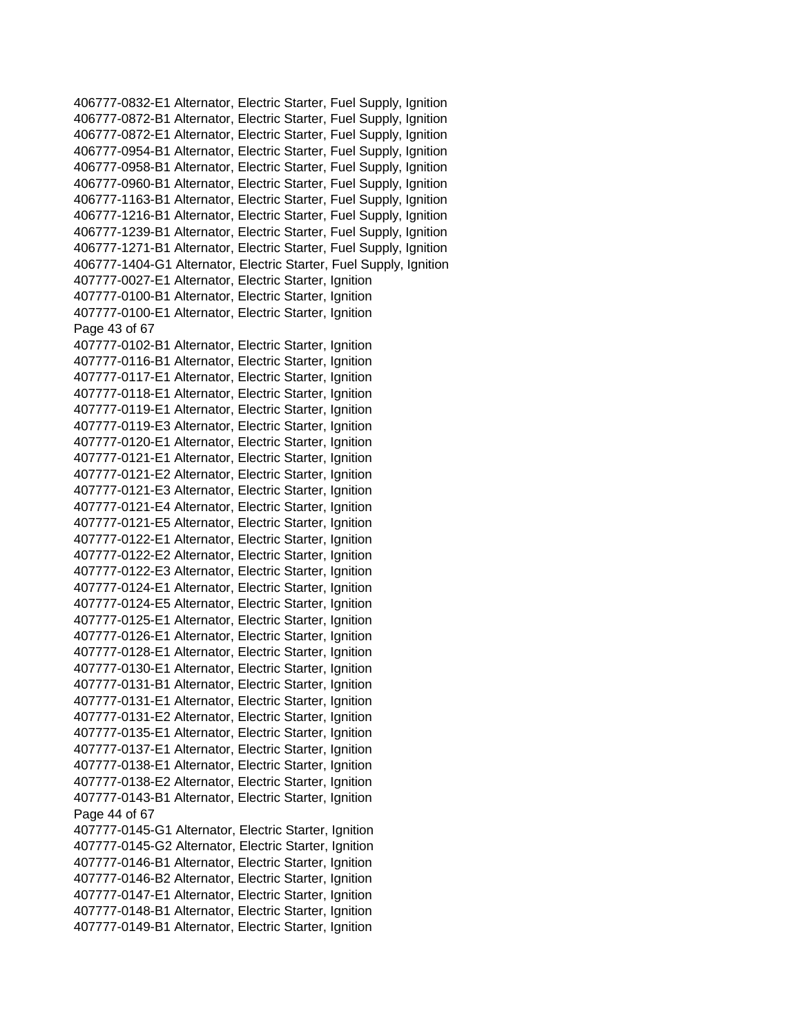406777-0832-E1 Alternator, Electric Starter, Fuel Supply, Ignition 406777-0872-B1 Alternator, Electric Starter, Fuel Supply, Ignition 406777-0872-E1 Alternator, Electric Starter, Fuel Supply, Ignition 406777-0954-B1 Alternator, Electric Starter, Fuel Supply, Ignition 406777-0958-B1 Alternator, Electric Starter, Fuel Supply, Ignition 406777-0960-B1 Alternator, Electric Starter, Fuel Supply, Ignition 406777-1163-B1 Alternator, Electric Starter, Fuel Supply, Ignition 406777-1216-B1 Alternator, Electric Starter, Fuel Supply, Ignition 406777-1239-B1 Alternator, Electric Starter, Fuel Supply, Ignition 406777-1271-B1 Alternator, Electric Starter, Fuel Supply, Ignition 406777-1404-G1 Alternator, Electric Starter, Fuel Supply, Ignition 407777-0027-E1 Alternator, Electric Starter, Ignition 407777-0100-B1 Alternator, Electric Starter, Ignition 407777-0100-E1 Alternator, Electric Starter, Ignition Page 43 of 67 407777-0102-B1 Alternator, Electric Starter, Ignition 407777-0116-B1 Alternator, Electric Starter, Ignition 407777-0117-E1 Alternator, Electric Starter, Ignition 407777-0118-E1 Alternator, Electric Starter, Ignition 407777-0119-E1 Alternator, Electric Starter, Ignition 407777-0119-E3 Alternator, Electric Starter, Ignition 407777-0120-E1 Alternator, Electric Starter, Ignition 407777-0121-E1 Alternator, Electric Starter, Ignition 407777-0121-E2 Alternator, Electric Starter, Ignition 407777-0121-E3 Alternator, Electric Starter, Ignition 407777-0121-E4 Alternator, Electric Starter, Ignition 407777-0121-E5 Alternator, Electric Starter, Ignition 407777-0122-E1 Alternator, Electric Starter, Ignition 407777-0122-E2 Alternator, Electric Starter, Ignition 407777-0122-E3 Alternator, Electric Starter, Ignition 407777-0124-E1 Alternator, Electric Starter, Ignition 407777-0124-E5 Alternator, Electric Starter, Ignition 407777-0125-E1 Alternator, Electric Starter, Ignition 407777-0126-E1 Alternator, Electric Starter, Ignition 407777-0128-E1 Alternator, Electric Starter, Ignition 407777-0130-E1 Alternator, Electric Starter, Ignition 407777-0131-B1 Alternator, Electric Starter, Ignition 407777-0131-E1 Alternator, Electric Starter, Ignition 407777-0131-E2 Alternator, Electric Starter, Ignition 407777-0135-E1 Alternator, Electric Starter, Ignition 407777-0137-E1 Alternator, Electric Starter, Ignition 407777-0138-E1 Alternator, Electric Starter, Ignition 407777-0138-E2 Alternator, Electric Starter, Ignition 407777-0143-B1 Alternator, Electric Starter, Ignition Page 44 of 67 407777-0145-G1 Alternator, Electric Starter, Ignition 407777-0145-G2 Alternator, Electric Starter, Ignition 407777-0146-B1 Alternator, Electric Starter, Ignition 407777-0146-B2 Alternator, Electric Starter, Ignition 407777-0147-E1 Alternator, Electric Starter, Ignition 407777-0148-B1 Alternator, Electric Starter, Ignition 407777-0149-B1 Alternator, Electric Starter, Ignition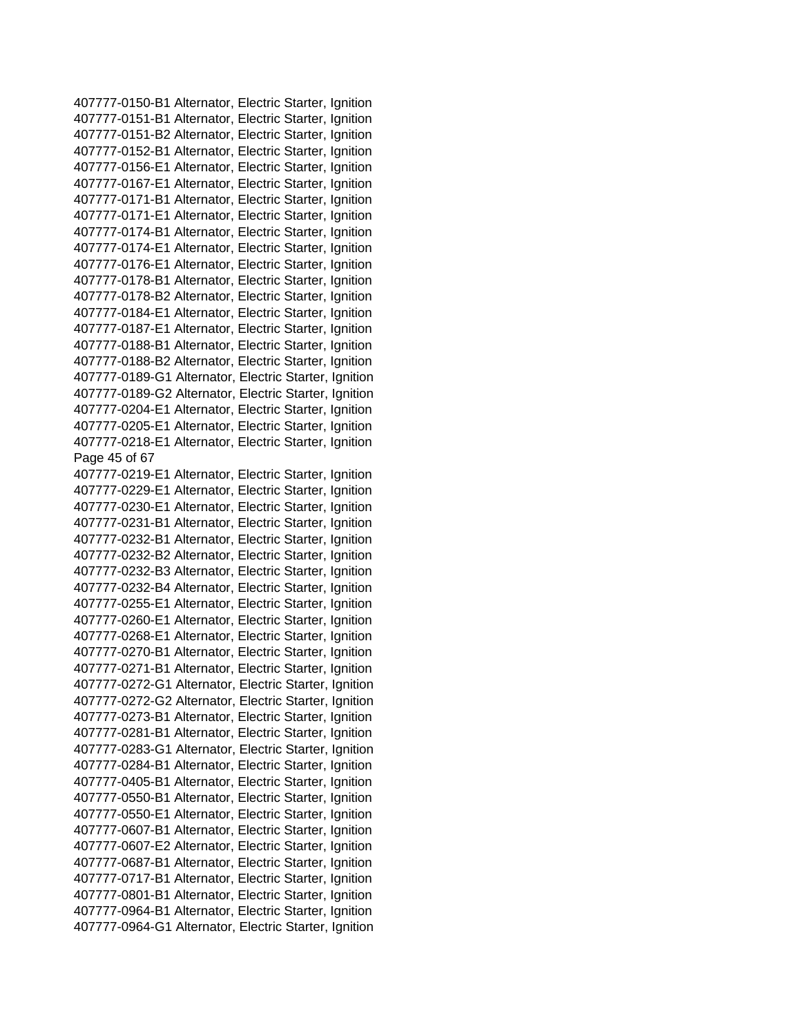407777-0150-B1 Alternator, Electric Starter, Ignition 407777-0151-B1 Alternator, Electric Starter, Ignition 407777-0151-B2 Alternator, Electric Starter, Ignition 407777-0152-B1 Alternator, Electric Starter, Ignition 407777-0156-E1 Alternator, Electric Starter, Ignition 407777-0167-E1 Alternator, Electric Starter, Ignition 407777-0171-B1 Alternator, Electric Starter, Ignition 407777-0171-E1 Alternator, Electric Starter, Ignition 407777-0174-B1 Alternator, Electric Starter, Ignition 407777-0174-E1 Alternator, Electric Starter, Ignition 407777-0176-E1 Alternator, Electric Starter, Ignition 407777-0178-B1 Alternator, Electric Starter, Ignition 407777-0178-B2 Alternator, Electric Starter, Ignition 407777-0184-E1 Alternator, Electric Starter, Ignition 407777-0187-E1 Alternator, Electric Starter, Ignition 407777-0188-B1 Alternator, Electric Starter, Ignition 407777-0188-B2 Alternator, Electric Starter, Ignition 407777-0189-G1 Alternator, Electric Starter, Ignition 407777-0189-G2 Alternator, Electric Starter, Ignition 407777-0204-E1 Alternator, Electric Starter, Ignition 407777-0205-E1 Alternator, Electric Starter, Ignition 407777-0218-E1 Alternator, Electric Starter, Ignition Page 45 of 67 407777-0219-E1 Alternator, Electric Starter, Ignition 407777-0229-E1 Alternator, Electric Starter, Ignition 407777-0230-E1 Alternator, Electric Starter, Ignition 407777-0231-B1 Alternator, Electric Starter, Ignition 407777-0232-B1 Alternator, Electric Starter, Ignition 407777-0232-B2 Alternator, Electric Starter, Ignition 407777-0232-B3 Alternator, Electric Starter, Ignition 407777-0232-B4 Alternator, Electric Starter, Ignition 407777-0255-E1 Alternator, Electric Starter, Ignition 407777-0260-E1 Alternator, Electric Starter, Ignition 407777-0268-E1 Alternator, Electric Starter, Ignition 407777-0270-B1 Alternator, Electric Starter, Ignition 407777-0271-B1 Alternator, Electric Starter, Ignition 407777-0272-G1 Alternator, Electric Starter, Ignition 407777-0272-G2 Alternator, Electric Starter, Ignition 407777-0273-B1 Alternator, Electric Starter, Ignition 407777-0281-B1 Alternator, Electric Starter, Ignition 407777-0283-G1 Alternator, Electric Starter, Ignition 407777-0284-B1 Alternator, Electric Starter, Ignition 407777-0405-B1 Alternator, Electric Starter, Ignition 407777-0550-B1 Alternator, Electric Starter, Ignition 407777-0550-E1 Alternator, Electric Starter, Ignition 407777-0607-B1 Alternator, Electric Starter, Ignition 407777-0607-E2 Alternator, Electric Starter, Ignition 407777-0687-B1 Alternator, Electric Starter, Ignition 407777-0717-B1 Alternator, Electric Starter, Ignition 407777-0801-B1 Alternator, Electric Starter, Ignition 407777-0964-B1 Alternator, Electric Starter, Ignition 407777-0964-G1 Alternator, Electric Starter, Ignition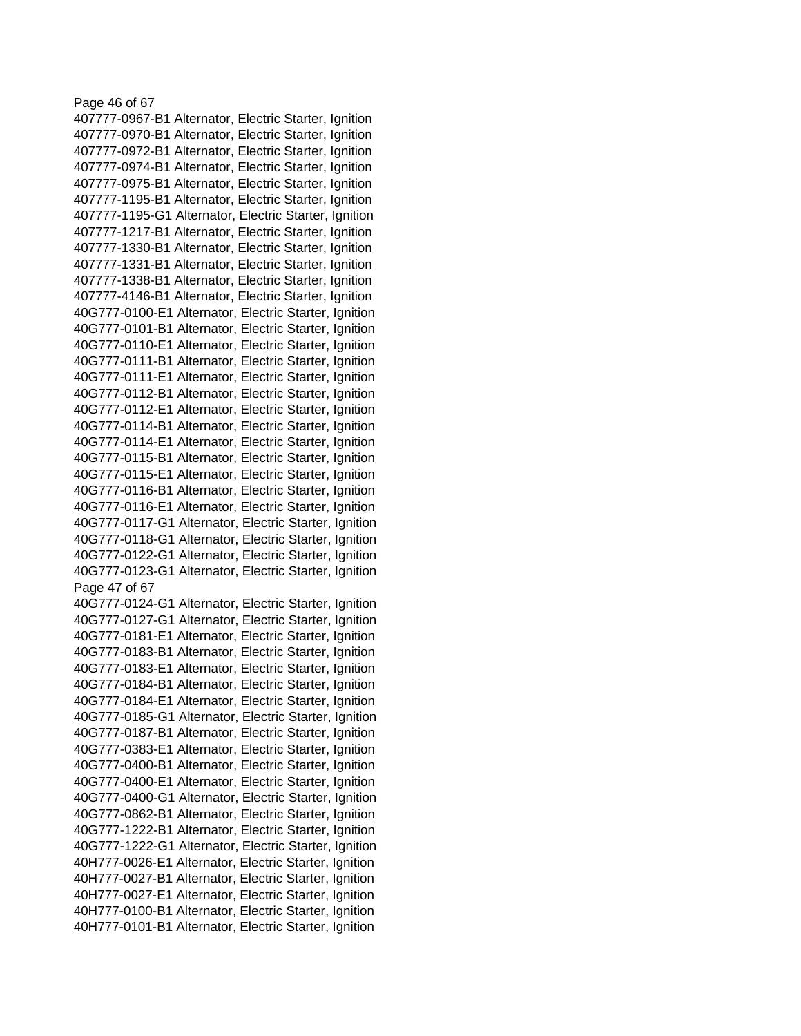Page 46 of 67 407777-0967-B1 Alternator, Electric Starter, Ignition 407777-0970-B1 Alternator, Electric Starter, Ignition 407777-0972-B1 Alternator, Electric Starter, Ignition 407777-0974-B1 Alternator, Electric Starter, Ignition 407777-0975-B1 Alternator, Electric Starter, Ignition 407777-1195-B1 Alternator, Electric Starter, Ignition 407777-1195-G1 Alternator, Electric Starter, Ignition 407777-1217-B1 Alternator, Electric Starter, Ignition 407777-1330-B1 Alternator, Electric Starter, Ignition 407777-1331-B1 Alternator, Electric Starter, Ignition 407777-1338-B1 Alternator, Electric Starter, Ignition 407777-4146-B1 Alternator, Electric Starter, Ignition 40G777-0100-E1 Alternator, Electric Starter, Ignition 40G777-0101-B1 Alternator, Electric Starter, Ignition 40G777-0110-E1 Alternator, Electric Starter, Ignition 40G777-0111-B1 Alternator, Electric Starter, Ignition 40G777-0111-E1 Alternator, Electric Starter, Ignition 40G777-0112-B1 Alternator, Electric Starter, Ignition 40G777-0112-E1 Alternator, Electric Starter, Ignition 40G777-0114-B1 Alternator, Electric Starter, Ignition 40G777-0114-E1 Alternator, Electric Starter, Ignition 40G777-0115-B1 Alternator, Electric Starter, Ignition 40G777-0115-E1 Alternator, Electric Starter, Ignition 40G777-0116-B1 Alternator, Electric Starter, Ignition 40G777-0116-E1 Alternator, Electric Starter, Ignition 40G777-0117-G1 Alternator, Electric Starter, Ignition 40G777-0118-G1 Alternator, Electric Starter, Ignition 40G777-0122-G1 Alternator, Electric Starter, Ignition 40G777-0123-G1 Alternator, Electric Starter, Ignition Page 47 of 67 40G777-0124-G1 Alternator, Electric Starter, Ignition 40G777-0127-G1 Alternator, Electric Starter, Ignition 40G777-0181-E1 Alternator, Electric Starter, Ignition 40G777-0183-B1 Alternator, Electric Starter, Ignition 40G777-0183-E1 Alternator, Electric Starter, Ignition 40G777-0184-B1 Alternator, Electric Starter, Ignition 40G777-0184-E1 Alternator, Electric Starter, Ignition 40G777-0185-G1 Alternator, Electric Starter, Ignition 40G777-0187-B1 Alternator, Electric Starter, Ignition 40G777-0383-E1 Alternator, Electric Starter, Ignition 40G777-0400-B1 Alternator, Electric Starter, Ignition 40G777-0400-E1 Alternator, Electric Starter, Ignition 40G777-0400-G1 Alternator, Electric Starter, Ignition 40G777-0862-B1 Alternator, Electric Starter, Ignition 40G777-1222-B1 Alternator, Electric Starter, Ignition 40G777-1222-G1 Alternator, Electric Starter, Ignition 40H777-0026-E1 Alternator, Electric Starter, Ignition 40H777-0027-B1 Alternator, Electric Starter, Ignition 40H777-0027-E1 Alternator, Electric Starter, Ignition 40H777-0100-B1 Alternator, Electric Starter, Ignition 40H777-0101-B1 Alternator, Electric Starter, Ignition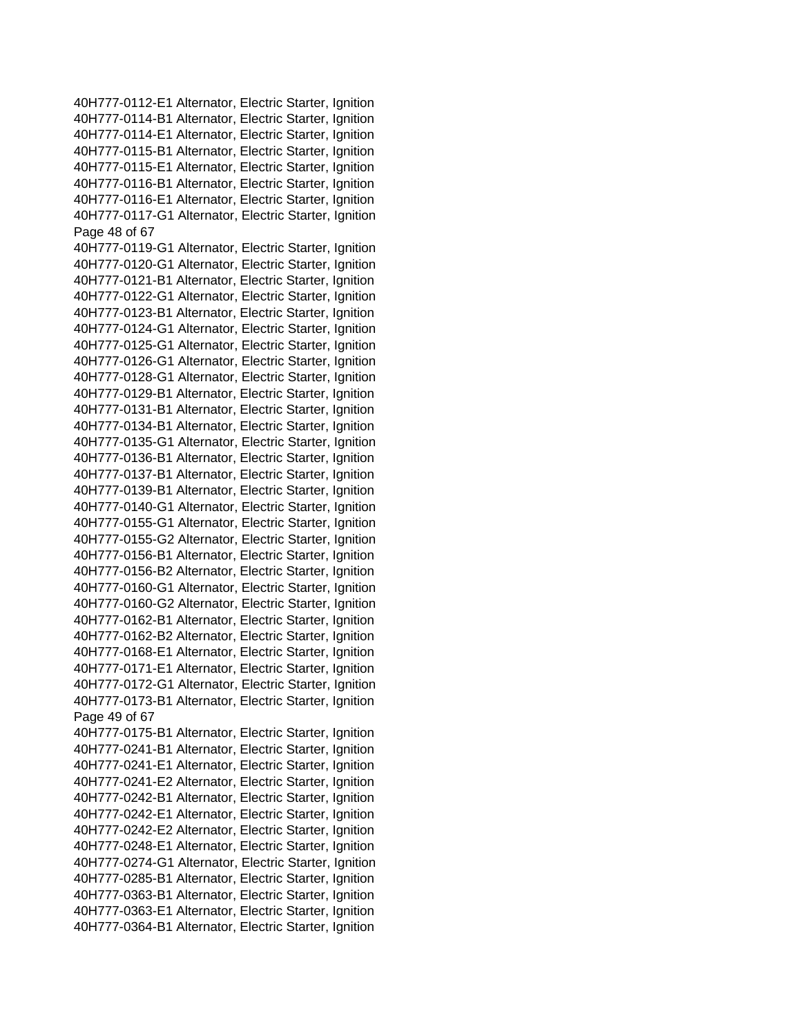40H777-0112-E1 Alternator, Electric Starter, Ignition 40H777-0114-B1 Alternator, Electric Starter, Ignition 40H777-0114-E1 Alternator, Electric Starter, Ignition 40H777-0115-B1 Alternator, Electric Starter, Ignition 40H777-0115-E1 Alternator, Electric Starter, Ignition 40H777-0116-B1 Alternator, Electric Starter, Ignition 40H777-0116-E1 Alternator, Electric Starter, Ignition 40H777-0117-G1 Alternator, Electric Starter, Ignition Page 48 of 67 40H777-0119-G1 Alternator, Electric Starter, Ignition 40H777-0120-G1 Alternator, Electric Starter, Ignition 40H777-0121-B1 Alternator, Electric Starter, Ignition 40H777-0122-G1 Alternator, Electric Starter, Ignition 40H777-0123-B1 Alternator, Electric Starter, Ignition 40H777-0124-G1 Alternator, Electric Starter, Ignition 40H777-0125-G1 Alternator, Electric Starter, Ignition 40H777-0126-G1 Alternator, Electric Starter, Ignition 40H777-0128-G1 Alternator, Electric Starter, Ignition 40H777-0129-B1 Alternator, Electric Starter, Ignition 40H777-0131-B1 Alternator, Electric Starter, Ignition 40H777-0134-B1 Alternator, Electric Starter, Ignition 40H777-0135-G1 Alternator, Electric Starter, Ignition 40H777-0136-B1 Alternator, Electric Starter, Ignition 40H777-0137-B1 Alternator, Electric Starter, Ignition 40H777-0139-B1 Alternator, Electric Starter, Ignition 40H777-0140-G1 Alternator, Electric Starter, Ignition 40H777-0155-G1 Alternator, Electric Starter, Ignition 40H777-0155-G2 Alternator, Electric Starter, Ignition 40H777-0156-B1 Alternator, Electric Starter, Ignition 40H777-0156-B2 Alternator, Electric Starter, Ignition 40H777-0160-G1 Alternator, Electric Starter, Ignition 40H777-0160-G2 Alternator, Electric Starter, Ignition 40H777-0162-B1 Alternator, Electric Starter, Ignition 40H777-0162-B2 Alternator, Electric Starter, Ignition 40H777-0168-E1 Alternator, Electric Starter, Ignition 40H777-0171-E1 Alternator, Electric Starter, Ignition 40H777-0172-G1 Alternator, Electric Starter, Ignition 40H777-0173-B1 Alternator, Electric Starter, Ignition Page 49 of 67 40H777-0175-B1 Alternator, Electric Starter, Ignition 40H777-0241-B1 Alternator, Electric Starter, Ignition 40H777-0241-E1 Alternator, Electric Starter, Ignition 40H777-0241-E2 Alternator, Electric Starter, Ignition 40H777-0242-B1 Alternator, Electric Starter, Ignition 40H777-0242-E1 Alternator, Electric Starter, Ignition 40H777-0242-E2 Alternator, Electric Starter, Ignition 40H777-0248-E1 Alternator, Electric Starter, Ignition 40H777-0274-G1 Alternator, Electric Starter, Ignition 40H777-0285-B1 Alternator, Electric Starter, Ignition 40H777-0363-B1 Alternator, Electric Starter, Ignition 40H777-0363-E1 Alternator, Electric Starter, Ignition 40H777-0364-B1 Alternator, Electric Starter, Ignition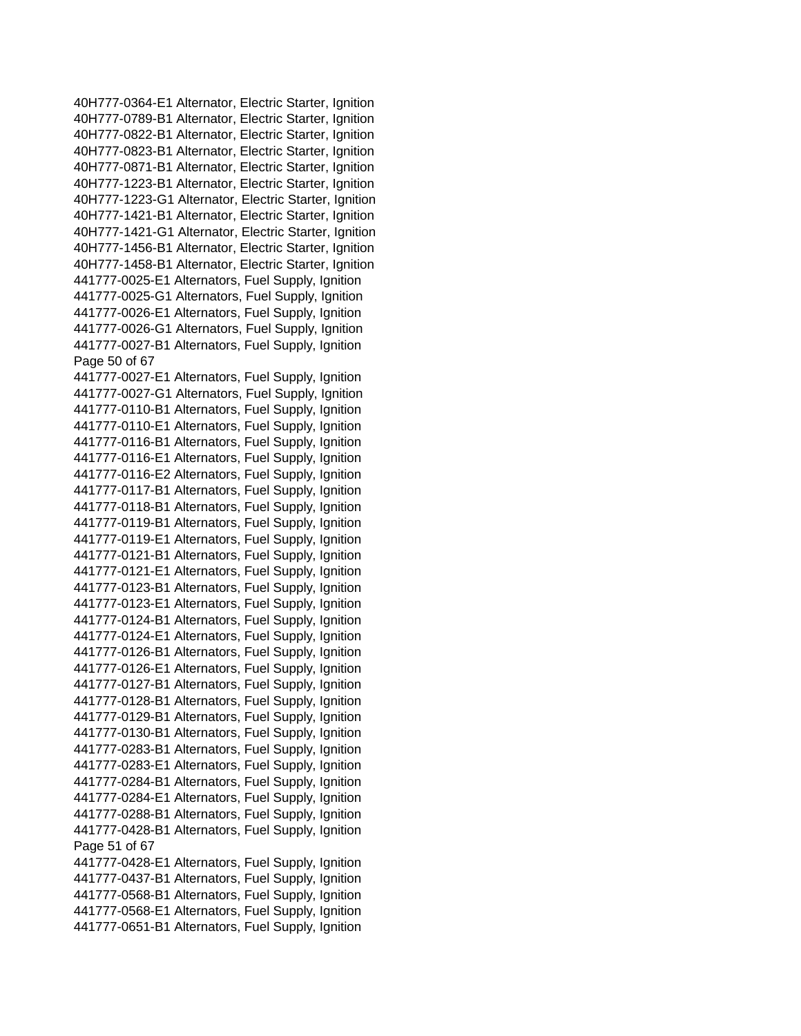40H777-0364-E1 Alternator, Electric Starter, Ignition 40H777-0789-B1 Alternator, Electric Starter, Ignition 40H777-0822-B1 Alternator, Electric Starter, Ignition 40H777-0823-B1 Alternator, Electric Starter, Ignition 40H777-0871-B1 Alternator, Electric Starter, Ignition 40H777-1223-B1 Alternator, Electric Starter, Ignition 40H777-1223-G1 Alternator, Electric Starter, Ignition 40H777-1421-B1 Alternator, Electric Starter, Ignition 40H777-1421-G1 Alternator, Electric Starter, Ignition 40H777-1456-B1 Alternator, Electric Starter, Ignition 40H777-1458-B1 Alternator, Electric Starter, Ignition 441777-0025-E1 Alternators, Fuel Supply, Ignition 441777-0025-G1 Alternators, Fuel Supply, Ignition 441777-0026-E1 Alternators, Fuel Supply, Ignition 441777-0026-G1 Alternators, Fuel Supply, Ignition 441777-0027-B1 Alternators, Fuel Supply, Ignition Page 50 of 67 441777-0027-E1 Alternators, Fuel Supply, Ignition 441777-0027-G1 Alternators, Fuel Supply, Ignition 441777-0110-B1 Alternators, Fuel Supply, Ignition 441777-0110-E1 Alternators, Fuel Supply, Ignition 441777-0116-B1 Alternators, Fuel Supply, Ignition 441777-0116-E1 Alternators, Fuel Supply, Ignition 441777-0116-E2 Alternators, Fuel Supply, Ignition 441777-0117-B1 Alternators, Fuel Supply, Ignition 441777-0118-B1 Alternators, Fuel Supply, Ignition 441777-0119-B1 Alternators, Fuel Supply, Ignition 441777-0119-E1 Alternators, Fuel Supply, Ignition 441777-0121-B1 Alternators, Fuel Supply, Ignition 441777-0121-E1 Alternators, Fuel Supply, Ignition 441777-0123-B1 Alternators, Fuel Supply, Ignition 441777-0123-E1 Alternators, Fuel Supply, Ignition 441777-0124-B1 Alternators, Fuel Supply, Ignition 441777-0124-E1 Alternators, Fuel Supply, Ignition 441777-0126-B1 Alternators, Fuel Supply, Ignition 441777-0126-E1 Alternators, Fuel Supply, Ignition 441777-0127-B1 Alternators, Fuel Supply, Ignition 441777-0128-B1 Alternators, Fuel Supply, Ignition 441777-0129-B1 Alternators, Fuel Supply, Ignition 441777-0130-B1 Alternators, Fuel Supply, Ignition 441777-0283-B1 Alternators, Fuel Supply, Ignition 441777-0283-E1 Alternators, Fuel Supply, Ignition 441777-0284-B1 Alternators, Fuel Supply, Ignition 441777-0284-E1 Alternators, Fuel Supply, Ignition 441777-0288-B1 Alternators, Fuel Supply, Ignition 441777-0428-B1 Alternators, Fuel Supply, Ignition Page 51 of 67 441777-0428-E1 Alternators, Fuel Supply, Ignition 441777-0437-B1 Alternators, Fuel Supply, Ignition 441777-0568-B1 Alternators, Fuel Supply, Ignition 441777-0568-E1 Alternators, Fuel Supply, Ignition 441777-0651-B1 Alternators, Fuel Supply, Ignition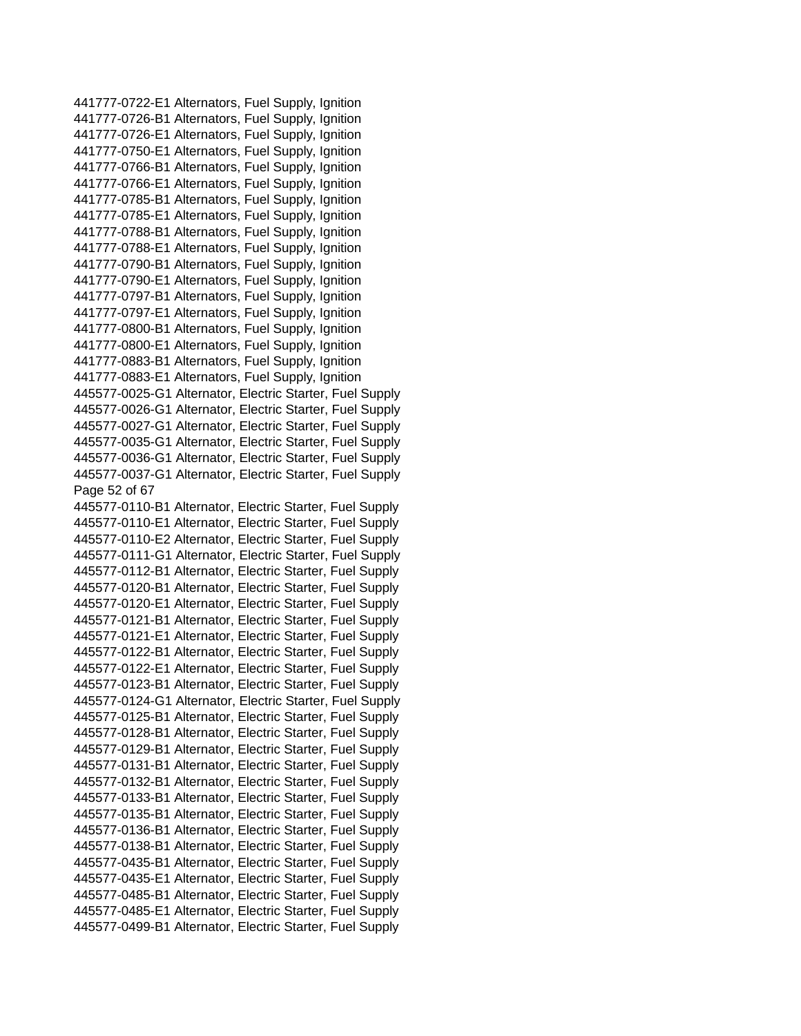441777-0722-E1 Alternators, Fuel Supply, Ignition 441777-0726-B1 Alternators, Fuel Supply, Ignition 441777-0726-E1 Alternators, Fuel Supply, Ignition 441777-0750-E1 Alternators, Fuel Supply, Ignition 441777-0766-B1 Alternators, Fuel Supply, Ignition 441777-0766-E1 Alternators, Fuel Supply, Ignition 441777-0785-B1 Alternators, Fuel Supply, Ignition 441777-0785-E1 Alternators, Fuel Supply, Ignition 441777-0788-B1 Alternators, Fuel Supply, Ignition 441777-0788-E1 Alternators, Fuel Supply, Ignition 441777-0790-B1 Alternators, Fuel Supply, Ignition 441777-0790-E1 Alternators, Fuel Supply, Ignition 441777-0797-B1 Alternators, Fuel Supply, Ignition 441777-0797-E1 Alternators, Fuel Supply, Ignition 441777-0800-B1 Alternators, Fuel Supply, Ignition 441777-0800-E1 Alternators, Fuel Supply, Ignition 441777-0883-B1 Alternators, Fuel Supply, Ignition 441777-0883-E1 Alternators, Fuel Supply, Ignition 445577-0025-G1 Alternator, Electric Starter, Fuel Supply 445577-0026-G1 Alternator, Electric Starter, Fuel Supply 445577-0027-G1 Alternator, Electric Starter, Fuel Supply 445577-0035-G1 Alternator, Electric Starter, Fuel Supply 445577-0036-G1 Alternator, Electric Starter, Fuel Supply 445577-0037-G1 Alternator, Electric Starter, Fuel Supply Page 52 of 67 445577-0110-B1 Alternator, Electric Starter, Fuel Supply 445577-0110-E1 Alternator, Electric Starter, Fuel Supply 445577-0110-E2 Alternator, Electric Starter, Fuel Supply 445577-0111-G1 Alternator, Electric Starter, Fuel Supply 445577-0112-B1 Alternator, Electric Starter, Fuel Supply 445577-0120-B1 Alternator, Electric Starter, Fuel Supply 445577-0120-E1 Alternator, Electric Starter, Fuel Supply 445577-0121-B1 Alternator, Electric Starter, Fuel Supply 445577-0121-E1 Alternator, Electric Starter, Fuel Supply 445577-0122-B1 Alternator, Electric Starter, Fuel Supply 445577-0122-E1 Alternator, Electric Starter, Fuel Supply 445577-0123-B1 Alternator, Electric Starter, Fuel Supply 445577-0124-G1 Alternator, Electric Starter, Fuel Supply 445577-0125-B1 Alternator, Electric Starter, Fuel Supply 445577-0128-B1 Alternator, Electric Starter, Fuel Supply 445577-0129-B1 Alternator, Electric Starter, Fuel Supply 445577-0131-B1 Alternator, Electric Starter, Fuel Supply 445577-0132-B1 Alternator, Electric Starter, Fuel Supply 445577-0133-B1 Alternator, Electric Starter, Fuel Supply 445577-0135-B1 Alternator, Electric Starter, Fuel Supply 445577-0136-B1 Alternator, Electric Starter, Fuel Supply 445577-0138-B1 Alternator, Electric Starter, Fuel Supply 445577-0435-B1 Alternator, Electric Starter, Fuel Supply 445577-0435-E1 Alternator, Electric Starter, Fuel Supply 445577-0485-B1 Alternator, Electric Starter, Fuel Supply 445577-0485-E1 Alternator, Electric Starter, Fuel Supply 445577-0499-B1 Alternator, Electric Starter, Fuel Supply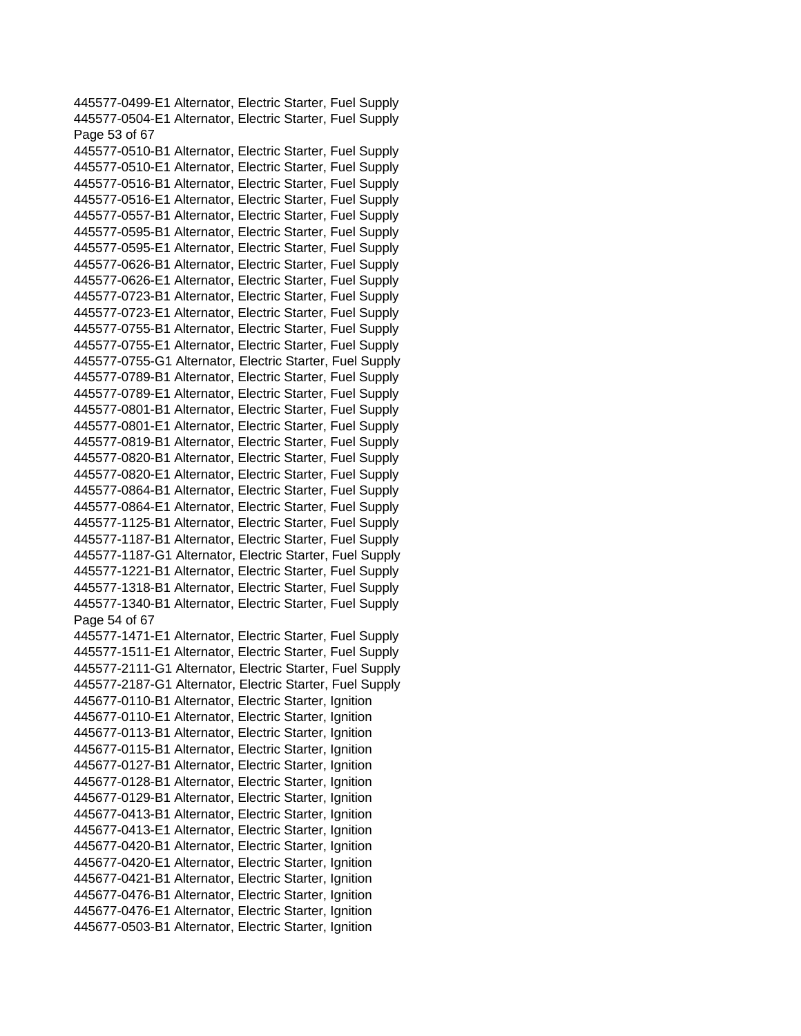445577-0499-E1 Alternator, Electric Starter, Fuel Supply 445577-0504-E1 Alternator, Electric Starter, Fuel Supply Page 53 of 67 445577-0510-B1 Alternator, Electric Starter, Fuel Supply 445577-0510-E1 Alternator, Electric Starter, Fuel Supply 445577-0516-B1 Alternator, Electric Starter, Fuel Supply 445577-0516-E1 Alternator, Electric Starter, Fuel Supply 445577-0557-B1 Alternator, Electric Starter, Fuel Supply 445577-0595-B1 Alternator, Electric Starter, Fuel Supply 445577-0595-E1 Alternator, Electric Starter, Fuel Supply 445577-0626-B1 Alternator, Electric Starter, Fuel Supply 445577-0626-E1 Alternator, Electric Starter, Fuel Supply 445577-0723-B1 Alternator, Electric Starter, Fuel Supply 445577-0723-E1 Alternator, Electric Starter, Fuel Supply 445577-0755-B1 Alternator, Electric Starter, Fuel Supply 445577-0755-E1 Alternator, Electric Starter, Fuel Supply 445577-0755-G1 Alternator, Electric Starter, Fuel Supply 445577-0789-B1 Alternator, Electric Starter, Fuel Supply 445577-0789-E1 Alternator, Electric Starter, Fuel Supply 445577-0801-B1 Alternator, Electric Starter, Fuel Supply 445577-0801-E1 Alternator, Electric Starter, Fuel Supply 445577-0819-B1 Alternator, Electric Starter, Fuel Supply 445577-0820-B1 Alternator, Electric Starter, Fuel Supply 445577-0820-E1 Alternator, Electric Starter, Fuel Supply 445577-0864-B1 Alternator, Electric Starter, Fuel Supply 445577-0864-E1 Alternator, Electric Starter, Fuel Supply 445577-1125-B1 Alternator, Electric Starter, Fuel Supply 445577-1187-B1 Alternator, Electric Starter, Fuel Supply 445577-1187-G1 Alternator, Electric Starter, Fuel Supply 445577-1221-B1 Alternator, Electric Starter, Fuel Supply 445577-1318-B1 Alternator, Electric Starter, Fuel Supply 445577-1340-B1 Alternator, Electric Starter, Fuel Supply Page 54 of 67 445577-1471-E1 Alternator, Electric Starter, Fuel Supply 445577-1511-E1 Alternator, Electric Starter, Fuel Supply 445577-2111-G1 Alternator, Electric Starter, Fuel Supply 445577-2187-G1 Alternator, Electric Starter, Fuel Supply 445677-0110-B1 Alternator, Electric Starter, Ignition 445677-0110-E1 Alternator, Electric Starter, Ignition 445677-0113-B1 Alternator, Electric Starter, Ignition 445677-0115-B1 Alternator, Electric Starter, Ignition 445677-0127-B1 Alternator, Electric Starter, Ignition 445677-0128-B1 Alternator, Electric Starter, Ignition 445677-0129-B1 Alternator, Electric Starter, Ignition 445677-0413-B1 Alternator, Electric Starter, Ignition 445677-0413-E1 Alternator, Electric Starter, Ignition 445677-0420-B1 Alternator, Electric Starter, Ignition 445677-0420-E1 Alternator, Electric Starter, Ignition 445677-0421-B1 Alternator, Electric Starter, Ignition 445677-0476-B1 Alternator, Electric Starter, Ignition 445677-0476-E1 Alternator, Electric Starter, Ignition 445677-0503-B1 Alternator, Electric Starter, Ignition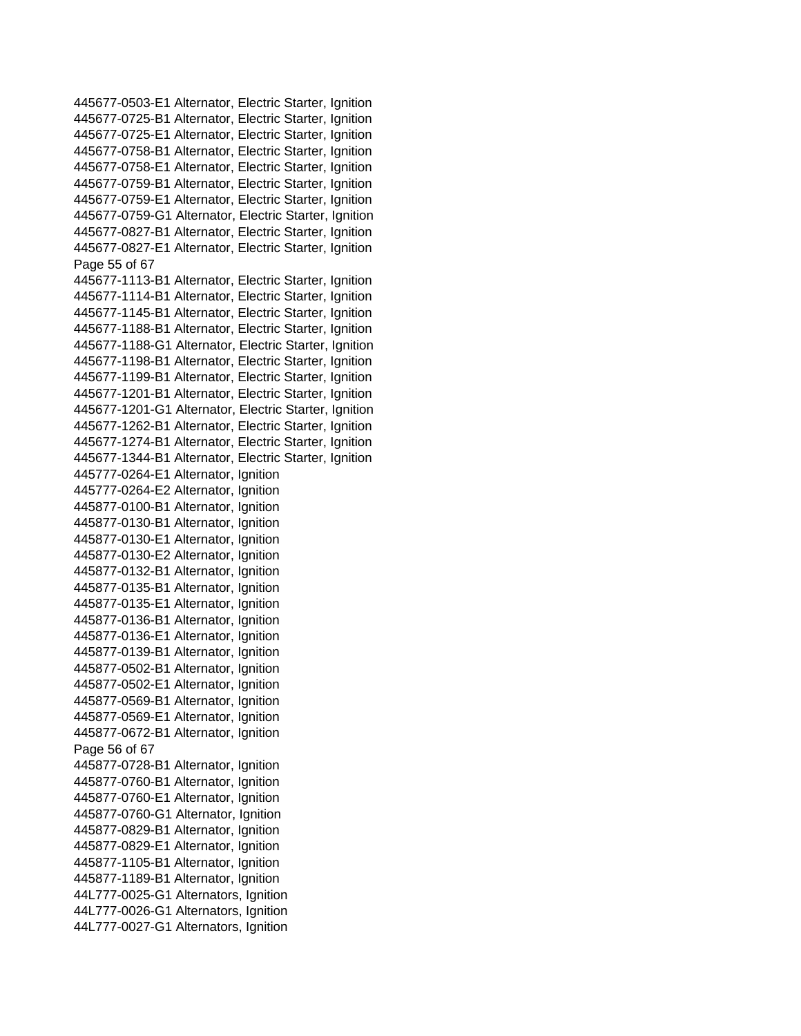445677-0503-E1 Alternator, Electric Starter, Ignition 445677-0725-B1 Alternator, Electric Starter, Ignition 445677-0725-E1 Alternator, Electric Starter, Ignition 445677-0758-B1 Alternator, Electric Starter, Ignition 445677-0758-E1 Alternator, Electric Starter, Ignition 445677-0759-B1 Alternator, Electric Starter, Ignition 445677-0759-E1 Alternator, Electric Starter, Ignition 445677-0759-G1 Alternator, Electric Starter, Ignition 445677-0827-B1 Alternator, Electric Starter, Ignition 445677-0827-E1 Alternator, Electric Starter, Ignition Page 55 of 67 445677-1113-B1 Alternator, Electric Starter, Ignition 445677-1114-B1 Alternator, Electric Starter, Ignition 445677-1145-B1 Alternator, Electric Starter, Ignition 445677-1188-B1 Alternator, Electric Starter, Ignition 445677-1188-G1 Alternator, Electric Starter, Ignition 445677-1198-B1 Alternator, Electric Starter, Ignition 445677-1199-B1 Alternator, Electric Starter, Ignition 445677-1201-B1 Alternator, Electric Starter, Ignition 445677-1201-G1 Alternator, Electric Starter, Ignition 445677-1262-B1 Alternator, Electric Starter, Ignition 445677-1274-B1 Alternator, Electric Starter, Ignition 445677-1344-B1 Alternator, Electric Starter, Ignition 445777-0264-E1 Alternator, Ignition 445777-0264-E2 Alternator, Ignition 445877-0100-B1 Alternator, Ignition 445877-0130-B1 Alternator, Ignition 445877-0130-E1 Alternator, Ignition 445877-0130-E2 Alternator, Ignition 445877-0132-B1 Alternator, Ignition 445877-0135-B1 Alternator, Ignition 445877-0135-E1 Alternator, Ignition 445877-0136-B1 Alternator, Ignition 445877-0136-E1 Alternator, Ignition 445877-0139-B1 Alternator, Ignition 445877-0502-B1 Alternator, Ignition 445877-0502-E1 Alternator, Ignition 445877-0569-B1 Alternator, Ignition 445877-0569-E1 Alternator, Ignition 445877-0672-B1 Alternator, Ignition Page 56 of 67 445877-0728-B1 Alternator, Ignition 445877-0760-B1 Alternator, Ignition 445877-0760-E1 Alternator, Ignition 445877-0760-G1 Alternator, Ignition 445877-0829-B1 Alternator, Ignition 445877-0829-E1 Alternator, Ignition 445877-1105-B1 Alternator, Ignition 445877-1189-B1 Alternator, Ignition 44L777-0025-G1 Alternators, Ignition 44L777-0026-G1 Alternators, Ignition 44L777-0027-G1 Alternators, Ignition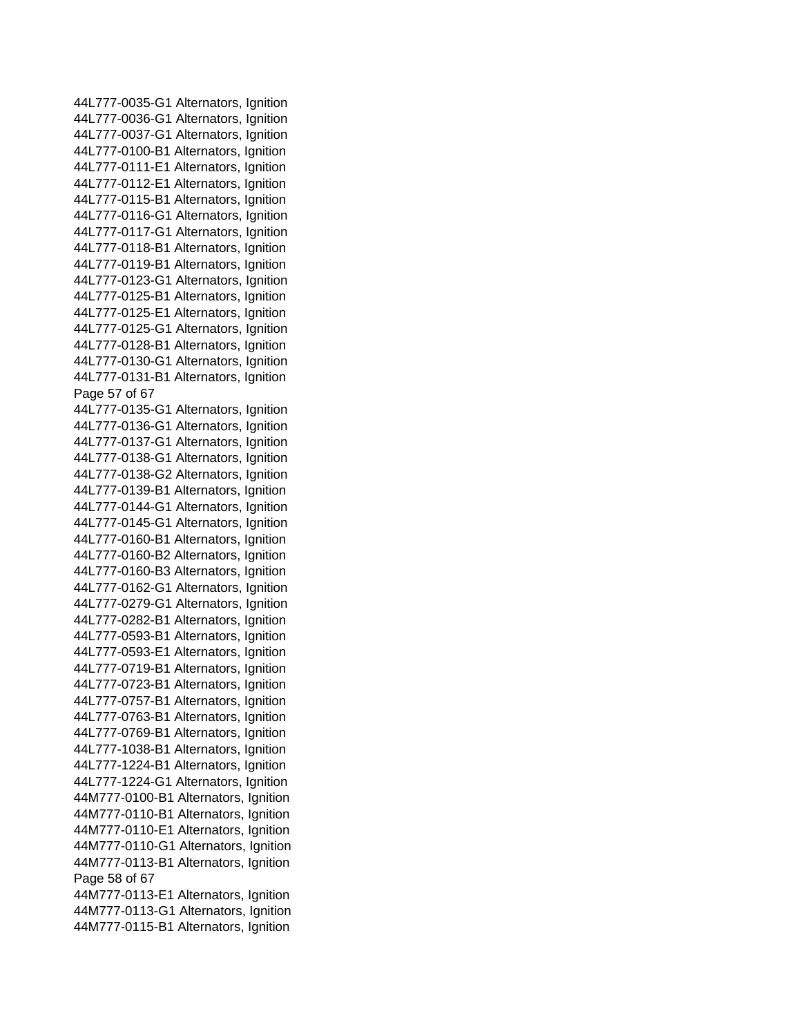44L777-0035-G1 Alternators, Ignition 44L777-0036-G1 Alternators, Ignition 44L777-0037-G1 Alternators, Ignition 44L777-0100-B1 Alternators, Ignition 44L777-0111-E1 Alternators, Ignition 44L777-0112-E1 Alternators, Ignition 44L777-0115-B1 Alternators, Ignition 44L777-0116-G1 Alternators, Ignition 44L777-0117-G1 Alternators, Ignition 44L777-0118-B1 Alternators, Ignition 44L777-0119-B1 Alternators, Ignition 44L777-0123-G1 Alternators, Ignition 44L777-0125-B1 Alternators, Ignition 44L777-0125-E1 Alternators, Ignition 44L777-0125-G1 Alternators, Ignition 44L777-0128-B1 Alternators, Ignition 44L777-0130-G1 Alternators, Ignition 44L777-0131-B1 Alternators, Ignition Page 57 of 67 44L777-0135-G1 Alternators, Ignition 44L777-0136-G1 Alternators, Ignition 44L777-0137-G1 Alternators, Ignition 44L777-0138-G1 Alternators, Ignition 44L777-0138-G2 Alternators, Ignition 44L777-0139-B1 Alternators, Ignition 44L777-0144-G1 Alternators, Ignition 44L777-0145-G1 Alternators, Ignition 44L777-0160-B1 Alternators, Ignition 44L777-0160-B2 Alternators, Ignition 44L777-0160-B3 Alternators, Ignition 44L777-0162-G1 Alternators, Ignition 44L777-0279-G1 Alternators, Ignition 44L777-0282-B1 Alternators, Ignition 44L777-0593-B1 Alternators, Ignition 44L777-0593-E1 Alternators, Ignition 44L777-0719-B1 Alternators, Ignition 44L777-0723-B1 Alternators, Ignition 44L777-0757-B1 Alternators, Ignition 44L777-0763-B1 Alternators, Ignition 44L777-0769-B1 Alternators, Ignition 44L777-1038-B1 Alternators, Ignition 44L777-1224-B1 Alternators, Ignition 44L777-1224-G1 Alternators, Ignition 44M777-0100-B1 Alternators, Ignition 44M777-0110-B1 Alternators, Ignition 44M777-0110-E1 Alternators, Ignition 44M777-0110-G1 Alternators, Ignition 44M777-0113-B1 Alternators, Ignition Page 58 of 67 44M777-0113-E1 Alternators, Ignition 44M777-0113-G1 Alternators, Ignition 44M777-0115-B1 Alternators, Ignition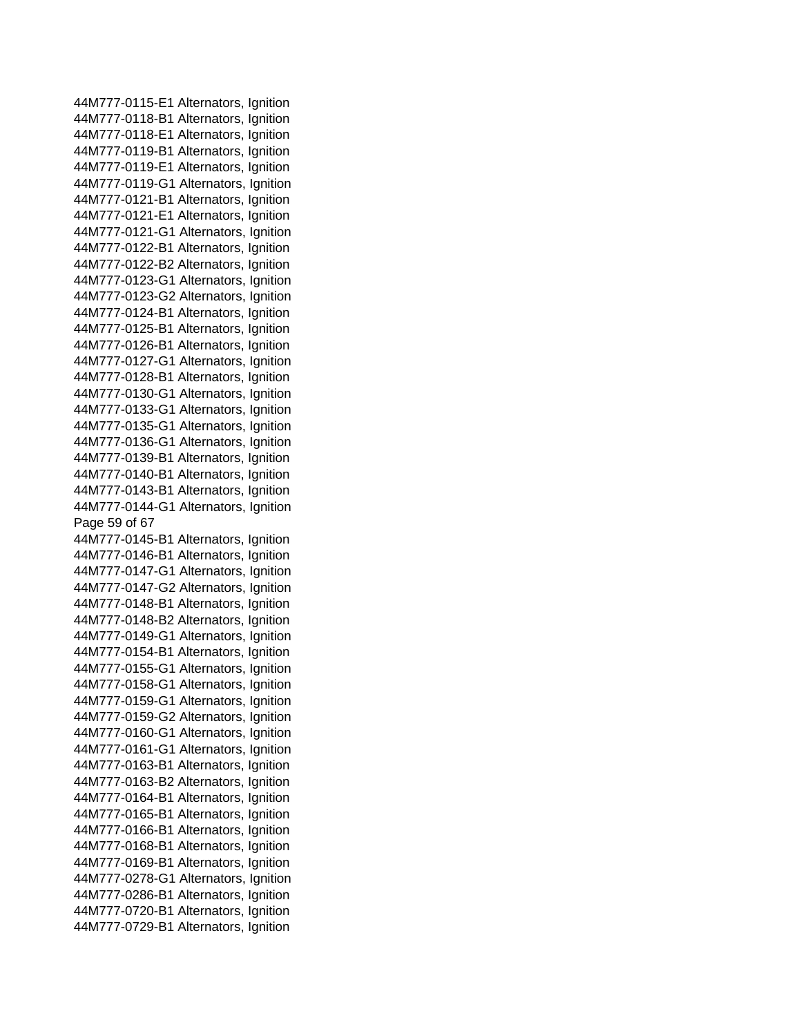44M777-0115-E1 Alternators, Ignition 44M777-0118-B1 Alternators, Ignition 44M777-0118-E1 Alternators, Ignition 44M777-0119-B1 Alternators, Ignition 44M777-0119-E1 Alternators, Ignition 44M777-0119-G1 Alternators, Ignition 44M777-0121-B1 Alternators, Ignition 44M777-0121-E1 Alternators, Ignition 44M777-0121-G1 Alternators, Ignition 44M777-0122-B1 Alternators, Ignition 44M777-0122-B2 Alternators, Ignition 44M777-0123-G1 Alternators, Ignition 44M777-0123-G2 Alternators, Ignition 44M777-0124-B1 Alternators, Ignition 44M777-0125-B1 Alternators, Ignition 44M777-0126-B1 Alternators, Ignition 44M777-0127-G1 Alternators, Ignition 44M777-0128-B1 Alternators, Ignition 44M777-0130-G1 Alternators, Ignition 44M777-0133-G1 Alternators, Ignition 44M777-0135-G1 Alternators, Ignition 44M777-0136-G1 Alternators, Ignition 44M777-0139-B1 Alternators, Ignition 44M777-0140-B1 Alternators, Ignition 44M777-0143-B1 Alternators, Ignition 44M777-0144-G1 Alternators, Ignition Page 59 of 67 44M777-0145-B1 Alternators, Ignition 44M777-0146-B1 Alternators, Ignition 44M777-0147-G1 Alternators, Ignition 44M777-0147-G2 Alternators, Ignition 44M777-0148-B1 Alternators, Ignition 44M777-0148-B2 Alternators, Ignition 44M777-0149-G1 Alternators, Ignition 44M777-0154-B1 Alternators, Ignition 44M777-0155-G1 Alternators, Ignition 44M777-0158-G1 Alternators, Ignition 44M777-0159-G1 Alternators, Ignition 44M777-0159-G2 Alternators, Ignition 44M777-0160-G1 Alternators, Ignition 44M777-0161-G1 Alternators, Ignition 44M777-0163-B1 Alternators, Ignition 44M777-0163-B2 Alternators, Ignition 44M777-0164-B1 Alternators, Ignition 44M777-0165-B1 Alternators, Ignition 44M777-0166-B1 Alternators, Ignition 44M777-0168-B1 Alternators, Ignition 44M777-0169-B1 Alternators, Ignition 44M777-0278-G1 Alternators, Ignition 44M777-0286-B1 Alternators, Ignition 44M777-0720-B1 Alternators, Ignition 44M777-0729-B1 Alternators, Ignition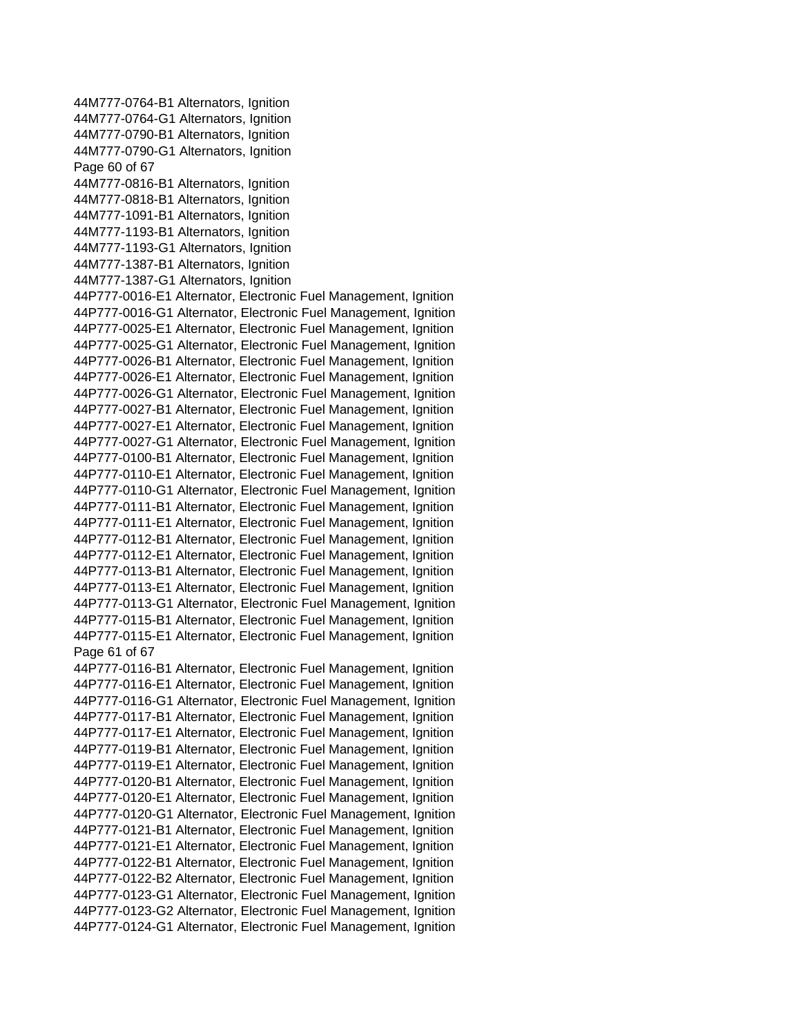44M777-0764-B1 Alternators, Ignition 44M777-0764-G1 Alternators, Ignition 44M777-0790-B1 Alternators, Ignition 44M777-0790-G1 Alternators, Ignition Page 60 of 67 44M777-0816-B1 Alternators, Ignition 44M777-0818-B1 Alternators, Ignition 44M777-1091-B1 Alternators, Ignition 44M777-1193-B1 Alternators, Ignition 44M777-1193-G1 Alternators, Ignition 44M777-1387-B1 Alternators, Ignition 44M777-1387-G1 Alternators, Ignition 44P777-0016-E1 Alternator, Electronic Fuel Management, Ignition 44P777-0016-G1 Alternator, Electronic Fuel Management, Ignition 44P777-0025-E1 Alternator, Electronic Fuel Management, Ignition 44P777-0025-G1 Alternator, Electronic Fuel Management, Ignition 44P777-0026-B1 Alternator, Electronic Fuel Management, Ignition 44P777-0026-E1 Alternator, Electronic Fuel Management, Ignition 44P777-0026-G1 Alternator, Electronic Fuel Management, Ignition 44P777-0027-B1 Alternator, Electronic Fuel Management, Ignition 44P777-0027-E1 Alternator, Electronic Fuel Management, Ignition 44P777-0027-G1 Alternator, Electronic Fuel Management, Ignition 44P777-0100-B1 Alternator, Electronic Fuel Management, Ignition 44P777-0110-E1 Alternator, Electronic Fuel Management, Ignition 44P777-0110-G1 Alternator, Electronic Fuel Management, Ignition 44P777-0111-B1 Alternator, Electronic Fuel Management, Ignition 44P777-0111-E1 Alternator, Electronic Fuel Management, Ignition 44P777-0112-B1 Alternator, Electronic Fuel Management, Ignition 44P777-0112-E1 Alternator, Electronic Fuel Management, Ignition 44P777-0113-B1 Alternator, Electronic Fuel Management, Ignition 44P777-0113-E1 Alternator, Electronic Fuel Management, Ignition 44P777-0113-G1 Alternator, Electronic Fuel Management, Ignition 44P777-0115-B1 Alternator, Electronic Fuel Management, Ignition 44P777-0115-E1 Alternator, Electronic Fuel Management, Ignition Page 61 of 67 44P777-0116-B1 Alternator, Electronic Fuel Management, Ignition 44P777-0116-E1 Alternator, Electronic Fuel Management, Ignition 44P777-0116-G1 Alternator, Electronic Fuel Management, Ignition 44P777-0117-B1 Alternator, Electronic Fuel Management, Ignition 44P777-0117-E1 Alternator, Electronic Fuel Management, Ignition 44P777-0119-B1 Alternator, Electronic Fuel Management, Ignition 44P777-0119-E1 Alternator, Electronic Fuel Management, Ignition 44P777-0120-B1 Alternator, Electronic Fuel Management, Ignition 44P777-0120-E1 Alternator, Electronic Fuel Management, Ignition 44P777-0120-G1 Alternator, Electronic Fuel Management, Ignition 44P777-0121-B1 Alternator, Electronic Fuel Management, Ignition 44P777-0121-E1 Alternator, Electronic Fuel Management, Ignition 44P777-0122-B1 Alternator, Electronic Fuel Management, Ignition 44P777-0122-B2 Alternator, Electronic Fuel Management, Ignition 44P777-0123-G1 Alternator, Electronic Fuel Management, Ignition 44P777-0123-G2 Alternator, Electronic Fuel Management, Ignition 44P777-0124-G1 Alternator, Electronic Fuel Management, Ignition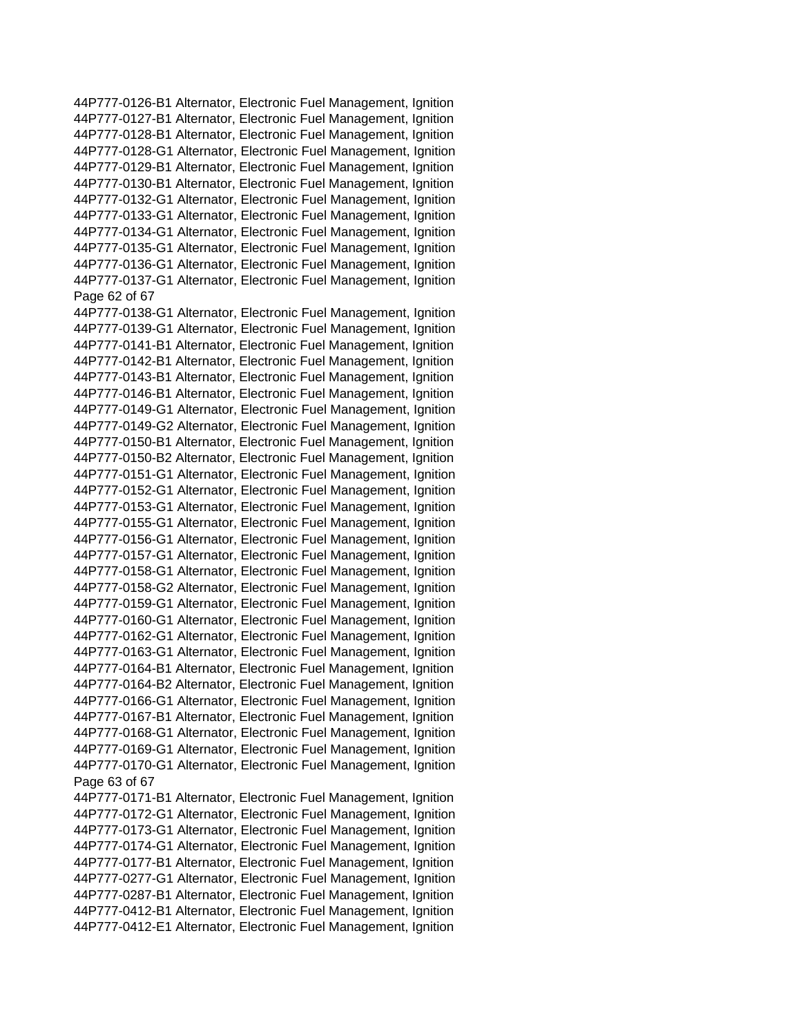44P777-0126-B1 Alternator, Electronic Fuel Management, Ignition 44P777-0127-B1 Alternator, Electronic Fuel Management, Ignition 44P777-0128-B1 Alternator, Electronic Fuel Management, Ignition 44P777-0128-G1 Alternator, Electronic Fuel Management, Ignition 44P777-0129-B1 Alternator, Electronic Fuel Management, Ignition 44P777-0130-B1 Alternator, Electronic Fuel Management, Ignition 44P777-0132-G1 Alternator, Electronic Fuel Management, Ignition 44P777-0133-G1 Alternator, Electronic Fuel Management, Ignition 44P777-0134-G1 Alternator, Electronic Fuel Management, Ignition 44P777-0135-G1 Alternator, Electronic Fuel Management, Ignition 44P777-0136-G1 Alternator, Electronic Fuel Management, Ignition 44P777-0137-G1 Alternator, Electronic Fuel Management, Ignition Page 62 of 67 44P777-0138-G1 Alternator, Electronic Fuel Management, Ignition 44P777-0139-G1 Alternator, Electronic Fuel Management, Ignition 44P777-0141-B1 Alternator, Electronic Fuel Management, Ignition

44P777-0142-B1 Alternator, Electronic Fuel Management, Ignition 44P777-0143-B1 Alternator, Electronic Fuel Management, Ignition 44P777-0146-B1 Alternator, Electronic Fuel Management, Ignition 44P777-0149-G1 Alternator, Electronic Fuel Management, Ignition 44P777-0149-G2 Alternator, Electronic Fuel Management, Ignition 44P777-0150-B1 Alternator, Electronic Fuel Management, Ignition 44P777-0150-B2 Alternator, Electronic Fuel Management, Ignition 44P777-0151-G1 Alternator, Electronic Fuel Management, Ignition 44P777-0152-G1 Alternator, Electronic Fuel Management, Ignition 44P777-0153-G1 Alternator, Electronic Fuel Management, Ignition 44P777-0155-G1 Alternator, Electronic Fuel Management, Ignition 44P777-0156-G1 Alternator, Electronic Fuel Management, Ignition 44P777-0157-G1 Alternator, Electronic Fuel Management, Ignition 44P777-0158-G1 Alternator, Electronic Fuel Management, Ignition 44P777-0158-G2 Alternator, Electronic Fuel Management, Ignition 44P777-0159-G1 Alternator, Electronic Fuel Management, Ignition 44P777-0160-G1 Alternator, Electronic Fuel Management, Ignition 44P777-0162-G1 Alternator, Electronic Fuel Management, Ignition 44P777-0163-G1 Alternator, Electronic Fuel Management, Ignition 44P777-0164-B1 Alternator, Electronic Fuel Management, Ignition 44P777-0164-B2 Alternator, Electronic Fuel Management, Ignition 44P777-0166-G1 Alternator, Electronic Fuel Management, Ignition 44P777-0167-B1 Alternator, Electronic Fuel Management, Ignition 44P777-0168-G1 Alternator, Electronic Fuel Management, Ignition 44P777-0169-G1 Alternator, Electronic Fuel Management, Ignition 44P777-0170-G1 Alternator, Electronic Fuel Management, Ignition Page 63 of 67 44P777-0171-B1 Alternator, Electronic Fuel Management, Ignition 44P777-0172-G1 Alternator, Electronic Fuel Management, Ignition

44P777-0173-G1 Alternator, Electronic Fuel Management, Ignition 44P777-0174-G1 Alternator, Electronic Fuel Management, Ignition 44P777-0177-B1 Alternator, Electronic Fuel Management, Ignition 44P777-0277-G1 Alternator, Electronic Fuel Management, Ignition 44P777-0287-B1 Alternator, Electronic Fuel Management, Ignition 44P777-0412-B1 Alternator, Electronic Fuel Management, Ignition 44P777-0412-E1 Alternator, Electronic Fuel Management, Ignition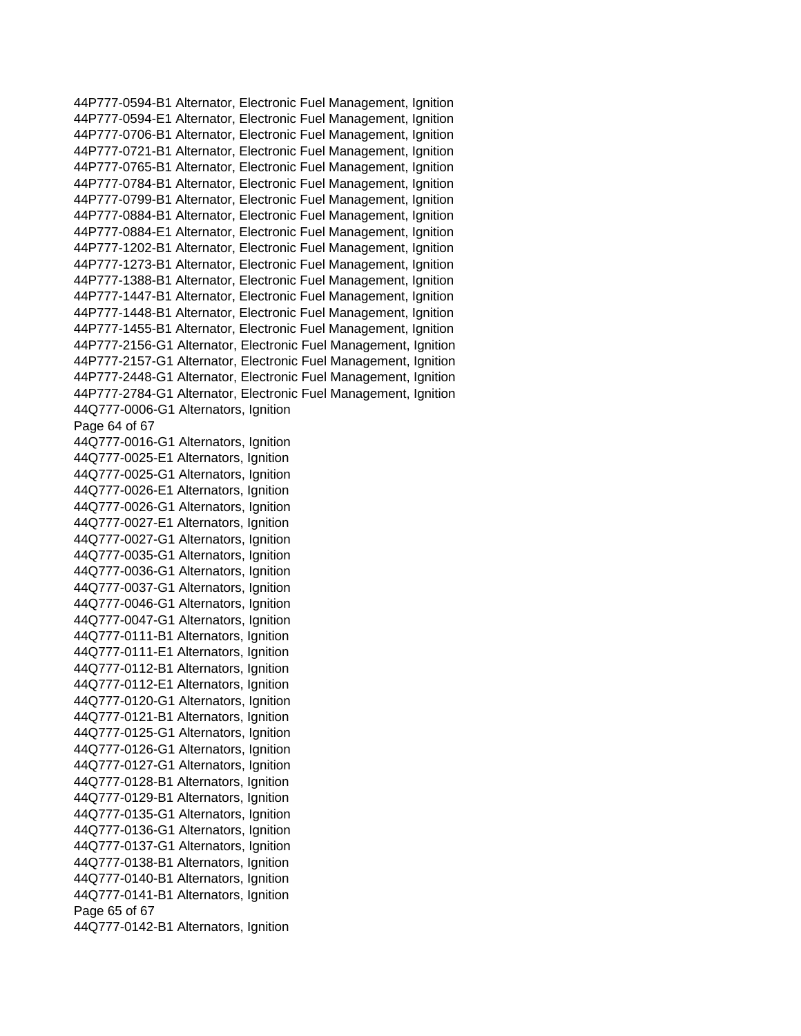44P777-0594-B1 Alternator, Electronic Fuel Management, Ignition 44P777-0594-E1 Alternator, Electronic Fuel Management, Ignition 44P777-0706-B1 Alternator, Electronic Fuel Management, Ignition 44P777-0721-B1 Alternator, Electronic Fuel Management, Ignition 44P777-0765-B1 Alternator, Electronic Fuel Management, Ignition 44P777-0784-B1 Alternator, Electronic Fuel Management, Ignition 44P777-0799-B1 Alternator, Electronic Fuel Management, Ignition 44P777-0884-B1 Alternator, Electronic Fuel Management, Ignition 44P777-0884-E1 Alternator, Electronic Fuel Management, Ignition 44P777-1202-B1 Alternator, Electronic Fuel Management, Ignition 44P777-1273-B1 Alternator, Electronic Fuel Management, Ignition 44P777-1388-B1 Alternator, Electronic Fuel Management, Ignition 44P777-1447-B1 Alternator, Electronic Fuel Management, Ignition 44P777-1448-B1 Alternator, Electronic Fuel Management, Ignition 44P777-1455-B1 Alternator, Electronic Fuel Management, Ignition 44P777-2156-G1 Alternator, Electronic Fuel Management, Ignition 44P777-2157-G1 Alternator, Electronic Fuel Management, Ignition 44P777-2448-G1 Alternator, Electronic Fuel Management, Ignition 44P777-2784-G1 Alternator, Electronic Fuel Management, Ignition 44Q777-0006-G1 Alternators, Ignition Page 64 of 67 44Q777-0016-G1 Alternators, Ignition 44Q777-0025-E1 Alternators, Ignition 44Q777-0025-G1 Alternators, Ignition 44Q777-0026-E1 Alternators, Ignition 44Q777-0026-G1 Alternators, Ignition 44Q777-0027-E1 Alternators, Ignition 44Q777-0027-G1 Alternators, Ignition 44Q777-0035-G1 Alternators, Ignition 44Q777-0036-G1 Alternators, Ignition 44Q777-0037-G1 Alternators, Ignition 44Q777-0046-G1 Alternators, Ignition 44Q777-0047-G1 Alternators, Ignition 44Q777-0111-B1 Alternators, Ignition 44Q777-0111-E1 Alternators, Ignition 44Q777-0112-B1 Alternators, Ignition 44Q777-0112-E1 Alternators, Ignition 44Q777-0120-G1 Alternators, Ignition 44Q777-0121-B1 Alternators, Ignition 44Q777-0125-G1 Alternators, Ignition 44Q777-0126-G1 Alternators, Ignition 44Q777-0127-G1 Alternators, Ignition 44Q777-0128-B1 Alternators, Ignition 44Q777-0129-B1 Alternators, Ignition 44Q777-0135-G1 Alternators, Ignition 44Q777-0136-G1 Alternators, Ignition 44Q777-0137-G1 Alternators, Ignition 44Q777-0138-B1 Alternators, Ignition 44Q777-0140-B1 Alternators, Ignition 44Q777-0141-B1 Alternators, Ignition Page 65 of 67 44Q777-0142-B1 Alternators, Ignition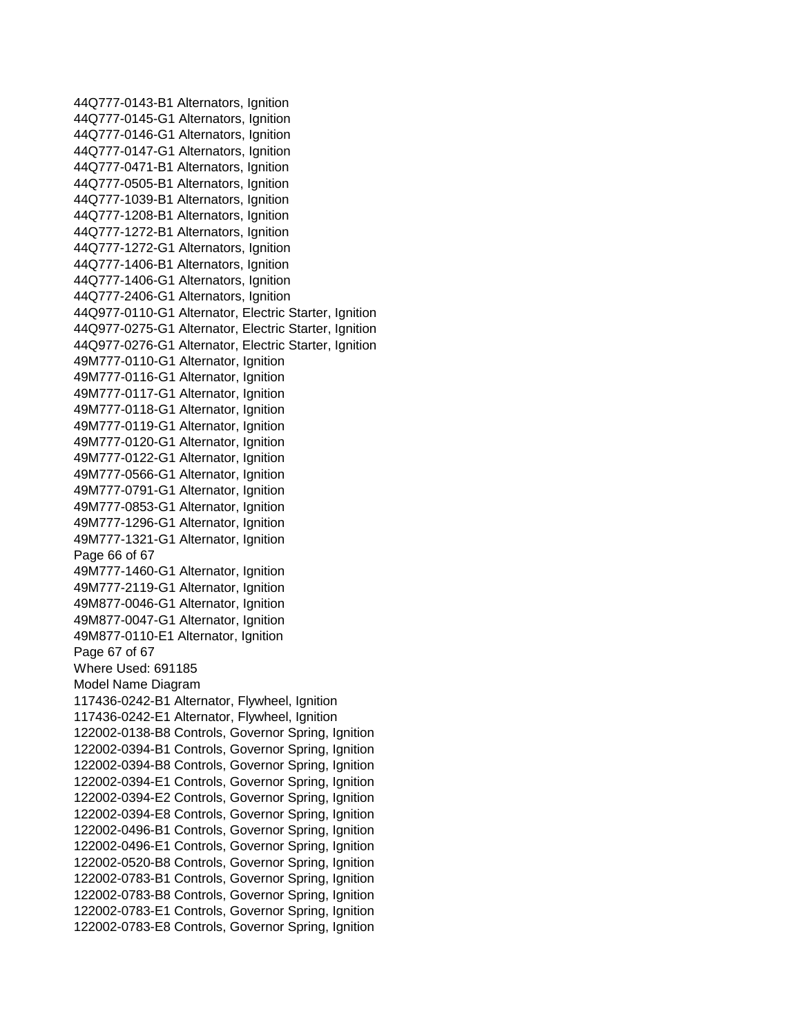44Q777-0143-B1 Alternators, Ignition 44Q777-0145-G1 Alternators, Ignition 44Q777-0146-G1 Alternators, Ignition 44Q777-0147-G1 Alternators, Ignition 44Q777-0471-B1 Alternators, Ignition 44Q777-0505-B1 Alternators, Ignition 44Q777-1039-B1 Alternators, Ignition 44Q777-1208-B1 Alternators, Ignition 44Q777-1272-B1 Alternators, Ignition 44Q777-1272-G1 Alternators, Ignition 44Q777-1406-B1 Alternators, Ignition 44Q777-1406-G1 Alternators, Ignition 44Q777-2406-G1 Alternators, Ignition 44Q977-0110-G1 Alternator, Electric Starter, Ignition 44Q977-0275-G1 Alternator, Electric Starter, Ignition 44Q977-0276-G1 Alternator, Electric Starter, Ignition 49M777-0110-G1 Alternator, Ignition 49M777-0116-G1 Alternator, Ignition 49M777-0117-G1 Alternator, Ignition 49M777-0118-G1 Alternator, Ignition 49M777-0119-G1 Alternator, Ignition 49M777-0120-G1 Alternator, Ignition 49M777-0122-G1 Alternator, Ignition 49M777-0566-G1 Alternator, Ignition 49M777-0791-G1 Alternator, Ignition 49M777-0853-G1 Alternator, Ignition 49M777-1296-G1 Alternator, Ignition 49M777-1321-G1 Alternator, Ignition Page 66 of 67 49M777-1460-G1 Alternator, Ignition 49M777-2119-G1 Alternator, Ignition 49M877-0046-G1 Alternator, Ignition 49M877-0047-G1 Alternator, Ignition 49M877-0110-E1 Alternator, Ignition Page 67 of 67 Where Used: 691185 Model Name Diagram 117436-0242-B1 Alternator, Flywheel, Ignition 117436-0242-E1 Alternator, Flywheel, Ignition 122002-0138-B8 Controls, Governor Spring, Ignition 122002-0394-B1 Controls, Governor Spring, Ignition 122002-0394-B8 Controls, Governor Spring, Ignition 122002-0394-E1 Controls, Governor Spring, Ignition 122002-0394-E2 Controls, Governor Spring, Ignition 122002-0394-E8 Controls, Governor Spring, Ignition 122002-0496-B1 Controls, Governor Spring, Ignition 122002-0496-E1 Controls, Governor Spring, Ignition 122002-0520-B8 Controls, Governor Spring, Ignition 122002-0783-B1 Controls, Governor Spring, Ignition 122002-0783-B8 Controls, Governor Spring, Ignition 122002-0783-E1 Controls, Governor Spring, Ignition 122002-0783-E8 Controls, Governor Spring, Ignition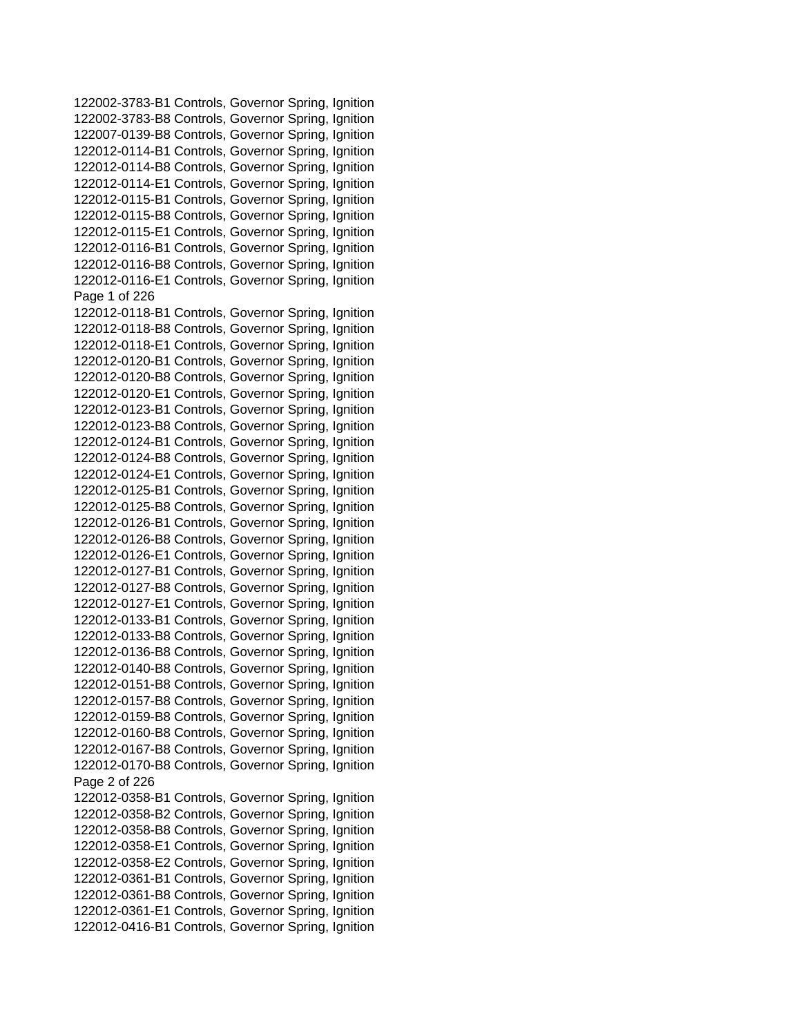122002-3783-B1 Controls, Governor Spring, Ignition 122002-3783-B8 Controls, Governor Spring, Ignition 122007-0139-B8 Controls, Governor Spring, Ignition 122012-0114-B1 Controls, Governor Spring, Ignition 122012-0114-B8 Controls, Governor Spring, Ignition 122012-0114-E1 Controls, Governor Spring, Ignition 122012-0115-B1 Controls, Governor Spring, Ignition 122012-0115-B8 Controls, Governor Spring, Ignition 122012-0115-E1 Controls, Governor Spring, Ignition 122012-0116-B1 Controls, Governor Spring, Ignition 122012-0116-B8 Controls, Governor Spring, Ignition 122012-0116-E1 Controls, Governor Spring, Ignition Page 1 of 226 122012-0118-B1 Controls, Governor Spring, Ignition 122012-0118-B8 Controls, Governor Spring, Ignition 122012-0118-E1 Controls, Governor Spring, Ignition 122012-0120-B1 Controls, Governor Spring, Ignition 122012-0120-B8 Controls, Governor Spring, Ignition 122012-0120-E1 Controls, Governor Spring, Ignition 122012-0123-B1 Controls, Governor Spring, Ignition 122012-0123-B8 Controls, Governor Spring, Ignition 122012-0124-B1 Controls, Governor Spring, Ignition 122012-0124-B8 Controls, Governor Spring, Ignition 122012-0124-E1 Controls, Governor Spring, Ignition 122012-0125-B1 Controls, Governor Spring, Ignition 122012-0125-B8 Controls, Governor Spring, Ignition 122012-0126-B1 Controls, Governor Spring, Ignition 122012-0126-B8 Controls, Governor Spring, Ignition 122012-0126-E1 Controls, Governor Spring, Ignition 122012-0127-B1 Controls, Governor Spring, Ignition 122012-0127-B8 Controls, Governor Spring, Ignition 122012-0127-E1 Controls, Governor Spring, Ignition 122012-0133-B1 Controls, Governor Spring, Ignition 122012-0133-B8 Controls, Governor Spring, Ignition 122012-0136-B8 Controls, Governor Spring, Ignition 122012-0140-B8 Controls, Governor Spring, Ignition 122012-0151-B8 Controls, Governor Spring, Ignition 122012-0157-B8 Controls, Governor Spring, Ignition 122012-0159-B8 Controls, Governor Spring, Ignition 122012-0160-B8 Controls, Governor Spring, Ignition 122012-0167-B8 Controls, Governor Spring, Ignition 122012-0170-B8 Controls, Governor Spring, Ignition Page 2 of 226 122012-0358-B1 Controls, Governor Spring, Ignition 122012-0358-B2 Controls, Governor Spring, Ignition 122012-0358-B8 Controls, Governor Spring, Ignition 122012-0358-E1 Controls, Governor Spring, Ignition 122012-0358-E2 Controls, Governor Spring, Ignition 122012-0361-B1 Controls, Governor Spring, Ignition 122012-0361-B8 Controls, Governor Spring, Ignition 122012-0361-E1 Controls, Governor Spring, Ignition 122012-0416-B1 Controls, Governor Spring, Ignition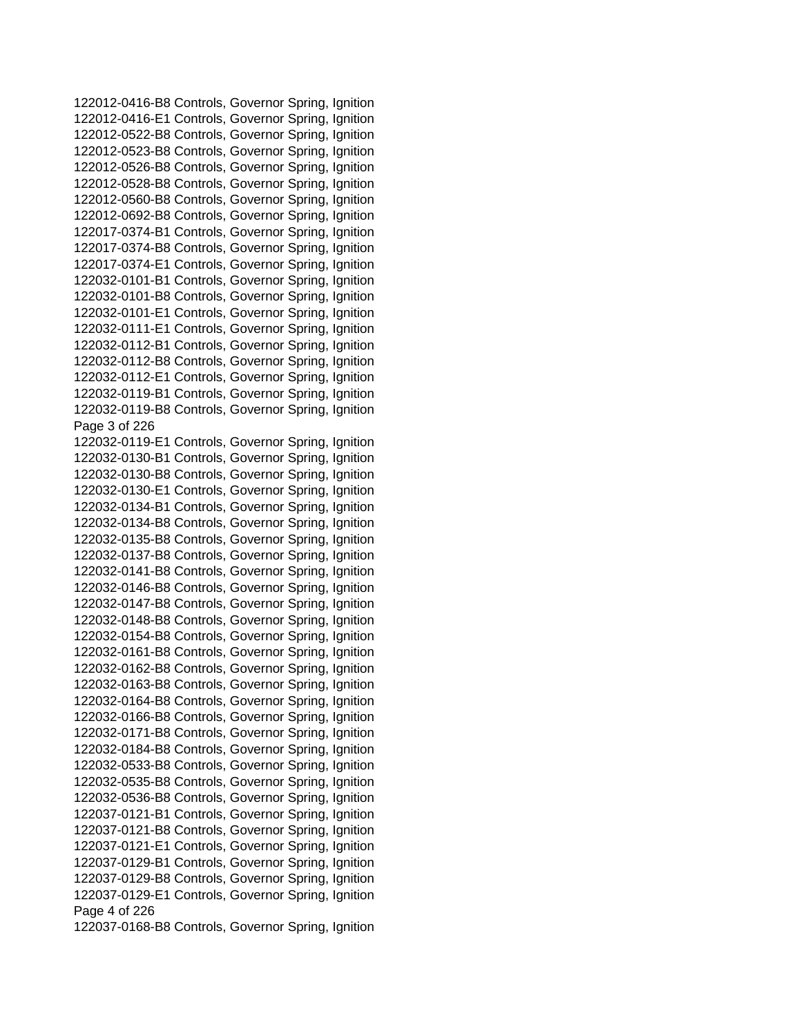122012-0416-B8 Controls, Governor Spring, Ignition 122012-0416-E1 Controls, Governor Spring, Ignition 122012-0522-B8 Controls, Governor Spring, Ignition 122012-0523-B8 Controls, Governor Spring, Ignition 122012-0526-B8 Controls, Governor Spring, Ignition 122012-0528-B8 Controls, Governor Spring, Ignition 122012-0560-B8 Controls, Governor Spring, Ignition 122012-0692-B8 Controls, Governor Spring, Ignition 122017-0374-B1 Controls, Governor Spring, Ignition 122017-0374-B8 Controls, Governor Spring, Ignition 122017-0374-E1 Controls, Governor Spring, Ignition 122032-0101-B1 Controls, Governor Spring, Ignition 122032-0101-B8 Controls, Governor Spring, Ignition 122032-0101-E1 Controls, Governor Spring, Ignition 122032-0111-E1 Controls, Governor Spring, Ignition 122032-0112-B1 Controls, Governor Spring, Ignition 122032-0112-B8 Controls, Governor Spring, Ignition 122032-0112-E1 Controls, Governor Spring, Ignition 122032-0119-B1 Controls, Governor Spring, Ignition 122032-0119-B8 Controls, Governor Spring, Ignition Page 3 of 226 122032-0119-E1 Controls, Governor Spring, Ignition 122032-0130-B1 Controls, Governor Spring, Ignition 122032-0130-B8 Controls, Governor Spring, Ignition 122032-0130-E1 Controls, Governor Spring, Ignition 122032-0134-B1 Controls, Governor Spring, Ignition 122032-0134-B8 Controls, Governor Spring, Ignition 122032-0135-B8 Controls, Governor Spring, Ignition 122032-0137-B8 Controls, Governor Spring, Ignition 122032-0141-B8 Controls, Governor Spring, Ignition 122032-0146-B8 Controls, Governor Spring, Ignition 122032-0147-B8 Controls, Governor Spring, Ignition 122032-0148-B8 Controls, Governor Spring, Ignition 122032-0154-B8 Controls, Governor Spring, Ignition 122032-0161-B8 Controls, Governor Spring, Ignition 122032-0162-B8 Controls, Governor Spring, Ignition 122032-0163-B8 Controls, Governor Spring, Ignition 122032-0164-B8 Controls, Governor Spring, Ignition 122032-0166-B8 Controls, Governor Spring, Ignition 122032-0171-B8 Controls, Governor Spring, Ignition 122032-0184-B8 Controls, Governor Spring, Ignition 122032-0533-B8 Controls, Governor Spring, Ignition 122032-0535-B8 Controls, Governor Spring, Ignition 122032-0536-B8 Controls, Governor Spring, Ignition 122037-0121-B1 Controls, Governor Spring, Ignition 122037-0121-B8 Controls, Governor Spring, Ignition 122037-0121-E1 Controls, Governor Spring, Ignition 122037-0129-B1 Controls, Governor Spring, Ignition 122037-0129-B8 Controls, Governor Spring, Ignition 122037-0129-E1 Controls, Governor Spring, Ignition Page 4 of 226

122037-0168-B8 Controls, Governor Spring, Ignition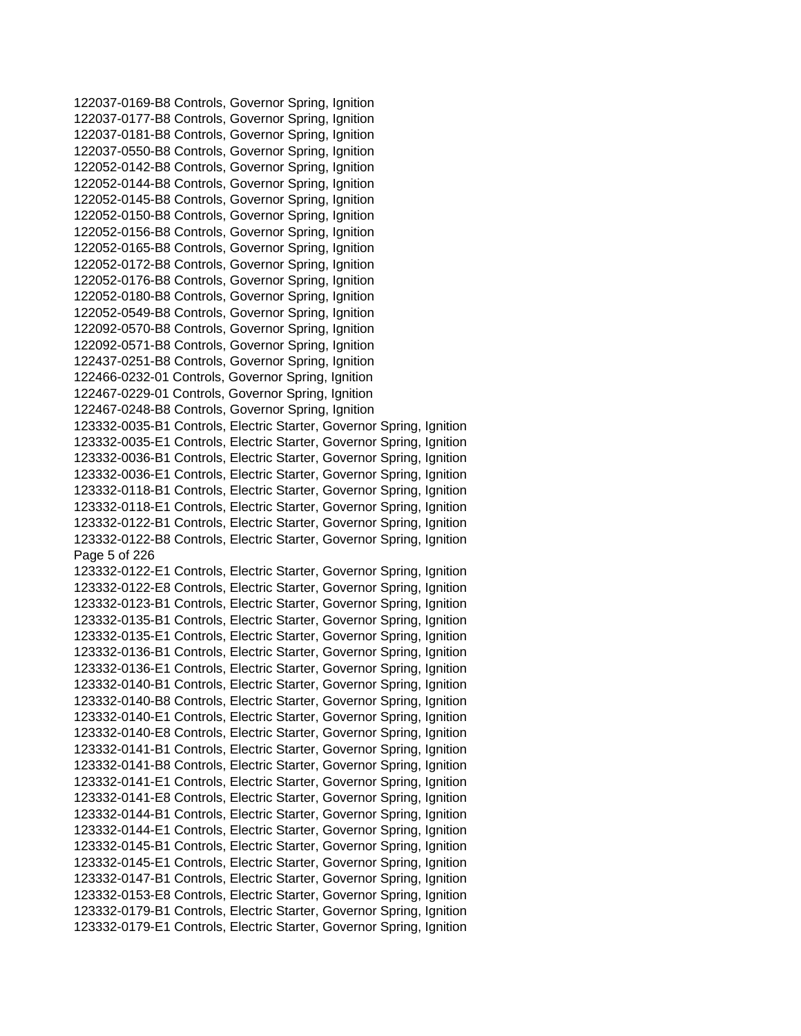122037-0169-B8 Controls, Governor Spring, Ignition 122037-0177-B8 Controls, Governor Spring, Ignition 122037-0181-B8 Controls, Governor Spring, Ignition 122037-0550-B8 Controls, Governor Spring, Ignition 122052-0142-B8 Controls, Governor Spring, Ignition 122052-0144-B8 Controls, Governor Spring, Ignition 122052-0145-B8 Controls, Governor Spring, Ignition 122052-0150-B8 Controls, Governor Spring, Ignition 122052-0156-B8 Controls, Governor Spring, Ignition 122052-0165-B8 Controls, Governor Spring, Ignition 122052-0172-B8 Controls, Governor Spring, Ignition 122052-0176-B8 Controls, Governor Spring, Ignition 122052-0180-B8 Controls, Governor Spring, Ignition 122052-0549-B8 Controls, Governor Spring, Ignition 122092-0570-B8 Controls, Governor Spring, Ignition 122092-0571-B8 Controls, Governor Spring, Ignition 122437-0251-B8 Controls, Governor Spring, Ignition 122466-0232-01 Controls, Governor Spring, Ignition 122467-0229-01 Controls, Governor Spring, Ignition 122467-0248-B8 Controls, Governor Spring, Ignition 123332-0035-B1 Controls, Electric Starter, Governor Spring, Ignition 123332-0035-E1 Controls, Electric Starter, Governor Spring, Ignition 123332-0036-B1 Controls, Electric Starter, Governor Spring, Ignition 123332-0036-E1 Controls, Electric Starter, Governor Spring, Ignition 123332-0118-B1 Controls, Electric Starter, Governor Spring, Ignition 123332-0118-E1 Controls, Electric Starter, Governor Spring, Ignition 123332-0122-B1 Controls, Electric Starter, Governor Spring, Ignition 123332-0122-B8 Controls, Electric Starter, Governor Spring, Ignition Page 5 of 226 123332-0122-E1 Controls, Electric Starter, Governor Spring, Ignition 123332-0122-E8 Controls, Electric Starter, Governor Spring, Ignition 123332-0123-B1 Controls, Electric Starter, Governor Spring, Ignition 123332-0135-B1 Controls, Electric Starter, Governor Spring, Ignition 123332-0135-E1 Controls, Electric Starter, Governor Spring, Ignition 123332-0136-B1 Controls, Electric Starter, Governor Spring, Ignition 123332-0136-E1 Controls, Electric Starter, Governor Spring, Ignition 123332-0140-B1 Controls, Electric Starter, Governor Spring, Ignition 123332-0140-B8 Controls, Electric Starter, Governor Spring, Ignition 123332-0140-E1 Controls, Electric Starter, Governor Spring, Ignition 123332-0140-E8 Controls, Electric Starter, Governor Spring, Ignition 123332-0141-B1 Controls, Electric Starter, Governor Spring, Ignition 123332-0141-B8 Controls, Electric Starter, Governor Spring, Ignition 123332-0141-E1 Controls, Electric Starter, Governor Spring, Ignition 123332-0141-E8 Controls, Electric Starter, Governor Spring, Ignition 123332-0144-B1 Controls, Electric Starter, Governor Spring, Ignition 123332-0144-E1 Controls, Electric Starter, Governor Spring, Ignition 123332-0145-B1 Controls, Electric Starter, Governor Spring, Ignition 123332-0145-E1 Controls, Electric Starter, Governor Spring, Ignition 123332-0147-B1 Controls, Electric Starter, Governor Spring, Ignition 123332-0153-E8 Controls, Electric Starter, Governor Spring, Ignition 123332-0179-B1 Controls, Electric Starter, Governor Spring, Ignition 123332-0179-E1 Controls, Electric Starter, Governor Spring, Ignition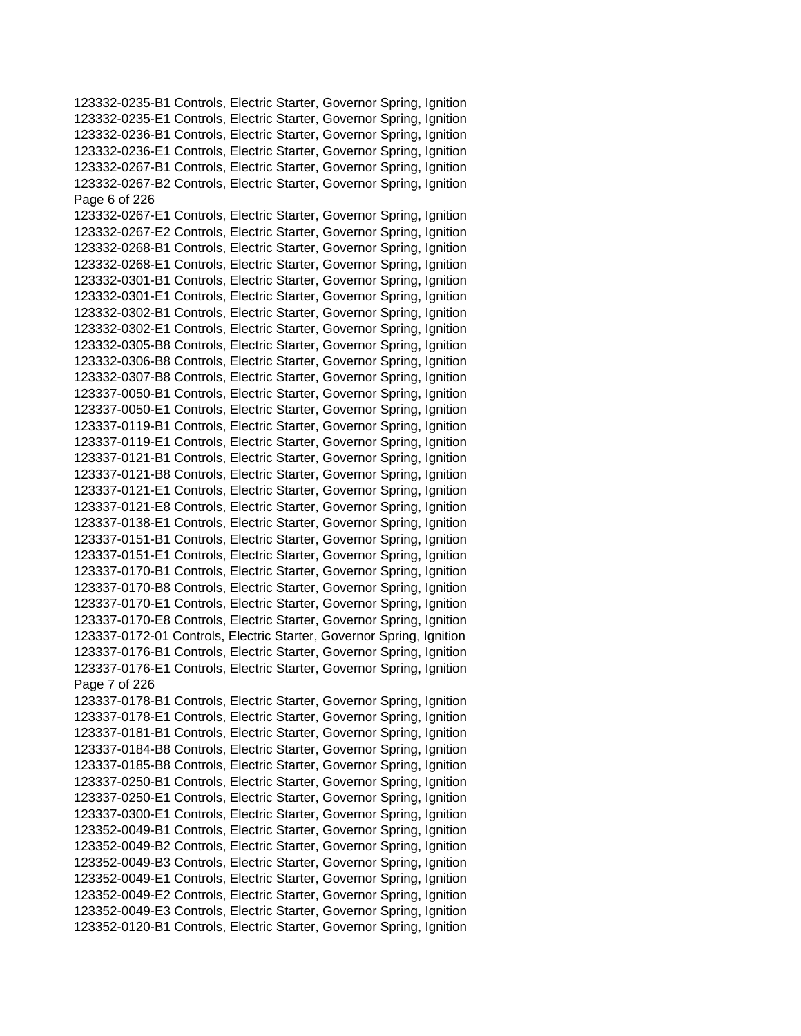123332-0235-B1 Controls, Electric Starter, Governor Spring, Ignition 123332-0235-E1 Controls, Electric Starter, Governor Spring, Ignition 123332-0236-B1 Controls, Electric Starter, Governor Spring, Ignition 123332-0236-E1 Controls, Electric Starter, Governor Spring, Ignition 123332-0267-B1 Controls, Electric Starter, Governor Spring, Ignition 123332-0267-B2 Controls, Electric Starter, Governor Spring, Ignition Page 6 of 226 123332-0267-E1 Controls, Electric Starter, Governor Spring, Ignition 123332-0267-E2 Controls, Electric Starter, Governor Spring, Ignition 123332-0268-B1 Controls, Electric Starter, Governor Spring, Ignition 123332-0268-E1 Controls, Electric Starter, Governor Spring, Ignition 123332-0301-B1 Controls, Electric Starter, Governor Spring, Ignition 123332-0301-E1 Controls, Electric Starter, Governor Spring, Ignition 123332-0302-B1 Controls, Electric Starter, Governor Spring, Ignition 123332-0302-E1 Controls, Electric Starter, Governor Spring, Ignition 123332-0305-B8 Controls, Electric Starter, Governor Spring, Ignition 123332-0306-B8 Controls, Electric Starter, Governor Spring, Ignition 123332-0307-B8 Controls, Electric Starter, Governor Spring, Ignition 123337-0050-B1 Controls, Electric Starter, Governor Spring, Ignition 123337-0050-E1 Controls, Electric Starter, Governor Spring, Ignition 123337-0119-B1 Controls, Electric Starter, Governor Spring, Ignition 123337-0119-E1 Controls, Electric Starter, Governor Spring, Ignition 123337-0121-B1 Controls, Electric Starter, Governor Spring, Ignition 123337-0121-B8 Controls, Electric Starter, Governor Spring, Ignition 123337-0121-E1 Controls, Electric Starter, Governor Spring, Ignition 123337-0121-E8 Controls, Electric Starter, Governor Spring, Ignition 123337-0138-E1 Controls, Electric Starter, Governor Spring, Ignition 123337-0151-B1 Controls, Electric Starter, Governor Spring, Ignition 123337-0151-E1 Controls, Electric Starter, Governor Spring, Ignition 123337-0170-B1 Controls, Electric Starter, Governor Spring, Ignition 123337-0170-B8 Controls, Electric Starter, Governor Spring, Ignition 123337-0170-E1 Controls, Electric Starter, Governor Spring, Ignition 123337-0170-E8 Controls, Electric Starter, Governor Spring, Ignition 123337-0172-01 Controls, Electric Starter, Governor Spring, Ignition 123337-0176-B1 Controls, Electric Starter, Governor Spring, Ignition 123337-0176-E1 Controls, Electric Starter, Governor Spring, Ignition Page 7 of 226 123337-0178-B1 Controls, Electric Starter, Governor Spring, Ignition 123337-0178-E1 Controls, Electric Starter, Governor Spring, Ignition 123337-0181-B1 Controls, Electric Starter, Governor Spring, Ignition 123337-0184-B8 Controls, Electric Starter, Governor Spring, Ignition 123337-0185-B8 Controls, Electric Starter, Governor Spring, Ignition 123337-0250-B1 Controls, Electric Starter, Governor Spring, Ignition 123337-0250-E1 Controls, Electric Starter, Governor Spring, Ignition 123337-0300-E1 Controls, Electric Starter, Governor Spring, Ignition 123352-0049-B1 Controls, Electric Starter, Governor Spring, Ignition 123352-0049-B2 Controls, Electric Starter, Governor Spring, Ignition 123352-0049-B3 Controls, Electric Starter, Governor Spring, Ignition 123352-0049-E1 Controls, Electric Starter, Governor Spring, Ignition 123352-0049-E2 Controls, Electric Starter, Governor Spring, Ignition 123352-0049-E3 Controls, Electric Starter, Governor Spring, Ignition 123352-0120-B1 Controls, Electric Starter, Governor Spring, Ignition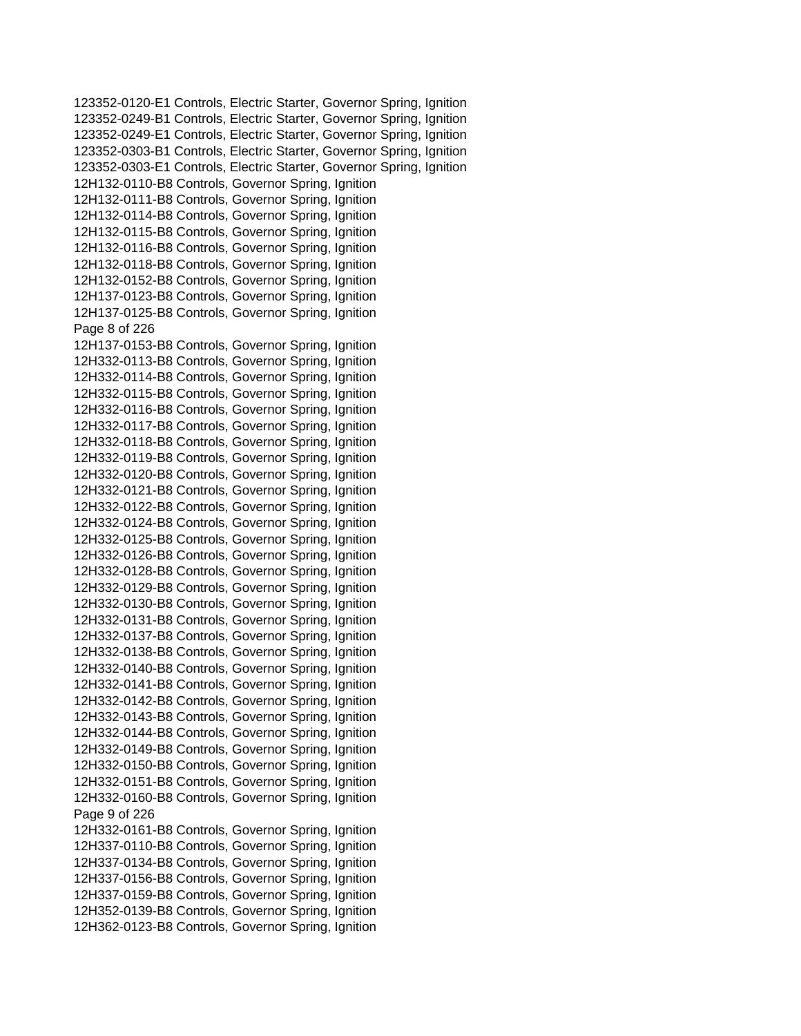123352-0120-E1 Controls, Electric Starter, Governor Spring, Ignition 123352-0249-B1 Controls, Electric Starter, Governor Spring, Ignition 123352-0249-E1 Controls, Electric Starter, Governor Spring, Ignition 123352-0303-B1 Controls, Electric Starter, Governor Spring, Ignition 123352-0303-E1 Controls, Electric Starter, Governor Spring, Ignition 12H132-0110-B8 Controls, Governor Spring, Ignition 12H132-0111-B8 Controls, Governor Spring, Ignition 12H132-0114-B8 Controls, Governor Spring, Ignition 12H132-0115-B8 Controls, Governor Spring, Ignition 12H132-0116-B8 Controls, Governor Spring, Ignition 12H132-0118-B8 Controls, Governor Spring, Ignition 12H132-0152-B8 Controls, Governor Spring, Ignition 12H137-0123-B8 Controls, Governor Spring, Ignition 12H137-0125-B8 Controls, Governor Spring, Ignition Page 8 of 226 12H137-0153-B8 Controls, Governor Spring, Ignition 12H332-0113-B8 Controls, Governor Spring, Ignition 12H332-0114-B8 Controls, Governor Spring, Ignition 12H332-0115-B8 Controls, Governor Spring, Ignition 12H332-0116-B8 Controls, Governor Spring, Ignition 12H332-0117-B8 Controls, Governor Spring, Ignition 12H332-0118-B8 Controls, Governor Spring, Ignition 12H332-0119-B8 Controls, Governor Spring, Ignition 12H332-0120-B8 Controls, Governor Spring, Ignition 12H332-0121-B8 Controls, Governor Spring, Ignition 12H332-0122-B8 Controls, Governor Spring, Ignition 12H332-0124-B8 Controls, Governor Spring, Ignition 12H332-0125-B8 Controls, Governor Spring, Ignition 12H332-0126-B8 Controls, Governor Spring, Ignition 12H332-0128-B8 Controls, Governor Spring, Ignition 12H332-0129-B8 Controls, Governor Spring, Ignition 12H332-0130-B8 Controls, Governor Spring, Ignition 12H332-0131-B8 Controls, Governor Spring, Ignition 12H332-0137-B8 Controls, Governor Spring, Ignition 12H332-0138-B8 Controls, Governor Spring, Ignition 12H332-0140-B8 Controls, Governor Spring, Ignition 12H332-0141-B8 Controls, Governor Spring, Ignition 12H332-0142-B8 Controls, Governor Spring, Ignition 12H332-0143-B8 Controls, Governor Spring, Ignition 12H332-0144-B8 Controls, Governor Spring, Ignition 12H332-0149-B8 Controls, Governor Spring, Ignition 12H332-0150-B8 Controls, Governor Spring, Ignition 12H332-0151-B8 Controls, Governor Spring, Ignition 12H332-0160-B8 Controls, Governor Spring, Ignition Page 9 of 226 12H332-0161-B8 Controls, Governor Spring, Ignition 12H337-0110-B8 Controls, Governor Spring, Ignition 12H337-0134-B8 Controls, Governor Spring, Ignition 12H337-0156-B8 Controls, Governor Spring, Ignition 12H337-0159-B8 Controls, Governor Spring, Ignition 12H352-0139-B8 Controls, Governor Spring, Ignition 12H362-0123-B8 Controls, Governor Spring, Ignition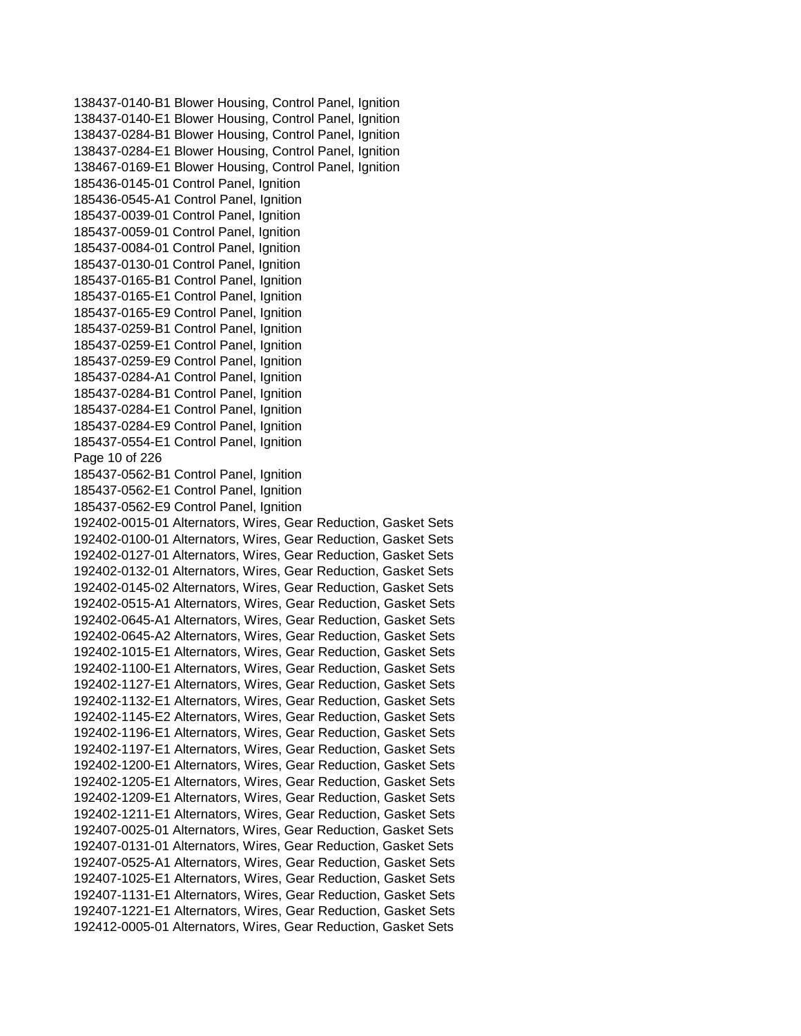138437-0140-B1 Blower Housing, Control Panel, Ignition 138437-0140-E1 Blower Housing, Control Panel, Ignition 138437-0284-B1 Blower Housing, Control Panel, Ignition 138437-0284-E1 Blower Housing, Control Panel, Ignition 138467-0169-E1 Blower Housing, Control Panel, Ignition 185436-0145-01 Control Panel, Ignition 185436-0545-A1 Control Panel, Ignition 185437-0039-01 Control Panel, Ignition 185437-0059-01 Control Panel, Ignition 185437-0084-01 Control Panel, Ignition 185437-0130-01 Control Panel, Ignition 185437-0165-B1 Control Panel, Ignition 185437-0165-E1 Control Panel, Ignition 185437-0165-E9 Control Panel, Ignition 185437-0259-B1 Control Panel, Ignition 185437-0259-E1 Control Panel, Ignition 185437-0259-E9 Control Panel, Ignition 185437-0284-A1 Control Panel, Ignition 185437-0284-B1 Control Panel, Ignition 185437-0284-E1 Control Panel, Ignition 185437-0284-E9 Control Panel, Ignition 185437-0554-E1 Control Panel, Ignition Page 10 of 226 185437-0562-B1 Control Panel, Ignition 185437-0562-E1 Control Panel, Ignition 185437-0562-E9 Control Panel, Ignition 192402-0015-01 Alternators, Wires, Gear Reduction, Gasket Sets 192402-0100-01 Alternators, Wires, Gear Reduction, Gasket Sets 192402-0127-01 Alternators, Wires, Gear Reduction, Gasket Sets 192402-0132-01 Alternators, Wires, Gear Reduction, Gasket Sets 192402-0145-02 Alternators, Wires, Gear Reduction, Gasket Sets 192402-0515-A1 Alternators, Wires, Gear Reduction, Gasket Sets 192402-0645-A1 Alternators, Wires, Gear Reduction, Gasket Sets 192402-0645-A2 Alternators, Wires, Gear Reduction, Gasket Sets 192402-1015-E1 Alternators, Wires, Gear Reduction, Gasket Sets 192402-1100-E1 Alternators, Wires, Gear Reduction, Gasket Sets 192402-1127-E1 Alternators, Wires, Gear Reduction, Gasket Sets 192402-1132-E1 Alternators, Wires, Gear Reduction, Gasket Sets 192402-1145-E2 Alternators, Wires, Gear Reduction, Gasket Sets 192402-1196-E1 Alternators, Wires, Gear Reduction, Gasket Sets 192402-1197-E1 Alternators, Wires, Gear Reduction, Gasket Sets 192402-1200-E1 Alternators, Wires, Gear Reduction, Gasket Sets 192402-1205-E1 Alternators, Wires, Gear Reduction, Gasket Sets 192402-1209-E1 Alternators, Wires, Gear Reduction, Gasket Sets 192402-1211-E1 Alternators, Wires, Gear Reduction, Gasket Sets 192407-0025-01 Alternators, Wires, Gear Reduction, Gasket Sets 192407-0131-01 Alternators, Wires, Gear Reduction, Gasket Sets 192407-0525-A1 Alternators, Wires, Gear Reduction, Gasket Sets 192407-1025-E1 Alternators, Wires, Gear Reduction, Gasket Sets 192407-1131-E1 Alternators, Wires, Gear Reduction, Gasket Sets 192407-1221-E1 Alternators, Wires, Gear Reduction, Gasket Sets 192412-0005-01 Alternators, Wires, Gear Reduction, Gasket Sets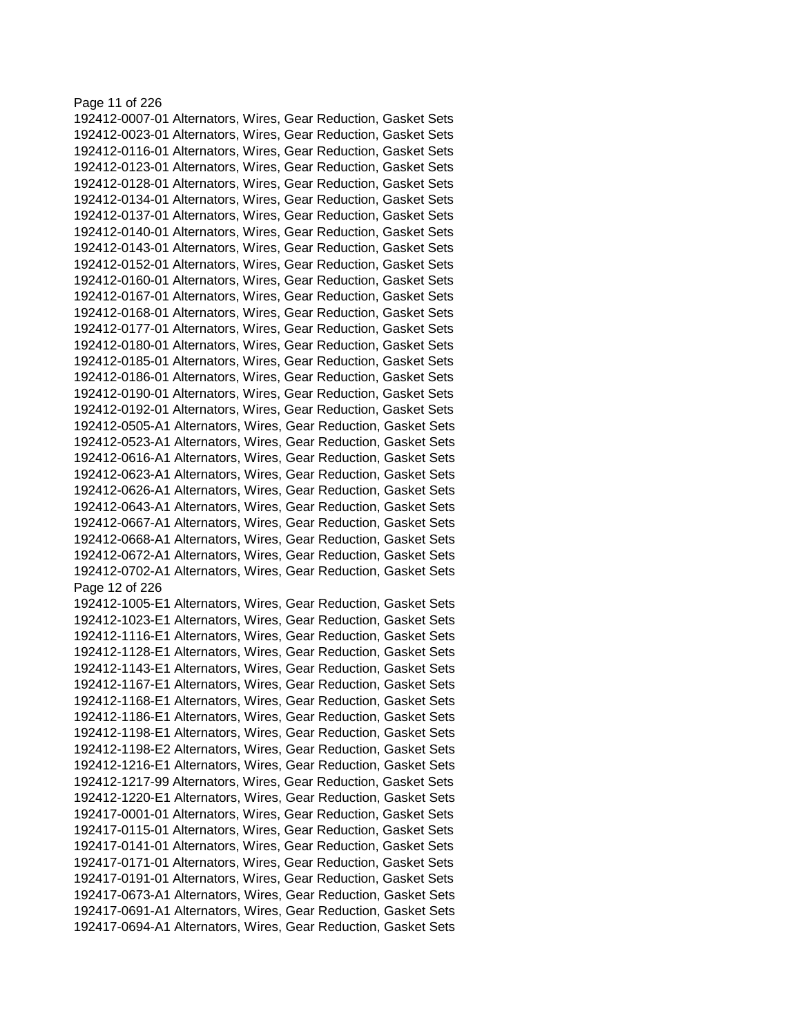## Page 11 of 226

192412-0007-01 Alternators, Wires, Gear Reduction, Gasket Sets 192412-0023-01 Alternators, Wires, Gear Reduction, Gasket Sets 192412-0116-01 Alternators, Wires, Gear Reduction, Gasket Sets 192412-0123-01 Alternators, Wires, Gear Reduction, Gasket Sets 192412-0128-01 Alternators, Wires, Gear Reduction, Gasket Sets 192412-0134-01 Alternators, Wires, Gear Reduction, Gasket Sets 192412-0137-01 Alternators, Wires, Gear Reduction, Gasket Sets 192412-0140-01 Alternators, Wires, Gear Reduction, Gasket Sets 192412-0143-01 Alternators, Wires, Gear Reduction, Gasket Sets 192412-0152-01 Alternators, Wires, Gear Reduction, Gasket Sets 192412-0160-01 Alternators, Wires, Gear Reduction, Gasket Sets 192412-0167-01 Alternators, Wires, Gear Reduction, Gasket Sets 192412-0168-01 Alternators, Wires, Gear Reduction, Gasket Sets 192412-0177-01 Alternators, Wires, Gear Reduction, Gasket Sets 192412-0180-01 Alternators, Wires, Gear Reduction, Gasket Sets 192412-0185-01 Alternators, Wires, Gear Reduction, Gasket Sets 192412-0186-01 Alternators, Wires, Gear Reduction, Gasket Sets 192412-0190-01 Alternators, Wires, Gear Reduction, Gasket Sets 192412-0192-01 Alternators, Wires, Gear Reduction, Gasket Sets 192412-0505-A1 Alternators, Wires, Gear Reduction, Gasket Sets 192412-0523-A1 Alternators, Wires, Gear Reduction, Gasket Sets 192412-0616-A1 Alternators, Wires, Gear Reduction, Gasket Sets 192412-0623-A1 Alternators, Wires, Gear Reduction, Gasket Sets 192412-0626-A1 Alternators, Wires, Gear Reduction, Gasket Sets 192412-0643-A1 Alternators, Wires, Gear Reduction, Gasket Sets 192412-0667-A1 Alternators, Wires, Gear Reduction, Gasket Sets 192412-0668-A1 Alternators, Wires, Gear Reduction, Gasket Sets 192412-0672-A1 Alternators, Wires, Gear Reduction, Gasket Sets 192412-0702-A1 Alternators, Wires, Gear Reduction, Gasket Sets Page 12 of 226 192412-1005-E1 Alternators, Wires, Gear Reduction, Gasket Sets 192412-1023-E1 Alternators, Wires, Gear Reduction, Gasket Sets 192412-1116-E1 Alternators, Wires, Gear Reduction, Gasket Sets 192412-1128-E1 Alternators, Wires, Gear Reduction, Gasket Sets 192412-1143-E1 Alternators, Wires, Gear Reduction, Gasket Sets 192412-1167-E1 Alternators, Wires, Gear Reduction, Gasket Sets 192412-1168-E1 Alternators, Wires, Gear Reduction, Gasket Sets 192412-1186-E1 Alternators, Wires, Gear Reduction, Gasket Sets 192412-1198-E1 Alternators, Wires, Gear Reduction, Gasket Sets 192412-1198-E2 Alternators, Wires, Gear Reduction, Gasket Sets 192412-1216-E1 Alternators, Wires, Gear Reduction, Gasket Sets 192412-1217-99 Alternators, Wires, Gear Reduction, Gasket Sets 192412-1220-E1 Alternators, Wires, Gear Reduction, Gasket Sets 192417-0001-01 Alternators, Wires, Gear Reduction, Gasket Sets 192417-0115-01 Alternators, Wires, Gear Reduction, Gasket Sets 192417-0141-01 Alternators, Wires, Gear Reduction, Gasket Sets 192417-0171-01 Alternators, Wires, Gear Reduction, Gasket Sets 192417-0191-01 Alternators, Wires, Gear Reduction, Gasket Sets 192417-0673-A1 Alternators, Wires, Gear Reduction, Gasket Sets 192417-0691-A1 Alternators, Wires, Gear Reduction, Gasket Sets 192417-0694-A1 Alternators, Wires, Gear Reduction, Gasket Sets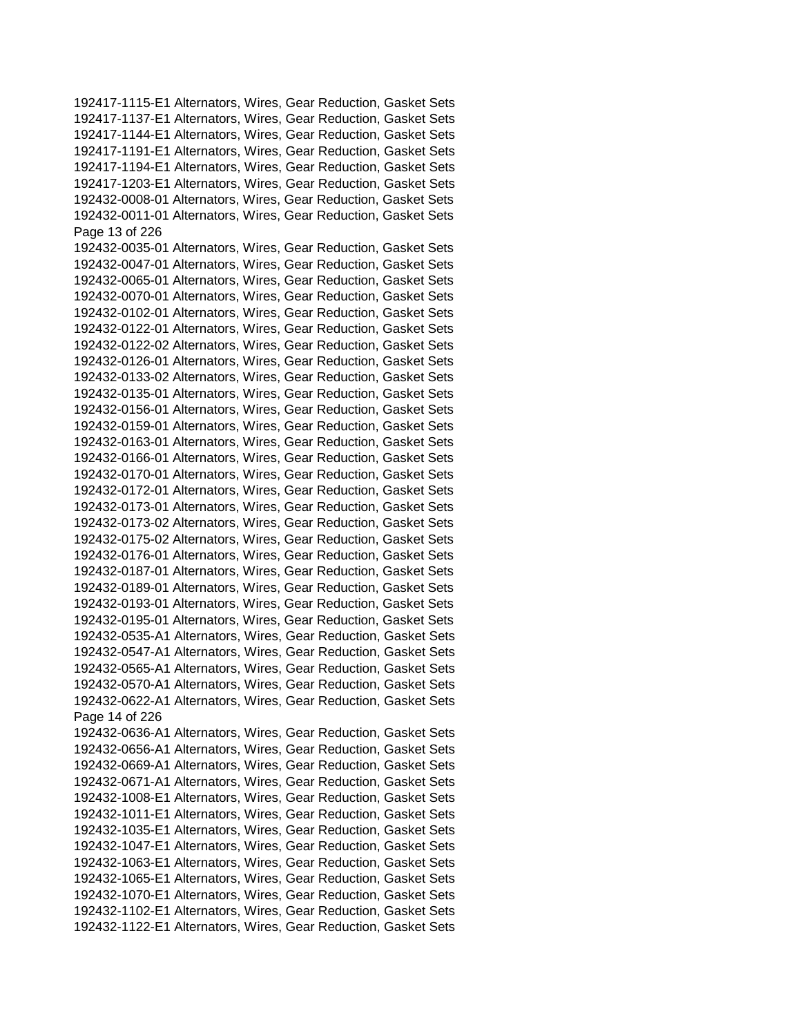192417-1115-E1 Alternators, Wires, Gear Reduction, Gasket Sets 192417-1137-E1 Alternators, Wires, Gear Reduction, Gasket Sets 192417-1144-E1 Alternators, Wires, Gear Reduction, Gasket Sets 192417-1191-E1 Alternators, Wires, Gear Reduction, Gasket Sets 192417-1194-E1 Alternators, Wires, Gear Reduction, Gasket Sets 192417-1203-E1 Alternators, Wires, Gear Reduction, Gasket Sets 192432-0008-01 Alternators, Wires, Gear Reduction, Gasket Sets 192432-0011-01 Alternators, Wires, Gear Reduction, Gasket Sets Page 13 of 226 192432-0035-01 Alternators, Wires, Gear Reduction, Gasket Sets 192432-0047-01 Alternators, Wires, Gear Reduction, Gasket Sets 192432-0065-01 Alternators, Wires, Gear Reduction, Gasket Sets 192432-0070-01 Alternators, Wires, Gear Reduction, Gasket Sets 192432-0102-01 Alternators, Wires, Gear Reduction, Gasket Sets 192432-0122-01 Alternators, Wires, Gear Reduction, Gasket Sets 192432-0122-02 Alternators, Wires, Gear Reduction, Gasket Sets 192432-0126-01 Alternators, Wires, Gear Reduction, Gasket Sets 192432-0133-02 Alternators, Wires, Gear Reduction, Gasket Sets 192432-0135-01 Alternators, Wires, Gear Reduction, Gasket Sets 192432-0156-01 Alternators, Wires, Gear Reduction, Gasket Sets 192432-0159-01 Alternators, Wires, Gear Reduction, Gasket Sets 192432-0163-01 Alternators, Wires, Gear Reduction, Gasket Sets 192432-0166-01 Alternators, Wires, Gear Reduction, Gasket Sets 192432-0170-01 Alternators, Wires, Gear Reduction, Gasket Sets 192432-0172-01 Alternators, Wires, Gear Reduction, Gasket Sets 192432-0173-01 Alternators, Wires, Gear Reduction, Gasket Sets 192432-0173-02 Alternators, Wires, Gear Reduction, Gasket Sets 192432-0175-02 Alternators, Wires, Gear Reduction, Gasket Sets 192432-0176-01 Alternators, Wires, Gear Reduction, Gasket Sets 192432-0187-01 Alternators, Wires, Gear Reduction, Gasket Sets 192432-0189-01 Alternators, Wires, Gear Reduction, Gasket Sets 192432-0193-01 Alternators, Wires, Gear Reduction, Gasket Sets 192432-0195-01 Alternators, Wires, Gear Reduction, Gasket Sets 192432-0535-A1 Alternators, Wires, Gear Reduction, Gasket Sets 192432-0547-A1 Alternators, Wires, Gear Reduction, Gasket Sets 192432-0565-A1 Alternators, Wires, Gear Reduction, Gasket Sets 192432-0570-A1 Alternators, Wires, Gear Reduction, Gasket Sets 192432-0622-A1 Alternators, Wires, Gear Reduction, Gasket Sets Page 14 of 226 192432-0636-A1 Alternators, Wires, Gear Reduction, Gasket Sets 192432-0656-A1 Alternators, Wires, Gear Reduction, Gasket Sets 192432-0669-A1 Alternators, Wires, Gear Reduction, Gasket Sets 192432-0671-A1 Alternators, Wires, Gear Reduction, Gasket Sets 192432-1008-E1 Alternators, Wires, Gear Reduction, Gasket Sets 192432-1011-E1 Alternators, Wires, Gear Reduction, Gasket Sets 192432-1035-E1 Alternators, Wires, Gear Reduction, Gasket Sets 192432-1047-E1 Alternators, Wires, Gear Reduction, Gasket Sets 192432-1063-E1 Alternators, Wires, Gear Reduction, Gasket Sets 192432-1065-E1 Alternators, Wires, Gear Reduction, Gasket Sets 192432-1070-E1 Alternators, Wires, Gear Reduction, Gasket Sets 192432-1102-E1 Alternators, Wires, Gear Reduction, Gasket Sets 192432-1122-E1 Alternators, Wires, Gear Reduction, Gasket Sets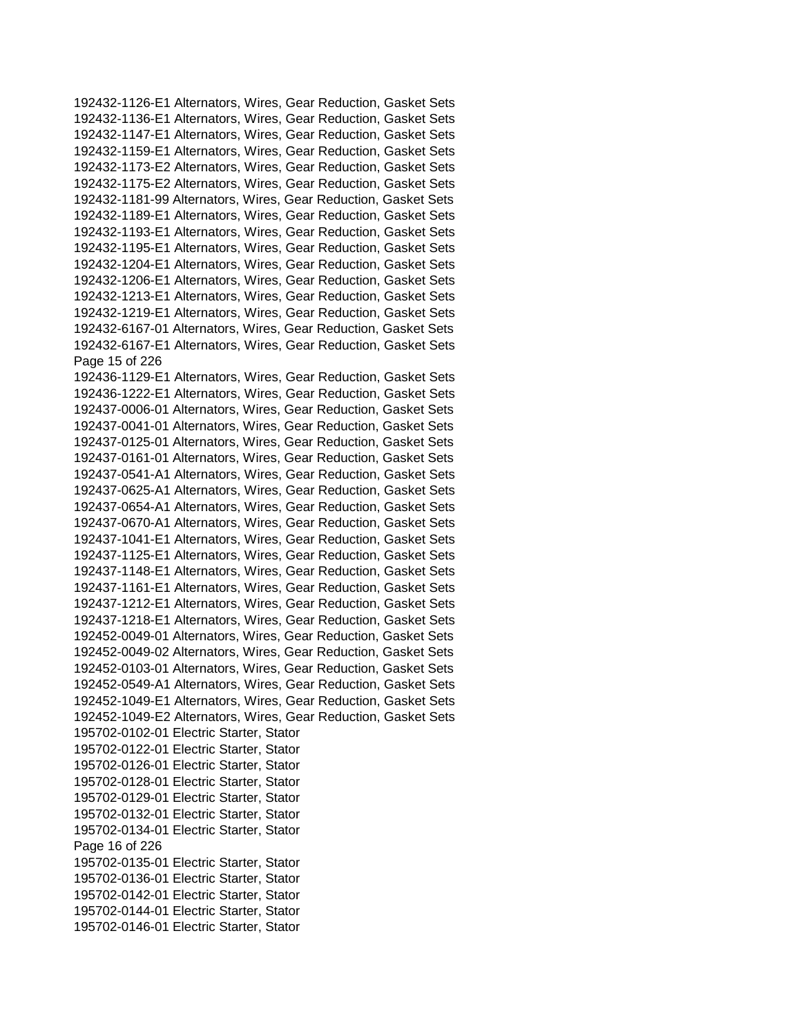192432-1126-E1 Alternators, Wires, Gear Reduction, Gasket Sets 192432-1136-E1 Alternators, Wires, Gear Reduction, Gasket Sets 192432-1147-E1 Alternators, Wires, Gear Reduction, Gasket Sets 192432-1159-E1 Alternators, Wires, Gear Reduction, Gasket Sets 192432-1173-E2 Alternators, Wires, Gear Reduction, Gasket Sets 192432-1175-E2 Alternators, Wires, Gear Reduction, Gasket Sets 192432-1181-99 Alternators, Wires, Gear Reduction, Gasket Sets 192432-1189-E1 Alternators, Wires, Gear Reduction, Gasket Sets 192432-1193-E1 Alternators, Wires, Gear Reduction, Gasket Sets 192432-1195-E1 Alternators, Wires, Gear Reduction, Gasket Sets 192432-1204-E1 Alternators, Wires, Gear Reduction, Gasket Sets 192432-1206-E1 Alternators, Wires, Gear Reduction, Gasket Sets 192432-1213-E1 Alternators, Wires, Gear Reduction, Gasket Sets 192432-1219-E1 Alternators, Wires, Gear Reduction, Gasket Sets 192432-6167-01 Alternators, Wires, Gear Reduction, Gasket Sets 192432-6167-E1 Alternators, Wires, Gear Reduction, Gasket Sets Page 15 of 226 192436-1129-E1 Alternators, Wires, Gear Reduction, Gasket Sets 192436-1222-E1 Alternators, Wires, Gear Reduction, Gasket Sets 192437-0006-01 Alternators, Wires, Gear Reduction, Gasket Sets 192437-0041-01 Alternators, Wires, Gear Reduction, Gasket Sets 192437-0125-01 Alternators, Wires, Gear Reduction, Gasket Sets 192437-0161-01 Alternators, Wires, Gear Reduction, Gasket Sets 192437-0541-A1 Alternators, Wires, Gear Reduction, Gasket Sets 192437-0625-A1 Alternators, Wires, Gear Reduction, Gasket Sets 192437-0654-A1 Alternators, Wires, Gear Reduction, Gasket Sets 192437-0670-A1 Alternators, Wires, Gear Reduction, Gasket Sets 192437-1041-E1 Alternators, Wires, Gear Reduction, Gasket Sets 192437-1125-E1 Alternators, Wires, Gear Reduction, Gasket Sets 192437-1148-E1 Alternators, Wires, Gear Reduction, Gasket Sets 192437-1161-E1 Alternators, Wires, Gear Reduction, Gasket Sets 192437-1212-E1 Alternators, Wires, Gear Reduction, Gasket Sets 192437-1218-E1 Alternators, Wires, Gear Reduction, Gasket Sets 192452-0049-01 Alternators, Wires, Gear Reduction, Gasket Sets 192452-0049-02 Alternators, Wires, Gear Reduction, Gasket Sets 192452-0103-01 Alternators, Wires, Gear Reduction, Gasket Sets 192452-0549-A1 Alternators, Wires, Gear Reduction, Gasket Sets 192452-1049-E1 Alternators, Wires, Gear Reduction, Gasket Sets 192452-1049-E2 Alternators, Wires, Gear Reduction, Gasket Sets 195702-0102-01 Electric Starter, Stator 195702-0122-01 Electric Starter, Stator 195702-0126-01 Electric Starter, Stator 195702-0128-01 Electric Starter, Stator 195702-0129-01 Electric Starter, Stator 195702-0132-01 Electric Starter, Stator 195702-0134-01 Electric Starter, Stator Page 16 of 226 195702-0135-01 Electric Starter, Stator 195702-0136-01 Electric Starter, Stator 195702-0142-01 Electric Starter, Stator 195702-0144-01 Electric Starter, Stator 195702-0146-01 Electric Starter, Stator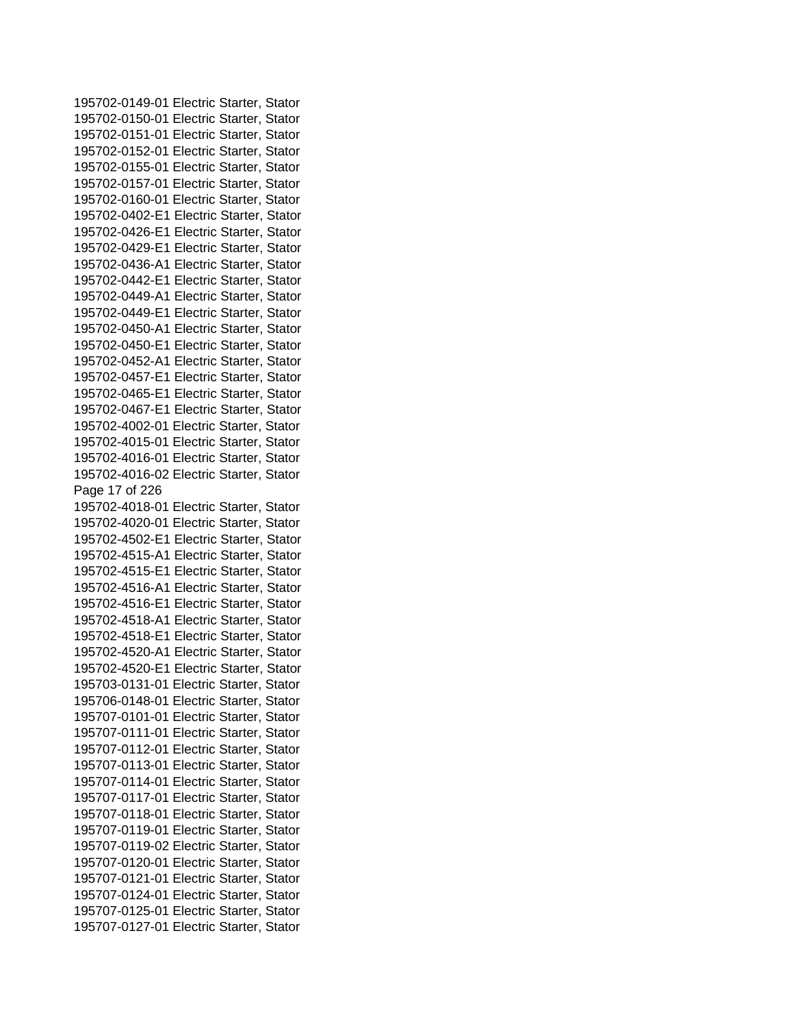195702-0149-01 Electric Starter, Stator 195702-0150-01 Electric Starter, Stator 195702-0151-01 Electric Starter, Stator 195702-0152-01 Electric Starter, Stator 195702-0155-01 Electric Starter, Stator 195702-0157-01 Electric Starter, Stator 195702-0160-01 Electric Starter, Stator 195702-0402-E1 Electric Starter, Stator 195702-0426-E1 Electric Starter, Stator 195702-0429-E1 Electric Starter, Stator 195702-0436-A1 Electric Starter, Stator 195702-0442-E1 Electric Starter, Stator 195702-0449-A1 Electric Starter, Stator 195702-0449-E1 Electric Starter, Stator 195702-0450-A1 Electric Starter, Stator 195702-0450-E1 Electric Starter, Stator 195702-0452-A1 Electric Starter, Stator 195702-0457-E1 Electric Starter, Stator 195702-0465-E1 Electric Starter, Stator 195702-0467-E1 Electric Starter, Stator 195702-4002-01 Electric Starter, Stator 195702-4015-01 Electric Starter, Stator 195702-4016-01 Electric Starter, Stator 195702-4016-02 Electric Starter, Stator Page 17 of 226 195702-4018-01 Electric Starter, Stator 195702-4020-01 Electric Starter, Stator 195702-4502-E1 Electric Starter, Stator 195702-4515-A1 Electric Starter, Stator 195702-4515-E1 Electric Starter, Stator 195702-4516-A1 Electric Starter, Stator 195702-4516-E1 Electric Starter, Stator 195702-4518-A1 Electric Starter, Stator 195702-4518-E1 Electric Starter, Stator 195702-4520-A1 Electric Starter, Stator 195702-4520-E1 Electric Starter, Stator 195703-0131-01 Electric Starter, Stator 195706-0148-01 Electric Starter, Stator 195707-0101-01 Electric Starter, Stator 195707-0111-01 Electric Starter, Stator 195707-0112-01 Electric Starter, Stator 195707-0113-01 Electric Starter, Stator 195707-0114-01 Electric Starter, Stator 195707-0117-01 Electric Starter, Stator 195707-0118-01 Electric Starter, Stator 195707-0119-01 Electric Starter, Stator 195707-0119-02 Electric Starter, Stator 195707-0120-01 Electric Starter, Stator 195707-0121-01 Electric Starter, Stator 195707-0124-01 Electric Starter, Stator 195707-0125-01 Electric Starter, Stator 195707-0127-01 Electric Starter, Stator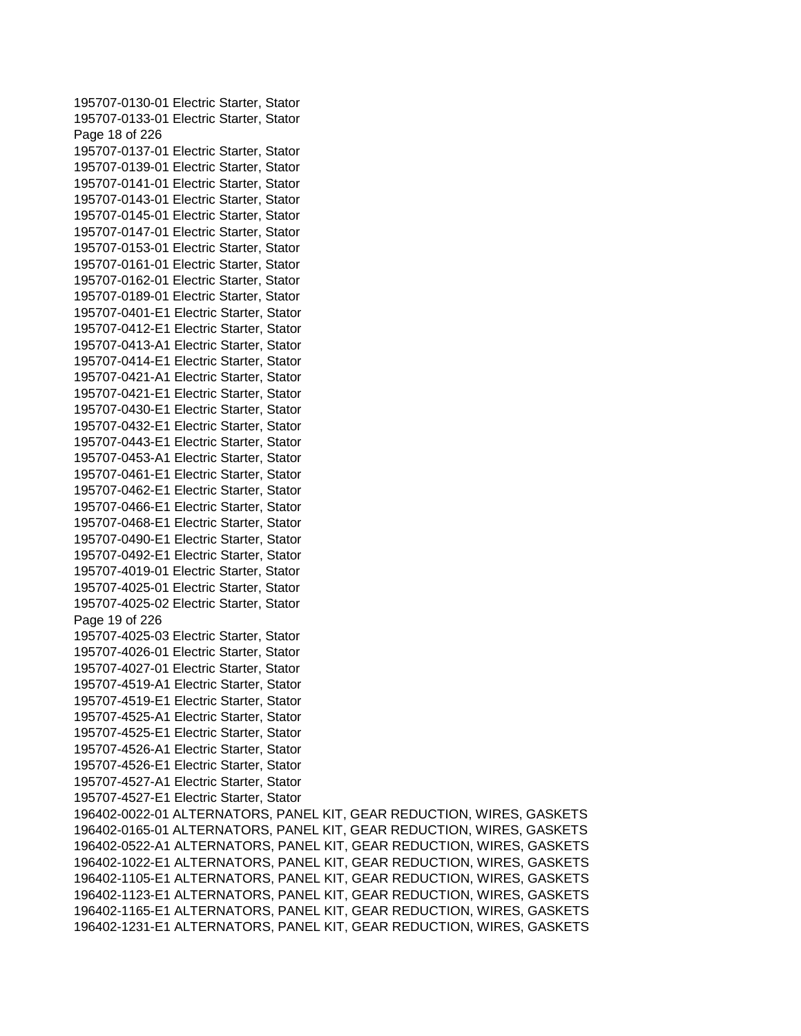195707-0130-01 Electric Starter, Stator 195707-0133-01 Electric Starter, Stator Page 18 of 226 195707-0137-01 Electric Starter, Stator 195707-0139-01 Electric Starter, Stator 195707-0141-01 Electric Starter, Stator 195707-0143-01 Electric Starter, Stator 195707-0145-01 Electric Starter, Stator 195707-0147-01 Electric Starter, Stator 195707-0153-01 Electric Starter, Stator 195707-0161-01 Electric Starter, Stator 195707-0162-01 Electric Starter, Stator 195707-0189-01 Electric Starter, Stator 195707-0401-E1 Electric Starter, Stator 195707-0412-E1 Electric Starter, Stator 195707-0413-A1 Electric Starter, Stator 195707-0414-E1 Electric Starter, Stator 195707-0421-A1 Electric Starter, Stator 195707-0421-E1 Electric Starter, Stator 195707-0430-E1 Electric Starter, Stator 195707-0432-E1 Electric Starter, Stator 195707-0443-E1 Electric Starter, Stator 195707-0453-A1 Electric Starter, Stator 195707-0461-E1 Electric Starter, Stator 195707-0462-E1 Electric Starter, Stator 195707-0466-E1 Electric Starter, Stator 195707-0468-E1 Electric Starter, Stator 195707-0490-E1 Electric Starter, Stator 195707-0492-E1 Electric Starter, Stator 195707-4019-01 Electric Starter, Stator 195707-4025-01 Electric Starter, Stator 195707-4025-02 Electric Starter, Stator Page 19 of 226 195707-4025-03 Electric Starter, Stator 195707-4026-01 Electric Starter, Stator 195707-4027-01 Electric Starter, Stator 195707-4519-A1 Electric Starter, Stator 195707-4519-E1 Electric Starter, Stator 195707-4525-A1 Electric Starter, Stator 195707-4525-E1 Electric Starter, Stator 195707-4526-A1 Electric Starter, Stator 195707-4526-E1 Electric Starter, Stator 195707-4527-A1 Electric Starter, Stator 195707-4527-E1 Electric Starter, Stator 196402-0022-01 ALTERNATORS, PANEL KIT, GEAR REDUCTION, WIRES, GASKETS 196402-0165-01 ALTERNATORS, PANEL KIT, GEAR REDUCTION, WIRES, GASKETS 196402-0522-A1 ALTERNATORS, PANEL KIT, GEAR REDUCTION, WIRES, GASKETS 196402-1022-E1 ALTERNATORS, PANEL KIT, GEAR REDUCTION, WIRES, GASKETS 196402-1105-E1 ALTERNATORS, PANEL KIT, GEAR REDUCTION, WIRES, GASKETS 196402-1123-E1 ALTERNATORS, PANEL KIT, GEAR REDUCTION, WIRES, GASKETS 196402-1165-E1 ALTERNATORS, PANEL KIT, GEAR REDUCTION, WIRES, GASKETS 196402-1231-E1 ALTERNATORS, PANEL KIT, GEAR REDUCTION, WIRES, GASKETS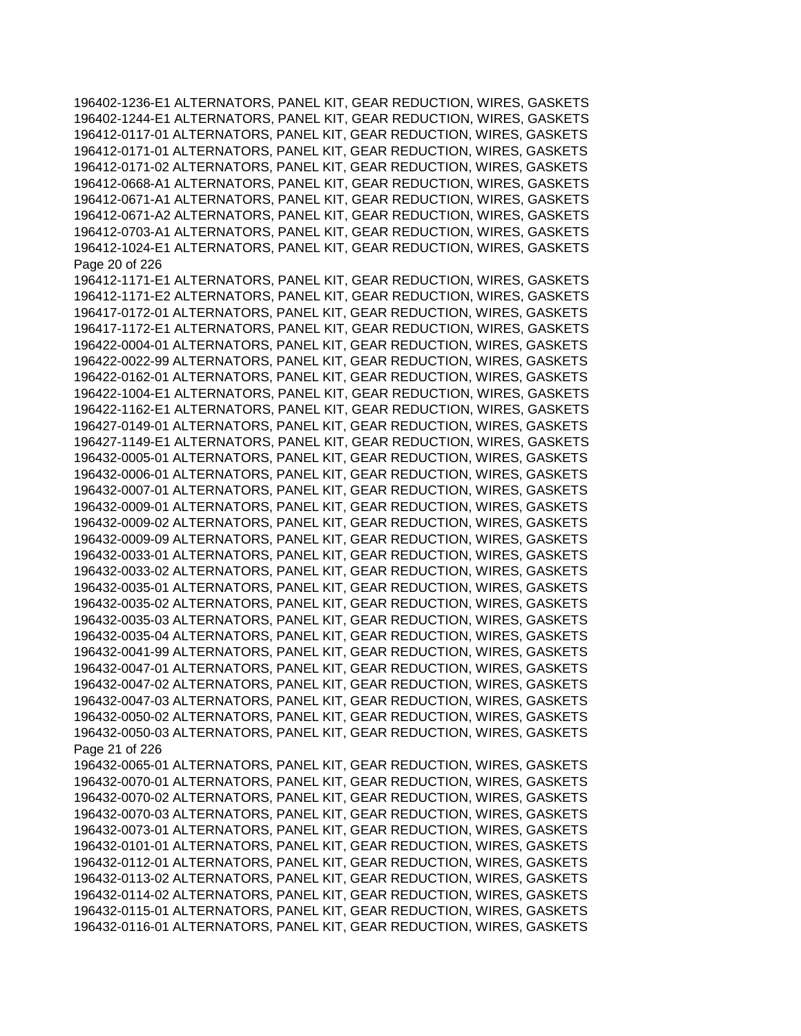196402-1236-E1 ALTERNATORS, PANEL KIT, GEAR REDUCTION, WIRES, GASKETS 196402-1244-E1 ALTERNATORS, PANEL KIT, GEAR REDUCTION, WIRES, GASKETS 196412-0117-01 ALTERNATORS, PANEL KIT, GEAR REDUCTION, WIRES, GASKETS 196412-0171-01 ALTERNATORS, PANEL KIT, GEAR REDUCTION, WIRES, GASKETS 196412-0171-02 ALTERNATORS, PANEL KIT, GEAR REDUCTION, WIRES, GASKETS 196412-0668-A1 ALTERNATORS, PANEL KIT, GEAR REDUCTION, WIRES, GASKETS 196412-0671-A1 ALTERNATORS, PANEL KIT, GEAR REDUCTION, WIRES, GASKETS 196412-0671-A2 ALTERNATORS, PANEL KIT, GEAR REDUCTION, WIRES, GASKETS 196412-0703-A1 ALTERNATORS, PANEL KIT, GEAR REDUCTION, WIRES, GASKETS 196412-1024-E1 ALTERNATORS, PANEL KIT, GEAR REDUCTION, WIRES, GASKETS Page 20 of 226 196412-1171-E1 ALTERNATORS, PANEL KIT, GEAR REDUCTION, WIRES, GASKETS 196412-1171-E2 ALTERNATORS, PANEL KIT, GEAR REDUCTION, WIRES, GASKETS 196417-0172-01 ALTERNATORS, PANEL KIT, GEAR REDUCTION, WIRES, GASKETS 196417-1172-E1 ALTERNATORS, PANEL KIT, GEAR REDUCTION, WIRES, GASKETS 196422-0004-01 ALTERNATORS, PANEL KIT, GEAR REDUCTION, WIRES, GASKETS 196422-0022-99 ALTERNATORS, PANEL KIT, GEAR REDUCTION, WIRES, GASKETS 196422-0162-01 ALTERNATORS, PANEL KIT, GEAR REDUCTION, WIRES, GASKETS 196422-1004-E1 ALTERNATORS, PANEL KIT, GEAR REDUCTION, WIRES, GASKETS 196422-1162-E1 ALTERNATORS, PANEL KIT, GEAR REDUCTION, WIRES, GASKETS 196427-0149-01 ALTERNATORS, PANEL KIT, GEAR REDUCTION, WIRES, GASKETS 196427-1149-E1 ALTERNATORS, PANEL KIT, GEAR REDUCTION, WIRES, GASKETS 196432-0005-01 ALTERNATORS, PANEL KIT, GEAR REDUCTION, WIRES, GASKETS 196432-0006-01 ALTERNATORS, PANEL KIT, GEAR REDUCTION, WIRES, GASKETS 196432-0007-01 ALTERNATORS, PANEL KIT, GEAR REDUCTION, WIRES, GASKETS 196432-0009-01 ALTERNATORS, PANEL KIT, GEAR REDUCTION, WIRES, GASKETS 196432-0009-02 ALTERNATORS, PANEL KIT, GEAR REDUCTION, WIRES, GASKETS 196432-0009-09 ALTERNATORS, PANEL KIT, GEAR REDUCTION, WIRES, GASKETS 196432-0033-01 ALTERNATORS, PANEL KIT, GEAR REDUCTION, WIRES, GASKETS 196432-0033-02 ALTERNATORS, PANEL KIT, GEAR REDUCTION, WIRES, GASKETS 196432-0035-01 ALTERNATORS, PANEL KIT, GEAR REDUCTION, WIRES, GASKETS 196432-0035-02 ALTERNATORS, PANEL KIT, GEAR REDUCTION, WIRES, GASKETS 196432-0035-03 ALTERNATORS, PANEL KIT, GEAR REDUCTION, WIRES, GASKETS 196432-0035-04 ALTERNATORS, PANEL KIT, GEAR REDUCTION, WIRES, GASKETS 196432-0041-99 ALTERNATORS, PANEL KIT, GEAR REDUCTION, WIRES, GASKETS 196432-0047-01 ALTERNATORS, PANEL KIT, GEAR REDUCTION, WIRES, GASKETS 196432-0047-02 ALTERNATORS, PANEL KIT, GEAR REDUCTION, WIRES, GASKETS 196432-0047-03 ALTERNATORS, PANEL KIT, GEAR REDUCTION, WIRES, GASKETS 196432-0050-02 ALTERNATORS, PANEL KIT, GEAR REDUCTION, WIRES, GASKETS 196432-0050-03 ALTERNATORS, PANEL KIT, GEAR REDUCTION, WIRES, GASKETS Page 21 of 226 196432-0065-01 ALTERNATORS, PANEL KIT, GEAR REDUCTION, WIRES, GASKETS 196432-0070-01 ALTERNATORS, PANEL KIT, GEAR REDUCTION, WIRES, GASKETS 196432-0070-02 ALTERNATORS, PANEL KIT, GEAR REDUCTION, WIRES, GASKETS 196432-0070-03 ALTERNATORS, PANEL KIT, GEAR REDUCTION, WIRES, GASKETS 196432-0073-01 ALTERNATORS, PANEL KIT, GEAR REDUCTION, WIRES, GASKETS 196432-0101-01 ALTERNATORS, PANEL KIT, GEAR REDUCTION, WIRES, GASKETS 196432-0112-01 ALTERNATORS, PANEL KIT, GEAR REDUCTION, WIRES, GASKETS 196432-0113-02 ALTERNATORS, PANEL KIT, GEAR REDUCTION, WIRES, GASKETS 196432-0114-02 ALTERNATORS, PANEL KIT, GEAR REDUCTION, WIRES, GASKETS 196432-0115-01 ALTERNATORS, PANEL KIT, GEAR REDUCTION, WIRES, GASKETS 196432-0116-01 ALTERNATORS, PANEL KIT, GEAR REDUCTION, WIRES, GASKETS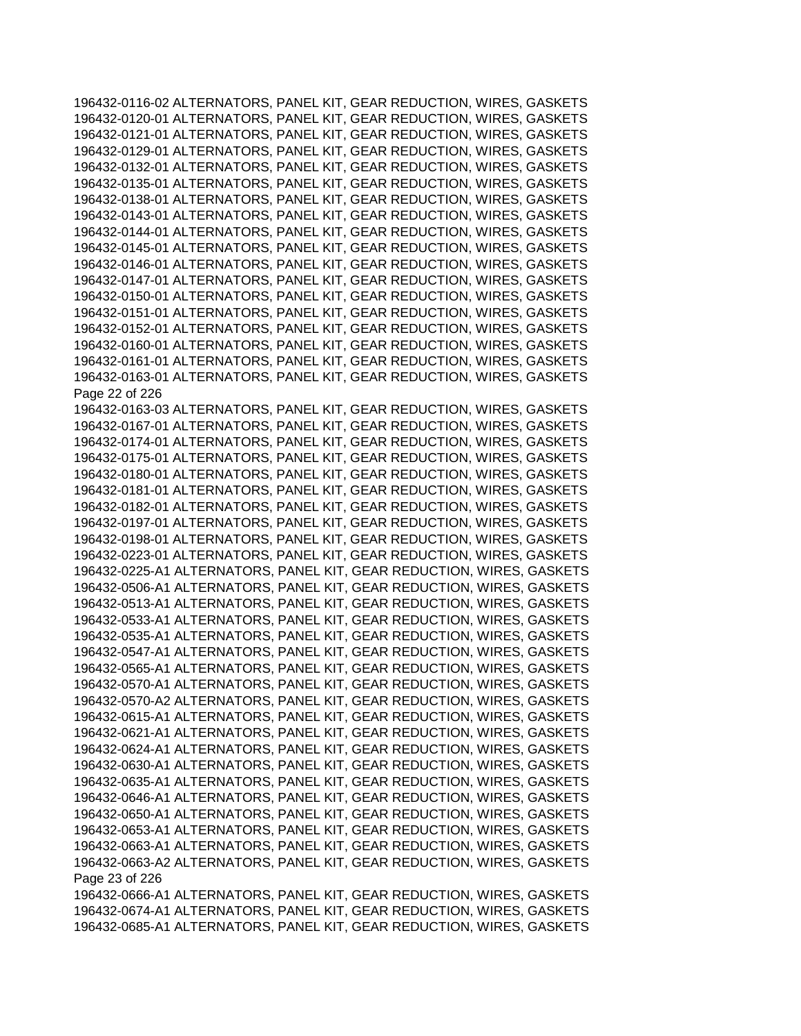196432-0116-02 ALTERNATORS, PANEL KIT, GEAR REDUCTION, WIRES, GASKETS 196432-0120-01 ALTERNATORS, PANEL KIT, GEAR REDUCTION, WIRES, GASKETS 196432-0121-01 ALTERNATORS, PANEL KIT, GEAR REDUCTION, WIRES, GASKETS 196432-0129-01 ALTERNATORS, PANEL KIT, GEAR REDUCTION, WIRES, GASKETS 196432-0132-01 ALTERNATORS, PANEL KIT, GEAR REDUCTION, WIRES, GASKETS 196432-0135-01 ALTERNATORS, PANEL KIT, GEAR REDUCTION, WIRES, GASKETS 196432-0138-01 ALTERNATORS, PANEL KIT, GEAR REDUCTION, WIRES, GASKETS 196432-0143-01 ALTERNATORS, PANEL KIT, GEAR REDUCTION, WIRES, GASKETS 196432-0144-01 ALTERNATORS, PANEL KIT, GEAR REDUCTION, WIRES, GASKETS 196432-0145-01 ALTERNATORS, PANEL KIT, GEAR REDUCTION, WIRES, GASKETS 196432-0146-01 ALTERNATORS, PANEL KIT, GEAR REDUCTION, WIRES, GASKETS 196432-0147-01 ALTERNATORS, PANEL KIT, GEAR REDUCTION, WIRES, GASKETS 196432-0150-01 ALTERNATORS, PANEL KIT, GEAR REDUCTION, WIRES, GASKETS 196432-0151-01 ALTERNATORS, PANEL KIT, GEAR REDUCTION, WIRES, GASKETS 196432-0152-01 ALTERNATORS, PANEL KIT, GEAR REDUCTION, WIRES, GASKETS 196432-0160-01 ALTERNATORS, PANEL KIT, GEAR REDUCTION, WIRES, GASKETS 196432-0161-01 ALTERNATORS, PANEL KIT, GEAR REDUCTION, WIRES, GASKETS 196432-0163-01 ALTERNATORS, PANEL KIT, GEAR REDUCTION, WIRES, GASKETS Page 22 of 226 196432-0163-03 ALTERNATORS, PANEL KIT, GEAR REDUCTION, WIRES, GASKETS 196432-0167-01 ALTERNATORS, PANEL KIT, GEAR REDUCTION, WIRES, GASKETS 196432-0174-01 ALTERNATORS, PANEL KIT, GEAR REDUCTION, WIRES, GASKETS 196432-0175-01 ALTERNATORS, PANEL KIT, GEAR REDUCTION, WIRES, GASKETS 196432-0180-01 ALTERNATORS, PANEL KIT, GEAR REDUCTION, WIRES, GASKETS 196432-0181-01 ALTERNATORS, PANEL KIT, GEAR REDUCTION, WIRES, GASKETS 196432-0182-01 ALTERNATORS, PANEL KIT, GEAR REDUCTION, WIRES, GASKETS 196432-0197-01 ALTERNATORS, PANEL KIT, GEAR REDUCTION, WIRES, GASKETS 196432-0198-01 ALTERNATORS, PANEL KIT, GEAR REDUCTION, WIRES, GASKETS 196432-0223-01 ALTERNATORS, PANEL KIT, GEAR REDUCTION, WIRES, GASKETS 196432-0225-A1 ALTERNATORS, PANEL KIT, GEAR REDUCTION, WIRES, GASKETS 196432-0506-A1 ALTERNATORS, PANEL KIT, GEAR REDUCTION, WIRES, GASKETS 196432-0513-A1 ALTERNATORS, PANEL KIT, GEAR REDUCTION, WIRES, GASKETS 196432-0533-A1 ALTERNATORS, PANEL KIT, GEAR REDUCTION, WIRES, GASKETS 196432-0535-A1 ALTERNATORS, PANEL KIT, GEAR REDUCTION, WIRES, GASKETS 196432-0547-A1 ALTERNATORS, PANEL KIT, GEAR REDUCTION, WIRES, GASKETS 196432-0565-A1 ALTERNATORS, PANEL KIT, GEAR REDUCTION, WIRES, GASKETS 196432-0570-A1 ALTERNATORS, PANEL KIT, GEAR REDUCTION, WIRES, GASKETS 196432-0570-A2 ALTERNATORS, PANEL KIT, GEAR REDUCTION, WIRES, GASKETS 196432-0615-A1 ALTERNATORS, PANEL KIT, GEAR REDUCTION, WIRES, GASKETS 196432-0621-A1 ALTERNATORS, PANEL KIT, GEAR REDUCTION, WIRES, GASKETS 196432-0624-A1 ALTERNATORS, PANEL KIT, GEAR REDUCTION, WIRES, GASKETS 196432-0630-A1 ALTERNATORS, PANEL KIT, GEAR REDUCTION, WIRES, GASKETS 196432-0635-A1 ALTERNATORS, PANEL KIT, GEAR REDUCTION, WIRES, GASKETS 196432-0646-A1 ALTERNATORS, PANEL KIT, GEAR REDUCTION, WIRES, GASKETS 196432-0650-A1 ALTERNATORS, PANEL KIT, GEAR REDUCTION, WIRES, GASKETS 196432-0653-A1 ALTERNATORS, PANEL KIT, GEAR REDUCTION, WIRES, GASKETS 196432-0663-A1 ALTERNATORS, PANEL KIT, GEAR REDUCTION, WIRES, GASKETS 196432-0663-A2 ALTERNATORS, PANEL KIT, GEAR REDUCTION, WIRES, GASKETS Page 23 of 226 196432-0666-A1 ALTERNATORS, PANEL KIT, GEAR REDUCTION, WIRES, GASKETS 196432-0674-A1 ALTERNATORS, PANEL KIT, GEAR REDUCTION, WIRES, GASKETS 196432-0685-A1 ALTERNATORS, PANEL KIT, GEAR REDUCTION, WIRES, GASKETS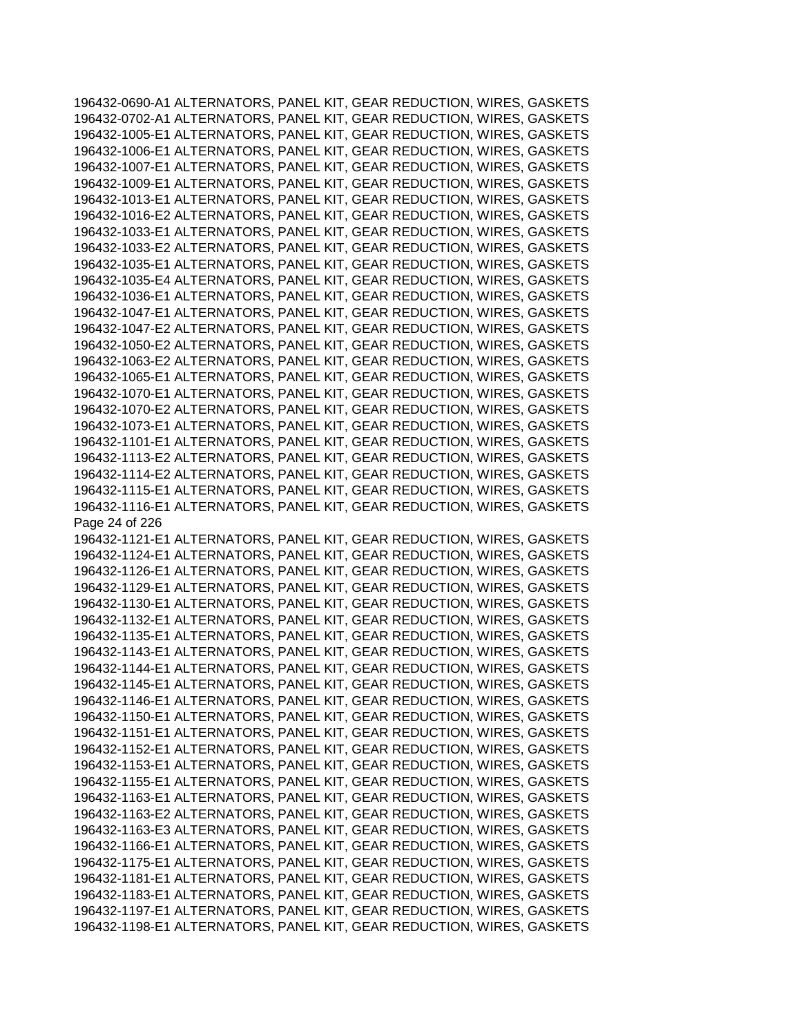196432-0690-A1 ALTERNATORS, PANEL KIT, GEAR REDUCTION, WIRES, GASKETS 196432-0702-A1 ALTERNATORS, PANEL KIT, GEAR REDUCTION, WIRES, GASKETS 196432-1005-E1 ALTERNATORS, PANEL KIT, GEAR REDUCTION, WIRES, GASKETS 196432-1006-E1 ALTERNATORS, PANEL KIT, GEAR REDUCTION, WIRES, GASKETS 196432-1007-E1 ALTERNATORS, PANEL KIT, GEAR REDUCTION, WIRES, GASKETS 196432-1009-E1 ALTERNATORS, PANEL KIT, GEAR REDUCTION, WIRES, GASKETS 196432-1013-E1 ALTERNATORS, PANEL KIT, GEAR REDUCTION, WIRES, GASKETS 196432-1016-E2 ALTERNATORS, PANEL KIT, GEAR REDUCTION, WIRES, GASKETS 196432-1033-E1 ALTERNATORS, PANEL KIT, GEAR REDUCTION, WIRES, GASKETS 196432-1033-E2 ALTERNATORS, PANEL KIT, GEAR REDUCTION, WIRES, GASKETS 196432-1035-E1 ALTERNATORS, PANEL KIT, GEAR REDUCTION, WIRES, GASKETS 196432-1035-E4 ALTERNATORS, PANEL KIT, GEAR REDUCTION, WIRES, GASKETS 196432-1036-E1 ALTERNATORS, PANEL KIT, GEAR REDUCTION, WIRES, GASKETS 196432-1047-E1 ALTERNATORS, PANEL KIT, GEAR REDUCTION, WIRES, GASKETS 196432-1047-E2 ALTERNATORS, PANEL KIT, GEAR REDUCTION, WIRES, GASKETS 196432-1050-E2 ALTERNATORS, PANEL KIT, GEAR REDUCTION, WIRES, GASKETS 196432-1063-E2 ALTERNATORS, PANEL KIT, GEAR REDUCTION, WIRES, GASKETS 196432-1065-E1 ALTERNATORS, PANEL KIT, GEAR REDUCTION, WIRES, GASKETS 196432-1070-E1 ALTERNATORS, PANEL KIT, GEAR REDUCTION, WIRES, GASKETS 196432-1070-E2 ALTERNATORS, PANEL KIT, GEAR REDUCTION, WIRES, GASKETS 196432-1073-E1 ALTERNATORS, PANEL KIT, GEAR REDUCTION, WIRES, GASKETS 196432-1101-E1 ALTERNATORS, PANEL KIT, GEAR REDUCTION, WIRES, GASKETS 196432-1113-E2 ALTERNATORS, PANEL KIT, GEAR REDUCTION, WIRES, GASKETS 196432-1114-E2 ALTERNATORS, PANEL KIT, GEAR REDUCTION, WIRES, GASKETS 196432-1115-E1 ALTERNATORS, PANEL KIT, GEAR REDUCTION, WIRES, GASKETS 196432-1116-E1 ALTERNATORS, PANEL KIT, GEAR REDUCTION, WIRES, GASKETS Page 24 of 226 196432-1121-E1 ALTERNATORS, PANEL KIT, GEAR REDUCTION, WIRES, GASKETS 196432-1124-E1 ALTERNATORS, PANEL KIT, GEAR REDUCTION, WIRES, GASKETS 196432-1126-E1 ALTERNATORS, PANEL KIT, GEAR REDUCTION, WIRES, GASKETS 196432-1129-E1 ALTERNATORS, PANEL KIT, GEAR REDUCTION, WIRES, GASKETS 196432-1130-E1 ALTERNATORS, PANEL KIT, GEAR REDUCTION, WIRES, GASKETS 196432-1132-E1 ALTERNATORS, PANEL KIT, GEAR REDUCTION, WIRES, GASKETS 196432-1135-E1 ALTERNATORS, PANEL KIT, GEAR REDUCTION, WIRES, GASKETS 196432-1143-E1 ALTERNATORS, PANEL KIT, GEAR REDUCTION, WIRES, GASKETS 196432-1144-E1 ALTERNATORS, PANEL KIT, GEAR REDUCTION, WIRES, GASKETS 196432-1145-E1 ALTERNATORS, PANEL KIT, GEAR REDUCTION, WIRES, GASKETS 196432-1146-E1 ALTERNATORS, PANEL KIT, GEAR REDUCTION, WIRES, GASKETS 196432-1150-E1 ALTERNATORS, PANEL KIT, GEAR REDUCTION, WIRES, GASKETS 196432-1151-E1 ALTERNATORS, PANEL KIT, GEAR REDUCTION, WIRES, GASKETS 196432-1152-E1 ALTERNATORS, PANEL KIT, GEAR REDUCTION, WIRES, GASKETS 196432-1153-E1 ALTERNATORS, PANEL KIT, GEAR REDUCTION, WIRES, GASKETS 196432-1155-E1 ALTERNATORS, PANEL KIT, GEAR REDUCTION, WIRES, GASKETS 196432-1163-E1 ALTERNATORS, PANEL KIT, GEAR REDUCTION, WIRES, GASKETS 196432-1163-E2 ALTERNATORS, PANEL KIT, GEAR REDUCTION, WIRES, GASKETS 196432-1163-E3 ALTERNATORS, PANEL KIT, GEAR REDUCTION, WIRES, GASKETS 196432-1166-E1 ALTERNATORS, PANEL KIT, GEAR REDUCTION, WIRES, GASKETS 196432-1175-E1 ALTERNATORS, PANEL KIT, GEAR REDUCTION, WIRES, GASKETS 196432-1181-E1 ALTERNATORS, PANEL KIT, GEAR REDUCTION, WIRES, GASKETS 196432-1183-E1 ALTERNATORS, PANEL KIT, GEAR REDUCTION, WIRES, GASKETS 196432-1197-E1 ALTERNATORS, PANEL KIT, GEAR REDUCTION, WIRES, GASKETS 196432-1198-E1 ALTERNATORS, PANEL KIT, GEAR REDUCTION, WIRES, GASKETS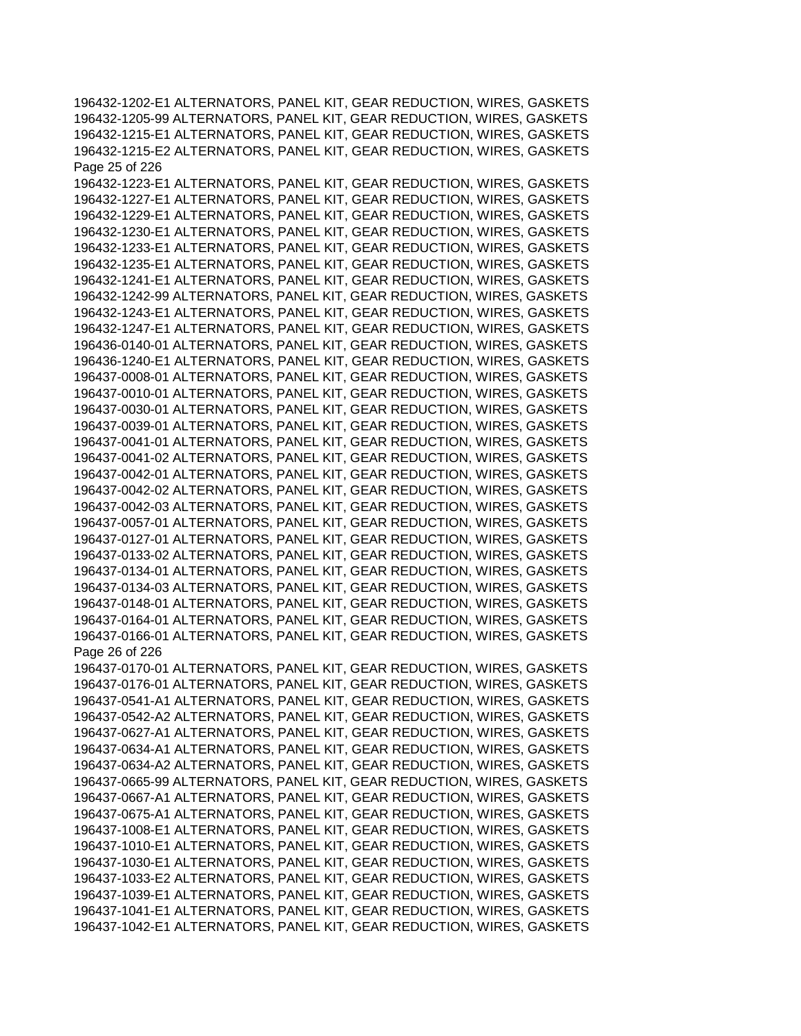196432-1202-E1 ALTERNATORS, PANEL KIT, GEAR REDUCTION, WIRES, GASKETS 196432-1205-99 ALTERNATORS, PANEL KIT, GEAR REDUCTION, WIRES, GASKETS 196432-1215-E1 ALTERNATORS, PANEL KIT, GEAR REDUCTION, WIRES, GASKETS 196432-1215-E2 ALTERNATORS, PANEL KIT, GEAR REDUCTION, WIRES, GASKETS Page 25 of 226 196432-1223-E1 ALTERNATORS, PANEL KIT, GEAR REDUCTION, WIRES, GASKETS 196432-1227-E1 ALTERNATORS, PANEL KIT, GEAR REDUCTION, WIRES, GASKETS 196432-1229-E1 ALTERNATORS, PANEL KIT, GEAR REDUCTION, WIRES, GASKETS 196432-1230-E1 ALTERNATORS, PANEL KIT, GEAR REDUCTION, WIRES, GASKETS 196432-1233-E1 ALTERNATORS, PANEL KIT, GEAR REDUCTION, WIRES, GASKETS 196432-1235-E1 ALTERNATORS, PANEL KIT, GEAR REDUCTION, WIRES, GASKETS 196432-1241-E1 ALTERNATORS, PANEL KIT, GEAR REDUCTION, WIRES, GASKETS 196432-1242-99 ALTERNATORS, PANEL KIT, GEAR REDUCTION, WIRES, GASKETS 196432-1243-E1 ALTERNATORS, PANEL KIT, GEAR REDUCTION, WIRES, GASKETS 196432-1247-E1 ALTERNATORS, PANEL KIT, GEAR REDUCTION, WIRES, GASKETS 196436-0140-01 ALTERNATORS, PANEL KIT, GEAR REDUCTION, WIRES, GASKETS 196436-1240-E1 ALTERNATORS, PANEL KIT, GEAR REDUCTION, WIRES, GASKETS 196437-0008-01 ALTERNATORS, PANEL KIT, GEAR REDUCTION, WIRES, GASKETS 196437-0010-01 ALTERNATORS, PANEL KIT, GEAR REDUCTION, WIRES, GASKETS 196437-0030-01 ALTERNATORS, PANEL KIT, GEAR REDUCTION, WIRES, GASKETS 196437-0039-01 ALTERNATORS, PANEL KIT, GEAR REDUCTION, WIRES, GASKETS 196437-0041-01 ALTERNATORS, PANEL KIT, GEAR REDUCTION, WIRES, GASKETS 196437-0041-02 ALTERNATORS, PANEL KIT, GEAR REDUCTION, WIRES, GASKETS 196437-0042-01 ALTERNATORS, PANEL KIT, GEAR REDUCTION, WIRES, GASKETS 196437-0042-02 ALTERNATORS, PANEL KIT, GEAR REDUCTION, WIRES, GASKETS 196437-0042-03 ALTERNATORS, PANEL KIT, GEAR REDUCTION, WIRES, GASKETS 196437-0057-01 ALTERNATORS, PANEL KIT, GEAR REDUCTION, WIRES, GASKETS 196437-0127-01 ALTERNATORS, PANEL KIT, GEAR REDUCTION, WIRES, GASKETS 196437-0133-02 ALTERNATORS, PANEL KIT, GEAR REDUCTION, WIRES, GASKETS 196437-0134-01 ALTERNATORS, PANEL KIT, GEAR REDUCTION, WIRES, GASKETS 196437-0134-03 ALTERNATORS, PANEL KIT, GEAR REDUCTION, WIRES, GASKETS 196437-0148-01 ALTERNATORS, PANEL KIT, GEAR REDUCTION, WIRES, GASKETS 196437-0164-01 ALTERNATORS, PANEL KIT, GEAR REDUCTION, WIRES, GASKETS 196437-0166-01 ALTERNATORS, PANEL KIT, GEAR REDUCTION, WIRES, GASKETS Page 26 of 226 196437-0170-01 ALTERNATORS, PANEL KIT, GEAR REDUCTION, WIRES, GASKETS 196437-0176-01 ALTERNATORS, PANEL KIT, GEAR REDUCTION, WIRES, GASKETS 196437-0541-A1 ALTERNATORS, PANEL KIT, GEAR REDUCTION, WIRES, GASKETS 196437-0542-A2 ALTERNATORS, PANEL KIT, GEAR REDUCTION, WIRES, GASKETS 196437-0627-A1 ALTERNATORS, PANEL KIT, GEAR REDUCTION, WIRES, GASKETS 196437-0634-A1 ALTERNATORS, PANEL KIT, GEAR REDUCTION, WIRES, GASKETS 196437-0634-A2 ALTERNATORS, PANEL KIT, GEAR REDUCTION, WIRES, GASKETS 196437-0665-99 ALTERNATORS, PANEL KIT, GEAR REDUCTION, WIRES, GASKETS 196437-0667-A1 ALTERNATORS, PANEL KIT, GEAR REDUCTION, WIRES, GASKETS 196437-0675-A1 ALTERNATORS, PANEL KIT, GEAR REDUCTION, WIRES, GASKETS 196437-1008-E1 ALTERNATORS, PANEL KIT, GEAR REDUCTION, WIRES, GASKETS 196437-1010-E1 ALTERNATORS, PANEL KIT, GEAR REDUCTION, WIRES, GASKETS 196437-1030-E1 ALTERNATORS, PANEL KIT, GEAR REDUCTION, WIRES, GASKETS 196437-1033-E2 ALTERNATORS, PANEL KIT, GEAR REDUCTION, WIRES, GASKETS 196437-1039-E1 ALTERNATORS, PANEL KIT, GEAR REDUCTION, WIRES, GASKETS 196437-1041-E1 ALTERNATORS, PANEL KIT, GEAR REDUCTION, WIRES, GASKETS 196437-1042-E1 ALTERNATORS, PANEL KIT, GEAR REDUCTION, WIRES, GASKETS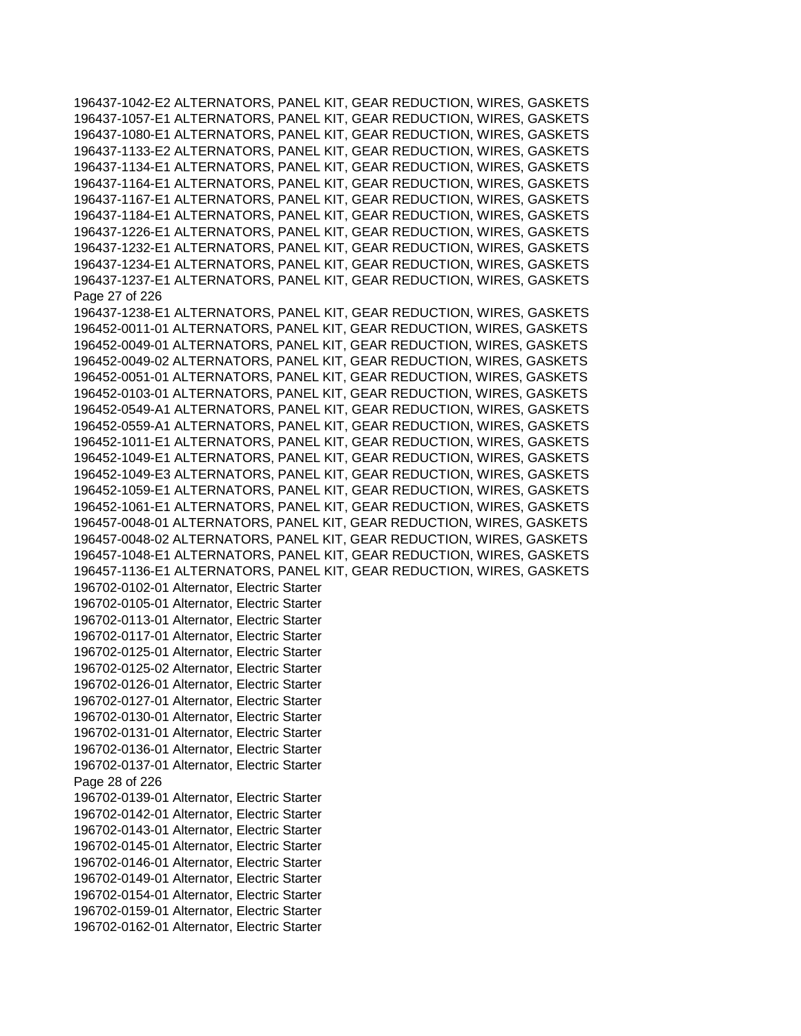196437-1042-E2 ALTERNATORS, PANEL KIT, GEAR REDUCTION, WIRES, GASKETS 196437-1057-E1 ALTERNATORS, PANEL KIT, GEAR REDUCTION, WIRES, GASKETS 196437-1080-E1 ALTERNATORS, PANEL KIT, GEAR REDUCTION, WIRES, GASKETS 196437-1133-E2 ALTERNATORS, PANEL KIT, GEAR REDUCTION, WIRES, GASKETS 196437-1134-E1 ALTERNATORS, PANEL KIT, GEAR REDUCTION, WIRES, GASKETS 196437-1164-E1 ALTERNATORS, PANEL KIT, GEAR REDUCTION, WIRES, GASKETS 196437-1167-E1 ALTERNATORS, PANEL KIT, GEAR REDUCTION, WIRES, GASKETS 196437-1184-E1 ALTERNATORS, PANEL KIT, GEAR REDUCTION, WIRES, GASKETS 196437-1226-E1 ALTERNATORS, PANEL KIT, GEAR REDUCTION, WIRES, GASKETS 196437-1232-E1 ALTERNATORS, PANEL KIT, GEAR REDUCTION, WIRES, GASKETS 196437-1234-E1 ALTERNATORS, PANEL KIT, GEAR REDUCTION, WIRES, GASKETS 196437-1237-E1 ALTERNATORS, PANEL KIT, GEAR REDUCTION, WIRES, GASKETS Page 27 of 226 196437-1238-E1 ALTERNATORS, PANEL KIT, GEAR REDUCTION, WIRES, GASKETS 196452-0011-01 ALTERNATORS, PANEL KIT, GEAR REDUCTION, WIRES, GASKETS 196452-0049-01 ALTERNATORS, PANEL KIT, GEAR REDUCTION, WIRES, GASKETS 196452-0049-02 ALTERNATORS, PANEL KIT, GEAR REDUCTION, WIRES, GASKETS 196452-0051-01 ALTERNATORS, PANEL KIT, GEAR REDUCTION, WIRES, GASKETS 196452-0103-01 ALTERNATORS, PANEL KIT, GEAR REDUCTION, WIRES, GASKETS 196452-0549-A1 ALTERNATORS, PANEL KIT, GEAR REDUCTION, WIRES, GASKETS 196452-0559-A1 ALTERNATORS, PANEL KIT, GEAR REDUCTION, WIRES, GASKETS 196452-1011-E1 ALTERNATORS, PANEL KIT, GEAR REDUCTION, WIRES, GASKETS 196452-1049-E1 ALTERNATORS, PANEL KIT, GEAR REDUCTION, WIRES, GASKETS 196452-1049-E3 ALTERNATORS, PANEL KIT, GEAR REDUCTION, WIRES, GASKETS 196452-1059-E1 ALTERNATORS, PANEL KIT, GEAR REDUCTION, WIRES, GASKETS 196452-1061-E1 ALTERNATORS, PANEL KIT, GEAR REDUCTION, WIRES, GASKETS 196457-0048-01 ALTERNATORS, PANEL KIT, GEAR REDUCTION, WIRES, GASKETS 196457-0048-02 ALTERNATORS, PANEL KIT, GEAR REDUCTION, WIRES, GASKETS 196457-1048-E1 ALTERNATORS, PANEL KIT, GEAR REDUCTION, WIRES, GASKETS 196457-1136-E1 ALTERNATORS, PANEL KIT, GEAR REDUCTION, WIRES, GASKETS 196702-0102-01 Alternator, Electric Starter 196702-0105-01 Alternator, Electric Starter 196702-0113-01 Alternator, Electric Starter 196702-0117-01 Alternator, Electric Starter 196702-0125-01 Alternator, Electric Starter 196702-0125-02 Alternator, Electric Starter 196702-0126-01 Alternator, Electric Starter 196702-0127-01 Alternator, Electric Starter 196702-0130-01 Alternator, Electric Starter 196702-0131-01 Alternator, Electric Starter 196702-0136-01 Alternator, Electric Starter 196702-0137-01 Alternator, Electric Starter Page 28 of 226 196702-0139-01 Alternator, Electric Starter 196702-0142-01 Alternator, Electric Starter 196702-0143-01 Alternator, Electric Starter 196702-0145-01 Alternator, Electric Starter 196702-0146-01 Alternator, Electric Starter 196702-0149-01 Alternator, Electric Starter 196702-0154-01 Alternator, Electric Starter 196702-0159-01 Alternator, Electric Starter 196702-0162-01 Alternator, Electric Starter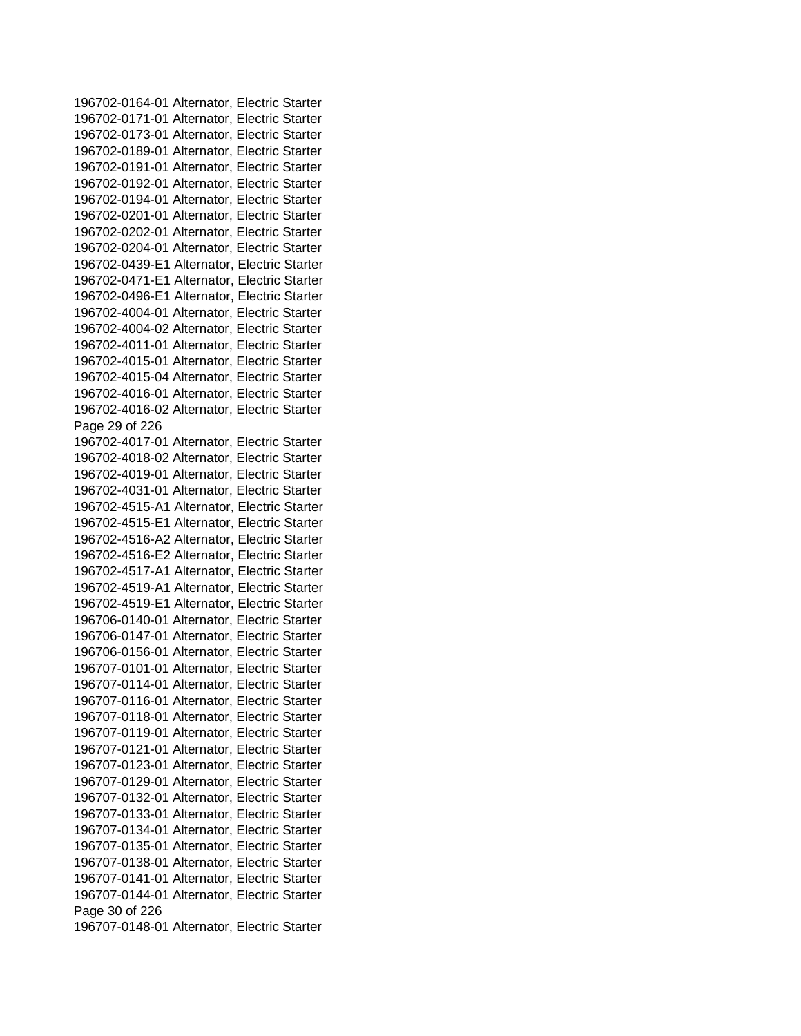196702-0164-01 Alternator, Electric Starter 196702-0171-01 Alternator, Electric Starter 196702-0173-01 Alternator, Electric Starter 196702-0189-01 Alternator, Electric Starter 196702-0191-01 Alternator, Electric Starter 196702-0192-01 Alternator, Electric Starter 196702-0194-01 Alternator, Electric Starter 196702-0201-01 Alternator, Electric Starter 196702-0202-01 Alternator, Electric Starter 196702-0204-01 Alternator, Electric Starter 196702-0439-E1 Alternator, Electric Starter 196702-0471-E1 Alternator, Electric Starter 196702-0496-E1 Alternator, Electric Starter 196702-4004-01 Alternator, Electric Starter 196702-4004-02 Alternator, Electric Starter 196702-4011-01 Alternator, Electric Starter 196702-4015-01 Alternator, Electric Starter 196702-4015-04 Alternator, Electric Starter 196702-4016-01 Alternator, Electric Starter 196702-4016-02 Alternator, Electric Starter Page 29 of 226 196702-4017-01 Alternator, Electric Starter 196702-4018-02 Alternator, Electric Starter 196702-4019-01 Alternator, Electric Starter 196702-4031-01 Alternator, Electric Starter 196702-4515-A1 Alternator, Electric Starter 196702-4515-E1 Alternator, Electric Starter 196702-4516-A2 Alternator, Electric Starter 196702-4516-E2 Alternator, Electric Starter 196702-4517-A1 Alternator, Electric Starter 196702-4519-A1 Alternator, Electric Starter 196702-4519-E1 Alternator, Electric Starter 196706-0140-01 Alternator, Electric Starter 196706-0147-01 Alternator, Electric Starter 196706-0156-01 Alternator, Electric Starter 196707-0101-01 Alternator, Electric Starter 196707-0114-01 Alternator, Electric Starter 196707-0116-01 Alternator, Electric Starter 196707-0118-01 Alternator, Electric Starter 196707-0119-01 Alternator, Electric Starter 196707-0121-01 Alternator, Electric Starter 196707-0123-01 Alternator, Electric Starter 196707-0129-01 Alternator, Electric Starter 196707-0132-01 Alternator, Electric Starter 196707-0133-01 Alternator, Electric Starter 196707-0134-01 Alternator, Electric Starter 196707-0135-01 Alternator, Electric Starter 196707-0138-01 Alternator, Electric Starter 196707-0141-01 Alternator, Electric Starter 196707-0144-01 Alternator, Electric Starter Page 30 of 226 196707-0148-01 Alternator, Electric Starter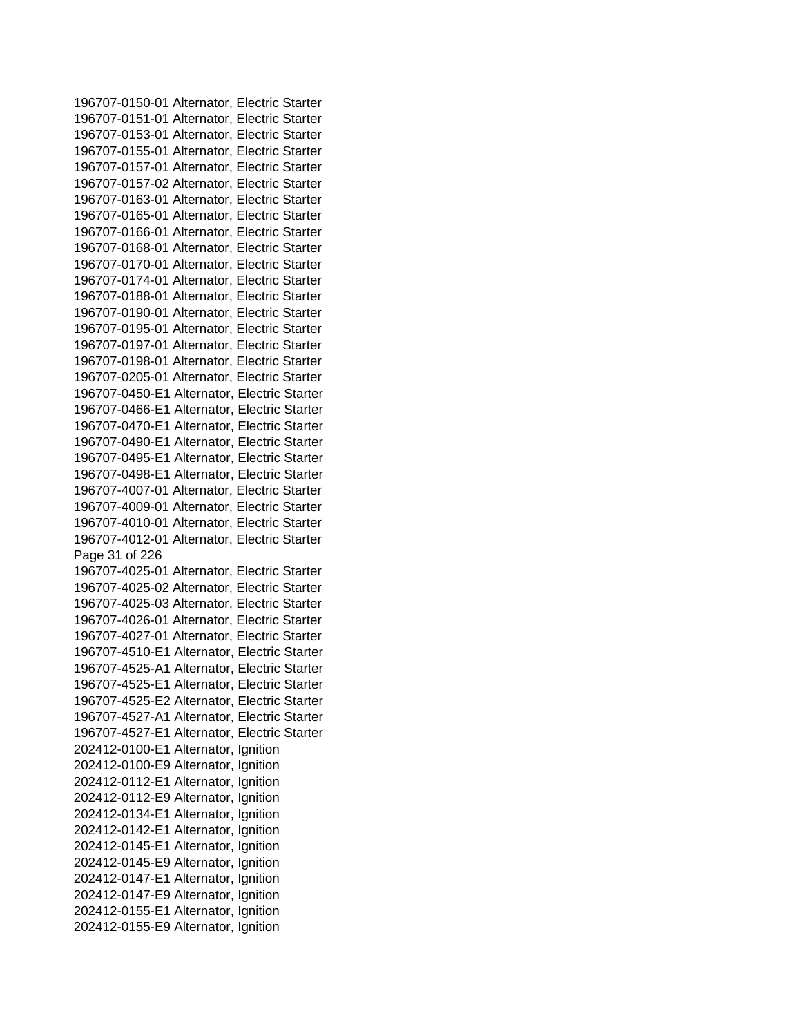196707-0150-01 Alternator, Electric Starter 196707-0151-01 Alternator, Electric Starter 196707-0153-01 Alternator, Electric Starter 196707-0155-01 Alternator, Electric Starter 196707-0157-01 Alternator, Electric Starter 196707-0157-02 Alternator, Electric Starter 196707-0163-01 Alternator, Electric Starter 196707-0165-01 Alternator, Electric Starter 196707-0166-01 Alternator, Electric Starter 196707-0168-01 Alternator, Electric Starter 196707-0170-01 Alternator, Electric Starter 196707-0174-01 Alternator, Electric Starter 196707-0188-01 Alternator, Electric Starter 196707-0190-01 Alternator, Electric Starter 196707-0195-01 Alternator, Electric Starter 196707-0197-01 Alternator, Electric Starter 196707-0198-01 Alternator, Electric Starter 196707-0205-01 Alternator, Electric Starter 196707-0450-E1 Alternator, Electric Starter 196707-0466-E1 Alternator, Electric Starter 196707-0470-E1 Alternator, Electric Starter 196707-0490-E1 Alternator, Electric Starter 196707-0495-E1 Alternator, Electric Starter 196707-0498-E1 Alternator, Electric Starter 196707-4007-01 Alternator, Electric Starter 196707-4009-01 Alternator, Electric Starter 196707-4010-01 Alternator, Electric Starter 196707-4012-01 Alternator, Electric Starter Page 31 of 226 196707-4025-01 Alternator, Electric Starter 196707-4025-02 Alternator, Electric Starter 196707-4025-03 Alternator, Electric Starter 196707-4026-01 Alternator, Electric Starter 196707-4027-01 Alternator, Electric Starter 196707-4510-E1 Alternator, Electric Starter 196707-4525-A1 Alternator, Electric Starter 196707-4525-E1 Alternator, Electric Starter 196707-4525-E2 Alternator, Electric Starter 196707-4527-A1 Alternator, Electric Starter 196707-4527-E1 Alternator, Electric Starter 202412-0100-E1 Alternator, Ignition 202412-0100-E9 Alternator, Ignition 202412-0112-E1 Alternator, Ignition 202412-0112-E9 Alternator, Ignition 202412-0134-E1 Alternator, Ignition 202412-0142-E1 Alternator, Ignition 202412-0145-E1 Alternator, Ignition 202412-0145-E9 Alternator, Ignition 202412-0147-E1 Alternator, Ignition 202412-0147-E9 Alternator, Ignition 202412-0155-E1 Alternator, Ignition 202412-0155-E9 Alternator, Ignition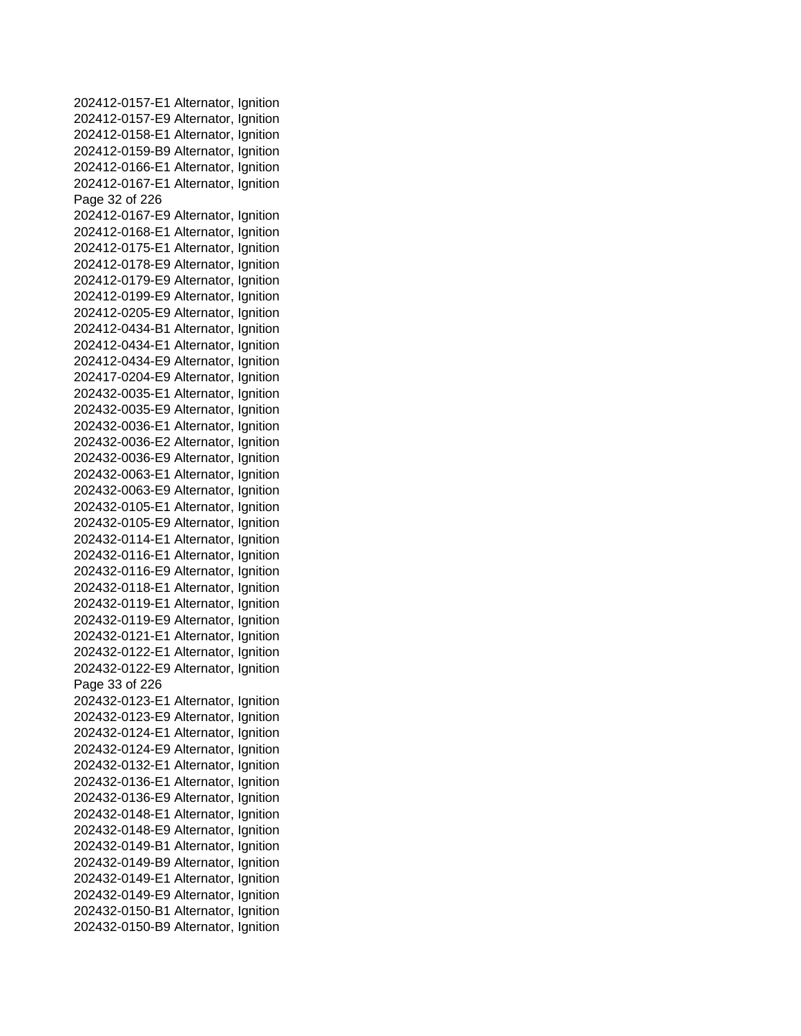202412-0157-E1 Alternator, Ignition 202412-0157-E9 Alternator, Ignition 202412-0158-E1 Alternator, Ignition 202412-0159-B9 Alternator, Ignition 202412-0166-E1 Alternator, Ignition 202412-0167-E1 Alternator, Ignition Page 32 of 226 202412-0167-E9 Alternator, Ignition 202412-0168-E1 Alternator, Ignition 202412-0175-E1 Alternator, Ignition 202412-0178-E9 Alternator, Ignition 202412-0179-E9 Alternator, Ignition 202412-0199-E9 Alternator, Ignition 202412-0205-E9 Alternator, Ignition 202412-0434-B1 Alternator, Ignition 202412-0434-E1 Alternator, Ignition 202412-0434-E9 Alternator, Ignition 202417-0204-E9 Alternator, Ignition 202432-0035-E1 Alternator, Ignition 202432-0035-E9 Alternator, Ignition 202432-0036-E1 Alternator, Ignition 202432-0036-E2 Alternator, Ignition 202432-0036-E9 Alternator, Ignition 202432-0063-E1 Alternator, Ignition 202432-0063-E9 Alternator, Ignition 202432-0105-E1 Alternator, Ignition 202432-0105-E9 Alternator, Ignition 202432-0114-E1 Alternator, Ignition 202432-0116-E1 Alternator, Ignition 202432-0116-E9 Alternator, Ignition 202432-0118-E1 Alternator, Ignition 202432-0119-E1 Alternator, Ignition 202432-0119-E9 Alternator, Ignition 202432-0121-E1 Alternator, Ignition 202432-0122-E1 Alternator, Ignition 202432-0122-E9 Alternator, Ignition Page 33 of 226 202432-0123-E1 Alternator, Ignition 202432-0123-E9 Alternator, Ignition 202432-0124-E1 Alternator, Ignition 202432-0124-E9 Alternator, Ignition 202432-0132-E1 Alternator, Ignition 202432-0136-E1 Alternator, Ignition 202432-0136-E9 Alternator, Ignition 202432-0148-E1 Alternator, Ignition 202432-0148-E9 Alternator, Ignition 202432-0149-B1 Alternator, Ignition 202432-0149-B9 Alternator, Ignition 202432-0149-E1 Alternator, Ignition 202432-0149-E9 Alternator, Ignition 202432-0150-B1 Alternator, Ignition 202432-0150-B9 Alternator, Ignition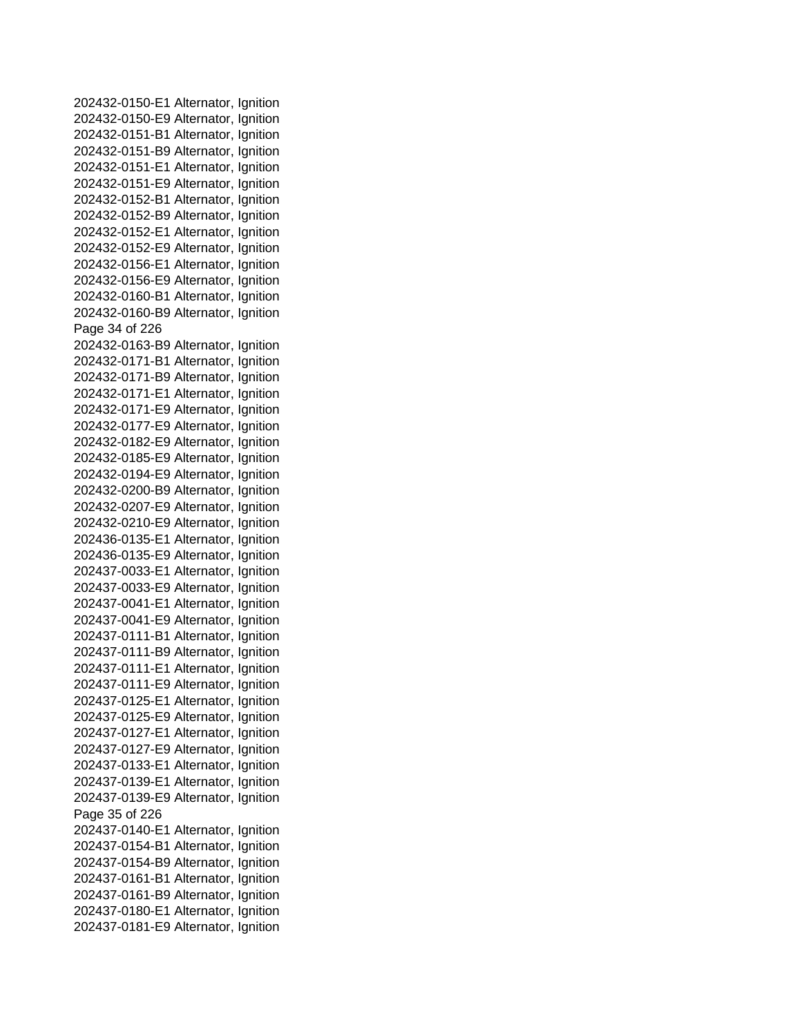202432-0150-E1 Alternator, Ignition 202432-0150-E9 Alternator, Ignition 202432-0151-B1 Alternator, Ignition 202432-0151-B9 Alternator, Ignition 202432-0151-E1 Alternator, Ignition 202432-0151-E9 Alternator, Ignition 202432-0152-B1 Alternator, Ignition 202432-0152-B9 Alternator, Ignition 202432-0152-E1 Alternator, Ignition 202432-0152-E9 Alternator, Ignition 202432-0156-E1 Alternator, Ignition 202432-0156-E9 Alternator, Ignition 202432-0160-B1 Alternator, Ignition 202432-0160-B9 Alternator, Ignition Page 34 of 226 202432-0163-B9 Alternator, Ignition 202432-0171-B1 Alternator, Ignition 202432-0171-B9 Alternator, Ignition 202432-0171-E1 Alternator, Ignition 202432-0171-E9 Alternator, Ignition 202432-0177-E9 Alternator, Ignition 202432-0182-E9 Alternator, Ignition 202432-0185-E9 Alternator, Ignition 202432-0194-E9 Alternator, Ignition 202432-0200-B9 Alternator, Ignition 202432-0207-E9 Alternator, Ignition 202432-0210-E9 Alternator, Ignition 202436-0135-E1 Alternator, Ignition 202436-0135-E9 Alternator, Ignition 202437-0033-E1 Alternator, Ignition 202437-0033-E9 Alternator, Ignition 202437-0041-E1 Alternator, Ignition 202437-0041-E9 Alternator, Ignition 202437-0111-B1 Alternator, Ignition 202437-0111-B9 Alternator, Ignition 202437-0111-E1 Alternator, Ignition 202437-0111-E9 Alternator, Ignition 202437-0125-E1 Alternator, Ignition 202437-0125-E9 Alternator, Ignition 202437-0127-E1 Alternator, Ignition 202437-0127-E9 Alternator, Ignition 202437-0133-E1 Alternator, Ignition 202437-0139-E1 Alternator, Ignition 202437-0139-E9 Alternator, Ignition Page 35 of 226 202437-0140-E1 Alternator, Ignition 202437-0154-B1 Alternator, Ignition 202437-0154-B9 Alternator, Ignition 202437-0161-B1 Alternator, Ignition 202437-0161-B9 Alternator, Ignition 202437-0180-E1 Alternator, Ignition 202437-0181-E9 Alternator, Ignition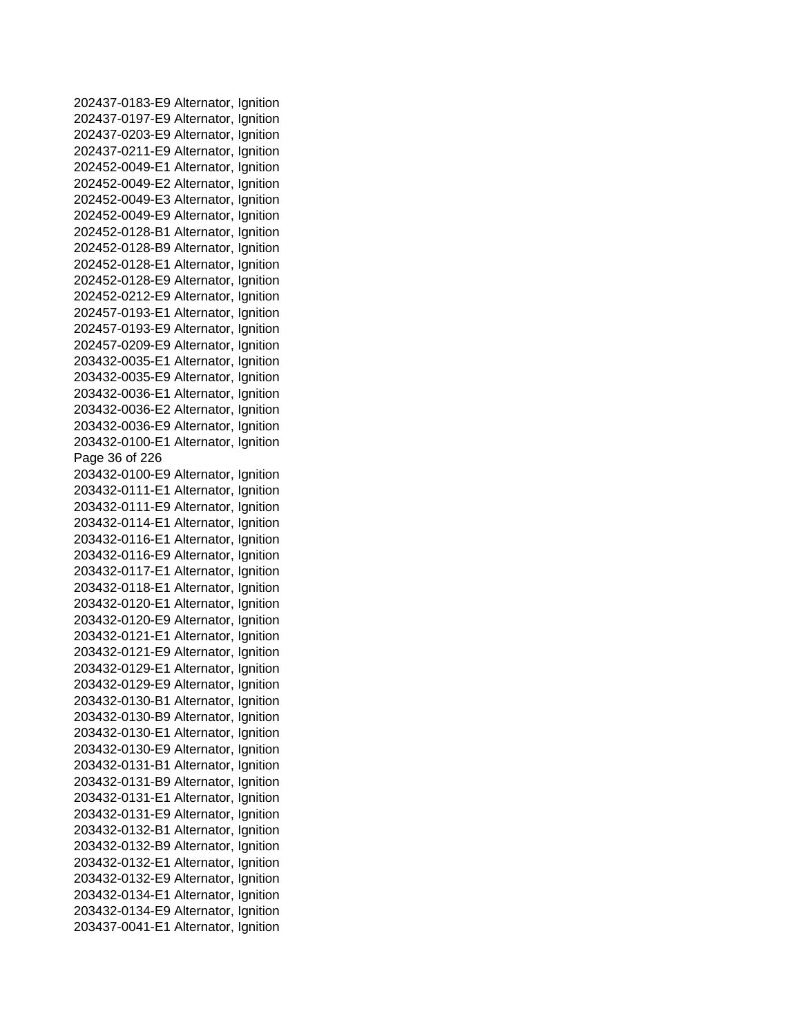202437-0183-E9 Alternator, Ignition 202437-0197-E9 Alternator, Ignition 202437-0203-E9 Alternator, Ignition 202437-0211-E9 Alternator, Ignition 202452-0049-E1 Alternator, Ignition 202452-0049-E2 Alternator, Ignition 202452-0049-E3 Alternator, Ignition 202452-0049-E9 Alternator, Ignition 202452-0128-B1 Alternator, Ignition 202452-0128-B9 Alternator, Ignition 202452-0128-E1 Alternator, Ignition 202452-0128-E9 Alternator, Ignition 202452-0212-E9 Alternator, Ignition 202457-0193-E1 Alternator, Ignition 202457-0193-E9 Alternator, Ignition 202457-0209-E9 Alternator, Ignition 203432-0035-E1 Alternator, Ignition 203432-0035-E9 Alternator, Ignition 203432-0036-E1 Alternator, Ignition 203432-0036-E2 Alternator, Ignition 203432-0036-E9 Alternator, Ignition 203432-0100-E1 Alternator, Ignition Page 36 of 226 203432-0100-E9 Alternator, Ignition 203432-0111-E1 Alternator, Ignition 203432-0111-E9 Alternator, Ignition 203432-0114-E1 Alternator, Ignition 203432-0116-E1 Alternator, Ignition 203432-0116-E9 Alternator, Ignition 203432-0117-E1 Alternator, Ignition 203432-0118-E1 Alternator, Ignition 203432-0120-E1 Alternator, Ignition 203432-0120-E9 Alternator, Ignition 203432-0121-E1 Alternator, Ignition 203432-0121-E9 Alternator, Ignition 203432-0129-E1 Alternator, Ignition 203432-0129-E9 Alternator, Ignition 203432-0130-B1 Alternator, Ignition 203432-0130-B9 Alternator, Ignition 203432-0130-E1 Alternator, Ignition 203432-0130-E9 Alternator, Ignition 203432-0131-B1 Alternator, Ignition 203432-0131-B9 Alternator, Ignition 203432-0131-E1 Alternator, Ignition 203432-0131-E9 Alternator, Ignition 203432-0132-B1 Alternator, Ignition 203432-0132-B9 Alternator, Ignition 203432-0132-E1 Alternator, Ignition 203432-0132-E9 Alternator, Ignition 203432-0134-E1 Alternator, Ignition 203432-0134-E9 Alternator, Ignition 203437-0041-E1 Alternator, Ignition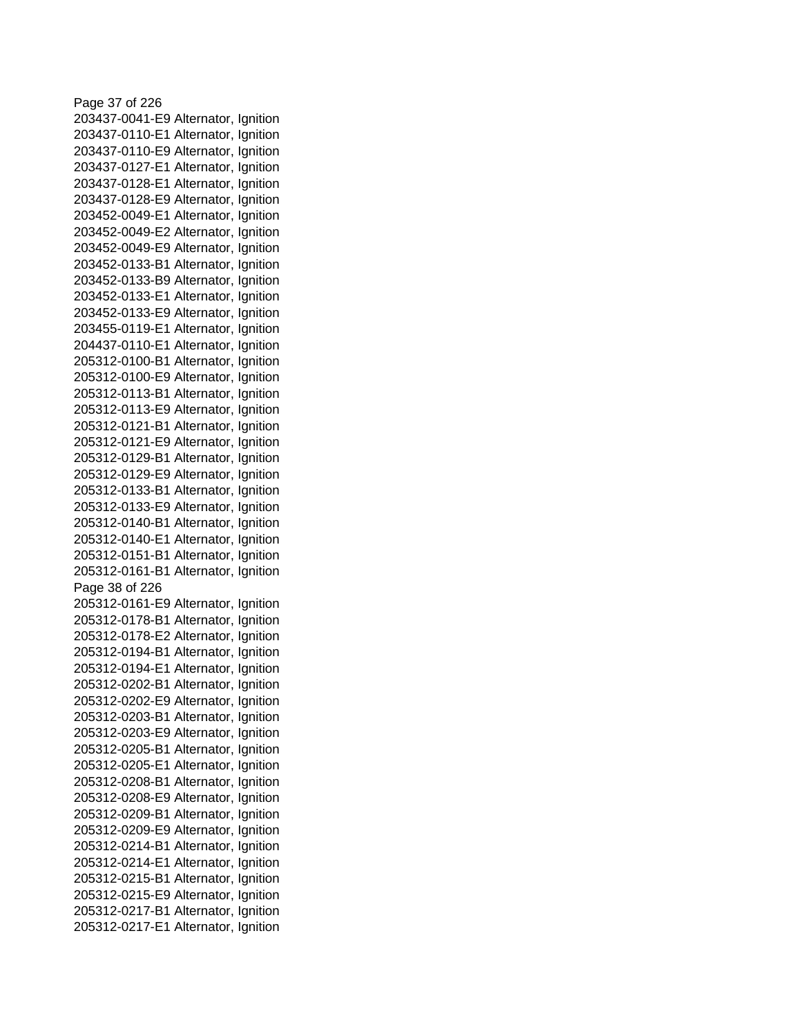Page 37 of 226 203437-0041-E9 Alternator, Ignition 203437-0110-E1 Alternator, Ignition 203437-0110-E9 Alternator, Ignition 203437-0127-E1 Alternator, Ignition 203437-0128-E1 Alternator, Ignition 203437-0128-E9 Alternator, Ignition 203452-0049-E1 Alternator, Ignition 203452-0049-E2 Alternator, Ignition 203452-0049-E9 Alternator, Ignition 203452-0133-B1 Alternator, Ignition 203452-0133-B9 Alternator, Ignition 203452-0133-E1 Alternator, Ignition 203452-0133-E9 Alternator, Ignition 203455-0119-E1 Alternator, Ignition 204437-0110-E1 Alternator, Ignition 205312-0100-B1 Alternator, Ignition 205312-0100-E9 Alternator, Ignition 205312-0113-B1 Alternator, Ignition 205312-0113-E9 Alternator, Ignition 205312-0121-B1 Alternator, Ignition 205312-0121-E9 Alternator, Ignition 205312-0129-B1 Alternator, Ignition 205312-0129-E9 Alternator, Ignition 205312-0133-B1 Alternator, Ignition 205312-0133-E9 Alternator, Ignition 205312-0140-B1 Alternator, Ignition 205312-0140-E1 Alternator, Ignition 205312-0151-B1 Alternator, Ignition 205312-0161-B1 Alternator, Ignition Page 38 of 226 205312-0161-E9 Alternator, Ignition 205312-0178-B1 Alternator, Ignition 205312-0178-E2 Alternator, Ignition 205312-0194-B1 Alternator, Ignition 205312-0194-E1 Alternator, Ignition 205312-0202-B1 Alternator, Ignition 205312-0202-E9 Alternator, Ignition 205312-0203-B1 Alternator, Ignition 205312-0203-E9 Alternator, Ignition 205312-0205-B1 Alternator, Ignition 205312-0205-E1 Alternator, Ignition 205312-0208-B1 Alternator, Ignition 205312-0208-E9 Alternator, Ignition 205312-0209-B1 Alternator, Ignition 205312-0209-E9 Alternator, Ignition 205312-0214-B1 Alternator, Ignition 205312-0214-E1 Alternator, Ignition 205312-0215-B1 Alternator, Ignition 205312-0215-E9 Alternator, Ignition 205312-0217-B1 Alternator, Ignition 205312-0217-E1 Alternator, Ignition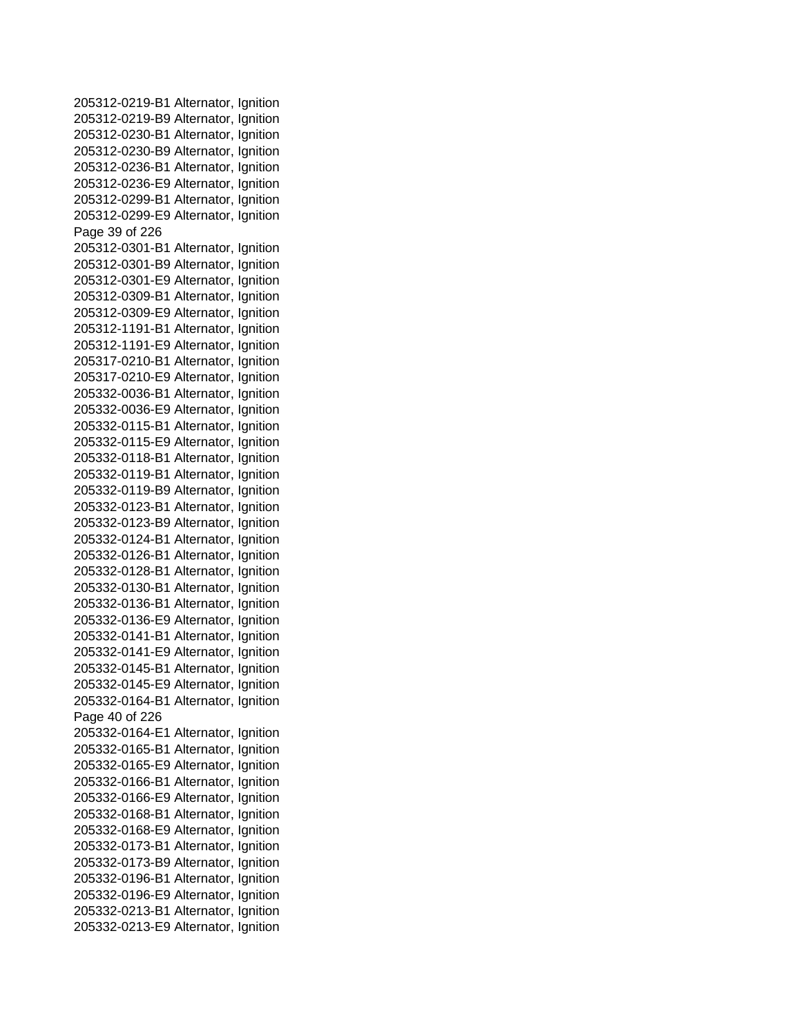205312-0219-B1 Alternator, Ignition 205312-0219-B9 Alternator, Ignition 205312-0230-B1 Alternator, Ignition 205312-0230-B9 Alternator, Ignition 205312-0236-B1 Alternator, Ignition 205312-0236-E9 Alternator, Ignition 205312-0299-B1 Alternator, Ignition 205312-0299-E9 Alternator, Ignition Page 39 of 226 205312-0301-B1 Alternator, Ignition 205312-0301-B9 Alternator, Ignition 205312-0301-E9 Alternator, Ignition 205312-0309-B1 Alternator, Ignition 205312-0309-E9 Alternator, Ignition 205312-1191-B1 Alternator, Ignition 205312-1191-E9 Alternator, Ignition 205317-0210-B1 Alternator, Ignition 205317-0210-E9 Alternator, Ignition 205332-0036-B1 Alternator, Ignition 205332-0036-E9 Alternator, Ignition 205332-0115-B1 Alternator, Ignition 205332-0115-E9 Alternator, Ignition 205332-0118-B1 Alternator, Ignition 205332-0119-B1 Alternator, Ignition 205332-0119-B9 Alternator, Ignition 205332-0123-B1 Alternator, Ignition 205332-0123-B9 Alternator, Ignition 205332-0124-B1 Alternator, Ignition 205332-0126-B1 Alternator, Ignition 205332-0128-B1 Alternator, Ignition 205332-0130-B1 Alternator, Ignition 205332-0136-B1 Alternator, Ignition 205332-0136-E9 Alternator, Ignition 205332-0141-B1 Alternator, Ignition 205332-0141-E9 Alternator, Ignition 205332-0145-B1 Alternator, Ignition 205332-0145-E9 Alternator, Ignition 205332-0164-B1 Alternator, Ignition Page 40 of 226 205332-0164-E1 Alternator, Ignition 205332-0165-B1 Alternator, Ignition 205332-0165-E9 Alternator, Ignition 205332-0166-B1 Alternator, Ignition 205332-0166-E9 Alternator, Ignition 205332-0168-B1 Alternator, Ignition 205332-0168-E9 Alternator, Ignition 205332-0173-B1 Alternator, Ignition 205332-0173-B9 Alternator, Ignition 205332-0196-B1 Alternator, Ignition 205332-0196-E9 Alternator, Ignition 205332-0213-B1 Alternator, Ignition 205332-0213-E9 Alternator, Ignition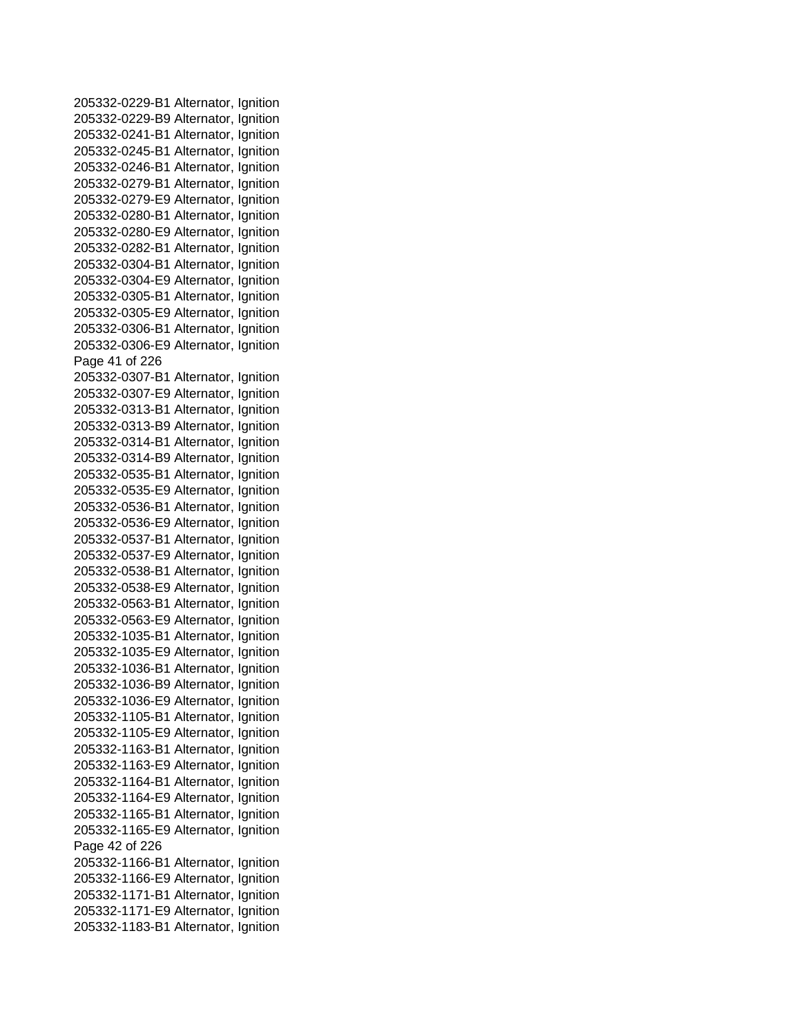205332-0229-B1 Alternator, Ignition 205332-0229-B9 Alternator, Ignition 205332-0241-B1 Alternator, Ignition 205332-0245-B1 Alternator, Ignition 205332-0246-B1 Alternator, Ignition 205332-0279-B1 Alternator, Ignition 205332-0279-E9 Alternator, Ignition 205332-0280-B1 Alternator, Ignition 205332-0280-E9 Alternator, Ignition 205332-0282-B1 Alternator, Ignition 205332-0304-B1 Alternator, Ignition 205332-0304-E9 Alternator, Ignition 205332-0305-B1 Alternator, Ignition 205332-0305-E9 Alternator, Ignition 205332-0306-B1 Alternator, Ignition 205332-0306-E9 Alternator, Ignition Page 41 of 226 205332-0307-B1 Alternator, Ignition 205332-0307-E9 Alternator, Ignition 205332-0313-B1 Alternator, Ignition 205332-0313-B9 Alternator, Ignition 205332-0314-B1 Alternator, Ignition 205332-0314-B9 Alternator, Ignition 205332-0535-B1 Alternator, Ignition 205332-0535-E9 Alternator, Ignition 205332-0536-B1 Alternator, Ignition 205332-0536-E9 Alternator, Ignition 205332-0537-B1 Alternator, Ignition 205332-0537-E9 Alternator, Ignition 205332-0538-B1 Alternator, Ignition 205332-0538-E9 Alternator, Ignition 205332-0563-B1 Alternator, Ignition 205332-0563-E9 Alternator, Ignition 205332-1035-B1 Alternator, Ignition 205332-1035-E9 Alternator, Ignition 205332-1036-B1 Alternator, Ignition 205332-1036-B9 Alternator, Ignition 205332-1036-E9 Alternator, Ignition 205332-1105-B1 Alternator, Ignition 205332-1105-E9 Alternator, Ignition 205332-1163-B1 Alternator, Ignition 205332-1163-E9 Alternator, Ignition 205332-1164-B1 Alternator, Ignition 205332-1164-E9 Alternator, Ignition 205332-1165-B1 Alternator, Ignition 205332-1165-E9 Alternator, Ignition Page 42 of 226 205332-1166-B1 Alternator, Ignition 205332-1166-E9 Alternator, Ignition 205332-1171-B1 Alternator, Ignition 205332-1171-E9 Alternator, Ignition 205332-1183-B1 Alternator, Ignition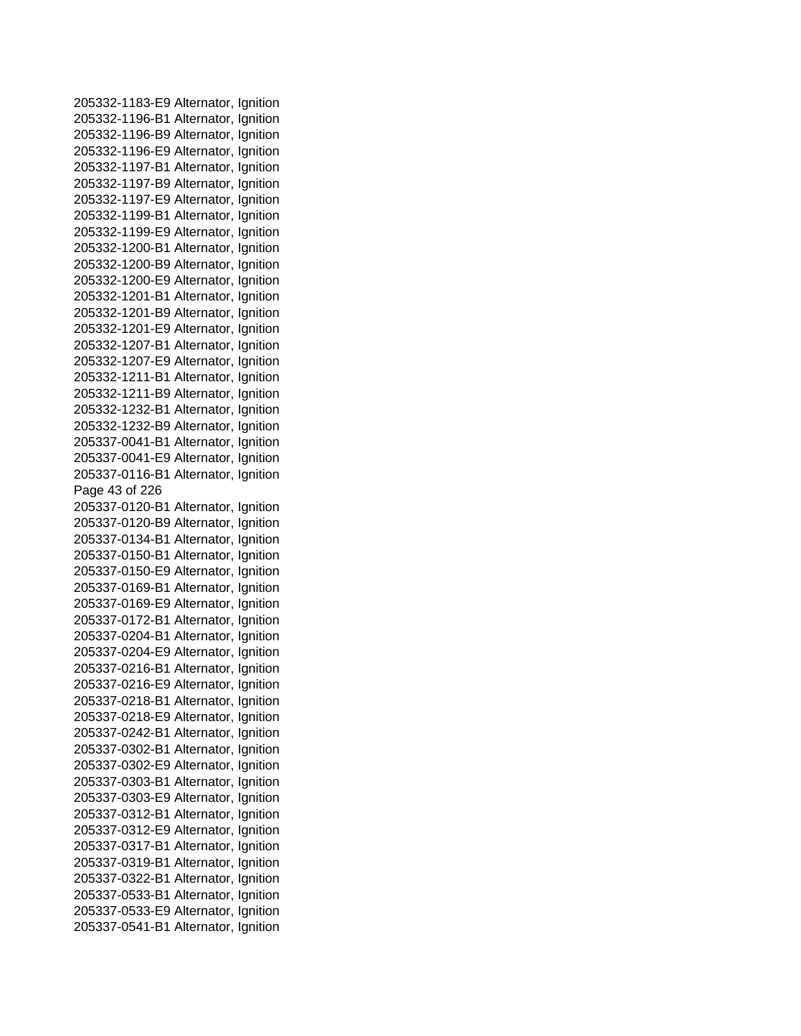205332-1183-E9 Alternator, Ignition 205332-1196-B1 Alternator, Ignition 205332-1196-B9 Alternator, Ignition 205332-1196-E9 Alternator, Ignition 205332-1197-B1 Alternator, Ignition 205332-1197-B9 Alternator, Ignition 205332-1197-E9 Alternator, Ignition 205332-1199-B1 Alternator, Ignition 205332-1199-E9 Alternator, Ignition 205332-1200-B1 Alternator, Ignition 205332-1200-B9 Alternator, Ignition 205332-1200-E9 Alternator, Ignition 205332-1201-B1 Alternator, Ignition 205332-1201-B9 Alternator, Ignition 205332-1201-E9 Alternator, Ignition 205332-1207-B1 Alternator, Ignition 205332-1207-E9 Alternator, Ignition 205332-1211-B1 Alternator, Ignition 205332-1211-B9 Alternator, Ignition 205332-1232-B1 Alternator, Ignition 205332-1232-B9 Alternator, Ignition 205337-0041-B1 Alternator, Ignition 205337-0041-E9 Alternator, Ignition 205337-0116-B1 Alternator, Ignition Page 43 of 226 205337-0120-B1 Alternator, Ignition 205337-0120-B9 Alternator, Ignition 205337-0134-B1 Alternator, Ignition 205337-0150-B1 Alternator, Ignition 205337-0150-E9 Alternator, Ignition 205337-0169-B1 Alternator, Ignition 205337-0169-E9 Alternator, Ignition 205337-0172-B1 Alternator, Ignition 205337-0204-B1 Alternator, Ignition 205337-0204-E9 Alternator, Ignition 205337-0216-B1 Alternator, Ignition 205337-0216-E9 Alternator, Ignition 205337-0218-B1 Alternator, Ignition 205337-0218-E9 Alternator, Ignition 205337-0242-B1 Alternator, Ignition 205337-0302-B1 Alternator, Ignition 205337-0302-E9 Alternator, Ignition 205337-0303-B1 Alternator, Ignition 205337-0303-E9 Alternator, Ignition 205337-0312-B1 Alternator, Ignition 205337-0312-E9 Alternator, Ignition 205337-0317-B1 Alternator, Ignition 205337-0319-B1 Alternator, Ignition 205337-0322-B1 Alternator, Ignition 205337-0533-B1 Alternator, Ignition 205337-0533-E9 Alternator, Ignition 205337-0541-B1 Alternator, Ignition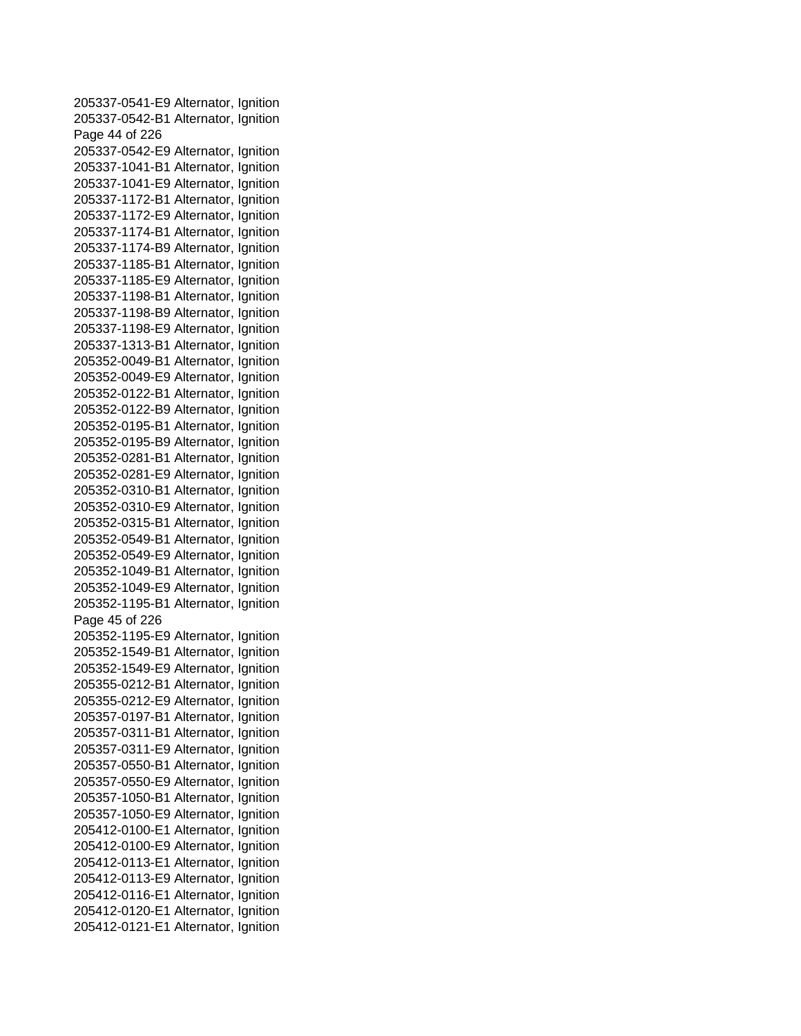205337-0541-E9 Alternator, Ignition 205337-0542-B1 Alternator, Ignition Page 44 of 226 205337-0542-E9 Alternator, Ignition 205337-1041-B1 Alternator, Ignition 205337-1041-E9 Alternator, Ignition 205337-1172-B1 Alternator, Ignition 205337-1172-E9 Alternator, Ignition 205337-1174-B1 Alternator, Ignition 205337-1174-B9 Alternator, Ignition 205337-1185-B1 Alternator, Ignition 205337-1185-E9 Alternator, Ignition 205337-1198-B1 Alternator, Ignition 205337-1198-B9 Alternator, Ignition 205337-1198-E9 Alternator, Ignition 205337-1313-B1 Alternator, Ignition 205352-0049-B1 Alternator, Ignition 205352-0049-E9 Alternator, Ignition 205352-0122-B1 Alternator, Ignition 205352-0122-B9 Alternator, Ignition 205352-0195-B1 Alternator, Ignition 205352-0195-B9 Alternator, Ignition 205352-0281-B1 Alternator, Ignition 205352-0281-E9 Alternator, Ignition 205352-0310-B1 Alternator, Ignition 205352-0310-E9 Alternator, Ignition 205352-0315-B1 Alternator, Ignition 205352-0549-B1 Alternator, Ignition 205352-0549-E9 Alternator, Ignition 205352-1049-B1 Alternator, Ignition 205352-1049-E9 Alternator, Ignition 205352-1195-B1 Alternator, Ignition Page 45 of 226 205352-1195-E9 Alternator, Ignition 205352-1549-B1 Alternator, Ignition 205352-1549-E9 Alternator, Ignition 205355-0212-B1 Alternator, Ignition 205355-0212-E9 Alternator, Ignition 205357-0197-B1 Alternator, Ignition 205357-0311-B1 Alternator, Ignition 205357-0311-E9 Alternator, Ignition 205357-0550-B1 Alternator, Ignition 205357-0550-E9 Alternator, Ignition 205357-1050-B1 Alternator, Ignition 205357-1050-E9 Alternator, Ignition 205412-0100-E1 Alternator, Ignition 205412-0100-E9 Alternator, Ignition 205412-0113-E1 Alternator, Ignition 205412-0113-E9 Alternator, Ignition 205412-0116-E1 Alternator, Ignition 205412-0120-E1 Alternator, Ignition 205412-0121-E1 Alternator, Ignition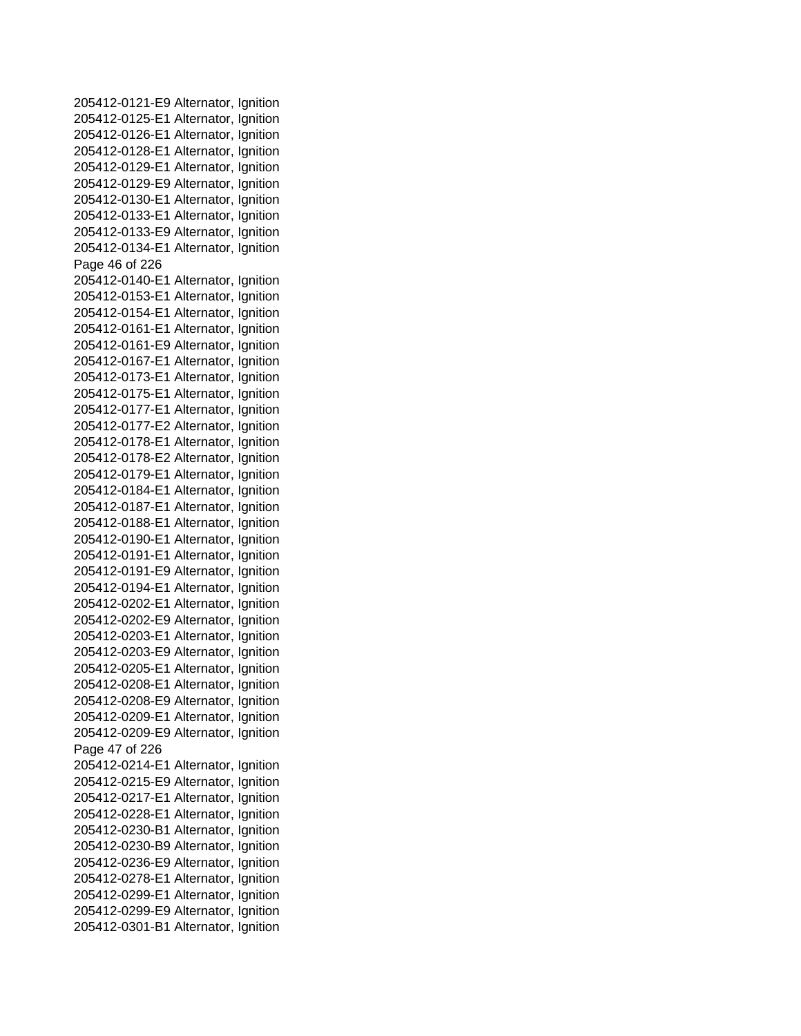205412-0121-E9 Alternator, Ignition 205412-0125-E1 Alternator, Ignition 205412-0126-E1 Alternator, Ignition 205412-0128-E1 Alternator, Ignition 205412-0129-E1 Alternator, Ignition 205412-0129-E9 Alternator, Ignition 205412-0130-E1 Alternator, Ignition 205412-0133-E1 Alternator, Ignition 205412-0133-E9 Alternator, Ignition 205412-0134-E1 Alternator, Ignition Page 46 of 226 205412-0140-E1 Alternator, Ignition 205412-0153-E1 Alternator, Ignition 205412-0154-E1 Alternator, Ignition 205412-0161-E1 Alternator, Ignition 205412-0161-E9 Alternator, Ignition 205412-0167-E1 Alternator, Ignition 205412-0173-E1 Alternator, Ignition 205412-0175-E1 Alternator, Ignition 205412-0177-E1 Alternator, Ignition 205412-0177-E2 Alternator, Ignition 205412-0178-E1 Alternator, Ignition 205412-0178-E2 Alternator, Ignition 205412-0179-E1 Alternator, Ignition 205412-0184-E1 Alternator, Ignition 205412-0187-E1 Alternator, Ignition 205412-0188-E1 Alternator, Ignition 205412-0190-E1 Alternator, Ignition 205412-0191-E1 Alternator, Ignition 205412-0191-E9 Alternator, Ignition 205412-0194-E1 Alternator, Ignition 205412-0202-E1 Alternator, Ignition 205412-0202-E9 Alternator, Ignition 205412-0203-E1 Alternator, Ignition 205412-0203-E9 Alternator, Ignition 205412-0205-E1 Alternator, Ignition 205412-0208-E1 Alternator, Ignition 205412-0208-E9 Alternator, Ignition 205412-0209-E1 Alternator, Ignition 205412-0209-E9 Alternator, Ignition Page 47 of 226 205412-0214-E1 Alternator, Ignition 205412-0215-E9 Alternator, Ignition 205412-0217-E1 Alternator, Ignition 205412-0228-E1 Alternator, Ignition 205412-0230-B1 Alternator, Ignition 205412-0230-B9 Alternator, Ignition 205412-0236-E9 Alternator, Ignition 205412-0278-E1 Alternator, Ignition 205412-0299-E1 Alternator, Ignition 205412-0299-E9 Alternator, Ignition 205412-0301-B1 Alternator, Ignition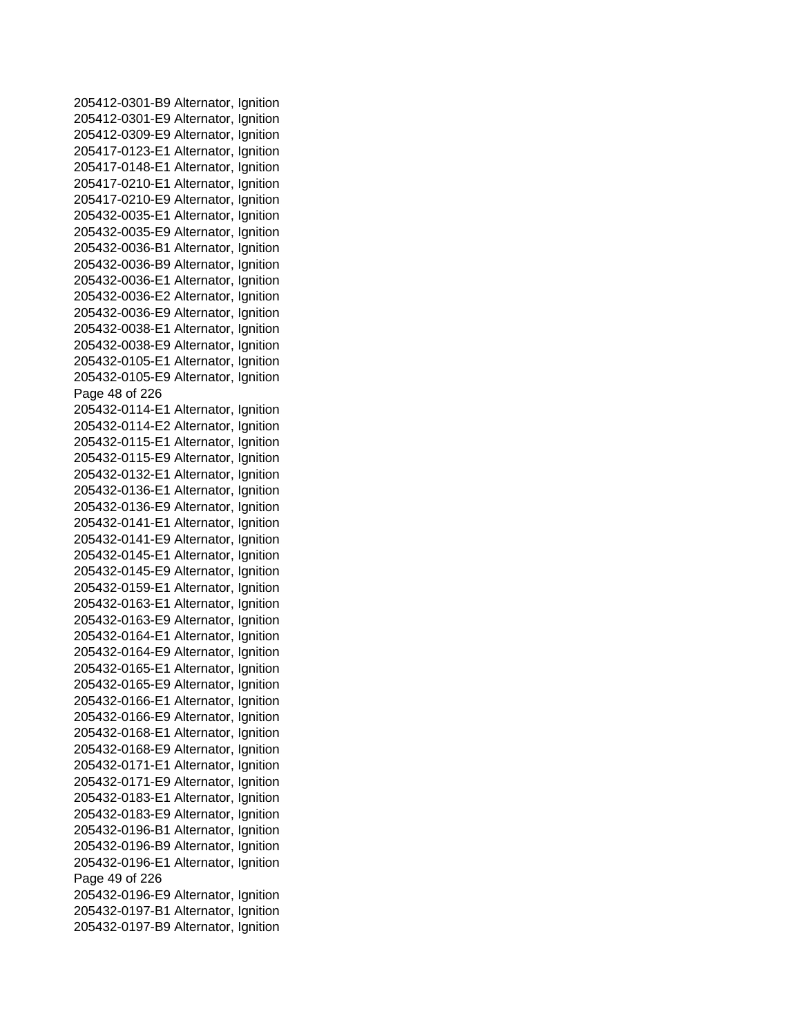205412-0301-B9 Alternator, Ignition 205412-0301-E9 Alternator, Ignition 205412-0309-E9 Alternator, Ignition 205417-0123-E1 Alternator, Ignition 205417-0148-E1 Alternator, Ignition 205417-0210-E1 Alternator, Ignition 205417-0210-E9 Alternator, Ignition 205432-0035-E1 Alternator, Ignition 205432-0035-E9 Alternator, Ignition 205432-0036-B1 Alternator, Ignition 205432-0036-B9 Alternator, Ignition 205432-0036-E1 Alternator, Ignition 205432-0036-E2 Alternator, Ignition 205432-0036-E9 Alternator, Ignition 205432-0038-E1 Alternator, Ignition 205432-0038-E9 Alternator, Ignition 205432-0105-E1 Alternator, Ignition 205432-0105-E9 Alternator, Ignition Page 48 of 226 205432-0114-E1 Alternator, Ignition 205432-0114-E2 Alternator, Ignition 205432-0115-E1 Alternator, Ignition 205432-0115-E9 Alternator, Ignition 205432-0132-E1 Alternator, Ignition 205432-0136-E1 Alternator, Ignition 205432-0136-E9 Alternator, Ignition 205432-0141-E1 Alternator, Ignition 205432-0141-E9 Alternator, Ignition 205432-0145-E1 Alternator, Ignition 205432-0145-E9 Alternator, Ignition 205432-0159-E1 Alternator, Ignition 205432-0163-E1 Alternator, Ignition 205432-0163-E9 Alternator, Ignition 205432-0164-E1 Alternator, Ignition 205432-0164-E9 Alternator, Ignition 205432-0165-E1 Alternator, Ignition 205432-0165-E9 Alternator, Ignition 205432-0166-E1 Alternator, Ignition 205432-0166-E9 Alternator, Ignition 205432-0168-E1 Alternator, Ignition 205432-0168-E9 Alternator, Ignition 205432-0171-E1 Alternator, Ignition 205432-0171-E9 Alternator, Ignition 205432-0183-E1 Alternator, Ignition 205432-0183-E9 Alternator, Ignition 205432-0196-B1 Alternator, Ignition 205432-0196-B9 Alternator, Ignition 205432-0196-E1 Alternator, Ignition Page 49 of 226 205432-0196-E9 Alternator, Ignition 205432-0197-B1 Alternator, Ignition 205432-0197-B9 Alternator, Ignition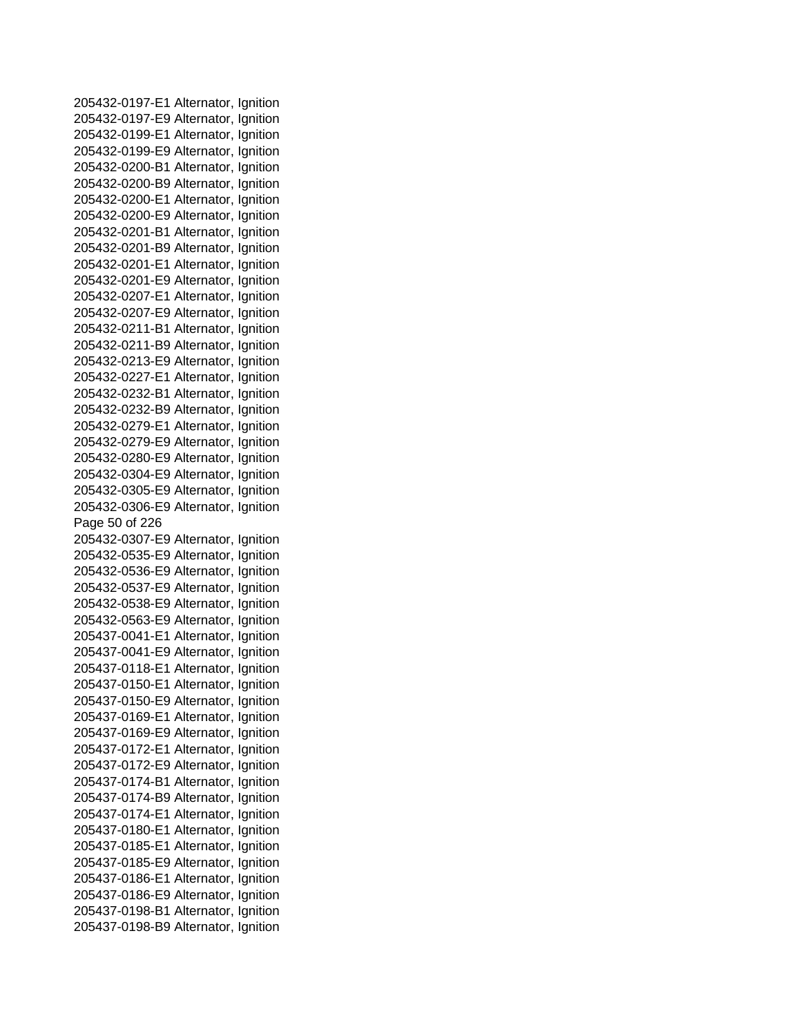205432-0197-E1 Alternator, Ignition 205432-0197-E9 Alternator, Ignition 205432-0199-E1 Alternator, Ignition 205432-0199-E9 Alternator, Ignition 205432-0200-B1 Alternator, Ignition 205432-0200-B9 Alternator, Ignition 205432-0200-E1 Alternator, Ignition 205432-0200-E9 Alternator, Ignition 205432-0201-B1 Alternator, Ignition 205432-0201-B9 Alternator, Ignition 205432-0201-E1 Alternator, Ignition 205432-0201-E9 Alternator, Ignition 205432-0207-E1 Alternator, Ignition 205432-0207-E9 Alternator, Ignition 205432-0211-B1 Alternator, Ignition 205432-0211-B9 Alternator, Ignition 205432-0213-E9 Alternator, Ignition 205432-0227-E1 Alternator, Ignition 205432-0232-B1 Alternator, Ignition 205432-0232-B9 Alternator, Ignition 205432-0279-E1 Alternator, Ignition 205432-0279-E9 Alternator, Ignition 205432-0280-E9 Alternator, Ignition 205432-0304-E9 Alternator, Ignition 205432-0305-E9 Alternator, Ignition 205432-0306-E9 Alternator, Ignition Page 50 of 226 205432-0307-E9 Alternator, Ignition 205432-0535-E9 Alternator, Ignition 205432-0536-E9 Alternator, Ignition 205432-0537-E9 Alternator, Ignition 205432-0538-E9 Alternator, Ignition 205432-0563-E9 Alternator, Ignition 205437-0041-E1 Alternator, Ignition 205437-0041-E9 Alternator, Ignition 205437-0118-E1 Alternator, Ignition 205437-0150-E1 Alternator, Ignition 205437-0150-E9 Alternator, Ignition 205437-0169-E1 Alternator, Ignition 205437-0169-E9 Alternator, Ignition 205437-0172-E1 Alternator, Ignition 205437-0172-E9 Alternator, Ignition 205437-0174-B1 Alternator, Ignition 205437-0174-B9 Alternator, Ignition 205437-0174-E1 Alternator, Ignition 205437-0180-E1 Alternator, Ignition 205437-0185-E1 Alternator, Ignition 205437-0185-E9 Alternator, Ignition 205437-0186-E1 Alternator, Ignition 205437-0186-E9 Alternator, Ignition 205437-0198-B1 Alternator, Ignition 205437-0198-B9 Alternator, Ignition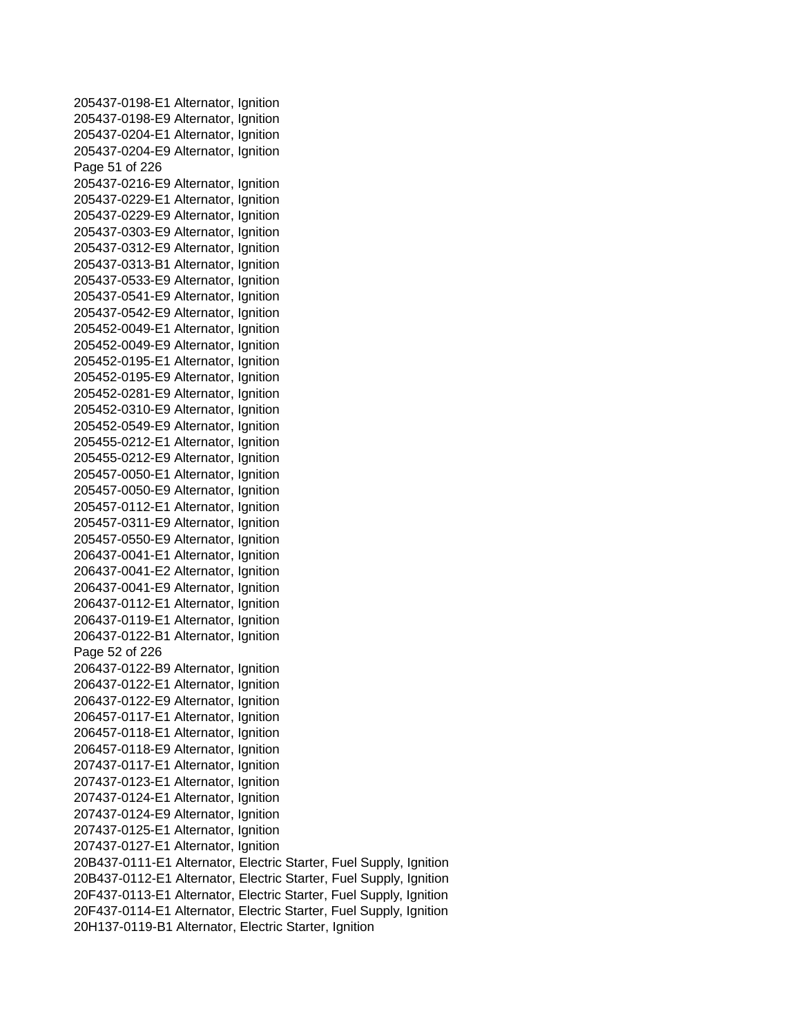205437-0198-E1 Alternator, Ignition 205437-0198-E9 Alternator, Ignition 205437-0204-E1 Alternator, Ignition 205437-0204-E9 Alternator, Ignition Page 51 of 226 205437-0216-E9 Alternator, Ignition 205437-0229-E1 Alternator, Ignition 205437-0229-E9 Alternator, Ignition 205437-0303-E9 Alternator, Ignition 205437-0312-E9 Alternator, Ignition 205437-0313-B1 Alternator, Ignition 205437-0533-E9 Alternator, Ignition 205437-0541-E9 Alternator, Ignition 205437-0542-E9 Alternator, Ignition 205452-0049-E1 Alternator, Ignition 205452-0049-E9 Alternator, Ignition 205452-0195-E1 Alternator, Ignition 205452-0195-E9 Alternator, Ignition 205452-0281-E9 Alternator, Ignition 205452-0310-E9 Alternator, Ignition 205452-0549-E9 Alternator, Ignition 205455-0212-E1 Alternator, Ignition 205455-0212-E9 Alternator, Ignition 205457-0050-E1 Alternator, Ignition 205457-0050-E9 Alternator, Ignition 205457-0112-E1 Alternator, Ignition 205457-0311-E9 Alternator, Ignition 205457-0550-E9 Alternator, Ignition 206437-0041-E1 Alternator, Ignition 206437-0041-E2 Alternator, Ignition 206437-0041-E9 Alternator, Ignition 206437-0112-E1 Alternator, Ignition 206437-0119-E1 Alternator, Ignition 206437-0122-B1 Alternator, Ignition Page 52 of 226 206437-0122-B9 Alternator, Ignition 206437-0122-E1 Alternator, Ignition 206437-0122-E9 Alternator, Ignition 206457-0117-E1 Alternator, Ignition 206457-0118-E1 Alternator, Ignition 206457-0118-E9 Alternator, Ignition 207437-0117-E1 Alternator, Ignition 207437-0123-E1 Alternator, Ignition 207437-0124-E1 Alternator, Ignition 207437-0124-E9 Alternator, Ignition 207437-0125-E1 Alternator, Ignition 207437-0127-E1 Alternator, Ignition 20B437-0111-E1 Alternator, Electric Starter, Fuel Supply, Ignition 20B437-0112-E1 Alternator, Electric Starter, Fuel Supply, Ignition 20F437-0113-E1 Alternator, Electric Starter, Fuel Supply, Ignition 20F437-0114-E1 Alternator, Electric Starter, Fuel Supply, Ignition 20H137-0119-B1 Alternator, Electric Starter, Ignition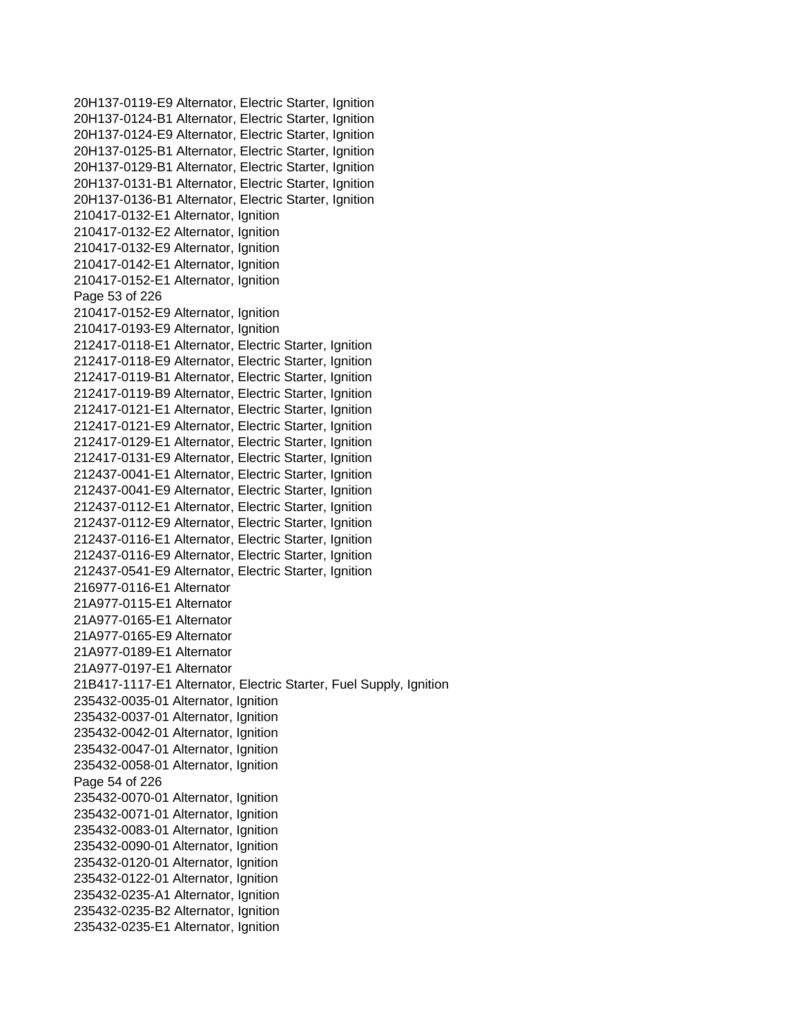20H137-0119-E9 Alternator, Electric Starter, Ignition 20H137-0124-B1 Alternator, Electric Starter, Ignition 20H137-0124-E9 Alternator, Electric Starter, Ignition 20H137-0125-B1 Alternator, Electric Starter, Ignition 20H137-0129-B1 Alternator, Electric Starter, Ignition 20H137-0131-B1 Alternator, Electric Starter, Ignition 20H137-0136-B1 Alternator, Electric Starter, Ignition 210417-0132-E1 Alternator, Ignition 210417-0132-E2 Alternator, Ignition 210417-0132-E9 Alternator, Ignition 210417-0142-E1 Alternator, Ignition 210417-0152-E1 Alternator, Ignition Page 53 of 226 210417-0152-E9 Alternator, Ignition 210417-0193-E9 Alternator, Ignition 212417-0118-E1 Alternator, Electric Starter, Ignition 212417-0118-E9 Alternator, Electric Starter, Ignition 212417-0119-B1 Alternator, Electric Starter, Ignition 212417-0119-B9 Alternator, Electric Starter, Ignition 212417-0121-E1 Alternator, Electric Starter, Ignition 212417-0121-E9 Alternator, Electric Starter, Ignition 212417-0129-E1 Alternator, Electric Starter, Ignition 212417-0131-E9 Alternator, Electric Starter, Ignition 212437-0041-E1 Alternator, Electric Starter, Ignition 212437-0041-E9 Alternator, Electric Starter, Ignition 212437-0112-E1 Alternator, Electric Starter, Ignition 212437-0112-E9 Alternator, Electric Starter, Ignition 212437-0116-E1 Alternator, Electric Starter, Ignition 212437-0116-E9 Alternator, Electric Starter, Ignition 212437-0541-E9 Alternator, Electric Starter, Ignition 216977-0116-E1 Alternator 21A977-0115-E1 Alternator 21A977-0165-E1 Alternator 21A977-0165-E9 Alternator 21A977-0189-E1 Alternator 21A977-0197-E1 Alternator 21B417-1117-E1 Alternator, Electric Starter, Fuel Supply, Ignition 235432-0035-01 Alternator, Ignition 235432-0037-01 Alternator, Ignition 235432-0042-01 Alternator, Ignition 235432-0047-01 Alternator, Ignition 235432-0058-01 Alternator, Ignition Page 54 of 226 235432-0070-01 Alternator, Ignition 235432-0071-01 Alternator, Ignition 235432-0083-01 Alternator, Ignition 235432-0090-01 Alternator, Ignition 235432-0120-01 Alternator, Ignition 235432-0122-01 Alternator, Ignition 235432-0235-A1 Alternator, Ignition 235432-0235-B2 Alternator, Ignition 235432-0235-E1 Alternator, Ignition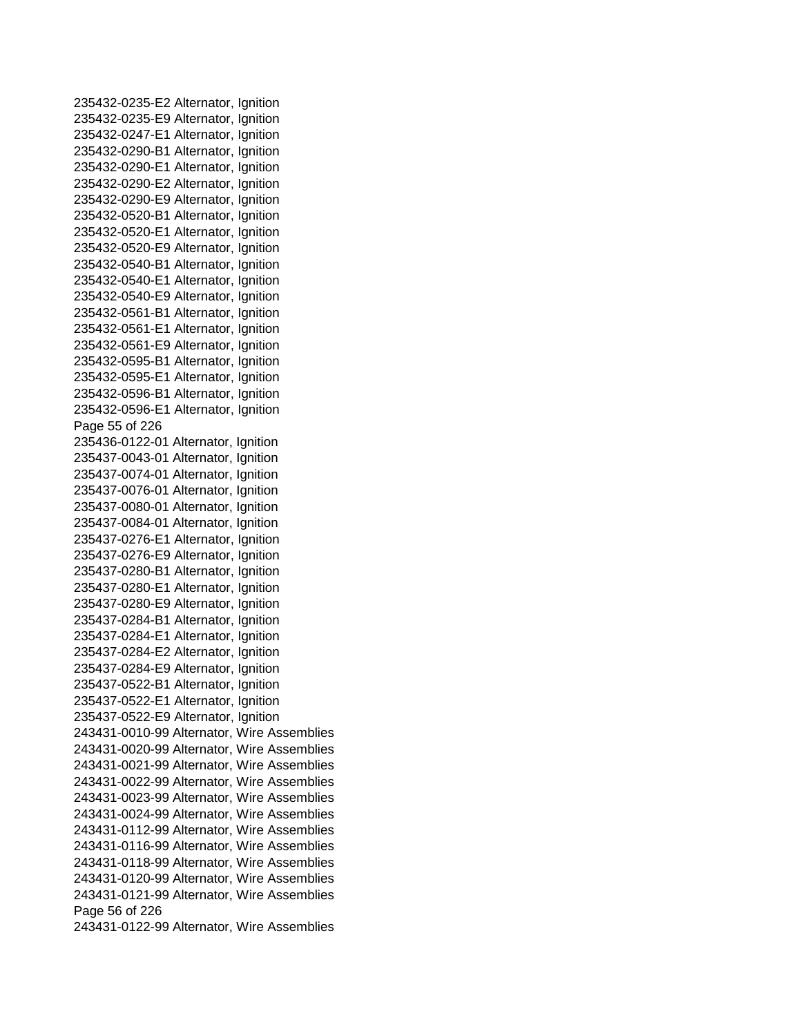235432-0235-E2 Alternator, Ignition 235432-0235-E9 Alternator, Ignition 235432-0247-E1 Alternator, Ignition 235432-0290-B1 Alternator, Ignition 235432-0290-E1 Alternator, Ignition 235432-0290-E2 Alternator, Ignition 235432-0290-E9 Alternator, Ignition 235432-0520-B1 Alternator, Ignition 235432-0520-E1 Alternator, Ignition 235432-0520-E9 Alternator, Ignition 235432-0540-B1 Alternator, Ignition 235432-0540-E1 Alternator, Ignition 235432-0540-E9 Alternator, Ignition 235432-0561-B1 Alternator, Ignition 235432-0561-E1 Alternator, Ignition 235432-0561-E9 Alternator, Ignition 235432-0595-B1 Alternator, Ignition 235432-0595-E1 Alternator, Ignition 235432-0596-B1 Alternator, Ignition 235432-0596-E1 Alternator, Ignition Page 55 of 226 235436-0122-01 Alternator, Ignition 235437-0043-01 Alternator, Ignition 235437-0074-01 Alternator, Ignition 235437-0076-01 Alternator, Ignition 235437-0080-01 Alternator, Ignition 235437-0084-01 Alternator, Ignition 235437-0276-E1 Alternator, Ignition 235437-0276-E9 Alternator, Ignition 235437-0280-B1 Alternator, Ignition 235437-0280-E1 Alternator, Ignition 235437-0280-E9 Alternator, Ignition 235437-0284-B1 Alternator, Ignition 235437-0284-E1 Alternator, Ignition 235437-0284-E2 Alternator, Ignition 235437-0284-E9 Alternator, Ignition 235437-0522-B1 Alternator, Ignition 235437-0522-E1 Alternator, Ignition 235437-0522-E9 Alternator, Ignition 243431-0010-99 Alternator, Wire Assemblies 243431-0020-99 Alternator, Wire Assemblies 243431-0021-99 Alternator, Wire Assemblies 243431-0022-99 Alternator, Wire Assemblies 243431-0023-99 Alternator, Wire Assemblies 243431-0024-99 Alternator, Wire Assemblies 243431-0112-99 Alternator, Wire Assemblies 243431-0116-99 Alternator, Wire Assemblies 243431-0118-99 Alternator, Wire Assemblies 243431-0120-99 Alternator, Wire Assemblies 243431-0121-99 Alternator, Wire Assemblies Page 56 of 226 243431-0122-99 Alternator, Wire Assemblies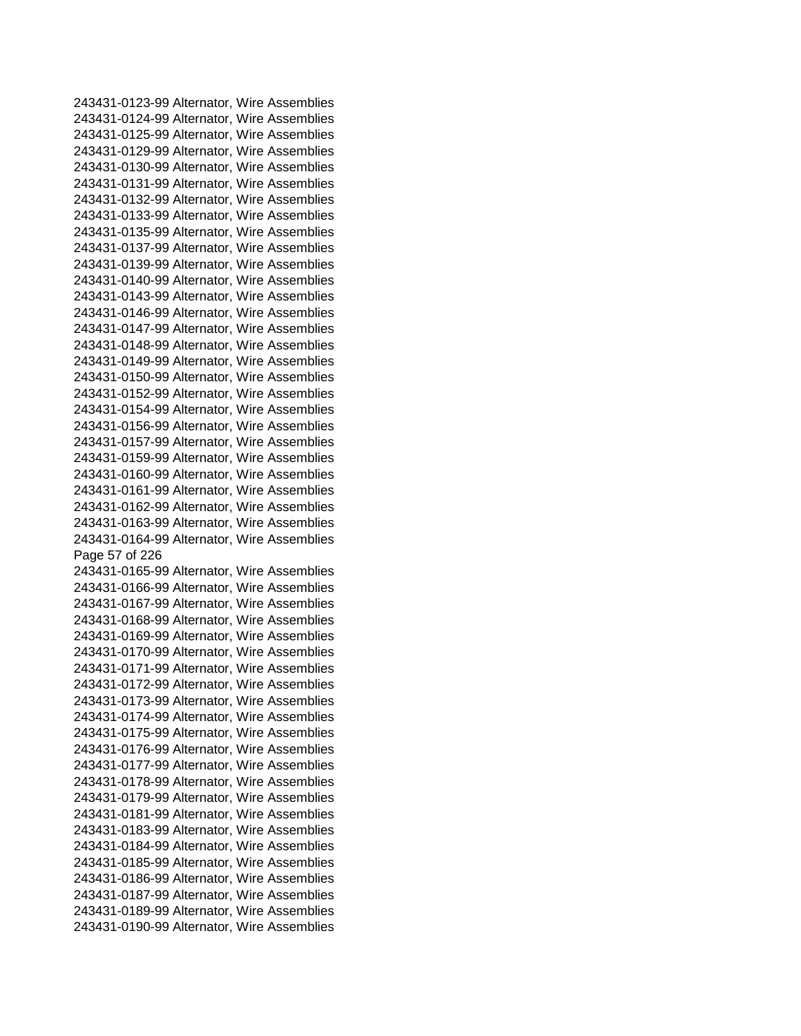243431-0123-99 Alternator, Wire Assemblies 243431-0124-99 Alternator, Wire Assemblies 243431-0125-99 Alternator, Wire Assemblies 243431-0129-99 Alternator, Wire Assemblies 243431-0130-99 Alternator, Wire Assemblies 243431-0131-99 Alternator, Wire Assemblies 243431-0132-99 Alternator, Wire Assemblies 243431-0133-99 Alternator, Wire Assemblies 243431-0135-99 Alternator, Wire Assemblies 243431-0137-99 Alternator, Wire Assemblies 243431-0139-99 Alternator, Wire Assemblies 243431-0140-99 Alternator, Wire Assemblies 243431-0143-99 Alternator, Wire Assemblies 243431-0146-99 Alternator, Wire Assemblies 243431-0147-99 Alternator, Wire Assemblies 243431-0148-99 Alternator, Wire Assemblies 243431-0149-99 Alternator, Wire Assemblies 243431-0150-99 Alternator, Wire Assemblies 243431-0152-99 Alternator, Wire Assemblies 243431-0154-99 Alternator, Wire Assemblies 243431-0156-99 Alternator, Wire Assemblies 243431-0157-99 Alternator, Wire Assemblies 243431-0159-99 Alternator, Wire Assemblies 243431-0160-99 Alternator, Wire Assemblies 243431-0161-99 Alternator, Wire Assemblies 243431-0162-99 Alternator, Wire Assemblies 243431-0163-99 Alternator, Wire Assemblies 243431-0164-99 Alternator, Wire Assemblies Page 57 of 226 243431-0165-99 Alternator, Wire Assemblies 243431-0166-99 Alternator, Wire Assemblies 243431-0167-99 Alternator, Wire Assemblies 243431-0168-99 Alternator, Wire Assemblies 243431-0169-99 Alternator, Wire Assemblies 243431-0170-99 Alternator, Wire Assemblies 243431-0171-99 Alternator, Wire Assemblies 243431-0172-99 Alternator, Wire Assemblies 243431-0173-99 Alternator, Wire Assemblies 243431-0174-99 Alternator, Wire Assemblies 243431-0175-99 Alternator, Wire Assemblies 243431-0176-99 Alternator, Wire Assemblies 243431-0177-99 Alternator, Wire Assemblies 243431-0178-99 Alternator, Wire Assemblies 243431-0179-99 Alternator, Wire Assemblies 243431-0181-99 Alternator, Wire Assemblies 243431-0183-99 Alternator, Wire Assemblies 243431-0184-99 Alternator, Wire Assemblies 243431-0185-99 Alternator, Wire Assemblies 243431-0186-99 Alternator, Wire Assemblies 243431-0187-99 Alternator, Wire Assemblies 243431-0189-99 Alternator, Wire Assemblies 243431-0190-99 Alternator, Wire Assemblies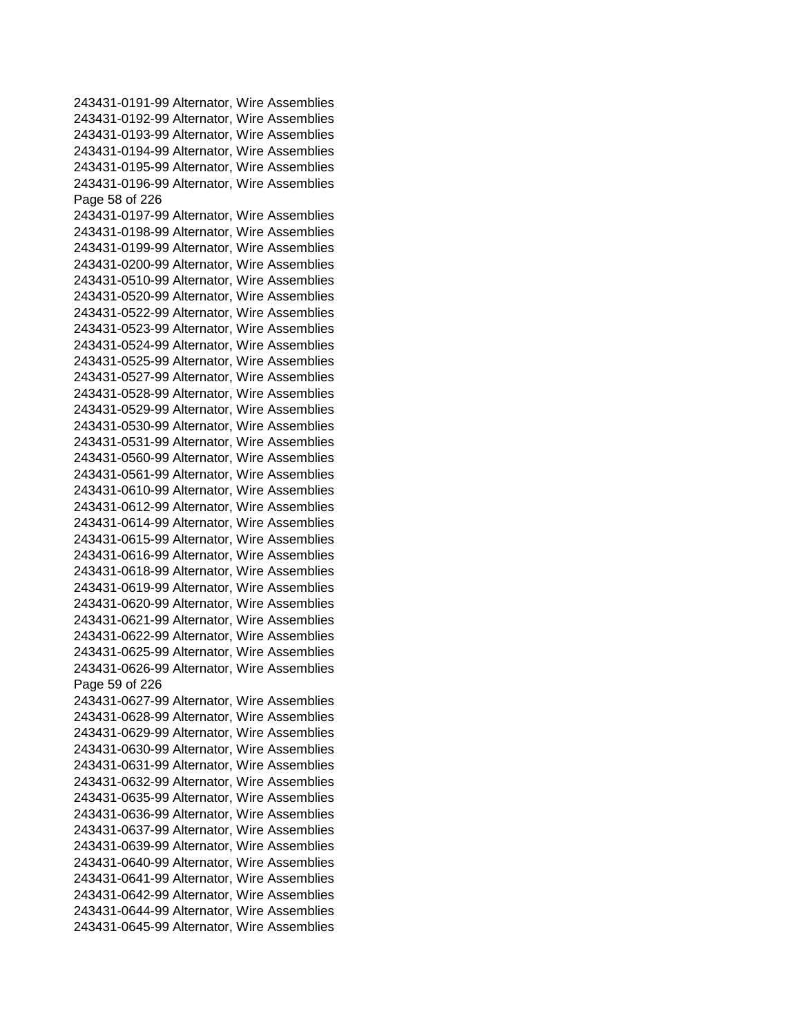```
243431-0191-99 Alternator, Wire Assemblies
243431-0192-99 Alternator, Wire Assemblies
243431-0193-99 Alternator, Wire Assemblies
243431-0194-99 Alternator, Wire Assemblies
243431-0195-99 Alternator, Wire Assemblies
243431-0196-99 Alternator, Wire Assemblies
Page 58 of 226
243431-0197-99 Alternator, Wire Assemblies
243431-0198-99 Alternator, Wire Assemblies
243431-0199-99 Alternator, Wire Assemblies
243431-0200-99 Alternator, Wire Assemblies
243431-0510-99 Alternator, Wire Assemblies
243431-0520-99 Alternator, Wire Assemblies
243431-0522-99 Alternator, Wire Assemblies
243431-0523-99 Alternator, Wire Assemblies
243431-0524-99 Alternator, Wire Assemblies
243431-0525-99 Alternator, Wire Assemblies
243431-0527-99 Alternator, Wire Assemblies
243431-0528-99 Alternator, Wire Assemblies
243431-0529-99 Alternator, Wire Assemblies
243431-0530-99 Alternator, Wire Assemblies
243431-0531-99 Alternator, Wire Assemblies
243431-0560-99 Alternator, Wire Assemblies
243431-0561-99 Alternator, Wire Assemblies
243431-0610-99 Alternator, Wire Assemblies
243431-0612-99 Alternator, Wire Assemblies
243431-0614-99 Alternator, Wire Assemblies
243431-0615-99 Alternator, Wire Assemblies
243431-0616-99 Alternator, Wire Assemblies
243431-0618-99 Alternator, Wire Assemblies
243431-0619-99 Alternator, Wire Assemblies
243431-0620-99 Alternator, Wire Assemblies
243431-0621-99 Alternator, Wire Assemblies
243431-0622-99 Alternator, Wire Assemblies
243431-0625-99 Alternator, Wire Assemblies
243431-0626-99 Alternator, Wire Assemblies
Page 59 of 226
243431-0627-99 Alternator, Wire Assemblies
243431-0628-99 Alternator, Wire Assemblies
243431-0629-99 Alternator, Wire Assemblies
243431-0630-99 Alternator, Wire Assemblies
243431-0631-99 Alternator, Wire Assemblies
243431-0632-99 Alternator, Wire Assemblies
243431-0635-99 Alternator, Wire Assemblies
243431-0636-99 Alternator, Wire Assemblies
243431-0637-99 Alternator, Wire Assemblies
243431-0639-99 Alternator, Wire Assemblies
243431-0640-99 Alternator, Wire Assemblies
243431-0641-99 Alternator, Wire Assemblies
243431-0642-99 Alternator, Wire Assemblies
243431-0644-99 Alternator, Wire Assemblies
243431-0645-99 Alternator, Wire Assemblies
```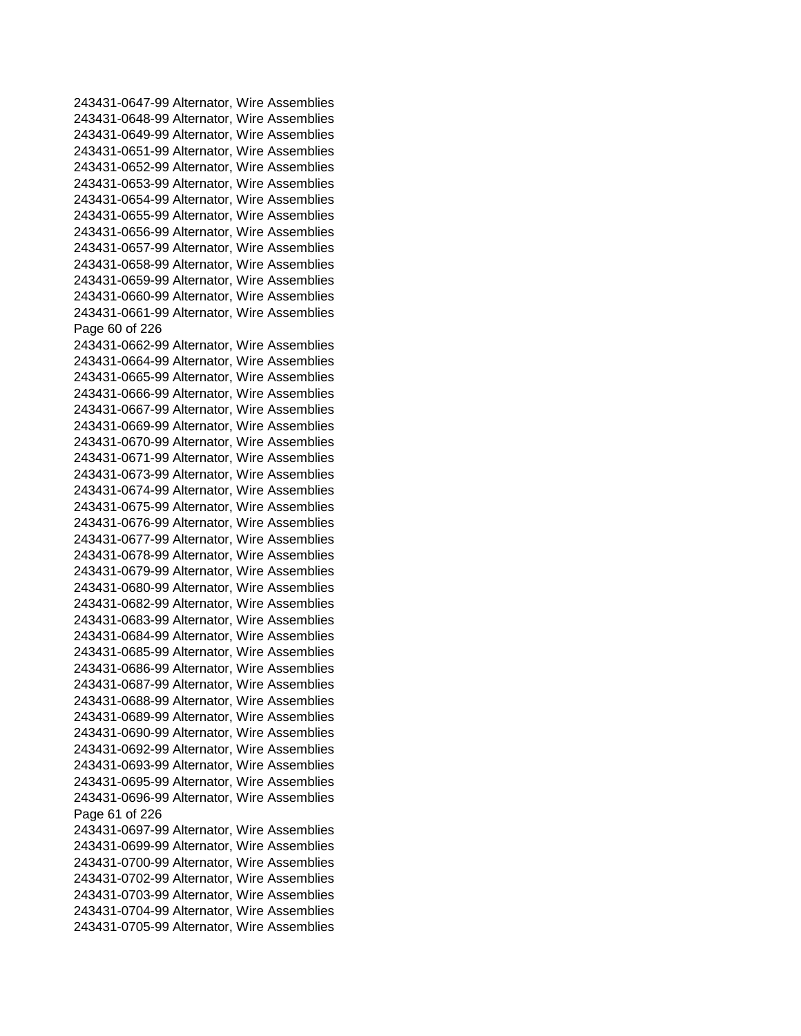243431-0647-99 Alternator, Wire Assemblies 243431-0648-99 Alternator, Wire Assemblies 243431-0649-99 Alternator, Wire Assemblies 243431-0651-99 Alternator, Wire Assemblies 243431-0652-99 Alternator, Wire Assemblies 243431-0653-99 Alternator, Wire Assemblies 243431-0654-99 Alternator, Wire Assemblies 243431-0655-99 Alternator, Wire Assemblies 243431-0656-99 Alternator, Wire Assemblies 243431-0657-99 Alternator, Wire Assemblies 243431-0658-99 Alternator, Wire Assemblies 243431-0659-99 Alternator, Wire Assemblies 243431-0660-99 Alternator, Wire Assemblies 243431-0661-99 Alternator, Wire Assemblies Page 60 of 226 243431-0662-99 Alternator, Wire Assemblies 243431-0664-99 Alternator, Wire Assemblies 243431-0665-99 Alternator, Wire Assemblies 243431-0666-99 Alternator, Wire Assemblies 243431-0667-99 Alternator, Wire Assemblies 243431-0669-99 Alternator, Wire Assemblies 243431-0670-99 Alternator, Wire Assemblies 243431-0671-99 Alternator, Wire Assemblies 243431-0673-99 Alternator, Wire Assemblies 243431-0674-99 Alternator, Wire Assemblies 243431-0675-99 Alternator, Wire Assemblies 243431-0676-99 Alternator, Wire Assemblies 243431-0677-99 Alternator, Wire Assemblies 243431-0678-99 Alternator, Wire Assemblies 243431-0679-99 Alternator, Wire Assemblies 243431-0680-99 Alternator, Wire Assemblies 243431-0682-99 Alternator, Wire Assemblies 243431-0683-99 Alternator, Wire Assemblies 243431-0684-99 Alternator, Wire Assemblies 243431-0685-99 Alternator, Wire Assemblies 243431-0686-99 Alternator, Wire Assemblies 243431-0687-99 Alternator, Wire Assemblies 243431-0688-99 Alternator, Wire Assemblies 243431-0689-99 Alternator, Wire Assemblies 243431-0690-99 Alternator, Wire Assemblies 243431-0692-99 Alternator, Wire Assemblies 243431-0693-99 Alternator, Wire Assemblies 243431-0695-99 Alternator, Wire Assemblies 243431-0696-99 Alternator, Wire Assemblies Page 61 of 226 243431-0697-99 Alternator, Wire Assemblies 243431-0699-99 Alternator, Wire Assemblies 243431-0700-99 Alternator, Wire Assemblies 243431-0702-99 Alternator, Wire Assemblies 243431-0703-99 Alternator, Wire Assemblies 243431-0704-99 Alternator, Wire Assemblies 243431-0705-99 Alternator, Wire Assemblies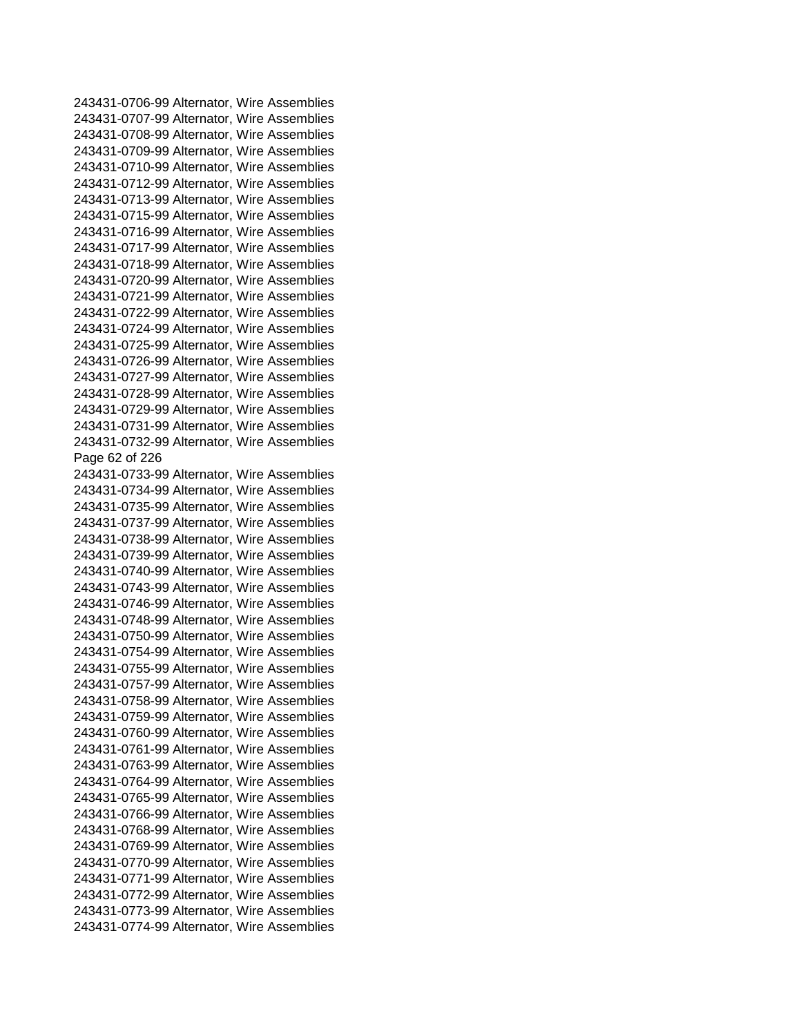243431-0706-99 Alternator, Wire Assemblies 243431-0707-99 Alternator, Wire Assemblies 243431-0708-99 Alternator, Wire Assemblies 243431-0709-99 Alternator, Wire Assemblies 243431-0710-99 Alternator, Wire Assemblies 243431-0712-99 Alternator, Wire Assemblies 243431-0713-99 Alternator, Wire Assemblies 243431-0715-99 Alternator, Wire Assemblies 243431-0716-99 Alternator, Wire Assemblies 243431-0717-99 Alternator, Wire Assemblies 243431-0718-99 Alternator, Wire Assemblies 243431-0720-99 Alternator, Wire Assemblies 243431-0721-99 Alternator, Wire Assemblies 243431-0722-99 Alternator, Wire Assemblies 243431-0724-99 Alternator, Wire Assemblies 243431-0725-99 Alternator, Wire Assemblies 243431-0726-99 Alternator, Wire Assemblies 243431-0727-99 Alternator, Wire Assemblies 243431-0728-99 Alternator, Wire Assemblies 243431-0729-99 Alternator, Wire Assemblies 243431-0731-99 Alternator, Wire Assemblies 243431-0732-99 Alternator, Wire Assemblies Page 62 of 226 243431-0733-99 Alternator, Wire Assemblies 243431-0734-99 Alternator, Wire Assemblies 243431-0735-99 Alternator, Wire Assemblies 243431-0737-99 Alternator, Wire Assemblies 243431-0738-99 Alternator, Wire Assemblies 243431-0739-99 Alternator, Wire Assemblies 243431-0740-99 Alternator, Wire Assemblies 243431-0743-99 Alternator, Wire Assemblies 243431-0746-99 Alternator, Wire Assemblies 243431-0748-99 Alternator, Wire Assemblies 243431-0750-99 Alternator, Wire Assemblies 243431-0754-99 Alternator, Wire Assemblies 243431-0755-99 Alternator, Wire Assemblies 243431-0757-99 Alternator, Wire Assemblies 243431-0758-99 Alternator, Wire Assemblies 243431-0759-99 Alternator, Wire Assemblies 243431-0760-99 Alternator, Wire Assemblies 243431-0761-99 Alternator, Wire Assemblies 243431-0763-99 Alternator, Wire Assemblies 243431-0764-99 Alternator, Wire Assemblies 243431-0765-99 Alternator, Wire Assemblies 243431-0766-99 Alternator, Wire Assemblies 243431-0768-99 Alternator, Wire Assemblies 243431-0769-99 Alternator, Wire Assemblies 243431-0770-99 Alternator, Wire Assemblies 243431-0771-99 Alternator, Wire Assemblies 243431-0772-99 Alternator, Wire Assemblies 243431-0773-99 Alternator, Wire Assemblies 243431-0774-99 Alternator, Wire Assemblies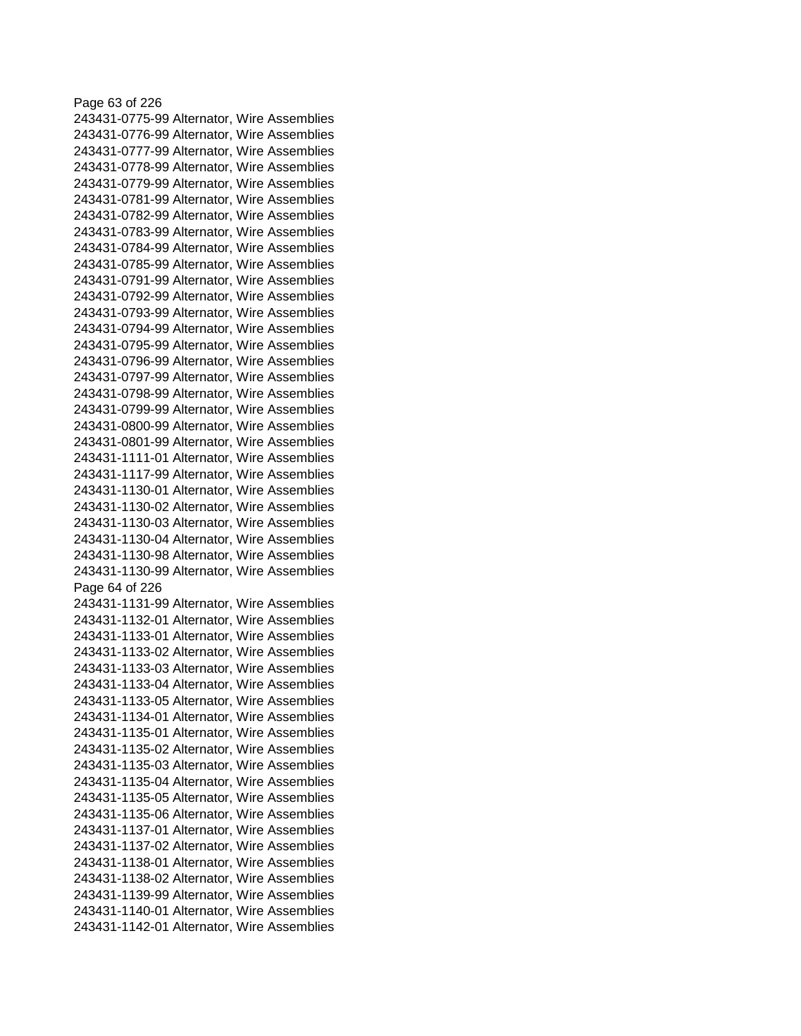## Page 63 of 226

243431-0775-99 Alternator, Wire Assemblies 243431-0776-99 Alternator, Wire Assemblies 243431-0777-99 Alternator, Wire Assemblies 243431-0778-99 Alternator, Wire Assemblies 243431-0779-99 Alternator, Wire Assemblies 243431-0781-99 Alternator, Wire Assemblies 243431-0782-99 Alternator, Wire Assemblies 243431-0783-99 Alternator, Wire Assemblies 243431-0784-99 Alternator, Wire Assemblies 243431-0785-99 Alternator, Wire Assemblies 243431-0791-99 Alternator, Wire Assemblies 243431-0792-99 Alternator, Wire Assemblies 243431-0793-99 Alternator, Wire Assemblies 243431-0794-99 Alternator, Wire Assemblies 243431-0795-99 Alternator, Wire Assemblies 243431-0796-99 Alternator, Wire Assemblies 243431-0797-99 Alternator, Wire Assemblies 243431-0798-99 Alternator, Wire Assemblies 243431-0799-99 Alternator, Wire Assemblies 243431-0800-99 Alternator, Wire Assemblies 243431-0801-99 Alternator, Wire Assemblies 243431-1111-01 Alternator, Wire Assemblies 243431-1117-99 Alternator, Wire Assemblies 243431-1130-01 Alternator, Wire Assemblies 243431-1130-02 Alternator, Wire Assemblies 243431-1130-03 Alternator, Wire Assemblies 243431-1130-04 Alternator, Wire Assemblies 243431-1130-98 Alternator, Wire Assemblies 243431-1130-99 Alternator, Wire Assemblies Page 64 of 226 243431-1131-99 Alternator, Wire Assemblies 243431-1132-01 Alternator, Wire Assemblies 243431-1133-01 Alternator, Wire Assemblies 243431-1133-02 Alternator, Wire Assemblies 243431-1133-03 Alternator, Wire Assemblies 243431-1133-04 Alternator, Wire Assemblies 243431-1133-05 Alternator, Wire Assemblies 243431-1134-01 Alternator, Wire Assemblies 243431-1135-01 Alternator, Wire Assemblies 243431-1135-02 Alternator, Wire Assemblies 243431-1135-03 Alternator, Wire Assemblies 243431-1135-04 Alternator, Wire Assemblies 243431-1135-05 Alternator, Wire Assemblies 243431-1135-06 Alternator, Wire Assemblies 243431-1137-01 Alternator, Wire Assemblies 243431-1137-02 Alternator, Wire Assemblies 243431-1138-01 Alternator, Wire Assemblies 243431-1138-02 Alternator, Wire Assemblies 243431-1139-99 Alternator, Wire Assemblies 243431-1140-01 Alternator, Wire Assemblies 243431-1142-01 Alternator, Wire Assemblies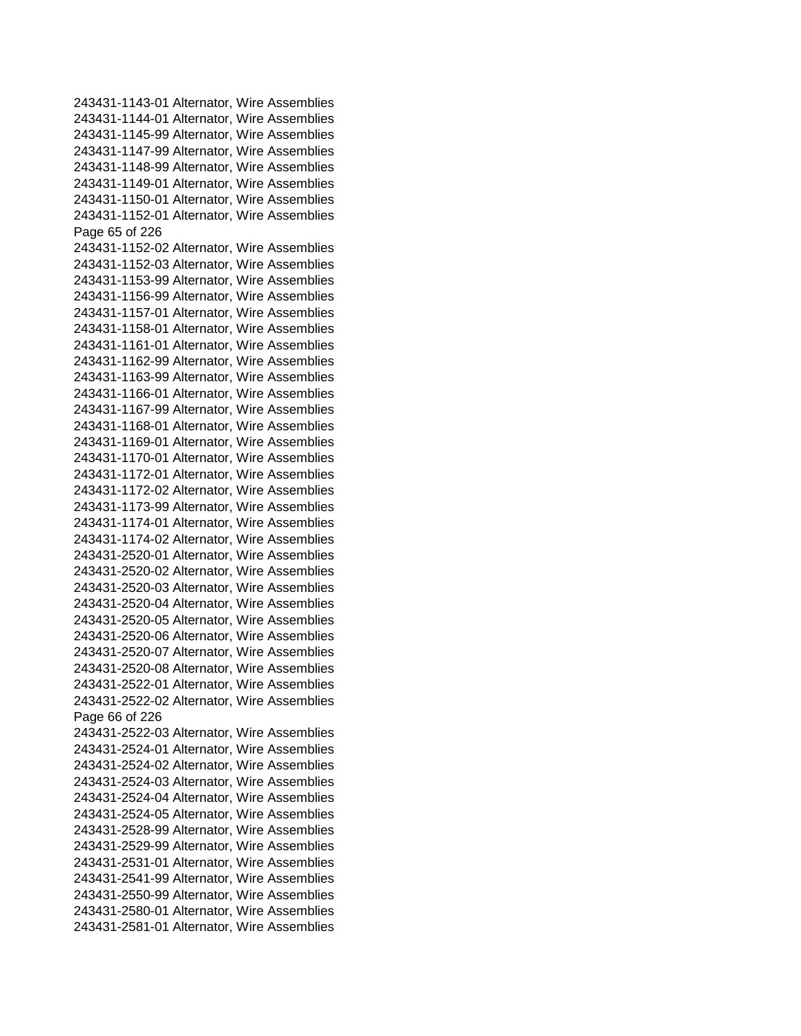```
243431-1143-01 Alternator, Wire Assemblies
243431-1144-01 Alternator, Wire Assemblies
243431-1145-99 Alternator, Wire Assemblies
243431-1147-99 Alternator, Wire Assemblies
243431-1148-99 Alternator, Wire Assemblies
243431-1149-01 Alternator, Wire Assemblies
243431-1150-01 Alternator, Wire Assemblies
243431-1152-01 Alternator, Wire Assemblies
Page 65 of 226
243431-1152-02 Alternator, Wire Assemblies
243431-1152-03 Alternator, Wire Assemblies
243431-1153-99 Alternator, Wire Assemblies
243431-1156-99 Alternator, Wire Assemblies
243431-1157-01 Alternator, Wire Assemblies
243431-1158-01 Alternator, Wire Assemblies
243431-1161-01 Alternator, Wire Assemblies
243431-1162-99 Alternator, Wire Assemblies
243431-1163-99 Alternator, Wire Assemblies
243431-1166-01 Alternator, Wire Assemblies
243431-1167-99 Alternator, Wire Assemblies
243431-1168-01 Alternator, Wire Assemblies
243431-1169-01 Alternator, Wire Assemblies
243431-1170-01 Alternator, Wire Assemblies
243431-1172-01 Alternator, Wire Assemblies
243431-1172-02 Alternator, Wire Assemblies
243431-1173-99 Alternator, Wire Assemblies
243431-1174-01 Alternator, Wire Assemblies
243431-1174-02 Alternator, Wire Assemblies
243431-2520-01 Alternator, Wire Assemblies
243431-2520-02 Alternator, Wire Assemblies
243431-2520-03 Alternator, Wire Assemblies
243431-2520-04 Alternator, Wire Assemblies
243431-2520-05 Alternator, Wire Assemblies
243431-2520-06 Alternator, Wire Assemblies
243431-2520-07 Alternator, Wire Assemblies
243431-2520-08 Alternator, Wire Assemblies
243431-2522-01 Alternator, Wire Assemblies
243431-2522-02 Alternator, Wire Assemblies
Page 66 of 226
243431-2522-03 Alternator, Wire Assemblies
243431-2524-01 Alternator, Wire Assemblies
243431-2524-02 Alternator, Wire Assemblies
243431-2524-03 Alternator, Wire Assemblies
243431-2524-04 Alternator, Wire Assemblies
243431-2524-05 Alternator, Wire Assemblies
243431-2528-99 Alternator, Wire Assemblies
243431-2529-99 Alternator, Wire Assemblies
243431-2531-01 Alternator, Wire Assemblies
243431-2541-99 Alternator, Wire Assemblies
243431-2550-99 Alternator, Wire Assemblies
243431-2580-01 Alternator, Wire Assemblies
243431-2581-01 Alternator, Wire Assemblies
```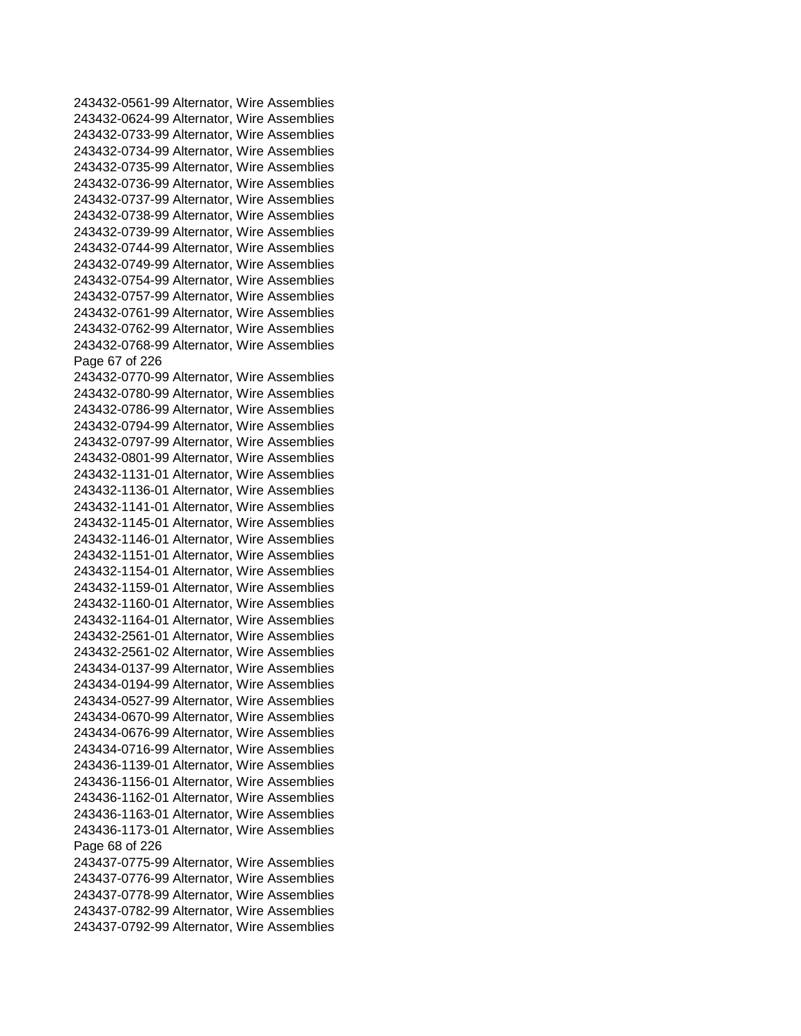243432-0561-99 Alternator, Wire Assemblies 243432-0624-99 Alternator, Wire Assemblies 243432-0733-99 Alternator, Wire Assemblies 243432-0734-99 Alternator, Wire Assemblies 243432-0735-99 Alternator, Wire Assemblies 243432-0736-99 Alternator, Wire Assemblies 243432-0737-99 Alternator, Wire Assemblies 243432-0738-99 Alternator, Wire Assemblies 243432-0739-99 Alternator, Wire Assemblies 243432-0744-99 Alternator, Wire Assemblies 243432-0749-99 Alternator, Wire Assemblies 243432-0754-99 Alternator, Wire Assemblies 243432-0757-99 Alternator, Wire Assemblies 243432-0761-99 Alternator, Wire Assemblies 243432-0762-99 Alternator, Wire Assemblies 243432-0768-99 Alternator, Wire Assemblies Page 67 of 226 243432-0770-99 Alternator, Wire Assemblies 243432-0780-99 Alternator, Wire Assemblies 243432-0786-99 Alternator, Wire Assemblies 243432-0794-99 Alternator, Wire Assemblies 243432-0797-99 Alternator, Wire Assemblies 243432-0801-99 Alternator, Wire Assemblies 243432-1131-01 Alternator, Wire Assemblies 243432-1136-01 Alternator, Wire Assemblies 243432-1141-01 Alternator, Wire Assemblies 243432-1145-01 Alternator, Wire Assemblies 243432-1146-01 Alternator, Wire Assemblies 243432-1151-01 Alternator, Wire Assemblies 243432-1154-01 Alternator, Wire Assemblies 243432-1159-01 Alternator, Wire Assemblies 243432-1160-01 Alternator, Wire Assemblies 243432-1164-01 Alternator, Wire Assemblies 243432-2561-01 Alternator, Wire Assemblies 243432-2561-02 Alternator, Wire Assemblies 243434-0137-99 Alternator, Wire Assemblies 243434-0194-99 Alternator, Wire Assemblies 243434-0527-99 Alternator, Wire Assemblies 243434-0670-99 Alternator, Wire Assemblies 243434-0676-99 Alternator, Wire Assemblies 243434-0716-99 Alternator, Wire Assemblies 243436-1139-01 Alternator, Wire Assemblies 243436-1156-01 Alternator, Wire Assemblies 243436-1162-01 Alternator, Wire Assemblies 243436-1163-01 Alternator, Wire Assemblies 243436-1173-01 Alternator, Wire Assemblies Page 68 of 226 243437-0775-99 Alternator, Wire Assemblies 243437-0776-99 Alternator, Wire Assemblies 243437-0778-99 Alternator, Wire Assemblies 243437-0782-99 Alternator, Wire Assemblies 243437-0792-99 Alternator, Wire Assemblies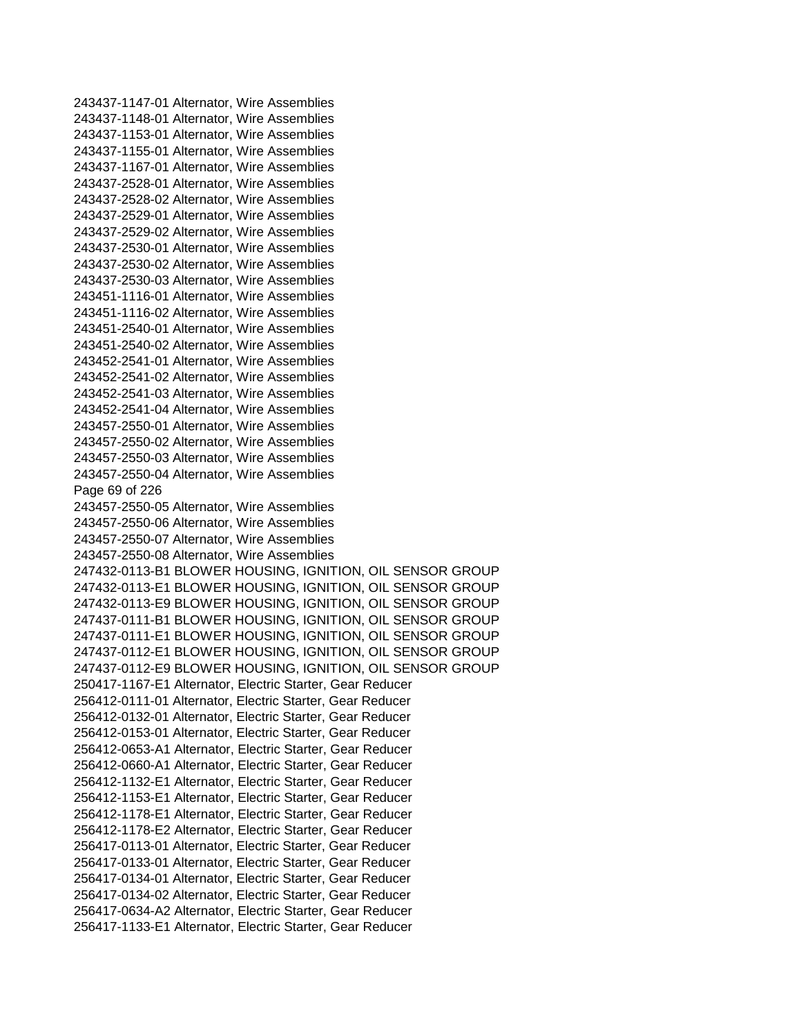243437-1147-01 Alternator, Wire Assemblies 243437-1148-01 Alternator, Wire Assemblies 243437-1153-01 Alternator, Wire Assemblies 243437-1155-01 Alternator, Wire Assemblies 243437-1167-01 Alternator, Wire Assemblies 243437-2528-01 Alternator, Wire Assemblies 243437-2528-02 Alternator, Wire Assemblies 243437-2529-01 Alternator, Wire Assemblies 243437-2529-02 Alternator, Wire Assemblies 243437-2530-01 Alternator, Wire Assemblies 243437-2530-02 Alternator, Wire Assemblies 243437-2530-03 Alternator, Wire Assemblies 243451-1116-01 Alternator, Wire Assemblies 243451-1116-02 Alternator, Wire Assemblies 243451-2540-01 Alternator, Wire Assemblies 243451-2540-02 Alternator, Wire Assemblies 243452-2541-01 Alternator, Wire Assemblies 243452-2541-02 Alternator, Wire Assemblies 243452-2541-03 Alternator, Wire Assemblies 243452-2541-04 Alternator, Wire Assemblies 243457-2550-01 Alternator, Wire Assemblies 243457-2550-02 Alternator, Wire Assemblies 243457-2550-03 Alternator, Wire Assemblies 243457-2550-04 Alternator, Wire Assemblies Page 69 of 226 243457-2550-05 Alternator, Wire Assemblies 243457-2550-06 Alternator, Wire Assemblies 243457-2550-07 Alternator, Wire Assemblies 243457-2550-08 Alternator, Wire Assemblies 247432-0113-B1 BLOWER HOUSING, IGNITION, OIL SENSOR GROUP 247432-0113-E1 BLOWER HOUSING, IGNITION, OIL SENSOR GROUP 247432-0113-E9 BLOWER HOUSING, IGNITION, OIL SENSOR GROUP 247437-0111-B1 BLOWER HOUSING, IGNITION, OIL SENSOR GROUP 247437-0111-E1 BLOWER HOUSING, IGNITION, OIL SENSOR GROUP 247437-0112-E1 BLOWER HOUSING, IGNITION, OIL SENSOR GROUP 247437-0112-E9 BLOWER HOUSING, IGNITION, OIL SENSOR GROUP 250417-1167-E1 Alternator, Electric Starter, Gear Reducer 256412-0111-01 Alternator, Electric Starter, Gear Reducer 256412-0132-01 Alternator, Electric Starter, Gear Reducer 256412-0153-01 Alternator, Electric Starter, Gear Reducer 256412-0653-A1 Alternator, Electric Starter, Gear Reducer 256412-0660-A1 Alternator, Electric Starter, Gear Reducer 256412-1132-E1 Alternator, Electric Starter, Gear Reducer 256412-1153-E1 Alternator, Electric Starter, Gear Reducer 256412-1178-E1 Alternator, Electric Starter, Gear Reducer 256412-1178-E2 Alternator, Electric Starter, Gear Reducer 256417-0113-01 Alternator, Electric Starter, Gear Reducer 256417-0133-01 Alternator, Electric Starter, Gear Reducer 256417-0134-01 Alternator, Electric Starter, Gear Reducer 256417-0134-02 Alternator, Electric Starter, Gear Reducer 256417-0634-A2 Alternator, Electric Starter, Gear Reducer 256417-1133-E1 Alternator, Electric Starter, Gear Reducer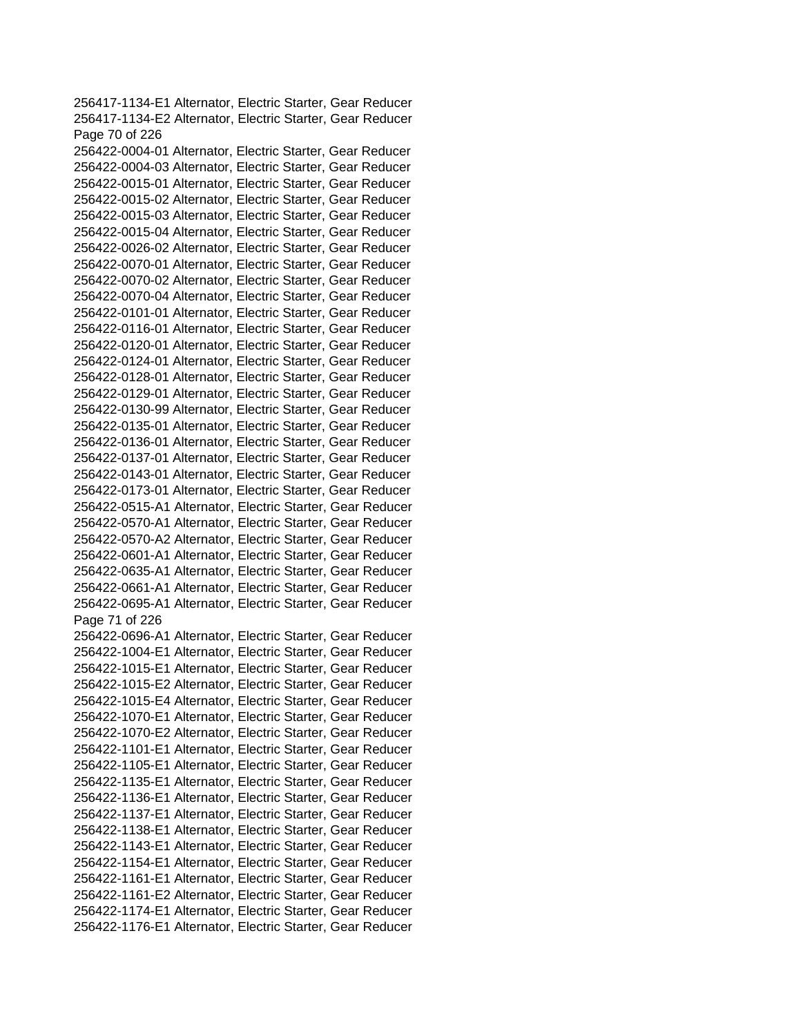256417-1134-E1 Alternator, Electric Starter, Gear Reducer 256417-1134-E2 Alternator, Electric Starter, Gear Reducer Page 70 of 226 256422-0004-01 Alternator, Electric Starter, Gear Reducer 256422-0004-03 Alternator, Electric Starter, Gear Reducer 256422-0015-01 Alternator, Electric Starter, Gear Reducer 256422-0015-02 Alternator, Electric Starter, Gear Reducer 256422-0015-03 Alternator, Electric Starter, Gear Reducer 256422-0015-04 Alternator, Electric Starter, Gear Reducer 256422-0026-02 Alternator, Electric Starter, Gear Reducer 256422-0070-01 Alternator, Electric Starter, Gear Reducer 256422-0070-02 Alternator, Electric Starter, Gear Reducer 256422-0070-04 Alternator, Electric Starter, Gear Reducer 256422-0101-01 Alternator, Electric Starter, Gear Reducer 256422-0116-01 Alternator, Electric Starter, Gear Reducer 256422-0120-01 Alternator, Electric Starter, Gear Reducer 256422-0124-01 Alternator, Electric Starter, Gear Reducer 256422-0128-01 Alternator, Electric Starter, Gear Reducer 256422-0129-01 Alternator, Electric Starter, Gear Reducer 256422-0130-99 Alternator, Electric Starter, Gear Reducer 256422-0135-01 Alternator, Electric Starter, Gear Reducer 256422-0136-01 Alternator, Electric Starter, Gear Reducer 256422-0137-01 Alternator, Electric Starter, Gear Reducer 256422-0143-01 Alternator, Electric Starter, Gear Reducer 256422-0173-01 Alternator, Electric Starter, Gear Reducer 256422-0515-A1 Alternator, Electric Starter, Gear Reducer 256422-0570-A1 Alternator, Electric Starter, Gear Reducer 256422-0570-A2 Alternator, Electric Starter, Gear Reducer 256422-0601-A1 Alternator, Electric Starter, Gear Reducer 256422-0635-A1 Alternator, Electric Starter, Gear Reducer 256422-0661-A1 Alternator, Electric Starter, Gear Reducer 256422-0695-A1 Alternator, Electric Starter, Gear Reducer Page 71 of 226 256422-0696-A1 Alternator, Electric Starter, Gear Reducer 256422-1004-E1 Alternator, Electric Starter, Gear Reducer 256422-1015-E1 Alternator, Electric Starter, Gear Reducer 256422-1015-E2 Alternator, Electric Starter, Gear Reducer 256422-1015-E4 Alternator, Electric Starter, Gear Reducer 256422-1070-E1 Alternator, Electric Starter, Gear Reducer 256422-1070-E2 Alternator, Electric Starter, Gear Reducer 256422-1101-E1 Alternator, Electric Starter, Gear Reducer 256422-1105-E1 Alternator, Electric Starter, Gear Reducer 256422-1135-E1 Alternator, Electric Starter, Gear Reducer 256422-1136-E1 Alternator, Electric Starter, Gear Reducer 256422-1137-E1 Alternator, Electric Starter, Gear Reducer 256422-1138-E1 Alternator, Electric Starter, Gear Reducer 256422-1143-E1 Alternator, Electric Starter, Gear Reducer 256422-1154-E1 Alternator, Electric Starter, Gear Reducer 256422-1161-E1 Alternator, Electric Starter, Gear Reducer 256422-1161-E2 Alternator, Electric Starter, Gear Reducer 256422-1174-E1 Alternator, Electric Starter, Gear Reducer 256422-1176-E1 Alternator, Electric Starter, Gear Reducer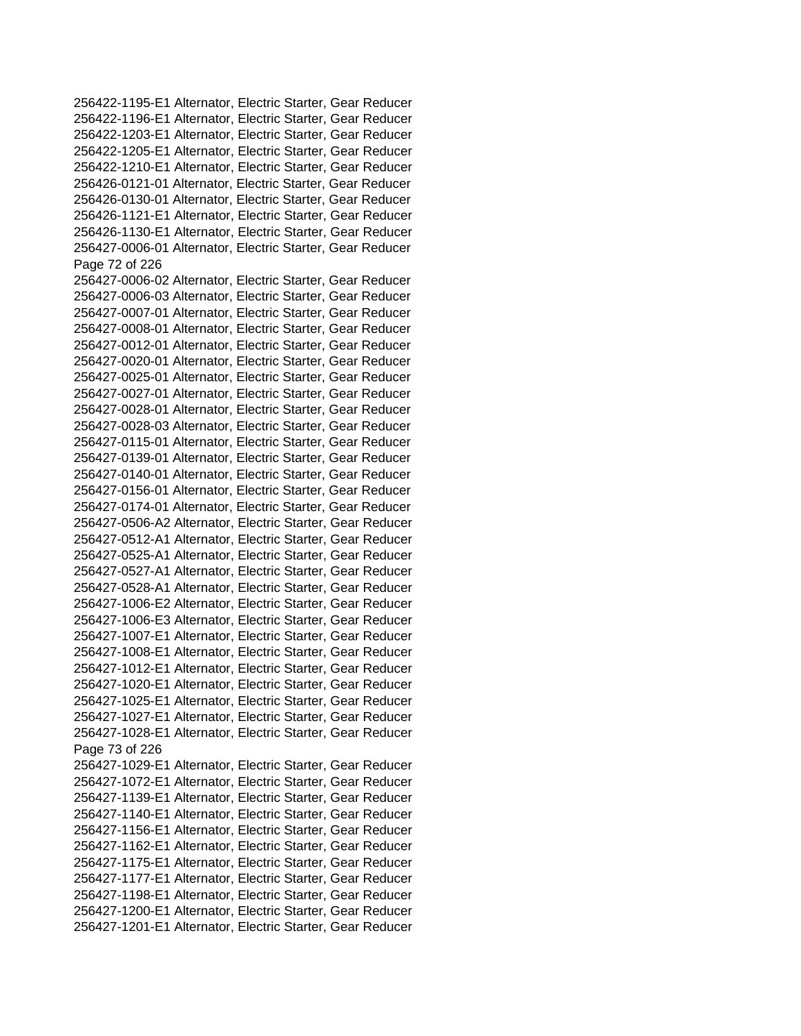256422-1195-E1 Alternator, Electric Starter, Gear Reducer 256422-1196-E1 Alternator, Electric Starter, Gear Reducer 256422-1203-E1 Alternator, Electric Starter, Gear Reducer 256422-1205-E1 Alternator, Electric Starter, Gear Reducer 256422-1210-E1 Alternator, Electric Starter, Gear Reducer 256426-0121-01 Alternator, Electric Starter, Gear Reducer 256426-0130-01 Alternator, Electric Starter, Gear Reducer 256426-1121-E1 Alternator, Electric Starter, Gear Reducer 256426-1130-E1 Alternator, Electric Starter, Gear Reducer 256427-0006-01 Alternator, Electric Starter, Gear Reducer Page 72 of 226 256427-0006-02 Alternator, Electric Starter, Gear Reducer 256427-0006-03 Alternator, Electric Starter, Gear Reducer 256427-0007-01 Alternator, Electric Starter, Gear Reducer 256427-0008-01 Alternator, Electric Starter, Gear Reducer 256427-0012-01 Alternator, Electric Starter, Gear Reducer 256427-0020-01 Alternator, Electric Starter, Gear Reducer 256427-0025-01 Alternator, Electric Starter, Gear Reducer 256427-0027-01 Alternator, Electric Starter, Gear Reducer 256427-0028-01 Alternator, Electric Starter, Gear Reducer 256427-0028-03 Alternator, Electric Starter, Gear Reducer 256427-0115-01 Alternator, Electric Starter, Gear Reducer 256427-0139-01 Alternator, Electric Starter, Gear Reducer 256427-0140-01 Alternator, Electric Starter, Gear Reducer 256427-0156-01 Alternator, Electric Starter, Gear Reducer 256427-0174-01 Alternator, Electric Starter, Gear Reducer 256427-0506-A2 Alternator, Electric Starter, Gear Reducer 256427-0512-A1 Alternator, Electric Starter, Gear Reducer 256427-0525-A1 Alternator, Electric Starter, Gear Reducer 256427-0527-A1 Alternator, Electric Starter, Gear Reducer 256427-0528-A1 Alternator, Electric Starter, Gear Reducer 256427-1006-E2 Alternator, Electric Starter, Gear Reducer 256427-1006-E3 Alternator, Electric Starter, Gear Reducer 256427-1007-E1 Alternator, Electric Starter, Gear Reducer 256427-1008-E1 Alternator, Electric Starter, Gear Reducer 256427-1012-E1 Alternator, Electric Starter, Gear Reducer 256427-1020-E1 Alternator, Electric Starter, Gear Reducer 256427-1025-E1 Alternator, Electric Starter, Gear Reducer 256427-1027-E1 Alternator, Electric Starter, Gear Reducer 256427-1028-E1 Alternator, Electric Starter, Gear Reducer Page 73 of 226 256427-1029-E1 Alternator, Electric Starter, Gear Reducer 256427-1072-E1 Alternator, Electric Starter, Gear Reducer 256427-1139-E1 Alternator, Electric Starter, Gear Reducer 256427-1140-E1 Alternator, Electric Starter, Gear Reducer 256427-1156-E1 Alternator, Electric Starter, Gear Reducer 256427-1162-E1 Alternator, Electric Starter, Gear Reducer 256427-1175-E1 Alternator, Electric Starter, Gear Reducer 256427-1177-E1 Alternator, Electric Starter, Gear Reducer 256427-1198-E1 Alternator, Electric Starter, Gear Reducer 256427-1200-E1 Alternator, Electric Starter, Gear Reducer 256427-1201-E1 Alternator, Electric Starter, Gear Reducer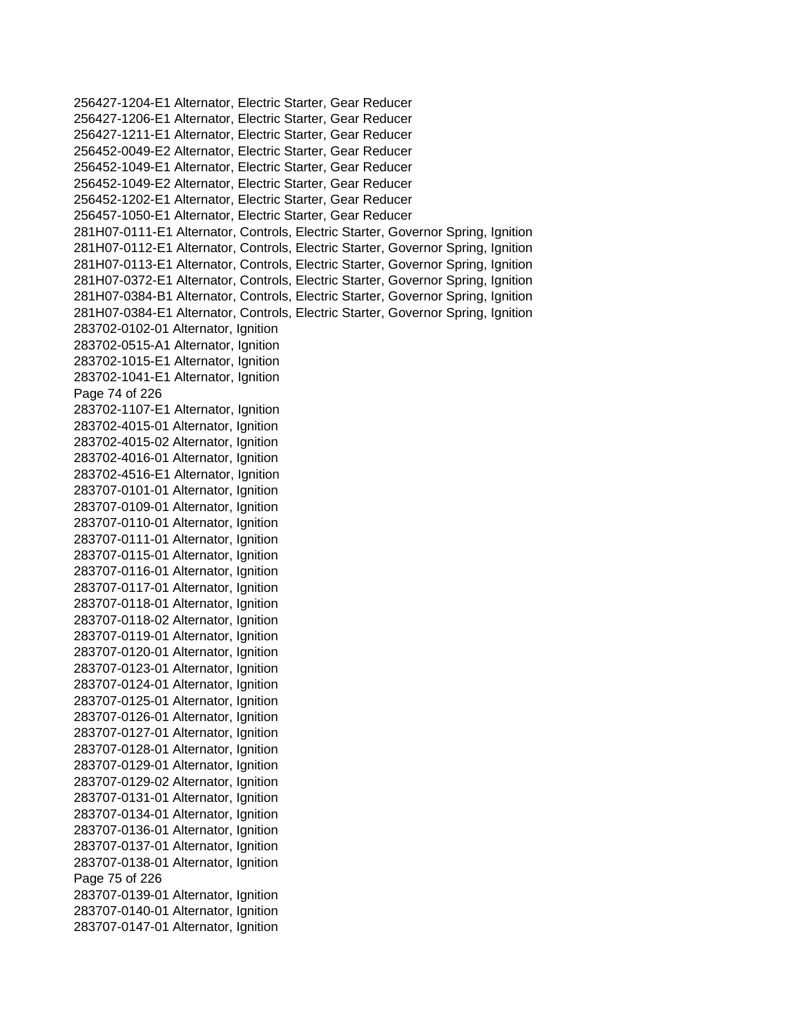256427-1204-E1 Alternator, Electric Starter, Gear Reducer 256427-1206-E1 Alternator, Electric Starter, Gear Reducer 256427-1211-E1 Alternator, Electric Starter, Gear Reducer 256452-0049-E2 Alternator, Electric Starter, Gear Reducer 256452-1049-E1 Alternator, Electric Starter, Gear Reducer 256452-1049-E2 Alternator, Electric Starter, Gear Reducer 256452-1202-E1 Alternator, Electric Starter, Gear Reducer 256457-1050-E1 Alternator, Electric Starter, Gear Reducer 281H07-0111-E1 Alternator, Controls, Electric Starter, Governor Spring, Ignition 281H07-0112-E1 Alternator, Controls, Electric Starter, Governor Spring, Ignition 281H07-0113-E1 Alternator, Controls, Electric Starter, Governor Spring, Ignition 281H07-0372-E1 Alternator, Controls, Electric Starter, Governor Spring, Ignition 281H07-0384-B1 Alternator, Controls, Electric Starter, Governor Spring, Ignition 281H07-0384-E1 Alternator, Controls, Electric Starter, Governor Spring, Ignition 283702-0102-01 Alternator, Ignition 283702-0515-A1 Alternator, Ignition 283702-1015-E1 Alternator, Ignition 283702-1041-E1 Alternator, Ignition Page 74 of 226 283702-1107-E1 Alternator, Ignition 283702-4015-01 Alternator, Ignition 283702-4015-02 Alternator, Ignition 283702-4016-01 Alternator, Ignition 283702-4516-E1 Alternator, Ignition 283707-0101-01 Alternator, Ignition 283707-0109-01 Alternator, Ignition 283707-0110-01 Alternator, Ignition 283707-0111-01 Alternator, Ignition 283707-0115-01 Alternator, Ignition 283707-0116-01 Alternator, Ignition 283707-0117-01 Alternator, Ignition 283707-0118-01 Alternator, Ignition 283707-0118-02 Alternator, Ignition 283707-0119-01 Alternator, Ignition 283707-0120-01 Alternator, Ignition 283707-0123-01 Alternator, Ignition 283707-0124-01 Alternator, Ignition 283707-0125-01 Alternator, Ignition 283707-0126-01 Alternator, Ignition 283707-0127-01 Alternator, Ignition 283707-0128-01 Alternator, Ignition 283707-0129-01 Alternator, Ignition 283707-0129-02 Alternator, Ignition 283707-0131-01 Alternator, Ignition 283707-0134-01 Alternator, Ignition 283707-0136-01 Alternator, Ignition 283707-0137-01 Alternator, Ignition 283707-0138-01 Alternator, Ignition Page 75 of 226 283707-0139-01 Alternator, Ignition 283707-0140-01 Alternator, Ignition 283707-0147-01 Alternator, Ignition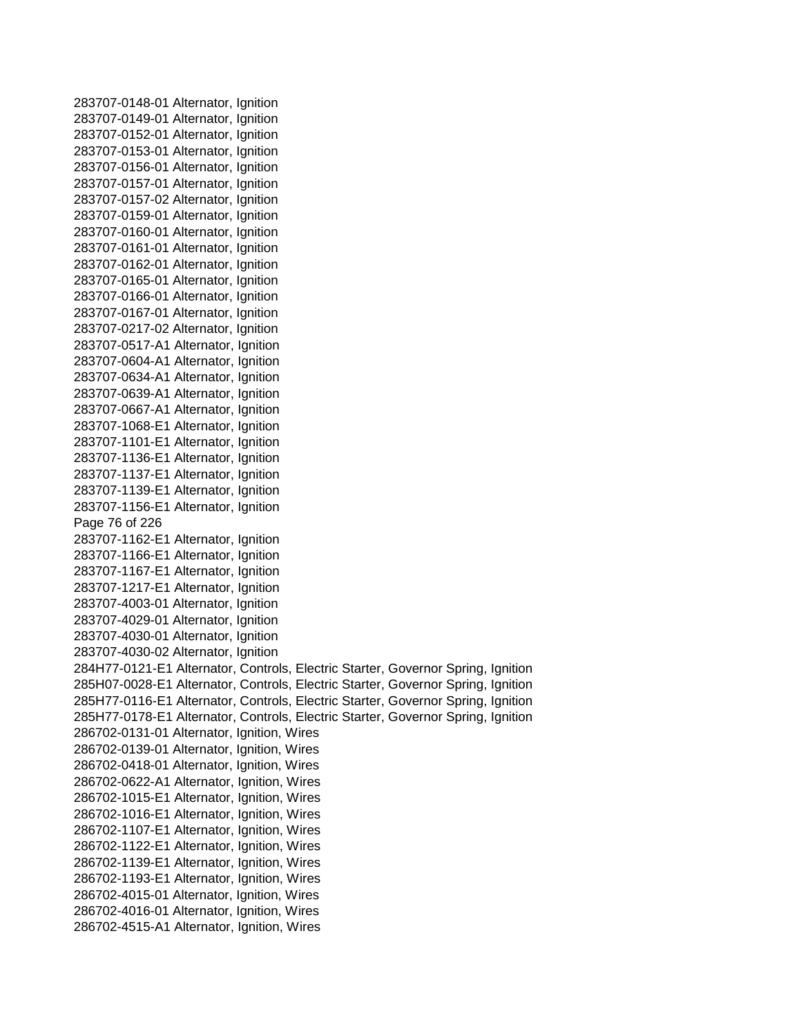283707-0148-01 Alternator, Ignition 283707-0149-01 Alternator, Ignition 283707-0152-01 Alternator, Ignition 283707-0153-01 Alternator, Ignition 283707-0156-01 Alternator, Ignition 283707-0157-01 Alternator, Ignition 283707-0157-02 Alternator, Ignition 283707-0159-01 Alternator, Ignition 283707-0160-01 Alternator, Ignition 283707-0161-01 Alternator, Ignition 283707-0162-01 Alternator, Ignition 283707-0165-01 Alternator, Ignition 283707-0166-01 Alternator, Ignition 283707-0167-01 Alternator, Ignition 283707-0217-02 Alternator, Ignition 283707-0517-A1 Alternator, Ignition 283707-0604-A1 Alternator, Ignition 283707-0634-A1 Alternator, Ignition 283707-0639-A1 Alternator, Ignition 283707-0667-A1 Alternator, Ignition 283707-1068-E1 Alternator, Ignition 283707-1101-E1 Alternator, Ignition 283707-1136-E1 Alternator, Ignition 283707-1137-E1 Alternator, Ignition 283707-1139-E1 Alternator, Ignition 283707-1156-E1 Alternator, Ignition Page 76 of 226 283707-1162-E1 Alternator, Ignition 283707-1166-E1 Alternator, Ignition 283707-1167-E1 Alternator, Ignition 283707-1217-E1 Alternator, Ignition 283707-4003-01 Alternator, Ignition 283707-4029-01 Alternator, Ignition 283707-4030-01 Alternator, Ignition 283707-4030-02 Alternator, Ignition 284H77-0121-E1 Alternator, Controls, Electric Starter, Governor Spring, Ignition 285H07-0028-E1 Alternator, Controls, Electric Starter, Governor Spring, Ignition 285H77-0116-E1 Alternator, Controls, Electric Starter, Governor Spring, Ignition 285H77-0178-E1 Alternator, Controls, Electric Starter, Governor Spring, Ignition 286702-0131-01 Alternator, Ignition, Wires 286702-0139-01 Alternator, Ignition, Wires 286702-0418-01 Alternator, Ignition, Wires 286702-0622-A1 Alternator, Ignition, Wires 286702-1015-E1 Alternator, Ignition, Wires 286702-1016-E1 Alternator, Ignition, Wires 286702-1107-E1 Alternator, Ignition, Wires 286702-1122-E1 Alternator, Ignition, Wires 286702-1139-E1 Alternator, Ignition, Wires 286702-1193-E1 Alternator, Ignition, Wires 286702-4015-01 Alternator, Ignition, Wires 286702-4016-01 Alternator, Ignition, Wires 286702-4515-A1 Alternator, Ignition, Wires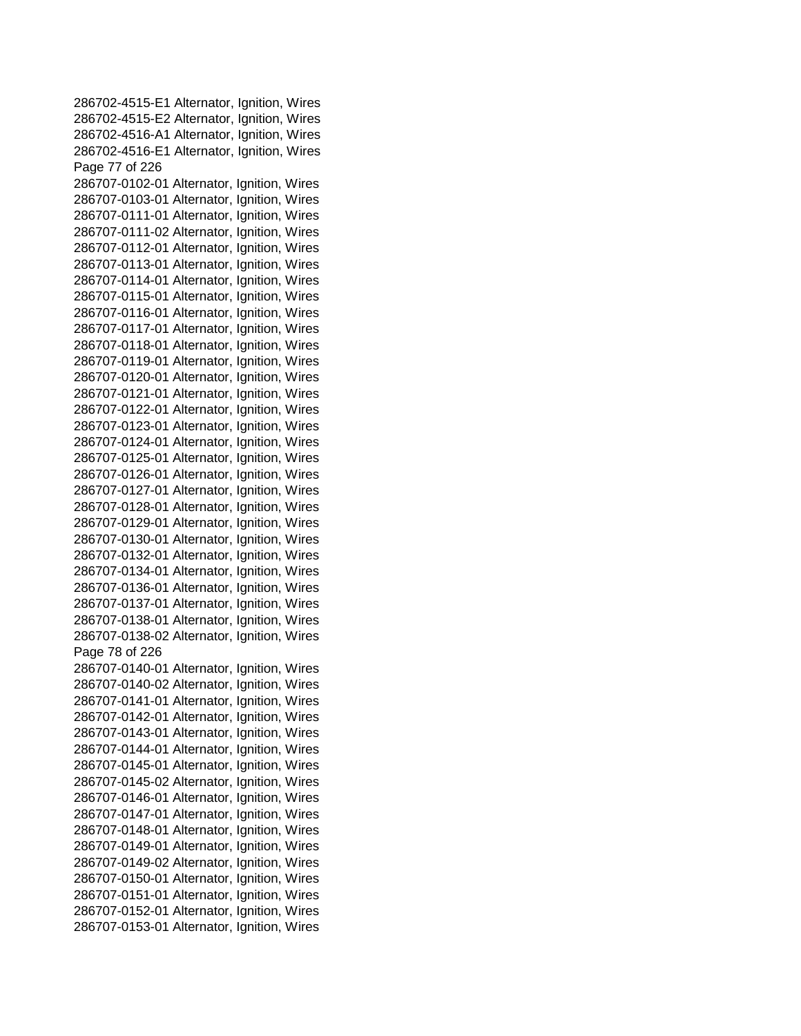286702-4515-E1 Alternator, Ignition, Wires 286702-4515-E2 Alternator, Ignition, Wires 286702-4516-A1 Alternator, Ignition, Wires 286702-4516-E1 Alternator, Ignition, Wires Page 77 of 226 286707-0102-01 Alternator, Ignition, Wires 286707-0103-01 Alternator, Ignition, Wires 286707-0111-01 Alternator, Ignition, Wires 286707-0111-02 Alternator, Ignition, Wires 286707-0112-01 Alternator, Ignition, Wires 286707-0113-01 Alternator, Ignition, Wires 286707-0114-01 Alternator, Ignition, Wires 286707-0115-01 Alternator, Ignition, Wires 286707-0116-01 Alternator, Ignition, Wires 286707-0117-01 Alternator, Ignition, Wires 286707-0118-01 Alternator, Ignition, Wires 286707-0119-01 Alternator, Ignition, Wires 286707-0120-01 Alternator, Ignition, Wires 286707-0121-01 Alternator, Ignition, Wires 286707-0122-01 Alternator, Ignition, Wires 286707-0123-01 Alternator, Ignition, Wires 286707-0124-01 Alternator, Ignition, Wires 286707-0125-01 Alternator, Ignition, Wires 286707-0126-01 Alternator, Ignition, Wires 286707-0127-01 Alternator, Ignition, Wires 286707-0128-01 Alternator, Ignition, Wires 286707-0129-01 Alternator, Ignition, Wires 286707-0130-01 Alternator, Ignition, Wires 286707-0132-01 Alternator, Ignition, Wires 286707-0134-01 Alternator, Ignition, Wires 286707-0136-01 Alternator, Ignition, Wires 286707-0137-01 Alternator, Ignition, Wires 286707-0138-01 Alternator, Ignition, Wires 286707-0138-02 Alternator, Ignition, Wires Page 78 of 226 286707-0140-01 Alternator, Ignition, Wires 286707-0140-02 Alternator, Ignition, Wires 286707-0141-01 Alternator, Ignition, Wires 286707-0142-01 Alternator, Ignition, Wires 286707-0143-01 Alternator, Ignition, Wires 286707-0144-01 Alternator, Ignition, Wires 286707-0145-01 Alternator, Ignition, Wires 286707-0145-02 Alternator, Ignition, Wires 286707-0146-01 Alternator, Ignition, Wires 286707-0147-01 Alternator, Ignition, Wires 286707-0148-01 Alternator, Ignition, Wires 286707-0149-01 Alternator, Ignition, Wires 286707-0149-02 Alternator, Ignition, Wires 286707-0150-01 Alternator, Ignition, Wires 286707-0151-01 Alternator, Ignition, Wires 286707-0152-01 Alternator, Ignition, Wires 286707-0153-01 Alternator, Ignition, Wires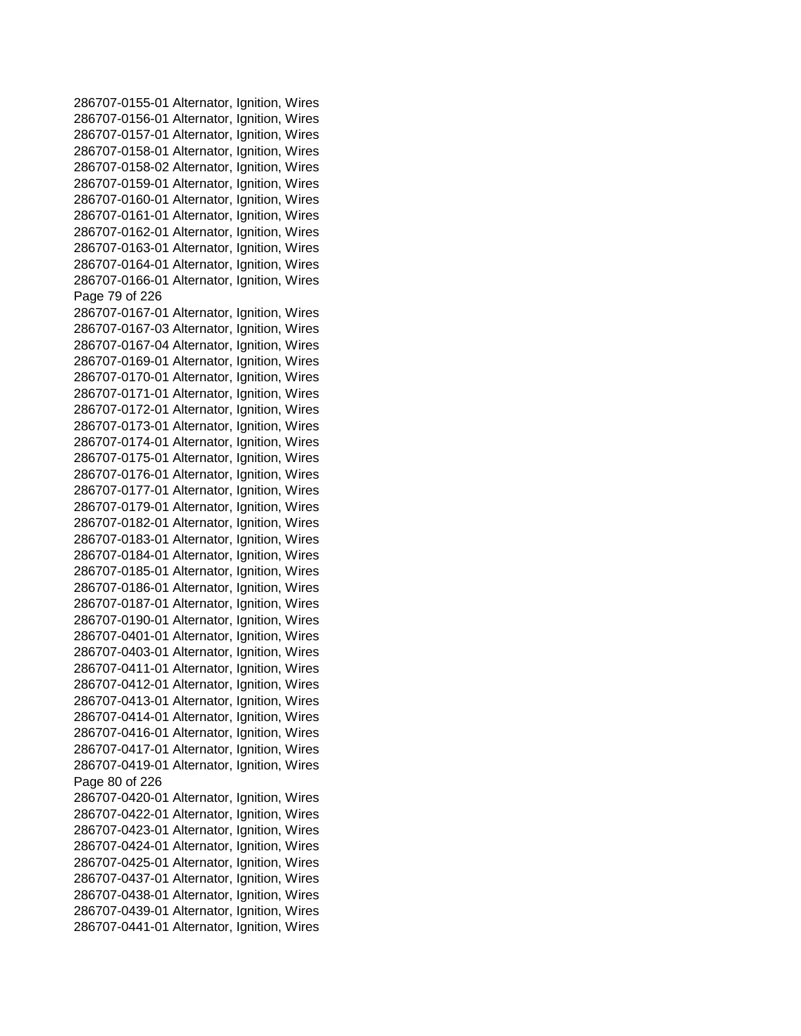286707-0155-01 Alternator, Ignition, Wires 286707-0156-01 Alternator, Ignition, Wires 286707-0157-01 Alternator, Ignition, Wires 286707-0158-01 Alternator, Ignition, Wires 286707-0158-02 Alternator, Ignition, Wires 286707-0159-01 Alternator, Ignition, Wires 286707-0160-01 Alternator, Ignition, Wires 286707-0161-01 Alternator, Ignition, Wires 286707-0162-01 Alternator, Ignition, Wires 286707-0163-01 Alternator, Ignition, Wires 286707-0164-01 Alternator, Ignition, Wires 286707-0166-01 Alternator, Ignition, Wires Page 79 of 226 286707-0167-01 Alternator, Ignition, Wires 286707-0167-03 Alternator, Ignition, Wires 286707-0167-04 Alternator, Ignition, Wires 286707-0169-01 Alternator, Ignition, Wires 286707-0170-01 Alternator, Ignition, Wires 286707-0171-01 Alternator, Ignition, Wires 286707-0172-01 Alternator, Ignition, Wires 286707-0173-01 Alternator, Ignition, Wires 286707-0174-01 Alternator, Ignition, Wires 286707-0175-01 Alternator, Ignition, Wires 286707-0176-01 Alternator, Ignition, Wires 286707-0177-01 Alternator, Ignition, Wires 286707-0179-01 Alternator, Ignition, Wires 286707-0182-01 Alternator, Ignition, Wires 286707-0183-01 Alternator, Ignition, Wires 286707-0184-01 Alternator, Ignition, Wires 286707-0185-01 Alternator, Ignition, Wires 286707-0186-01 Alternator, Ignition, Wires 286707-0187-01 Alternator, Ignition, Wires 286707-0190-01 Alternator, Ignition, Wires 286707-0401-01 Alternator, Ignition, Wires 286707-0403-01 Alternator, Ignition, Wires 286707-0411-01 Alternator, Ignition, Wires 286707-0412-01 Alternator, Ignition, Wires 286707-0413-01 Alternator, Ignition, Wires 286707-0414-01 Alternator, Ignition, Wires 286707-0416-01 Alternator, Ignition, Wires 286707-0417-01 Alternator, Ignition, Wires 286707-0419-01 Alternator, Ignition, Wires Page 80 of 226 286707-0420-01 Alternator, Ignition, Wires 286707-0422-01 Alternator, Ignition, Wires 286707-0423-01 Alternator, Ignition, Wires 286707-0424-01 Alternator, Ignition, Wires 286707-0425-01 Alternator, Ignition, Wires 286707-0437-01 Alternator, Ignition, Wires 286707-0438-01 Alternator, Ignition, Wires 286707-0439-01 Alternator, Ignition, Wires 286707-0441-01 Alternator, Ignition, Wires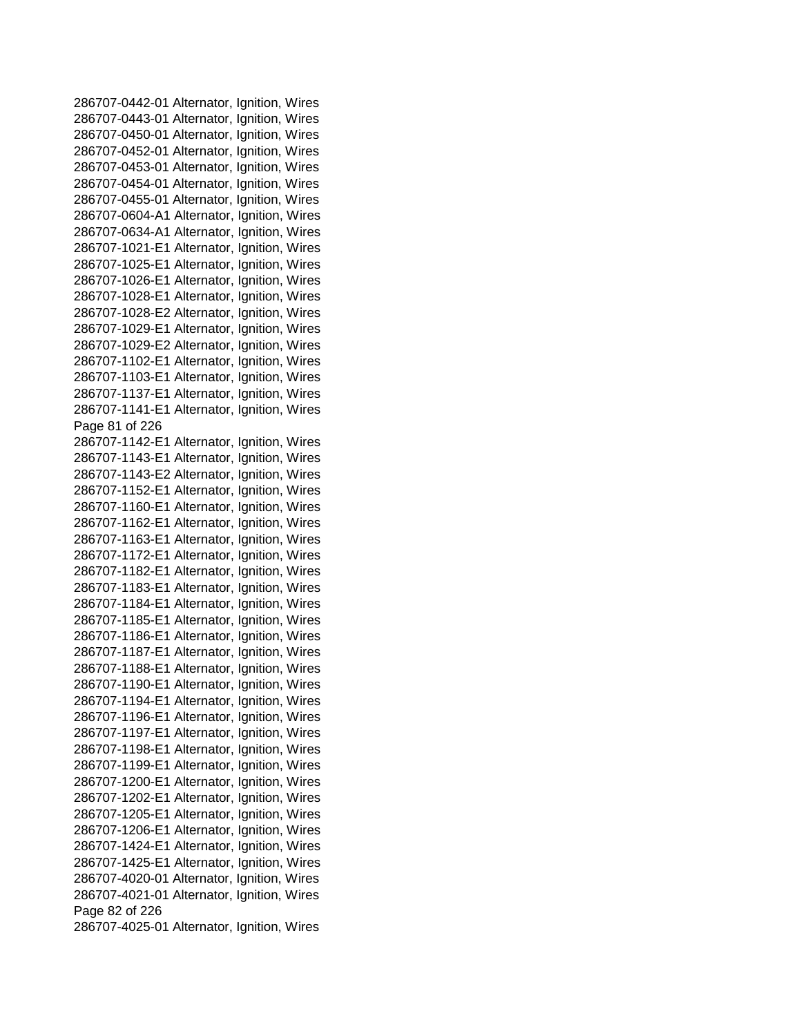286707-0442-01 Alternator, Ignition, Wires 286707-0443-01 Alternator, Ignition, Wires 286707-0450-01 Alternator, Ignition, Wires 286707-0452-01 Alternator, Ignition, Wires 286707-0453-01 Alternator, Ignition, Wires 286707-0454-01 Alternator, Ignition, Wires 286707-0455-01 Alternator, Ignition, Wires 286707-0604-A1 Alternator, Ignition, Wires 286707-0634-A1 Alternator, Ignition, Wires 286707-1021-E1 Alternator, Ignition, Wires 286707-1025-E1 Alternator, Ignition, Wires 286707-1026-E1 Alternator, Ignition, Wires 286707-1028-E1 Alternator, Ignition, Wires 286707-1028-E2 Alternator, Ignition, Wires 286707-1029-E1 Alternator, Ignition, Wires 286707-1029-E2 Alternator, Ignition, Wires 286707-1102-E1 Alternator, Ignition, Wires 286707-1103-E1 Alternator, Ignition, Wires 286707-1137-E1 Alternator, Ignition, Wires 286707-1141-E1 Alternator, Ignition, Wires Page 81 of 226 286707-1142-E1 Alternator, Ignition, Wires 286707-1143-E1 Alternator, Ignition, Wires 286707-1143-E2 Alternator, Ignition, Wires 286707-1152-E1 Alternator, Ignition, Wires 286707-1160-E1 Alternator, Ignition, Wires 286707-1162-E1 Alternator, Ignition, Wires 286707-1163-E1 Alternator, Ignition, Wires 286707-1172-E1 Alternator, Ignition, Wires 286707-1182-E1 Alternator, Ignition, Wires 286707-1183-E1 Alternator, Ignition, Wires 286707-1184-E1 Alternator, Ignition, Wires 286707-1185-E1 Alternator, Ignition, Wires 286707-1186-E1 Alternator, Ignition, Wires 286707-1187-E1 Alternator, Ignition, Wires 286707-1188-E1 Alternator, Ignition, Wires 286707-1190-E1 Alternator, Ignition, Wires 286707-1194-E1 Alternator, Ignition, Wires 286707-1196-E1 Alternator, Ignition, Wires 286707-1197-E1 Alternator, Ignition, Wires 286707-1198-E1 Alternator, Ignition, Wires 286707-1199-E1 Alternator, Ignition, Wires 286707-1200-E1 Alternator, Ignition, Wires 286707-1202-E1 Alternator, Ignition, Wires 286707-1205-E1 Alternator, Ignition, Wires 286707-1206-E1 Alternator, Ignition, Wires 286707-1424-E1 Alternator, Ignition, Wires 286707-1425-E1 Alternator, Ignition, Wires 286707-4020-01 Alternator, Ignition, Wires 286707-4021-01 Alternator, Ignition, Wires Page 82 of 226 286707-4025-01 Alternator, Ignition, Wires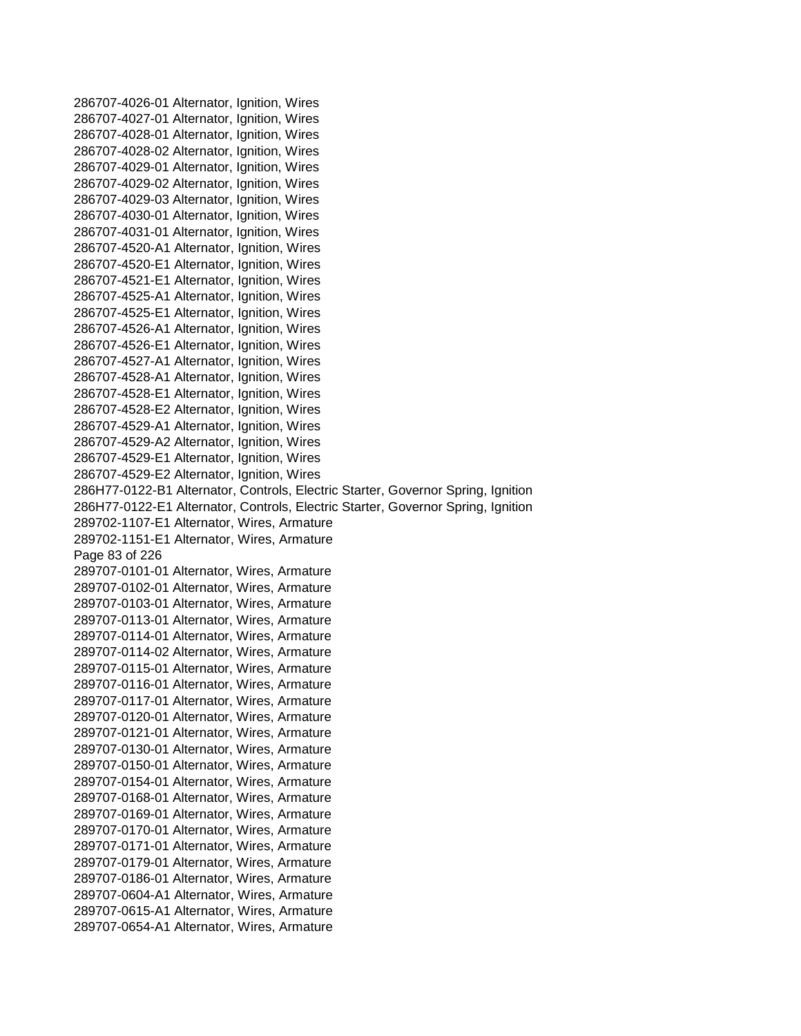286707-4026-01 Alternator, Ignition, Wires 286707-4027-01 Alternator, Ignition, Wires 286707-4028-01 Alternator, Ignition, Wires 286707-4028-02 Alternator, Ignition, Wires 286707-4029-01 Alternator, Ignition, Wires 286707-4029-02 Alternator, Ignition, Wires 286707-4029-03 Alternator, Ignition, Wires 286707-4030-01 Alternator, Ignition, Wires 286707-4031-01 Alternator, Ignition, Wires 286707-4520-A1 Alternator, Ignition, Wires 286707-4520-E1 Alternator, Ignition, Wires 286707-4521-E1 Alternator, Ignition, Wires 286707-4525-A1 Alternator, Ignition, Wires 286707-4525-E1 Alternator, Ignition, Wires 286707-4526-A1 Alternator, Ignition, Wires 286707-4526-E1 Alternator, Ignition, Wires 286707-4527-A1 Alternator, Ignition, Wires 286707-4528-A1 Alternator, Ignition, Wires 286707-4528-E1 Alternator, Ignition, Wires 286707-4528-E2 Alternator, Ignition, Wires 286707-4529-A1 Alternator, Ignition, Wires 286707-4529-A2 Alternator, Ignition, Wires 286707-4529-E1 Alternator, Ignition, Wires 286707-4529-E2 Alternator, Ignition, Wires 286H77-0122-B1 Alternator, Controls, Electric Starter, Governor Spring, Ignition 286H77-0122-E1 Alternator, Controls, Electric Starter, Governor Spring, Ignition 289702-1107-E1 Alternator, Wires, Armature 289702-1151-E1 Alternator, Wires, Armature Page 83 of 226 289707-0101-01 Alternator, Wires, Armature 289707-0102-01 Alternator, Wires, Armature 289707-0103-01 Alternator, Wires, Armature 289707-0113-01 Alternator, Wires, Armature 289707-0114-01 Alternator, Wires, Armature 289707-0114-02 Alternator, Wires, Armature 289707-0115-01 Alternator, Wires, Armature 289707-0116-01 Alternator, Wires, Armature 289707-0117-01 Alternator, Wires, Armature 289707-0120-01 Alternator, Wires, Armature 289707-0121-01 Alternator, Wires, Armature 289707-0130-01 Alternator, Wires, Armature 289707-0150-01 Alternator, Wires, Armature 289707-0154-01 Alternator, Wires, Armature 289707-0168-01 Alternator, Wires, Armature 289707-0169-01 Alternator, Wires, Armature 289707-0170-01 Alternator, Wires, Armature 289707-0171-01 Alternator, Wires, Armature 289707-0179-01 Alternator, Wires, Armature 289707-0186-01 Alternator, Wires, Armature 289707-0604-A1 Alternator, Wires, Armature 289707-0615-A1 Alternator, Wires, Armature 289707-0654-A1 Alternator, Wires, Armature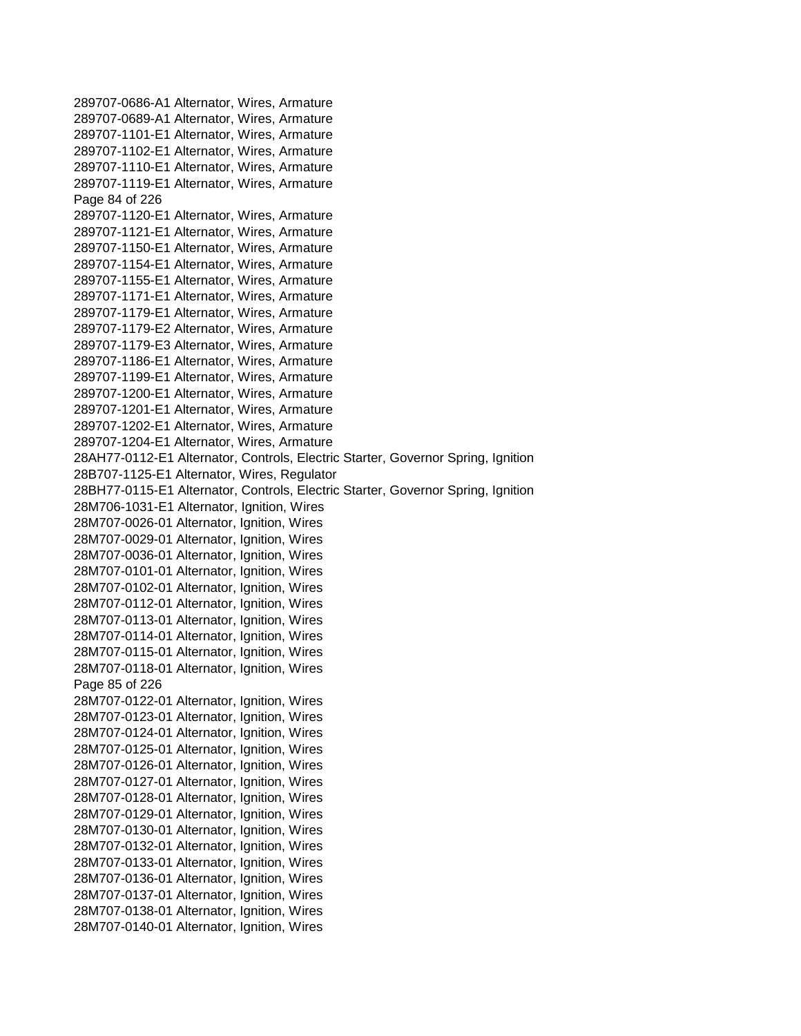289707-0686-A1 Alternator, Wires, Armature 289707-0689-A1 Alternator, Wires, Armature 289707-1101-E1 Alternator, Wires, Armature 289707-1102-E1 Alternator, Wires, Armature 289707-1110-E1 Alternator, Wires, Armature 289707-1119-E1 Alternator, Wires, Armature Page 84 of 226 289707-1120-E1 Alternator, Wires, Armature 289707-1121-E1 Alternator, Wires, Armature 289707-1150-E1 Alternator, Wires, Armature 289707-1154-E1 Alternator, Wires, Armature 289707-1155-E1 Alternator, Wires, Armature 289707-1171-E1 Alternator, Wires, Armature 289707-1179-E1 Alternator, Wires, Armature 289707-1179-E2 Alternator, Wires, Armature 289707-1179-E3 Alternator, Wires, Armature 289707-1186-E1 Alternator, Wires, Armature 289707-1199-E1 Alternator, Wires, Armature 289707-1200-E1 Alternator, Wires, Armature 289707-1201-E1 Alternator, Wires, Armature 289707-1202-E1 Alternator, Wires, Armature 289707-1204-E1 Alternator, Wires, Armature 28AH77-0112-E1 Alternator, Controls, Electric Starter, Governor Spring, Ignition 28B707-1125-E1 Alternator, Wires, Regulator 28BH77-0115-E1 Alternator, Controls, Electric Starter, Governor Spring, Ignition 28M706-1031-E1 Alternator, Ignition, Wires 28M707-0026-01 Alternator, Ignition, Wires 28M707-0029-01 Alternator, Ignition, Wires 28M707-0036-01 Alternator, Ignition, Wires 28M707-0101-01 Alternator, Ignition, Wires 28M707-0102-01 Alternator, Ignition, Wires 28M707-0112-01 Alternator, Ignition, Wires 28M707-0113-01 Alternator, Ignition, Wires 28M707-0114-01 Alternator, Ignition, Wires 28M707-0115-01 Alternator, Ignition, Wires 28M707-0118-01 Alternator, Ignition, Wires Page 85 of 226 28M707-0122-01 Alternator, Ignition, Wires 28M707-0123-01 Alternator, Ignition, Wires 28M707-0124-01 Alternator, Ignition, Wires 28M707-0125-01 Alternator, Ignition, Wires 28M707-0126-01 Alternator, Ignition, Wires 28M707-0127-01 Alternator, Ignition, Wires 28M707-0128-01 Alternator, Ignition, Wires 28M707-0129-01 Alternator, Ignition, Wires 28M707-0130-01 Alternator, Ignition, Wires 28M707-0132-01 Alternator, Ignition, Wires 28M707-0133-01 Alternator, Ignition, Wires 28M707-0136-01 Alternator, Ignition, Wires 28M707-0137-01 Alternator, Ignition, Wires 28M707-0138-01 Alternator, Ignition, Wires 28M707-0140-01 Alternator, Ignition, Wires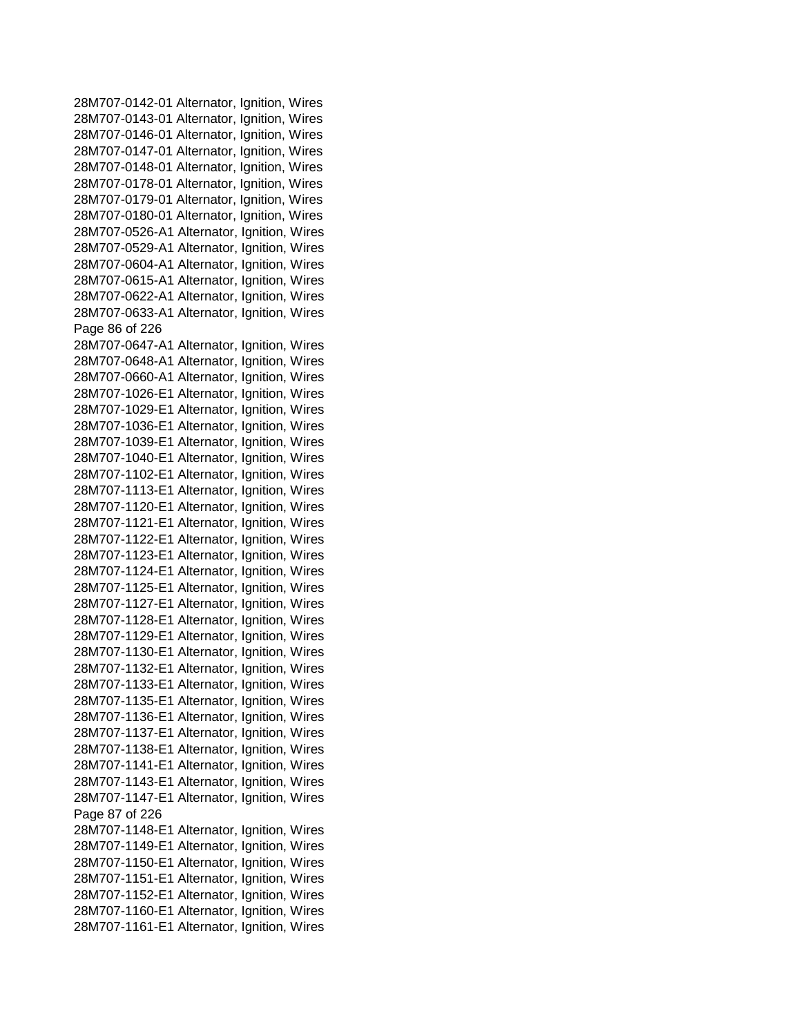28M707-0142-01 Alternator, Ignition, Wires 28M707-0143-01 Alternator, Ignition, Wires 28M707-0146-01 Alternator, Ignition, Wires 28M707-0147-01 Alternator, Ignition, Wires 28M707-0148-01 Alternator, Ignition, Wires 28M707-0178-01 Alternator, Ignition, Wires 28M707-0179-01 Alternator, Ignition, Wires 28M707-0180-01 Alternator, Ignition, Wires 28M707-0526-A1 Alternator, Ignition, Wires 28M707-0529-A1 Alternator, Ignition, Wires 28M707-0604-A1 Alternator, Ignition, Wires 28M707-0615-A1 Alternator, Ignition, Wires 28M707-0622-A1 Alternator, Ignition, Wires 28M707-0633-A1 Alternator, Ignition, Wires Page 86 of 226 28M707-0647-A1 Alternator, Ignition, Wires 28M707-0648-A1 Alternator, Ignition, Wires 28M707-0660-A1 Alternator, Ignition, Wires 28M707-1026-E1 Alternator, Ignition, Wires 28M707-1029-E1 Alternator, Ignition, Wires 28M707-1036-E1 Alternator, Ignition, Wires 28M707-1039-E1 Alternator, Ignition, Wires 28M707-1040-E1 Alternator, Ignition, Wires 28M707-1102-E1 Alternator, Ignition, Wires 28M707-1113-E1 Alternator, Ignition, Wires 28M707-1120-E1 Alternator, Ignition, Wires 28M707-1121-E1 Alternator, Ignition, Wires 28M707-1122-E1 Alternator, Ignition, Wires 28M707-1123-E1 Alternator, Ignition, Wires 28M707-1124-E1 Alternator, Ignition, Wires 28M707-1125-E1 Alternator, Ignition, Wires 28M707-1127-E1 Alternator, Ignition, Wires 28M707-1128-E1 Alternator, Ignition, Wires 28M707-1129-E1 Alternator, Ignition, Wires 28M707-1130-E1 Alternator, Ignition, Wires 28M707-1132-E1 Alternator, Ignition, Wires 28M707-1133-E1 Alternator, Ignition, Wires 28M707-1135-E1 Alternator, Ignition, Wires 28M707-1136-E1 Alternator, Ignition, Wires 28M707-1137-E1 Alternator, Ignition, Wires 28M707-1138-E1 Alternator, Ignition, Wires 28M707-1141-E1 Alternator, Ignition, Wires 28M707-1143-E1 Alternator, Ignition, Wires 28M707-1147-E1 Alternator, Ignition, Wires Page 87 of 226 28M707-1148-E1 Alternator, Ignition, Wires 28M707-1149-E1 Alternator, Ignition, Wires 28M707-1150-E1 Alternator, Ignition, Wires 28M707-1151-E1 Alternator, Ignition, Wires 28M707-1152-E1 Alternator, Ignition, Wires 28M707-1160-E1 Alternator, Ignition, Wires 28M707-1161-E1 Alternator, Ignition, Wires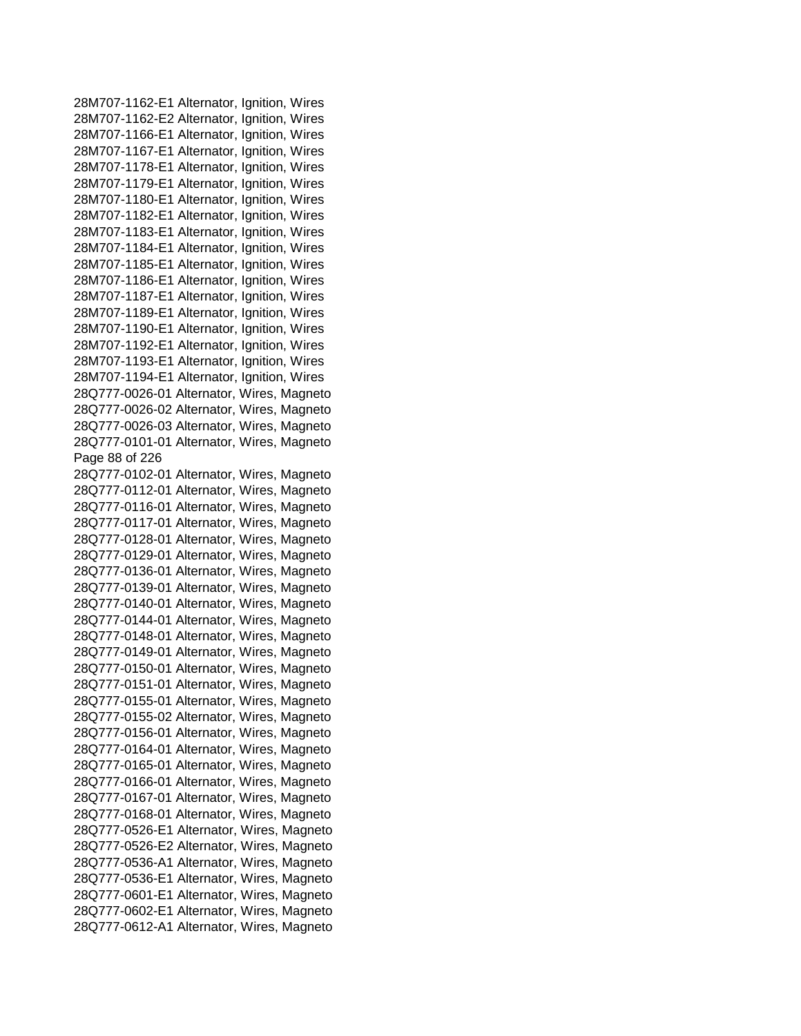28M707-1162-E1 Alternator, Ignition, Wires 28M707-1162-E2 Alternator, Ignition, Wires 28M707-1166-E1 Alternator, Ignition, Wires 28M707-1167-E1 Alternator, Ignition, Wires 28M707-1178-E1 Alternator, Ignition, Wires 28M707-1179-E1 Alternator, Ignition, Wires 28M707-1180-E1 Alternator, Ignition, Wires 28M707-1182-E1 Alternator, Ignition, Wires 28M707-1183-E1 Alternator, Ignition, Wires 28M707-1184-E1 Alternator, Ignition, Wires 28M707-1185-E1 Alternator, Ignition, Wires 28M707-1186-E1 Alternator, Ignition, Wires 28M707-1187-E1 Alternator, Ignition, Wires 28M707-1189-E1 Alternator, Ignition, Wires 28M707-1190-E1 Alternator, Ignition, Wires 28M707-1192-E1 Alternator, Ignition, Wires 28M707-1193-E1 Alternator, Ignition, Wires 28M707-1194-E1 Alternator, Ignition, Wires 28Q777-0026-01 Alternator, Wires, Magneto 28Q777-0026-02 Alternator, Wires, Magneto 28Q777-0026-03 Alternator, Wires, Magneto 28Q777-0101-01 Alternator, Wires, Magneto Page 88 of 226 28Q777-0102-01 Alternator, Wires, Magneto 28Q777-0112-01 Alternator, Wires, Magneto 28Q777-0116-01 Alternator, Wires, Magneto 28Q777-0117-01 Alternator, Wires, Magneto 28Q777-0128-01 Alternator, Wires, Magneto 28Q777-0129-01 Alternator, Wires, Magneto 28Q777-0136-01 Alternator, Wires, Magneto 28Q777-0139-01 Alternator, Wires, Magneto 28Q777-0140-01 Alternator, Wires, Magneto 28Q777-0144-01 Alternator, Wires, Magneto 28Q777-0148-01 Alternator, Wires, Magneto 28Q777-0149-01 Alternator, Wires, Magneto 28Q777-0150-01 Alternator, Wires, Magneto 28Q777-0151-01 Alternator, Wires, Magneto 28Q777-0155-01 Alternator, Wires, Magneto 28Q777-0155-02 Alternator, Wires, Magneto 28Q777-0156-01 Alternator, Wires, Magneto 28Q777-0164-01 Alternator, Wires, Magneto 28Q777-0165-01 Alternator, Wires, Magneto 28Q777-0166-01 Alternator, Wires, Magneto 28Q777-0167-01 Alternator, Wires, Magneto 28Q777-0168-01 Alternator, Wires, Magneto 28Q777-0526-E1 Alternator, Wires, Magneto 28Q777-0526-E2 Alternator, Wires, Magneto 28Q777-0536-A1 Alternator, Wires, Magneto 28Q777-0536-E1 Alternator, Wires, Magneto 28Q777-0601-E1 Alternator, Wires, Magneto 28Q777-0602-E1 Alternator, Wires, Magneto 28Q777-0612-A1 Alternator, Wires, Magneto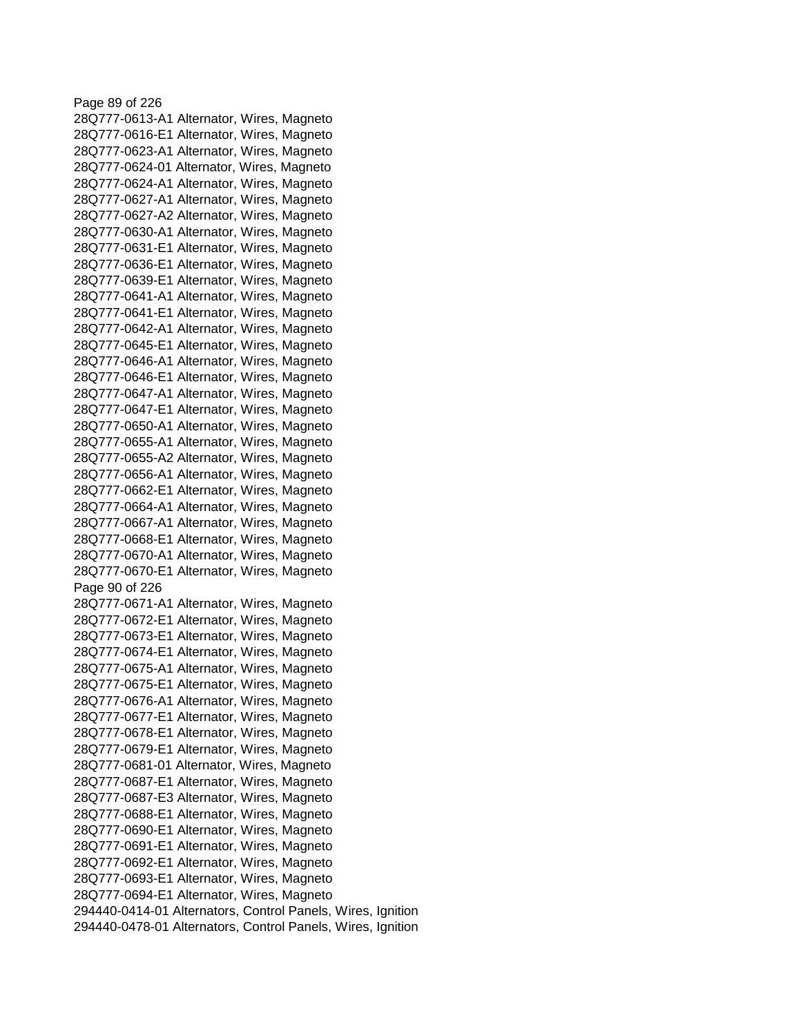Page 89 of 226 28Q777-0613-A1 Alternator, Wires, Magneto 28Q777-0616-E1 Alternator, Wires, Magneto 28Q777-0623-A1 Alternator, Wires, Magneto 28Q777-0624-01 Alternator, Wires, Magneto 28Q777-0624-A1 Alternator, Wires, Magneto 28Q777-0627-A1 Alternator, Wires, Magneto 28Q777-0627-A2 Alternator, Wires, Magneto 28Q777-0630-A1 Alternator, Wires, Magneto 28Q777-0631-E1 Alternator, Wires, Magneto 28Q777-0636-E1 Alternator, Wires, Magneto 28Q777-0639-E1 Alternator, Wires, Magneto 28Q777-0641-A1 Alternator, Wires, Magneto 28Q777-0641-E1 Alternator, Wires, Magneto 28Q777-0642-A1 Alternator, Wires, Magneto 28Q777-0645-E1 Alternator, Wires, Magneto 28Q777-0646-A1 Alternator, Wires, Magneto 28Q777-0646-E1 Alternator, Wires, Magneto 28Q777-0647-A1 Alternator, Wires, Magneto 28Q777-0647-E1 Alternator, Wires, Magneto 28Q777-0650-A1 Alternator, Wires, Magneto 28Q777-0655-A1 Alternator, Wires, Magneto 28Q777-0655-A2 Alternator, Wires, Magneto 28Q777-0656-A1 Alternator, Wires, Magneto 28Q777-0662-E1 Alternator, Wires, Magneto 28Q777-0664-A1 Alternator, Wires, Magneto 28Q777-0667-A1 Alternator, Wires, Magneto 28Q777-0668-E1 Alternator, Wires, Magneto 28Q777-0670-A1 Alternator, Wires, Magneto 28Q777-0670-E1 Alternator, Wires, Magneto Page 90 of 226 28Q777-0671-A1 Alternator, Wires, Magneto 28Q777-0672-E1 Alternator, Wires, Magneto 28Q777-0673-E1 Alternator, Wires, Magneto 28Q777-0674-E1 Alternator, Wires, Magneto 28Q777-0675-A1 Alternator, Wires, Magneto 28Q777-0675-E1 Alternator, Wires, Magneto 28Q777-0676-A1 Alternator, Wires, Magneto 28Q777-0677-E1 Alternator, Wires, Magneto 28Q777-0678-E1 Alternator, Wires, Magneto 28Q777-0679-E1 Alternator, Wires, Magneto 28Q777-0681-01 Alternator, Wires, Magneto 28Q777-0687-E1 Alternator, Wires, Magneto 28Q777-0687-E3 Alternator, Wires, Magneto 28Q777-0688-E1 Alternator, Wires, Magneto 28Q777-0690-E1 Alternator, Wires, Magneto 28Q777-0691-E1 Alternator, Wires, Magneto 28Q777-0692-E1 Alternator, Wires, Magneto 28Q777-0693-E1 Alternator, Wires, Magneto 28Q777-0694-E1 Alternator, Wires, Magneto 294440-0414-01 Alternators, Control Panels, Wires, Ignition 294440-0478-01 Alternators, Control Panels, Wires, Ignition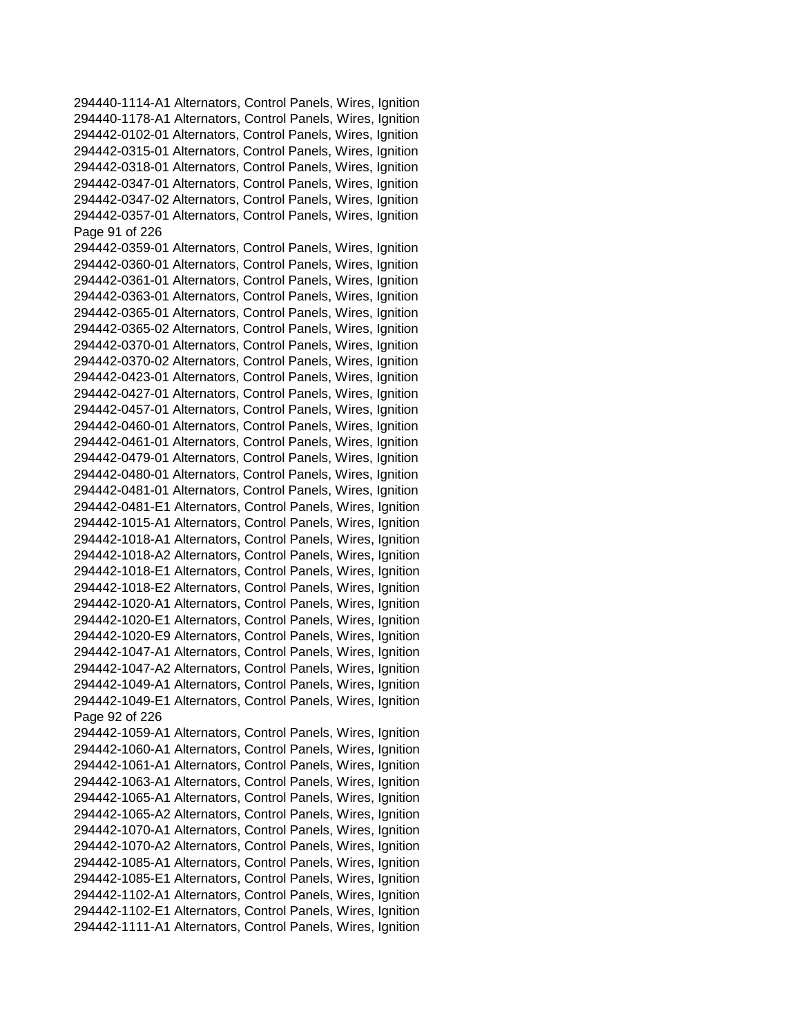294440-1114-A1 Alternators, Control Panels, Wires, Ignition 294440-1178-A1 Alternators, Control Panels, Wires, Ignition 294442-0102-01 Alternators, Control Panels, Wires, Ignition 294442-0315-01 Alternators, Control Panels, Wires, Ignition 294442-0318-01 Alternators, Control Panels, Wires, Ignition 294442-0347-01 Alternators, Control Panels, Wires, Ignition 294442-0347-02 Alternators, Control Panels, Wires, Ignition 294442-0357-01 Alternators, Control Panels, Wires, Ignition Page 91 of 226 294442-0359-01 Alternators, Control Panels, Wires, Ignition 294442-0360-01 Alternators, Control Panels, Wires, Ignition 294442-0361-01 Alternators, Control Panels, Wires, Ignition 294442-0363-01 Alternators, Control Panels, Wires, Ignition 294442-0365-01 Alternators, Control Panels, Wires, Ignition 294442-0365-02 Alternators, Control Panels, Wires, Ignition 294442-0370-01 Alternators, Control Panels, Wires, Ignition 294442-0370-02 Alternators, Control Panels, Wires, Ignition 294442-0423-01 Alternators, Control Panels, Wires, Ignition 294442-0427-01 Alternators, Control Panels, Wires, Ignition 294442-0457-01 Alternators, Control Panels, Wires, Ignition 294442-0460-01 Alternators, Control Panels, Wires, Ignition 294442-0461-01 Alternators, Control Panels, Wires, Ignition 294442-0479-01 Alternators, Control Panels, Wires, Ignition 294442-0480-01 Alternators, Control Panels, Wires, Ignition 294442-0481-01 Alternators, Control Panels, Wires, Ignition 294442-0481-E1 Alternators, Control Panels, Wires, Ignition 294442-1015-A1 Alternators, Control Panels, Wires, Ignition 294442-1018-A1 Alternators, Control Panels, Wires, Ignition 294442-1018-A2 Alternators, Control Panels, Wires, Ignition 294442-1018-E1 Alternators, Control Panels, Wires, Ignition 294442-1018-E2 Alternators, Control Panels, Wires, Ignition 294442-1020-A1 Alternators, Control Panels, Wires, Ignition 294442-1020-E1 Alternators, Control Panels, Wires, Ignition 294442-1020-E9 Alternators, Control Panels, Wires, Ignition 294442-1047-A1 Alternators, Control Panels, Wires, Ignition 294442-1047-A2 Alternators, Control Panels, Wires, Ignition 294442-1049-A1 Alternators, Control Panels, Wires, Ignition 294442-1049-E1 Alternators, Control Panels, Wires, Ignition Page 92 of 226 294442-1059-A1 Alternators, Control Panels, Wires, Ignition 294442-1060-A1 Alternators, Control Panels, Wires, Ignition 294442-1061-A1 Alternators, Control Panels, Wires, Ignition 294442-1063-A1 Alternators, Control Panels, Wires, Ignition 294442-1065-A1 Alternators, Control Panels, Wires, Ignition 294442-1065-A2 Alternators, Control Panels, Wires, Ignition 294442-1070-A1 Alternators, Control Panels, Wires, Ignition 294442-1070-A2 Alternators, Control Panels, Wires, Ignition 294442-1085-A1 Alternators, Control Panels, Wires, Ignition 294442-1085-E1 Alternators, Control Panels, Wires, Ignition 294442-1102-A1 Alternators, Control Panels, Wires, Ignition 294442-1102-E1 Alternators, Control Panels, Wires, Ignition 294442-1111-A1 Alternators, Control Panels, Wires, Ignition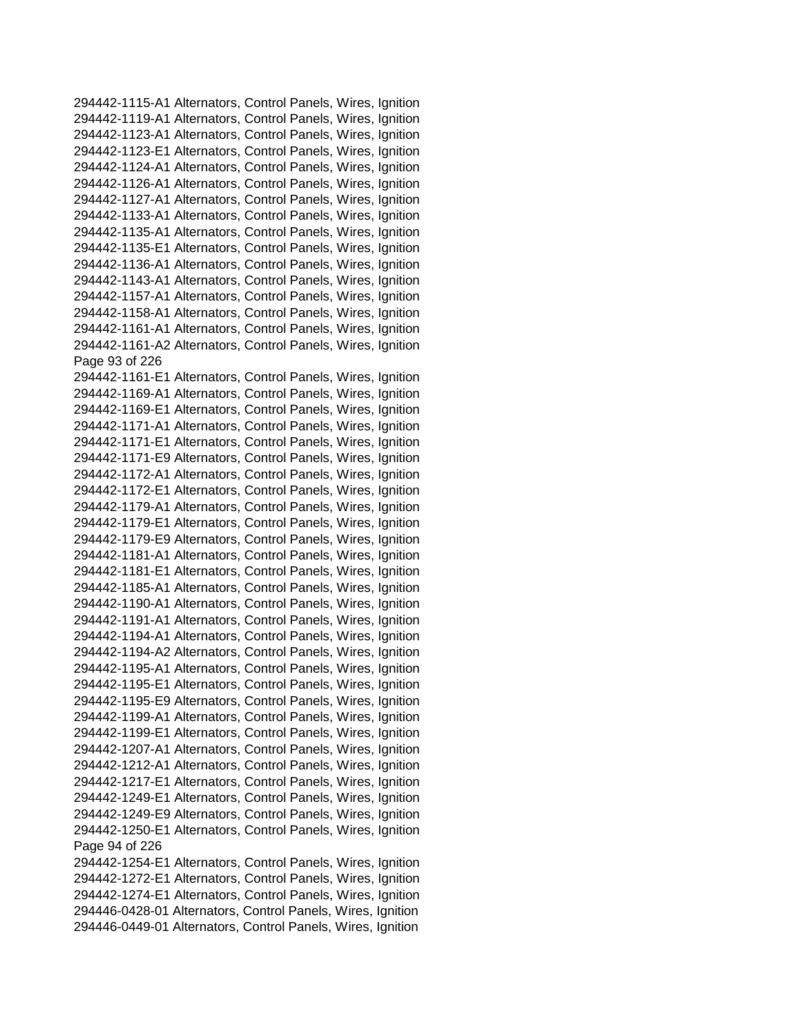294442-1115-A1 Alternators, Control Panels, Wires, Ignition 294442-1119-A1 Alternators, Control Panels, Wires, Ignition 294442-1123-A1 Alternators, Control Panels, Wires, Ignition 294442-1123-E1 Alternators, Control Panels, Wires, Ignition 294442-1124-A1 Alternators, Control Panels, Wires, Ignition 294442-1126-A1 Alternators, Control Panels, Wires, Ignition 294442-1127-A1 Alternators, Control Panels, Wires, Ignition 294442-1133-A1 Alternators, Control Panels, Wires, Ignition 294442-1135-A1 Alternators, Control Panels, Wires, Ignition 294442-1135-E1 Alternators, Control Panels, Wires, Ignition 294442-1136-A1 Alternators, Control Panels, Wires, Ignition 294442-1143-A1 Alternators, Control Panels, Wires, Ignition 294442-1157-A1 Alternators, Control Panels, Wires, Ignition 294442-1158-A1 Alternators, Control Panels, Wires, Ignition 294442-1161-A1 Alternators, Control Panels, Wires, Ignition 294442-1161-A2 Alternators, Control Panels, Wires, Ignition Page 93 of 226 294442-1161-E1 Alternators, Control Panels, Wires, Ignition 294442-1169-A1 Alternators, Control Panels, Wires, Ignition 294442-1169-E1 Alternators, Control Panels, Wires, Ignition 294442-1171-A1 Alternators, Control Panels, Wires, Ignition 294442-1171-E1 Alternators, Control Panels, Wires, Ignition 294442-1171-E9 Alternators, Control Panels, Wires, Ignition 294442-1172-A1 Alternators, Control Panels, Wires, Ignition 294442-1172-E1 Alternators, Control Panels, Wires, Ignition 294442-1179-A1 Alternators, Control Panels, Wires, Ignition 294442-1179-E1 Alternators, Control Panels, Wires, Ignition 294442-1179-E9 Alternators, Control Panels, Wires, Ignition 294442-1181-A1 Alternators, Control Panels, Wires, Ignition 294442-1181-E1 Alternators, Control Panels, Wires, Ignition 294442-1185-A1 Alternators, Control Panels, Wires, Ignition 294442-1190-A1 Alternators, Control Panels, Wires, Ignition 294442-1191-A1 Alternators, Control Panels, Wires, Ignition 294442-1194-A1 Alternators, Control Panels, Wires, Ignition 294442-1194-A2 Alternators, Control Panels, Wires, Ignition 294442-1195-A1 Alternators, Control Panels, Wires, Ignition 294442-1195-E1 Alternators, Control Panels, Wires, Ignition 294442-1195-E9 Alternators, Control Panels, Wires, Ignition 294442-1199-A1 Alternators, Control Panels, Wires, Ignition 294442-1199-E1 Alternators, Control Panels, Wires, Ignition 294442-1207-A1 Alternators, Control Panels, Wires, Ignition 294442-1212-A1 Alternators, Control Panels, Wires, Ignition 294442-1217-E1 Alternators, Control Panels, Wires, Ignition 294442-1249-E1 Alternators, Control Panels, Wires, Ignition 294442-1249-E9 Alternators, Control Panels, Wires, Ignition 294442-1250-E1 Alternators, Control Panels, Wires, Ignition Page 94 of 226 294442-1254-E1 Alternators, Control Panels, Wires, Ignition 294442-1272-E1 Alternators, Control Panels, Wires, Ignition 294442-1274-E1 Alternators, Control Panels, Wires, Ignition 294446-0428-01 Alternators, Control Panels, Wires, Ignition 294446-0449-01 Alternators, Control Panels, Wires, Ignition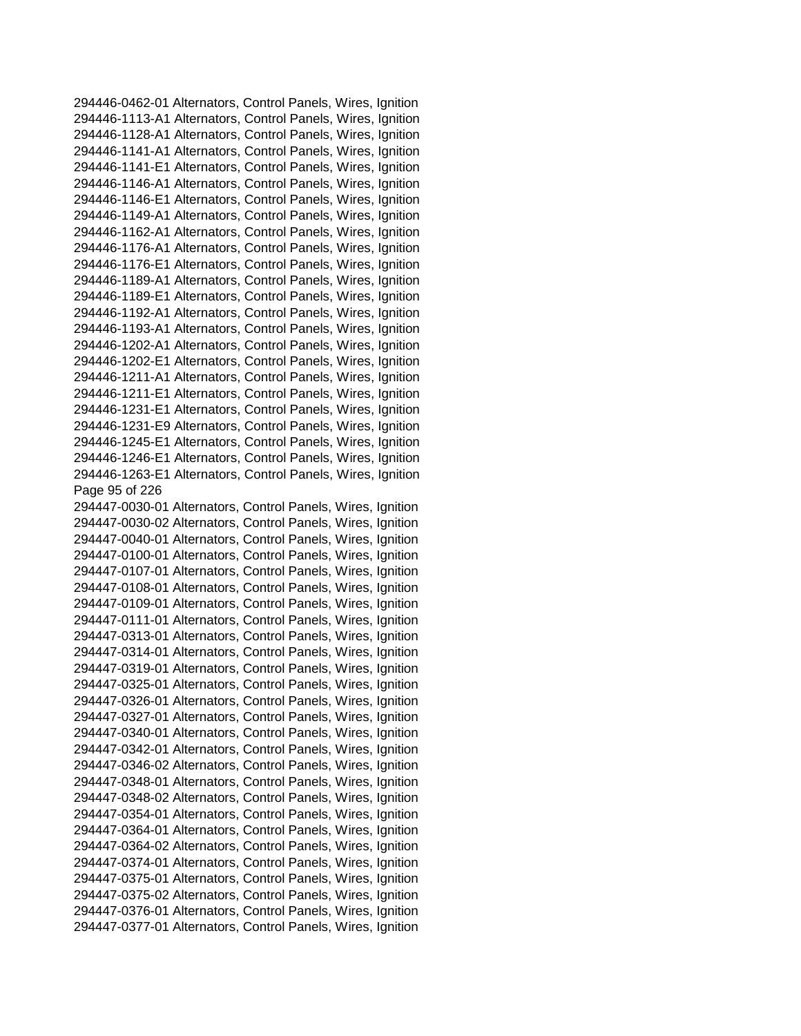294446-0462-01 Alternators, Control Panels, Wires, Ignition 294446-1113-A1 Alternators, Control Panels, Wires, Ignition 294446-1128-A1 Alternators, Control Panels, Wires, Ignition 294446-1141-A1 Alternators, Control Panels, Wires, Ignition 294446-1141-E1 Alternators, Control Panels, Wires, Ignition 294446-1146-A1 Alternators, Control Panels, Wires, Ignition 294446-1146-E1 Alternators, Control Panels, Wires, Ignition 294446-1149-A1 Alternators, Control Panels, Wires, Ignition 294446-1162-A1 Alternators, Control Panels, Wires, Ignition 294446-1176-A1 Alternators, Control Panels, Wires, Ignition 294446-1176-E1 Alternators, Control Panels, Wires, Ignition 294446-1189-A1 Alternators, Control Panels, Wires, Ignition 294446-1189-E1 Alternators, Control Panels, Wires, Ignition 294446-1192-A1 Alternators, Control Panels, Wires, Ignition 294446-1193-A1 Alternators, Control Panels, Wires, Ignition 294446-1202-A1 Alternators, Control Panels, Wires, Ignition 294446-1202-E1 Alternators, Control Panels, Wires, Ignition 294446-1211-A1 Alternators, Control Panels, Wires, Ignition 294446-1211-E1 Alternators, Control Panels, Wires, Ignition 294446-1231-E1 Alternators, Control Panels, Wires, Ignition 294446-1231-E9 Alternators, Control Panels, Wires, Ignition 294446-1245-E1 Alternators, Control Panels, Wires, Ignition 294446-1246-E1 Alternators, Control Panels, Wires, Ignition 294446-1263-E1 Alternators, Control Panels, Wires, Ignition Page 95 of 226 294447-0030-01 Alternators, Control Panels, Wires, Ignition 294447-0030-02 Alternators, Control Panels, Wires, Ignition 294447-0040-01 Alternators, Control Panels, Wires, Ignition 294447-0100-01 Alternators, Control Panels, Wires, Ignition 294447-0107-01 Alternators, Control Panels, Wires, Ignition 294447-0108-01 Alternators, Control Panels, Wires, Ignition 294447-0109-01 Alternators, Control Panels, Wires, Ignition 294447-0111-01 Alternators, Control Panels, Wires, Ignition 294447-0313-01 Alternators, Control Panels, Wires, Ignition 294447-0314-01 Alternators, Control Panels, Wires, Ignition 294447-0319-01 Alternators, Control Panels, Wires, Ignition 294447-0325-01 Alternators, Control Panels, Wires, Ignition 294447-0326-01 Alternators, Control Panels, Wires, Ignition 294447-0327-01 Alternators, Control Panels, Wires, Ignition 294447-0340-01 Alternators, Control Panels, Wires, Ignition 294447-0342-01 Alternators, Control Panels, Wires, Ignition 294447-0346-02 Alternators, Control Panels, Wires, Ignition 294447-0348-01 Alternators, Control Panels, Wires, Ignition 294447-0348-02 Alternators, Control Panels, Wires, Ignition 294447-0354-01 Alternators, Control Panels, Wires, Ignition 294447-0364-01 Alternators, Control Panels, Wires, Ignition 294447-0364-02 Alternators, Control Panels, Wires, Ignition 294447-0374-01 Alternators, Control Panels, Wires, Ignition 294447-0375-01 Alternators, Control Panels, Wires, Ignition 294447-0375-02 Alternators, Control Panels, Wires, Ignition 294447-0376-01 Alternators, Control Panels, Wires, Ignition 294447-0377-01 Alternators, Control Panels, Wires, Ignition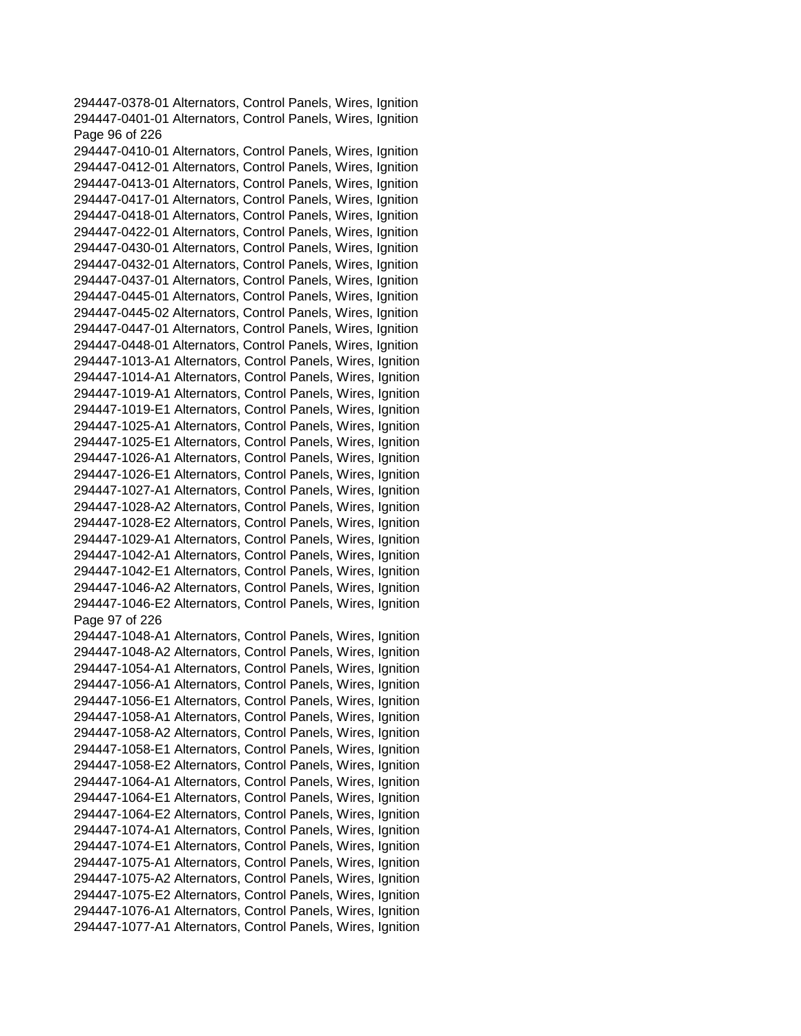294447-0378-01 Alternators, Control Panels, Wires, Ignition 294447-0401-01 Alternators, Control Panels, Wires, Ignition Page 96 of 226 294447-0410-01 Alternators, Control Panels, Wires, Ignition 294447-0412-01 Alternators, Control Panels, Wires, Ignition 294447-0413-01 Alternators, Control Panels, Wires, Ignition 294447-0417-01 Alternators, Control Panels, Wires, Ignition 294447-0418-01 Alternators, Control Panels, Wires, Ignition 294447-0422-01 Alternators, Control Panels, Wires, Ignition 294447-0430-01 Alternators, Control Panels, Wires, Ignition 294447-0432-01 Alternators, Control Panels, Wires, Ignition 294447-0437-01 Alternators, Control Panels, Wires, Ignition 294447-0445-01 Alternators, Control Panels, Wires, Ignition 294447-0445-02 Alternators, Control Panels, Wires, Ignition 294447-0447-01 Alternators, Control Panels, Wires, Ignition 294447-0448-01 Alternators, Control Panels, Wires, Ignition 294447-1013-A1 Alternators, Control Panels, Wires, Ignition 294447-1014-A1 Alternators, Control Panels, Wires, Ignition 294447-1019-A1 Alternators, Control Panels, Wires, Ignition 294447-1019-E1 Alternators, Control Panels, Wires, Ignition 294447-1025-A1 Alternators, Control Panels, Wires, Ignition 294447-1025-E1 Alternators, Control Panels, Wires, Ignition 294447-1026-A1 Alternators, Control Panels, Wires, Ignition 294447-1026-E1 Alternators, Control Panels, Wires, Ignition 294447-1027-A1 Alternators, Control Panels, Wires, Ignition 294447-1028-A2 Alternators, Control Panels, Wires, Ignition 294447-1028-E2 Alternators, Control Panels, Wires, Ignition 294447-1029-A1 Alternators, Control Panels, Wires, Ignition 294447-1042-A1 Alternators, Control Panels, Wires, Ignition 294447-1042-E1 Alternators, Control Panels, Wires, Ignition 294447-1046-A2 Alternators, Control Panels, Wires, Ignition 294447-1046-E2 Alternators, Control Panels, Wires, Ignition Page 97 of 226 294447-1048-A1 Alternators, Control Panels, Wires, Ignition 294447-1048-A2 Alternators, Control Panels, Wires, Ignition 294447-1054-A1 Alternators, Control Panels, Wires, Ignition 294447-1056-A1 Alternators, Control Panels, Wires, Ignition 294447-1056-E1 Alternators, Control Panels, Wires, Ignition 294447-1058-A1 Alternators, Control Panels, Wires, Ignition 294447-1058-A2 Alternators, Control Panels, Wires, Ignition 294447-1058-E1 Alternators, Control Panels, Wires, Ignition 294447-1058-E2 Alternators, Control Panels, Wires, Ignition 294447-1064-A1 Alternators, Control Panels, Wires, Ignition 294447-1064-E1 Alternators, Control Panels, Wires, Ignition 294447-1064-E2 Alternators, Control Panels, Wires, Ignition 294447-1074-A1 Alternators, Control Panels, Wires, Ignition 294447-1074-E1 Alternators, Control Panels, Wires, Ignition 294447-1075-A1 Alternators, Control Panels, Wires, Ignition 294447-1075-A2 Alternators, Control Panels, Wires, Ignition 294447-1075-E2 Alternators, Control Panels, Wires, Ignition 294447-1076-A1 Alternators, Control Panels, Wires, Ignition 294447-1077-A1 Alternators, Control Panels, Wires, Ignition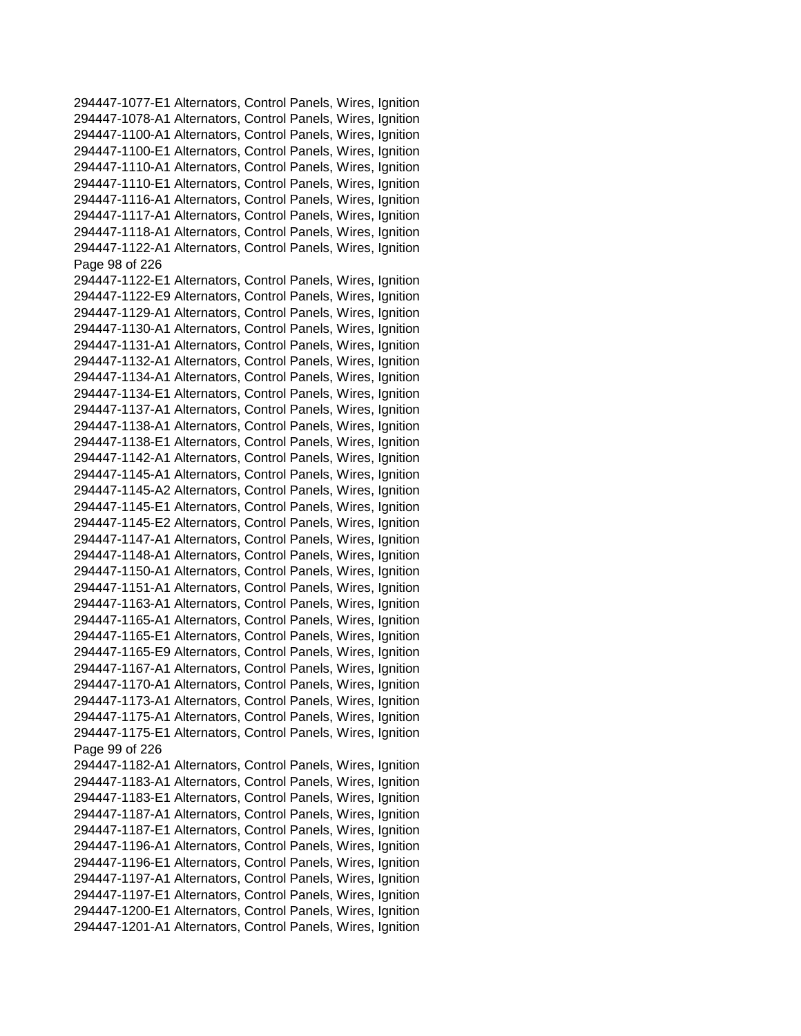294447-1077-E1 Alternators, Control Panels, Wires, Ignition 294447-1078-A1 Alternators, Control Panels, Wires, Ignition 294447-1100-A1 Alternators, Control Panels, Wires, Ignition 294447-1100-E1 Alternators, Control Panels, Wires, Ignition 294447-1110-A1 Alternators, Control Panels, Wires, Ignition 294447-1110-E1 Alternators, Control Panels, Wires, Ignition 294447-1116-A1 Alternators, Control Panels, Wires, Ignition 294447-1117-A1 Alternators, Control Panels, Wires, Ignition 294447-1118-A1 Alternators, Control Panels, Wires, Ignition 294447-1122-A1 Alternators, Control Panels, Wires, Ignition Page 98 of 226 294447-1122-E1 Alternators, Control Panels, Wires, Ignition 294447-1122-E9 Alternators, Control Panels, Wires, Ignition 294447-1129-A1 Alternators, Control Panels, Wires, Ignition 294447-1130-A1 Alternators, Control Panels, Wires, Ignition 294447-1131-A1 Alternators, Control Panels, Wires, Ignition 294447-1132-A1 Alternators, Control Panels, Wires, Ignition 294447-1134-A1 Alternators, Control Panels, Wires, Ignition 294447-1134-E1 Alternators, Control Panels, Wires, Ignition 294447-1137-A1 Alternators, Control Panels, Wires, Ignition 294447-1138-A1 Alternators, Control Panels, Wires, Ignition 294447-1138-E1 Alternators, Control Panels, Wires, Ignition 294447-1142-A1 Alternators, Control Panels, Wires, Ignition 294447-1145-A1 Alternators, Control Panels, Wires, Ignition 294447-1145-A2 Alternators, Control Panels, Wires, Ignition 294447-1145-E1 Alternators, Control Panels, Wires, Ignition 294447-1145-E2 Alternators, Control Panels, Wires, Ignition 294447-1147-A1 Alternators, Control Panels, Wires, Ignition 294447-1148-A1 Alternators, Control Panels, Wires, Ignition 294447-1150-A1 Alternators, Control Panels, Wires, Ignition 294447-1151-A1 Alternators, Control Panels, Wires, Ignition 294447-1163-A1 Alternators, Control Panels, Wires, Ignition 294447-1165-A1 Alternators, Control Panels, Wires, Ignition 294447-1165-E1 Alternators, Control Panels, Wires, Ignition 294447-1165-E9 Alternators, Control Panels, Wires, Ignition 294447-1167-A1 Alternators, Control Panels, Wires, Ignition 294447-1170-A1 Alternators, Control Panels, Wires, Ignition 294447-1173-A1 Alternators, Control Panels, Wires, Ignition 294447-1175-A1 Alternators, Control Panels, Wires, Ignition 294447-1175-E1 Alternators, Control Panels, Wires, Ignition Page 99 of 226 294447-1182-A1 Alternators, Control Panels, Wires, Ignition 294447-1183-A1 Alternators, Control Panels, Wires, Ignition 294447-1183-E1 Alternators, Control Panels, Wires, Ignition 294447-1187-A1 Alternators, Control Panels, Wires, Ignition 294447-1187-E1 Alternators, Control Panels, Wires, Ignition 294447-1196-A1 Alternators, Control Panels, Wires, Ignition 294447-1196-E1 Alternators, Control Panels, Wires, Ignition 294447-1197-A1 Alternators, Control Panels, Wires, Ignition 294447-1197-E1 Alternators, Control Panels, Wires, Ignition 294447-1200-E1 Alternators, Control Panels, Wires, Ignition 294447-1201-A1 Alternators, Control Panels, Wires, Ignition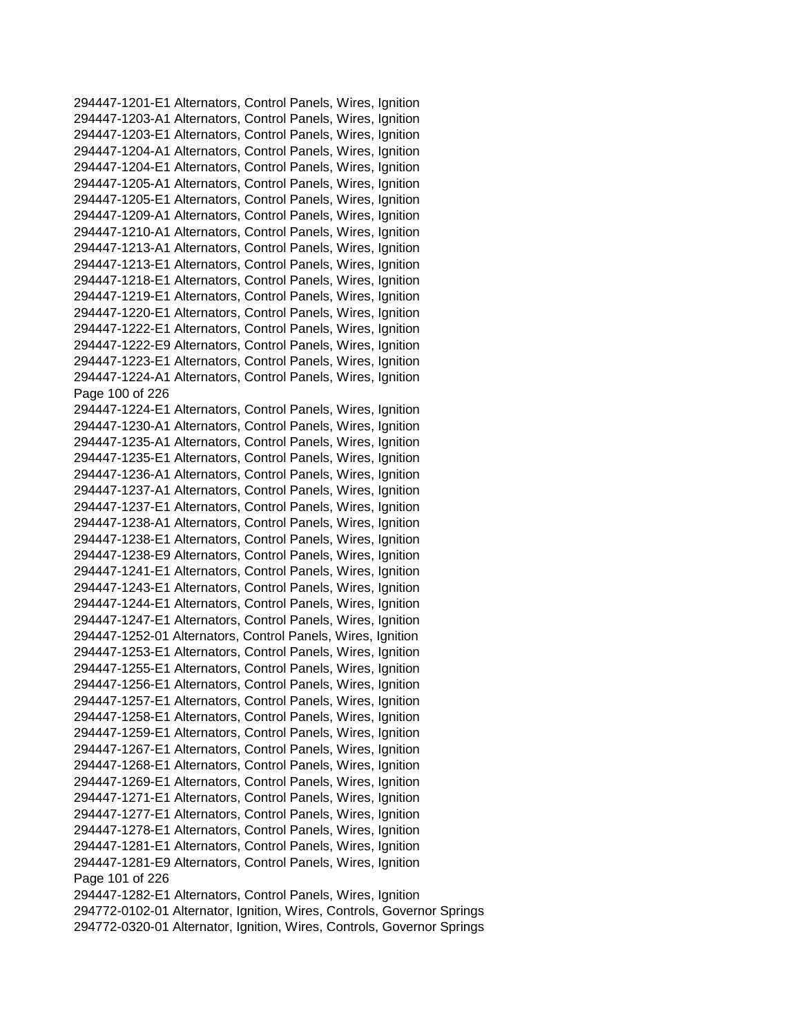294447-1201-E1 Alternators, Control Panels, Wires, Ignition 294447-1203-A1 Alternators, Control Panels, Wires, Ignition 294447-1203-E1 Alternators, Control Panels, Wires, Ignition 294447-1204-A1 Alternators, Control Panels, Wires, Ignition 294447-1204-E1 Alternators, Control Panels, Wires, Ignition 294447-1205-A1 Alternators, Control Panels, Wires, Ignition 294447-1205-E1 Alternators, Control Panels, Wires, Ignition 294447-1209-A1 Alternators, Control Panels, Wires, Ignition 294447-1210-A1 Alternators, Control Panels, Wires, Ignition 294447-1213-A1 Alternators, Control Panels, Wires, Ignition 294447-1213-E1 Alternators, Control Panels, Wires, Ignition 294447-1218-E1 Alternators, Control Panels, Wires, Ignition 294447-1219-E1 Alternators, Control Panels, Wires, Ignition 294447-1220-E1 Alternators, Control Panels, Wires, Ignition 294447-1222-E1 Alternators, Control Panels, Wires, Ignition 294447-1222-E9 Alternators, Control Panels, Wires, Ignition 294447-1223-E1 Alternators, Control Panels, Wires, Ignition 294447-1224-A1 Alternators, Control Panels, Wires, Ignition Page 100 of 226 294447-1224-E1 Alternators, Control Panels, Wires, Ignition 294447-1230-A1 Alternators, Control Panels, Wires, Ignition 294447-1235-A1 Alternators, Control Panels, Wires, Ignition 294447-1235-E1 Alternators, Control Panels, Wires, Ignition 294447-1236-A1 Alternators, Control Panels, Wires, Ignition 294447-1237-A1 Alternators, Control Panels, Wires, Ignition 294447-1237-E1 Alternators, Control Panels, Wires, Ignition 294447-1238-A1 Alternators, Control Panels, Wires, Ignition 294447-1238-E1 Alternators, Control Panels, Wires, Ignition 294447-1238-E9 Alternators, Control Panels, Wires, Ignition 294447-1241-E1 Alternators, Control Panels, Wires, Ignition 294447-1243-E1 Alternators, Control Panels, Wires, Ignition 294447-1244-E1 Alternators, Control Panels, Wires, Ignition 294447-1247-E1 Alternators, Control Panels, Wires, Ignition 294447-1252-01 Alternators, Control Panels, Wires, Ignition 294447-1253-E1 Alternators, Control Panels, Wires, Ignition 294447-1255-E1 Alternators, Control Panels, Wires, Ignition 294447-1256-E1 Alternators, Control Panels, Wires, Ignition 294447-1257-E1 Alternators, Control Panels, Wires, Ignition 294447-1258-E1 Alternators, Control Panels, Wires, Ignition 294447-1259-E1 Alternators, Control Panels, Wires, Ignition 294447-1267-E1 Alternators, Control Panels, Wires, Ignition 294447-1268-E1 Alternators, Control Panels, Wires, Ignition 294447-1269-E1 Alternators, Control Panels, Wires, Ignition 294447-1271-E1 Alternators, Control Panels, Wires, Ignition 294447-1277-E1 Alternators, Control Panels, Wires, Ignition 294447-1278-E1 Alternators, Control Panels, Wires, Ignition 294447-1281-E1 Alternators, Control Panels, Wires, Ignition 294447-1281-E9 Alternators, Control Panels, Wires, Ignition Page 101 of 226 294447-1282-E1 Alternators, Control Panels, Wires, Ignition 294772-0102-01 Alternator, Ignition, Wires, Controls, Governor Springs 294772-0320-01 Alternator, Ignition, Wires, Controls, Governor Springs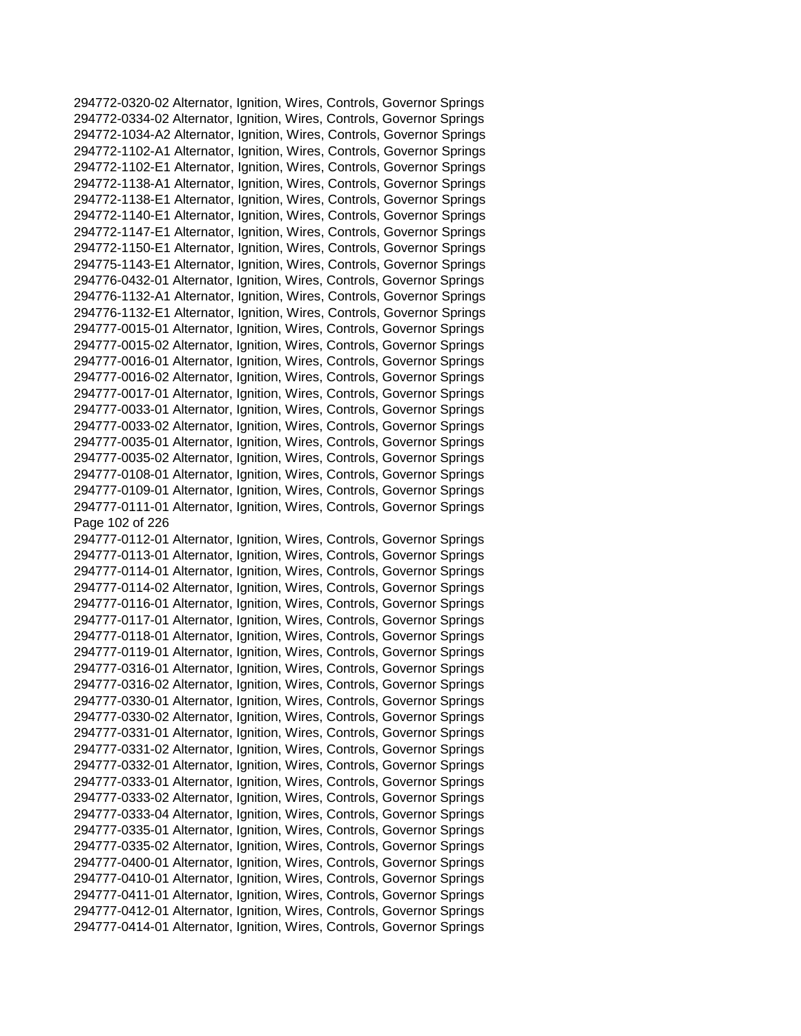294772-0320-02 Alternator, Ignition, Wires, Controls, Governor Springs 294772-0334-02 Alternator, Ignition, Wires, Controls, Governor Springs 294772-1034-A2 Alternator, Ignition, Wires, Controls, Governor Springs 294772-1102-A1 Alternator, Ignition, Wires, Controls, Governor Springs 294772-1102-E1 Alternator, Ignition, Wires, Controls, Governor Springs 294772-1138-A1 Alternator, Ignition, Wires, Controls, Governor Springs 294772-1138-E1 Alternator, Ignition, Wires, Controls, Governor Springs 294772-1140-E1 Alternator, Ignition, Wires, Controls, Governor Springs 294772-1147-E1 Alternator, Ignition, Wires, Controls, Governor Springs 294772-1150-E1 Alternator, Ignition, Wires, Controls, Governor Springs 294775-1143-E1 Alternator, Ignition, Wires, Controls, Governor Springs 294776-0432-01 Alternator, Ignition, Wires, Controls, Governor Springs 294776-1132-A1 Alternator, Ignition, Wires, Controls, Governor Springs 294776-1132-E1 Alternator, Ignition, Wires, Controls, Governor Springs 294777-0015-01 Alternator, Ignition, Wires, Controls, Governor Springs 294777-0015-02 Alternator, Ignition, Wires, Controls, Governor Springs 294777-0016-01 Alternator, Ignition, Wires, Controls, Governor Springs 294777-0016-02 Alternator, Ignition, Wires, Controls, Governor Springs 294777-0017-01 Alternator, Ignition, Wires, Controls, Governor Springs 294777-0033-01 Alternator, Ignition, Wires, Controls, Governor Springs 294777-0033-02 Alternator, Ignition, Wires, Controls, Governor Springs 294777-0035-01 Alternator, Ignition, Wires, Controls, Governor Springs 294777-0035-02 Alternator, Ignition, Wires, Controls, Governor Springs 294777-0108-01 Alternator, Ignition, Wires, Controls, Governor Springs 294777-0109-01 Alternator, Ignition, Wires, Controls, Governor Springs 294777-0111-01 Alternator, Ignition, Wires, Controls, Governor Springs Page 102 of 226 294777-0112-01 Alternator, Ignition, Wires, Controls, Governor Springs 294777-0113-01 Alternator, Ignition, Wires, Controls, Governor Springs 294777-0114-01 Alternator, Ignition, Wires, Controls, Governor Springs 294777-0114-02 Alternator, Ignition, Wires, Controls, Governor Springs 294777-0116-01 Alternator, Ignition, Wires, Controls, Governor Springs 294777-0117-01 Alternator, Ignition, Wires, Controls, Governor Springs 294777-0118-01 Alternator, Ignition, Wires, Controls, Governor Springs 294777-0119-01 Alternator, Ignition, Wires, Controls, Governor Springs 294777-0316-01 Alternator, Ignition, Wires, Controls, Governor Springs 294777-0316-02 Alternator, Ignition, Wires, Controls, Governor Springs 294777-0330-01 Alternator, Ignition, Wires, Controls, Governor Springs 294777-0330-02 Alternator, Ignition, Wires, Controls, Governor Springs 294777-0331-01 Alternator, Ignition, Wires, Controls, Governor Springs 294777-0331-02 Alternator, Ignition, Wires, Controls, Governor Springs 294777-0332-01 Alternator, Ignition, Wires, Controls, Governor Springs 294777-0333-01 Alternator, Ignition, Wires, Controls, Governor Springs 294777-0333-02 Alternator, Ignition, Wires, Controls, Governor Springs 294777-0333-04 Alternator, Ignition, Wires, Controls, Governor Springs 294777-0335-01 Alternator, Ignition, Wires, Controls, Governor Springs 294777-0335-02 Alternator, Ignition, Wires, Controls, Governor Springs 294777-0400-01 Alternator, Ignition, Wires, Controls, Governor Springs 294777-0410-01 Alternator, Ignition, Wires, Controls, Governor Springs 294777-0411-01 Alternator, Ignition, Wires, Controls, Governor Springs 294777-0412-01 Alternator, Ignition, Wires, Controls, Governor Springs 294777-0414-01 Alternator, Ignition, Wires, Controls, Governor Springs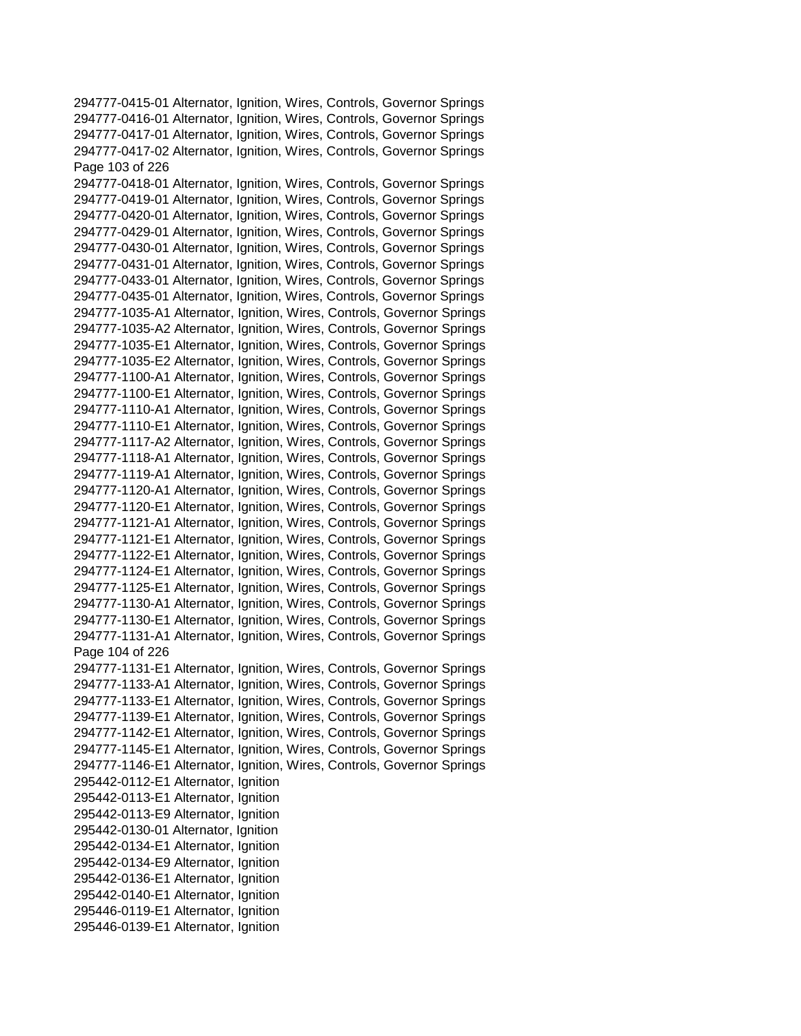294777-0415-01 Alternator, Ignition, Wires, Controls, Governor Springs 294777-0416-01 Alternator, Ignition, Wires, Controls, Governor Springs 294777-0417-01 Alternator, Ignition, Wires, Controls, Governor Springs 294777-0417-02 Alternator, Ignition, Wires, Controls, Governor Springs Page 103 of 226 294777-0418-01 Alternator, Ignition, Wires, Controls, Governor Springs 294777-0419-01 Alternator, Ignition, Wires, Controls, Governor Springs 294777-0420-01 Alternator, Ignition, Wires, Controls, Governor Springs 294777-0429-01 Alternator, Ignition, Wires, Controls, Governor Springs 294777-0430-01 Alternator, Ignition, Wires, Controls, Governor Springs 294777-0431-01 Alternator, Ignition, Wires, Controls, Governor Springs 294777-0433-01 Alternator, Ignition, Wires, Controls, Governor Springs 294777-0435-01 Alternator, Ignition, Wires, Controls, Governor Springs 294777-1035-A1 Alternator, Ignition, Wires, Controls, Governor Springs 294777-1035-A2 Alternator, Ignition, Wires, Controls, Governor Springs 294777-1035-E1 Alternator, Ignition, Wires, Controls, Governor Springs 294777-1035-E2 Alternator, Ignition, Wires, Controls, Governor Springs 294777-1100-A1 Alternator, Ignition, Wires, Controls, Governor Springs 294777-1100-E1 Alternator, Ignition, Wires, Controls, Governor Springs 294777-1110-A1 Alternator, Ignition, Wires, Controls, Governor Springs 294777-1110-E1 Alternator, Ignition, Wires, Controls, Governor Springs 294777-1117-A2 Alternator, Ignition, Wires, Controls, Governor Springs 294777-1118-A1 Alternator, Ignition, Wires, Controls, Governor Springs 294777-1119-A1 Alternator, Ignition, Wires, Controls, Governor Springs 294777-1120-A1 Alternator, Ignition, Wires, Controls, Governor Springs 294777-1120-E1 Alternator, Ignition, Wires, Controls, Governor Springs 294777-1121-A1 Alternator, Ignition, Wires, Controls, Governor Springs 294777-1121-E1 Alternator, Ignition, Wires, Controls, Governor Springs 294777-1122-E1 Alternator, Ignition, Wires, Controls, Governor Springs 294777-1124-E1 Alternator, Ignition, Wires, Controls, Governor Springs 294777-1125-E1 Alternator, Ignition, Wires, Controls, Governor Springs 294777-1130-A1 Alternator, Ignition, Wires, Controls, Governor Springs 294777-1130-E1 Alternator, Ignition, Wires, Controls, Governor Springs 294777-1131-A1 Alternator, Ignition, Wires, Controls, Governor Springs Page 104 of 226 294777-1131-E1 Alternator, Ignition, Wires, Controls, Governor Springs 294777-1133-A1 Alternator, Ignition, Wires, Controls, Governor Springs 294777-1133-E1 Alternator, Ignition, Wires, Controls, Governor Springs 294777-1139-E1 Alternator, Ignition, Wires, Controls, Governor Springs 294777-1142-E1 Alternator, Ignition, Wires, Controls, Governor Springs 294777-1145-E1 Alternator, Ignition, Wires, Controls, Governor Springs 294777-1146-E1 Alternator, Ignition, Wires, Controls, Governor Springs 295442-0112-E1 Alternator, Ignition 295442-0113-E1 Alternator, Ignition 295442-0113-E9 Alternator, Ignition 295442-0130-01 Alternator, Ignition 295442-0134-E1 Alternator, Ignition 295442-0134-E9 Alternator, Ignition 295442-0136-E1 Alternator, Ignition 295442-0140-E1 Alternator, Ignition 295446-0119-E1 Alternator, Ignition 295446-0139-E1 Alternator, Ignition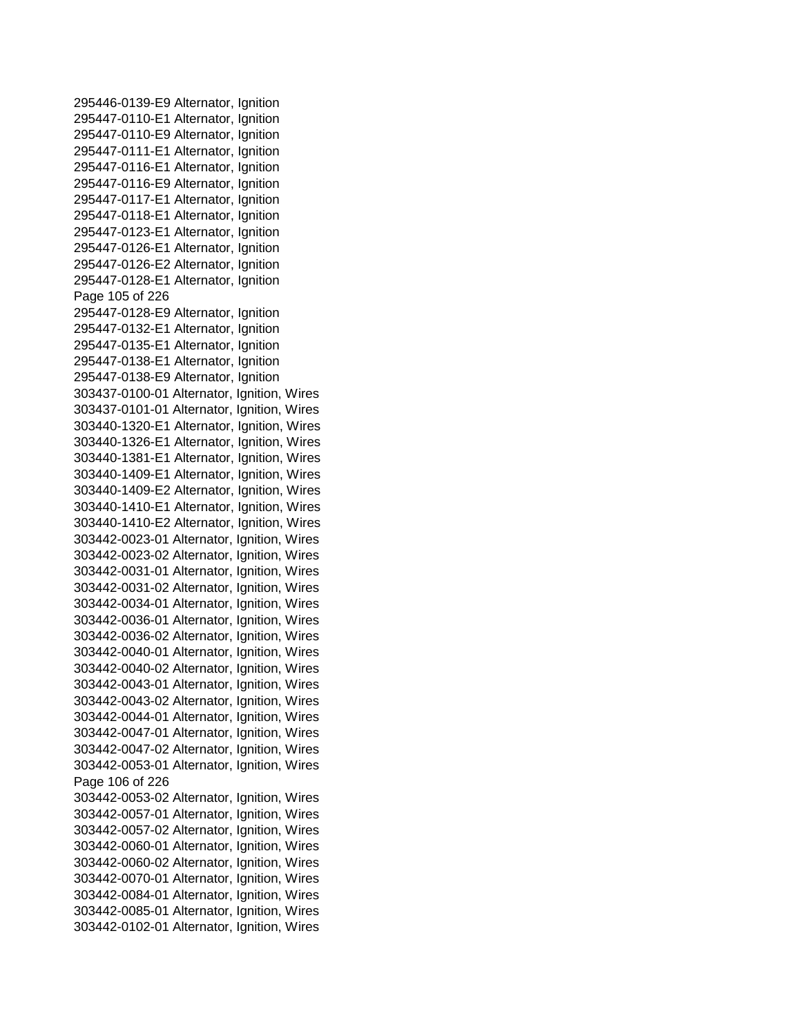295446-0139-E9 Alternator, Ignition 295447-0110-E1 Alternator, Ignition 295447-0110-E9 Alternator, Ignition 295447-0111-E1 Alternator, Ignition 295447-0116-E1 Alternator, Ignition 295447-0116-E9 Alternator, Ignition 295447-0117-E1 Alternator, Ignition 295447-0118-E1 Alternator, Ignition 295447-0123-E1 Alternator, Ignition 295447-0126-E1 Alternator, Ignition 295447-0126-E2 Alternator, Ignition 295447-0128-E1 Alternator, Ignition Page 105 of 226 295447-0128-E9 Alternator, Ignition 295447-0132-E1 Alternator, Ignition 295447-0135-E1 Alternator, Ignition 295447-0138-E1 Alternator, Ignition 295447-0138-E9 Alternator, Ignition 303437-0100-01 Alternator, Ignition, Wires 303437-0101-01 Alternator, Ignition, Wires 303440-1320-E1 Alternator, Ignition, Wires 303440-1326-E1 Alternator, Ignition, Wires 303440-1381-E1 Alternator, Ignition, Wires 303440-1409-E1 Alternator, Ignition, Wires 303440-1409-E2 Alternator, Ignition, Wires 303440-1410-E1 Alternator, Ignition, Wires 303440-1410-E2 Alternator, Ignition, Wires 303442-0023-01 Alternator, Ignition, Wires 303442-0023-02 Alternator, Ignition, Wires 303442-0031-01 Alternator, Ignition, Wires 303442-0031-02 Alternator, Ignition, Wires 303442-0034-01 Alternator, Ignition, Wires 303442-0036-01 Alternator, Ignition, Wires 303442-0036-02 Alternator, Ignition, Wires 303442-0040-01 Alternator, Ignition, Wires 303442-0040-02 Alternator, Ignition, Wires 303442-0043-01 Alternator, Ignition, Wires 303442-0043-02 Alternator, Ignition, Wires 303442-0044-01 Alternator, Ignition, Wires 303442-0047-01 Alternator, Ignition, Wires 303442-0047-02 Alternator, Ignition, Wires 303442-0053-01 Alternator, Ignition, Wires Page 106 of 226 303442-0053-02 Alternator, Ignition, Wires 303442-0057-01 Alternator, Ignition, Wires 303442-0057-02 Alternator, Ignition, Wires 303442-0060-01 Alternator, Ignition, Wires 303442-0060-02 Alternator, Ignition, Wires 303442-0070-01 Alternator, Ignition, Wires 303442-0084-01 Alternator, Ignition, Wires 303442-0085-01 Alternator, Ignition, Wires 303442-0102-01 Alternator, Ignition, Wires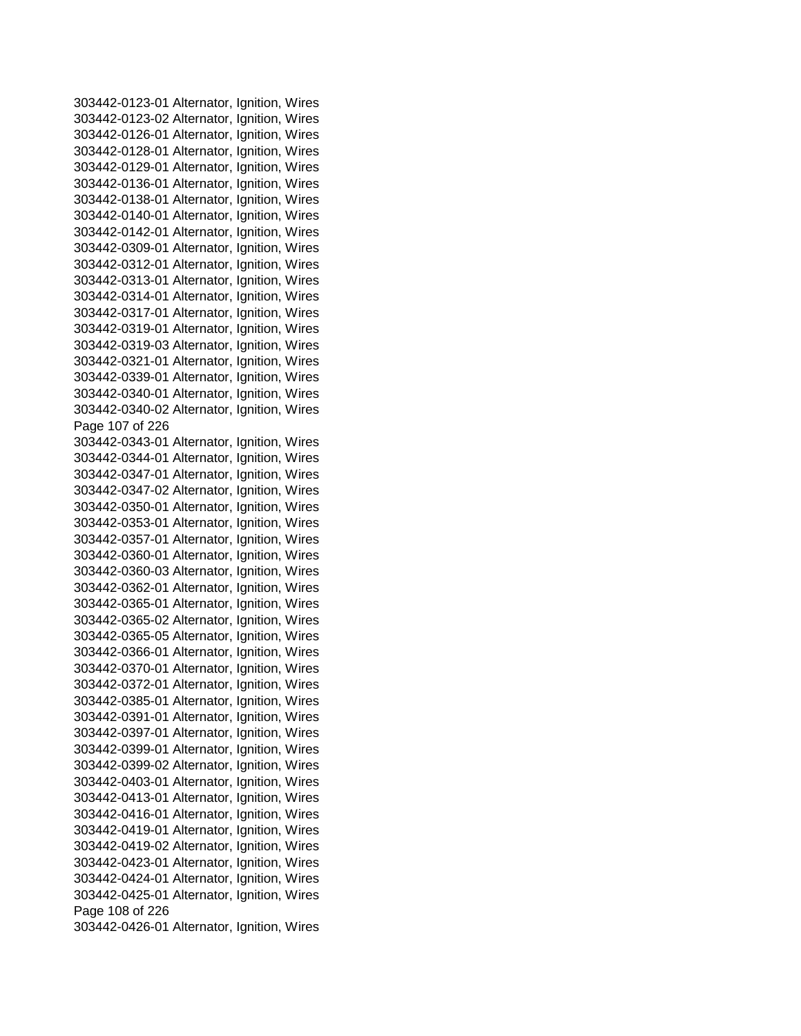303442-0123-01 Alternator, Ignition, Wires 303442-0123-02 Alternator, Ignition, Wires 303442-0126-01 Alternator, Ignition, Wires 303442-0128-01 Alternator, Ignition, Wires 303442-0129-01 Alternator, Ignition, Wires 303442-0136-01 Alternator, Ignition, Wires 303442-0138-01 Alternator, Ignition, Wires 303442-0140-01 Alternator, Ignition, Wires 303442-0142-01 Alternator, Ignition, Wires 303442-0309-01 Alternator, Ignition, Wires 303442-0312-01 Alternator, Ignition, Wires 303442-0313-01 Alternator, Ignition, Wires 303442-0314-01 Alternator, Ignition, Wires 303442-0317-01 Alternator, Ignition, Wires 303442-0319-01 Alternator, Ignition, Wires 303442-0319-03 Alternator, Ignition, Wires 303442-0321-01 Alternator, Ignition, Wires 303442-0339-01 Alternator, Ignition, Wires 303442-0340-01 Alternator, Ignition, Wires 303442-0340-02 Alternator, Ignition, Wires Page 107 of 226 303442-0343-01 Alternator, Ignition, Wires 303442-0344-01 Alternator, Ignition, Wires 303442-0347-01 Alternator, Ignition, Wires 303442-0347-02 Alternator, Ignition, Wires 303442-0350-01 Alternator, Ignition, Wires 303442-0353-01 Alternator, Ignition, Wires 303442-0357-01 Alternator, Ignition, Wires 303442-0360-01 Alternator, Ignition, Wires 303442-0360-03 Alternator, Ignition, Wires 303442-0362-01 Alternator, Ignition, Wires 303442-0365-01 Alternator, Ignition, Wires 303442-0365-02 Alternator, Ignition, Wires 303442-0365-05 Alternator, Ignition, Wires 303442-0366-01 Alternator, Ignition, Wires 303442-0370-01 Alternator, Ignition, Wires 303442-0372-01 Alternator, Ignition, Wires 303442-0385-01 Alternator, Ignition, Wires 303442-0391-01 Alternator, Ignition, Wires 303442-0397-01 Alternator, Ignition, Wires 303442-0399-01 Alternator, Ignition, Wires 303442-0399-02 Alternator, Ignition, Wires 303442-0403-01 Alternator, Ignition, Wires 303442-0413-01 Alternator, Ignition, Wires 303442-0416-01 Alternator, Ignition, Wires 303442-0419-01 Alternator, Ignition, Wires 303442-0419-02 Alternator, Ignition, Wires 303442-0423-01 Alternator, Ignition, Wires 303442-0424-01 Alternator, Ignition, Wires 303442-0425-01 Alternator, Ignition, Wires Page 108 of 226 303442-0426-01 Alternator, Ignition, Wires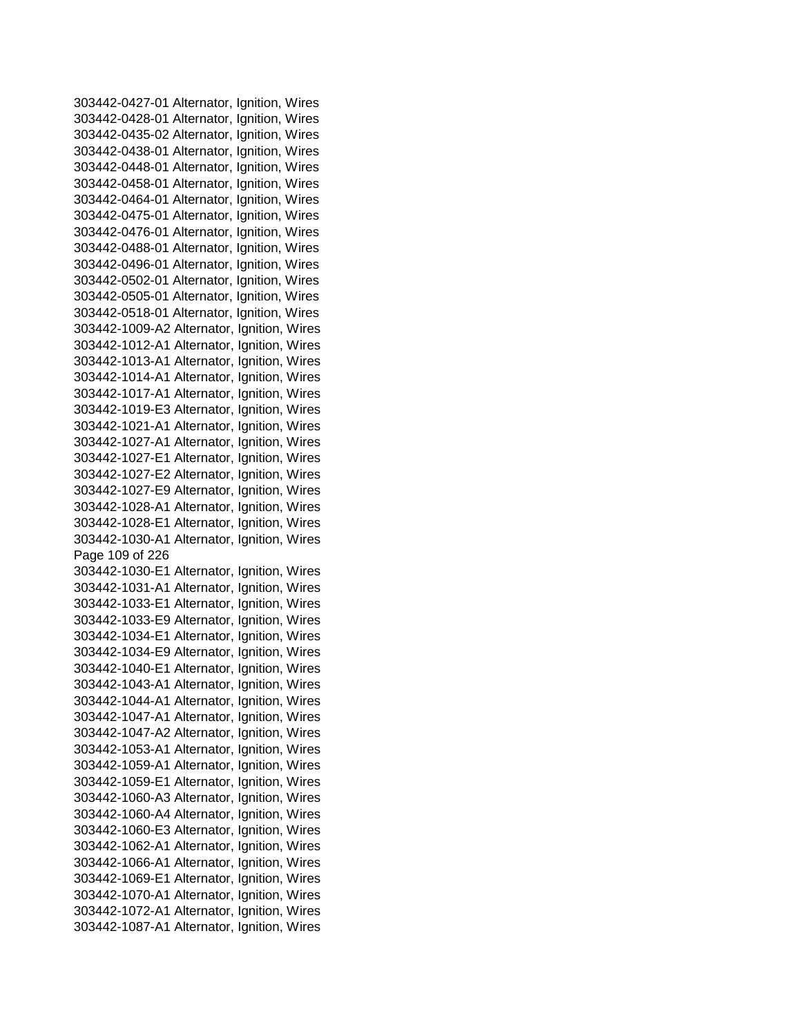303442-0427-01 Alternator, Ignition, Wires 303442-0428-01 Alternator, Ignition, Wires 303442-0435-02 Alternator, Ignition, Wires 303442-0438-01 Alternator, Ignition, Wires 303442-0448-01 Alternator, Ignition, Wires 303442-0458-01 Alternator, Ignition, Wires 303442-0464-01 Alternator, Ignition, Wires 303442-0475-01 Alternator, Ignition, Wires 303442-0476-01 Alternator, Ignition, Wires 303442-0488-01 Alternator, Ignition, Wires 303442-0496-01 Alternator, Ignition, Wires 303442-0502-01 Alternator, Ignition, Wires 303442-0505-01 Alternator, Ignition, Wires 303442-0518-01 Alternator, Ignition, Wires 303442-1009-A2 Alternator, Ignition, Wires 303442-1012-A1 Alternator, Ignition, Wires 303442-1013-A1 Alternator, Ignition, Wires 303442-1014-A1 Alternator, Ignition, Wires 303442-1017-A1 Alternator, Ignition, Wires 303442-1019-E3 Alternator, Ignition, Wires 303442-1021-A1 Alternator, Ignition, Wires 303442-1027-A1 Alternator, Ignition, Wires 303442-1027-E1 Alternator, Ignition, Wires 303442-1027-E2 Alternator, Ignition, Wires 303442-1027-E9 Alternator, Ignition, Wires 303442-1028-A1 Alternator, Ignition, Wires 303442-1028-E1 Alternator, Ignition, Wires 303442-1030-A1 Alternator, Ignition, Wires Page 109 of 226 303442-1030-E1 Alternator, Ignition, Wires 303442-1031-A1 Alternator, Ignition, Wires 303442-1033-E1 Alternator, Ignition, Wires 303442-1033-E9 Alternator, Ignition, Wires 303442-1034-E1 Alternator, Ignition, Wires 303442-1034-E9 Alternator, Ignition, Wires 303442-1040-E1 Alternator, Ignition, Wires 303442-1043-A1 Alternator, Ignition, Wires 303442-1044-A1 Alternator, Ignition, Wires 303442-1047-A1 Alternator, Ignition, Wires 303442-1047-A2 Alternator, Ignition, Wires 303442-1053-A1 Alternator, Ignition, Wires 303442-1059-A1 Alternator, Ignition, Wires 303442-1059-E1 Alternator, Ignition, Wires 303442-1060-A3 Alternator, Ignition, Wires 303442-1060-A4 Alternator, Ignition, Wires 303442-1060-E3 Alternator, Ignition, Wires 303442-1062-A1 Alternator, Ignition, Wires 303442-1066-A1 Alternator, Ignition, Wires 303442-1069-E1 Alternator, Ignition, Wires 303442-1070-A1 Alternator, Ignition, Wires 303442-1072-A1 Alternator, Ignition, Wires 303442-1087-A1 Alternator, Ignition, Wires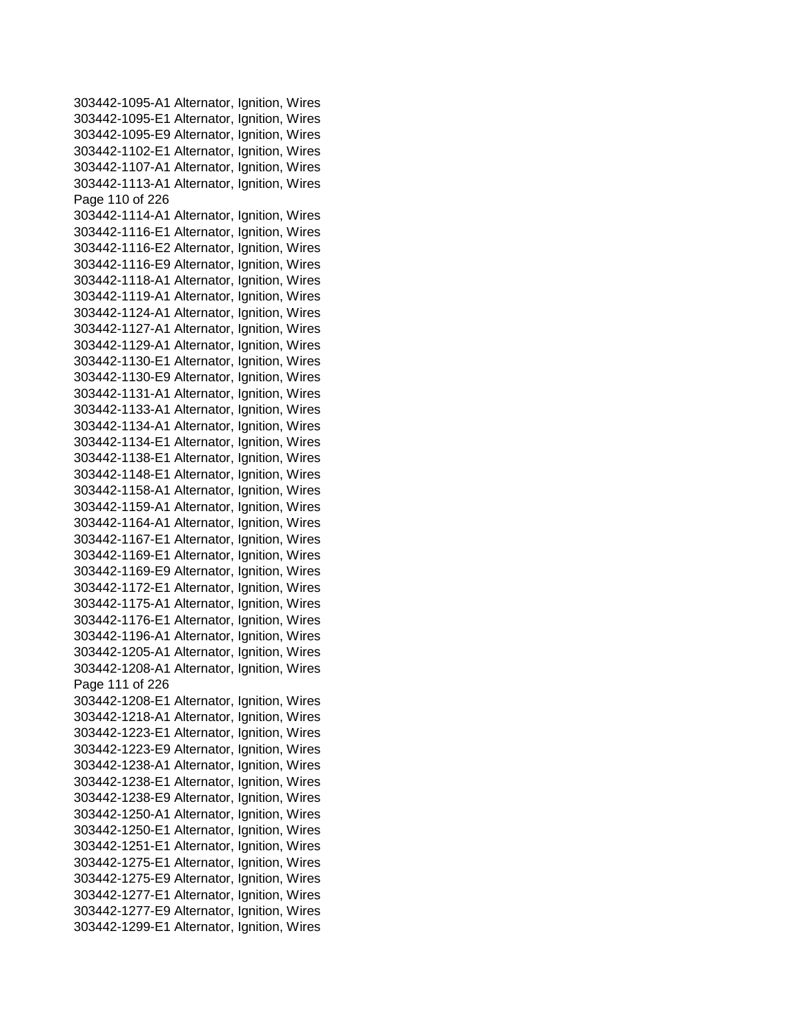303442-1095-A1 Alternator, Ignition, Wires 303442-1095-E1 Alternator, Ignition, Wires 303442-1095-E9 Alternator, Ignition, Wires 303442-1102-E1 Alternator, Ignition, Wires 303442-1107-A1 Alternator, Ignition, Wires 303442-1113-A1 Alternator, Ignition, Wires Page 110 of 226 303442-1114-A1 Alternator, Ignition, Wires 303442-1116-E1 Alternator, Ignition, Wires 303442-1116-E2 Alternator, Ignition, Wires 303442-1116-E9 Alternator, Ignition, Wires 303442-1118-A1 Alternator, Ignition, Wires 303442-1119-A1 Alternator, Ignition, Wires 303442-1124-A1 Alternator, Ignition, Wires 303442-1127-A1 Alternator, Ignition, Wires 303442-1129-A1 Alternator, Ignition, Wires 303442-1130-E1 Alternator, Ignition, Wires 303442-1130-E9 Alternator, Ignition, Wires 303442-1131-A1 Alternator, Ignition, Wires 303442-1133-A1 Alternator, Ignition, Wires 303442-1134-A1 Alternator, Ignition, Wires 303442-1134-E1 Alternator, Ignition, Wires 303442-1138-E1 Alternator, Ignition, Wires 303442-1148-E1 Alternator, Ignition, Wires 303442-1158-A1 Alternator, Ignition, Wires 303442-1159-A1 Alternator, Ignition, Wires 303442-1164-A1 Alternator, Ignition, Wires 303442-1167-E1 Alternator, Ignition, Wires 303442-1169-E1 Alternator, Ignition, Wires 303442-1169-E9 Alternator, Ignition, Wires 303442-1172-E1 Alternator, Ignition, Wires 303442-1175-A1 Alternator, Ignition, Wires 303442-1176-E1 Alternator, Ignition, Wires 303442-1196-A1 Alternator, Ignition, Wires 303442-1205-A1 Alternator, Ignition, Wires 303442-1208-A1 Alternator, Ignition, Wires Page 111 of 226 303442-1208-E1 Alternator, Ignition, Wires 303442-1218-A1 Alternator, Ignition, Wires 303442-1223-E1 Alternator, Ignition, Wires 303442-1223-E9 Alternator, Ignition, Wires 303442-1238-A1 Alternator, Ignition, Wires 303442-1238-E1 Alternator, Ignition, Wires 303442-1238-E9 Alternator, Ignition, Wires 303442-1250-A1 Alternator, Ignition, Wires 303442-1250-E1 Alternator, Ignition, Wires 303442-1251-E1 Alternator, Ignition, Wires 303442-1275-E1 Alternator, Ignition, Wires 303442-1275-E9 Alternator, Ignition, Wires 303442-1277-E1 Alternator, Ignition, Wires 303442-1277-E9 Alternator, Ignition, Wires 303442-1299-E1 Alternator, Ignition, Wires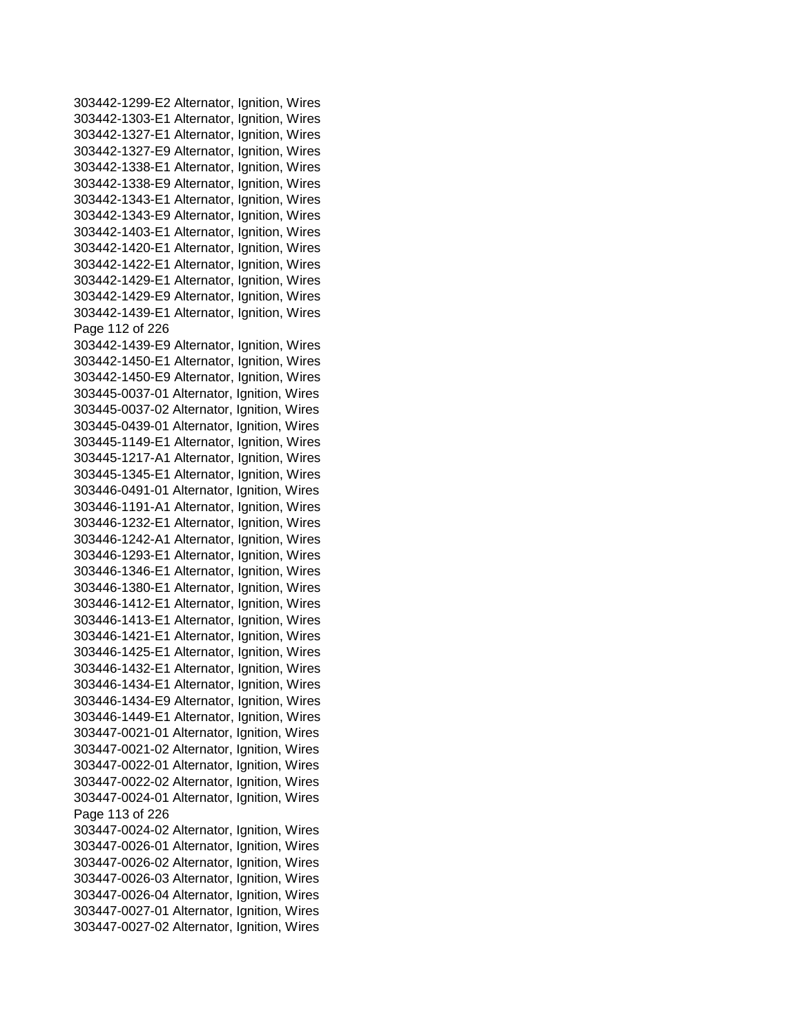303442-1299-E2 Alternator, Ignition, Wires 303442-1303-E1 Alternator, Ignition, Wires 303442-1327-E1 Alternator, Ignition, Wires 303442-1327-E9 Alternator, Ignition, Wires 303442-1338-E1 Alternator, Ignition, Wires 303442-1338-E9 Alternator, Ignition, Wires 303442-1343-E1 Alternator, Ignition, Wires 303442-1343-E9 Alternator, Ignition, Wires 303442-1403-E1 Alternator, Ignition, Wires 303442-1420-E1 Alternator, Ignition, Wires 303442-1422-E1 Alternator, Ignition, Wires 303442-1429-E1 Alternator, Ignition, Wires 303442-1429-E9 Alternator, Ignition, Wires 303442-1439-E1 Alternator, Ignition, Wires Page 112 of 226 303442-1439-E9 Alternator, Ignition, Wires 303442-1450-E1 Alternator, Ignition, Wires 303442-1450-E9 Alternator, Ignition, Wires 303445-0037-01 Alternator, Ignition, Wires 303445-0037-02 Alternator, Ignition, Wires 303445-0439-01 Alternator, Ignition, Wires 303445-1149-E1 Alternator, Ignition, Wires 303445-1217-A1 Alternator, Ignition, Wires 303445-1345-E1 Alternator, Ignition, Wires 303446-0491-01 Alternator, Ignition, Wires 303446-1191-A1 Alternator, Ignition, Wires 303446-1232-E1 Alternator, Ignition, Wires 303446-1242-A1 Alternator, Ignition, Wires 303446-1293-E1 Alternator, Ignition, Wires 303446-1346-E1 Alternator, Ignition, Wires 303446-1380-E1 Alternator, Ignition, Wires 303446-1412-E1 Alternator, Ignition, Wires 303446-1413-E1 Alternator, Ignition, Wires 303446-1421-E1 Alternator, Ignition, Wires 303446-1425-E1 Alternator, Ignition, Wires 303446-1432-E1 Alternator, Ignition, Wires 303446-1434-E1 Alternator, Ignition, Wires 303446-1434-E9 Alternator, Ignition, Wires 303446-1449-E1 Alternator, Ignition, Wires 303447-0021-01 Alternator, Ignition, Wires 303447-0021-02 Alternator, Ignition, Wires 303447-0022-01 Alternator, Ignition, Wires 303447-0022-02 Alternator, Ignition, Wires 303447-0024-01 Alternator, Ignition, Wires Page 113 of 226 303447-0024-02 Alternator, Ignition, Wires 303447-0026-01 Alternator, Ignition, Wires 303447-0026-02 Alternator, Ignition, Wires 303447-0026-03 Alternator, Ignition, Wires 303447-0026-04 Alternator, Ignition, Wires 303447-0027-01 Alternator, Ignition, Wires 303447-0027-02 Alternator, Ignition, Wires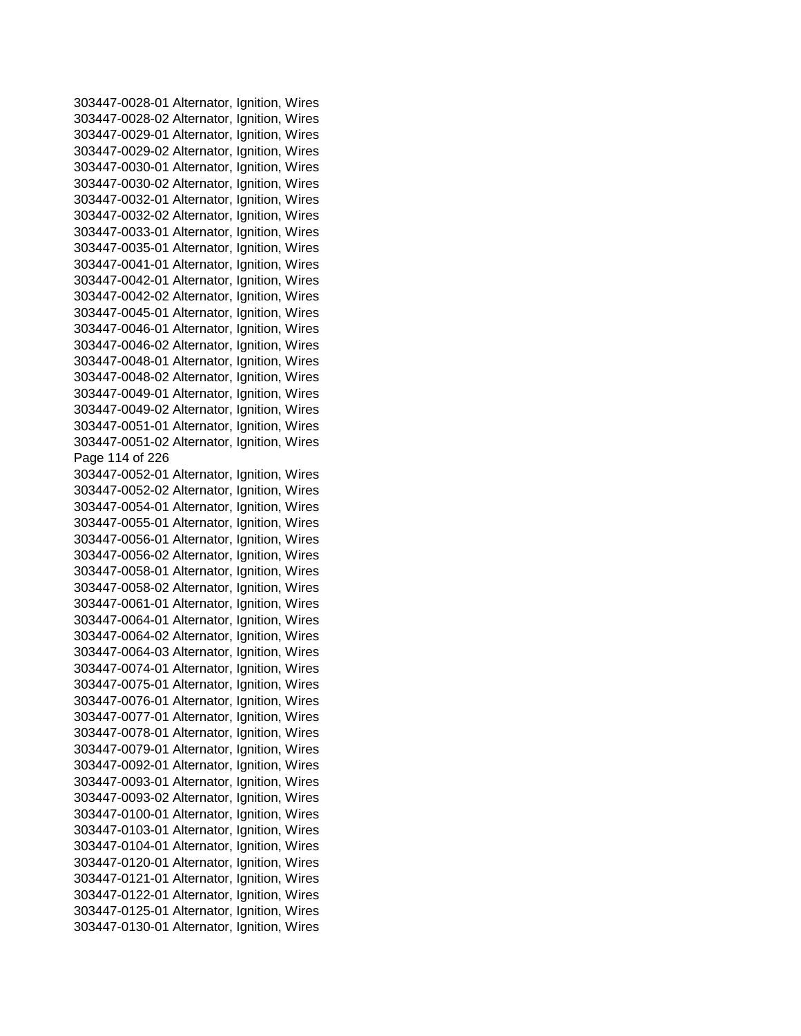303447-0028-01 Alternator, Ignition, Wires 303447-0028-02 Alternator, Ignition, Wires 303447-0029-01 Alternator, Ignition, Wires 303447-0029-02 Alternator, Ignition, Wires 303447-0030-01 Alternator, Ignition, Wires 303447-0030-02 Alternator, Ignition, Wires 303447-0032-01 Alternator, Ignition, Wires 303447-0032-02 Alternator, Ignition, Wires 303447-0033-01 Alternator, Ignition, Wires 303447-0035-01 Alternator, Ignition, Wires 303447-0041-01 Alternator, Ignition, Wires 303447-0042-01 Alternator, Ignition, Wires 303447-0042-02 Alternator, Ignition, Wires 303447-0045-01 Alternator, Ignition, Wires 303447-0046-01 Alternator, Ignition, Wires 303447-0046-02 Alternator, Ignition, Wires 303447-0048-01 Alternator, Ignition, Wires 303447-0048-02 Alternator, Ignition, Wires 303447-0049-01 Alternator, Ignition, Wires 303447-0049-02 Alternator, Ignition, Wires 303447-0051-01 Alternator, Ignition, Wires 303447-0051-02 Alternator, Ignition, Wires Page 114 of 226 303447-0052-01 Alternator, Ignition, Wires 303447-0052-02 Alternator, Ignition, Wires 303447-0054-01 Alternator, Ignition, Wires 303447-0055-01 Alternator, Ignition, Wires 303447-0056-01 Alternator, Ignition, Wires 303447-0056-02 Alternator, Ignition, Wires 303447-0058-01 Alternator, Ignition, Wires 303447-0058-02 Alternator, Ignition, Wires 303447-0061-01 Alternator, Ignition, Wires 303447-0064-01 Alternator, Ignition, Wires 303447-0064-02 Alternator, Ignition, Wires 303447-0064-03 Alternator, Ignition, Wires 303447-0074-01 Alternator, Ignition, Wires 303447-0075-01 Alternator, Ignition, Wires 303447-0076-01 Alternator, Ignition, Wires 303447-0077-01 Alternator, Ignition, Wires 303447-0078-01 Alternator, Ignition, Wires 303447-0079-01 Alternator, Ignition, Wires 303447-0092-01 Alternator, Ignition, Wires 303447-0093-01 Alternator, Ignition, Wires 303447-0093-02 Alternator, Ignition, Wires 303447-0100-01 Alternator, Ignition, Wires 303447-0103-01 Alternator, Ignition, Wires 303447-0104-01 Alternator, Ignition, Wires 303447-0120-01 Alternator, Ignition, Wires 303447-0121-01 Alternator, Ignition, Wires 303447-0122-01 Alternator, Ignition, Wires 303447-0125-01 Alternator, Ignition, Wires 303447-0130-01 Alternator, Ignition, Wires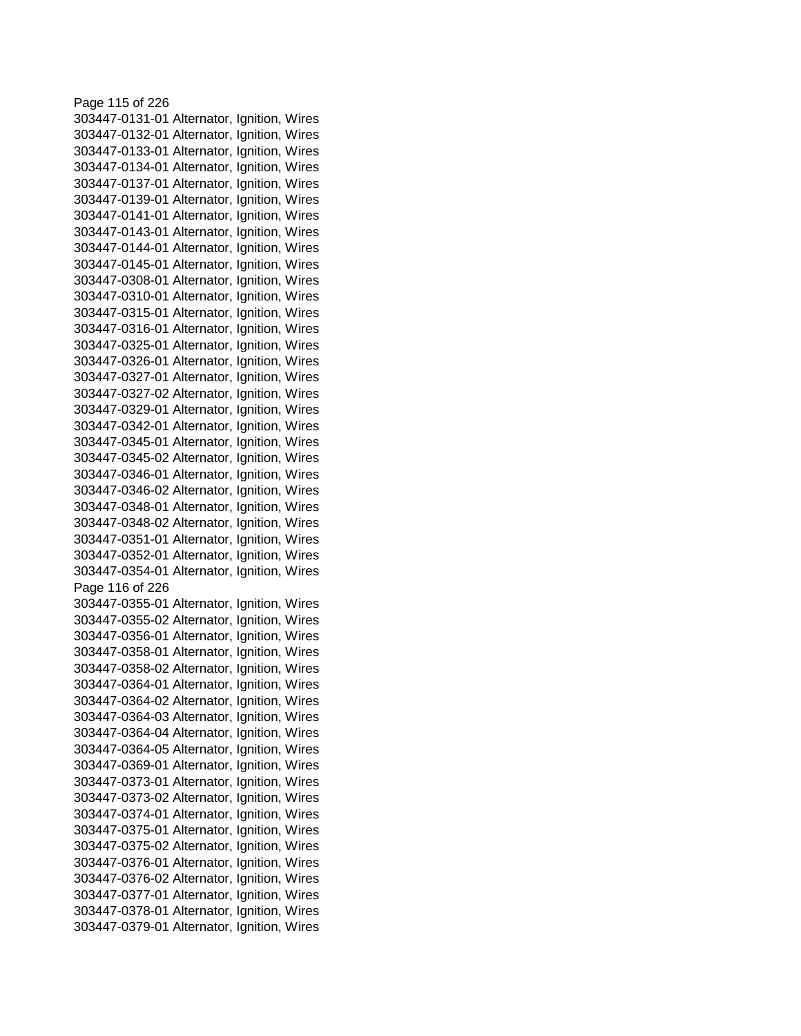Page 115 of 226 303447-0131-01 Alternator, Ignition, Wires 303447-0132-01 Alternator, Ignition, Wires 303447-0133-01 Alternator, Ignition, Wires 303447-0134-01 Alternator, Ignition, Wires 303447-0137-01 Alternator, Ignition, Wires 303447-0139-01 Alternator, Ignition, Wires 303447-0141-01 Alternator, Ignition, Wires 303447-0143-01 Alternator, Ignition, Wires 303447-0144-01 Alternator, Ignition, Wires 303447-0145-01 Alternator, Ignition, Wires 303447-0308-01 Alternator, Ignition, Wires 303447-0310-01 Alternator, Ignition, Wires 303447-0315-01 Alternator, Ignition, Wires 303447-0316-01 Alternator, Ignition, Wires 303447-0325-01 Alternator, Ignition, Wires 303447-0326-01 Alternator, Ignition, Wires 303447-0327-01 Alternator, Ignition, Wires 303447-0327-02 Alternator, Ignition, Wires 303447-0329-01 Alternator, Ignition, Wires 303447-0342-01 Alternator, Ignition, Wires 303447-0345-01 Alternator, Ignition, Wires 303447-0345-02 Alternator, Ignition, Wires 303447-0346-01 Alternator, Ignition, Wires 303447-0346-02 Alternator, Ignition, Wires 303447-0348-01 Alternator, Ignition, Wires 303447-0348-02 Alternator, Ignition, Wires 303447-0351-01 Alternator, Ignition, Wires 303447-0352-01 Alternator, Ignition, Wires 303447-0354-01 Alternator, Ignition, Wires Page 116 of 226 303447-0355-01 Alternator, Ignition, Wires 303447-0355-02 Alternator, Ignition, Wires 303447-0356-01 Alternator, Ignition, Wires 303447-0358-01 Alternator, Ignition, Wires 303447-0358-02 Alternator, Ignition, Wires 303447-0364-01 Alternator, Ignition, Wires 303447-0364-02 Alternator, Ignition, Wires 303447-0364-03 Alternator, Ignition, Wires 303447-0364-04 Alternator, Ignition, Wires 303447-0364-05 Alternator, Ignition, Wires 303447-0369-01 Alternator, Ignition, Wires 303447-0373-01 Alternator, Ignition, Wires 303447-0373-02 Alternator, Ignition, Wires 303447-0374-01 Alternator, Ignition, Wires 303447-0375-01 Alternator, Ignition, Wires 303447-0375-02 Alternator, Ignition, Wires 303447-0376-01 Alternator, Ignition, Wires 303447-0376-02 Alternator, Ignition, Wires 303447-0377-01 Alternator, Ignition, Wires 303447-0378-01 Alternator, Ignition, Wires 303447-0379-01 Alternator, Ignition, Wires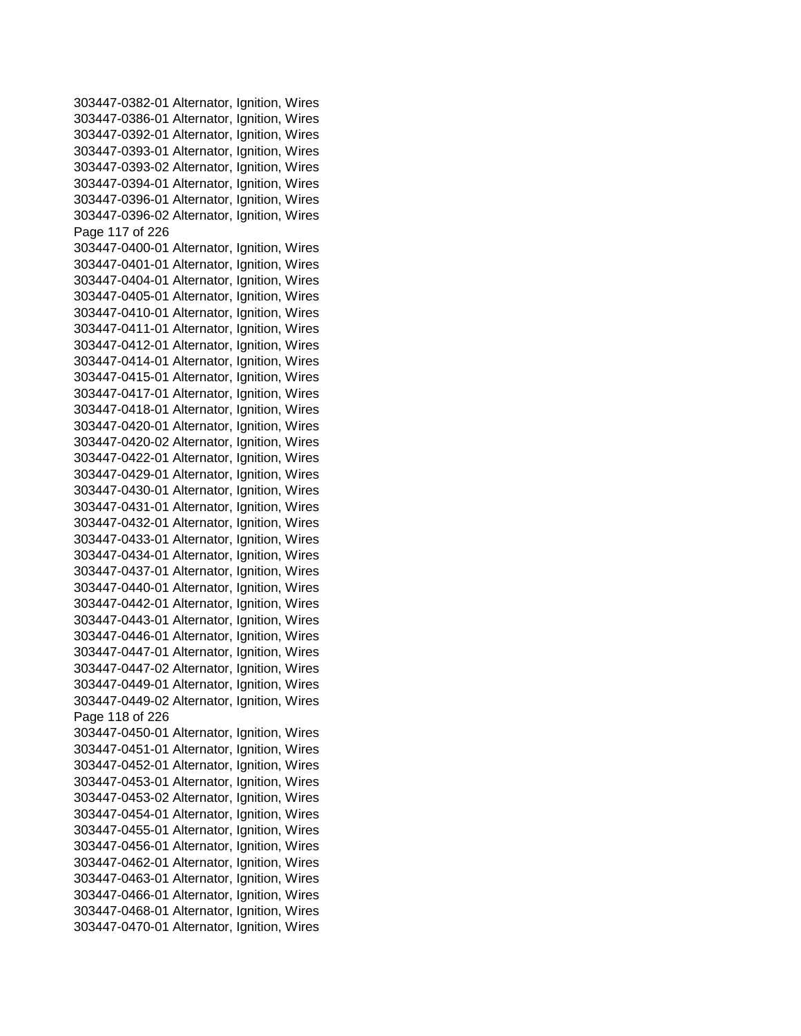303447-0382-01 Alternator, Ignition, Wires 303447-0386-01 Alternator, Ignition, Wires 303447-0392-01 Alternator, Ignition, Wires 303447-0393-01 Alternator, Ignition, Wires 303447-0393-02 Alternator, Ignition, Wires 303447-0394-01 Alternator, Ignition, Wires 303447-0396-01 Alternator, Ignition, Wires 303447-0396-02 Alternator, Ignition, Wires Page 117 of 226 303447-0400-01 Alternator, Ignition, Wires 303447-0401-01 Alternator, Ignition, Wires 303447-0404-01 Alternator, Ignition, Wires 303447-0405-01 Alternator, Ignition, Wires 303447-0410-01 Alternator, Ignition, Wires 303447-0411-01 Alternator, Ignition, Wires 303447-0412-01 Alternator, Ignition, Wires 303447-0414-01 Alternator, Ignition, Wires 303447-0415-01 Alternator, Ignition, Wires 303447-0417-01 Alternator, Ignition, Wires 303447-0418-01 Alternator, Ignition, Wires 303447-0420-01 Alternator, Ignition, Wires 303447-0420-02 Alternator, Ignition, Wires 303447-0422-01 Alternator, Ignition, Wires 303447-0429-01 Alternator, Ignition, Wires 303447-0430-01 Alternator, Ignition, Wires 303447-0431-01 Alternator, Ignition, Wires 303447-0432-01 Alternator, Ignition, Wires 303447-0433-01 Alternator, Ignition, Wires 303447-0434-01 Alternator, Ignition, Wires 303447-0437-01 Alternator, Ignition, Wires 303447-0440-01 Alternator, Ignition, Wires 303447-0442-01 Alternator, Ignition, Wires 303447-0443-01 Alternator, Ignition, Wires 303447-0446-01 Alternator, Ignition, Wires 303447-0447-01 Alternator, Ignition, Wires 303447-0447-02 Alternator, Ignition, Wires 303447-0449-01 Alternator, Ignition, Wires 303447-0449-02 Alternator, Ignition, Wires Page 118 of 226 303447-0450-01 Alternator, Ignition, Wires 303447-0451-01 Alternator, Ignition, Wires 303447-0452-01 Alternator, Ignition, Wires 303447-0453-01 Alternator, Ignition, Wires 303447-0453-02 Alternator, Ignition, Wires 303447-0454-01 Alternator, Ignition, Wires 303447-0455-01 Alternator, Ignition, Wires 303447-0456-01 Alternator, Ignition, Wires 303447-0462-01 Alternator, Ignition, Wires 303447-0463-01 Alternator, Ignition, Wires 303447-0466-01 Alternator, Ignition, Wires 303447-0468-01 Alternator, Ignition, Wires 303447-0470-01 Alternator, Ignition, Wires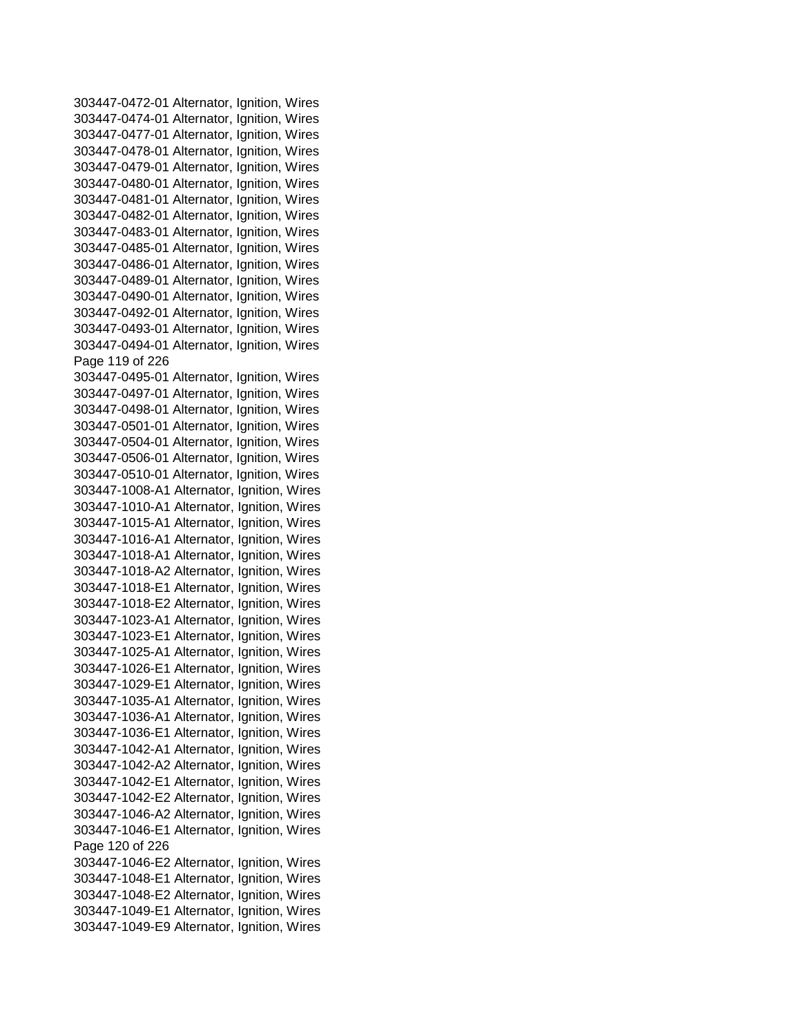303447-0472-01 Alternator, Ignition, Wires 303447-0474-01 Alternator, Ignition, Wires 303447-0477-01 Alternator, Ignition, Wires 303447-0478-01 Alternator, Ignition, Wires 303447-0479-01 Alternator, Ignition, Wires 303447-0480-01 Alternator, Ignition, Wires 303447-0481-01 Alternator, Ignition, Wires 303447-0482-01 Alternator, Ignition, Wires 303447-0483-01 Alternator, Ignition, Wires 303447-0485-01 Alternator, Ignition, Wires 303447-0486-01 Alternator, Ignition, Wires 303447-0489-01 Alternator, Ignition, Wires 303447-0490-01 Alternator, Ignition, Wires 303447-0492-01 Alternator, Ignition, Wires 303447-0493-01 Alternator, Ignition, Wires 303447-0494-01 Alternator, Ignition, Wires Page 119 of 226 303447-0495-01 Alternator, Ignition, Wires 303447-0497-01 Alternator, Ignition, Wires 303447-0498-01 Alternator, Ignition, Wires 303447-0501-01 Alternator, Ignition, Wires 303447-0504-01 Alternator, Ignition, Wires 303447-0506-01 Alternator, Ignition, Wires 303447-0510-01 Alternator, Ignition, Wires 303447-1008-A1 Alternator, Ignition, Wires 303447-1010-A1 Alternator, Ignition, Wires 303447-1015-A1 Alternator, Ignition, Wires 303447-1016-A1 Alternator, Ignition, Wires 303447-1018-A1 Alternator, Ignition, Wires 303447-1018-A2 Alternator, Ignition, Wires 303447-1018-E1 Alternator, Ignition, Wires 303447-1018-E2 Alternator, Ignition, Wires 303447-1023-A1 Alternator, Ignition, Wires 303447-1023-E1 Alternator, Ignition, Wires 303447-1025-A1 Alternator, Ignition, Wires 303447-1026-E1 Alternator, Ignition, Wires 303447-1029-E1 Alternator, Ignition, Wires 303447-1035-A1 Alternator, Ignition, Wires 303447-1036-A1 Alternator, Ignition, Wires 303447-1036-E1 Alternator, Ignition, Wires 303447-1042-A1 Alternator, Ignition, Wires 303447-1042-A2 Alternator, Ignition, Wires 303447-1042-E1 Alternator, Ignition, Wires 303447-1042-E2 Alternator, Ignition, Wires 303447-1046-A2 Alternator, Ignition, Wires 303447-1046-E1 Alternator, Ignition, Wires Page 120 of 226 303447-1046-E2 Alternator, Ignition, Wires 303447-1048-E1 Alternator, Ignition, Wires 303447-1048-E2 Alternator, Ignition, Wires 303447-1049-E1 Alternator, Ignition, Wires 303447-1049-E9 Alternator, Ignition, Wires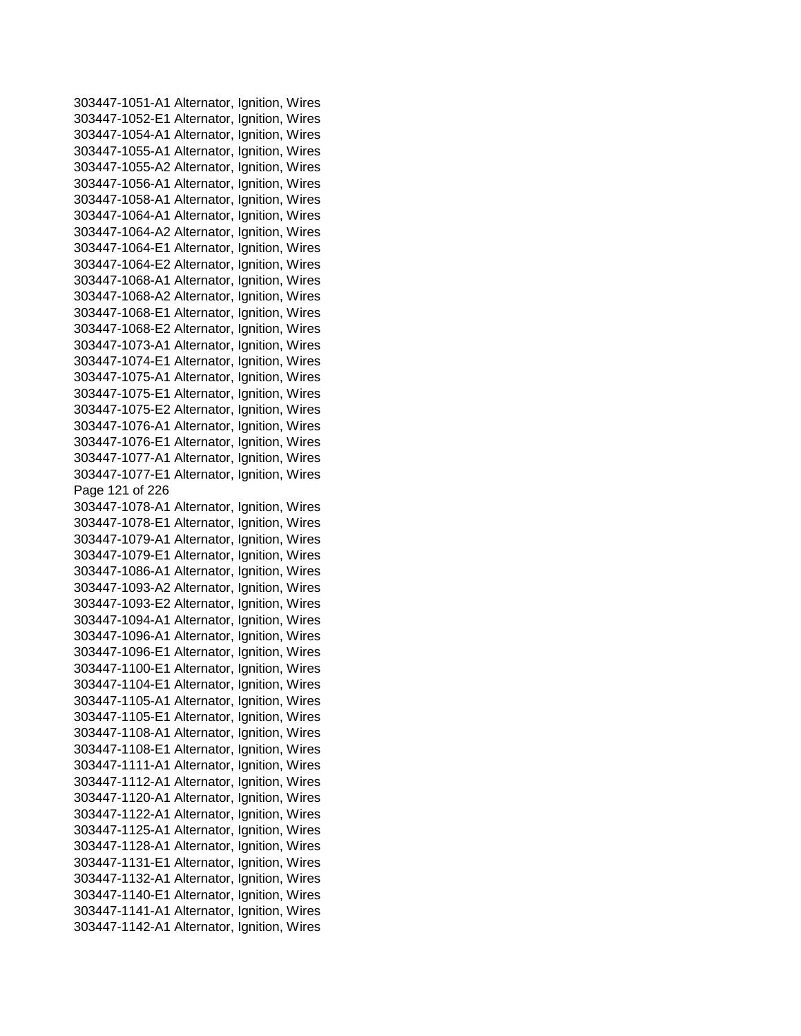303447-1051-A1 Alternator, Ignition, Wires 303447-1052-E1 Alternator, Ignition, Wires 303447-1054-A1 Alternator, Ignition, Wires 303447-1055-A1 Alternator, Ignition, Wires 303447-1055-A2 Alternator, Ignition, Wires 303447-1056-A1 Alternator, Ignition, Wires 303447-1058-A1 Alternator, Ignition, Wires 303447-1064-A1 Alternator, Ignition, Wires 303447-1064-A2 Alternator, Ignition, Wires 303447-1064-E1 Alternator, Ignition, Wires 303447-1064-E2 Alternator, Ignition, Wires 303447-1068-A1 Alternator, Ignition, Wires 303447-1068-A2 Alternator, Ignition, Wires 303447-1068-E1 Alternator, Ignition, Wires 303447-1068-E2 Alternator, Ignition, Wires 303447-1073-A1 Alternator, Ignition, Wires 303447-1074-E1 Alternator, Ignition, Wires 303447-1075-A1 Alternator, Ignition, Wires 303447-1075-E1 Alternator, Ignition, Wires 303447-1075-E2 Alternator, Ignition, Wires 303447-1076-A1 Alternator, Ignition, Wires 303447-1076-E1 Alternator, Ignition, Wires 303447-1077-A1 Alternator, Ignition, Wires 303447-1077-E1 Alternator, Ignition, Wires Page 121 of 226 303447-1078-A1 Alternator, Ignition, Wires 303447-1078-E1 Alternator, Ignition, Wires 303447-1079-A1 Alternator, Ignition, Wires 303447-1079-E1 Alternator, Ignition, Wires 303447-1086-A1 Alternator, Ignition, Wires 303447-1093-A2 Alternator, Ignition, Wires 303447-1093-E2 Alternator, Ignition, Wires 303447-1094-A1 Alternator, Ignition, Wires 303447-1096-A1 Alternator, Ignition, Wires 303447-1096-E1 Alternator, Ignition, Wires 303447-1100-E1 Alternator, Ignition, Wires 303447-1104-E1 Alternator, Ignition, Wires 303447-1105-A1 Alternator, Ignition, Wires 303447-1105-E1 Alternator, Ignition, Wires 303447-1108-A1 Alternator, Ignition, Wires 303447-1108-E1 Alternator, Ignition, Wires 303447-1111-A1 Alternator, Ignition, Wires 303447-1112-A1 Alternator, Ignition, Wires 303447-1120-A1 Alternator, Ignition, Wires 303447-1122-A1 Alternator, Ignition, Wires 303447-1125-A1 Alternator, Ignition, Wires 303447-1128-A1 Alternator, Ignition, Wires 303447-1131-E1 Alternator, Ignition, Wires 303447-1132-A1 Alternator, Ignition, Wires 303447-1140-E1 Alternator, Ignition, Wires 303447-1141-A1 Alternator, Ignition, Wires 303447-1142-A1 Alternator, Ignition, Wires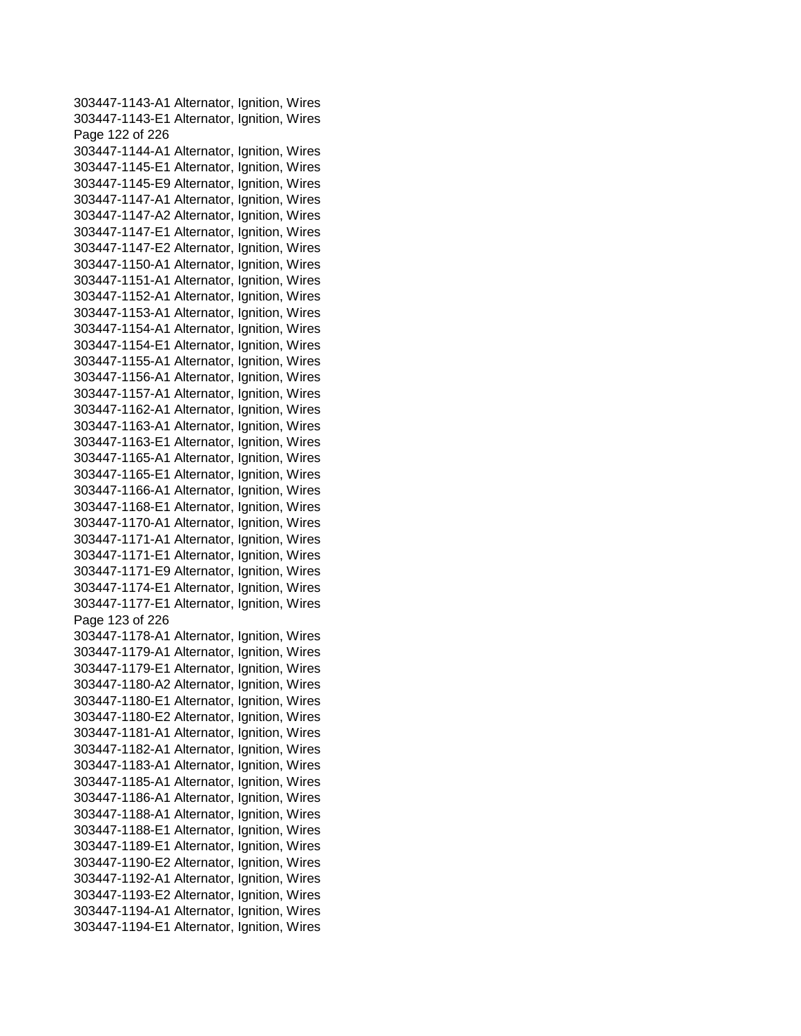303447-1143-A1 Alternator, Ignition, Wires 303447-1143-E1 Alternator, Ignition, Wires Page 122 of 226 303447-1144-A1 Alternator, Ignition, Wires 303447-1145-E1 Alternator, Ignition, Wires 303447-1145-E9 Alternator, Ignition, Wires 303447-1147-A1 Alternator, Ignition, Wires 303447-1147-A2 Alternator, Ignition, Wires 303447-1147-E1 Alternator, Ignition, Wires 303447-1147-E2 Alternator, Ignition, Wires 303447-1150-A1 Alternator, Ignition, Wires 303447-1151-A1 Alternator, Ignition, Wires 303447-1152-A1 Alternator, Ignition, Wires 303447-1153-A1 Alternator, Ignition, Wires 303447-1154-A1 Alternator, Ignition, Wires 303447-1154-E1 Alternator, Ignition, Wires 303447-1155-A1 Alternator, Ignition, Wires 303447-1156-A1 Alternator, Ignition, Wires 303447-1157-A1 Alternator, Ignition, Wires 303447-1162-A1 Alternator, Ignition, Wires 303447-1163-A1 Alternator, Ignition, Wires 303447-1163-E1 Alternator, Ignition, Wires 303447-1165-A1 Alternator, Ignition, Wires 303447-1165-E1 Alternator, Ignition, Wires 303447-1166-A1 Alternator, Ignition, Wires 303447-1168-E1 Alternator, Ignition, Wires 303447-1170-A1 Alternator, Ignition, Wires 303447-1171-A1 Alternator, Ignition, Wires 303447-1171-E1 Alternator, Ignition, Wires 303447-1171-E9 Alternator, Ignition, Wires 303447-1174-E1 Alternator, Ignition, Wires 303447-1177-E1 Alternator, Ignition, Wires Page 123 of 226 303447-1178-A1 Alternator, Ignition, Wires 303447-1179-A1 Alternator, Ignition, Wires 303447-1179-E1 Alternator, Ignition, Wires 303447-1180-A2 Alternator, Ignition, Wires 303447-1180-E1 Alternator, Ignition, Wires 303447-1180-E2 Alternator, Ignition, Wires 303447-1181-A1 Alternator, Ignition, Wires 303447-1182-A1 Alternator, Ignition, Wires 303447-1183-A1 Alternator, Ignition, Wires 303447-1185-A1 Alternator, Ignition, Wires 303447-1186-A1 Alternator, Ignition, Wires 303447-1188-A1 Alternator, Ignition, Wires 303447-1188-E1 Alternator, Ignition, Wires 303447-1189-E1 Alternator, Ignition, Wires 303447-1190-E2 Alternator, Ignition, Wires 303447-1192-A1 Alternator, Ignition, Wires 303447-1193-E2 Alternator, Ignition, Wires 303447-1194-A1 Alternator, Ignition, Wires 303447-1194-E1 Alternator, Ignition, Wires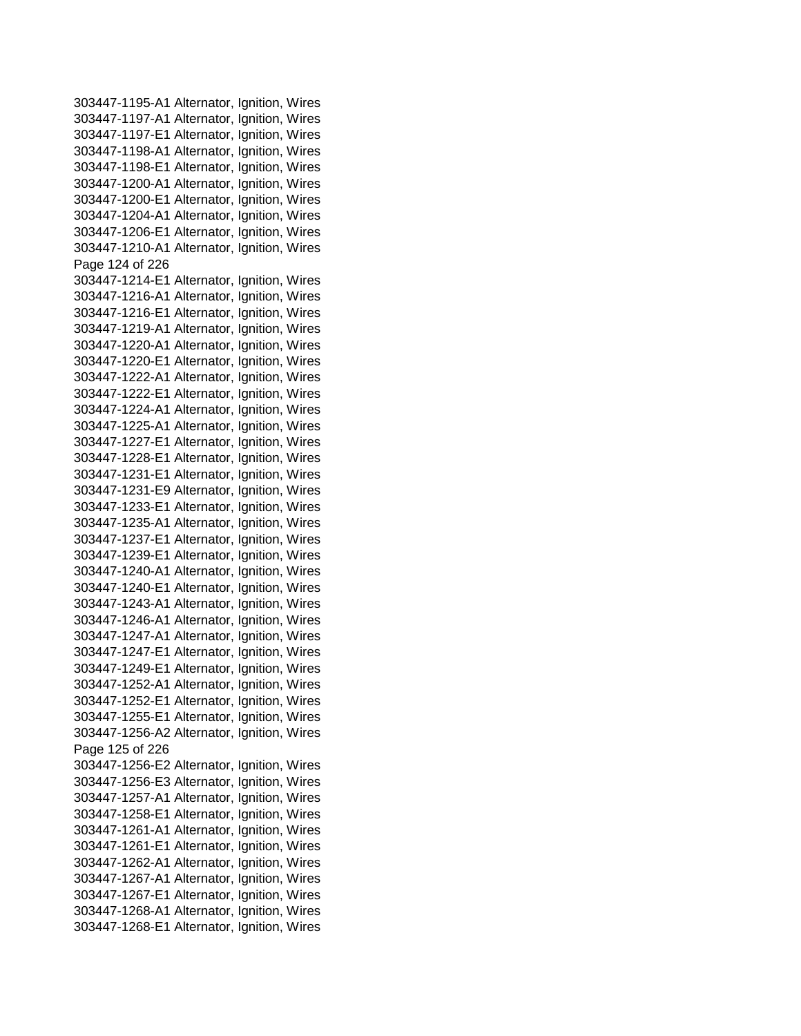303447-1195-A1 Alternator, Ignition, Wires 303447-1197-A1 Alternator, Ignition, Wires 303447-1197-E1 Alternator, Ignition, Wires 303447-1198-A1 Alternator, Ignition, Wires 303447-1198-E1 Alternator, Ignition, Wires 303447-1200-A1 Alternator, Ignition, Wires 303447-1200-E1 Alternator, Ignition, Wires 303447-1204-A1 Alternator, Ignition, Wires 303447-1206-E1 Alternator, Ignition, Wires 303447-1210-A1 Alternator, Ignition, Wires Page 124 of 226 303447-1214-E1 Alternator, Ignition, Wires 303447-1216-A1 Alternator, Ignition, Wires 303447-1216-E1 Alternator, Ignition, Wires 303447-1219-A1 Alternator, Ignition, Wires 303447-1220-A1 Alternator, Ignition, Wires 303447-1220-E1 Alternator, Ignition, Wires 303447-1222-A1 Alternator, Ignition, Wires 303447-1222-E1 Alternator, Ignition, Wires 303447-1224-A1 Alternator, Ignition, Wires 303447-1225-A1 Alternator, Ignition, Wires 303447-1227-E1 Alternator, Ignition, Wires 303447-1228-E1 Alternator, Ignition, Wires 303447-1231-E1 Alternator, Ignition, Wires 303447-1231-E9 Alternator, Ignition, Wires 303447-1233-E1 Alternator, Ignition, Wires 303447-1235-A1 Alternator, Ignition, Wires 303447-1237-E1 Alternator, Ignition, Wires 303447-1239-E1 Alternator, Ignition, Wires 303447-1240-A1 Alternator, Ignition, Wires 303447-1240-E1 Alternator, Ignition, Wires 303447-1243-A1 Alternator, Ignition, Wires 303447-1246-A1 Alternator, Ignition, Wires 303447-1247-A1 Alternator, Ignition, Wires 303447-1247-E1 Alternator, Ignition, Wires 303447-1249-E1 Alternator, Ignition, Wires 303447-1252-A1 Alternator, Ignition, Wires 303447-1252-E1 Alternator, Ignition, Wires 303447-1255-E1 Alternator, Ignition, Wires 303447-1256-A2 Alternator, Ignition, Wires Page 125 of 226 303447-1256-E2 Alternator, Ignition, Wires 303447-1256-E3 Alternator, Ignition, Wires 303447-1257-A1 Alternator, Ignition, Wires 303447-1258-E1 Alternator, Ignition, Wires 303447-1261-A1 Alternator, Ignition, Wires 303447-1261-E1 Alternator, Ignition, Wires 303447-1262-A1 Alternator, Ignition, Wires 303447-1267-A1 Alternator, Ignition, Wires 303447-1267-E1 Alternator, Ignition, Wires 303447-1268-A1 Alternator, Ignition, Wires 303447-1268-E1 Alternator, Ignition, Wires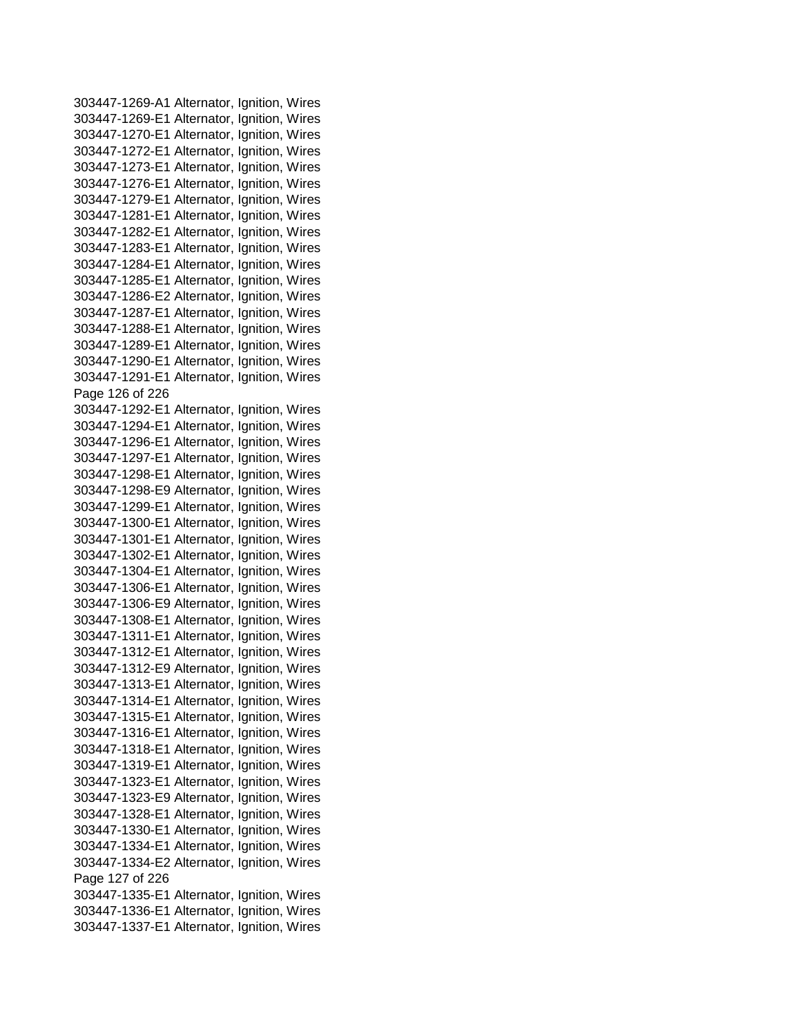303447-1269-A1 Alternator, Ignition, Wires 303447-1269-E1 Alternator, Ignition, Wires 303447-1270-E1 Alternator, Ignition, Wires 303447-1272-E1 Alternator, Ignition, Wires 303447-1273-E1 Alternator, Ignition, Wires 303447-1276-E1 Alternator, Ignition, Wires 303447-1279-E1 Alternator, Ignition, Wires 303447-1281-E1 Alternator, Ignition, Wires 303447-1282-E1 Alternator, Ignition, Wires 303447-1283-E1 Alternator, Ignition, Wires 303447-1284-E1 Alternator, Ignition, Wires 303447-1285-E1 Alternator, Ignition, Wires 303447-1286-E2 Alternator, Ignition, Wires 303447-1287-E1 Alternator, Ignition, Wires 303447-1288-E1 Alternator, Ignition, Wires 303447-1289-E1 Alternator, Ignition, Wires 303447-1290-E1 Alternator, Ignition, Wires 303447-1291-E1 Alternator, Ignition, Wires Page 126 of 226 303447-1292-E1 Alternator, Ignition, Wires 303447-1294-E1 Alternator, Ignition, Wires 303447-1296-E1 Alternator, Ignition, Wires 303447-1297-E1 Alternator, Ignition, Wires 303447-1298-E1 Alternator, Ignition, Wires 303447-1298-E9 Alternator, Ignition, Wires 303447-1299-E1 Alternator, Ignition, Wires 303447-1300-E1 Alternator, Ignition, Wires 303447-1301-E1 Alternator, Ignition, Wires 303447-1302-E1 Alternator, Ignition, Wires 303447-1304-E1 Alternator, Ignition, Wires 303447-1306-E1 Alternator, Ignition, Wires 303447-1306-E9 Alternator, Ignition, Wires 303447-1308-E1 Alternator, Ignition, Wires 303447-1311-E1 Alternator, Ignition, Wires 303447-1312-E1 Alternator, Ignition, Wires 303447-1312-E9 Alternator, Ignition, Wires 303447-1313-E1 Alternator, Ignition, Wires 303447-1314-E1 Alternator, Ignition, Wires 303447-1315-E1 Alternator, Ignition, Wires 303447-1316-E1 Alternator, Ignition, Wires 303447-1318-E1 Alternator, Ignition, Wires 303447-1319-E1 Alternator, Ignition, Wires 303447-1323-E1 Alternator, Ignition, Wires 303447-1323-E9 Alternator, Ignition, Wires 303447-1328-E1 Alternator, Ignition, Wires 303447-1330-E1 Alternator, Ignition, Wires 303447-1334-E1 Alternator, Ignition, Wires 303447-1334-E2 Alternator, Ignition, Wires Page 127 of 226 303447-1335-E1 Alternator, Ignition, Wires 303447-1336-E1 Alternator, Ignition, Wires 303447-1337-E1 Alternator, Ignition, Wires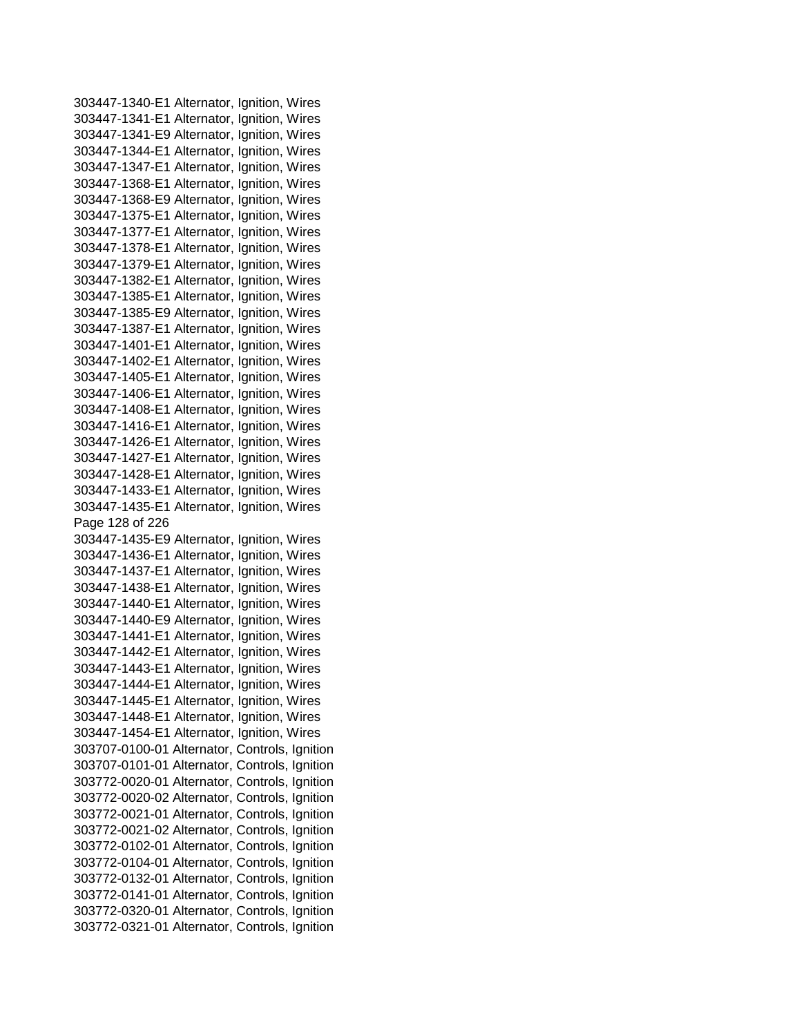303447-1340-E1 Alternator, Ignition, Wires 303447-1341-E1 Alternator, Ignition, Wires 303447-1341-E9 Alternator, Ignition, Wires 303447-1344-E1 Alternator, Ignition, Wires 303447-1347-E1 Alternator, Ignition, Wires 303447-1368-E1 Alternator, Ignition, Wires 303447-1368-E9 Alternator, Ignition, Wires 303447-1375-E1 Alternator, Ignition, Wires 303447-1377-E1 Alternator, Ignition, Wires 303447-1378-E1 Alternator, Ignition, Wires 303447-1379-E1 Alternator, Ignition, Wires 303447-1382-E1 Alternator, Ignition, Wires 303447-1385-E1 Alternator, Ignition, Wires 303447-1385-E9 Alternator, Ignition, Wires 303447-1387-E1 Alternator, Ignition, Wires 303447-1401-E1 Alternator, Ignition, Wires 303447-1402-E1 Alternator, Ignition, Wires 303447-1405-E1 Alternator, Ignition, Wires 303447-1406-E1 Alternator, Ignition, Wires 303447-1408-E1 Alternator, Ignition, Wires 303447-1416-E1 Alternator, Ignition, Wires 303447-1426-E1 Alternator, Ignition, Wires 303447-1427-E1 Alternator, Ignition, Wires 303447-1428-E1 Alternator, Ignition, Wires 303447-1433-E1 Alternator, Ignition, Wires 303447-1435-E1 Alternator, Ignition, Wires Page 128 of 226 303447-1435-E9 Alternator, Ignition, Wires 303447-1436-E1 Alternator, Ignition, Wires 303447-1437-E1 Alternator, Ignition, Wires 303447-1438-E1 Alternator, Ignition, Wires 303447-1440-E1 Alternator, Ignition, Wires 303447-1440-E9 Alternator, Ignition, Wires 303447-1441-E1 Alternator, Ignition, Wires 303447-1442-E1 Alternator, Ignition, Wires 303447-1443-E1 Alternator, Ignition, Wires 303447-1444-E1 Alternator, Ignition, Wires 303447-1445-E1 Alternator, Ignition, Wires 303447-1448-E1 Alternator, Ignition, Wires 303447-1454-E1 Alternator, Ignition, Wires 303707-0100-01 Alternator, Controls, Ignition 303707-0101-01 Alternator, Controls, Ignition 303772-0020-01 Alternator, Controls, Ignition 303772-0020-02 Alternator, Controls, Ignition 303772-0021-01 Alternator, Controls, Ignition 303772-0021-02 Alternator, Controls, Ignition 303772-0102-01 Alternator, Controls, Ignition 303772-0104-01 Alternator, Controls, Ignition 303772-0132-01 Alternator, Controls, Ignition 303772-0141-01 Alternator, Controls, Ignition 303772-0320-01 Alternator, Controls, Ignition 303772-0321-01 Alternator, Controls, Ignition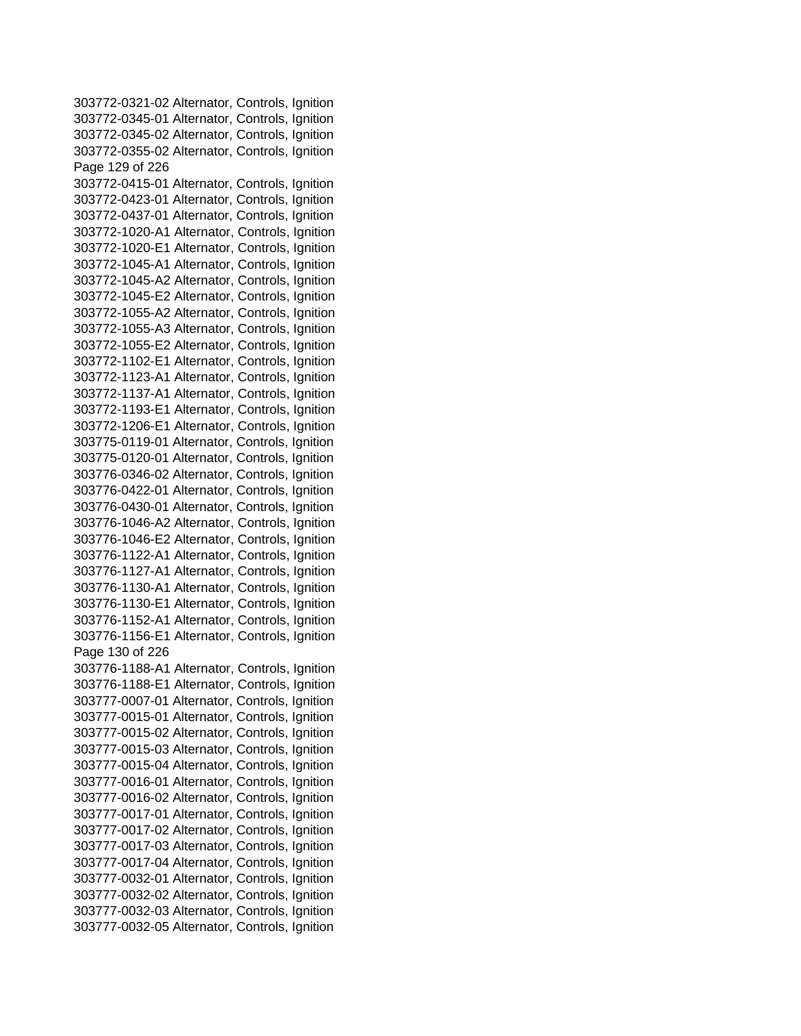303772-0321-02 Alternator, Controls, Ignition 303772-0345-01 Alternator, Controls, Ignition 303772-0345-02 Alternator, Controls, Ignition 303772-0355-02 Alternator, Controls, Ignition Page 129 of 226 303772-0415-01 Alternator, Controls, Ignition 303772-0423-01 Alternator, Controls, Ignition 303772-0437-01 Alternator, Controls, Ignition 303772-1020-A1 Alternator, Controls, Ignition 303772-1020-E1 Alternator, Controls, Ignition 303772-1045-A1 Alternator, Controls, Ignition 303772-1045-A2 Alternator, Controls, Ignition 303772-1045-E2 Alternator, Controls, Ignition 303772-1055-A2 Alternator, Controls, Ignition 303772-1055-A3 Alternator, Controls, Ignition 303772-1055-E2 Alternator, Controls, Ignition 303772-1102-E1 Alternator, Controls, Ignition 303772-1123-A1 Alternator, Controls, Ignition 303772-1137-A1 Alternator, Controls, Ignition 303772-1193-E1 Alternator, Controls, Ignition 303772-1206-E1 Alternator, Controls, Ignition 303775-0119-01 Alternator, Controls, Ignition 303775-0120-01 Alternator, Controls, Ignition 303776-0346-02 Alternator, Controls, Ignition 303776-0422-01 Alternator, Controls, Ignition 303776-0430-01 Alternator, Controls, Ignition 303776-1046-A2 Alternator, Controls, Ignition 303776-1046-E2 Alternator, Controls, Ignition 303776-1122-A1 Alternator, Controls, Ignition 303776-1127-A1 Alternator, Controls, Ignition 303776-1130-A1 Alternator, Controls, Ignition 303776-1130-E1 Alternator, Controls, Ignition 303776-1152-A1 Alternator, Controls, Ignition 303776-1156-E1 Alternator, Controls, Ignition Page 130 of 226 303776-1188-A1 Alternator, Controls, Ignition 303776-1188-E1 Alternator, Controls, Ignition 303777-0007-01 Alternator, Controls, Ignition 303777-0015-01 Alternator, Controls, Ignition 303777-0015-02 Alternator, Controls, Ignition 303777-0015-03 Alternator, Controls, Ignition 303777-0015-04 Alternator, Controls, Ignition 303777-0016-01 Alternator, Controls, Ignition 303777-0016-02 Alternator, Controls, Ignition 303777-0017-01 Alternator, Controls, Ignition 303777-0017-02 Alternator, Controls, Ignition 303777-0017-03 Alternator, Controls, Ignition 303777-0017-04 Alternator, Controls, Ignition 303777-0032-01 Alternator, Controls, Ignition 303777-0032-02 Alternator, Controls, Ignition 303777-0032-03 Alternator, Controls, Ignition 303777-0032-05 Alternator, Controls, Ignition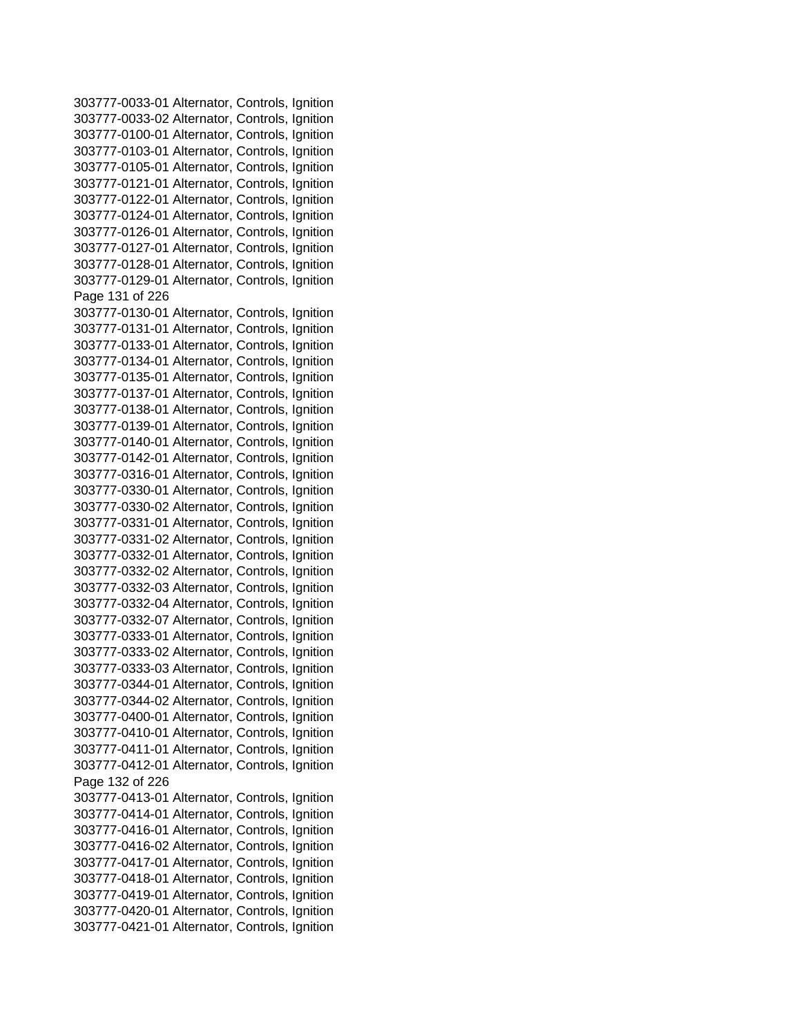303777-0033-01 Alternator, Controls, Ignition 303777-0033-02 Alternator, Controls, Ignition 303777-0100-01 Alternator, Controls, Ignition 303777-0103-01 Alternator, Controls, Ignition 303777-0105-01 Alternator, Controls, Ignition 303777-0121-01 Alternator, Controls, Ignition 303777-0122-01 Alternator, Controls, Ignition 303777-0124-01 Alternator, Controls, Ignition 303777-0126-01 Alternator, Controls, Ignition 303777-0127-01 Alternator, Controls, Ignition 303777-0128-01 Alternator, Controls, Ignition 303777-0129-01 Alternator, Controls, Ignition Page 131 of 226 303777-0130-01 Alternator, Controls, Ignition 303777-0131-01 Alternator, Controls, Ignition 303777-0133-01 Alternator, Controls, Ignition 303777-0134-01 Alternator, Controls, Ignition 303777-0135-01 Alternator, Controls, Ignition 303777-0137-01 Alternator, Controls, Ignition 303777-0138-01 Alternator, Controls, Ignition 303777-0139-01 Alternator, Controls, Ignition 303777-0140-01 Alternator, Controls, Ignition 303777-0142-01 Alternator, Controls, Ignition 303777-0316-01 Alternator, Controls, Ignition 303777-0330-01 Alternator, Controls, Ignition 303777-0330-02 Alternator, Controls, Ignition 303777-0331-01 Alternator, Controls, Ignition 303777-0331-02 Alternator, Controls, Ignition 303777-0332-01 Alternator, Controls, Ignition 303777-0332-02 Alternator, Controls, Ignition 303777-0332-03 Alternator, Controls, Ignition 303777-0332-04 Alternator, Controls, Ignition 303777-0332-07 Alternator, Controls, Ignition 303777-0333-01 Alternator, Controls, Ignition 303777-0333-02 Alternator, Controls, Ignition 303777-0333-03 Alternator, Controls, Ignition 303777-0344-01 Alternator, Controls, Ignition 303777-0344-02 Alternator, Controls, Ignition 303777-0400-01 Alternator, Controls, Ignition 303777-0410-01 Alternator, Controls, Ignition 303777-0411-01 Alternator, Controls, Ignition 303777-0412-01 Alternator, Controls, Ignition Page 132 of 226 303777-0413-01 Alternator, Controls, Ignition 303777-0414-01 Alternator, Controls, Ignition 303777-0416-01 Alternator, Controls, Ignition 303777-0416-02 Alternator, Controls, Ignition 303777-0417-01 Alternator, Controls, Ignition 303777-0418-01 Alternator, Controls, Ignition 303777-0419-01 Alternator, Controls, Ignition 303777-0420-01 Alternator, Controls, Ignition 303777-0421-01 Alternator, Controls, Ignition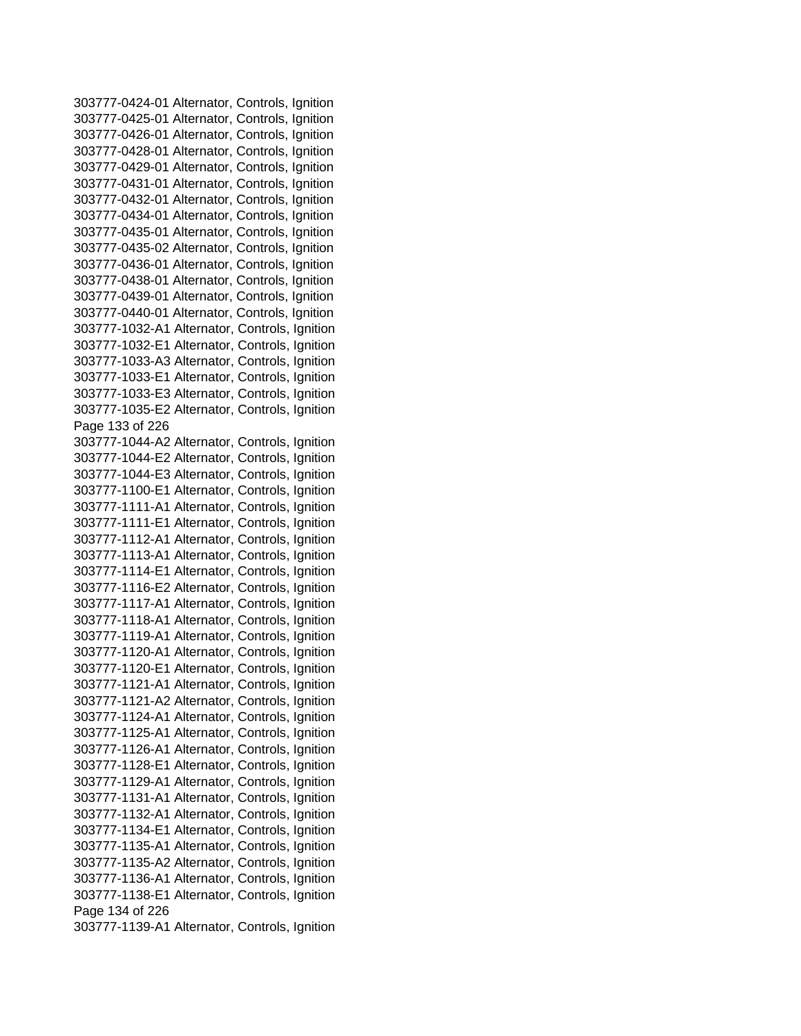303777-0424-01 Alternator, Controls, Ignition 303777-0425-01 Alternator, Controls, Ignition 303777-0426-01 Alternator, Controls, Ignition 303777-0428-01 Alternator, Controls, Ignition 303777-0429-01 Alternator, Controls, Ignition 303777-0431-01 Alternator, Controls, Ignition 303777-0432-01 Alternator, Controls, Ignition 303777-0434-01 Alternator, Controls, Ignition 303777-0435-01 Alternator, Controls, Ignition 303777-0435-02 Alternator, Controls, Ignition 303777-0436-01 Alternator, Controls, Ignition 303777-0438-01 Alternator, Controls, Ignition 303777-0439-01 Alternator, Controls, Ignition 303777-0440-01 Alternator, Controls, Ignition 303777-1032-A1 Alternator, Controls, Ignition 303777-1032-E1 Alternator, Controls, Ignition 303777-1033-A3 Alternator, Controls, Ignition 303777-1033-E1 Alternator, Controls, Ignition 303777-1033-E3 Alternator, Controls, Ignition 303777-1035-E2 Alternator, Controls, Ignition Page 133 of 226 303777-1044-A2 Alternator, Controls, Ignition 303777-1044-E2 Alternator, Controls, Ignition 303777-1044-E3 Alternator, Controls, Ignition 303777-1100-E1 Alternator, Controls, Ignition 303777-1111-A1 Alternator, Controls, Ignition 303777-1111-E1 Alternator, Controls, Ignition 303777-1112-A1 Alternator, Controls, Ignition 303777-1113-A1 Alternator, Controls, Ignition 303777-1114-E1 Alternator, Controls, Ignition 303777-1116-E2 Alternator, Controls, Ignition 303777-1117-A1 Alternator, Controls, Ignition 303777-1118-A1 Alternator, Controls, Ignition 303777-1119-A1 Alternator, Controls, Ignition 303777-1120-A1 Alternator, Controls, Ignition 303777-1120-E1 Alternator, Controls, Ignition 303777-1121-A1 Alternator, Controls, Ignition 303777-1121-A2 Alternator, Controls, Ignition 303777-1124-A1 Alternator, Controls, Ignition 303777-1125-A1 Alternator, Controls, Ignition 303777-1126-A1 Alternator, Controls, Ignition 303777-1128-E1 Alternator, Controls, Ignition 303777-1129-A1 Alternator, Controls, Ignition 303777-1131-A1 Alternator, Controls, Ignition 303777-1132-A1 Alternator, Controls, Ignition 303777-1134-E1 Alternator, Controls, Ignition 303777-1135-A1 Alternator, Controls, Ignition 303777-1135-A2 Alternator, Controls, Ignition 303777-1136-A1 Alternator, Controls, Ignition 303777-1138-E1 Alternator, Controls, Ignition Page 134 of 226 303777-1139-A1 Alternator, Controls, Ignition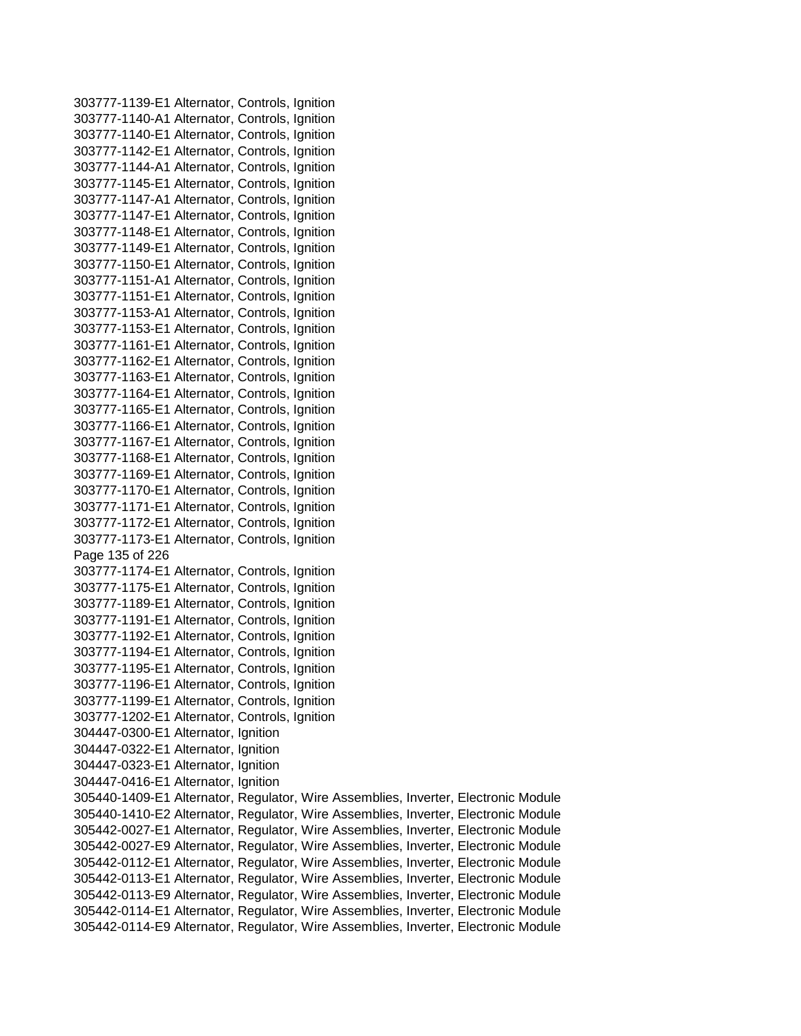303777-1139-E1 Alternator, Controls, Ignition 303777-1140-A1 Alternator, Controls, Ignition 303777-1140-E1 Alternator, Controls, Ignition 303777-1142-E1 Alternator, Controls, Ignition 303777-1144-A1 Alternator, Controls, Ignition 303777-1145-E1 Alternator, Controls, Ignition 303777-1147-A1 Alternator, Controls, Ignition 303777-1147-E1 Alternator, Controls, Ignition 303777-1148-E1 Alternator, Controls, Ignition 303777-1149-E1 Alternator, Controls, Ignition 303777-1150-E1 Alternator, Controls, Ignition 303777-1151-A1 Alternator, Controls, Ignition 303777-1151-E1 Alternator, Controls, Ignition 303777-1153-A1 Alternator, Controls, Ignition 303777-1153-E1 Alternator, Controls, Ignition 303777-1161-E1 Alternator, Controls, Ignition 303777-1162-E1 Alternator, Controls, Ignition 303777-1163-E1 Alternator, Controls, Ignition 303777-1164-E1 Alternator, Controls, Ignition 303777-1165-E1 Alternator, Controls, Ignition 303777-1166-E1 Alternator, Controls, Ignition 303777-1167-E1 Alternator, Controls, Ignition 303777-1168-E1 Alternator, Controls, Ignition 303777-1169-E1 Alternator, Controls, Ignition 303777-1170-E1 Alternator, Controls, Ignition 303777-1171-E1 Alternator, Controls, Ignition 303777-1172-E1 Alternator, Controls, Ignition 303777-1173-E1 Alternator, Controls, Ignition Page 135 of 226 303777-1174-E1 Alternator, Controls, Ignition 303777-1175-E1 Alternator, Controls, Ignition 303777-1189-E1 Alternator, Controls, Ignition 303777-1191-E1 Alternator, Controls, Ignition 303777-1192-E1 Alternator, Controls, Ignition 303777-1194-E1 Alternator, Controls, Ignition 303777-1195-E1 Alternator, Controls, Ignition 303777-1196-E1 Alternator, Controls, Ignition 303777-1199-E1 Alternator, Controls, Ignition 303777-1202-E1 Alternator, Controls, Ignition 304447-0300-E1 Alternator, Ignition 304447-0322-E1 Alternator, Ignition 304447-0323-E1 Alternator, Ignition 304447-0416-E1 Alternator, Ignition 305440-1409-E1 Alternator, Regulator, Wire Assemblies, Inverter, Electronic Module 305440-1410-E2 Alternator, Regulator, Wire Assemblies, Inverter, Electronic Module 305442-0027-E1 Alternator, Regulator, Wire Assemblies, Inverter, Electronic Module 305442-0027-E9 Alternator, Regulator, Wire Assemblies, Inverter, Electronic Module 305442-0112-E1 Alternator, Regulator, Wire Assemblies, Inverter, Electronic Module 305442-0113-E1 Alternator, Regulator, Wire Assemblies, Inverter, Electronic Module 305442-0113-E9 Alternator, Regulator, Wire Assemblies, Inverter, Electronic Module 305442-0114-E1 Alternator, Regulator, Wire Assemblies, Inverter, Electronic Module 305442-0114-E9 Alternator, Regulator, Wire Assemblies, Inverter, Electronic Module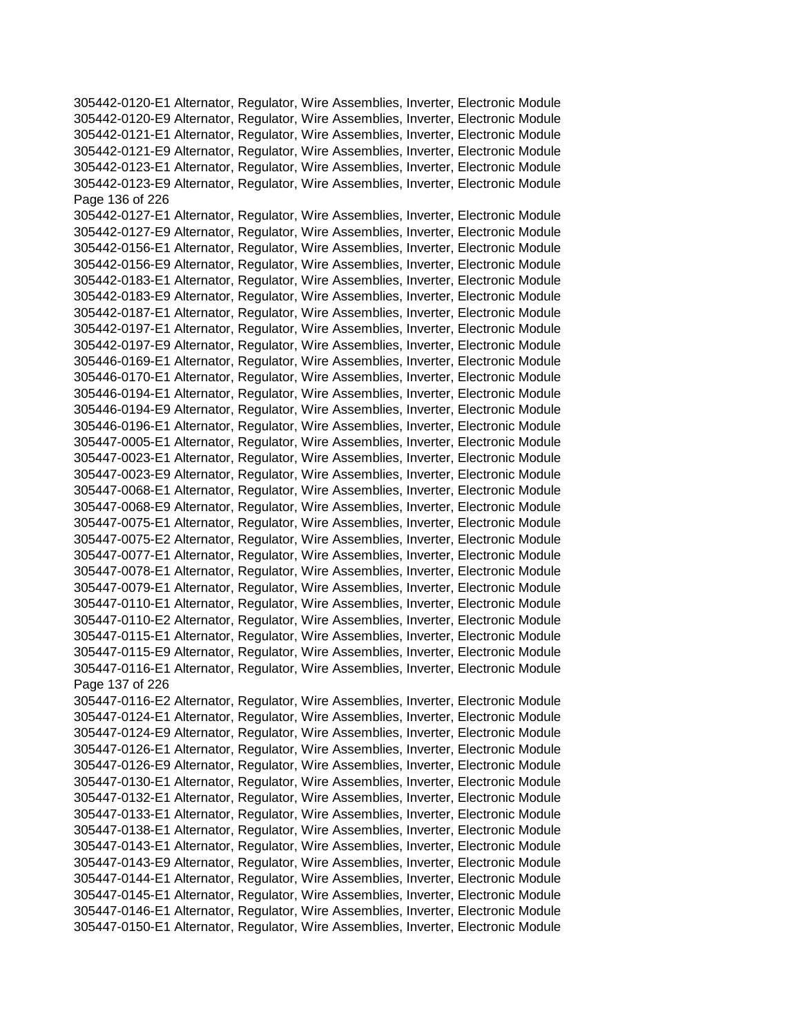305442-0120-E1 Alternator, Regulator, Wire Assemblies, Inverter, Electronic Module 305442-0120-E9 Alternator, Regulator, Wire Assemblies, Inverter, Electronic Module 305442-0121-E1 Alternator, Regulator, Wire Assemblies, Inverter, Electronic Module 305442-0121-E9 Alternator, Regulator, Wire Assemblies, Inverter, Electronic Module 305442-0123-E1 Alternator, Regulator, Wire Assemblies, Inverter, Electronic Module 305442-0123-E9 Alternator, Regulator, Wire Assemblies, Inverter, Electronic Module Page 136 of 226 305442-0127-E1 Alternator, Regulator, Wire Assemblies, Inverter, Electronic Module 305442-0127-E9 Alternator, Regulator, Wire Assemblies, Inverter, Electronic Module 305442-0156-E1 Alternator, Regulator, Wire Assemblies, Inverter, Electronic Module 305442-0156-E9 Alternator, Regulator, Wire Assemblies, Inverter, Electronic Module 305442-0183-E1 Alternator, Regulator, Wire Assemblies, Inverter, Electronic Module 305442-0183-E9 Alternator, Regulator, Wire Assemblies, Inverter, Electronic Module 305442-0187-E1 Alternator, Regulator, Wire Assemblies, Inverter, Electronic Module 305442-0197-E1 Alternator, Regulator, Wire Assemblies, Inverter, Electronic Module 305442-0197-E9 Alternator, Regulator, Wire Assemblies, Inverter, Electronic Module 305446-0169-E1 Alternator, Regulator, Wire Assemblies, Inverter, Electronic Module 305446-0170-E1 Alternator, Regulator, Wire Assemblies, Inverter, Electronic Module 305446-0194-E1 Alternator, Regulator, Wire Assemblies, Inverter, Electronic Module 305446-0194-E9 Alternator, Regulator, Wire Assemblies, Inverter, Electronic Module 305446-0196-E1 Alternator, Regulator, Wire Assemblies, Inverter, Electronic Module 305447-0005-E1 Alternator, Regulator, Wire Assemblies, Inverter, Electronic Module 305447-0023-E1 Alternator, Regulator, Wire Assemblies, Inverter, Electronic Module 305447-0023-E9 Alternator, Regulator, Wire Assemblies, Inverter, Electronic Module 305447-0068-E1 Alternator, Regulator, Wire Assemblies, Inverter, Electronic Module 305447-0068-E9 Alternator, Regulator, Wire Assemblies, Inverter, Electronic Module 305447-0075-E1 Alternator, Regulator, Wire Assemblies, Inverter, Electronic Module 305447-0075-E2 Alternator, Regulator, Wire Assemblies, Inverter, Electronic Module 305447-0077-E1 Alternator, Regulator, Wire Assemblies, Inverter, Electronic Module 305447-0078-E1 Alternator, Regulator, Wire Assemblies, Inverter, Electronic Module 305447-0079-E1 Alternator, Regulator, Wire Assemblies, Inverter, Electronic Module 305447-0110-E1 Alternator, Regulator, Wire Assemblies, Inverter, Electronic Module 305447-0110-E2 Alternator, Regulator, Wire Assemblies, Inverter, Electronic Module 305447-0115-E1 Alternator, Regulator, Wire Assemblies, Inverter, Electronic Module 305447-0115-E9 Alternator, Regulator, Wire Assemblies, Inverter, Electronic Module 305447-0116-E1 Alternator, Regulator, Wire Assemblies, Inverter, Electronic Module Page 137 of 226 305447-0116-E2 Alternator, Regulator, Wire Assemblies, Inverter, Electronic Module 305447-0124-E1 Alternator, Regulator, Wire Assemblies, Inverter, Electronic Module 305447-0124-E9 Alternator, Regulator, Wire Assemblies, Inverter, Electronic Module 305447-0126-E1 Alternator, Regulator, Wire Assemblies, Inverter, Electronic Module 305447-0126-E9 Alternator, Regulator, Wire Assemblies, Inverter, Electronic Module 305447-0130-E1 Alternator, Regulator, Wire Assemblies, Inverter, Electronic Module 305447-0132-E1 Alternator, Regulator, Wire Assemblies, Inverter, Electronic Module 305447-0133-E1 Alternator, Regulator, Wire Assemblies, Inverter, Electronic Module 305447-0138-E1 Alternator, Regulator, Wire Assemblies, Inverter, Electronic Module 305447-0143-E1 Alternator, Regulator, Wire Assemblies, Inverter, Electronic Module 305447-0143-E9 Alternator, Regulator, Wire Assemblies, Inverter, Electronic Module 305447-0144-E1 Alternator, Regulator, Wire Assemblies, Inverter, Electronic Module 305447-0145-E1 Alternator, Regulator, Wire Assemblies, Inverter, Electronic Module 305447-0146-E1 Alternator, Regulator, Wire Assemblies, Inverter, Electronic Module 305447-0150-E1 Alternator, Regulator, Wire Assemblies, Inverter, Electronic Module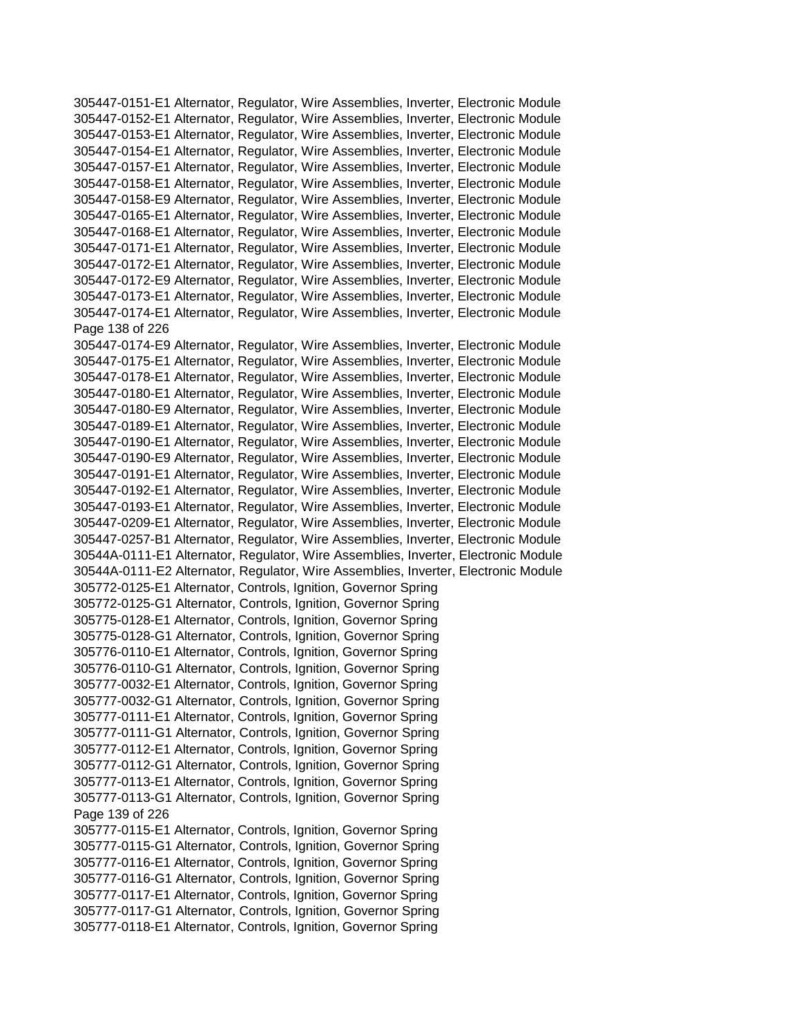305447-0151-E1 Alternator, Regulator, Wire Assemblies, Inverter, Electronic Module 305447-0152-E1 Alternator, Regulator, Wire Assemblies, Inverter, Electronic Module 305447-0153-E1 Alternator, Regulator, Wire Assemblies, Inverter, Electronic Module 305447-0154-E1 Alternator, Regulator, Wire Assemblies, Inverter, Electronic Module 305447-0157-E1 Alternator, Regulator, Wire Assemblies, Inverter, Electronic Module 305447-0158-E1 Alternator, Regulator, Wire Assemblies, Inverter, Electronic Module 305447-0158-E9 Alternator, Regulator, Wire Assemblies, Inverter, Electronic Module 305447-0165-E1 Alternator, Regulator, Wire Assemblies, Inverter, Electronic Module 305447-0168-E1 Alternator, Regulator, Wire Assemblies, Inverter, Electronic Module 305447-0171-E1 Alternator, Regulator, Wire Assemblies, Inverter, Electronic Module 305447-0172-E1 Alternator, Regulator, Wire Assemblies, Inverter, Electronic Module 305447-0172-E9 Alternator, Regulator, Wire Assemblies, Inverter, Electronic Module 305447-0173-E1 Alternator, Regulator, Wire Assemblies, Inverter, Electronic Module 305447-0174-E1 Alternator, Regulator, Wire Assemblies, Inverter, Electronic Module Page 138 of 226 305447-0174-E9 Alternator, Regulator, Wire Assemblies, Inverter, Electronic Module 305447-0175-E1 Alternator, Regulator, Wire Assemblies, Inverter, Electronic Module 305447-0178-E1 Alternator, Regulator, Wire Assemblies, Inverter, Electronic Module 305447-0180-E1 Alternator, Regulator, Wire Assemblies, Inverter, Electronic Module 305447-0180-E9 Alternator, Regulator, Wire Assemblies, Inverter, Electronic Module 305447-0189-E1 Alternator, Regulator, Wire Assemblies, Inverter, Electronic Module 305447-0190-E1 Alternator, Regulator, Wire Assemblies, Inverter, Electronic Module 305447-0190-E9 Alternator, Regulator, Wire Assemblies, Inverter, Electronic Module 305447-0191-E1 Alternator, Regulator, Wire Assemblies, Inverter, Electronic Module 305447-0192-E1 Alternator, Regulator, Wire Assemblies, Inverter, Electronic Module 305447-0193-E1 Alternator, Regulator, Wire Assemblies, Inverter, Electronic Module 305447-0209-E1 Alternator, Regulator, Wire Assemblies, Inverter, Electronic Module 305447-0257-B1 Alternator, Regulator, Wire Assemblies, Inverter, Electronic Module 30544A-0111-E1 Alternator, Regulator, Wire Assemblies, Inverter, Electronic Module 30544A-0111-E2 Alternator, Regulator, Wire Assemblies, Inverter, Electronic Module 305772-0125-E1 Alternator, Controls, Ignition, Governor Spring 305772-0125-G1 Alternator, Controls, Ignition, Governor Spring 305775-0128-E1 Alternator, Controls, Ignition, Governor Spring 305775-0128-G1 Alternator, Controls, Ignition, Governor Spring 305776-0110-E1 Alternator, Controls, Ignition, Governor Spring 305776-0110-G1 Alternator, Controls, Ignition, Governor Spring 305777-0032-E1 Alternator, Controls, Ignition, Governor Spring 305777-0032-G1 Alternator, Controls, Ignition, Governor Spring 305777-0111-E1 Alternator, Controls, Ignition, Governor Spring 305777-0111-G1 Alternator, Controls, Ignition, Governor Spring 305777-0112-E1 Alternator, Controls, Ignition, Governor Spring 305777-0112-G1 Alternator, Controls, Ignition, Governor Spring 305777-0113-E1 Alternator, Controls, Ignition, Governor Spring 305777-0113-G1 Alternator, Controls, Ignition, Governor Spring Page 139 of 226 305777-0115-E1 Alternator, Controls, Ignition, Governor Spring 305777-0115-G1 Alternator, Controls, Ignition, Governor Spring 305777-0116-E1 Alternator, Controls, Ignition, Governor Spring 305777-0116-G1 Alternator, Controls, Ignition, Governor Spring 305777-0117-E1 Alternator, Controls, Ignition, Governor Spring 305777-0117-G1 Alternator, Controls, Ignition, Governor Spring 305777-0118-E1 Alternator, Controls, Ignition, Governor Spring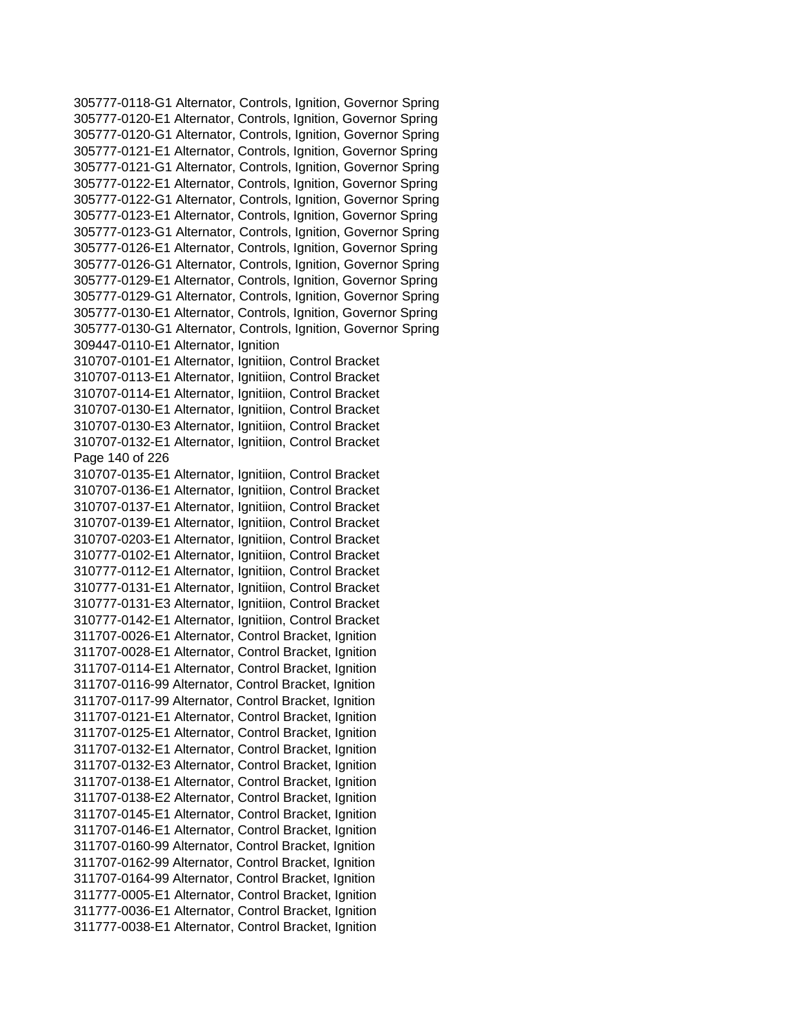305777-0118-G1 Alternator, Controls, Ignition, Governor Spring 305777-0120-E1 Alternator, Controls, Ignition, Governor Spring 305777-0120-G1 Alternator, Controls, Ignition, Governor Spring 305777-0121-E1 Alternator, Controls, Ignition, Governor Spring 305777-0121-G1 Alternator, Controls, Ignition, Governor Spring 305777-0122-E1 Alternator, Controls, Ignition, Governor Spring 305777-0122-G1 Alternator, Controls, Ignition, Governor Spring 305777-0123-E1 Alternator, Controls, Ignition, Governor Spring 305777-0123-G1 Alternator, Controls, Ignition, Governor Spring 305777-0126-E1 Alternator, Controls, Ignition, Governor Spring 305777-0126-G1 Alternator, Controls, Ignition, Governor Spring 305777-0129-E1 Alternator, Controls, Ignition, Governor Spring 305777-0129-G1 Alternator, Controls, Ignition, Governor Spring 305777-0130-E1 Alternator, Controls, Ignition, Governor Spring 305777-0130-G1 Alternator, Controls, Ignition, Governor Spring 309447-0110-E1 Alternator, Ignition 310707-0101-E1 Alternator, Ignitiion, Control Bracket 310707-0113-E1 Alternator, Ignitiion, Control Bracket 310707-0114-E1 Alternator, Ignitiion, Control Bracket 310707-0130-E1 Alternator, Ignitiion, Control Bracket 310707-0130-E3 Alternator, Ignitiion, Control Bracket 310707-0132-E1 Alternator, Ignitiion, Control Bracket Page 140 of 226 310707-0135-E1 Alternator, Ignitiion, Control Bracket 310707-0136-E1 Alternator, Ignitiion, Control Bracket 310707-0137-E1 Alternator, Ignitiion, Control Bracket 310707-0139-E1 Alternator, Ignitiion, Control Bracket 310707-0203-E1 Alternator, Ignitiion, Control Bracket 310777-0102-E1 Alternator, Ignitiion, Control Bracket 310777-0112-E1 Alternator, Ignitiion, Control Bracket 310777-0131-E1 Alternator, Ignitiion, Control Bracket 310777-0131-E3 Alternator, Ignitiion, Control Bracket 310777-0142-E1 Alternator, Ignitiion, Control Bracket 311707-0026-E1 Alternator, Control Bracket, Ignition 311707-0028-E1 Alternator, Control Bracket, Ignition 311707-0114-E1 Alternator, Control Bracket, Ignition 311707-0116-99 Alternator, Control Bracket, Ignition 311707-0117-99 Alternator, Control Bracket, Ignition 311707-0121-E1 Alternator, Control Bracket, Ignition 311707-0125-E1 Alternator, Control Bracket, Ignition 311707-0132-E1 Alternator, Control Bracket, Ignition 311707-0132-E3 Alternator, Control Bracket, Ignition 311707-0138-E1 Alternator, Control Bracket, Ignition 311707-0138-E2 Alternator, Control Bracket, Ignition 311707-0145-E1 Alternator, Control Bracket, Ignition 311707-0146-E1 Alternator, Control Bracket, Ignition 311707-0160-99 Alternator, Control Bracket, Ignition 311707-0162-99 Alternator, Control Bracket, Ignition 311707-0164-99 Alternator, Control Bracket, Ignition 311777-0005-E1 Alternator, Control Bracket, Ignition 311777-0036-E1 Alternator, Control Bracket, Ignition 311777-0038-E1 Alternator, Control Bracket, Ignition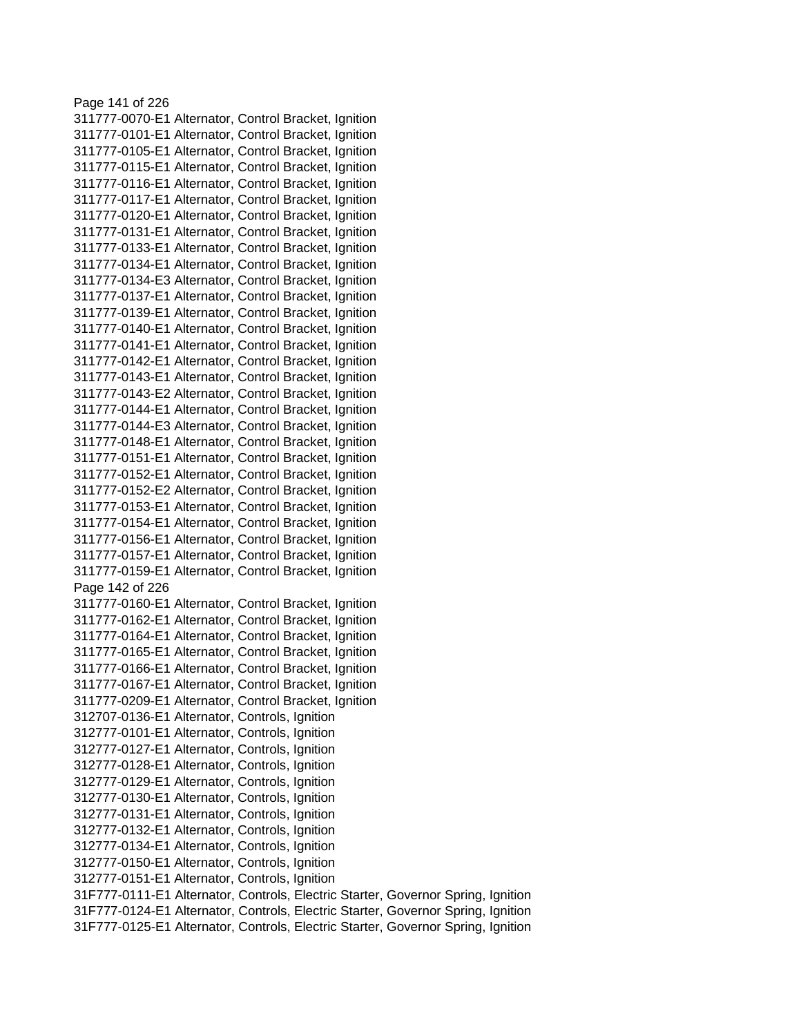## Page 141 of 226 311777-0070-E1 Alternator, Control Bracket, Ignition 311777-0101-E1 Alternator, Control Bracket, Ignition 311777-0105-E1 Alternator, Control Bracket, Ignition 311777-0115-E1 Alternator, Control Bracket, Ignition 311777-0116-E1 Alternator, Control Bracket, Ignition 311777-0117-E1 Alternator, Control Bracket, Ignition 311777-0120-E1 Alternator, Control Bracket, Ignition 311777-0131-E1 Alternator, Control Bracket, Ignition 311777-0133-E1 Alternator, Control Bracket, Ignition 311777-0134-E1 Alternator, Control Bracket, Ignition 311777-0134-E3 Alternator, Control Bracket, Ignition 311777-0137-E1 Alternator, Control Bracket, Ignition 311777-0139-E1 Alternator, Control Bracket, Ignition 311777-0140-E1 Alternator, Control Bracket, Ignition 311777-0141-E1 Alternator, Control Bracket, Ignition 311777-0142-E1 Alternator, Control Bracket, Ignition 311777-0143-E1 Alternator, Control Bracket, Ignition 311777-0143-E2 Alternator, Control Bracket, Ignition 311777-0144-E1 Alternator, Control Bracket, Ignition 311777-0144-E3 Alternator, Control Bracket, Ignition 311777-0148-E1 Alternator, Control Bracket, Ignition 311777-0151-E1 Alternator, Control Bracket, Ignition 311777-0152-E1 Alternator, Control Bracket, Ignition 311777-0152-E2 Alternator, Control Bracket, Ignition 311777-0153-E1 Alternator, Control Bracket, Ignition 311777-0154-E1 Alternator, Control Bracket, Ignition 311777-0156-E1 Alternator, Control Bracket, Ignition 311777-0157-E1 Alternator, Control Bracket, Ignition 311777-0159-E1 Alternator, Control Bracket, Ignition Page 142 of 226 311777-0160-E1 Alternator, Control Bracket, Ignition 311777-0162-E1 Alternator, Control Bracket, Ignition 311777-0164-E1 Alternator, Control Bracket, Ignition 311777-0165-E1 Alternator, Control Bracket, Ignition 311777-0166-E1 Alternator, Control Bracket, Ignition 311777-0167-E1 Alternator, Control Bracket, Ignition 311777-0209-E1 Alternator, Control Bracket, Ignition 312707-0136-E1 Alternator, Controls, Ignition 312777-0101-E1 Alternator, Controls, Ignition 312777-0127-E1 Alternator, Controls, Ignition 312777-0128-E1 Alternator, Controls, Ignition 312777-0129-E1 Alternator, Controls, Ignition 312777-0130-E1 Alternator, Controls, Ignition 312777-0131-E1 Alternator, Controls, Ignition 312777-0132-E1 Alternator, Controls, Ignition 312777-0134-E1 Alternator, Controls, Ignition 312777-0150-E1 Alternator, Controls, Ignition 312777-0151-E1 Alternator, Controls, Ignition 31F777-0111-E1 Alternator, Controls, Electric Starter, Governor Spring, Ignition 31F777-0124-E1 Alternator, Controls, Electric Starter, Governor Spring, Ignition 31F777-0125-E1 Alternator, Controls, Electric Starter, Governor Spring, Ignition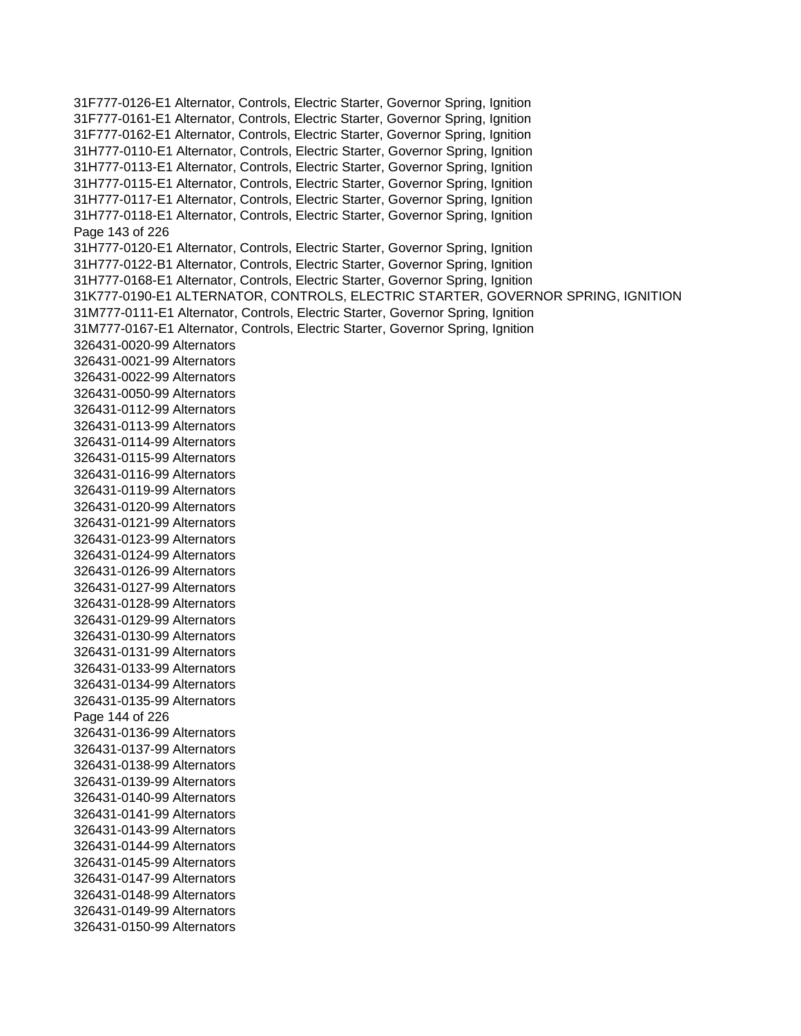31F777-0126-E1 Alternator, Controls, Electric Starter, Governor Spring, Ignition 31F777-0161-E1 Alternator, Controls, Electric Starter, Governor Spring, Ignition 31F777-0162-E1 Alternator, Controls, Electric Starter, Governor Spring, Ignition 31H777-0110-E1 Alternator, Controls, Electric Starter, Governor Spring, Ignition 31H777-0113-E1 Alternator, Controls, Electric Starter, Governor Spring, Ignition 31H777-0115-E1 Alternator, Controls, Electric Starter, Governor Spring, Ignition 31H777-0117-E1 Alternator, Controls, Electric Starter, Governor Spring, Ignition 31H777-0118-E1 Alternator, Controls, Electric Starter, Governor Spring, Ignition Page 143 of 226 31H777-0120-E1 Alternator, Controls, Electric Starter, Governor Spring, Ignition 31H777-0122-B1 Alternator, Controls, Electric Starter, Governor Spring, Ignition 31H777-0168-E1 Alternator, Controls, Electric Starter, Governor Spring, Ignition 31K777-0190-E1 ALTERNATOR, CONTROLS, ELECTRIC STARTER, GOVERNOR SPRING, IGNITION 31M777-0111-E1 Alternator, Controls, Electric Starter, Governor Spring, Ignition 31M777-0167-E1 Alternator, Controls, Electric Starter, Governor Spring, Ignition 326431-0020-99 Alternators 326431-0021-99 Alternators 326431-0022-99 Alternators 326431-0050-99 Alternators 326431-0112-99 Alternators 326431-0113-99 Alternators 326431-0114-99 Alternators 326431-0115-99 Alternators 326431-0116-99 Alternators 326431-0119-99 Alternators 326431-0120-99 Alternators 326431-0121-99 Alternators 326431-0123-99 Alternators 326431-0124-99 Alternators 326431-0126-99 Alternators 326431-0127-99 Alternators 326431-0128-99 Alternators 326431-0129-99 Alternators 326431-0130-99 Alternators 326431-0131-99 Alternators 326431-0133-99 Alternators 326431-0134-99 Alternators 326431-0135-99 Alternators Page 144 of 226 326431-0136-99 Alternators 326431-0137-99 Alternators 326431-0138-99 Alternators 326431-0139-99 Alternators 326431-0140-99 Alternators 326431-0141-99 Alternators 326431-0143-99 Alternators 326431-0144-99 Alternators 326431-0145-99 Alternators 326431-0147-99 Alternators 326431-0148-99 Alternators 326431-0149-99 Alternators 326431-0150-99 Alternators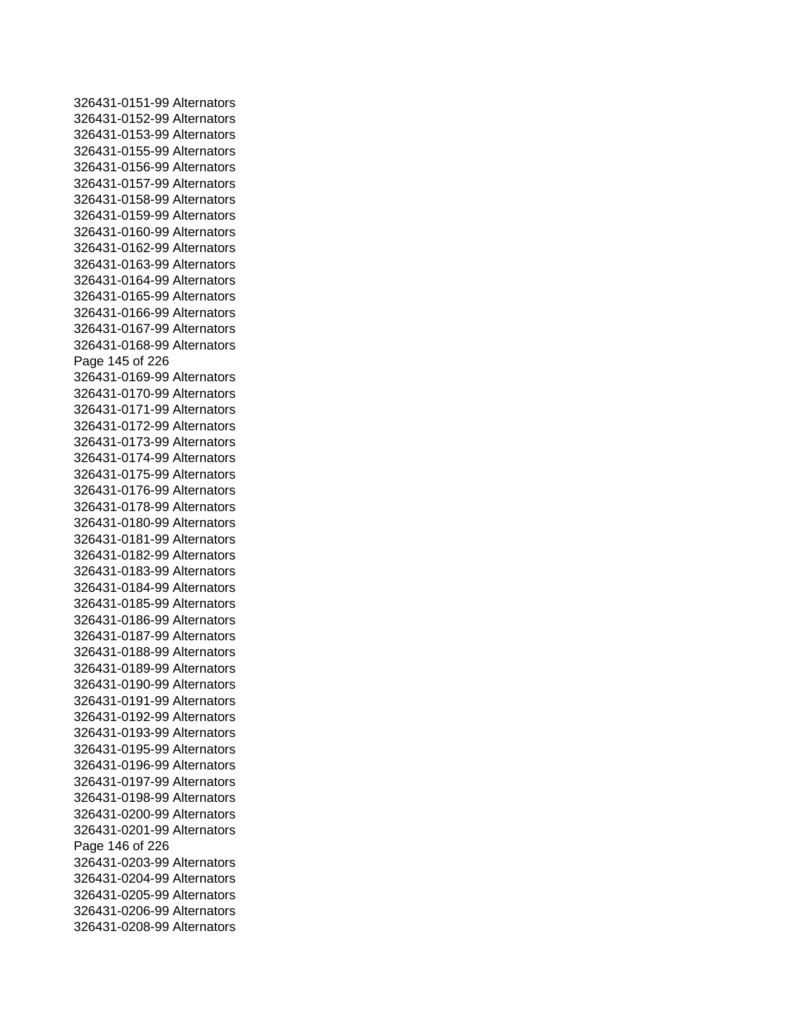326431-0151-99 Alternators 326431-0152-99 Alternators 326431-0153-99 Alternators 326431-0155-99 Alternators 326431-0156-99 Alternators 326431-0157-99 Alternators 326431-0158-99 Alternators 326431-0159-99 Alternators 326431-0160-99 Alternators 326431-0162-99 Alternators 326431-0163-99 Alternators 326431-0164-99 Alternators 326431-0165-99 Alternators 326431-0166-99 Alternators 326431-0167-99 Alternators 326431-0168-99 Alternators Page 145 of 226 326431-0169-99 Alternators 326431-0170-99 Alternators 326431-0171-99 Alternators 326431-0172-99 Alternators 326431-0173-99 Alternators 326431-0174-99 Alternators 326431-0175-99 Alternators 326431-0176-99 Alternators 326431-0178-99 Alternators 326431-0180-99 Alternators 326431-0181-99 Alternators 326431-0182-99 Alternators 326431-0183-99 Alternators 326431-0184-99 Alternators 326431-0185-99 Alternators 326431-0186-99 Alternators 326431-0187-99 Alternators 326431-0188-99 Alternators 326431-0189-99 Alternators 326431-0190-99 Alternators 326431-0191-99 Alternators 326431-0192-99 Alternators 326431-0193-99 Alternators 326431-0195-99 Alternators 326431-0196-99 Alternators 326431-0197-99 Alternators 326431-0198-99 Alternators 326431-0200-99 Alternators 326431-0201-99 Alternators Page 146 of 226 326431-0203-99 Alternators 326431-0204-99 Alternators 326431-0205-99 Alternators 326431-0206-99 Alternators 326431-0208-99 Alternators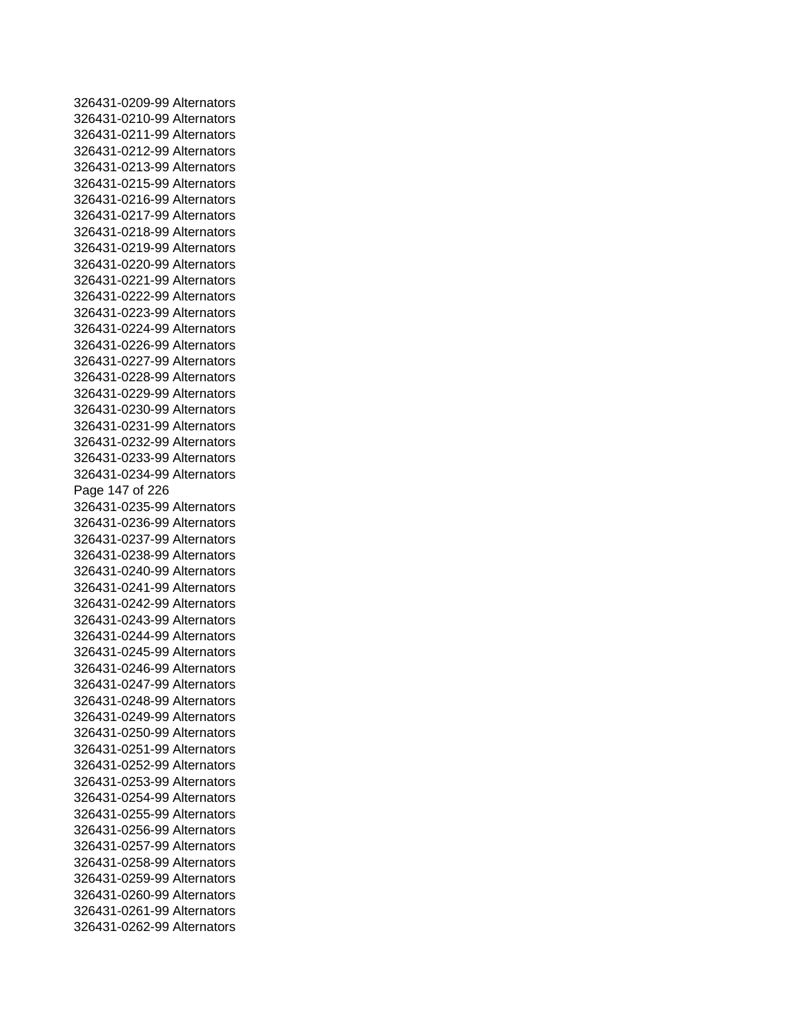326431-0209-99 Alternators 326431-0210-99 Alternators 326431-0211-99 Alternators 326431-0212-99 Alternators 326431-0213-99 Alternators 326431-0215-99 Alternators 326431-0216-99 Alternators 326431-0217-99 Alternators 326431-0218-99 Alternators 326431-0219-99 Alternators 326431-0220-99 Alternators 326431-0221-99 Alternators 326431-0222-99 Alternators 326431-0223-99 Alternators 326431-0224-99 Alternators 326431-0226-99 Alternators 326431-0227-99 Alternators 326431-0228-99 Alternators 326431-0229-99 Alternators 326431-0230-99 Alternators 326431-0231-99 Alternators 326431-0232-99 Alternators 326431-0233-99 Alternators 326431-0234-99 Alternators Page 147 of 226 326431-0235-99 Alternators 326431-0236-99 Alternators 326431-0237-99 Alternators 326431-0238-99 Alternators 326431-0240-99 Alternators 326431-0241-99 Alternators 326431-0242-99 Alternators 326431-0243-99 Alternators 326431-0244-99 Alternators 326431-0245-99 Alternators 326431-0246-99 Alternators 326431-0247-99 Alternators 326431-0248-99 Alternators 326431-0249-99 Alternators 326431-0250-99 Alternators 326431-0251-99 Alternators 326431-0252-99 Alternators 326431-0253-99 Alternators 326431-0254-99 Alternators 326431-0255-99 Alternators 326431-0256-99 Alternators 326431-0257-99 Alternators 326431-0258-99 Alternators 326431-0259-99 Alternators 326431-0260-99 Alternators 326431-0261-99 Alternators 326431-0262-99 Alternators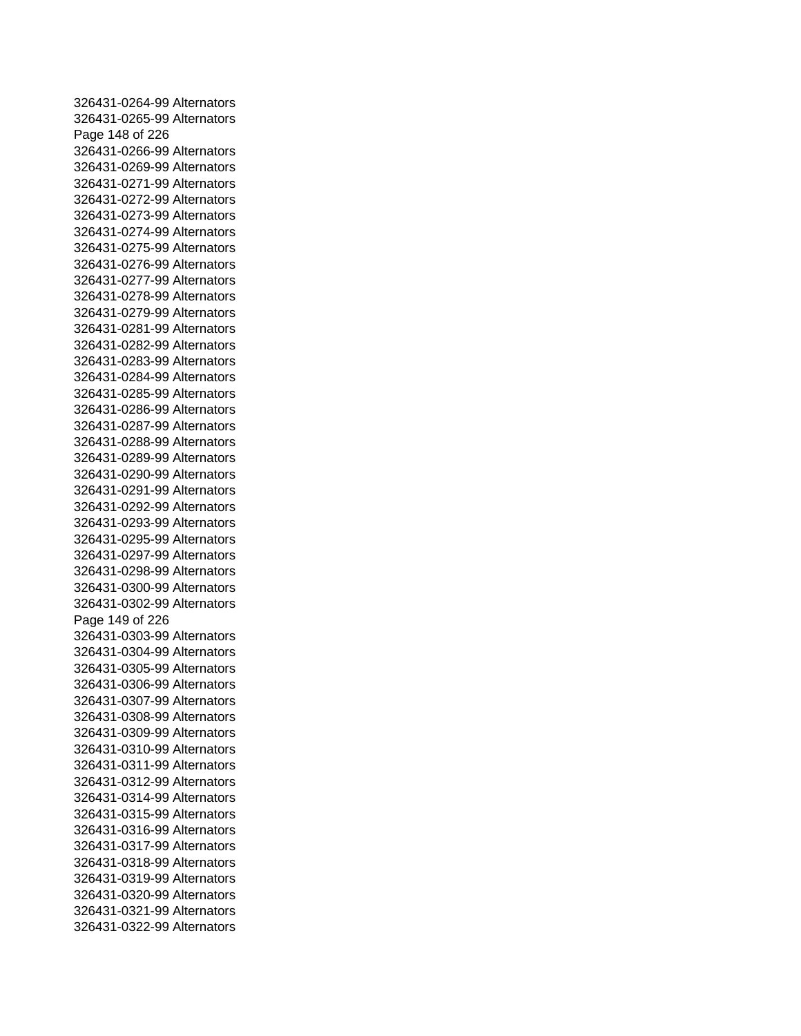326431-0264-99 Alternators 326431-0265-99 Alternators Page 148 of 226 326431-0266-99 Alternators 326431-0269-99 Alternators 326431-0271-99 Alternators 326431-0272-99 Alternators 326431-0273-99 Alternators 326431-0274-99 Alternators 326431-0275-99 Alternators 326431-0276-99 Alternators 326431-0277-99 Alternators 326431-0278-99 Alternators 326431-0279-99 Alternators 326431-0281-99 Alternators 326431-0282-99 Alternators 326431-0283-99 Alternators 326431-0284-99 Alternators 326431-0285-99 Alternators 326431-0286-99 Alternators 326431-0287-99 Alternators 326431-0288-99 Alternators 326431-0289-99 Alternators 326431-0290-99 Alternators 326431-0291-99 Alternators 326431-0292-99 Alternators 326431-0293-99 Alternators 326431-0295-99 Alternators 326431-0297-99 Alternators 326431-0298-99 Alternators 326431-0300-99 Alternators 326431-0302-99 Alternators Page 149 of 226 326431-0303-99 Alternators 326431-0304-99 Alternators 326431-0305-99 Alternators 326431-0306-99 Alternators 326431-0307-99 Alternators 326431-0308-99 Alternators 326431-0309-99 Alternators 326431-0310-99 Alternators 326431-0311-99 Alternators 326431-0312-99 Alternators 326431-0314-99 Alternators 326431-0315-99 Alternators 326431-0316-99 Alternators 326431-0317-99 Alternators 326431-0318-99 Alternators 326431-0319-99 Alternators 326431-0320-99 Alternators 326431-0321-99 Alternators 326431-0322-99 Alternators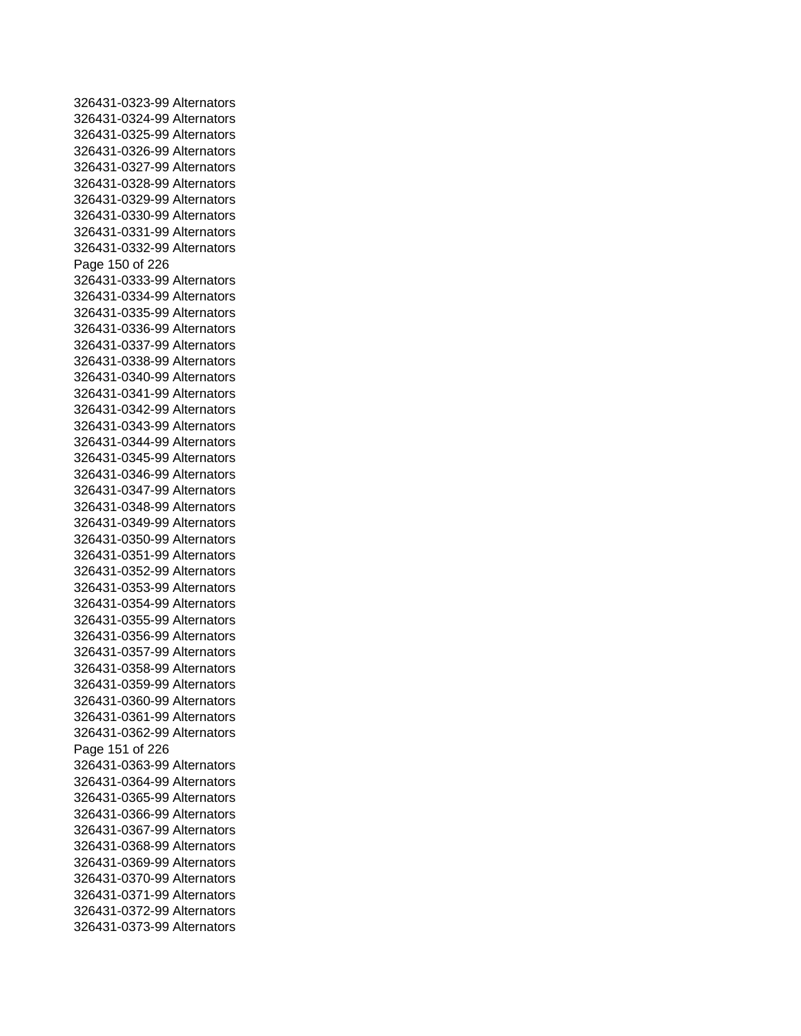326431-0323-99 Alternators 326431-0324-99 Alternators 326431-0325-99 Alternators 326431-0326-99 Alternators 326431-0327-99 Alternators 326431-0328-99 Alternators 326431-0329-99 Alternators 326431-0330-99 Alternators 326431-0331-99 Alternators 326431-0332-99 Alternators Page 150 of 226 326431-0333-99 Alternators 326431-0334-99 Alternators 326431-0335-99 Alternators 326431-0336-99 Alternators 326431-0337-99 Alternators 326431-0338-99 Alternators 326431-0340-99 Alternators 326431-0341-99 Alternators 326431-0342-99 Alternators 326431-0343-99 Alternators 326431-0344-99 Alternators 326431-0345-99 Alternators 326431-0346-99 Alternators 326431-0347-99 Alternators 326431-0348-99 Alternators 326431-0349-99 Alternators 326431-0350-99 Alternators 326431-0351-99 Alternators 326431-0352-99 Alternators 326431-0353-99 Alternators 326431-0354-99 Alternators 326431-0355-99 Alternators 326431-0356-99 Alternators 326431-0357-99 Alternators 326431-0358-99 Alternators 326431-0359-99 Alternators 326431-0360-99 Alternators 326431-0361-99 Alternators 326431-0362-99 Alternators Page 151 of 226 326431-0363-99 Alternators 326431-0364-99 Alternators 326431-0365-99 Alternators 326431-0366-99 Alternators 326431-0367-99 Alternators 326431-0368-99 Alternators 326431-0369-99 Alternators 326431-0370-99 Alternators 326431-0371-99 Alternators 326431-0372-99 Alternators 326431-0373-99 Alternators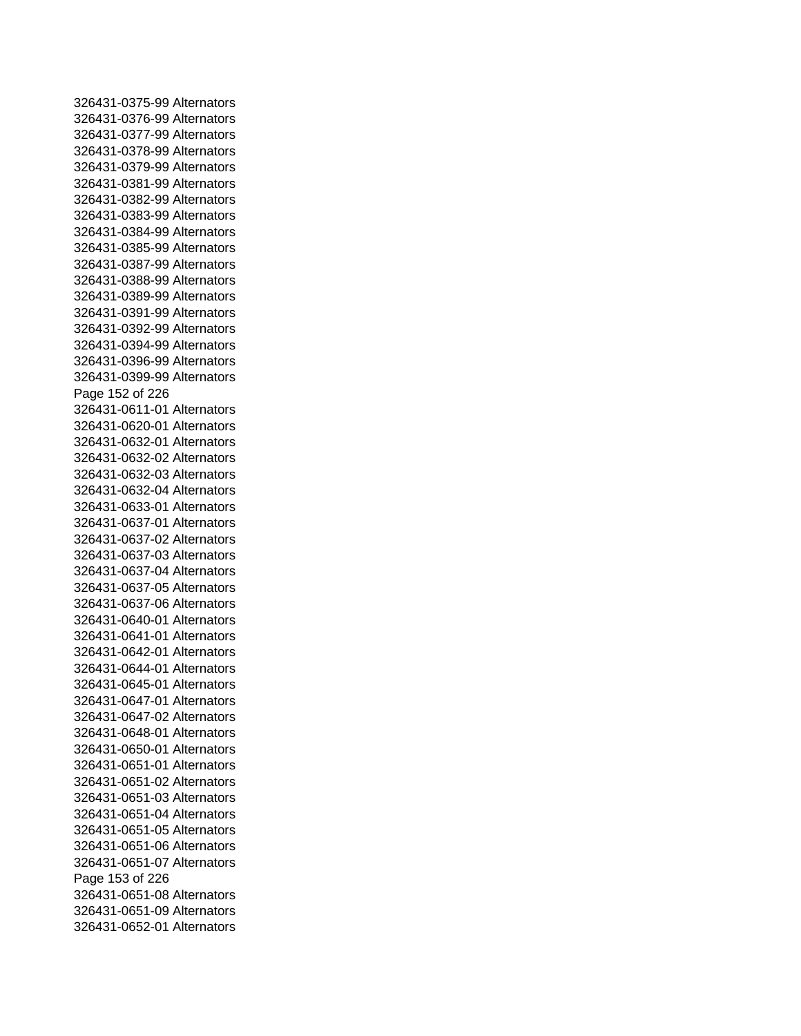326431-0375-99 Alternators 326431-0376-99 Alternators 326431-0377-99 Alternators 326431-0378-99 Alternators 326431-0379-99 Alternators 326431-0381-99 Alternators 326431-0382-99 Alternators 326431-0383-99 Alternators 326431-0384-99 Alternators 326431-0385-99 Alternators 326431-0387-99 Alternators 326431-0388-99 Alternators 326431-0389-99 Alternators 326431-0391-99 Alternators 326431-0392-99 Alternators 326431-0394-99 Alternators 326431-0396-99 Alternators 326431-0399-99 Alternators Page 152 of 226 326431-0611-01 Alternators 326431-0620-01 Alternators 326431-0632-01 Alternators 326431-0632-02 Alternators 326431-0632-03 Alternators 326431-0632-04 Alternators 326431-0633-01 Alternators 326431-0637-01 Alternators 326431-0637-02 Alternators 326431-0637-03 Alternators 326431-0637-04 Alternators 326431-0637-05 Alternators 326431-0637-06 Alternators 326431-0640-01 Alternators 326431-0641-01 Alternators 326431-0642-01 Alternators 326431-0644-01 Alternators 326431-0645-01 Alternators 326431-0647-01 Alternators 326431-0647-02 Alternators 326431-0648-01 Alternators 326431-0650-01 Alternators 326431-0651-01 Alternators 326431-0651-02 Alternators 326431-0651-03 Alternators 326431-0651-04 Alternators 326431-0651-05 Alternators 326431-0651-06 Alternators 326431-0651-07 Alternators Page 153 of 226 326431-0651-08 Alternators 326431-0651-09 Alternators 326431-0652-01 Alternators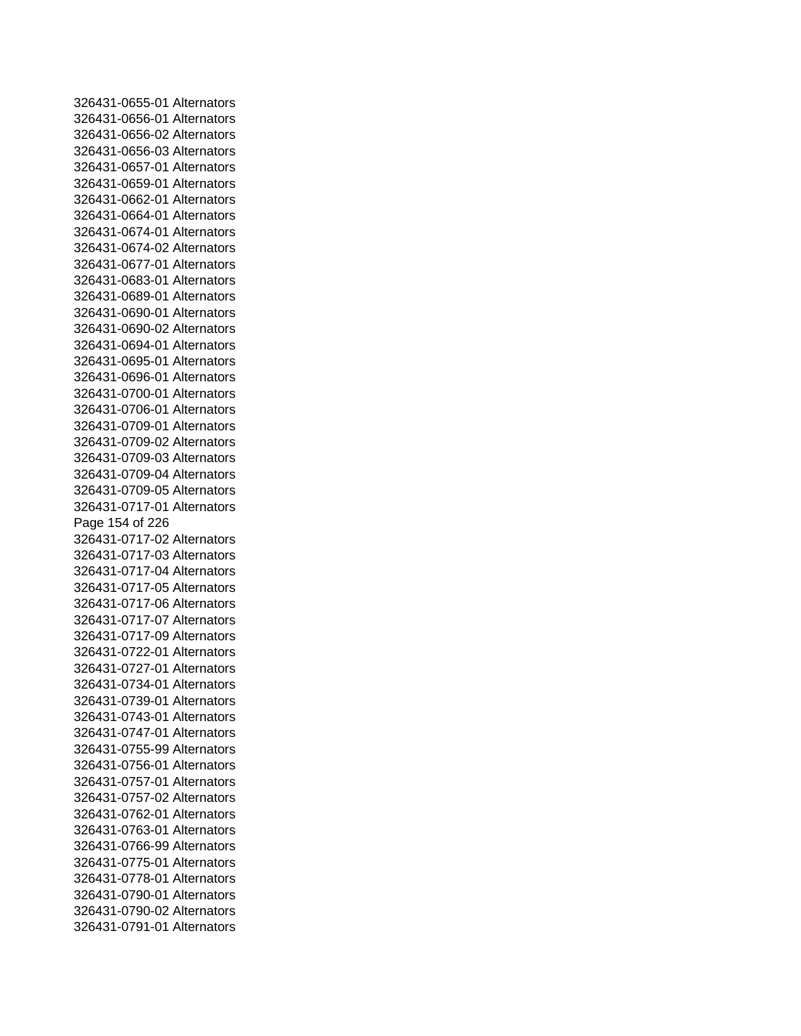326431-0655-01 Alternators 326431-0656-01 Alternators 326431-0656-02 Alternators 326431-0656-03 Alternators 326431-0657-01 Alternators 326431-0659-01 Alternators 326431-0662-01 Alternators 326431-0664-01 Alternators 326431-0674-01 Alternators 326431-0674-02 Alternators 326431-0677-01 Alternators 326431-0683-01 Alternators 326431-0689-01 Alternators 326431-0690-01 Alternators 326431-0690-02 Alternators 326431-0694-01 Alternators 326431-0695-01 Alternators 326431-0696-01 Alternators 326431-0700-01 Alternators 326431-0706-01 Alternators 326431-0709-01 Alternators 326431-0709-02 Alternators 326431-0709-03 Alternators 326431-0709-04 Alternators 326431-0709-05 Alternators 326431-0717-01 Alternators Page 154 of 226 326431-0717-02 Alternators 326431-0717-03 Alternators 326431-0717-04 Alternators 326431-0717-05 Alternators 326431-0717-06 Alternators 326431-0717-07 Alternators 326431-0717-09 Alternators 326431-0722-01 Alternators 326431-0727-01 Alternators 326431-0734-01 Alternators 326431-0739-01 Alternators 326431-0743-01 Alternators 326431-0747-01 Alternators 326431-0755-99 Alternators 326431-0756-01 Alternators 326431-0757-01 Alternators 326431-0757-02 Alternators 326431-0762-01 Alternators 326431-0763-01 Alternators 326431-0766-99 Alternators 326431-0775-01 Alternators 326431-0778-01 Alternators 326431-0790-01 Alternators 326431-0790-02 Alternators 326431-0791-01 Alternators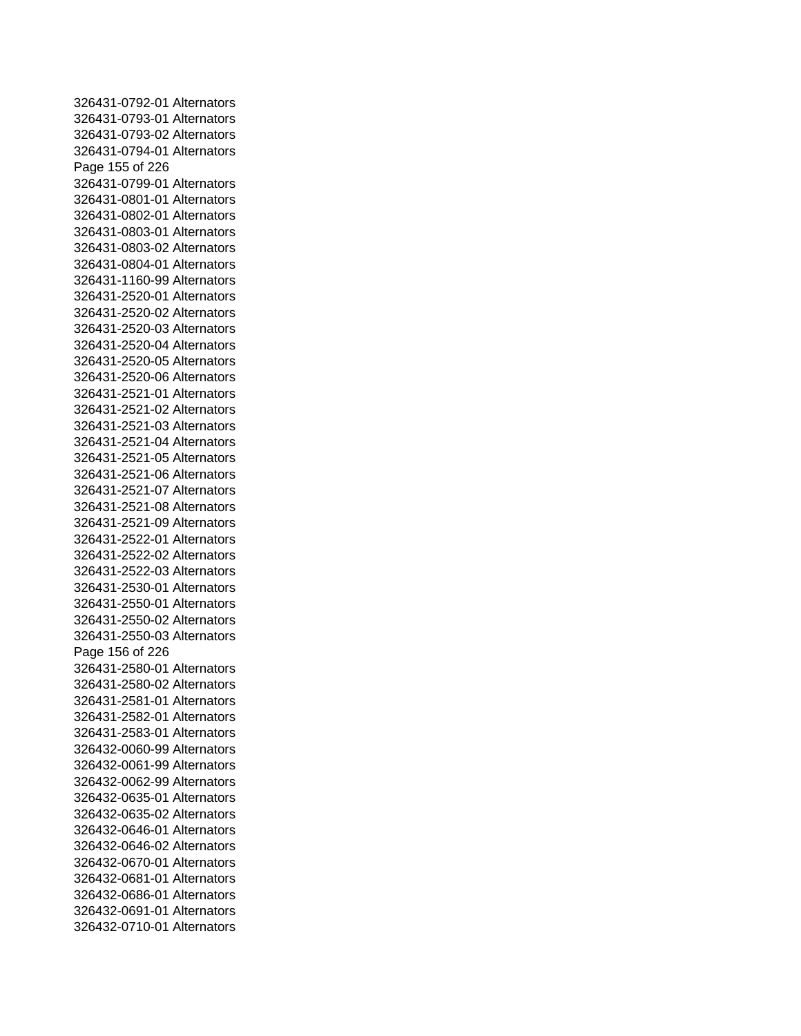326431-0792-01 Alternators 326431-0793-01 Alternators 326431-0793-02 Alternators 326431-0794-01 Alternators Page 155 of 226 326431-0799-01 Alternators 326431-0801-01 Alternators 326431-0802-01 Alternators 326431-0803-01 Alternators 326431-0803-02 Alternators 326431-0804-01 Alternators 326431-1160-99 Alternators 326431-2520-01 Alternators 326431-2520-02 Alternators 326431-2520-03 Alternators 326431-2520-04 Alternators 326431-2520-05 Alternators 326431-2520-06 Alternators 326431-2521-01 Alternators 326431-2521-02 Alternators 326431-2521-03 Alternators 326431-2521-04 Alternators 326431-2521-05 Alternators 326431-2521-06 Alternators 326431-2521-07 Alternators 326431-2521-08 Alternators 326431-2521-09 Alternators 326431-2522-01 Alternators 326431-2522-02 Alternators 326431-2522-03 Alternators 326431-2530-01 Alternators 326431-2550-01 Alternators 326431-2550-02 Alternators 326431-2550-03 Alternators Page 156 of 226 326431-2580-01 Alternators 326431-2580-02 Alternators 326431-2581-01 Alternators 326431-2582-01 Alternators 326431-2583-01 Alternators 326432-0060-99 Alternators 326432-0061-99 Alternators 326432-0062-99 Alternators 326432-0635-01 Alternators 326432-0635-02 Alternators 326432-0646-01 Alternators 326432-0646-02 Alternators 326432-0670-01 Alternators 326432-0681-01 Alternators 326432-0686-01 Alternators 326432-0691-01 Alternators 326432-0710-01 Alternators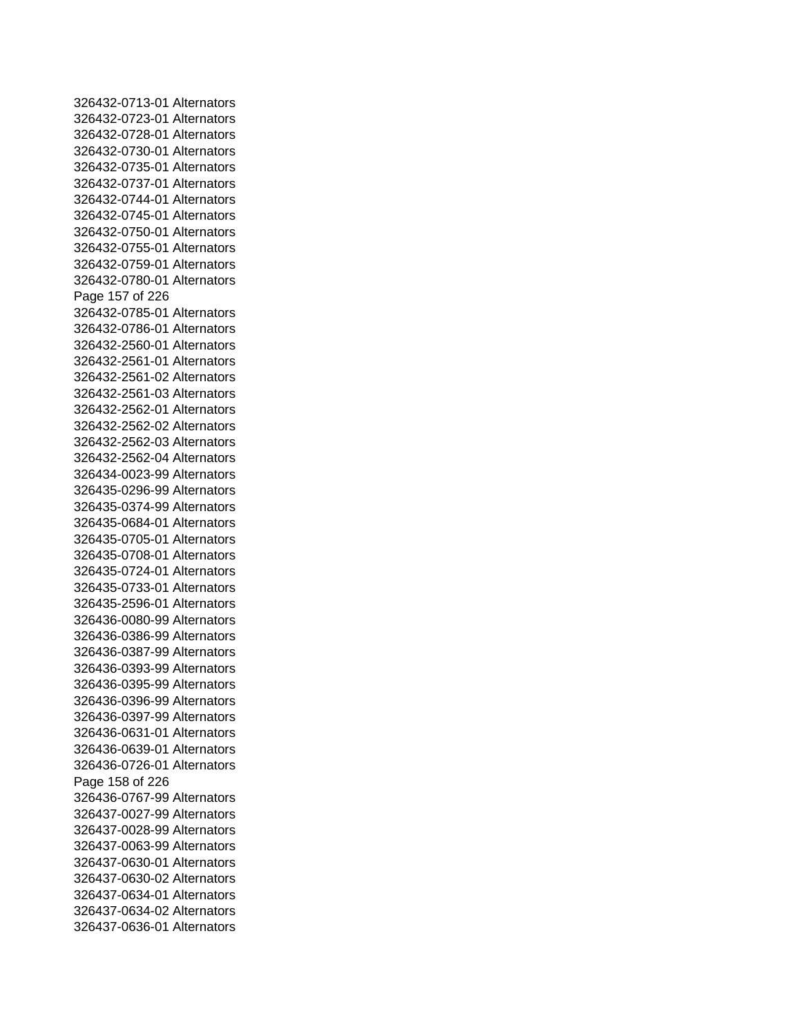326432-0713-01 Alternators 326432-0723-01 Alternators 326432-0728-01 Alternators 326432-0730-01 Alternators 326432-0735-01 Alternators 326432-0737-01 Alternators 326432-0744-01 Alternators 326432-0745-01 Alternators 326432-0750-01 Alternators 326432-0755-01 Alternators 326432-0759-01 Alternators 326432-0780-01 Alternators Page 157 of 226 326432-0785-01 Alternators 326432-0786-01 Alternators 326432-2560-01 Alternators 326432-2561-01 Alternators 326432-2561-02 Alternators 326432-2561-03 Alternators 326432-2562-01 Alternators 326432-2562-02 Alternators 326432-2562-03 Alternators 326432-2562-04 Alternators 326434-0023-99 Alternators 326435-0296-99 Alternators 326435-0374-99 Alternators 326435-0684-01 Alternators 326435-0705-01 Alternators 326435-0708-01 Alternators 326435-0724-01 Alternators 326435-0733-01 Alternators 326435-2596-01 Alternators 326436-0080-99 Alternators 326436-0386-99 Alternators 326436-0387-99 Alternators 326436-0393-99 Alternators 326436-0395-99 Alternators 326436-0396-99 Alternators 326436-0397-99 Alternators 326436-0631-01 Alternators 326436-0639-01 Alternators 326436-0726-01 Alternators Page 158 of 226 326436-0767-99 Alternators 326437-0027-99 Alternators 326437-0028-99 Alternators 326437-0063-99 Alternators 326437-0630-01 Alternators 326437-0630-02 Alternators 326437-0634-01 Alternators 326437-0634-02 Alternators 326437-0636-01 Alternators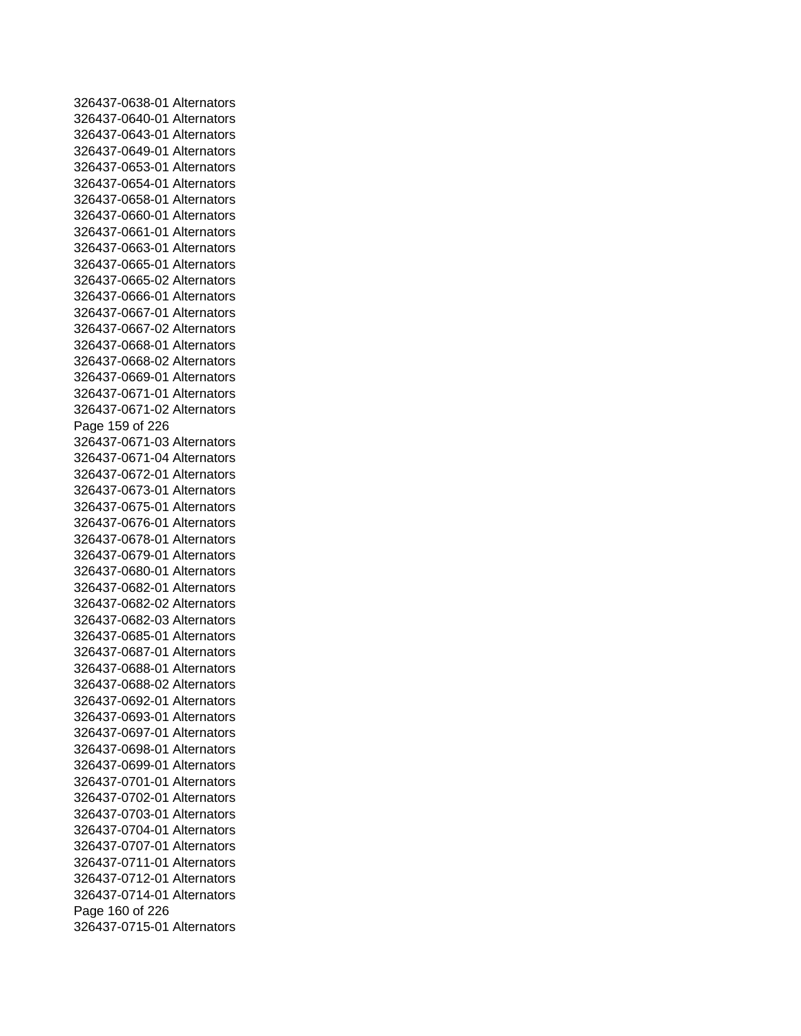326437-0638-01 Alternators 326437-0640-01 Alternators 326437-0643-01 Alternators 326437-0649-01 Alternators 326437-0653-01 Alternators 326437-0654-01 Alternators 326437-0658-01 Alternators 326437-0660-01 Alternators 326437-0661-01 Alternators 326437-0663-01 Alternators 326437-0665-01 Alternators 326437-0665-02 Alternators 326437-0666-01 Alternators 326437-0667-01 Alternators 326437-0667-02 Alternators 326437-0668-01 Alternators 326437-0668-02 Alternators 326437-0669-01 Alternators 326437-0671-01 Alternators 326437-0671-02 Alternators Page 159 of 226 326437-0671-03 Alternators 326437-0671-04 Alternators 326437-0672-01 Alternators 326437-0673-01 Alternators 326437-0675-01 Alternators 326437-0676-01 Alternators 326437-0678-01 Alternators 326437-0679-01 Alternators 326437-0680-01 Alternators 326437-0682-01 Alternators 326437-0682-02 Alternators 326437-0682-03 Alternators 326437-0685-01 Alternators 326437-0687-01 Alternators 326437-0688-01 Alternators 326437-0688-02 Alternators 326437-0692-01 Alternators 326437-0693-01 Alternators 326437-0697-01 Alternators 326437-0698-01 Alternators 326437-0699-01 Alternators 326437-0701-01 Alternators 326437-0702-01 Alternators 326437-0703-01 Alternators 326437-0704-01 Alternators 326437-0707-01 Alternators 326437-0711-01 Alternators 326437-0712-01 Alternators 326437-0714-01 Alternators Page 160 of 226 326437-0715-01 Alternators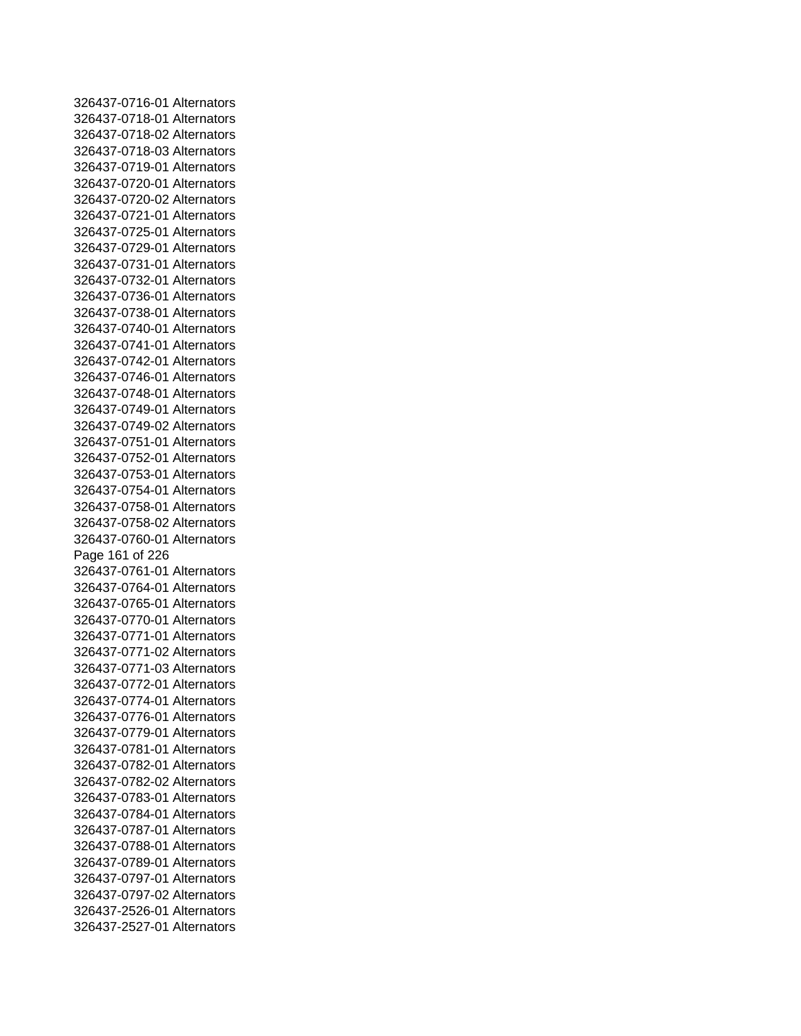326437-0716-01 Alternators 326437-0718-01 Alternators 326437-0718-02 Alternators 326437-0718-03 Alternators 326437-0719-01 Alternators 326437-0720-01 Alternators 326437-0720-02 Alternators 326437-0721-01 Alternators 326437-0725-01 Alternators 326437-0729-01 Alternators 326437-0731-01 Alternators 326437-0732-01 Alternators 326437-0736-01 Alternators 326437-0738-01 Alternators 326437-0740-01 Alternators 326437-0741-01 Alternators 326437-0742-01 Alternators 326437-0746-01 Alternators 326437-0748-01 Alternators 326437-0749-01 Alternators 326437-0749-02 Alternators 326437-0751-01 Alternators 326437-0752-01 Alternators 326437-0753-01 Alternators 326437-0754-01 Alternators 326437-0758-01 Alternators 326437-0758-02 Alternators 326437-0760-01 Alternators Page 161 of 226 326437-0761-01 Alternators 326437-0764-01 Alternators 326437-0765-01 Alternators 326437-0770-01 Alternators 326437-0771-01 Alternators 326437-0771-02 Alternators 326437-0771-03 Alternators 326437-0772-01 Alternators 326437-0774-01 Alternators 326437-0776-01 Alternators 326437-0779-01 Alternators 326437-0781-01 Alternators 326437-0782-01 Alternators 326437-0782-02 Alternators 326437-0783-01 Alternators 326437-0784-01 Alternators 326437-0787-01 Alternators 326437-0788-01 Alternators 326437-0789-01 Alternators 326437-0797-01 Alternators 326437-0797-02 Alternators 326437-2526-01 Alternators 326437-2527-01 Alternators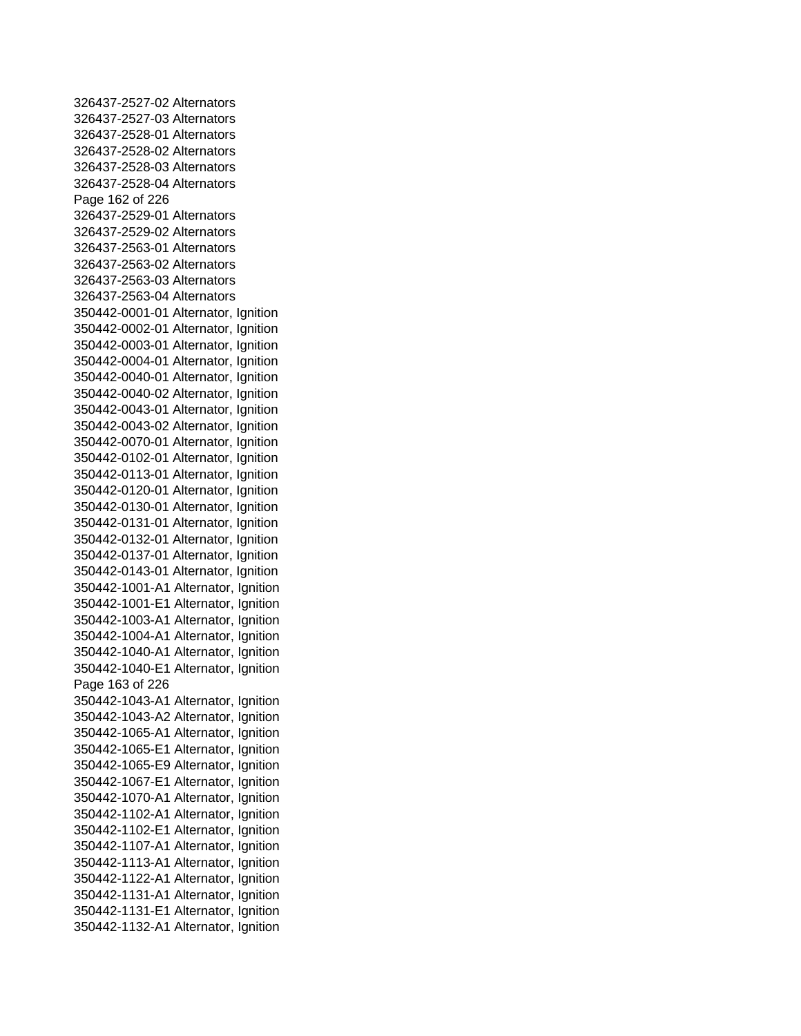326437-2527-02 Alternators 326437-2527-03 Alternators 326437-2528-01 Alternators 326437-2528-02 Alternators 326437-2528-03 Alternators 326437-2528-04 Alternators Page 162 of 226 326437-2529-01 Alternators 326437-2529-02 Alternators 326437-2563-01 Alternators 326437-2563-02 Alternators 326437-2563-03 Alternators 326437-2563-04 Alternators 350442-0001-01 Alternator, Ignition 350442-0002-01 Alternator, Ignition 350442-0003-01 Alternator, Ignition 350442-0004-01 Alternator, Ignition 350442-0040-01 Alternator, Ignition 350442-0040-02 Alternator, Ignition 350442-0043-01 Alternator, Ignition 350442-0043-02 Alternator, Ignition 350442-0070-01 Alternator, Ignition 350442-0102-01 Alternator, Ignition 350442-0113-01 Alternator, Ignition 350442-0120-01 Alternator, Ignition 350442-0130-01 Alternator, Ignition 350442-0131-01 Alternator, Ignition 350442-0132-01 Alternator, Ignition 350442-0137-01 Alternator, Ignition 350442-0143-01 Alternator, Ignition 350442-1001-A1 Alternator, Ignition 350442-1001-E1 Alternator, Ignition 350442-1003-A1 Alternator, Ignition 350442-1004-A1 Alternator, Ignition 350442-1040-A1 Alternator, Ignition 350442-1040-E1 Alternator, Ignition Page 163 of 226 350442-1043-A1 Alternator, Ignition 350442-1043-A2 Alternator, Ignition 350442-1065-A1 Alternator, Ignition 350442-1065-E1 Alternator, Ignition 350442-1065-E9 Alternator, Ignition 350442-1067-E1 Alternator, Ignition 350442-1070-A1 Alternator, Ignition 350442-1102-A1 Alternator, Ignition 350442-1102-E1 Alternator, Ignition 350442-1107-A1 Alternator, Ignition 350442-1113-A1 Alternator, Ignition 350442-1122-A1 Alternator, Ignition 350442-1131-A1 Alternator, Ignition 350442-1131-E1 Alternator, Ignition 350442-1132-A1 Alternator, Ignition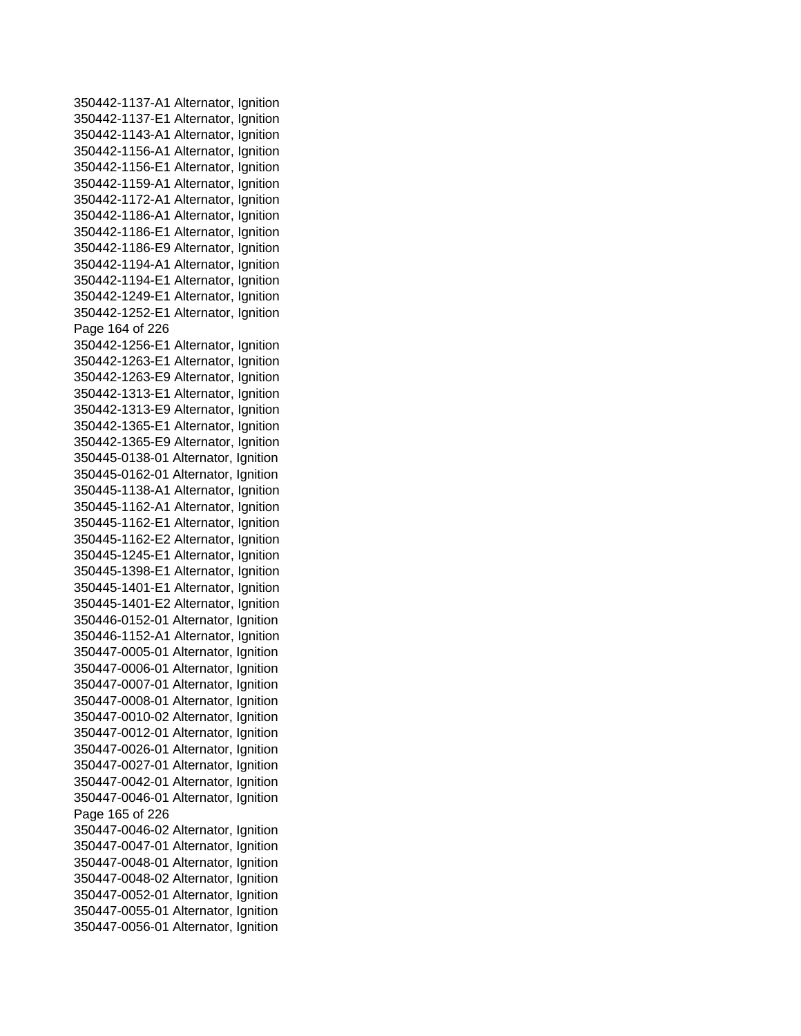350442-1137-A1 Alternator, Ignition 350442-1137-E1 Alternator, Ignition 350442-1143-A1 Alternator, Ignition 350442-1156-A1 Alternator, Ignition 350442-1156-E1 Alternator, Ignition 350442-1159-A1 Alternator, Ignition 350442-1172-A1 Alternator, Ignition 350442-1186-A1 Alternator, Ignition 350442-1186-E1 Alternator, Ignition 350442-1186-E9 Alternator, Ignition 350442-1194-A1 Alternator, Ignition 350442-1194-E1 Alternator, Ignition 350442-1249-E1 Alternator, Ignition 350442-1252-E1 Alternator, Ignition Page 164 of 226 350442-1256-E1 Alternator, Ignition 350442-1263-E1 Alternator, Ignition 350442-1263-E9 Alternator, Ignition 350442-1313-E1 Alternator, Ignition 350442-1313-E9 Alternator, Ignition 350442-1365-E1 Alternator, Ignition 350442-1365-E9 Alternator, Ignition 350445-0138-01 Alternator, Ignition 350445-0162-01 Alternator, Ignition 350445-1138-A1 Alternator, Ignition 350445-1162-A1 Alternator, Ignition 350445-1162-E1 Alternator, Ignition 350445-1162-E2 Alternator, Ignition 350445-1245-E1 Alternator, Ignition 350445-1398-E1 Alternator, Ignition 350445-1401-E1 Alternator, Ignition 350445-1401-E2 Alternator, Ignition 350446-0152-01 Alternator, Ignition 350446-1152-A1 Alternator, Ignition 350447-0005-01 Alternator, Ignition 350447-0006-01 Alternator, Ignition 350447-0007-01 Alternator, Ignition 350447-0008-01 Alternator, Ignition 350447-0010-02 Alternator, Ignition 350447-0012-01 Alternator, Ignition 350447-0026-01 Alternator, Ignition 350447-0027-01 Alternator, Ignition 350447-0042-01 Alternator, Ignition 350447-0046-01 Alternator, Ignition Page 165 of 226 350447-0046-02 Alternator, Ignition 350447-0047-01 Alternator, Ignition 350447-0048-01 Alternator, Ignition 350447-0048-02 Alternator, Ignition 350447-0052-01 Alternator, Ignition 350447-0055-01 Alternator, Ignition 350447-0056-01 Alternator, Ignition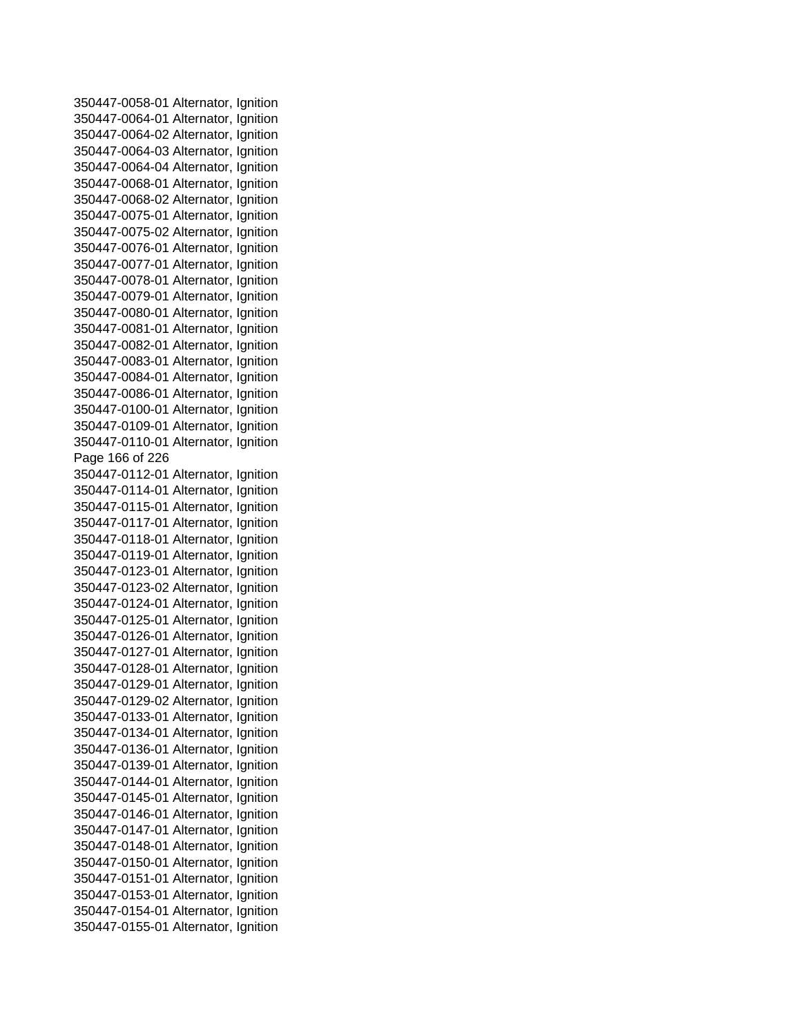350447-0058-01 Alternator, Ignition 350447-0064-01 Alternator, Ignition 350447-0064-02 Alternator, Ignition 350447-0064-03 Alternator, Ignition 350447-0064-04 Alternator, Ignition 350447-0068-01 Alternator, Ignition 350447-0068-02 Alternator, Ignition 350447-0075-01 Alternator, Ignition 350447-0075-02 Alternator, Ignition 350447-0076-01 Alternator, Ignition 350447-0077-01 Alternator, Ignition 350447-0078-01 Alternator, Ignition 350447-0079-01 Alternator, Ignition 350447-0080-01 Alternator, Ignition 350447-0081-01 Alternator, Ignition 350447-0082-01 Alternator, Ignition 350447-0083-01 Alternator, Ignition 350447-0084-01 Alternator, Ignition 350447-0086-01 Alternator, Ignition 350447-0100-01 Alternator, Ignition 350447-0109-01 Alternator, Ignition 350447-0110-01 Alternator, Ignition Page 166 of 226 350447-0112-01 Alternator, Ignition 350447-0114-01 Alternator, Ignition 350447-0115-01 Alternator, Ignition 350447-0117-01 Alternator, Ignition 350447-0118-01 Alternator, Ignition 350447-0119-01 Alternator, Ignition 350447-0123-01 Alternator, Ignition 350447-0123-02 Alternator, Ignition 350447-0124-01 Alternator, Ignition 350447-0125-01 Alternator, Ignition 350447-0126-01 Alternator, Ignition 350447-0127-01 Alternator, Ignition 350447-0128-01 Alternator, Ignition 350447-0129-01 Alternator, Ignition 350447-0129-02 Alternator, Ignition 350447-0133-01 Alternator, Ignition 350447-0134-01 Alternator, Ignition 350447-0136-01 Alternator, Ignition 350447-0139-01 Alternator, Ignition 350447-0144-01 Alternator, Ignition 350447-0145-01 Alternator, Ignition 350447-0146-01 Alternator, Ignition 350447-0147-01 Alternator, Ignition 350447-0148-01 Alternator, Ignition 350447-0150-01 Alternator, Ignition 350447-0151-01 Alternator, Ignition 350447-0153-01 Alternator, Ignition 350447-0154-01 Alternator, Ignition 350447-0155-01 Alternator, Ignition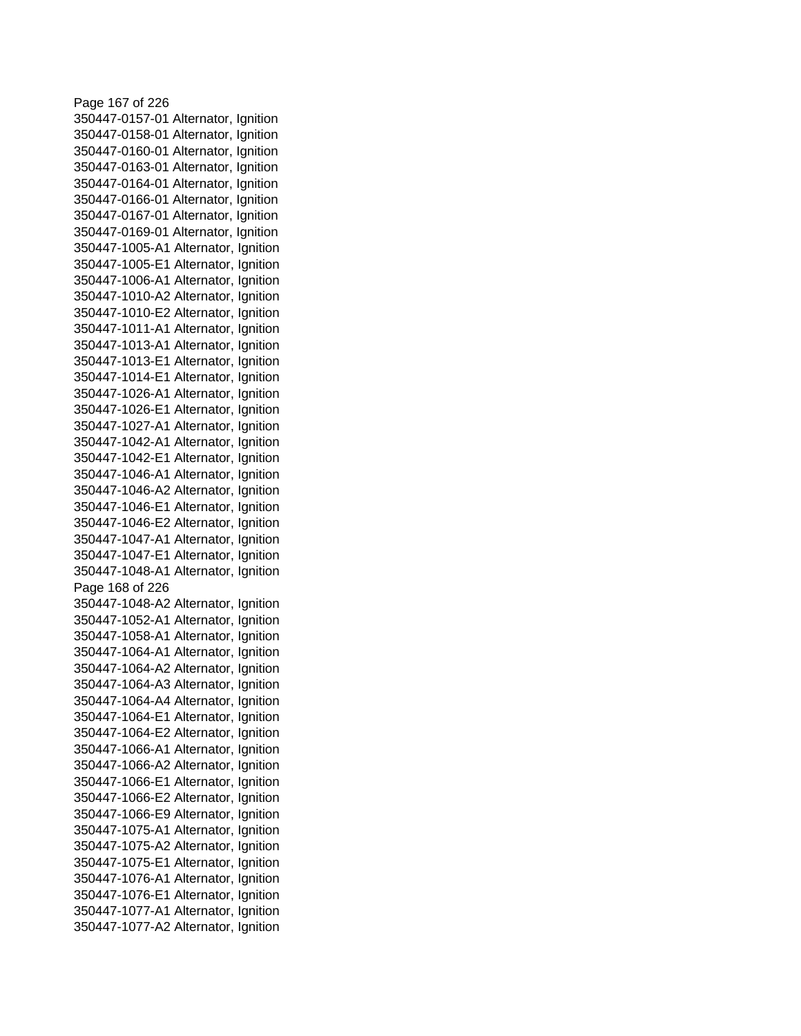Page 167 of 226 350447-0157-01 Alternator, Ignition 350447-0158-01 Alternator, Ignition 350447-0160-01 Alternator, Ignition 350447-0163-01 Alternator, Ignition 350447-0164-01 Alternator, Ignition 350447-0166-01 Alternator, Ignition 350447-0167-01 Alternator, Ignition 350447-0169-01 Alternator, Ignition 350447-1005-A1 Alternator, Ignition 350447-1005-E1 Alternator, Ignition 350447-1006-A1 Alternator, Ignition 350447-1010-A2 Alternator, Ignition 350447-1010-E2 Alternator, Ignition 350447-1011-A1 Alternator, Ignition 350447-1013-A1 Alternator, Ignition 350447-1013-E1 Alternator, Ignition 350447-1014-E1 Alternator, Ignition 350447-1026-A1 Alternator, Ignition 350447-1026-E1 Alternator, Ignition 350447-1027-A1 Alternator, Ignition 350447-1042-A1 Alternator, Ignition 350447-1042-E1 Alternator, Ignition 350447-1046-A1 Alternator, Ignition 350447-1046-A2 Alternator, Ignition 350447-1046-E1 Alternator, Ignition 350447-1046-E2 Alternator, Ignition 350447-1047-A1 Alternator, Ignition 350447-1047-E1 Alternator, Ignition 350447-1048-A1 Alternator, Ignition Page 168 of 226 350447-1048-A2 Alternator, Ignition 350447-1052-A1 Alternator, Ignition 350447-1058-A1 Alternator, Ignition 350447-1064-A1 Alternator, Ignition 350447-1064-A2 Alternator, Ignition 350447-1064-A3 Alternator, Ignition 350447-1064-A4 Alternator, Ignition 350447-1064-E1 Alternator, Ignition 350447-1064-E2 Alternator, Ignition 350447-1066-A1 Alternator, Ignition 350447-1066-A2 Alternator, Ignition 350447-1066-E1 Alternator, Ignition 350447-1066-E2 Alternator, Ignition 350447-1066-E9 Alternator, Ignition 350447-1075-A1 Alternator, Ignition 350447-1075-A2 Alternator, Ignition 350447-1075-E1 Alternator, Ignition 350447-1076-A1 Alternator, Ignition 350447-1076-E1 Alternator, Ignition 350447-1077-A1 Alternator, Ignition 350447-1077-A2 Alternator, Ignition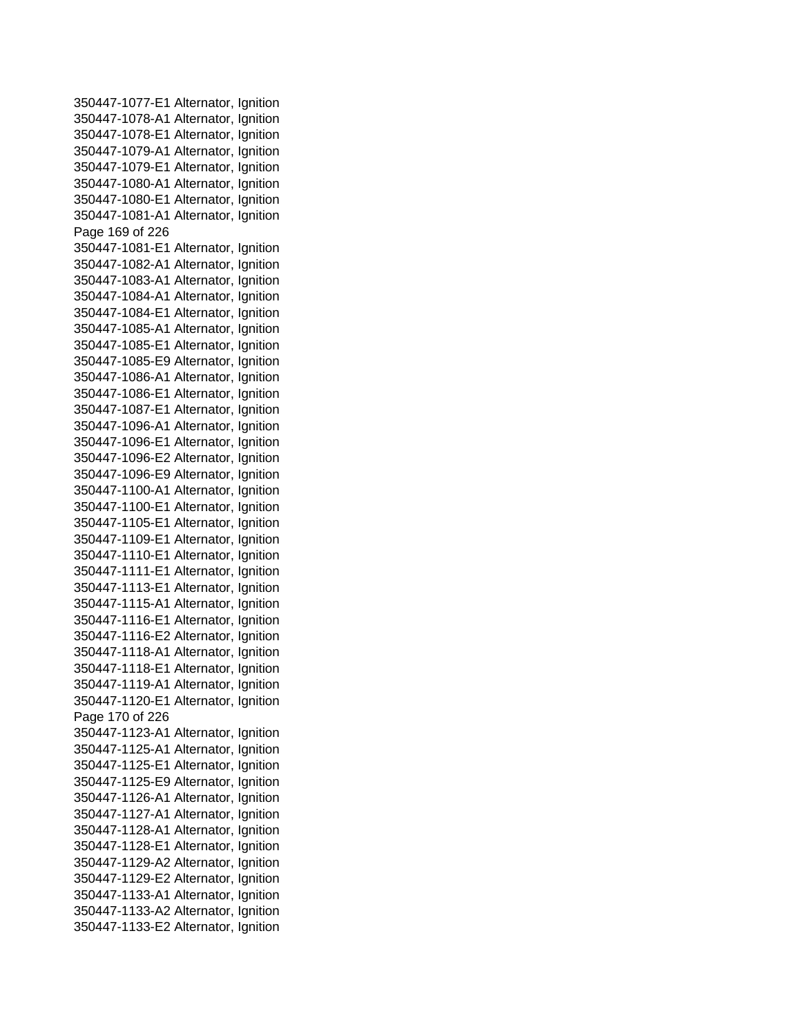350447-1077-E1 Alternator, Ignition 350447-1078-A1 Alternator, Ignition 350447-1078-E1 Alternator, Ignition 350447-1079-A1 Alternator, Ignition 350447-1079-E1 Alternator, Ignition 350447-1080-A1 Alternator, Ignition 350447-1080-E1 Alternator, Ignition 350447-1081-A1 Alternator, Ignition Page 169 of 226 350447-1081-E1 Alternator, Ignition 350447-1082-A1 Alternator, Ignition 350447-1083-A1 Alternator, Ignition 350447-1084-A1 Alternator, Ignition 350447-1084-E1 Alternator, Ignition 350447-1085-A1 Alternator, Ignition 350447-1085-E1 Alternator, Ignition 350447-1085-E9 Alternator, Ignition 350447-1086-A1 Alternator, Ignition 350447-1086-E1 Alternator, Ignition 350447-1087-E1 Alternator, Ignition 350447-1096-A1 Alternator, Ignition 350447-1096-E1 Alternator, Ignition 350447-1096-E2 Alternator, Ignition 350447-1096-E9 Alternator, Ignition 350447-1100-A1 Alternator, Ignition 350447-1100-E1 Alternator, Ignition 350447-1105-E1 Alternator, Ignition 350447-1109-E1 Alternator, Ignition 350447-1110-E1 Alternator, Ignition 350447-1111-E1 Alternator, Ignition 350447-1113-E1 Alternator, Ignition 350447-1115-A1 Alternator, Ignition 350447-1116-E1 Alternator, Ignition 350447-1116-E2 Alternator, Ignition 350447-1118-A1 Alternator, Ignition 350447-1118-E1 Alternator, Ignition 350447-1119-A1 Alternator, Ignition 350447-1120-E1 Alternator, Ignition Page 170 of 226 350447-1123-A1 Alternator, Ignition 350447-1125-A1 Alternator, Ignition 350447-1125-E1 Alternator, Ignition 350447-1125-E9 Alternator, Ignition 350447-1126-A1 Alternator, Ignition 350447-1127-A1 Alternator, Ignition 350447-1128-A1 Alternator, Ignition 350447-1128-E1 Alternator, Ignition 350447-1129-A2 Alternator, Ignition 350447-1129-E2 Alternator, Ignition 350447-1133-A1 Alternator, Ignition 350447-1133-A2 Alternator, Ignition 350447-1133-E2 Alternator, Ignition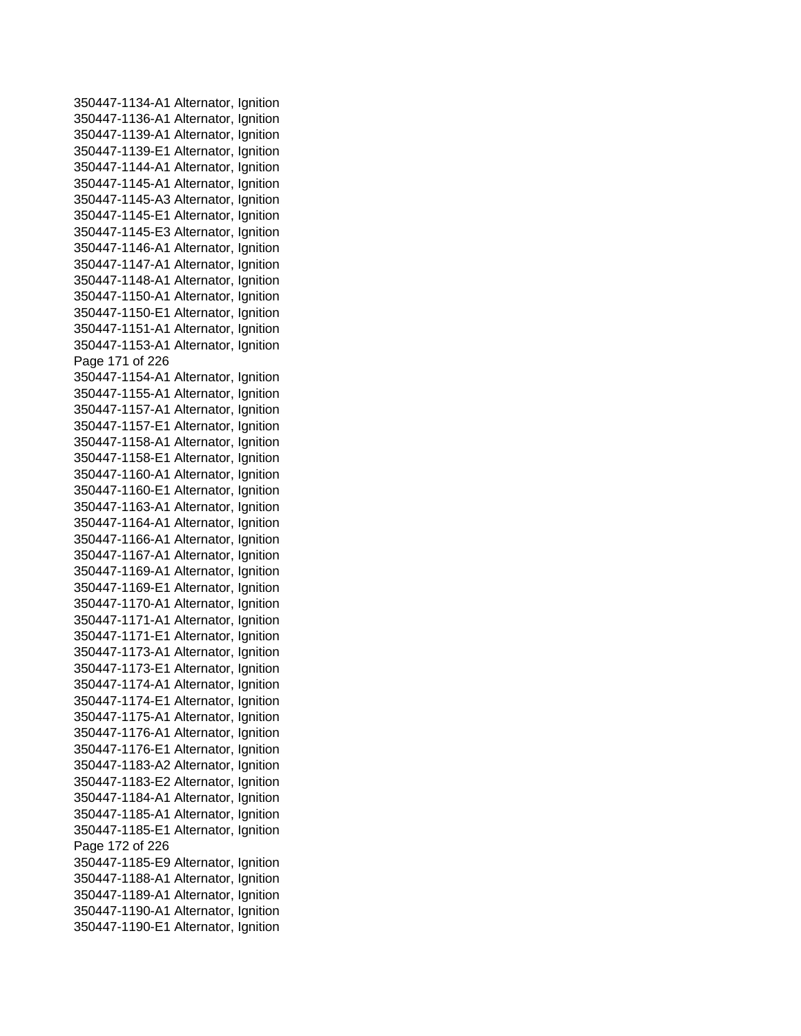350447-1134-A1 Alternator, Ignition 350447-1136-A1 Alternator, Ignition 350447-1139-A1 Alternator, Ignition 350447-1139-E1 Alternator, Ignition 350447-1144-A1 Alternator, Ignition 350447-1145-A1 Alternator, Ignition 350447-1145-A3 Alternator, Ignition 350447-1145-E1 Alternator, Ignition 350447-1145-E3 Alternator, Ignition 350447-1146-A1 Alternator, Ignition 350447-1147-A1 Alternator, Ignition 350447-1148-A1 Alternator, Ignition 350447-1150-A1 Alternator, Ignition 350447-1150-E1 Alternator, Ignition 350447-1151-A1 Alternator, Ignition 350447-1153-A1 Alternator, Ignition Page 171 of 226 350447-1154-A1 Alternator, Ignition 350447-1155-A1 Alternator, Ignition 350447-1157-A1 Alternator, Ignition 350447-1157-E1 Alternator, Ignition 350447-1158-A1 Alternator, Ignition 350447-1158-E1 Alternator, Ignition 350447-1160-A1 Alternator, Ignition 350447-1160-E1 Alternator, Ignition 350447-1163-A1 Alternator, Ignition 350447-1164-A1 Alternator, Ignition 350447-1166-A1 Alternator, Ignition 350447-1167-A1 Alternator, Ignition 350447-1169-A1 Alternator, Ignition 350447-1169-E1 Alternator, Ignition 350447-1170-A1 Alternator, Ignition 350447-1171-A1 Alternator, Ignition 350447-1171-E1 Alternator, Ignition 350447-1173-A1 Alternator, Ignition 350447-1173-E1 Alternator, Ignition 350447-1174-A1 Alternator, Ignition 350447-1174-E1 Alternator, Ignition 350447-1175-A1 Alternator, Ignition 350447-1176-A1 Alternator, Ignition 350447-1176-E1 Alternator, Ignition 350447-1183-A2 Alternator, Ignition 350447-1183-E2 Alternator, Ignition 350447-1184-A1 Alternator, Ignition 350447-1185-A1 Alternator, Ignition 350447-1185-E1 Alternator, Ignition Page 172 of 226 350447-1185-E9 Alternator, Ignition 350447-1188-A1 Alternator, Ignition 350447-1189-A1 Alternator, Ignition 350447-1190-A1 Alternator, Ignition 350447-1190-E1 Alternator, Ignition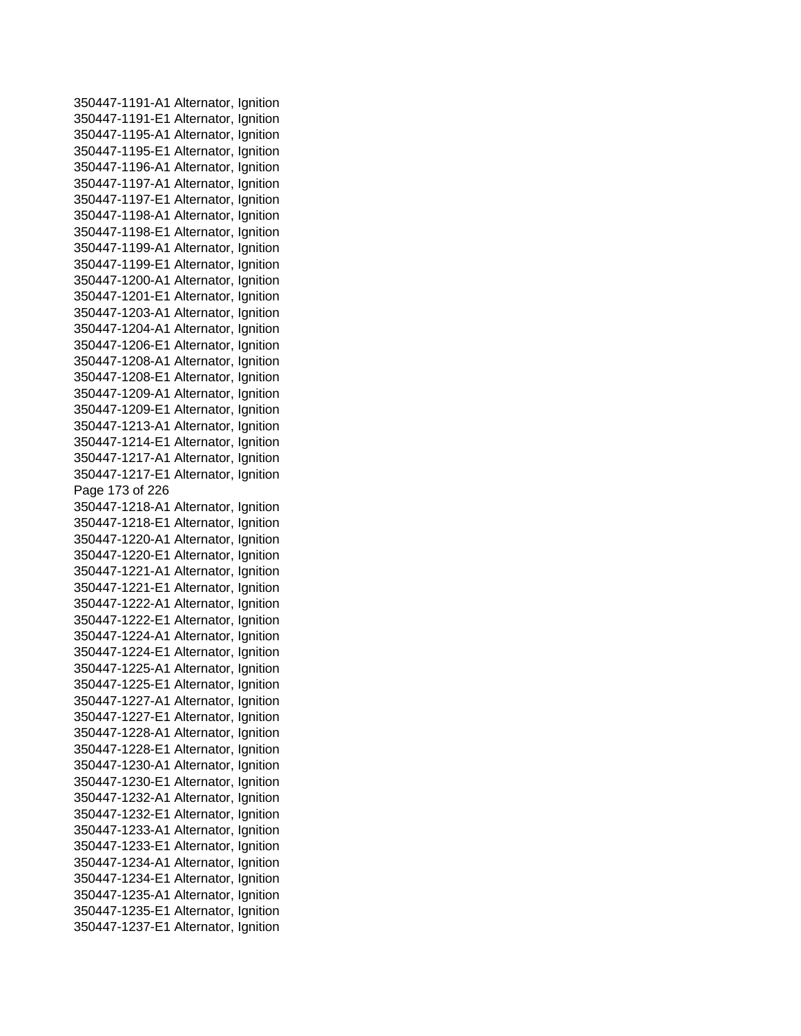350447-1191-A1 Alternator, Ignition 350447-1191-E1 Alternator, Ignition 350447-1195-A1 Alternator, Ignition 350447-1195-E1 Alternator, Ignition 350447-1196-A1 Alternator, Ignition 350447-1197-A1 Alternator, Ignition 350447-1197-E1 Alternator, Ignition 350447-1198-A1 Alternator, Ignition 350447-1198-E1 Alternator, Ignition 350447-1199-A1 Alternator, Ignition 350447-1199-E1 Alternator, Ignition 350447-1200-A1 Alternator, Ignition 350447-1201-E1 Alternator, Ignition 350447-1203-A1 Alternator, Ignition 350447-1204-A1 Alternator, Ignition 350447-1206-E1 Alternator, Ignition 350447-1208-A1 Alternator, Ignition 350447-1208-E1 Alternator, Ignition 350447-1209-A1 Alternator, Ignition 350447-1209-E1 Alternator, Ignition 350447-1213-A1 Alternator, Ignition 350447-1214-E1 Alternator, Ignition 350447-1217-A1 Alternator, Ignition 350447-1217-E1 Alternator, Ignition Page 173 of 226 350447-1218-A1 Alternator, Ignition 350447-1218-E1 Alternator, Ignition 350447-1220-A1 Alternator, Ignition 350447-1220-E1 Alternator, Ignition 350447-1221-A1 Alternator, Ignition 350447-1221-E1 Alternator, Ignition 350447-1222-A1 Alternator, Ignition 350447-1222-E1 Alternator, Ignition 350447-1224-A1 Alternator, Ignition 350447-1224-E1 Alternator, Ignition 350447-1225-A1 Alternator, Ignition 350447-1225-E1 Alternator, Ignition 350447-1227-A1 Alternator, Ignition 350447-1227-E1 Alternator, Ignition 350447-1228-A1 Alternator, Ignition 350447-1228-E1 Alternator, Ignition 350447-1230-A1 Alternator, Ignition 350447-1230-E1 Alternator, Ignition 350447-1232-A1 Alternator, Ignition 350447-1232-E1 Alternator, Ignition 350447-1233-A1 Alternator, Ignition 350447-1233-E1 Alternator, Ignition 350447-1234-A1 Alternator, Ignition 350447-1234-E1 Alternator, Ignition 350447-1235-A1 Alternator, Ignition 350447-1235-E1 Alternator, Ignition 350447-1237-E1 Alternator, Ignition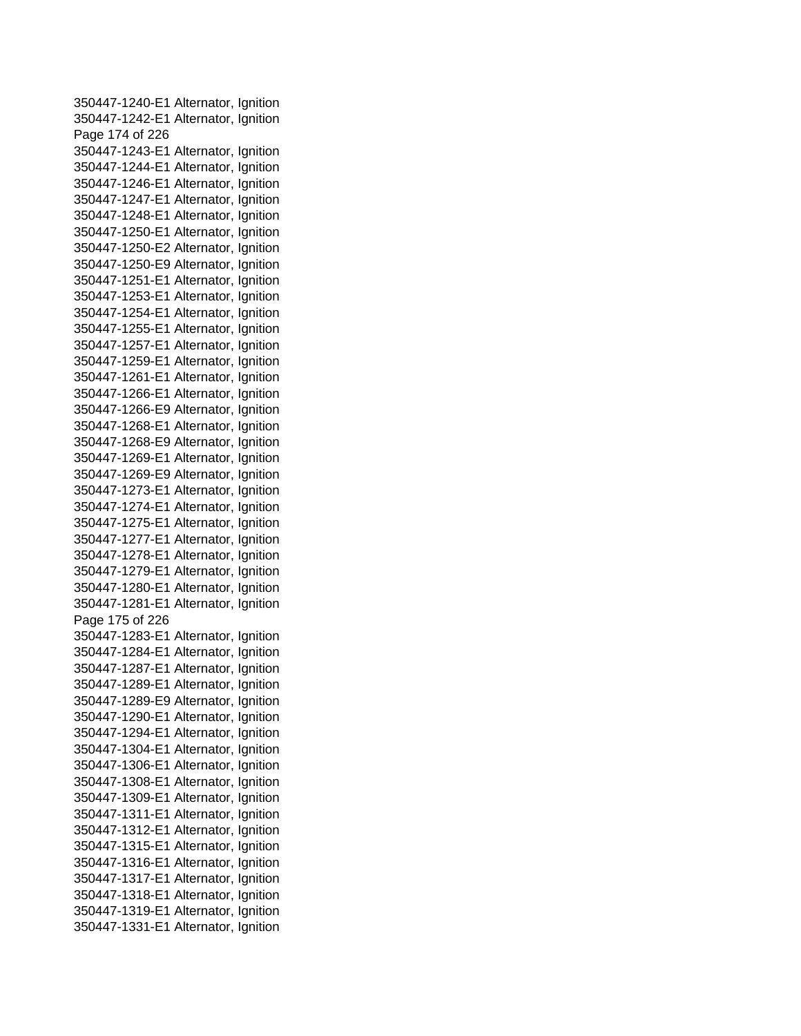350447-1240-E1 Alternator, Ignition 350447-1242-E1 Alternator, Ignition Page 174 of 226 350447-1243-E1 Alternator, Ignition 350447-1244-E1 Alternator, Ignition 350447-1246-E1 Alternator, Ignition 350447-1247-E1 Alternator, Ignition 350447-1248-E1 Alternator, Ignition 350447-1250-E1 Alternator, Ignition 350447-1250-E2 Alternator, Ignition 350447-1250-E9 Alternator, Ignition 350447-1251-E1 Alternator, Ignition 350447-1253-E1 Alternator, Ignition 350447-1254-E1 Alternator, Ignition 350447-1255-E1 Alternator, Ignition 350447-1257-E1 Alternator, Ignition 350447-1259-E1 Alternator, Ignition 350447-1261-E1 Alternator, Ignition 350447-1266-E1 Alternator, Ignition 350447-1266-E9 Alternator, Ignition 350447-1268-E1 Alternator, Ignition 350447-1268-E9 Alternator, Ignition 350447-1269-E1 Alternator, Ignition 350447-1269-E9 Alternator, Ignition 350447-1273-E1 Alternator, Ignition 350447-1274-E1 Alternator, Ignition 350447-1275-E1 Alternator, Ignition 350447-1277-E1 Alternator, Ignition 350447-1278-E1 Alternator, Ignition 350447-1279-E1 Alternator, Ignition 350447-1280-E1 Alternator, Ignition 350447-1281-E1 Alternator, Ignition Page 175 of 226 350447-1283-E1 Alternator, Ignition 350447-1284-E1 Alternator, Ignition 350447-1287-E1 Alternator, Ignition 350447-1289-E1 Alternator, Ignition 350447-1289-E9 Alternator, Ignition 350447-1290-E1 Alternator, Ignition 350447-1294-E1 Alternator, Ignition 350447-1304-E1 Alternator, Ignition 350447-1306-E1 Alternator, Ignition 350447-1308-E1 Alternator, Ignition 350447-1309-E1 Alternator, Ignition 350447-1311-E1 Alternator, Ignition 350447-1312-E1 Alternator, Ignition 350447-1315-E1 Alternator, Ignition 350447-1316-E1 Alternator, Ignition 350447-1317-E1 Alternator, Ignition 350447-1318-E1 Alternator, Ignition 350447-1319-E1 Alternator, Ignition 350447-1331-E1 Alternator, Ignition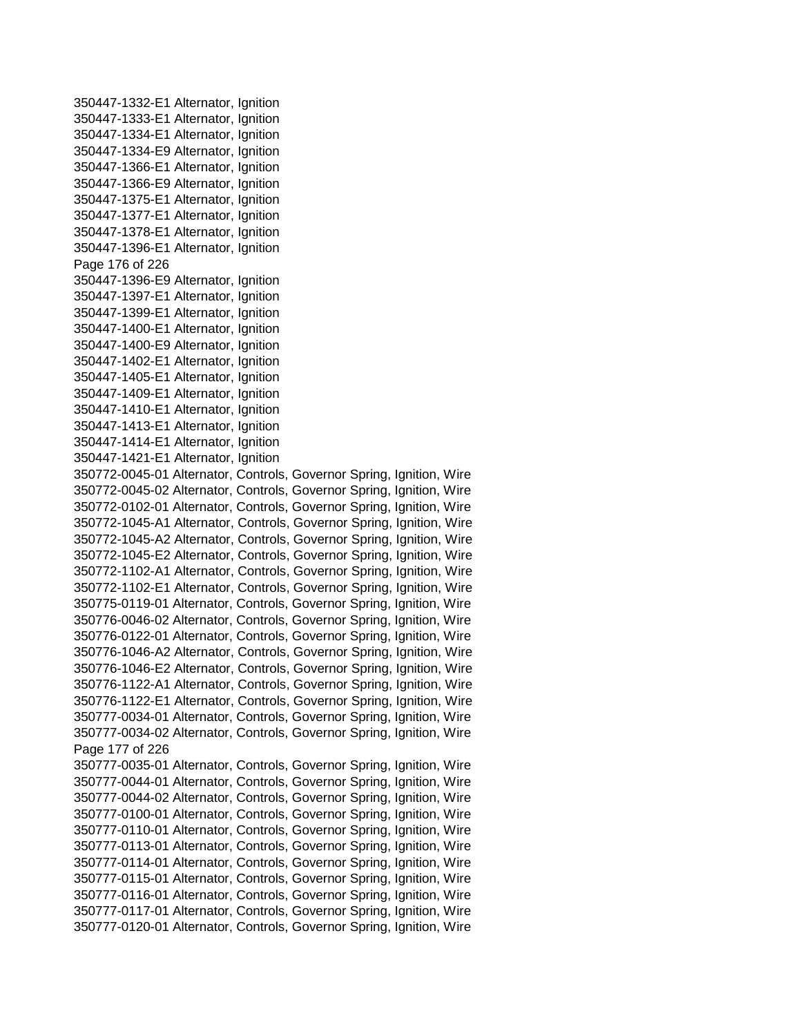350447-1332-E1 Alternator, Ignition 350447-1333-E1 Alternator, Ignition 350447-1334-E1 Alternator, Ignition 350447-1334-E9 Alternator, Ignition 350447-1366-E1 Alternator, Ignition 350447-1366-E9 Alternator, Ignition 350447-1375-E1 Alternator, Ignition 350447-1377-E1 Alternator, Ignition 350447-1378-E1 Alternator, Ignition 350447-1396-E1 Alternator, Ignition Page 176 of 226 350447-1396-E9 Alternator, Ignition 350447-1397-E1 Alternator, Ignition 350447-1399-E1 Alternator, Ignition 350447-1400-E1 Alternator, Ignition 350447-1400-E9 Alternator, Ignition 350447-1402-E1 Alternator, Ignition 350447-1405-E1 Alternator, Ignition 350447-1409-E1 Alternator, Ignition 350447-1410-E1 Alternator, Ignition 350447-1413-E1 Alternator, Ignition 350447-1414-E1 Alternator, Ignition 350447-1421-E1 Alternator, Ignition 350772-0045-01 Alternator, Controls, Governor Spring, Ignition, Wire 350772-0045-02 Alternator, Controls, Governor Spring, Ignition, Wire 350772-0102-01 Alternator, Controls, Governor Spring, Ignition, Wire 350772-1045-A1 Alternator, Controls, Governor Spring, Ignition, Wire 350772-1045-A2 Alternator, Controls, Governor Spring, Ignition, Wire 350772-1045-E2 Alternator, Controls, Governor Spring, Ignition, Wire 350772-1102-A1 Alternator, Controls, Governor Spring, Ignition, Wire 350772-1102-E1 Alternator, Controls, Governor Spring, Ignition, Wire 350775-0119-01 Alternator, Controls, Governor Spring, Ignition, Wire 350776-0046-02 Alternator, Controls, Governor Spring, Ignition, Wire 350776-0122-01 Alternator, Controls, Governor Spring, Ignition, Wire 350776-1046-A2 Alternator, Controls, Governor Spring, Ignition, Wire 350776-1046-E2 Alternator, Controls, Governor Spring, Ignition, Wire 350776-1122-A1 Alternator, Controls, Governor Spring, Ignition, Wire 350776-1122-E1 Alternator, Controls, Governor Spring, Ignition, Wire 350777-0034-01 Alternator, Controls, Governor Spring, Ignition, Wire 350777-0034-02 Alternator, Controls, Governor Spring, Ignition, Wire Page 177 of 226 350777-0035-01 Alternator, Controls, Governor Spring, Ignition, Wire 350777-0044-01 Alternator, Controls, Governor Spring, Ignition, Wire 350777-0044-02 Alternator, Controls, Governor Spring, Ignition, Wire 350777-0100-01 Alternator, Controls, Governor Spring, Ignition, Wire 350777-0110-01 Alternator, Controls, Governor Spring, Ignition, Wire 350777-0113-01 Alternator, Controls, Governor Spring, Ignition, Wire 350777-0114-01 Alternator, Controls, Governor Spring, Ignition, Wire 350777-0115-01 Alternator, Controls, Governor Spring, Ignition, Wire 350777-0116-01 Alternator, Controls, Governor Spring, Ignition, Wire 350777-0117-01 Alternator, Controls, Governor Spring, Ignition, Wire 350777-0120-01 Alternator, Controls, Governor Spring, Ignition, Wire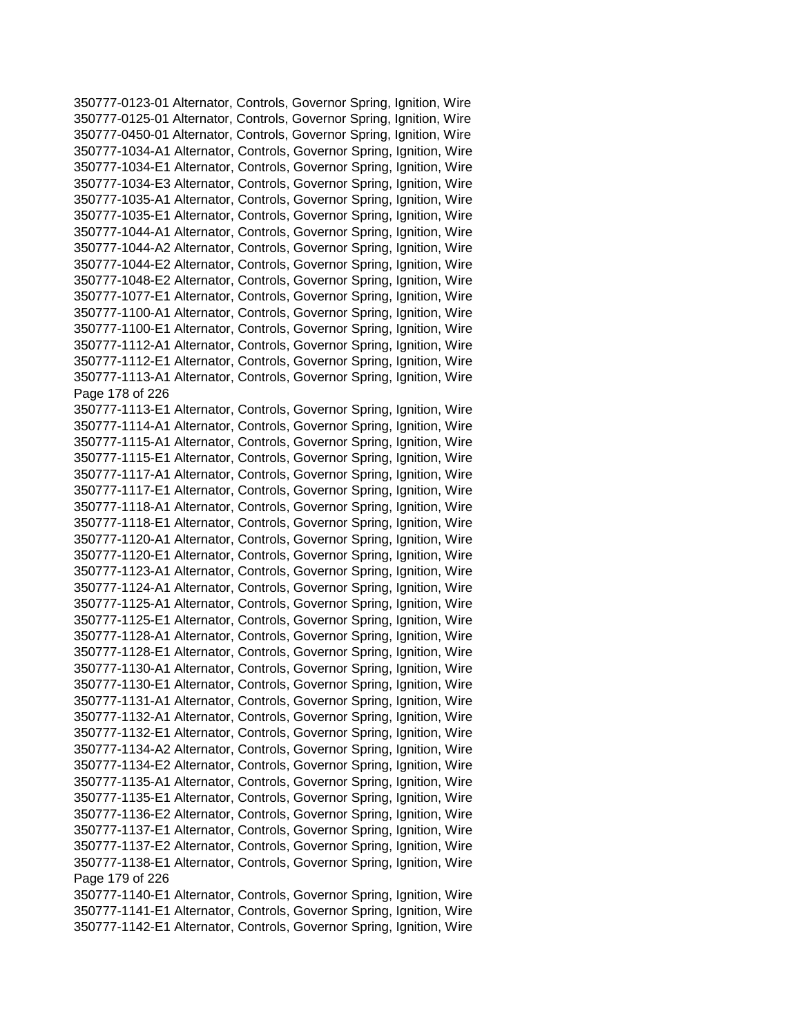350777-0123-01 Alternator, Controls, Governor Spring, Ignition, Wire 350777-0125-01 Alternator, Controls, Governor Spring, Ignition, Wire 350777-0450-01 Alternator, Controls, Governor Spring, Ignition, Wire 350777-1034-A1 Alternator, Controls, Governor Spring, Ignition, Wire 350777-1034-E1 Alternator, Controls, Governor Spring, Ignition, Wire 350777-1034-E3 Alternator, Controls, Governor Spring, Ignition, Wire 350777-1035-A1 Alternator, Controls, Governor Spring, Ignition, Wire 350777-1035-E1 Alternator, Controls, Governor Spring, Ignition, Wire 350777-1044-A1 Alternator, Controls, Governor Spring, Ignition, Wire 350777-1044-A2 Alternator, Controls, Governor Spring, Ignition, Wire 350777-1044-E2 Alternator, Controls, Governor Spring, Ignition, Wire 350777-1048-E2 Alternator, Controls, Governor Spring, Ignition, Wire 350777-1077-E1 Alternator, Controls, Governor Spring, Ignition, Wire 350777-1100-A1 Alternator, Controls, Governor Spring, Ignition, Wire 350777-1100-E1 Alternator, Controls, Governor Spring, Ignition, Wire 350777-1112-A1 Alternator, Controls, Governor Spring, Ignition, Wire 350777-1112-E1 Alternator, Controls, Governor Spring, Ignition, Wire 350777-1113-A1 Alternator, Controls, Governor Spring, Ignition, Wire Page 178 of 226 350777-1113-E1 Alternator, Controls, Governor Spring, Ignition, Wire 350777-1114-A1 Alternator, Controls, Governor Spring, Ignition, Wire 350777-1115-A1 Alternator, Controls, Governor Spring, Ignition, Wire 350777-1115-E1 Alternator, Controls, Governor Spring, Ignition, Wire 350777-1117-A1 Alternator, Controls, Governor Spring, Ignition, Wire 350777-1117-E1 Alternator, Controls, Governor Spring, Ignition, Wire 350777-1118-A1 Alternator, Controls, Governor Spring, Ignition, Wire 350777-1118-E1 Alternator, Controls, Governor Spring, Ignition, Wire 350777-1120-A1 Alternator, Controls, Governor Spring, Ignition, Wire 350777-1120-E1 Alternator, Controls, Governor Spring, Ignition, Wire 350777-1123-A1 Alternator, Controls, Governor Spring, Ignition, Wire 350777-1124-A1 Alternator, Controls, Governor Spring, Ignition, Wire 350777-1125-A1 Alternator, Controls, Governor Spring, Ignition, Wire 350777-1125-E1 Alternator, Controls, Governor Spring, Ignition, Wire 350777-1128-A1 Alternator, Controls, Governor Spring, Ignition, Wire 350777-1128-E1 Alternator, Controls, Governor Spring, Ignition, Wire 350777-1130-A1 Alternator, Controls, Governor Spring, Ignition, Wire 350777-1130-E1 Alternator, Controls, Governor Spring, Ignition, Wire 350777-1131-A1 Alternator, Controls, Governor Spring, Ignition, Wire 350777-1132-A1 Alternator, Controls, Governor Spring, Ignition, Wire 350777-1132-E1 Alternator, Controls, Governor Spring, Ignition, Wire 350777-1134-A2 Alternator, Controls, Governor Spring, Ignition, Wire 350777-1134-E2 Alternator, Controls, Governor Spring, Ignition, Wire 350777-1135-A1 Alternator, Controls, Governor Spring, Ignition, Wire 350777-1135-E1 Alternator, Controls, Governor Spring, Ignition, Wire 350777-1136-E2 Alternator, Controls, Governor Spring, Ignition, Wire 350777-1137-E1 Alternator, Controls, Governor Spring, Ignition, Wire 350777-1137-E2 Alternator, Controls, Governor Spring, Ignition, Wire 350777-1138-E1 Alternator, Controls, Governor Spring, Ignition, Wire Page 179 of 226 350777-1140-E1 Alternator, Controls, Governor Spring, Ignition, Wire 350777-1141-E1 Alternator, Controls, Governor Spring, Ignition, Wire 350777-1142-E1 Alternator, Controls, Governor Spring, Ignition, Wire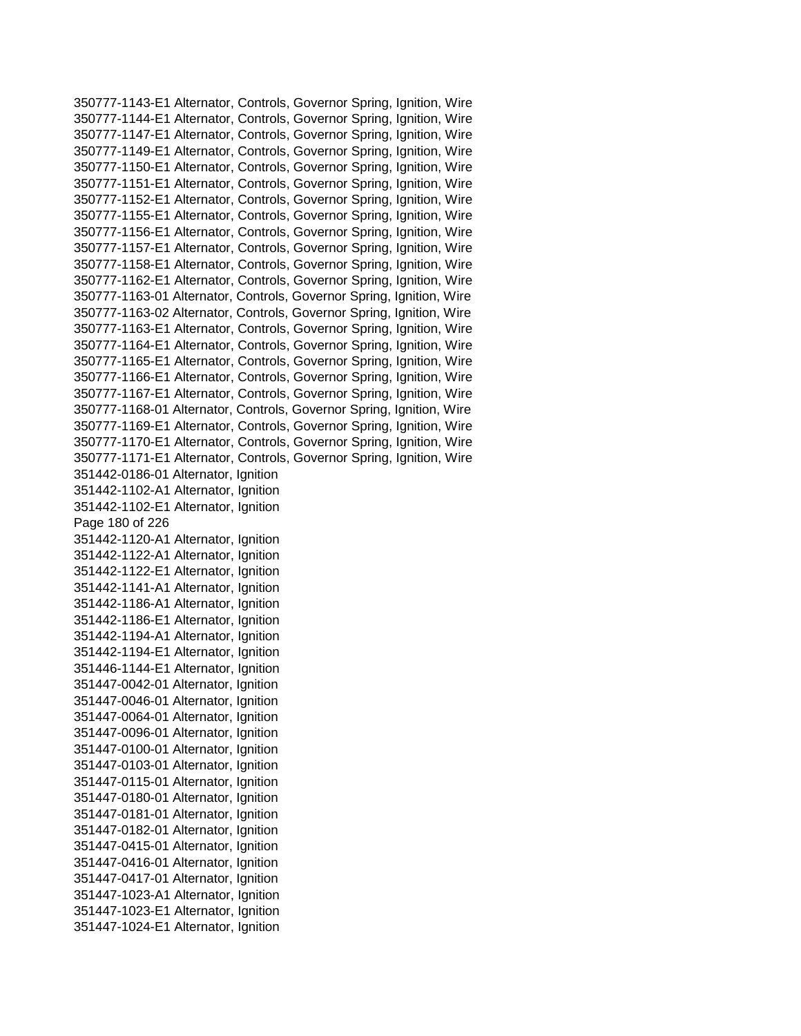350777-1143-E1 Alternator, Controls, Governor Spring, Ignition, Wire 350777-1144-E1 Alternator, Controls, Governor Spring, Ignition, Wire 350777-1147-E1 Alternator, Controls, Governor Spring, Ignition, Wire 350777-1149-E1 Alternator, Controls, Governor Spring, Ignition, Wire 350777-1150-E1 Alternator, Controls, Governor Spring, Ignition, Wire 350777-1151-E1 Alternator, Controls, Governor Spring, Ignition, Wire 350777-1152-E1 Alternator, Controls, Governor Spring, Ignition, Wire 350777-1155-E1 Alternator, Controls, Governor Spring, Ignition, Wire 350777-1156-E1 Alternator, Controls, Governor Spring, Ignition, Wire 350777-1157-E1 Alternator, Controls, Governor Spring, Ignition, Wire 350777-1158-E1 Alternator, Controls, Governor Spring, Ignition, Wire 350777-1162-E1 Alternator, Controls, Governor Spring, Ignition, Wire 350777-1163-01 Alternator, Controls, Governor Spring, Ignition, Wire 350777-1163-02 Alternator, Controls, Governor Spring, Ignition, Wire 350777-1163-E1 Alternator, Controls, Governor Spring, Ignition, Wire 350777-1164-E1 Alternator, Controls, Governor Spring, Ignition, Wire 350777-1165-E1 Alternator, Controls, Governor Spring, Ignition, Wire 350777-1166-E1 Alternator, Controls, Governor Spring, Ignition, Wire 350777-1167-E1 Alternator, Controls, Governor Spring, Ignition, Wire 350777-1168-01 Alternator, Controls, Governor Spring, Ignition, Wire 350777-1169-E1 Alternator, Controls, Governor Spring, Ignition, Wire 350777-1170-E1 Alternator, Controls, Governor Spring, Ignition, Wire 350777-1171-E1 Alternator, Controls, Governor Spring, Ignition, Wire 351442-0186-01 Alternator, Ignition 351442-1102-A1 Alternator, Ignition 351442-1102-E1 Alternator, Ignition Page 180 of 226 351442-1120-A1 Alternator, Ignition 351442-1122-A1 Alternator, Ignition 351442-1122-E1 Alternator, Ignition 351442-1141-A1 Alternator, Ignition 351442-1186-A1 Alternator, Ignition 351442-1186-E1 Alternator, Ignition 351442-1194-A1 Alternator, Ignition 351442-1194-E1 Alternator, Ignition 351446-1144-E1 Alternator, Ignition 351447-0042-01 Alternator, Ignition 351447-0046-01 Alternator, Ignition 351447-0064-01 Alternator, Ignition 351447-0096-01 Alternator, Ignition 351447-0100-01 Alternator, Ignition 351447-0103-01 Alternator, Ignition 351447-0115-01 Alternator, Ignition 351447-0180-01 Alternator, Ignition 351447-0181-01 Alternator, Ignition 351447-0182-01 Alternator, Ignition 351447-0415-01 Alternator, Ignition 351447-0416-01 Alternator, Ignition 351447-0417-01 Alternator, Ignition 351447-1023-A1 Alternator, Ignition 351447-1023-E1 Alternator, Ignition 351447-1024-E1 Alternator, Ignition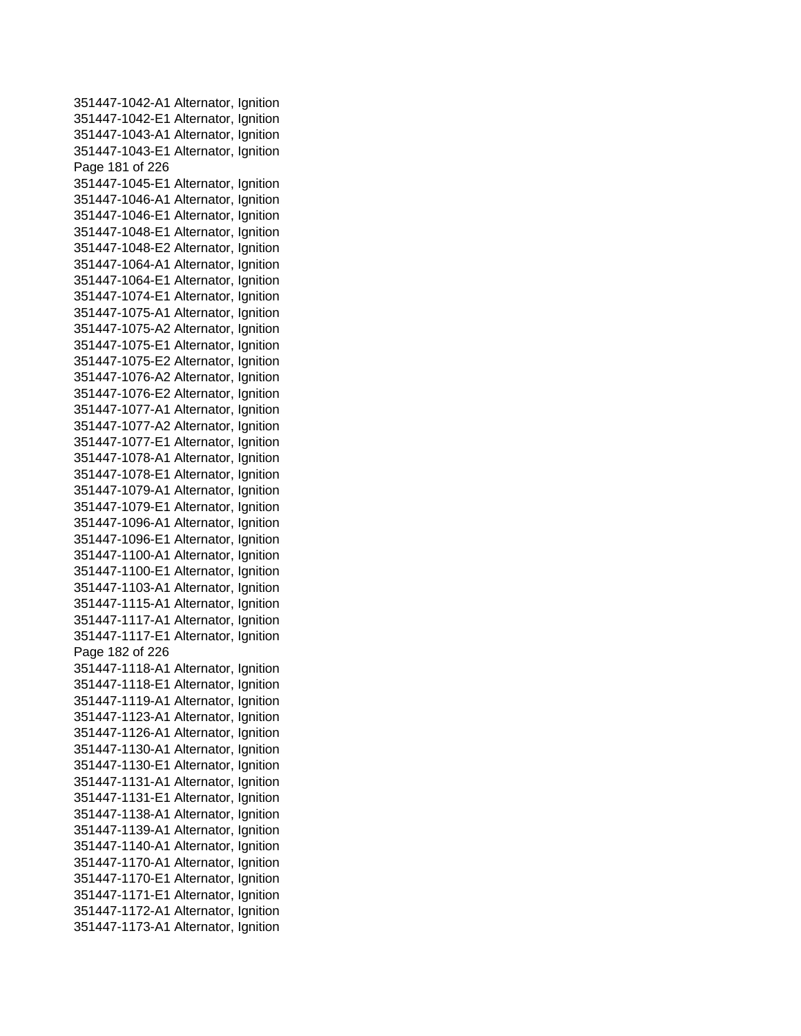351447-1042-A1 Alternator, Ignition 351447-1042-E1 Alternator, Ignition 351447-1043-A1 Alternator, Ignition 351447-1043-E1 Alternator, Ignition Page 181 of 226 351447-1045-E1 Alternator, Ignition 351447-1046-A1 Alternator, Ignition 351447-1046-E1 Alternator, Ignition 351447-1048-E1 Alternator, Ignition 351447-1048-E2 Alternator, Ignition 351447-1064-A1 Alternator, Ignition 351447-1064-E1 Alternator, Ignition 351447-1074-E1 Alternator, Ignition 351447-1075-A1 Alternator, Ignition 351447-1075-A2 Alternator, Ignition 351447-1075-E1 Alternator, Ignition 351447-1075-E2 Alternator, Ignition 351447-1076-A2 Alternator, Ignition 351447-1076-E2 Alternator, Ignition 351447-1077-A1 Alternator, Ignition 351447-1077-A2 Alternator, Ignition 351447-1077-E1 Alternator, Ignition 351447-1078-A1 Alternator, Ignition 351447-1078-E1 Alternator, Ignition 351447-1079-A1 Alternator, Ignition 351447-1079-E1 Alternator, Ignition 351447-1096-A1 Alternator, Ignition 351447-1096-E1 Alternator, Ignition 351447-1100-A1 Alternator, Ignition 351447-1100-E1 Alternator, Ignition 351447-1103-A1 Alternator, Ignition 351447-1115-A1 Alternator, Ignition 351447-1117-A1 Alternator, Ignition 351447-1117-E1 Alternator, Ignition Page 182 of 226 351447-1118-A1 Alternator, Ignition 351447-1118-E1 Alternator, Ignition 351447-1119-A1 Alternator, Ignition 351447-1123-A1 Alternator, Ignition 351447-1126-A1 Alternator, Ignition 351447-1130-A1 Alternator, Ignition 351447-1130-E1 Alternator, Ignition 351447-1131-A1 Alternator, Ignition 351447-1131-E1 Alternator, Ignition 351447-1138-A1 Alternator, Ignition 351447-1139-A1 Alternator, Ignition 351447-1140-A1 Alternator, Ignition 351447-1170-A1 Alternator, Ignition 351447-1170-E1 Alternator, Ignition 351447-1171-E1 Alternator, Ignition 351447-1172-A1 Alternator, Ignition 351447-1173-A1 Alternator, Ignition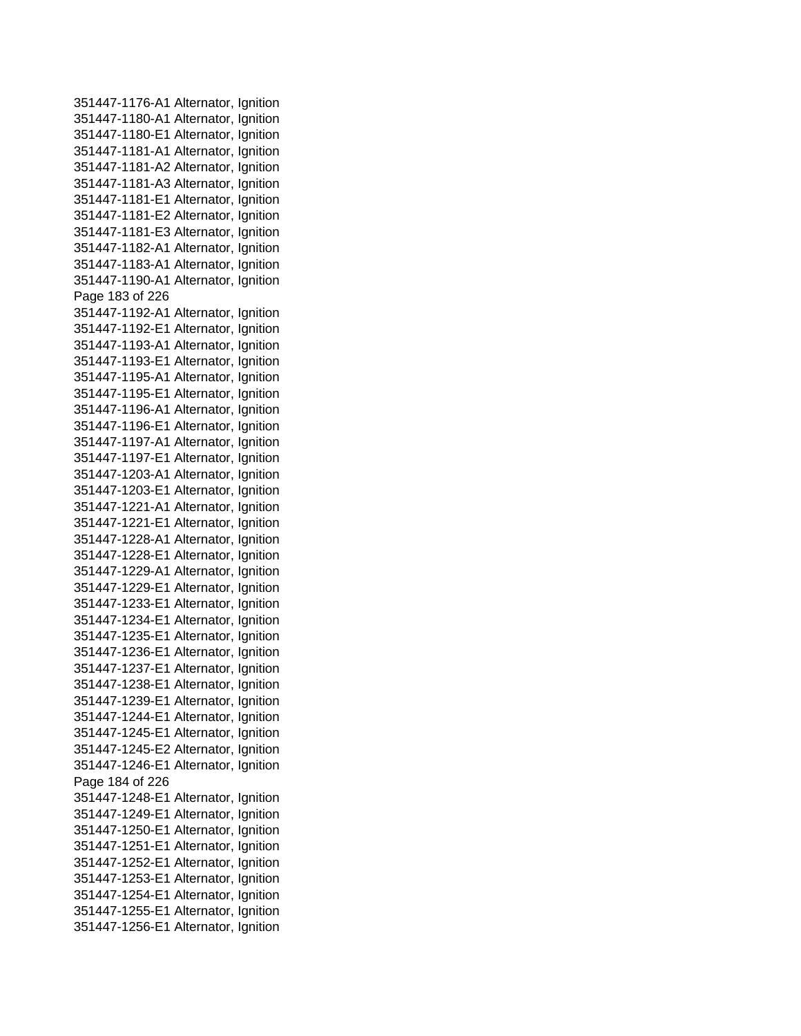351447-1176-A1 Alternator, Ignition 351447-1180-A1 Alternator, Ignition 351447-1180-E1 Alternator, Ignition 351447-1181-A1 Alternator, Ignition 351447-1181-A2 Alternator, Ignition 351447-1181-A3 Alternator, Ignition 351447-1181-E1 Alternator, Ignition 351447-1181-E2 Alternator, Ignition 351447-1181-E3 Alternator, Ignition 351447-1182-A1 Alternator, Ignition 351447-1183-A1 Alternator, Ignition 351447-1190-A1 Alternator, Ignition Page 183 of 226 351447-1192-A1 Alternator, Ignition 351447-1192-E1 Alternator, Ignition 351447-1193-A1 Alternator, Ignition 351447-1193-E1 Alternator, Ignition 351447-1195-A1 Alternator, Ignition 351447-1195-E1 Alternator, Ignition 351447-1196-A1 Alternator, Ignition 351447-1196-E1 Alternator, Ignition 351447-1197-A1 Alternator, Ignition 351447-1197-E1 Alternator, Ignition 351447-1203-A1 Alternator, Ignition 351447-1203-E1 Alternator, Ignition 351447-1221-A1 Alternator, Ignition 351447-1221-E1 Alternator, Ignition 351447-1228-A1 Alternator, Ignition 351447-1228-E1 Alternator, Ignition 351447-1229-A1 Alternator, Ignition 351447-1229-E1 Alternator, Ignition 351447-1233-E1 Alternator, Ignition 351447-1234-E1 Alternator, Ignition 351447-1235-E1 Alternator, Ignition 351447-1236-E1 Alternator, Ignition 351447-1237-E1 Alternator, Ignition 351447-1238-E1 Alternator, Ignition 351447-1239-E1 Alternator, Ignition 351447-1244-E1 Alternator, Ignition 351447-1245-E1 Alternator, Ignition 351447-1245-E2 Alternator, Ignition 351447-1246-E1 Alternator, Ignition Page 184 of 226 351447-1248-E1 Alternator, Ignition 351447-1249-E1 Alternator, Ignition 351447-1250-E1 Alternator, Ignition 351447-1251-E1 Alternator, Ignition 351447-1252-E1 Alternator, Ignition 351447-1253-E1 Alternator, Ignition 351447-1254-E1 Alternator, Ignition 351447-1255-E1 Alternator, Ignition 351447-1256-E1 Alternator, Ignition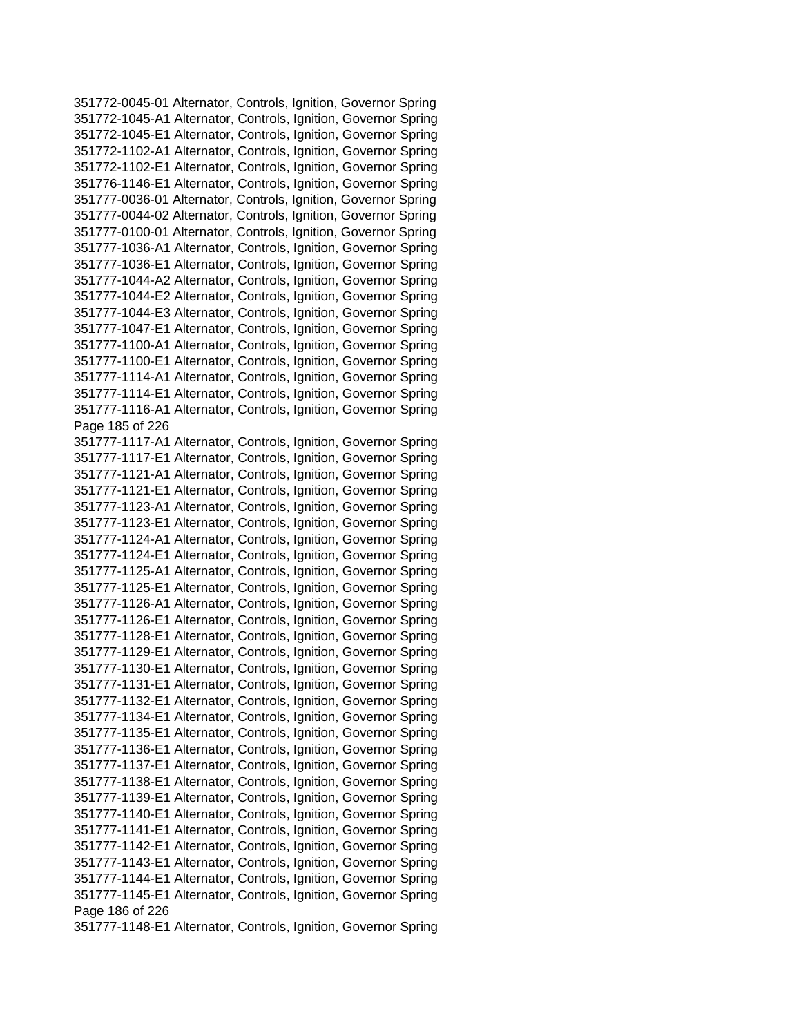351772-0045-01 Alternator, Controls, Ignition, Governor Spring 351772-1045-A1 Alternator, Controls, Ignition, Governor Spring 351772-1045-E1 Alternator, Controls, Ignition, Governor Spring 351772-1102-A1 Alternator, Controls, Ignition, Governor Spring 351772-1102-E1 Alternator, Controls, Ignition, Governor Spring 351776-1146-E1 Alternator, Controls, Ignition, Governor Spring 351777-0036-01 Alternator, Controls, Ignition, Governor Spring 351777-0044-02 Alternator, Controls, Ignition, Governor Spring 351777-0100-01 Alternator, Controls, Ignition, Governor Spring 351777-1036-A1 Alternator, Controls, Ignition, Governor Spring 351777-1036-E1 Alternator, Controls, Ignition, Governor Spring 351777-1044-A2 Alternator, Controls, Ignition, Governor Spring 351777-1044-E2 Alternator, Controls, Ignition, Governor Spring 351777-1044-E3 Alternator, Controls, Ignition, Governor Spring 351777-1047-E1 Alternator, Controls, Ignition, Governor Spring 351777-1100-A1 Alternator, Controls, Ignition, Governor Spring 351777-1100-E1 Alternator, Controls, Ignition, Governor Spring 351777-1114-A1 Alternator, Controls, Ignition, Governor Spring 351777-1114-E1 Alternator, Controls, Ignition, Governor Spring 351777-1116-A1 Alternator, Controls, Ignition, Governor Spring Page 185 of 226 351777-1117-A1 Alternator, Controls, Ignition, Governor Spring 351777-1117-E1 Alternator, Controls, Ignition, Governor Spring 351777-1121-A1 Alternator, Controls, Ignition, Governor Spring 351777-1121-E1 Alternator, Controls, Ignition, Governor Spring 351777-1123-A1 Alternator, Controls, Ignition, Governor Spring 351777-1123-E1 Alternator, Controls, Ignition, Governor Spring 351777-1124-A1 Alternator, Controls, Ignition, Governor Spring 351777-1124-E1 Alternator, Controls, Ignition, Governor Spring 351777-1125-A1 Alternator, Controls, Ignition, Governor Spring 351777-1125-E1 Alternator, Controls, Ignition, Governor Spring 351777-1126-A1 Alternator, Controls, Ignition, Governor Spring 351777-1126-E1 Alternator, Controls, Ignition, Governor Spring 351777-1128-E1 Alternator, Controls, Ignition, Governor Spring 351777-1129-E1 Alternator, Controls, Ignition, Governor Spring 351777-1130-E1 Alternator, Controls, Ignition, Governor Spring 351777-1131-E1 Alternator, Controls, Ignition, Governor Spring 351777-1132-E1 Alternator, Controls, Ignition, Governor Spring 351777-1134-E1 Alternator, Controls, Ignition, Governor Spring 351777-1135-E1 Alternator, Controls, Ignition, Governor Spring 351777-1136-E1 Alternator, Controls, Ignition, Governor Spring 351777-1137-E1 Alternator, Controls, Ignition, Governor Spring 351777-1138-E1 Alternator, Controls, Ignition, Governor Spring 351777-1139-E1 Alternator, Controls, Ignition, Governor Spring 351777-1140-E1 Alternator, Controls, Ignition, Governor Spring 351777-1141-E1 Alternator, Controls, Ignition, Governor Spring 351777-1142-E1 Alternator, Controls, Ignition, Governor Spring 351777-1143-E1 Alternator, Controls, Ignition, Governor Spring 351777-1144-E1 Alternator, Controls, Ignition, Governor Spring 351777-1145-E1 Alternator, Controls, Ignition, Governor Spring Page 186 of 226 351777-1148-E1 Alternator, Controls, Ignition, Governor Spring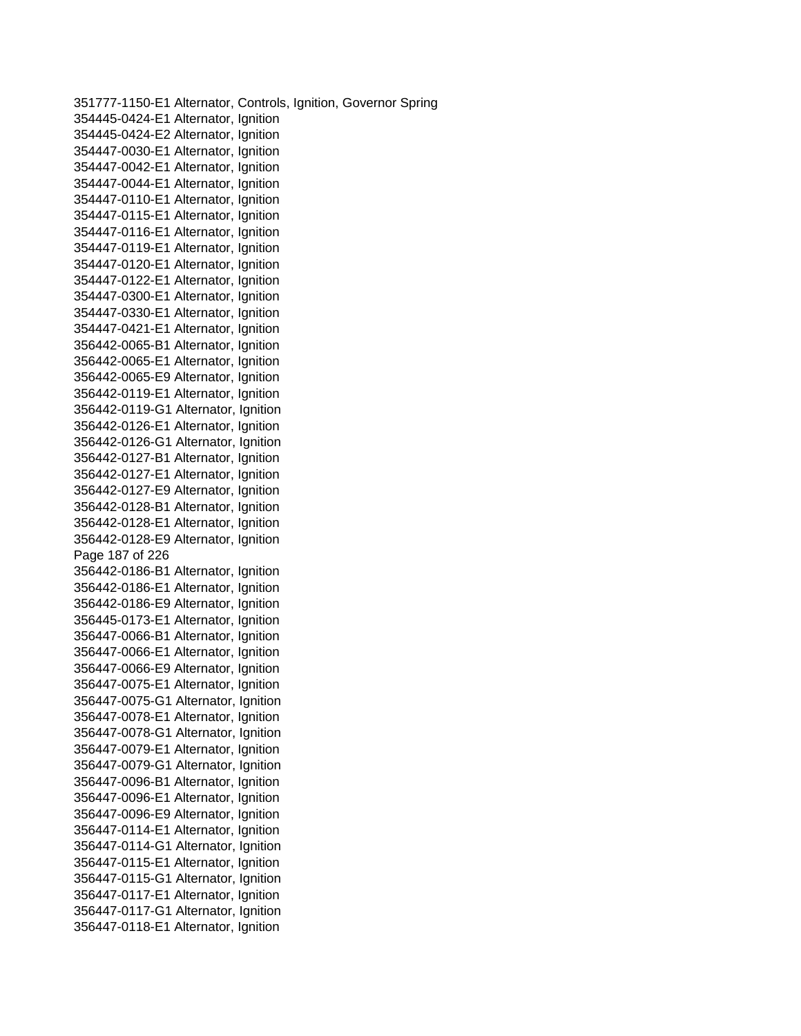351777-1150-E1 Alternator, Controls, Ignition, Governor Spring 354445-0424-E1 Alternator, Ignition 354445-0424-E2 Alternator, Ignition 354447-0030-E1 Alternator, Ignition 354447-0042-E1 Alternator, Ignition 354447-0044-E1 Alternator, Ignition 354447-0110-E1 Alternator, Ignition 354447-0115-E1 Alternator, Ignition 354447-0116-E1 Alternator, Ignition 354447-0119-E1 Alternator, Ignition 354447-0120-E1 Alternator, Ignition 354447-0122-E1 Alternator, Ignition 354447-0300-E1 Alternator, Ignition 354447-0330-E1 Alternator, Ignition 354447-0421-E1 Alternator, Ignition 356442-0065-B1 Alternator, Ignition 356442-0065-E1 Alternator, Ignition 356442-0065-E9 Alternator, Ignition 356442-0119-E1 Alternator, Ignition 356442-0119-G1 Alternator, Ignition 356442-0126-E1 Alternator, Ignition 356442-0126-G1 Alternator, Ignition 356442-0127-B1 Alternator, Ignition 356442-0127-E1 Alternator, Ignition 356442-0127-E9 Alternator, Ignition 356442-0128-B1 Alternator, Ignition 356442-0128-E1 Alternator, Ignition 356442-0128-E9 Alternator, Ignition Page 187 of 226 356442-0186-B1 Alternator, Ignition 356442-0186-E1 Alternator, Ignition 356442-0186-E9 Alternator, Ignition 356445-0173-E1 Alternator, Ignition 356447-0066-B1 Alternator, Ignition 356447-0066-E1 Alternator, Ignition 356447-0066-E9 Alternator, Ignition 356447-0075-E1 Alternator, Ignition 356447-0075-G1 Alternator, Ignition 356447-0078-E1 Alternator, Ignition 356447-0078-G1 Alternator, Ignition 356447-0079-E1 Alternator, Ignition 356447-0079-G1 Alternator, Ignition 356447-0096-B1 Alternator, Ignition 356447-0096-E1 Alternator, Ignition 356447-0096-E9 Alternator, Ignition 356447-0114-E1 Alternator, Ignition 356447-0114-G1 Alternator, Ignition 356447-0115-E1 Alternator, Ignition 356447-0115-G1 Alternator, Ignition 356447-0117-E1 Alternator, Ignition 356447-0117-G1 Alternator, Ignition 356447-0118-E1 Alternator, Ignition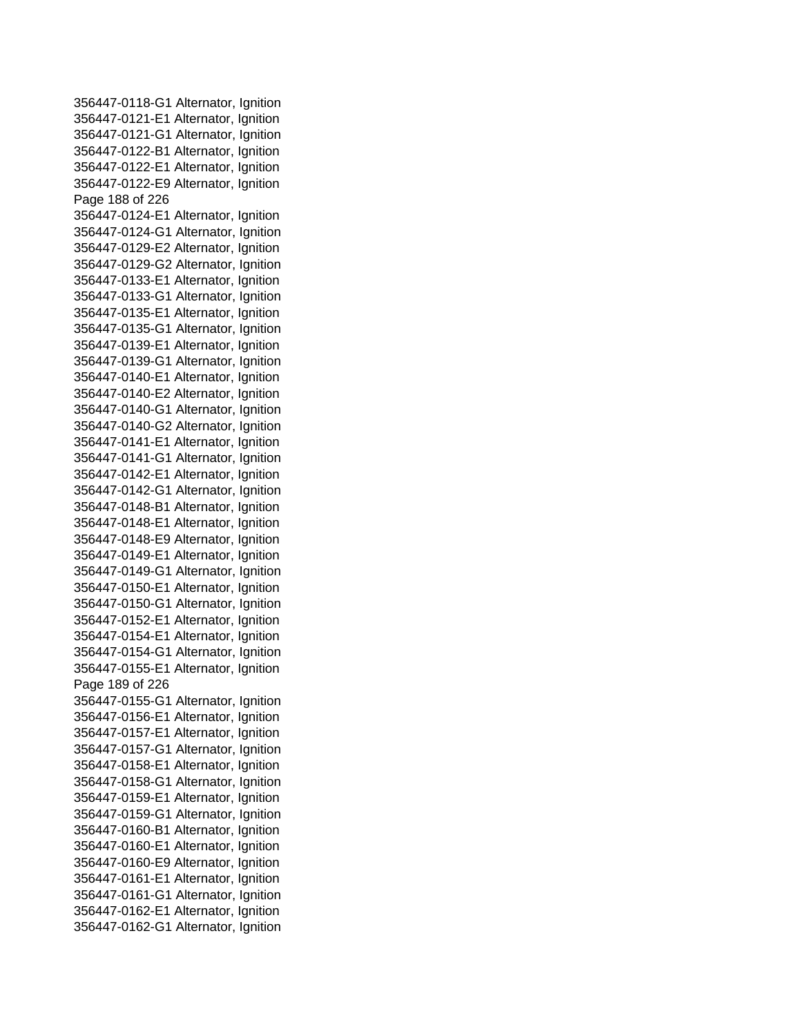356447-0118-G1 Alternator, Ignition 356447-0121-E1 Alternator, Ignition 356447-0121-G1 Alternator, Ignition 356447-0122-B1 Alternator, Ignition 356447-0122-E1 Alternator, Ignition 356447-0122-E9 Alternator, Ignition Page 188 of 226 356447-0124-E1 Alternator, Ignition 356447-0124-G1 Alternator, Ignition 356447-0129-E2 Alternator, Ignition 356447-0129-G2 Alternator, Ignition 356447-0133-E1 Alternator, Ignition 356447-0133-G1 Alternator, Ignition 356447-0135-E1 Alternator, Ignition 356447-0135-G1 Alternator, Ignition 356447-0139-E1 Alternator, Ignition 356447-0139-G1 Alternator, Ignition 356447-0140-E1 Alternator, Ignition 356447-0140-E2 Alternator, Ignition 356447-0140-G1 Alternator, Ignition 356447-0140-G2 Alternator, Ignition 356447-0141-E1 Alternator, Ignition 356447-0141-G1 Alternator, Ignition 356447-0142-E1 Alternator, Ignition 356447-0142-G1 Alternator, Ignition 356447-0148-B1 Alternator, Ignition 356447-0148-E1 Alternator, Ignition 356447-0148-E9 Alternator, Ignition 356447-0149-E1 Alternator, Ignition 356447-0149-G1 Alternator, Ignition 356447-0150-E1 Alternator, Ignition 356447-0150-G1 Alternator, Ignition 356447-0152-E1 Alternator, Ignition 356447-0154-E1 Alternator, Ignition 356447-0154-G1 Alternator, Ignition 356447-0155-E1 Alternator, Ignition Page 189 of 226 356447-0155-G1 Alternator, Ignition 356447-0156-E1 Alternator, Ignition 356447-0157-E1 Alternator, Ignition 356447-0157-G1 Alternator, Ignition 356447-0158-E1 Alternator, Ignition 356447-0158-G1 Alternator, Ignition 356447-0159-E1 Alternator, Ignition 356447-0159-G1 Alternator, Ignition 356447-0160-B1 Alternator, Ignition 356447-0160-E1 Alternator, Ignition 356447-0160-E9 Alternator, Ignition 356447-0161-E1 Alternator, Ignition 356447-0161-G1 Alternator, Ignition 356447-0162-E1 Alternator, Ignition 356447-0162-G1 Alternator, Ignition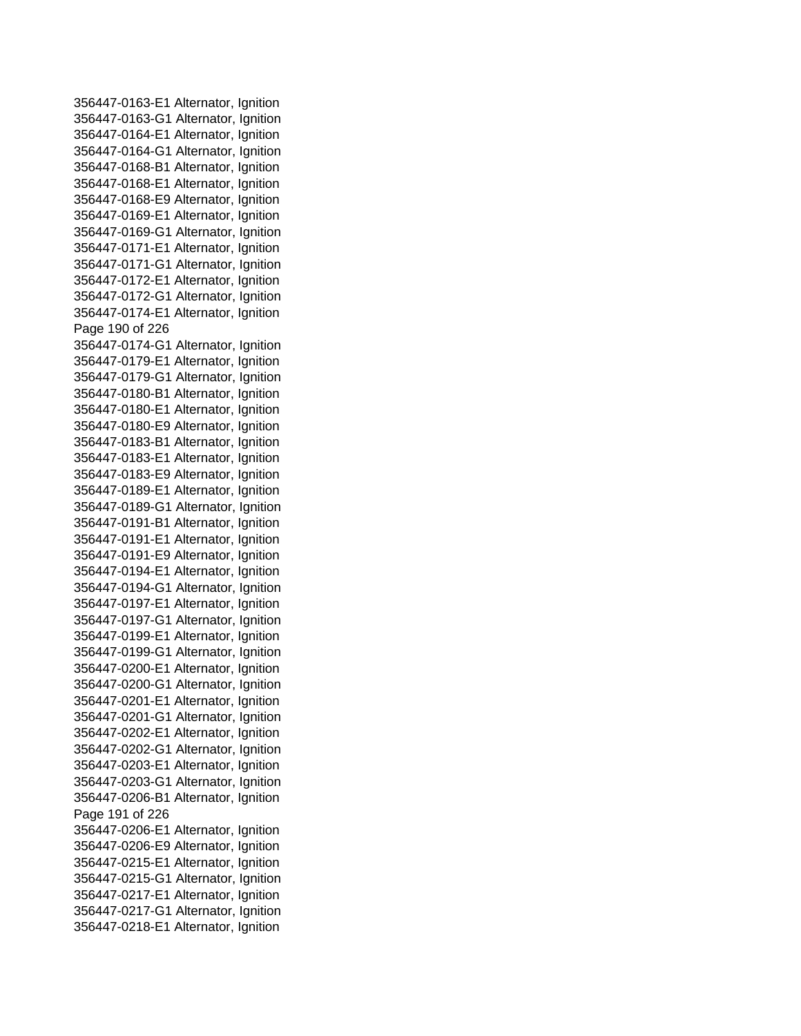356447-0163-E1 Alternator, Ignition 356447-0163-G1 Alternator, Ignition 356447-0164-E1 Alternator, Ignition 356447-0164-G1 Alternator, Ignition 356447-0168-B1 Alternator, Ignition 356447-0168-E1 Alternator, Ignition 356447-0168-E9 Alternator, Ignition 356447-0169-E1 Alternator, Ignition 356447-0169-G1 Alternator, Ignition 356447-0171-E1 Alternator, Ignition 356447-0171-G1 Alternator, Ignition 356447-0172-E1 Alternator, Ignition 356447-0172-G1 Alternator, Ignition 356447-0174-E1 Alternator, Ignition Page 190 of 226 356447-0174-G1 Alternator, Ignition 356447-0179-E1 Alternator, Ignition 356447-0179-G1 Alternator, Ignition 356447-0180-B1 Alternator, Ignition 356447-0180-E1 Alternator, Ignition 356447-0180-E9 Alternator, Ignition 356447-0183-B1 Alternator, Ignition 356447-0183-E1 Alternator, Ignition 356447-0183-E9 Alternator, Ignition 356447-0189-E1 Alternator, Ignition 356447-0189-G1 Alternator, Ignition 356447-0191-B1 Alternator, Ignition 356447-0191-E1 Alternator, Ignition 356447-0191-E9 Alternator, Ignition 356447-0194-E1 Alternator, Ignition 356447-0194-G1 Alternator, Ignition 356447-0197-E1 Alternator, Ignition 356447-0197-G1 Alternator, Ignition 356447-0199-E1 Alternator, Ignition 356447-0199-G1 Alternator, Ignition 356447-0200-E1 Alternator, Ignition 356447-0200-G1 Alternator, Ignition 356447-0201-E1 Alternator, Ignition 356447-0201-G1 Alternator, Ignition 356447-0202-E1 Alternator, Ignition 356447-0202-G1 Alternator, Ignition 356447-0203-E1 Alternator, Ignition 356447-0203-G1 Alternator, Ignition 356447-0206-B1 Alternator, Ignition Page 191 of 226 356447-0206-E1 Alternator, Ignition 356447-0206-E9 Alternator, Ignition 356447-0215-E1 Alternator, Ignition 356447-0215-G1 Alternator, Ignition 356447-0217-E1 Alternator, Ignition 356447-0217-G1 Alternator, Ignition 356447-0218-E1 Alternator, Ignition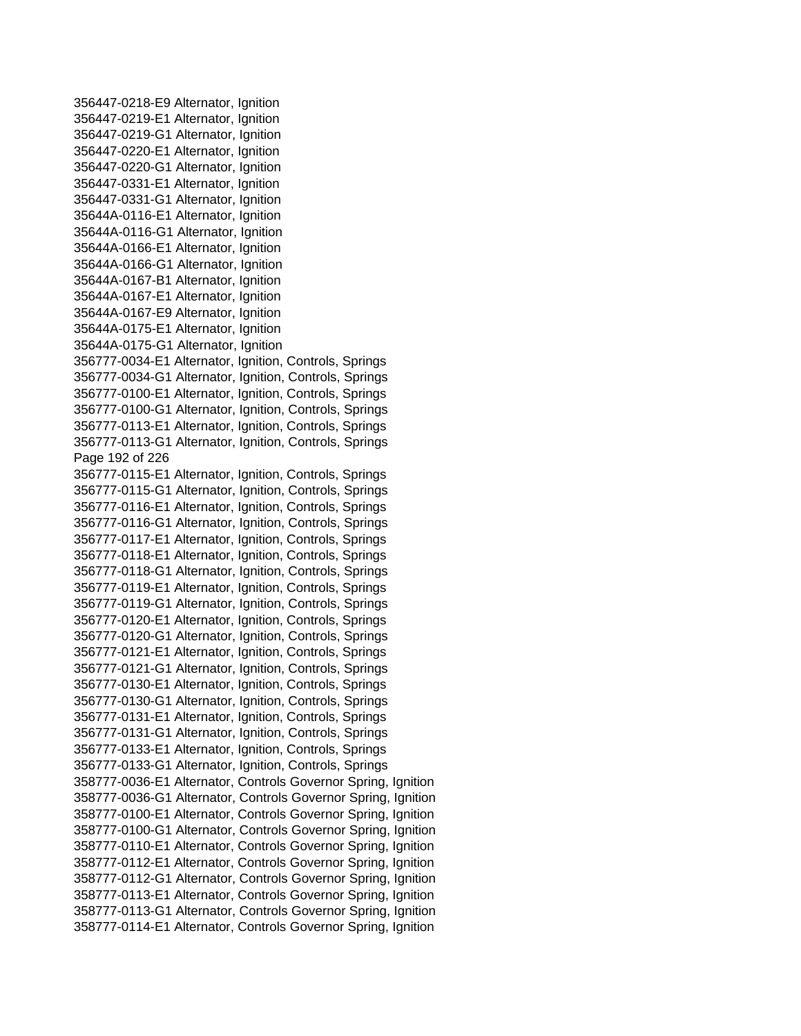356447-0218-E9 Alternator, Ignition 356447-0219-E1 Alternator, Ignition 356447-0219-G1 Alternator, Ignition 356447-0220-E1 Alternator, Ignition 356447-0220-G1 Alternator, Ignition 356447-0331-E1 Alternator, Ignition 356447-0331-G1 Alternator, Ignition 35644A-0116-E1 Alternator, Ignition 35644A-0116-G1 Alternator, Ignition 35644A-0166-E1 Alternator, Ignition 35644A-0166-G1 Alternator, Ignition 35644A-0167-B1 Alternator, Ignition 35644A-0167-E1 Alternator, Ignition 35644A-0167-E9 Alternator, Ignition 35644A-0175-E1 Alternator, Ignition 35644A-0175-G1 Alternator, Ignition 356777-0034-E1 Alternator, Ignition, Controls, Springs 356777-0034-G1 Alternator, Ignition, Controls, Springs 356777-0100-E1 Alternator, Ignition, Controls, Springs 356777-0100-G1 Alternator, Ignition, Controls, Springs 356777-0113-E1 Alternator, Ignition, Controls, Springs 356777-0113-G1 Alternator, Ignition, Controls, Springs Page 192 of 226 356777-0115-E1 Alternator, Ignition, Controls, Springs 356777-0115-G1 Alternator, Ignition, Controls, Springs 356777-0116-E1 Alternator, Ignition, Controls, Springs 356777-0116-G1 Alternator, Ignition, Controls, Springs 356777-0117-E1 Alternator, Ignition, Controls, Springs 356777-0118-E1 Alternator, Ignition, Controls, Springs 356777-0118-G1 Alternator, Ignition, Controls, Springs 356777-0119-E1 Alternator, Ignition, Controls, Springs 356777-0119-G1 Alternator, Ignition, Controls, Springs 356777-0120-E1 Alternator, Ignition, Controls, Springs 356777-0120-G1 Alternator, Ignition, Controls, Springs 356777-0121-E1 Alternator, Ignition, Controls, Springs 356777-0121-G1 Alternator, Ignition, Controls, Springs 356777-0130-E1 Alternator, Ignition, Controls, Springs 356777-0130-G1 Alternator, Ignition, Controls, Springs 356777-0131-E1 Alternator, Ignition, Controls, Springs 356777-0131-G1 Alternator, Ignition, Controls, Springs 356777-0133-E1 Alternator, Ignition, Controls, Springs 356777-0133-G1 Alternator, Ignition, Controls, Springs 358777-0036-E1 Alternator, Controls Governor Spring, Ignition 358777-0036-G1 Alternator, Controls Governor Spring, Ignition 358777-0100-E1 Alternator, Controls Governor Spring, Ignition 358777-0100-G1 Alternator, Controls Governor Spring, Ignition 358777-0110-E1 Alternator, Controls Governor Spring, Ignition 358777-0112-E1 Alternator, Controls Governor Spring, Ignition 358777-0112-G1 Alternator, Controls Governor Spring, Ignition 358777-0113-E1 Alternator, Controls Governor Spring, Ignition 358777-0113-G1 Alternator, Controls Governor Spring, Ignition 358777-0114-E1 Alternator, Controls Governor Spring, Ignition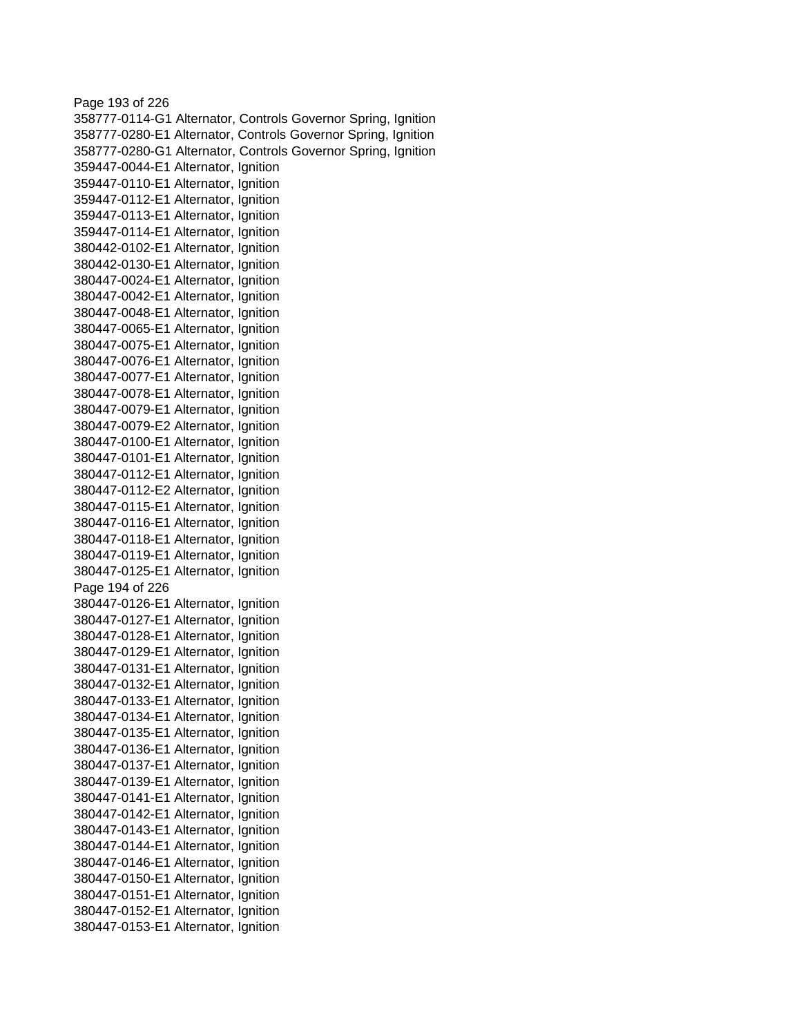Page 193 of 226 358777-0114-G1 Alternator, Controls Governor Spring, Ignition 358777-0280-E1 Alternator, Controls Governor Spring, Ignition 358777-0280-G1 Alternator, Controls Governor Spring, Ignition 359447-0044-E1 Alternator, Ignition 359447-0110-E1 Alternator, Ignition 359447-0112-E1 Alternator, Ignition 359447-0113-E1 Alternator, Ignition 359447-0114-E1 Alternator, Ignition 380442-0102-E1 Alternator, Ignition 380442-0130-E1 Alternator, Ignition 380447-0024-E1 Alternator, Ignition 380447-0042-E1 Alternator, Ignition 380447-0048-E1 Alternator, Ignition 380447-0065-E1 Alternator, Ignition 380447-0075-E1 Alternator, Ignition 380447-0076-E1 Alternator, Ignition 380447-0077-E1 Alternator, Ignition 380447-0078-E1 Alternator, Ignition 380447-0079-E1 Alternator, Ignition 380447-0079-E2 Alternator, Ignition 380447-0100-E1 Alternator, Ignition 380447-0101-E1 Alternator, Ignition 380447-0112-E1 Alternator, Ignition 380447-0112-E2 Alternator, Ignition 380447-0115-E1 Alternator, Ignition 380447-0116-E1 Alternator, Ignition 380447-0118-E1 Alternator, Ignition 380447-0119-E1 Alternator, Ignition 380447-0125-E1 Alternator, Ignition Page 194 of 226 380447-0126-E1 Alternator, Ignition 380447-0127-E1 Alternator, Ignition 380447-0128-E1 Alternator, Ignition 380447-0129-E1 Alternator, Ignition 380447-0131-E1 Alternator, Ignition 380447-0132-E1 Alternator, Ignition 380447-0133-E1 Alternator, Ignition 380447-0134-E1 Alternator, Ignition 380447-0135-E1 Alternator, Ignition 380447-0136-E1 Alternator, Ignition 380447-0137-E1 Alternator, Ignition 380447-0139-E1 Alternator, Ignition 380447-0141-E1 Alternator, Ignition 380447-0142-E1 Alternator, Ignition 380447-0143-E1 Alternator, Ignition 380447-0144-E1 Alternator, Ignition 380447-0146-E1 Alternator, Ignition 380447-0150-E1 Alternator, Ignition 380447-0151-E1 Alternator, Ignition 380447-0152-E1 Alternator, Ignition 380447-0153-E1 Alternator, Ignition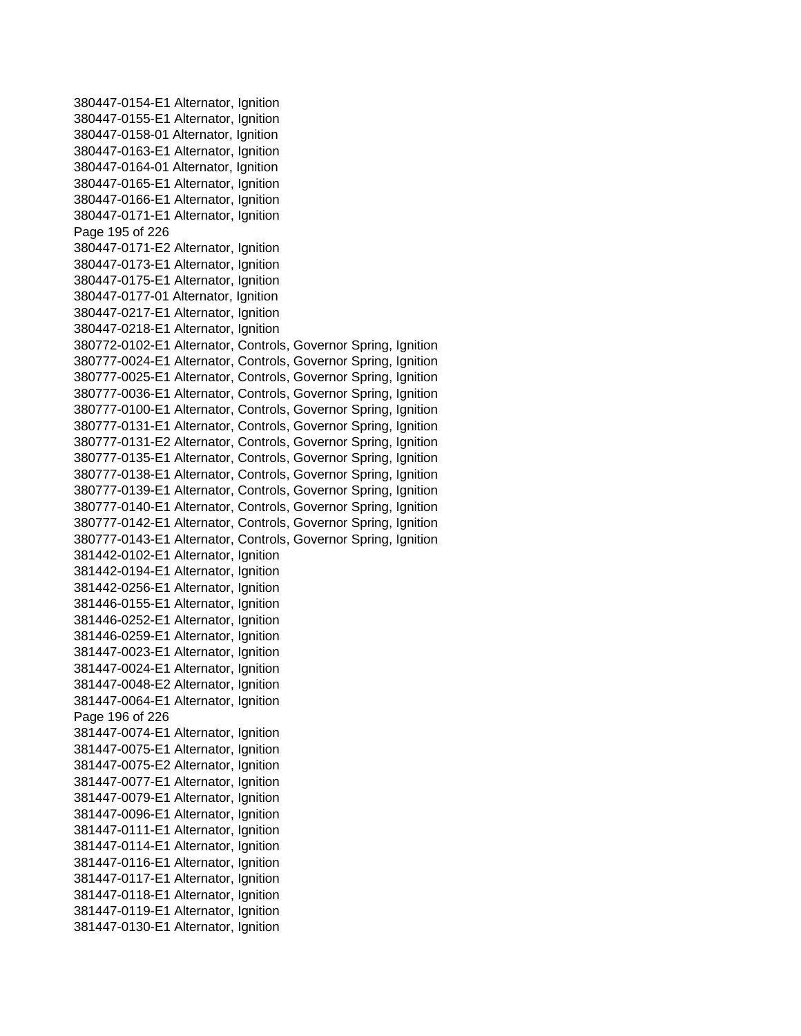380447-0154-E1 Alternator, Ignition 380447-0155-E1 Alternator, Ignition 380447-0158-01 Alternator, Ignition 380447-0163-E1 Alternator, Ignition 380447-0164-01 Alternator, Ignition 380447-0165-E1 Alternator, Ignition 380447-0166-E1 Alternator, Ignition 380447-0171-E1 Alternator, Ignition Page 195 of 226 380447-0171-E2 Alternator, Ignition 380447-0173-E1 Alternator, Ignition 380447-0175-E1 Alternator, Ignition 380447-0177-01 Alternator, Ignition 380447-0217-E1 Alternator, Ignition 380447-0218-E1 Alternator, Ignition 380772-0102-E1 Alternator, Controls, Governor Spring, Ignition 380777-0024-E1 Alternator, Controls, Governor Spring, Ignition 380777-0025-E1 Alternator, Controls, Governor Spring, Ignition 380777-0036-E1 Alternator, Controls, Governor Spring, Ignition 380777-0100-E1 Alternator, Controls, Governor Spring, Ignition 380777-0131-E1 Alternator, Controls, Governor Spring, Ignition 380777-0131-E2 Alternator, Controls, Governor Spring, Ignition 380777-0135-E1 Alternator, Controls, Governor Spring, Ignition 380777-0138-E1 Alternator, Controls, Governor Spring, Ignition 380777-0139-E1 Alternator, Controls, Governor Spring, Ignition 380777-0140-E1 Alternator, Controls, Governor Spring, Ignition 380777-0142-E1 Alternator, Controls, Governor Spring, Ignition 380777-0143-E1 Alternator, Controls, Governor Spring, Ignition 381442-0102-E1 Alternator, Ignition 381442-0194-E1 Alternator, Ignition 381442-0256-E1 Alternator, Ignition 381446-0155-E1 Alternator, Ignition 381446-0252-E1 Alternator, Ignition 381446-0259-E1 Alternator, Ignition 381447-0023-E1 Alternator, Ignition 381447-0024-E1 Alternator, Ignition 381447-0048-E2 Alternator, Ignition 381447-0064-E1 Alternator, Ignition Page 196 of 226 381447-0074-E1 Alternator, Ignition 381447-0075-E1 Alternator, Ignition 381447-0075-E2 Alternator, Ignition 381447-0077-E1 Alternator, Ignition 381447-0079-E1 Alternator, Ignition 381447-0096-E1 Alternator, Ignition 381447-0111-E1 Alternator, Ignition 381447-0114-E1 Alternator, Ignition 381447-0116-E1 Alternator, Ignition 381447-0117-E1 Alternator, Ignition 381447-0118-E1 Alternator, Ignition 381447-0119-E1 Alternator, Ignition 381447-0130-E1 Alternator, Ignition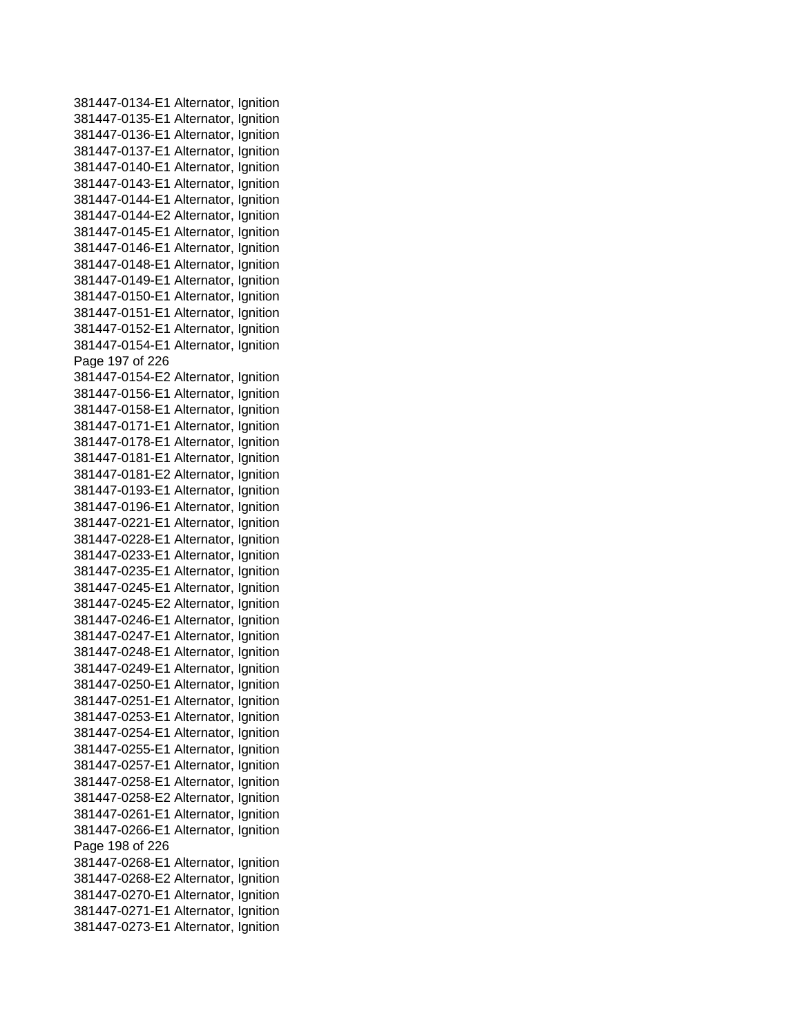381447-0134-E1 Alternator, Ignition 381447-0135-E1 Alternator, Ignition 381447-0136-E1 Alternator, Ignition 381447-0137-E1 Alternator, Ignition 381447-0140-E1 Alternator, Ignition 381447-0143-E1 Alternator, Ignition 381447-0144-E1 Alternator, Ignition 381447-0144-E2 Alternator, Ignition 381447-0145-E1 Alternator, Ignition 381447-0146-E1 Alternator, Ignition 381447-0148-E1 Alternator, Ignition 381447-0149-E1 Alternator, Ignition 381447-0150-E1 Alternator, Ignition 381447-0151-E1 Alternator, Ignition 381447-0152-E1 Alternator, Ignition 381447-0154-E1 Alternator, Ignition Page 197 of 226 381447-0154-E2 Alternator, Ignition 381447-0156-E1 Alternator, Ignition 381447-0158-E1 Alternator, Ignition 381447-0171-E1 Alternator, Ignition 381447-0178-E1 Alternator, Ignition 381447-0181-E1 Alternator, Ignition 381447-0181-E2 Alternator, Ignition 381447-0193-E1 Alternator, Ignition 381447-0196-E1 Alternator, Ignition 381447-0221-E1 Alternator, Ignition 381447-0228-E1 Alternator, Ignition 381447-0233-E1 Alternator, Ignition 381447-0235-E1 Alternator, Ignition 381447-0245-E1 Alternator, Ignition 381447-0245-E2 Alternator, Ignition 381447-0246-E1 Alternator, Ignition 381447-0247-E1 Alternator, Ignition 381447-0248-E1 Alternator, Ignition 381447-0249-E1 Alternator, Ignition 381447-0250-E1 Alternator, Ignition 381447-0251-E1 Alternator, Ignition 381447-0253-E1 Alternator, Ignition 381447-0254-E1 Alternator, Ignition 381447-0255-E1 Alternator, Ignition 381447-0257-E1 Alternator, Ignition 381447-0258-E1 Alternator, Ignition 381447-0258-E2 Alternator, Ignition 381447-0261-E1 Alternator, Ignition 381447-0266-E1 Alternator, Ignition Page 198 of 226 381447-0268-E1 Alternator, Ignition 381447-0268-E2 Alternator, Ignition 381447-0270-E1 Alternator, Ignition 381447-0271-E1 Alternator, Ignition 381447-0273-E1 Alternator, Ignition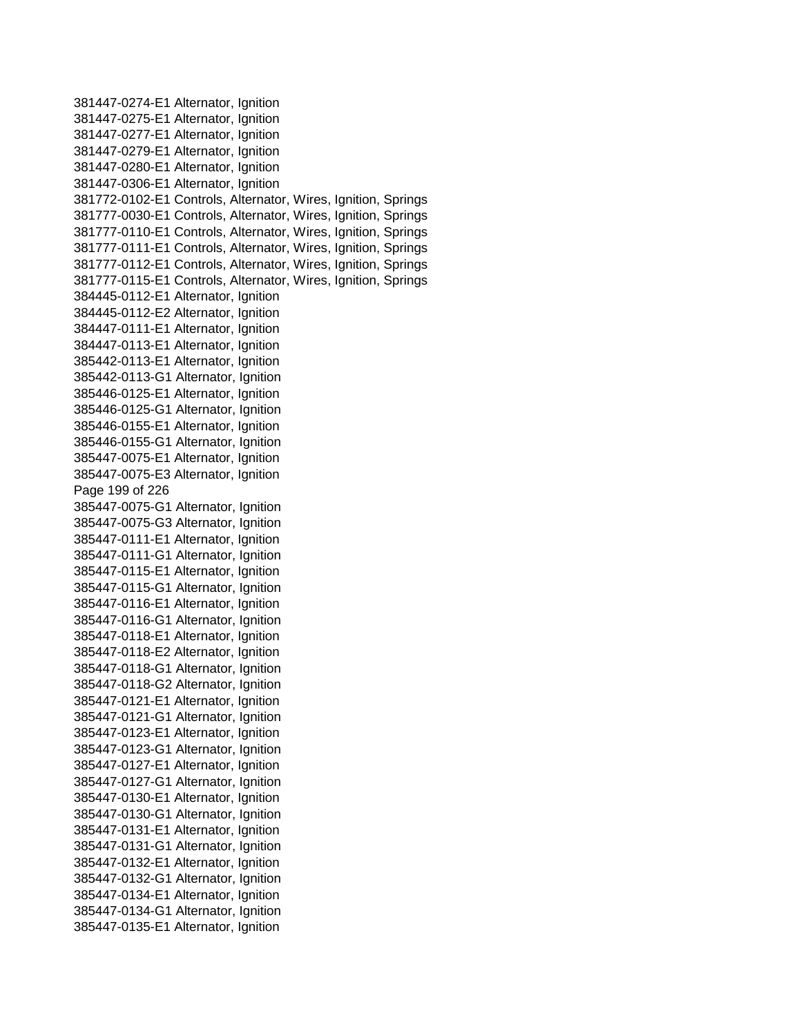381447-0274-E1 Alternator, Ignition 381447-0275-E1 Alternator, Ignition 381447-0277-E1 Alternator, Ignition 381447-0279-E1 Alternator, Ignition 381447-0280-E1 Alternator, Ignition 381447-0306-E1 Alternator, Ignition 381772-0102-E1 Controls, Alternator, Wires, Ignition, Springs 381777-0030-E1 Controls, Alternator, Wires, Ignition, Springs 381777-0110-E1 Controls, Alternator, Wires, Ignition, Springs 381777-0111-E1 Controls, Alternator, Wires, Ignition, Springs 381777-0112-E1 Controls, Alternator, Wires, Ignition, Springs 381777-0115-E1 Controls, Alternator, Wires, Ignition, Springs 384445-0112-E1 Alternator, Ignition 384445-0112-E2 Alternator, Ignition 384447-0111-E1 Alternator, Ignition 384447-0113-E1 Alternator, Ignition 385442-0113-E1 Alternator, Ignition 385442-0113-G1 Alternator, Ignition 385446-0125-E1 Alternator, Ignition 385446-0125-G1 Alternator, Ignition 385446-0155-E1 Alternator, Ignition 385446-0155-G1 Alternator, Ignition 385447-0075-E1 Alternator, Ignition 385447-0075-E3 Alternator, Ignition Page 199 of 226 385447-0075-G1 Alternator, Ignition 385447-0075-G3 Alternator, Ignition 385447-0111-E1 Alternator, Ignition 385447-0111-G1 Alternator, Ignition 385447-0115-E1 Alternator, Ignition 385447-0115-G1 Alternator, Ignition 385447-0116-E1 Alternator, Ignition 385447-0116-G1 Alternator, Ignition 385447-0118-E1 Alternator, Ignition 385447-0118-E2 Alternator, Ignition 385447-0118-G1 Alternator, Ignition 385447-0118-G2 Alternator, Ignition 385447-0121-E1 Alternator, Ignition 385447-0121-G1 Alternator, Ignition 385447-0123-E1 Alternator, Ignition 385447-0123-G1 Alternator, Ignition 385447-0127-E1 Alternator, Ignition 385447-0127-G1 Alternator, Ignition 385447-0130-E1 Alternator, Ignition 385447-0130-G1 Alternator, Ignition 385447-0131-E1 Alternator, Ignition 385447-0131-G1 Alternator, Ignition 385447-0132-E1 Alternator, Ignition 385447-0132-G1 Alternator, Ignition 385447-0134-E1 Alternator, Ignition 385447-0134-G1 Alternator, Ignition 385447-0135-E1 Alternator, Ignition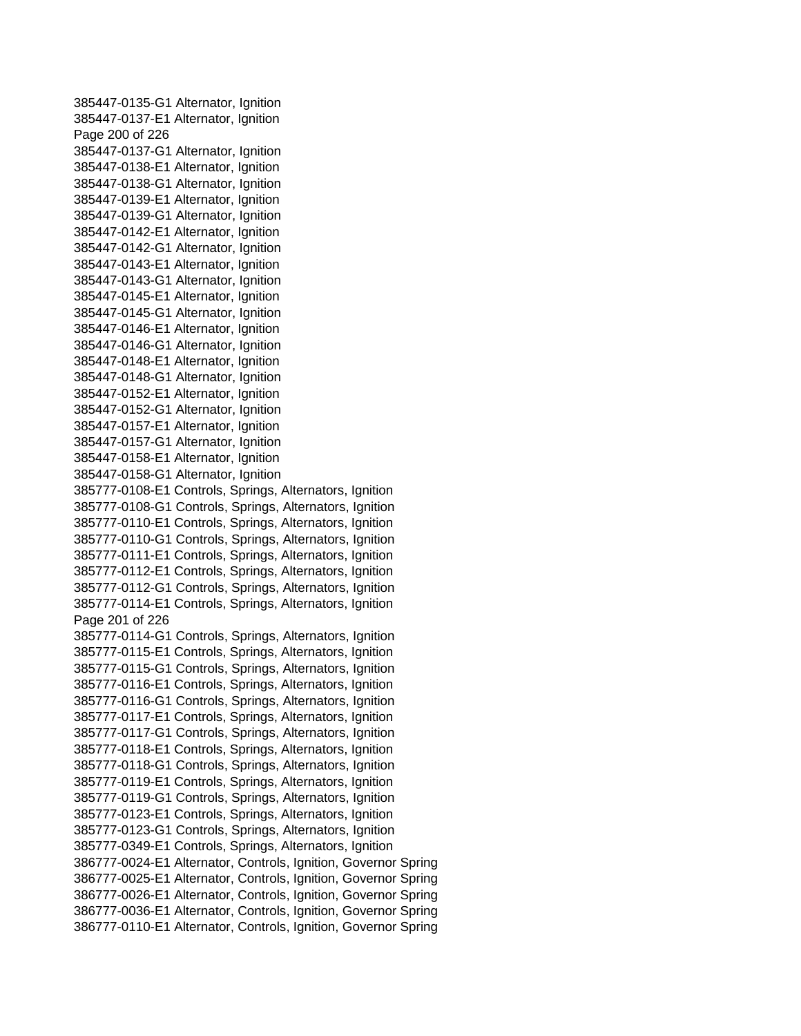385447-0135-G1 Alternator, Ignition 385447-0137-E1 Alternator, Ignition Page 200 of 226 385447-0137-G1 Alternator, Ignition 385447-0138-E1 Alternator, Ignition 385447-0138-G1 Alternator, Ignition 385447-0139-E1 Alternator, Ignition 385447-0139-G1 Alternator, Ignition 385447-0142-E1 Alternator, Ignition 385447-0142-G1 Alternator, Ignition 385447-0143-E1 Alternator, Ignition 385447-0143-G1 Alternator, Ignition 385447-0145-E1 Alternator, Ignition 385447-0145-G1 Alternator, Ignition 385447-0146-E1 Alternator, Ignition 385447-0146-G1 Alternator, Ignition 385447-0148-E1 Alternator, Ignition 385447-0148-G1 Alternator, Ignition 385447-0152-E1 Alternator, Ignition 385447-0152-G1 Alternator, Ignition 385447-0157-E1 Alternator, Ignition 385447-0157-G1 Alternator, Ignition 385447-0158-E1 Alternator, Ignition 385447-0158-G1 Alternator, Ignition 385777-0108-E1 Controls, Springs, Alternators, Ignition 385777-0108-G1 Controls, Springs, Alternators, Ignition 385777-0110-E1 Controls, Springs, Alternators, Ignition 385777-0110-G1 Controls, Springs, Alternators, Ignition 385777-0111-E1 Controls, Springs, Alternators, Ignition 385777-0112-E1 Controls, Springs, Alternators, Ignition 385777-0112-G1 Controls, Springs, Alternators, Ignition 385777-0114-E1 Controls, Springs, Alternators, Ignition Page 201 of 226 385777-0114-G1 Controls, Springs, Alternators, Ignition 385777-0115-E1 Controls, Springs, Alternators, Ignition 385777-0115-G1 Controls, Springs, Alternators, Ignition 385777-0116-E1 Controls, Springs, Alternators, Ignition 385777-0116-G1 Controls, Springs, Alternators, Ignition 385777-0117-E1 Controls, Springs, Alternators, Ignition 385777-0117-G1 Controls, Springs, Alternators, Ignition 385777-0118-E1 Controls, Springs, Alternators, Ignition 385777-0118-G1 Controls, Springs, Alternators, Ignition 385777-0119-E1 Controls, Springs, Alternators, Ignition 385777-0119-G1 Controls, Springs, Alternators, Ignition 385777-0123-E1 Controls, Springs, Alternators, Ignition 385777-0123-G1 Controls, Springs, Alternators, Ignition 385777-0349-E1 Controls, Springs, Alternators, Ignition 386777-0024-E1 Alternator, Controls, Ignition, Governor Spring 386777-0025-E1 Alternator, Controls, Ignition, Governor Spring 386777-0026-E1 Alternator, Controls, Ignition, Governor Spring 386777-0036-E1 Alternator, Controls, Ignition, Governor Spring 386777-0110-E1 Alternator, Controls, Ignition, Governor Spring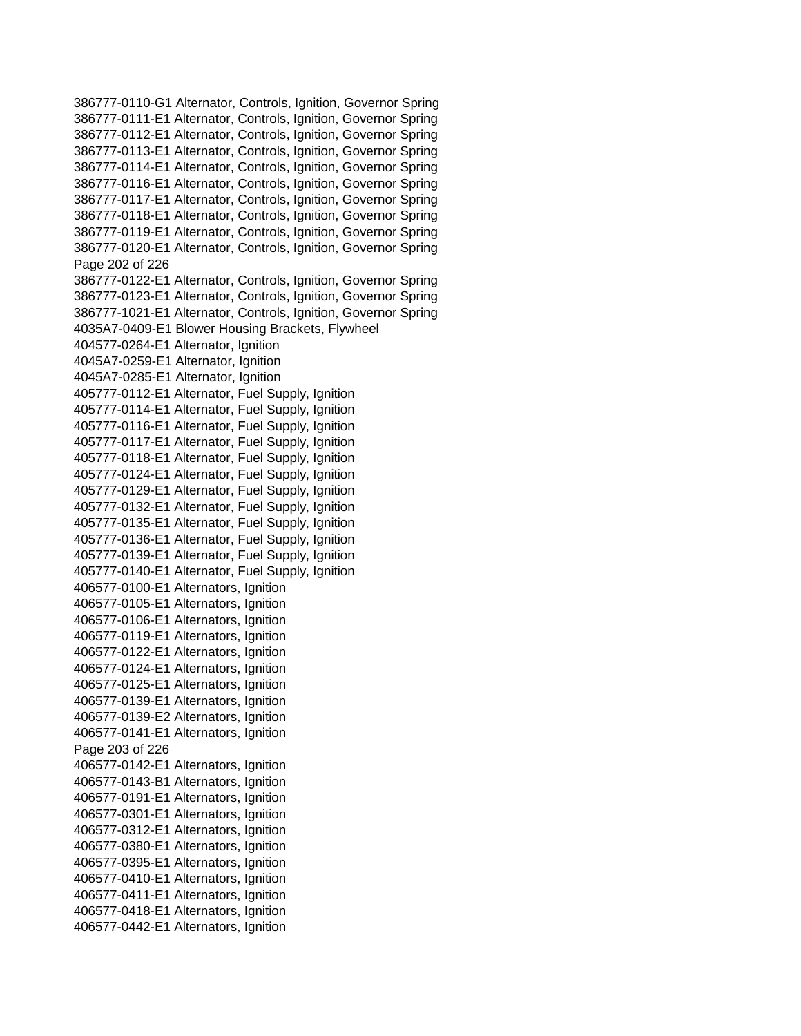386777-0110-G1 Alternator, Controls, Ignition, Governor Spring 386777-0111-E1 Alternator, Controls, Ignition, Governor Spring 386777-0112-E1 Alternator, Controls, Ignition, Governor Spring 386777-0113-E1 Alternator, Controls, Ignition, Governor Spring 386777-0114-E1 Alternator, Controls, Ignition, Governor Spring 386777-0116-E1 Alternator, Controls, Ignition, Governor Spring 386777-0117-E1 Alternator, Controls, Ignition, Governor Spring 386777-0118-E1 Alternator, Controls, Ignition, Governor Spring 386777-0119-E1 Alternator, Controls, Ignition, Governor Spring 386777-0120-E1 Alternator, Controls, Ignition, Governor Spring Page 202 of 226 386777-0122-E1 Alternator, Controls, Ignition, Governor Spring 386777-0123-E1 Alternator, Controls, Ignition, Governor Spring 386777-1021-E1 Alternator, Controls, Ignition, Governor Spring 4035A7-0409-E1 Blower Housing Brackets, Flywheel 404577-0264-E1 Alternator, Ignition 4045A7-0259-E1 Alternator, Ignition 4045A7-0285-E1 Alternator, Ignition 405777-0112-E1 Alternator, Fuel Supply, Ignition 405777-0114-E1 Alternator, Fuel Supply, Ignition 405777-0116-E1 Alternator, Fuel Supply, Ignition 405777-0117-E1 Alternator, Fuel Supply, Ignition 405777-0118-E1 Alternator, Fuel Supply, Ignition 405777-0124-E1 Alternator, Fuel Supply, Ignition 405777-0129-E1 Alternator, Fuel Supply, Ignition 405777-0132-E1 Alternator, Fuel Supply, Ignition 405777-0135-E1 Alternator, Fuel Supply, Ignition 405777-0136-E1 Alternator, Fuel Supply, Ignition 405777-0139-E1 Alternator, Fuel Supply, Ignition 405777-0140-E1 Alternator, Fuel Supply, Ignition 406577-0100-E1 Alternators, Ignition 406577-0105-E1 Alternators, Ignition 406577-0106-E1 Alternators, Ignition 406577-0119-E1 Alternators, Ignition 406577-0122-E1 Alternators, Ignition 406577-0124-E1 Alternators, Ignition 406577-0125-E1 Alternators, Ignition 406577-0139-E1 Alternators, Ignition 406577-0139-E2 Alternators, Ignition 406577-0141-E1 Alternators, Ignition Page 203 of 226 406577-0142-E1 Alternators, Ignition 406577-0143-B1 Alternators, Ignition 406577-0191-E1 Alternators, Ignition 406577-0301-E1 Alternators, Ignition 406577-0312-E1 Alternators, Ignition 406577-0380-E1 Alternators, Ignition 406577-0395-E1 Alternators, Ignition 406577-0410-E1 Alternators, Ignition 406577-0411-E1 Alternators, Ignition 406577-0418-E1 Alternators, Ignition 406577-0442-E1 Alternators, Ignition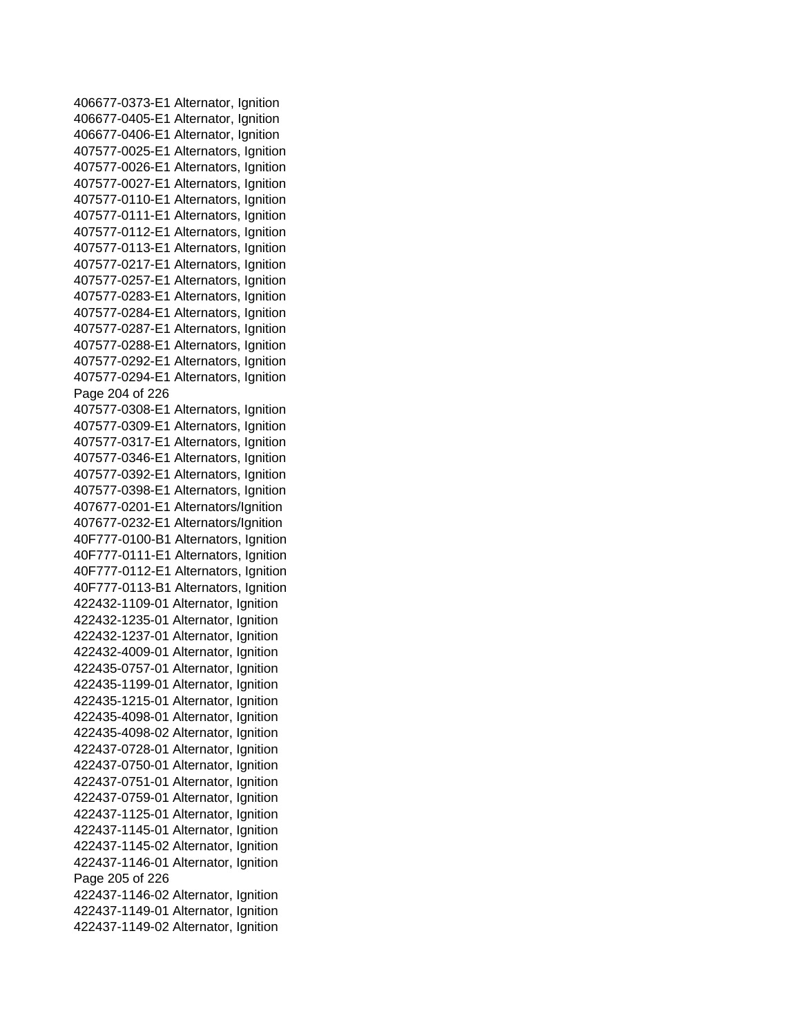406677-0373-E1 Alternator, Ignition 406677-0405-E1 Alternator, Ignition 406677-0406-E1 Alternator, Ignition 407577-0025-E1 Alternators, Ignition 407577-0026-E1 Alternators, Ignition 407577-0027-E1 Alternators, Ignition 407577-0110-E1 Alternators, Ignition 407577-0111-E1 Alternators, Ignition 407577-0112-E1 Alternators, Ignition 407577-0113-E1 Alternators, Ignition 407577-0217-E1 Alternators, Ignition 407577-0257-E1 Alternators, Ignition 407577-0283-E1 Alternators, Ignition 407577-0284-E1 Alternators, Ignition 407577-0287-E1 Alternators, Ignition 407577-0288-E1 Alternators, Ignition 407577-0292-E1 Alternators, Ignition 407577-0294-E1 Alternators, Ignition Page 204 of 226 407577-0308-E1 Alternators, Ignition 407577-0309-E1 Alternators, Ignition 407577-0317-E1 Alternators, Ignition 407577-0346-E1 Alternators, Ignition 407577-0392-E1 Alternators, Ignition 407577-0398-E1 Alternators, Ignition 407677-0201-E1 Alternators/Ignition 407677-0232-E1 Alternators/Ignition 40F777-0100-B1 Alternators, Ignition 40F777-0111-E1 Alternators, Ignition 40F777-0112-E1 Alternators, Ignition 40F777-0113-B1 Alternators, Ignition 422432-1109-01 Alternator, Ignition 422432-1235-01 Alternator, Ignition 422432-1237-01 Alternator, Ignition 422432-4009-01 Alternator, Ignition 422435-0757-01 Alternator, Ignition 422435-1199-01 Alternator, Ignition 422435-1215-01 Alternator, Ignition 422435-4098-01 Alternator, Ignition 422435-4098-02 Alternator, Ignition 422437-0728-01 Alternator, Ignition 422437-0750-01 Alternator, Ignition 422437-0751-01 Alternator, Ignition 422437-0759-01 Alternator, Ignition 422437-1125-01 Alternator, Ignition 422437-1145-01 Alternator, Ignition 422437-1145-02 Alternator, Ignition 422437-1146-01 Alternator, Ignition Page 205 of 226 422437-1146-02 Alternator, Ignition 422437-1149-01 Alternator, Ignition 422437-1149-02 Alternator, Ignition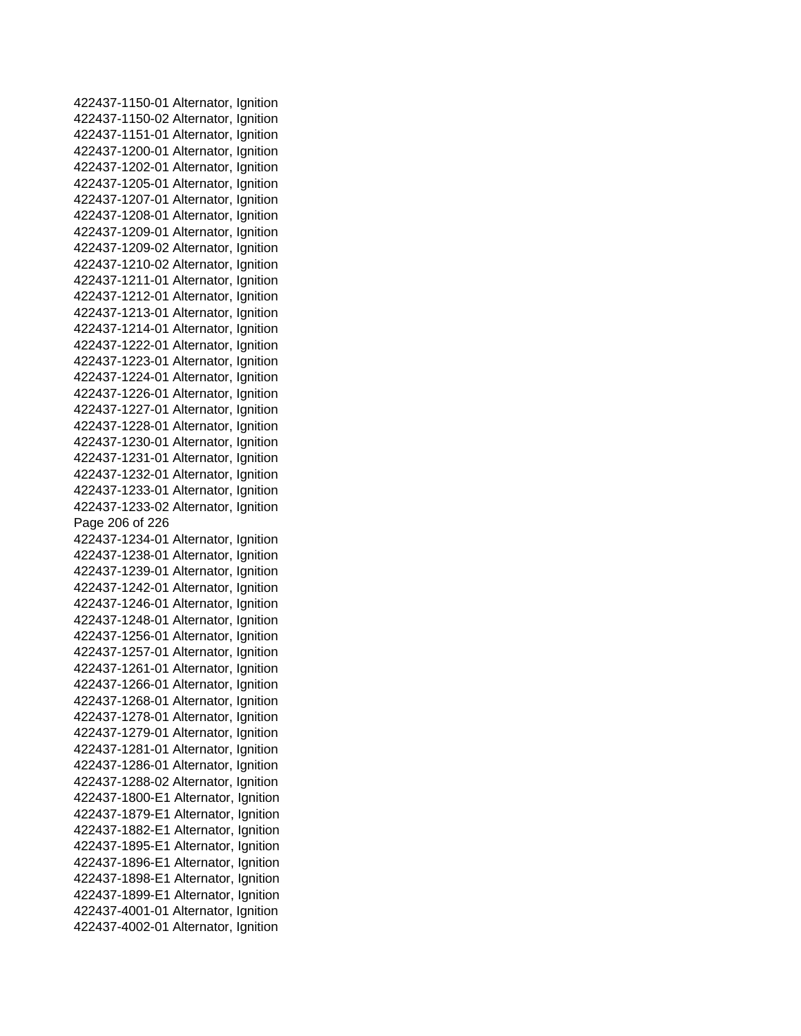422437-1150-01 Alternator, Ignition 422437-1150-02 Alternator, Ignition 422437-1151-01 Alternator, Ignition 422437-1200-01 Alternator, Ignition 422437-1202-01 Alternator, Ignition 422437-1205-01 Alternator, Ignition 422437-1207-01 Alternator, Ignition 422437-1208-01 Alternator, Ignition 422437-1209-01 Alternator, Ignition 422437-1209-02 Alternator, Ignition 422437-1210-02 Alternator, Ignition 422437-1211-01 Alternator, Ignition 422437-1212-01 Alternator, Ignition 422437-1213-01 Alternator, Ignition 422437-1214-01 Alternator, Ignition 422437-1222-01 Alternator, Ignition 422437-1223-01 Alternator, Ignition 422437-1224-01 Alternator, Ignition 422437-1226-01 Alternator, Ignition 422437-1227-01 Alternator, Ignition 422437-1228-01 Alternator, Ignition 422437-1230-01 Alternator, Ignition 422437-1231-01 Alternator, Ignition 422437-1232-01 Alternator, Ignition 422437-1233-01 Alternator, Ignition 422437-1233-02 Alternator, Ignition Page 206 of 226 422437-1234-01 Alternator, Ignition 422437-1238-01 Alternator, Ignition 422437-1239-01 Alternator, Ignition 422437-1242-01 Alternator, Ignition 422437-1246-01 Alternator, Ignition 422437-1248-01 Alternator, Ignition 422437-1256-01 Alternator, Ignition 422437-1257-01 Alternator, Ignition 422437-1261-01 Alternator, Ignition 422437-1266-01 Alternator, Ignition 422437-1268-01 Alternator, Ignition 422437-1278-01 Alternator, Ignition 422437-1279-01 Alternator, Ignition 422437-1281-01 Alternator, Ignition 422437-1286-01 Alternator, Ignition 422437-1288-02 Alternator, Ignition 422437-1800-E1 Alternator, Ignition 422437-1879-E1 Alternator, Ignition 422437-1882-E1 Alternator, Ignition 422437-1895-E1 Alternator, Ignition 422437-1896-E1 Alternator, Ignition 422437-1898-E1 Alternator, Ignition 422437-1899-E1 Alternator, Ignition 422437-4001-01 Alternator, Ignition 422437-4002-01 Alternator, Ignition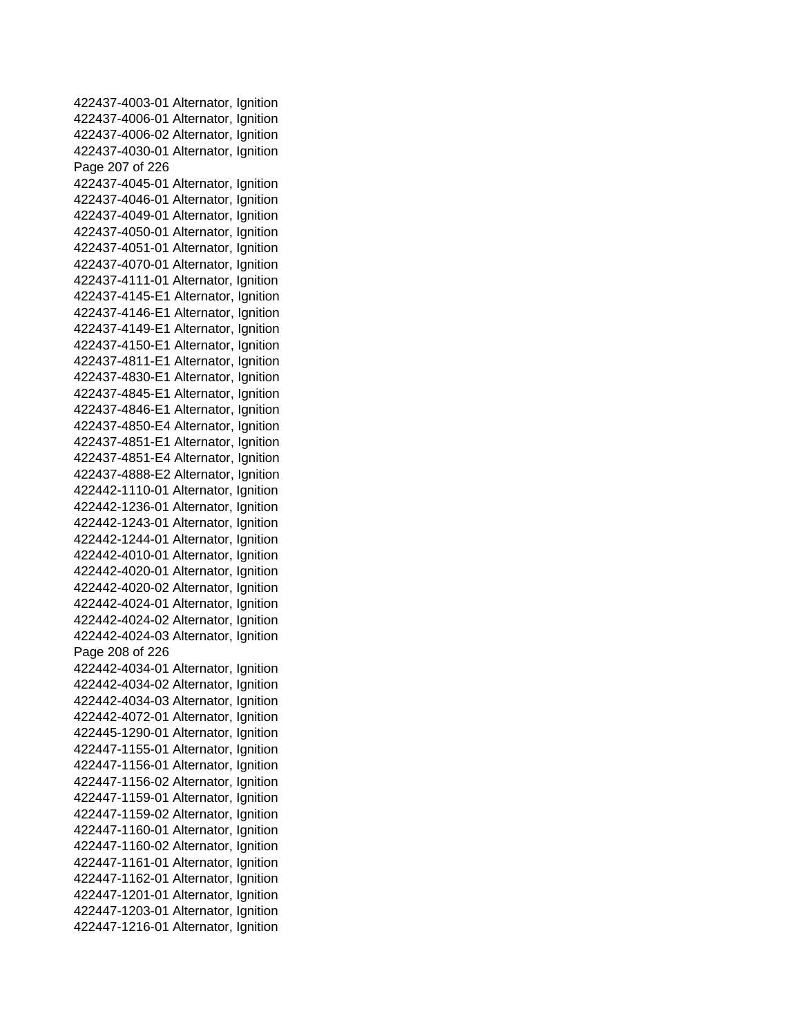422437-4003-01 Alternator, Ignition 422437-4006-01 Alternator, Ignition 422437-4006-02 Alternator, Ignition 422437-4030-01 Alternator, Ignition Page 207 of 226 422437-4045-01 Alternator, Ignition 422437-4046-01 Alternator, Ignition 422437-4049-01 Alternator, Ignition 422437-4050-01 Alternator, Ignition 422437-4051-01 Alternator, Ignition 422437-4070-01 Alternator, Ignition 422437-4111-01 Alternator, Ignition 422437-4145-E1 Alternator, Ignition 422437-4146-E1 Alternator, Ignition 422437-4149-E1 Alternator, Ignition 422437-4150-E1 Alternator, Ignition 422437-4811-E1 Alternator, Ignition 422437-4830-E1 Alternator, Ignition 422437-4845-E1 Alternator, Ignition 422437-4846-E1 Alternator, Ignition 422437-4850-E4 Alternator, Ignition 422437-4851-E1 Alternator, Ignition 422437-4851-E4 Alternator, Ignition 422437-4888-E2 Alternator, Ignition 422442-1110-01 Alternator, Ignition 422442-1236-01 Alternator, Ignition 422442-1243-01 Alternator, Ignition 422442-1244-01 Alternator, Ignition 422442-4010-01 Alternator, Ignition 422442-4020-01 Alternator, Ignition 422442-4020-02 Alternator, Ignition 422442-4024-01 Alternator, Ignition 422442-4024-02 Alternator, Ignition 422442-4024-03 Alternator, Ignition Page 208 of 226 422442-4034-01 Alternator, Ignition 422442-4034-02 Alternator, Ignition 422442-4034-03 Alternator, Ignition 422442-4072-01 Alternator, Ignition 422445-1290-01 Alternator, Ignition 422447-1155-01 Alternator, Ignition 422447-1156-01 Alternator, Ignition 422447-1156-02 Alternator, Ignition 422447-1159-01 Alternator, Ignition 422447-1159-02 Alternator, Ignition 422447-1160-01 Alternator, Ignition 422447-1160-02 Alternator, Ignition 422447-1161-01 Alternator, Ignition 422447-1162-01 Alternator, Ignition 422447-1201-01 Alternator, Ignition 422447-1203-01 Alternator, Ignition 422447-1216-01 Alternator, Ignition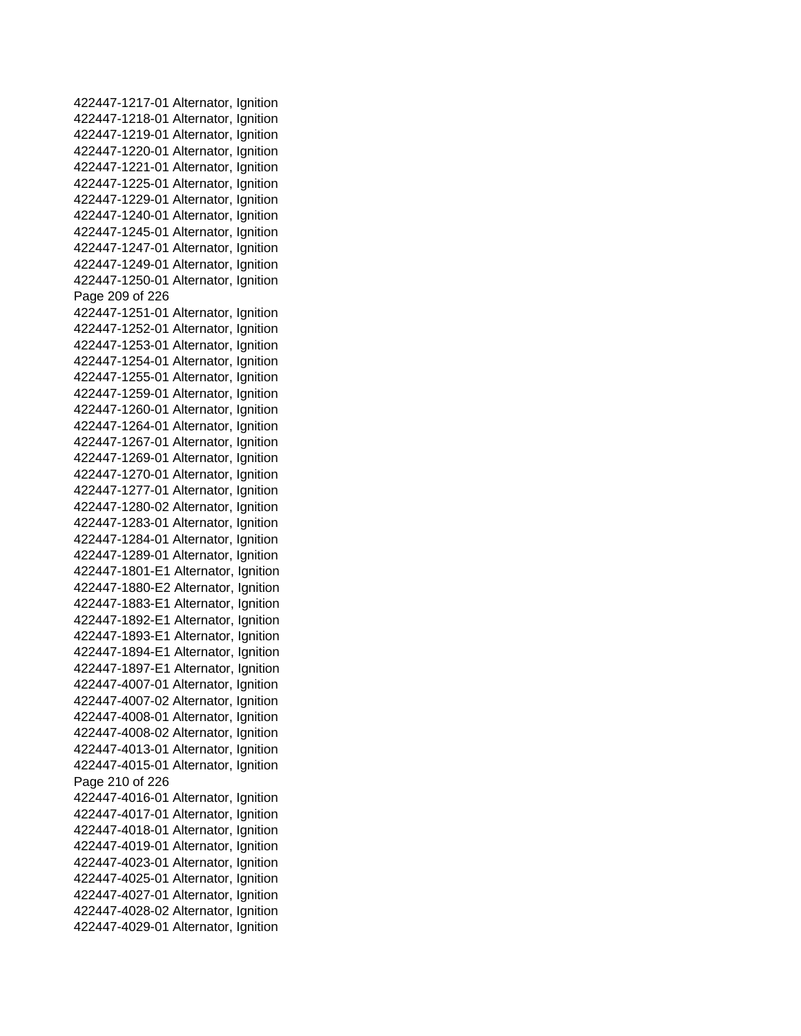422447-1217-01 Alternator, Ignition 422447-1218-01 Alternator, Ignition 422447-1219-01 Alternator, Ignition 422447-1220-01 Alternator, Ignition 422447-1221-01 Alternator, Ignition 422447-1225-01 Alternator, Ignition 422447-1229-01 Alternator, Ignition 422447-1240-01 Alternator, Ignition 422447-1245-01 Alternator, Ignition 422447-1247-01 Alternator, Ignition 422447-1249-01 Alternator, Ignition 422447-1250-01 Alternator, Ignition Page 209 of 226 422447-1251-01 Alternator, Ignition 422447-1252-01 Alternator, Ignition 422447-1253-01 Alternator, Ignition 422447-1254-01 Alternator, Ignition 422447-1255-01 Alternator, Ignition 422447-1259-01 Alternator, Ignition 422447-1260-01 Alternator, Ignition 422447-1264-01 Alternator, Ignition 422447-1267-01 Alternator, Ignition 422447-1269-01 Alternator, Ignition 422447-1270-01 Alternator, Ignition 422447-1277-01 Alternator, Ignition 422447-1280-02 Alternator, Ignition 422447-1283-01 Alternator, Ignition 422447-1284-01 Alternator, Ignition 422447-1289-01 Alternator, Ignition 422447-1801-E1 Alternator, Ignition 422447-1880-E2 Alternator, Ignition 422447-1883-E1 Alternator, Ignition 422447-1892-E1 Alternator, Ignition 422447-1893-E1 Alternator, Ignition 422447-1894-E1 Alternator, Ignition 422447-1897-E1 Alternator, Ignition 422447-4007-01 Alternator, Ignition 422447-4007-02 Alternator, Ignition 422447-4008-01 Alternator, Ignition 422447-4008-02 Alternator, Ignition 422447-4013-01 Alternator, Ignition 422447-4015-01 Alternator, Ignition Page 210 of 226 422447-4016-01 Alternator, Ignition 422447-4017-01 Alternator, Ignition 422447-4018-01 Alternator, Ignition 422447-4019-01 Alternator, Ignition 422447-4023-01 Alternator, Ignition 422447-4025-01 Alternator, Ignition 422447-4027-01 Alternator, Ignition 422447-4028-02 Alternator, Ignition 422447-4029-01 Alternator, Ignition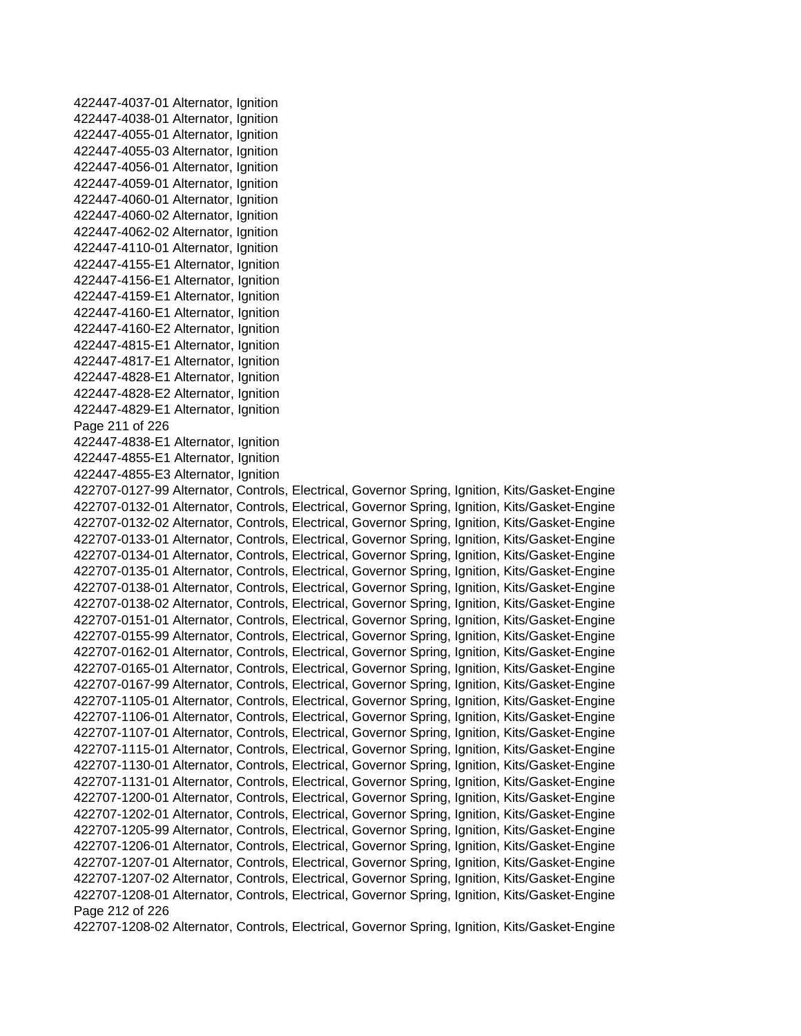422447-4037-01 Alternator, Ignition 422447-4038-01 Alternator, Ignition 422447-4055-01 Alternator, Ignition 422447-4055-03 Alternator, Ignition 422447-4056-01 Alternator, Ignition 422447-4059-01 Alternator, Ignition 422447-4060-01 Alternator, Ignition 422447-4060-02 Alternator, Ignition 422447-4062-02 Alternator, Ignition 422447-4110-01 Alternator, Ignition 422447-4155-E1 Alternator, Ignition 422447-4156-E1 Alternator, Ignition 422447-4159-E1 Alternator, Ignition 422447-4160-E1 Alternator, Ignition 422447-4160-E2 Alternator, Ignition 422447-4815-E1 Alternator, Ignition 422447-4817-E1 Alternator, Ignition 422447-4828-E1 Alternator, Ignition 422447-4828-E2 Alternator, Ignition 422447-4829-E1 Alternator, Ignition Page 211 of 226 422447-4838-E1 Alternator, Ignition 422447-4855-E1 Alternator, Ignition 422447-4855-E3 Alternator, Ignition 422707-0127-99 Alternator, Controls, Electrical, Governor Spring, Ignition, Kits/Gasket-Engine 422707-0132-01 Alternator, Controls, Electrical, Governor Spring, Ignition, Kits/Gasket-Engine 422707-0132-02 Alternator, Controls, Electrical, Governor Spring, Ignition, Kits/Gasket-Engine 422707-0133-01 Alternator, Controls, Electrical, Governor Spring, Ignition, Kits/Gasket-Engine 422707-0134-01 Alternator, Controls, Electrical, Governor Spring, Ignition, Kits/Gasket-Engine 422707-0135-01 Alternator, Controls, Electrical, Governor Spring, Ignition, Kits/Gasket-Engine 422707-0138-01 Alternator, Controls, Electrical, Governor Spring, Ignition, Kits/Gasket-Engine 422707-0138-02 Alternator, Controls, Electrical, Governor Spring, Ignition, Kits/Gasket-Engine 422707-0151-01 Alternator, Controls, Electrical, Governor Spring, Ignition, Kits/Gasket-Engine 422707-0155-99 Alternator, Controls, Electrical, Governor Spring, Ignition, Kits/Gasket-Engine 422707-0162-01 Alternator, Controls, Electrical, Governor Spring, Ignition, Kits/Gasket-Engine 422707-0165-01 Alternator, Controls, Electrical, Governor Spring, Ignition, Kits/Gasket-Engine 422707-0167-99 Alternator, Controls, Electrical, Governor Spring, Ignition, Kits/Gasket-Engine 422707-1105-01 Alternator, Controls, Electrical, Governor Spring, Ignition, Kits/Gasket-Engine 422707-1106-01 Alternator, Controls, Electrical, Governor Spring, Ignition, Kits/Gasket-Engine 422707-1107-01 Alternator, Controls, Electrical, Governor Spring, Ignition, Kits/Gasket-Engine 422707-1115-01 Alternator, Controls, Electrical, Governor Spring, Ignition, Kits/Gasket-Engine 422707-1130-01 Alternator, Controls, Electrical, Governor Spring, Ignition, Kits/Gasket-Engine 422707-1131-01 Alternator, Controls, Electrical, Governor Spring, Ignition, Kits/Gasket-Engine 422707-1200-01 Alternator, Controls, Electrical, Governor Spring, Ignition, Kits/Gasket-Engine 422707-1202-01 Alternator, Controls, Electrical, Governor Spring, Ignition, Kits/Gasket-Engine 422707-1205-99 Alternator, Controls, Electrical, Governor Spring, Ignition, Kits/Gasket-Engine 422707-1206-01 Alternator, Controls, Electrical, Governor Spring, Ignition, Kits/Gasket-Engine 422707-1207-01 Alternator, Controls, Electrical, Governor Spring, Ignition, Kits/Gasket-Engine 422707-1207-02 Alternator, Controls, Electrical, Governor Spring, Ignition, Kits/Gasket-Engine 422707-1208-01 Alternator, Controls, Electrical, Governor Spring, Ignition, Kits/Gasket-Engine Page 212 of 226 422707-1208-02 Alternator, Controls, Electrical, Governor Spring, Ignition, Kits/Gasket-Engine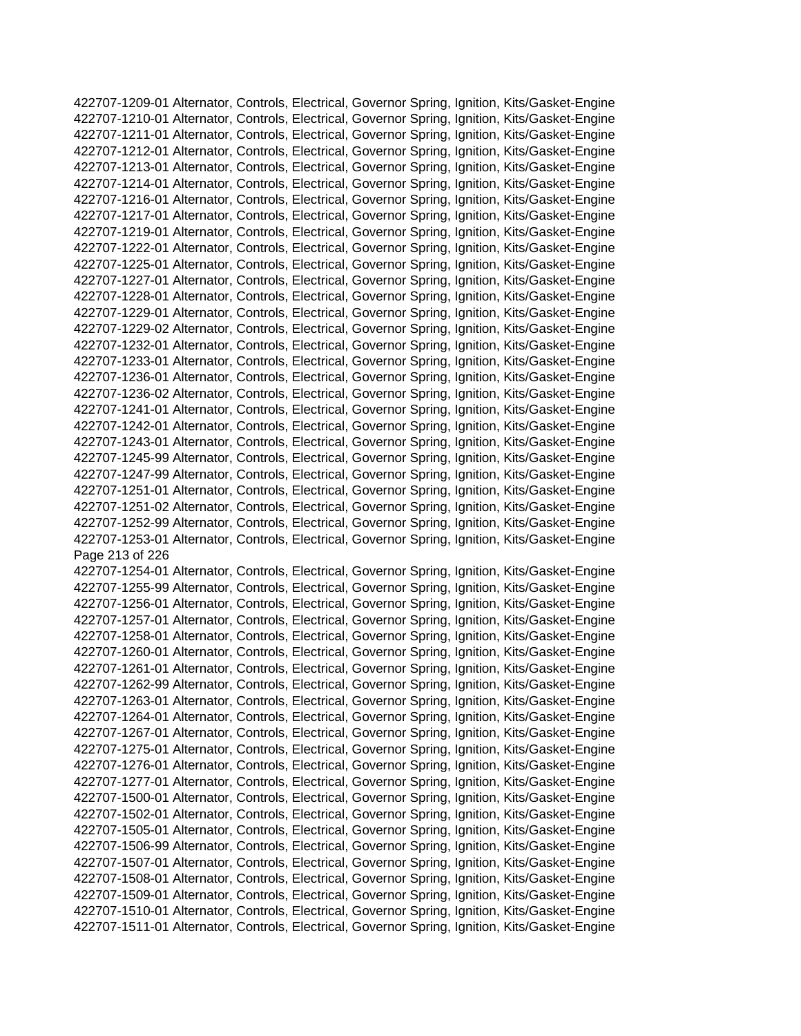422707-1209-01 Alternator, Controls, Electrical, Governor Spring, Ignition, Kits/Gasket-Engine 422707-1210-01 Alternator, Controls, Electrical, Governor Spring, Ignition, Kits/Gasket-Engine 422707-1211-01 Alternator, Controls, Electrical, Governor Spring, Ignition, Kits/Gasket-Engine 422707-1212-01 Alternator, Controls, Electrical, Governor Spring, Ignition, Kits/Gasket-Engine 422707-1213-01 Alternator, Controls, Electrical, Governor Spring, Ignition, Kits/Gasket-Engine 422707-1214-01 Alternator, Controls, Electrical, Governor Spring, Ignition, Kits/Gasket-Engine 422707-1216-01 Alternator, Controls, Electrical, Governor Spring, Ignition, Kits/Gasket-Engine 422707-1217-01 Alternator, Controls, Electrical, Governor Spring, Ignition, Kits/Gasket-Engine 422707-1219-01 Alternator, Controls, Electrical, Governor Spring, Ignition, Kits/Gasket-Engine 422707-1222-01 Alternator, Controls, Electrical, Governor Spring, Ignition, Kits/Gasket-Engine 422707-1225-01 Alternator, Controls, Electrical, Governor Spring, Ignition, Kits/Gasket-Engine 422707-1227-01 Alternator, Controls, Electrical, Governor Spring, Ignition, Kits/Gasket-Engine 422707-1228-01 Alternator, Controls, Electrical, Governor Spring, Ignition, Kits/Gasket-Engine 422707-1229-01 Alternator, Controls, Electrical, Governor Spring, Ignition, Kits/Gasket-Engine 422707-1229-02 Alternator, Controls, Electrical, Governor Spring, Ignition, Kits/Gasket-Engine 422707-1232-01 Alternator, Controls, Electrical, Governor Spring, Ignition, Kits/Gasket-Engine 422707-1233-01 Alternator, Controls, Electrical, Governor Spring, Ignition, Kits/Gasket-Engine 422707-1236-01 Alternator, Controls, Electrical, Governor Spring, Ignition, Kits/Gasket-Engine 422707-1236-02 Alternator, Controls, Electrical, Governor Spring, Ignition, Kits/Gasket-Engine 422707-1241-01 Alternator, Controls, Electrical, Governor Spring, Ignition, Kits/Gasket-Engine 422707-1242-01 Alternator, Controls, Electrical, Governor Spring, Ignition, Kits/Gasket-Engine 422707-1243-01 Alternator, Controls, Electrical, Governor Spring, Ignition, Kits/Gasket-Engine 422707-1245-99 Alternator, Controls, Electrical, Governor Spring, Ignition, Kits/Gasket-Engine 422707-1247-99 Alternator, Controls, Electrical, Governor Spring, Ignition, Kits/Gasket-Engine 422707-1251-01 Alternator, Controls, Electrical, Governor Spring, Ignition, Kits/Gasket-Engine 422707-1251-02 Alternator, Controls, Electrical, Governor Spring, Ignition, Kits/Gasket-Engine 422707-1252-99 Alternator, Controls, Electrical, Governor Spring, Ignition, Kits/Gasket-Engine 422707-1253-01 Alternator, Controls, Electrical, Governor Spring, Ignition, Kits/Gasket-Engine Page 213 of 226 422707-1254-01 Alternator, Controls, Electrical, Governor Spring, Ignition, Kits/Gasket-Engine 422707-1255-99 Alternator, Controls, Electrical, Governor Spring, Ignition, Kits/Gasket-Engine 422707-1256-01 Alternator, Controls, Electrical, Governor Spring, Ignition, Kits/Gasket-Engine 422707-1257-01 Alternator, Controls, Electrical, Governor Spring, Ignition, Kits/Gasket-Engine 422707-1258-01 Alternator, Controls, Electrical, Governor Spring, Ignition, Kits/Gasket-Engine 422707-1260-01 Alternator, Controls, Electrical, Governor Spring, Ignition, Kits/Gasket-Engine 422707-1261-01 Alternator, Controls, Electrical, Governor Spring, Ignition, Kits/Gasket-Engine 422707-1262-99 Alternator, Controls, Electrical, Governor Spring, Ignition, Kits/Gasket-Engine 422707-1263-01 Alternator, Controls, Electrical, Governor Spring, Ignition, Kits/Gasket-Engine 422707-1264-01 Alternator, Controls, Electrical, Governor Spring, Ignition, Kits/Gasket-Engine 422707-1267-01 Alternator, Controls, Electrical, Governor Spring, Ignition, Kits/Gasket-Engine 422707-1275-01 Alternator, Controls, Electrical, Governor Spring, Ignition, Kits/Gasket-Engine 422707-1276-01 Alternator, Controls, Electrical, Governor Spring, Ignition, Kits/Gasket-Engine 422707-1277-01 Alternator, Controls, Electrical, Governor Spring, Ignition, Kits/Gasket-Engine 422707-1500-01 Alternator, Controls, Electrical, Governor Spring, Ignition, Kits/Gasket-Engine 422707-1502-01 Alternator, Controls, Electrical, Governor Spring, Ignition, Kits/Gasket-Engine 422707-1505-01 Alternator, Controls, Electrical, Governor Spring, Ignition, Kits/Gasket-Engine 422707-1506-99 Alternator, Controls, Electrical, Governor Spring, Ignition, Kits/Gasket-Engine 422707-1507-01 Alternator, Controls, Electrical, Governor Spring, Ignition, Kits/Gasket-Engine 422707-1508-01 Alternator, Controls, Electrical, Governor Spring, Ignition, Kits/Gasket-Engine 422707-1509-01 Alternator, Controls, Electrical, Governor Spring, Ignition, Kits/Gasket-Engine 422707-1510-01 Alternator, Controls, Electrical, Governor Spring, Ignition, Kits/Gasket-Engine 422707-1511-01 Alternator, Controls, Electrical, Governor Spring, Ignition, Kits/Gasket-Engine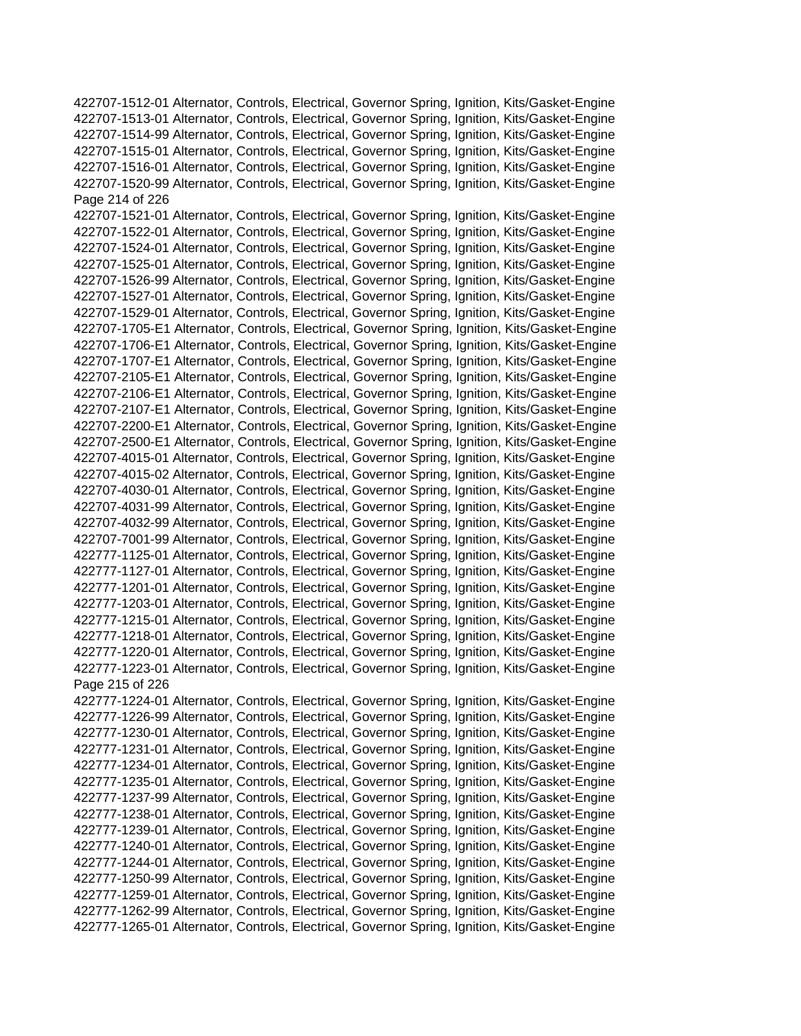422707-1512-01 Alternator, Controls, Electrical, Governor Spring, Ignition, Kits/Gasket-Engine 422707-1513-01 Alternator, Controls, Electrical, Governor Spring, Ignition, Kits/Gasket-Engine 422707-1514-99 Alternator, Controls, Electrical, Governor Spring, Ignition, Kits/Gasket-Engine 422707-1515-01 Alternator, Controls, Electrical, Governor Spring, Ignition, Kits/Gasket-Engine 422707-1516-01 Alternator, Controls, Electrical, Governor Spring, Ignition, Kits/Gasket-Engine 422707-1520-99 Alternator, Controls, Electrical, Governor Spring, Ignition, Kits/Gasket-Engine Page 214 of 226 422707-1521-01 Alternator, Controls, Electrical, Governor Spring, Ignition, Kits/Gasket-Engine 422707-1522-01 Alternator, Controls, Electrical, Governor Spring, Ignition, Kits/Gasket-Engine 422707-1524-01 Alternator, Controls, Electrical, Governor Spring, Ignition, Kits/Gasket-Engine 422707-1525-01 Alternator, Controls, Electrical, Governor Spring, Ignition, Kits/Gasket-Engine 422707-1526-99 Alternator, Controls, Electrical, Governor Spring, Ignition, Kits/Gasket-Engine 422707-1527-01 Alternator, Controls, Electrical, Governor Spring, Ignition, Kits/Gasket-Engine 422707-1529-01 Alternator, Controls, Electrical, Governor Spring, Ignition, Kits/Gasket-Engine 422707-1705-E1 Alternator, Controls, Electrical, Governor Spring, Ignition, Kits/Gasket-Engine 422707-1706-E1 Alternator, Controls, Electrical, Governor Spring, Ignition, Kits/Gasket-Engine 422707-1707-E1 Alternator, Controls, Electrical, Governor Spring, Ignition, Kits/Gasket-Engine 422707-2105-E1 Alternator, Controls, Electrical, Governor Spring, Ignition, Kits/Gasket-Engine 422707-2106-E1 Alternator, Controls, Electrical, Governor Spring, Ignition, Kits/Gasket-Engine 422707-2107-E1 Alternator, Controls, Electrical, Governor Spring, Ignition, Kits/Gasket-Engine 422707-2200-E1 Alternator, Controls, Electrical, Governor Spring, Ignition, Kits/Gasket-Engine 422707-2500-E1 Alternator, Controls, Electrical, Governor Spring, Ignition, Kits/Gasket-Engine 422707-4015-01 Alternator, Controls, Electrical, Governor Spring, Ignition, Kits/Gasket-Engine 422707-4015-02 Alternator, Controls, Electrical, Governor Spring, Ignition, Kits/Gasket-Engine 422707-4030-01 Alternator, Controls, Electrical, Governor Spring, Ignition, Kits/Gasket-Engine 422707-4031-99 Alternator, Controls, Electrical, Governor Spring, Ignition, Kits/Gasket-Engine 422707-4032-99 Alternator, Controls, Electrical, Governor Spring, Ignition, Kits/Gasket-Engine 422707-7001-99 Alternator, Controls, Electrical, Governor Spring, Ignition, Kits/Gasket-Engine 422777-1125-01 Alternator, Controls, Electrical, Governor Spring, Ignition, Kits/Gasket-Engine 422777-1127-01 Alternator, Controls, Electrical, Governor Spring, Ignition, Kits/Gasket-Engine 422777-1201-01 Alternator, Controls, Electrical, Governor Spring, Ignition, Kits/Gasket-Engine 422777-1203-01 Alternator, Controls, Electrical, Governor Spring, Ignition, Kits/Gasket-Engine 422777-1215-01 Alternator, Controls, Electrical, Governor Spring, Ignition, Kits/Gasket-Engine 422777-1218-01 Alternator, Controls, Electrical, Governor Spring, Ignition, Kits/Gasket-Engine 422777-1220-01 Alternator, Controls, Electrical, Governor Spring, Ignition, Kits/Gasket-Engine 422777-1223-01 Alternator, Controls, Electrical, Governor Spring, Ignition, Kits/Gasket-Engine Page 215 of 226 422777-1224-01 Alternator, Controls, Electrical, Governor Spring, Ignition, Kits/Gasket-Engine 422777-1226-99 Alternator, Controls, Electrical, Governor Spring, Ignition, Kits/Gasket-Engine 422777-1230-01 Alternator, Controls, Electrical, Governor Spring, Ignition, Kits/Gasket-Engine 422777-1231-01 Alternator, Controls, Electrical, Governor Spring, Ignition, Kits/Gasket-Engine 422777-1234-01 Alternator, Controls, Electrical, Governor Spring, Ignition, Kits/Gasket-Engine 422777-1235-01 Alternator, Controls, Electrical, Governor Spring, Ignition, Kits/Gasket-Engine 422777-1237-99 Alternator, Controls, Electrical, Governor Spring, Ignition, Kits/Gasket-Engine 422777-1238-01 Alternator, Controls, Electrical, Governor Spring, Ignition, Kits/Gasket-Engine 422777-1239-01 Alternator, Controls, Electrical, Governor Spring, Ignition, Kits/Gasket-Engine 422777-1240-01 Alternator, Controls, Electrical, Governor Spring, Ignition, Kits/Gasket-Engine 422777-1244-01 Alternator, Controls, Electrical, Governor Spring, Ignition, Kits/Gasket-Engine 422777-1250-99 Alternator, Controls, Electrical, Governor Spring, Ignition, Kits/Gasket-Engine 422777-1259-01 Alternator, Controls, Electrical, Governor Spring, Ignition, Kits/Gasket-Engine 422777-1262-99 Alternator, Controls, Electrical, Governor Spring, Ignition, Kits/Gasket-Engine 422777-1265-01 Alternator, Controls, Electrical, Governor Spring, Ignition, Kits/Gasket-Engine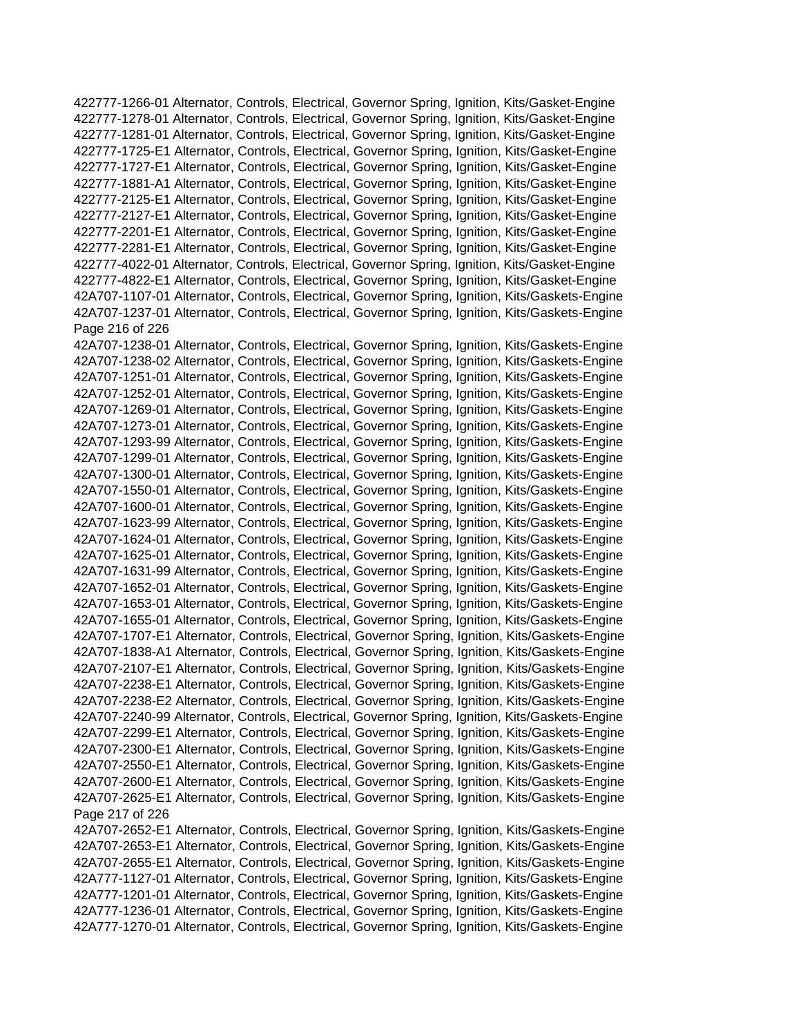422777-1266-01 Alternator, Controls, Electrical, Governor Spring, Ignition, Kits/Gasket-Engine 422777-1278-01 Alternator, Controls, Electrical, Governor Spring, Ignition, Kits/Gasket-Engine 422777-1281-01 Alternator, Controls, Electrical, Governor Spring, Ignition, Kits/Gasket-Engine 422777-1725-E1 Alternator, Controls, Electrical, Governor Spring, Ignition, Kits/Gasket-Engine 422777-1727-E1 Alternator, Controls, Electrical, Governor Spring, Ignition, Kits/Gasket-Engine 422777-1881-A1 Alternator, Controls, Electrical, Governor Spring, Ignition, Kits/Gasket-Engine 422777-2125-E1 Alternator, Controls, Electrical, Governor Spring, Ignition, Kits/Gasket-Engine 422777-2127-E1 Alternator, Controls, Electrical, Governor Spring, Ignition, Kits/Gasket-Engine 422777-2201-E1 Alternator, Controls, Electrical, Governor Spring, Ignition, Kits/Gasket-Engine 422777-2281-E1 Alternator, Controls, Electrical, Governor Spring, Ignition, Kits/Gasket-Engine 422777-4022-01 Alternator, Controls, Electrical, Governor Spring, Ignition, Kits/Gasket-Engine 422777-4822-E1 Alternator, Controls, Electrical, Governor Spring, Ignition, Kits/Gasket-Engine 42A707-1107-01 Alternator, Controls, Electrical, Governor Spring, Ignition, Kits/Gaskets-Engine 42A707-1237-01 Alternator, Controls, Electrical, Governor Spring, Ignition, Kits/Gaskets-Engine Page 216 of 226 42A707-1238-01 Alternator, Controls, Electrical, Governor Spring, Ignition, Kits/Gaskets-Engine 42A707-1238-02 Alternator, Controls, Electrical, Governor Spring, Ignition, Kits/Gaskets-Engine 42A707-1251-01 Alternator, Controls, Electrical, Governor Spring, Ignition, Kits/Gaskets-Engine 42A707-1252-01 Alternator, Controls, Electrical, Governor Spring, Ignition, Kits/Gaskets-Engine 42A707-1269-01 Alternator, Controls, Electrical, Governor Spring, Ignition, Kits/Gaskets-Engine 42A707-1273-01 Alternator, Controls, Electrical, Governor Spring, Ignition, Kits/Gaskets-Engine 42A707-1293-99 Alternator, Controls, Electrical, Governor Spring, Ignition, Kits/Gaskets-Engine 42A707-1299-01 Alternator, Controls, Electrical, Governor Spring, Ignition, Kits/Gaskets-Engine 42A707-1300-01 Alternator, Controls, Electrical, Governor Spring, Ignition, Kits/Gaskets-Engine 42A707-1550-01 Alternator, Controls, Electrical, Governor Spring, Ignition, Kits/Gaskets-Engine 42A707-1600-01 Alternator, Controls, Electrical, Governor Spring, Ignition, Kits/Gaskets-Engine 42A707-1623-99 Alternator, Controls, Electrical, Governor Spring, Ignition, Kits/Gaskets-Engine 42A707-1624-01 Alternator, Controls, Electrical, Governor Spring, Ignition, Kits/Gaskets-Engine 42A707-1625-01 Alternator, Controls, Electrical, Governor Spring, Ignition, Kits/Gaskets-Engine 42A707-1631-99 Alternator, Controls, Electrical, Governor Spring, Ignition, Kits/Gaskets-Engine 42A707-1652-01 Alternator, Controls, Electrical, Governor Spring, Ignition, Kits/Gaskets-Engine 42A707-1653-01 Alternator, Controls, Electrical, Governor Spring, Ignition, Kits/Gaskets-Engine 42A707-1655-01 Alternator, Controls, Electrical, Governor Spring, Ignition, Kits/Gaskets-Engine 42A707-1707-E1 Alternator, Controls, Electrical, Governor Spring, Ignition, Kits/Gaskets-Engine 42A707-1838-A1 Alternator, Controls, Electrical, Governor Spring, Ignition, Kits/Gaskets-Engine 42A707-2107-E1 Alternator, Controls, Electrical, Governor Spring, Ignition, Kits/Gaskets-Engine 42A707-2238-E1 Alternator, Controls, Electrical, Governor Spring, Ignition, Kits/Gaskets-Engine 42A707-2238-E2 Alternator, Controls, Electrical, Governor Spring, Ignition, Kits/Gaskets-Engine 42A707-2240-99 Alternator, Controls, Electrical, Governor Spring, Ignition, Kits/Gaskets-Engine 42A707-2299-E1 Alternator, Controls, Electrical, Governor Spring, Ignition, Kits/Gaskets-Engine 42A707-2300-E1 Alternator, Controls, Electrical, Governor Spring, Ignition, Kits/Gaskets-Engine 42A707-2550-E1 Alternator, Controls, Electrical, Governor Spring, Ignition, Kits/Gaskets-Engine 42A707-2600-E1 Alternator, Controls, Electrical, Governor Spring, Ignition, Kits/Gaskets-Engine 42A707-2625-E1 Alternator, Controls, Electrical, Governor Spring, Ignition, Kits/Gaskets-Engine Page 217 of 226 42A707-2652-E1 Alternator, Controls, Electrical, Governor Spring, Ignition, Kits/Gaskets-Engine 42A707-2653-E1 Alternator, Controls, Electrical, Governor Spring, Ignition, Kits/Gaskets-Engine 42A707-2655-E1 Alternator, Controls, Electrical, Governor Spring, Ignition, Kits/Gaskets-Engine 42A777-1127-01 Alternator, Controls, Electrical, Governor Spring, Ignition, Kits/Gaskets-Engine 42A777-1201-01 Alternator, Controls, Electrical, Governor Spring, Ignition, Kits/Gaskets-Engine 42A777-1236-01 Alternator, Controls, Electrical, Governor Spring, Ignition, Kits/Gaskets-Engine 42A777-1270-01 Alternator, Controls, Electrical, Governor Spring, Ignition, Kits/Gaskets-Engine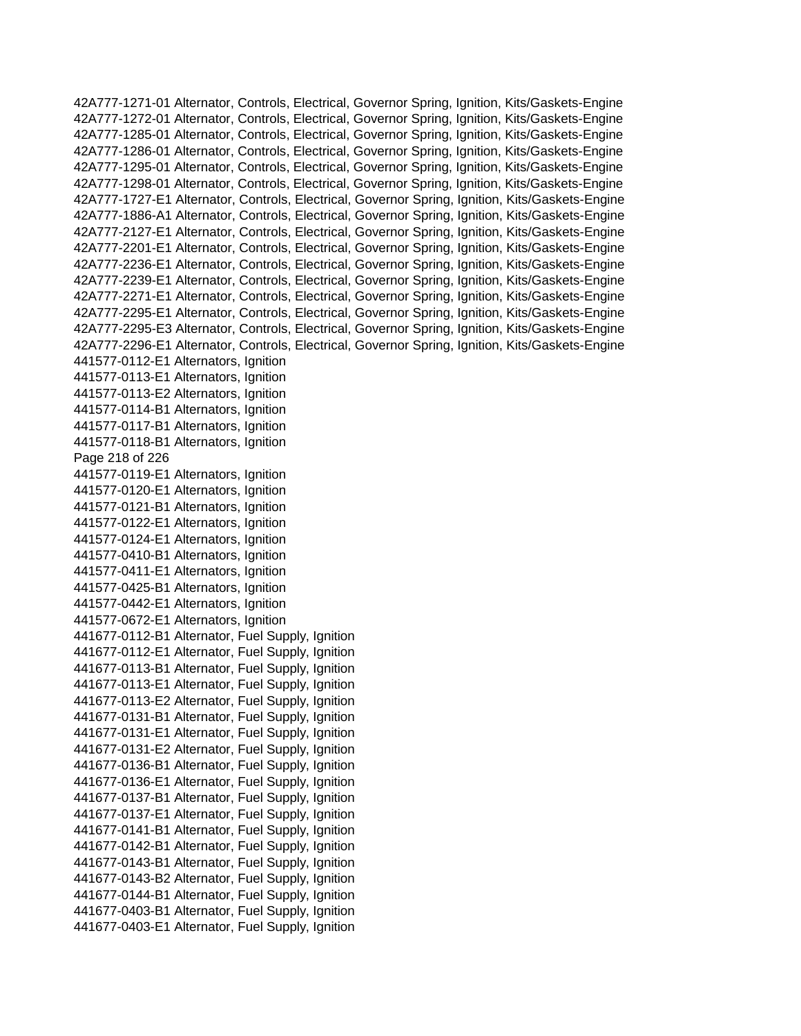42A777-1271-01 Alternator, Controls, Electrical, Governor Spring, Ignition, Kits/Gaskets-Engine 42A777-1272-01 Alternator, Controls, Electrical, Governor Spring, Ignition, Kits/Gaskets-Engine 42A777-1285-01 Alternator, Controls, Electrical, Governor Spring, Ignition, Kits/Gaskets-Engine 42A777-1286-01 Alternator, Controls, Electrical, Governor Spring, Ignition, Kits/Gaskets-Engine 42A777-1295-01 Alternator, Controls, Electrical, Governor Spring, Ignition, Kits/Gaskets-Engine 42A777-1298-01 Alternator, Controls, Electrical, Governor Spring, Ignition, Kits/Gaskets-Engine 42A777-1727-E1 Alternator, Controls, Electrical, Governor Spring, Ignition, Kits/Gaskets-Engine 42A777-1886-A1 Alternator, Controls, Electrical, Governor Spring, Ignition, Kits/Gaskets-Engine 42A777-2127-E1 Alternator, Controls, Electrical, Governor Spring, Ignition, Kits/Gaskets-Engine 42A777-2201-E1 Alternator, Controls, Electrical, Governor Spring, Ignition, Kits/Gaskets-Engine 42A777-2236-E1 Alternator, Controls, Electrical, Governor Spring, Ignition, Kits/Gaskets-Engine 42A777-2239-E1 Alternator, Controls, Electrical, Governor Spring, Ignition, Kits/Gaskets-Engine 42A777-2271-E1 Alternator, Controls, Electrical, Governor Spring, Ignition, Kits/Gaskets-Engine 42A777-2295-E1 Alternator, Controls, Electrical, Governor Spring, Ignition, Kits/Gaskets-Engine 42A777-2295-E3 Alternator, Controls, Electrical, Governor Spring, Ignition, Kits/Gaskets-Engine 42A777-2296-E1 Alternator, Controls, Electrical, Governor Spring, Ignition, Kits/Gaskets-Engine 441577-0112-E1 Alternators, Ignition 441577-0113-E1 Alternators, Ignition 441577-0113-E2 Alternators, Ignition 441577-0114-B1 Alternators, Ignition 441577-0117-B1 Alternators, Ignition 441577-0118-B1 Alternators, Ignition Page 218 of 226 441577-0119-E1 Alternators, Ignition 441577-0120-E1 Alternators, Ignition 441577-0121-B1 Alternators, Ignition 441577-0122-E1 Alternators, Ignition 441577-0124-E1 Alternators, Ignition 441577-0410-B1 Alternators, Ignition 441577-0411-E1 Alternators, Ignition 441577-0425-B1 Alternators, Ignition 441577-0442-E1 Alternators, Ignition 441577-0672-E1 Alternators, Ignition 441677-0112-B1 Alternator, Fuel Supply, Ignition 441677-0112-E1 Alternator, Fuel Supply, Ignition 441677-0113-B1 Alternator, Fuel Supply, Ignition 441677-0113-E1 Alternator, Fuel Supply, Ignition 441677-0113-E2 Alternator, Fuel Supply, Ignition 441677-0131-B1 Alternator, Fuel Supply, Ignition 441677-0131-E1 Alternator, Fuel Supply, Ignition 441677-0131-E2 Alternator, Fuel Supply, Ignition 441677-0136-B1 Alternator, Fuel Supply, Ignition 441677-0136-E1 Alternator, Fuel Supply, Ignition 441677-0137-B1 Alternator, Fuel Supply, Ignition 441677-0137-E1 Alternator, Fuel Supply, Ignition 441677-0141-B1 Alternator, Fuel Supply, Ignition 441677-0142-B1 Alternator, Fuel Supply, Ignition 441677-0143-B1 Alternator, Fuel Supply, Ignition 441677-0143-B2 Alternator, Fuel Supply, Ignition 441677-0144-B1 Alternator, Fuel Supply, Ignition 441677-0403-B1 Alternator, Fuel Supply, Ignition 441677-0403-E1 Alternator, Fuel Supply, Ignition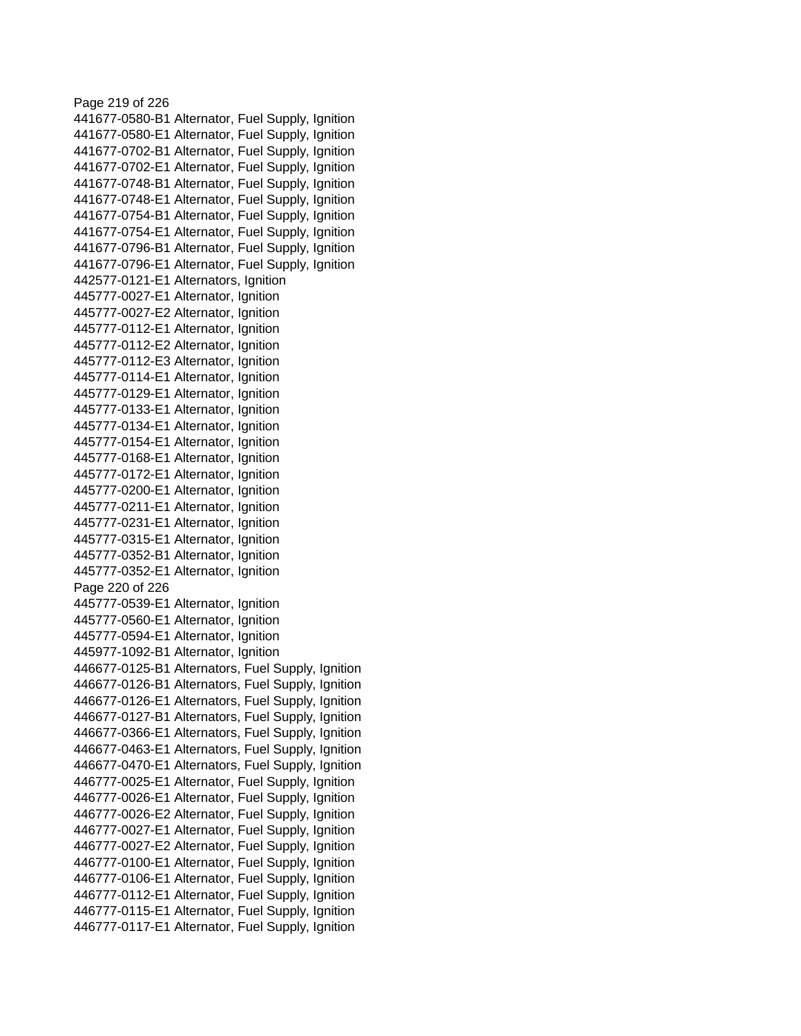Page 219 of 226 441677-0580-B1 Alternator, Fuel Supply, Ignition 441677-0580-E1 Alternator, Fuel Supply, Ignition 441677-0702-B1 Alternator, Fuel Supply, Ignition 441677-0702-E1 Alternator, Fuel Supply, Ignition 441677-0748-B1 Alternator, Fuel Supply, Ignition 441677-0748-E1 Alternator, Fuel Supply, Ignition 441677-0754-B1 Alternator, Fuel Supply, Ignition 441677-0754-E1 Alternator, Fuel Supply, Ignition 441677-0796-B1 Alternator, Fuel Supply, Ignition 441677-0796-E1 Alternator, Fuel Supply, Ignition 442577-0121-E1 Alternators, Ignition 445777-0027-E1 Alternator, Ignition 445777-0027-E2 Alternator, Ignition 445777-0112-E1 Alternator, Ignition 445777-0112-E2 Alternator, Ignition 445777-0112-E3 Alternator, Ignition 445777-0114-E1 Alternator, Ignition 445777-0129-E1 Alternator, Ignition 445777-0133-E1 Alternator, Ignition 445777-0134-E1 Alternator, Ignition 445777-0154-E1 Alternator, Ignition 445777-0168-E1 Alternator, Ignition 445777-0172-E1 Alternator, Ignition 445777-0200-E1 Alternator, Ignition 445777-0211-E1 Alternator, Ignition 445777-0231-E1 Alternator, Ignition 445777-0315-E1 Alternator, Ignition 445777-0352-B1 Alternator, Ignition 445777-0352-E1 Alternator, Ignition Page 220 of 226 445777-0539-E1 Alternator, Ignition 445777-0560-E1 Alternator, Ignition 445777-0594-E1 Alternator, Ignition 445977-1092-B1 Alternator, Ignition 446677-0125-B1 Alternators, Fuel Supply, Ignition 446677-0126-B1 Alternators, Fuel Supply, Ignition 446677-0126-E1 Alternators, Fuel Supply, Ignition 446677-0127-B1 Alternators, Fuel Supply, Ignition 446677-0366-E1 Alternators, Fuel Supply, Ignition 446677-0463-E1 Alternators, Fuel Supply, Ignition 446677-0470-E1 Alternators, Fuel Supply, Ignition 446777-0025-E1 Alternator, Fuel Supply, Ignition 446777-0026-E1 Alternator, Fuel Supply, Ignition 446777-0026-E2 Alternator, Fuel Supply, Ignition 446777-0027-E1 Alternator, Fuel Supply, Ignition 446777-0027-E2 Alternator, Fuel Supply, Ignition 446777-0100-E1 Alternator, Fuel Supply, Ignition 446777-0106-E1 Alternator, Fuel Supply, Ignition 446777-0112-E1 Alternator, Fuel Supply, Ignition 446777-0115-E1 Alternator, Fuel Supply, Ignition 446777-0117-E1 Alternator, Fuel Supply, Ignition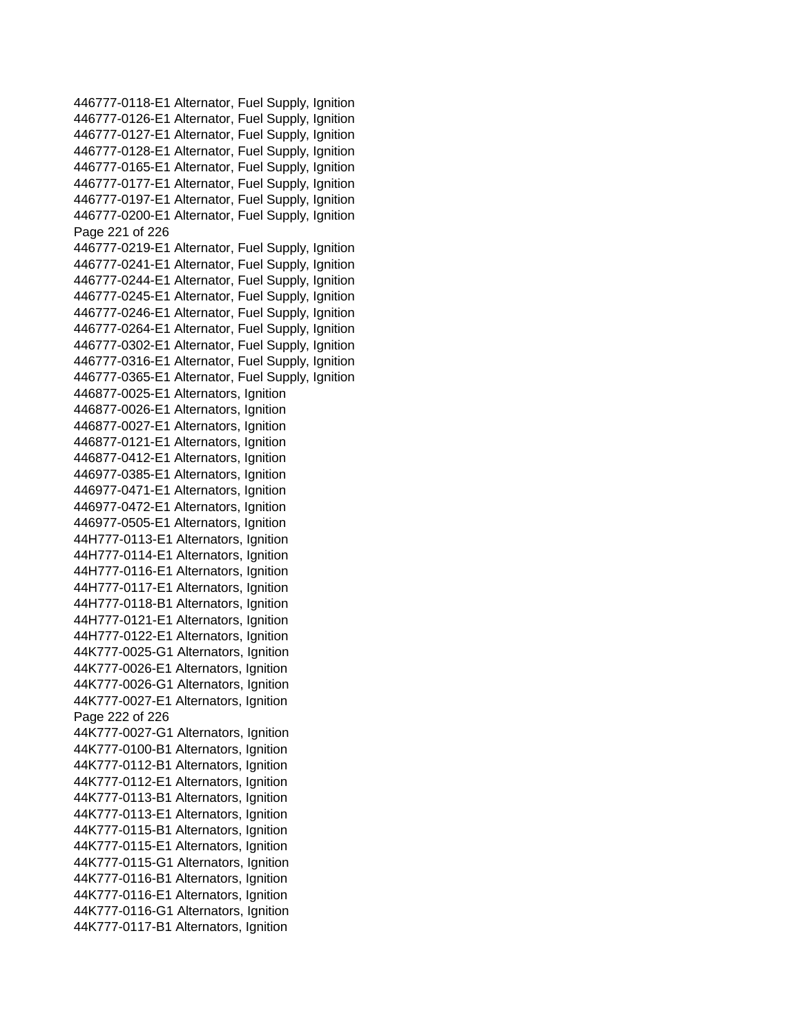446777-0118-E1 Alternator, Fuel Supply, Ignition 446777-0126-E1 Alternator, Fuel Supply, Ignition 446777-0127-E1 Alternator, Fuel Supply, Ignition 446777-0128-E1 Alternator, Fuel Supply, Ignition 446777-0165-E1 Alternator, Fuel Supply, Ignition 446777-0177-E1 Alternator, Fuel Supply, Ignition 446777-0197-E1 Alternator, Fuel Supply, Ignition 446777-0200-E1 Alternator, Fuel Supply, Ignition Page 221 of 226 446777-0219-E1 Alternator, Fuel Supply, Ignition 446777-0241-E1 Alternator, Fuel Supply, Ignition 446777-0244-E1 Alternator, Fuel Supply, Ignition 446777-0245-E1 Alternator, Fuel Supply, Ignition 446777-0246-E1 Alternator, Fuel Supply, Ignition 446777-0264-E1 Alternator, Fuel Supply, Ignition 446777-0302-E1 Alternator, Fuel Supply, Ignition 446777-0316-E1 Alternator, Fuel Supply, Ignition 446777-0365-E1 Alternator, Fuel Supply, Ignition 446877-0025-E1 Alternators, Ignition 446877-0026-E1 Alternators, Ignition 446877-0027-E1 Alternators, Ignition 446877-0121-E1 Alternators, Ignition 446877-0412-E1 Alternators, Ignition 446977-0385-E1 Alternators, Ignition 446977-0471-E1 Alternators, Ignition 446977-0472-E1 Alternators, Ignition 446977-0505-E1 Alternators, Ignition 44H777-0113-E1 Alternators, Ignition 44H777-0114-E1 Alternators, Ignition 44H777-0116-E1 Alternators, Ignition 44H777-0117-E1 Alternators, Ignition 44H777-0118-B1 Alternators, Ignition 44H777-0121-E1 Alternators, Ignition 44H777-0122-E1 Alternators, Ignition 44K777-0025-G1 Alternators, Ignition 44K777-0026-E1 Alternators, Ignition 44K777-0026-G1 Alternators, Ignition 44K777-0027-E1 Alternators, Ignition Page 222 of 226 44K777-0027-G1 Alternators, Ignition 44K777-0100-B1 Alternators, Ignition 44K777-0112-B1 Alternators, Ignition 44K777-0112-E1 Alternators, Ignition 44K777-0113-B1 Alternators, Ignition 44K777-0113-E1 Alternators, Ignition 44K777-0115-B1 Alternators, Ignition 44K777-0115-E1 Alternators, Ignition 44K777-0115-G1 Alternators, Ignition 44K777-0116-B1 Alternators, Ignition 44K777-0116-E1 Alternators, Ignition 44K777-0116-G1 Alternators, Ignition 44K777-0117-B1 Alternators, Ignition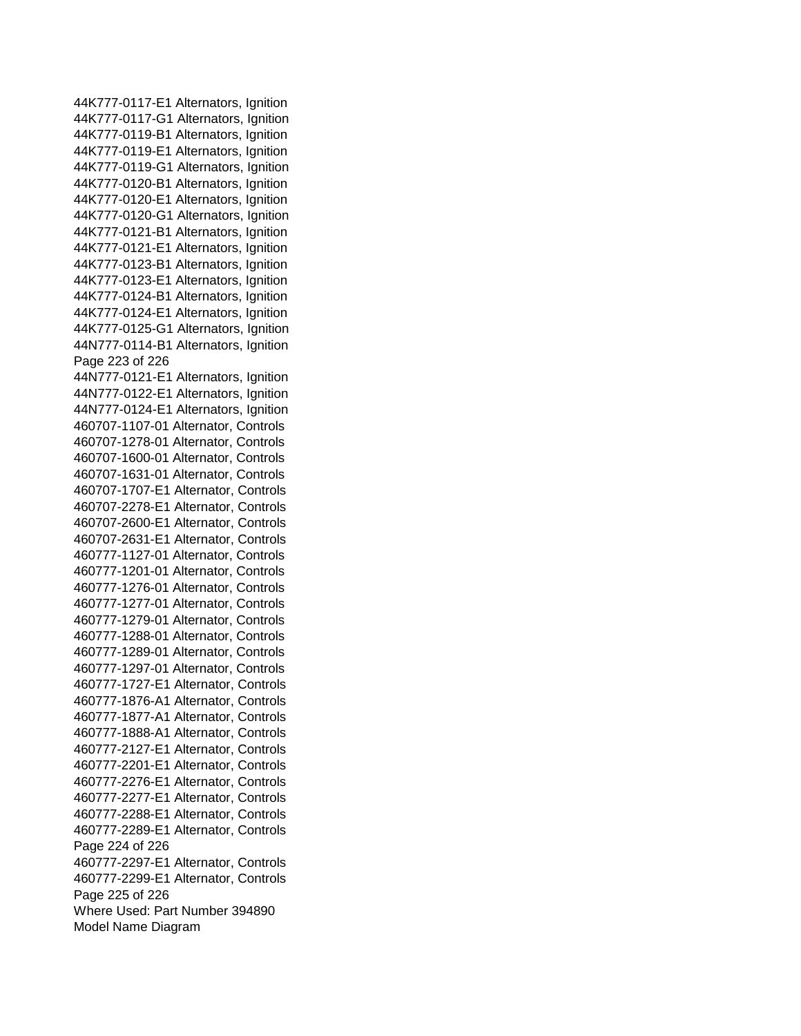44K777-0117-E1 Alternators, Ignition 44K777-0117-G1 Alternators, Ignition 44K777-0119-B1 Alternators, Ignition 44K777-0119-E1 Alternators, Ignition 44K777-0119-G1 Alternators, Ignition 44K777-0120-B1 Alternators, Ignition 44K777-0120-E1 Alternators, Ignition 44K777-0120-G1 Alternators, Ignition 44K777-0121-B1 Alternators, Ignition 44K777-0121-E1 Alternators, Ignition 44K777-0123-B1 Alternators, Ignition 44K777-0123-E1 Alternators, Ignition 44K777-0124-B1 Alternators, Ignition 44K777-0124-E1 Alternators, Ignition 44K777-0125-G1 Alternators, Ignition 44N777-0114-B1 Alternators, Ignition Page 223 of 226 44N777-0121-E1 Alternators, Ignition 44N777-0122-E1 Alternators, Ignition 44N777-0124-E1 Alternators, Ignition 460707-1107-01 Alternator, Controls 460707-1278-01 Alternator, Controls 460707-1600-01 Alternator, Controls 460707-1631-01 Alternator, Controls 460707-1707-E1 Alternator, Controls 460707-2278-E1 Alternator, Controls 460707-2600-E1 Alternator, Controls 460707-2631-E1 Alternator, Controls 460777-1127-01 Alternator, Controls 460777-1201-01 Alternator, Controls 460777-1276-01 Alternator, Controls 460777-1277-01 Alternator, Controls 460777-1279-01 Alternator, Controls 460777-1288-01 Alternator, Controls 460777-1289-01 Alternator, Controls 460777-1297-01 Alternator, Controls 460777-1727-E1 Alternator, Controls 460777-1876-A1 Alternator, Controls 460777-1877-A1 Alternator, Controls 460777-1888-A1 Alternator, Controls 460777-2127-E1 Alternator, Controls 460777-2201-E1 Alternator, Controls 460777-2276-E1 Alternator, Controls 460777-2277-E1 Alternator, Controls 460777-2288-E1 Alternator, Controls 460777-2289-E1 Alternator, Controls Page 224 of 226 460777-2297-E1 Alternator, Controls 460777-2299-E1 Alternator, Controls Page 225 of 226 Where Used: Part Number 394890 Model Name Diagram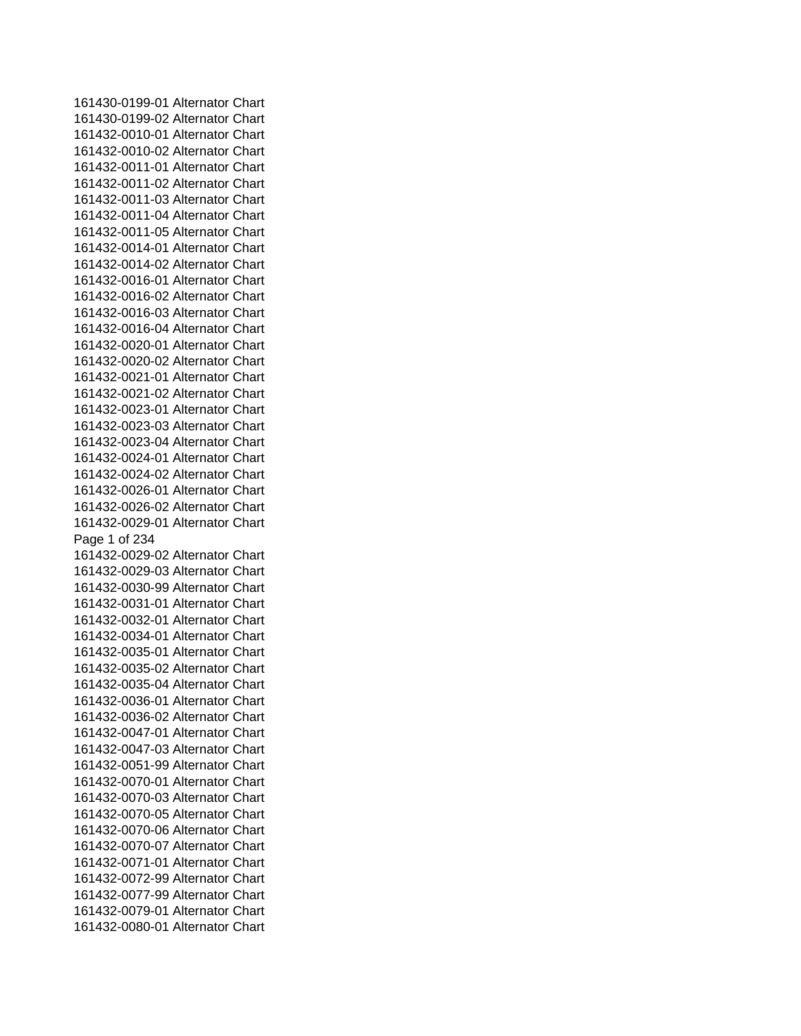161430-0199-01 Alternator Chart 161430-0199-02 Alternator Chart 161432-0010-01 Alternator Chart 161432-0010-02 Alternator Chart 161432-0011-01 Alternator Chart 161432-0011-02 Alternator Chart 161432-0011-03 Alternator Chart 161432-0011-04 Alternator Chart 161432-0011-05 Alternator Chart 161432-0014-01 Alternator Chart 161432-0014-02 Alternator Chart 161432-0016-01 Alternator Chart 161432-0016-02 Alternator Chart 161432-0016-03 Alternator Chart 161432-0016-04 Alternator Chart 161432-0020-01 Alternator Chart 161432-0020-02 Alternator Chart 161432-0021-01 Alternator Chart 161432-0021-02 Alternator Chart 161432-0023-01 Alternator Chart 161432-0023-03 Alternator Chart 161432-0023-04 Alternator Chart 161432-0024-01 Alternator Chart 161432-0024-02 Alternator Chart 161432-0026-01 Alternator Chart 161432-0026-02 Alternator Chart 161432-0029-01 Alternator Chart Page 1 of 234 161432-0029-02 Alternator Chart 161432-0029-03 Alternator Chart 161432-0030-99 Alternator Chart 161432-0031-01 Alternator Chart 161432-0032-01 Alternator Chart 161432-0034-01 Alternator Chart 161432-0035-01 Alternator Chart 161432-0035-02 Alternator Chart 161432-0035-04 Alternator Chart 161432-0036-01 Alternator Chart 161432-0036-02 Alternator Chart 161432-0047-01 Alternator Chart 161432-0047-03 Alternator Chart 161432-0051-99 Alternator Chart 161432-0070-01 Alternator Chart 161432-0070-03 Alternator Chart 161432-0070-05 Alternator Chart 161432-0070-06 Alternator Chart 161432-0070-07 Alternator Chart 161432-0071-01 Alternator Chart 161432-0072-99 Alternator Chart 161432-0077-99 Alternator Chart 161432-0079-01 Alternator Chart 161432-0080-01 Alternator Chart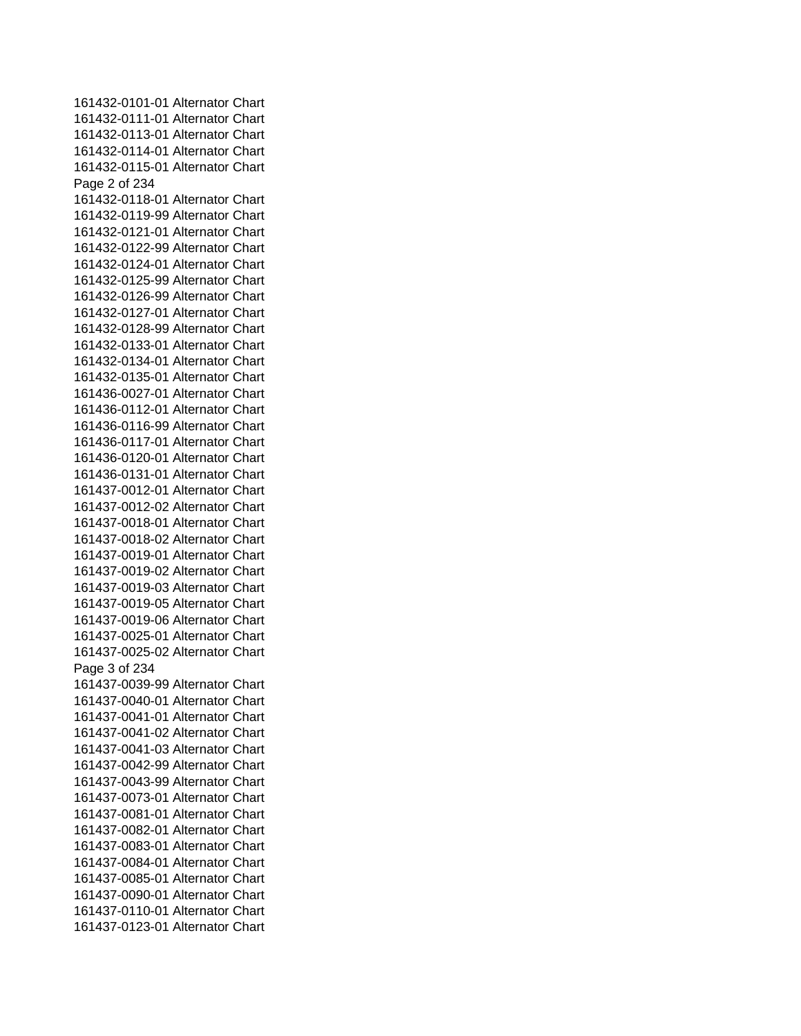161432-0101-01 Alternator Chart 161432-0111-01 Alternator Chart 161432-0113-01 Alternator Chart 161432-0114-01 Alternator Chart 161432-0115-01 Alternator Chart Page 2 of 234 161432-0118-01 Alternator Chart 161432-0119-99 Alternator Chart 161432-0121-01 Alternator Chart 161432-0122-99 Alternator Chart 161432-0124-01 Alternator Chart 161432-0125-99 Alternator Chart 161432-0126-99 Alternator Chart 161432-0127-01 Alternator Chart 161432-0128-99 Alternator Chart 161432-0133-01 Alternator Chart 161432-0134-01 Alternator Chart 161432-0135-01 Alternator Chart 161436-0027-01 Alternator Chart 161436-0112-01 Alternator Chart 161436-0116-99 Alternator Chart 161436-0117-01 Alternator Chart 161436-0120-01 Alternator Chart 161436-0131-01 Alternator Chart 161437-0012-01 Alternator Chart 161437-0012-02 Alternator Chart 161437-0018-01 Alternator Chart 161437-0018-02 Alternator Chart 161437-0019-01 Alternator Chart 161437-0019-02 Alternator Chart 161437-0019-03 Alternator Chart 161437-0019-05 Alternator Chart 161437-0019-06 Alternator Chart 161437-0025-01 Alternator Chart 161437-0025-02 Alternator Chart Page 3 of 234 161437-0039-99 Alternator Chart 161437-0040-01 Alternator Chart 161437-0041-01 Alternator Chart 161437-0041-02 Alternator Chart 161437-0041-03 Alternator Chart 161437-0042-99 Alternator Chart 161437-0043-99 Alternator Chart 161437-0073-01 Alternator Chart 161437-0081-01 Alternator Chart 161437-0082-01 Alternator Chart 161437-0083-01 Alternator Chart 161437-0084-01 Alternator Chart 161437-0085-01 Alternator Chart 161437-0090-01 Alternator Chart 161437-0110-01 Alternator Chart 161437-0123-01 Alternator Chart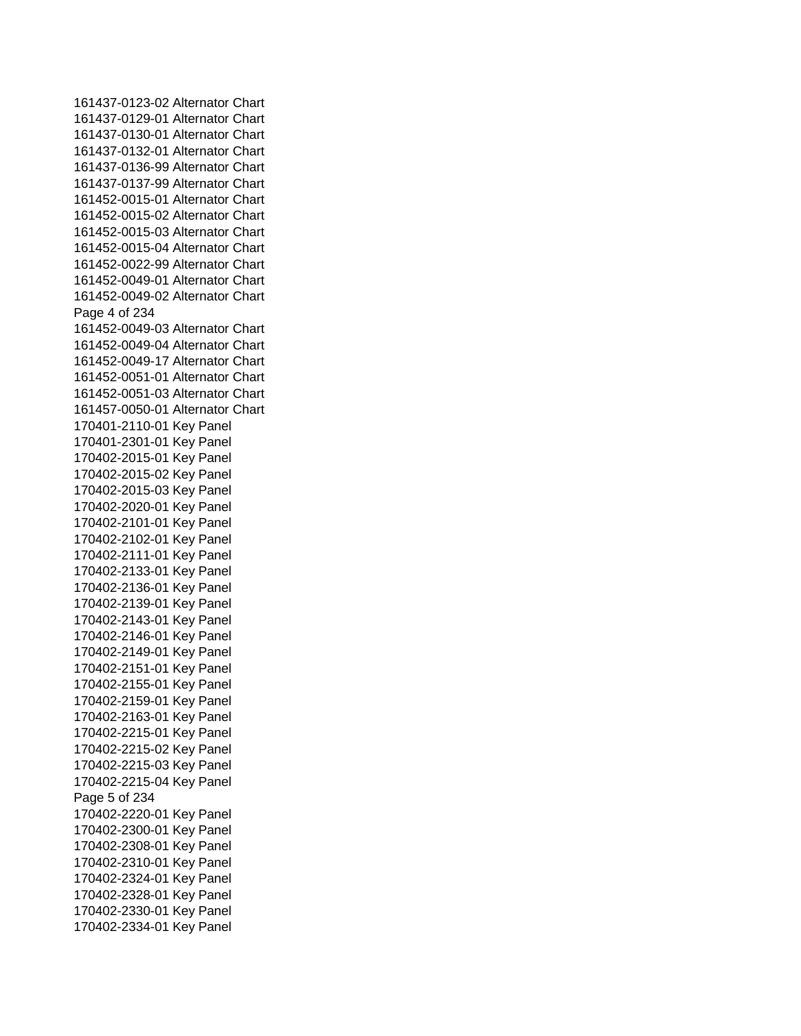161437-0123-02 Alternator Chart 161437-0129-01 Alternator Chart 161437-0130-01 Alternator Chart 161437-0132-01 Alternator Chart 161437-0136-99 Alternator Chart 161437-0137-99 Alternator Chart 161452-0015-01 Alternator Chart 161452-0015-02 Alternator Chart 161452-0015-03 Alternator Chart 161452-0015-04 Alternator Chart 161452-0022-99 Alternator Chart 161452-0049-01 Alternator Chart 161452-0049-02 Alternator Chart Page 4 of 234 161452-0049-03 Alternator Chart 161452-0049-04 Alternator Chart 161452-0049-17 Alternator Chart 161452-0051-01 Alternator Chart 161452-0051-03 Alternator Chart 161457-0050-01 Alternator Chart 170401-2110-01 Key Panel 170401-2301-01 Key Panel 170402-2015-01 Key Panel 170402-2015-02 Key Panel 170402-2015-03 Key Panel 170402-2020-01 Key Panel 170402-2101-01 Key Panel 170402-2102-01 Key Panel 170402-2111-01 Key Panel 170402-2133-01 Key Panel 170402-2136-01 Key Panel 170402-2139-01 Key Panel 170402-2143-01 Key Panel 170402-2146-01 Key Panel 170402-2149-01 Key Panel 170402-2151-01 Key Panel 170402-2155-01 Key Panel 170402-2159-01 Key Panel 170402-2163-01 Key Panel 170402-2215-01 Key Panel 170402-2215-02 Key Panel 170402-2215-03 Key Panel 170402-2215-04 Key Panel Page 5 of 234 170402-2220-01 Key Panel 170402-2300-01 Key Panel 170402-2308-01 Key Panel 170402-2310-01 Key Panel 170402-2324-01 Key Panel 170402-2328-01 Key Panel 170402-2330-01 Key Panel 170402-2334-01 Key Panel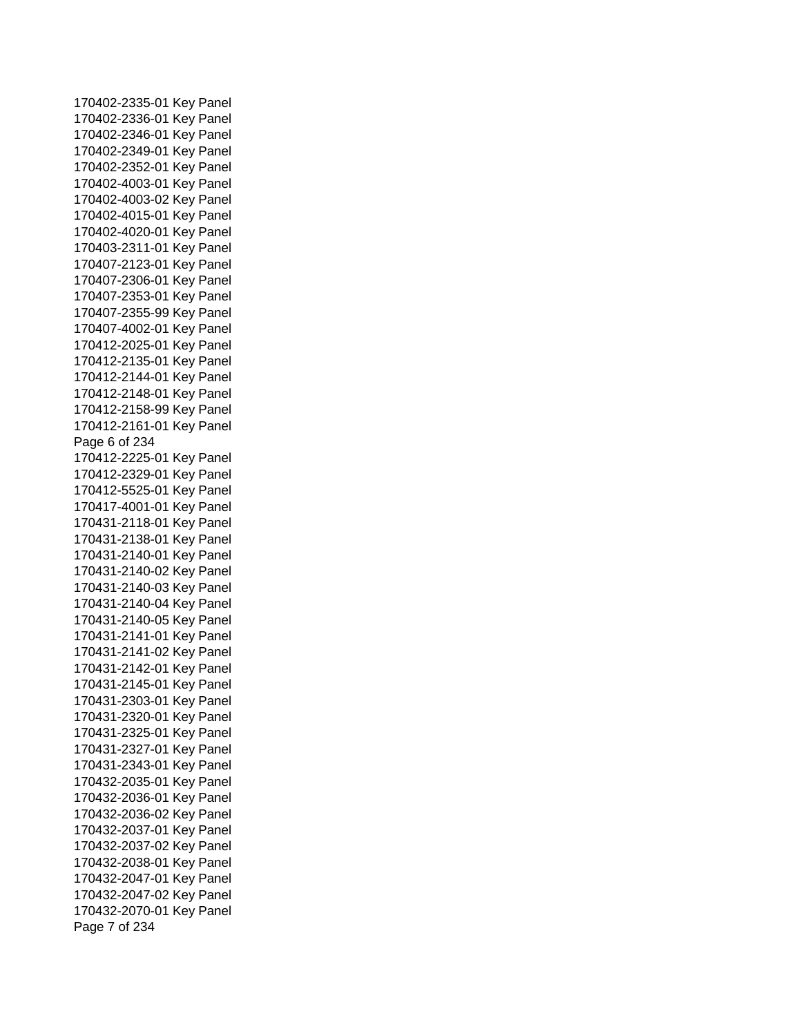170402-2335-01 Key Panel 170402-2336-01 Key Panel 170402-2346-01 Key Panel 170402-2349-01 Key Panel 170402-2352-01 Key Panel 170402-4003-01 Key Panel 170402-4003-02 Key Panel 170402-4015-01 Key Panel 170402-4020-01 Key Panel 170403-2311-01 Key Panel 170407-2123-01 Key Panel 170407-2306-01 Key Panel 170407-2353-01 Key Panel 170407-2355-99 Key Panel 170407-4002-01 Key Panel 170412-2025-01 Key Panel 170412-2135-01 Key Panel 170412-2144-01 Key Panel 170412-2148-01 Key Panel 170412-2158-99 Key Panel 170412-2161-01 Key Panel Page 6 of 234 170412-2225-01 Key Panel 170412-2329-01 Key Panel 170412-5525-01 Key Panel 170417-4001-01 Key Panel 170431-2118-01 Key Panel 170431-2138-01 Key Panel 170431-2140-01 Key Panel 170431-2140-02 Key Panel 170431-2140-03 Key Panel 170431-2140-04 Key Panel 170431-2140-05 Key Panel 170431-2141-01 Key Panel 170431-2141-02 Key Panel 170431-2142-01 Key Panel 170431-2145-01 Key Panel 170431-2303-01 Key Panel 170431-2320-01 Key Panel 170431-2325-01 Key Panel 170431-2327-01 Key Panel 170431-2343-01 Key Panel 170432-2035-01 Key Panel 170432-2036-01 Key Panel 170432-2036-02 Key Panel 170432-2037-01 Key Panel 170432-2037-02 Key Panel 170432-2038-01 Key Panel 170432-2047-01 Key Panel 170432-2047-02 Key Panel 170432-2070-01 Key Panel Page 7 of 234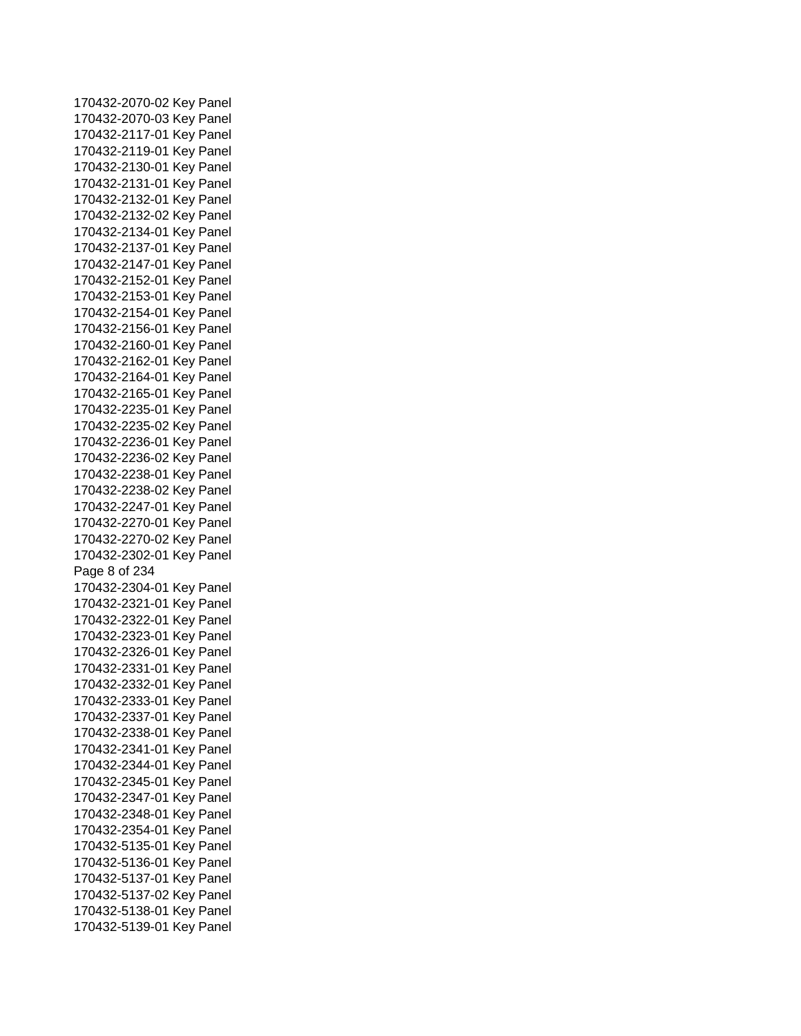170432-2070-02 Key Panel 170432-2070-03 Key Panel 170432-2117-01 Key Panel 170432-2119-01 Key Panel 170432-2130-01 Key Panel 170432-2131-01 Key Panel 170432-2132-01 Key Panel 170432-2132-02 Key Panel 170432-2134-01 Key Panel 170432-2137-01 Key Panel 170432-2147-01 Key Panel 170432-2152-01 Key Panel 170432-2153-01 Key Panel 170432-2154-01 Key Panel 170432-2156-01 Key Panel 170432-2160-01 Key Panel 170432-2162-01 Key Panel 170432-2164-01 Key Panel 170432-2165-01 Key Panel 170432-2235-01 Key Panel 170432-2235-02 Key Panel 170432-2236-01 Key Panel 170432-2236-02 Key Panel 170432-2238-01 Key Panel 170432-2238-02 Key Panel 170432-2247-01 Key Panel 170432-2270-01 Key Panel 170432-2270-02 Key Panel 170432-2302-01 Key Panel Page 8 of 234 170432-2304-01 Key Panel 170432-2321-01 Key Panel 170432-2322-01 Key Panel 170432-2323-01 Key Panel 170432-2326-01 Key Panel 170432-2331-01 Key Panel 170432-2332-01 Key Panel 170432-2333-01 Key Panel 170432-2337-01 Key Panel 170432-2338-01 Key Panel 170432-2341-01 Key Panel 170432-2344-01 Key Panel 170432-2345-01 Key Panel 170432-2347-01 Key Panel 170432-2348-01 Key Panel 170432-2354-01 Key Panel 170432-5135-01 Key Panel 170432-5136-01 Key Panel 170432-5137-01 Key Panel 170432-5137-02 Key Panel 170432-5138-01 Key Panel 170432-5139-01 Key Panel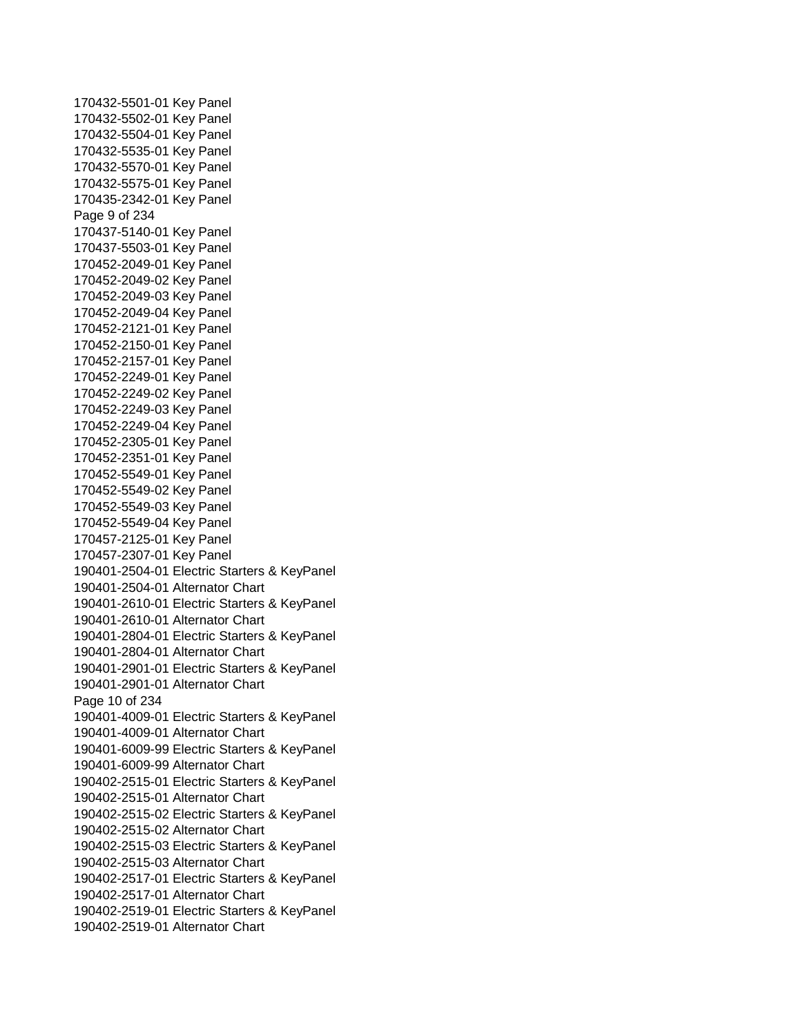170432-5501-01 Key Panel 170432-5502-01 Key Panel 170432-5504-01 Key Panel 170432-5535-01 Key Panel 170432-5570-01 Key Panel 170432-5575-01 Key Panel 170435-2342-01 Key Panel Page 9 of 234 170437-5140-01 Key Panel 170437-5503-01 Key Panel 170452-2049-01 Key Panel 170452-2049-02 Key Panel 170452-2049-03 Key Panel 170452-2049-04 Key Panel 170452-2121-01 Key Panel 170452-2150-01 Key Panel 170452-2157-01 Key Panel 170452-2249-01 Key Panel 170452-2249-02 Key Panel 170452-2249-03 Key Panel 170452-2249-04 Key Panel 170452-2305-01 Key Panel 170452-2351-01 Key Panel 170452-5549-01 Key Panel 170452-5549-02 Key Panel 170452-5549-03 Key Panel 170452-5549-04 Key Panel 170457-2125-01 Key Panel 170457-2307-01 Key Panel 190401-2504-01 Electric Starters & KeyPanel 190401-2504-01 Alternator Chart 190401-2610-01 Electric Starters & KeyPanel 190401-2610-01 Alternator Chart 190401-2804-01 Electric Starters & KeyPanel 190401-2804-01 Alternator Chart 190401-2901-01 Electric Starters & KeyPanel 190401-2901-01 Alternator Chart Page 10 of 234 190401-4009-01 Electric Starters & KeyPanel 190401-4009-01 Alternator Chart 190401-6009-99 Electric Starters & KeyPanel 190401-6009-99 Alternator Chart 190402-2515-01 Electric Starters & KeyPanel 190402-2515-01 Alternator Chart 190402-2515-02 Electric Starters & KeyPanel 190402-2515-02 Alternator Chart 190402-2515-03 Electric Starters & KeyPanel 190402-2515-03 Alternator Chart 190402-2517-01 Electric Starters & KeyPanel 190402-2517-01 Alternator Chart 190402-2519-01 Electric Starters & KeyPanel 190402-2519-01 Alternator Chart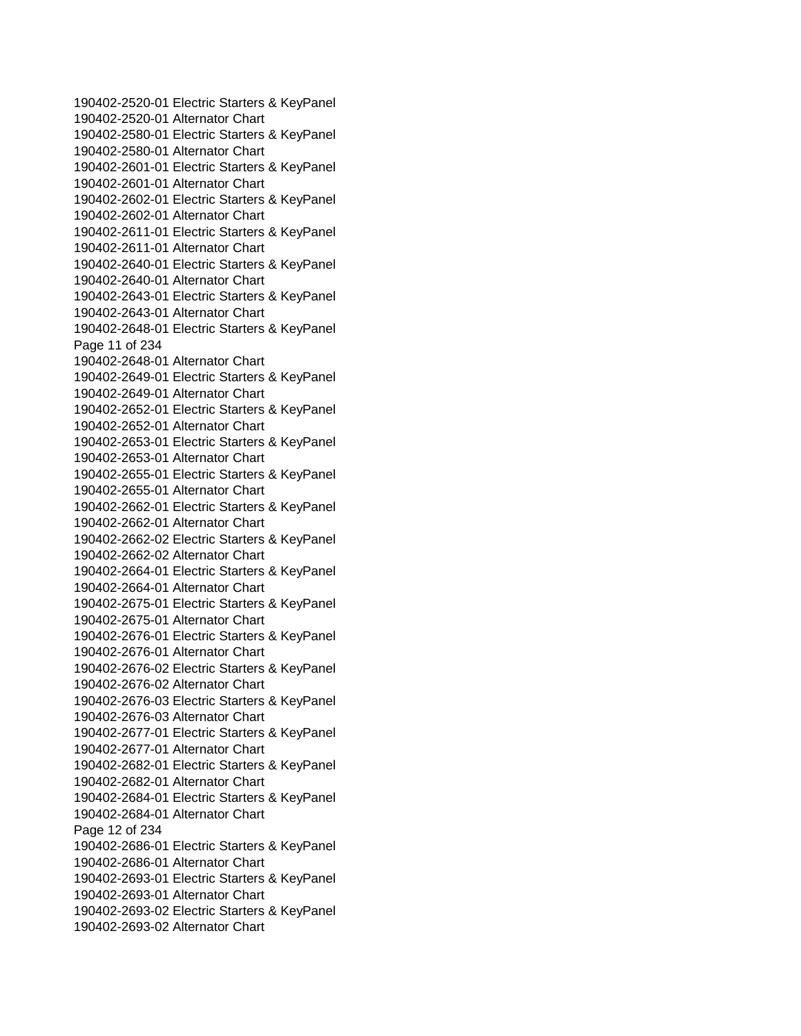190402-2520-01 Electric Starters & KeyPanel 190402-2520-01 Alternator Chart 190402-2580-01 Electric Starters & KeyPanel 190402-2580-01 Alternator Chart 190402-2601-01 Electric Starters & KeyPanel 190402-2601-01 Alternator Chart 190402-2602-01 Electric Starters & KeyPanel 190402-2602-01 Alternator Chart 190402-2611-01 Electric Starters & KeyPanel 190402-2611-01 Alternator Chart 190402-2640-01 Electric Starters & KeyPanel 190402-2640-01 Alternator Chart 190402-2643-01 Electric Starters & KeyPanel 190402-2643-01 Alternator Chart 190402-2648-01 Electric Starters & KeyPanel Page 11 of 234 190402-2648-01 Alternator Chart 190402-2649-01 Electric Starters & KeyPanel 190402-2649-01 Alternator Chart 190402-2652-01 Electric Starters & KeyPanel 190402-2652-01 Alternator Chart 190402-2653-01 Electric Starters & KeyPanel 190402-2653-01 Alternator Chart 190402-2655-01 Electric Starters & KeyPanel 190402-2655-01 Alternator Chart 190402-2662-01 Electric Starters & KeyPanel 190402-2662-01 Alternator Chart 190402-2662-02 Electric Starters & KeyPanel 190402-2662-02 Alternator Chart 190402-2664-01 Electric Starters & KeyPanel 190402-2664-01 Alternator Chart 190402-2675-01 Electric Starters & KeyPanel 190402-2675-01 Alternator Chart 190402-2676-01 Electric Starters & KeyPanel 190402-2676-01 Alternator Chart 190402-2676-02 Electric Starters & KeyPanel 190402-2676-02 Alternator Chart 190402-2676-03 Electric Starters & KeyPanel 190402-2676-03 Alternator Chart 190402-2677-01 Electric Starters & KeyPanel 190402-2677-01 Alternator Chart 190402-2682-01 Electric Starters & KeyPanel 190402-2682-01 Alternator Chart 190402-2684-01 Electric Starters & KeyPanel 190402-2684-01 Alternator Chart Page 12 of 234 190402-2686-01 Electric Starters & KeyPanel 190402-2686-01 Alternator Chart 190402-2693-01 Electric Starters & KeyPanel 190402-2693-01 Alternator Chart 190402-2693-02 Electric Starters & KeyPanel 190402-2693-02 Alternator Chart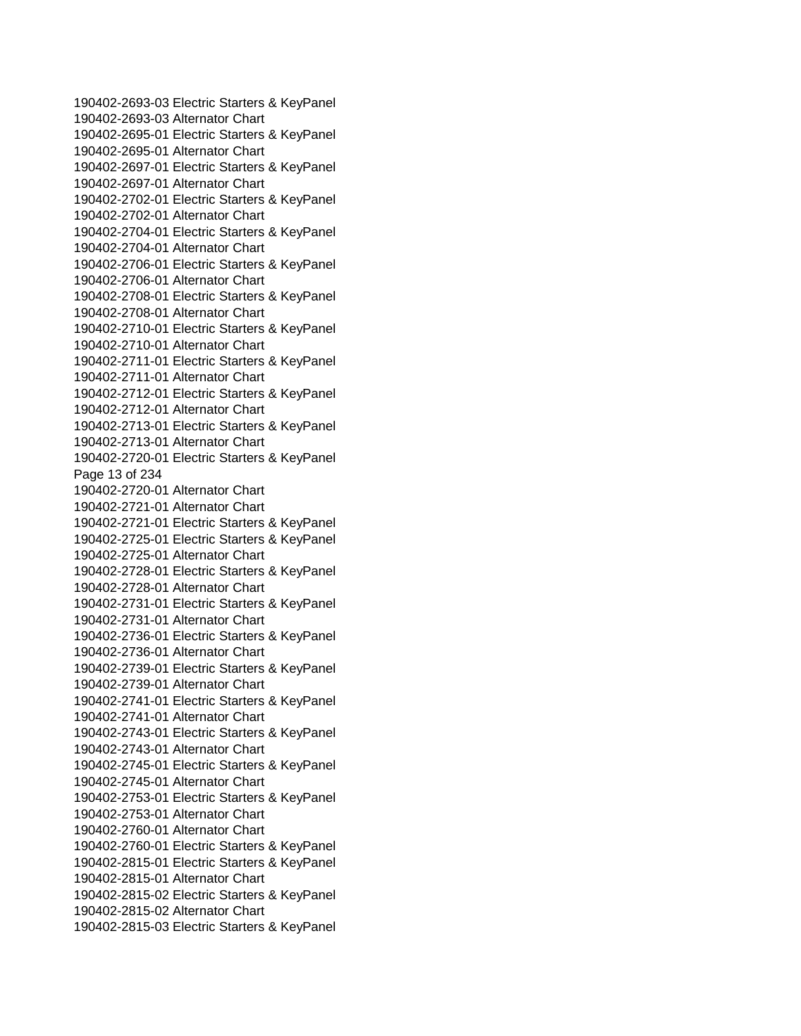190402-2693-03 Electric Starters & KeyPanel 190402-2693-03 Alternator Chart 190402-2695-01 Electric Starters & KeyPanel 190402-2695-01 Alternator Chart 190402-2697-01 Electric Starters & KeyPanel 190402-2697-01 Alternator Chart 190402-2702-01 Electric Starters & KeyPanel 190402-2702-01 Alternator Chart 190402-2704-01 Electric Starters & KeyPanel 190402-2704-01 Alternator Chart 190402-2706-01 Electric Starters & KeyPanel 190402-2706-01 Alternator Chart 190402-2708-01 Electric Starters & KeyPanel 190402-2708-01 Alternator Chart 190402-2710-01 Electric Starters & KeyPanel 190402-2710-01 Alternator Chart 190402-2711-01 Electric Starters & KeyPanel 190402-2711-01 Alternator Chart 190402-2712-01 Electric Starters & KeyPanel 190402-2712-01 Alternator Chart 190402-2713-01 Electric Starters & KeyPanel 190402-2713-01 Alternator Chart 190402-2720-01 Electric Starters & KeyPanel Page 13 of 234 190402-2720-01 Alternator Chart 190402-2721-01 Alternator Chart 190402-2721-01 Electric Starters & KeyPanel 190402-2725-01 Electric Starters & KeyPanel 190402-2725-01 Alternator Chart 190402-2728-01 Electric Starters & KeyPanel 190402-2728-01 Alternator Chart 190402-2731-01 Electric Starters & KeyPanel 190402-2731-01 Alternator Chart 190402-2736-01 Electric Starters & KeyPanel 190402-2736-01 Alternator Chart 190402-2739-01 Electric Starters & KeyPanel 190402-2739-01 Alternator Chart 190402-2741-01 Electric Starters & KeyPanel 190402-2741-01 Alternator Chart 190402-2743-01 Electric Starters & KeyPanel 190402-2743-01 Alternator Chart 190402-2745-01 Electric Starters & KeyPanel 190402-2745-01 Alternator Chart 190402-2753-01 Electric Starters & KeyPanel 190402-2753-01 Alternator Chart 190402-2760-01 Alternator Chart 190402-2760-01 Electric Starters & KeyPanel 190402-2815-01 Electric Starters & KeyPanel 190402-2815-01 Alternator Chart 190402-2815-02 Electric Starters & KeyPanel 190402-2815-02 Alternator Chart 190402-2815-03 Electric Starters & KeyPanel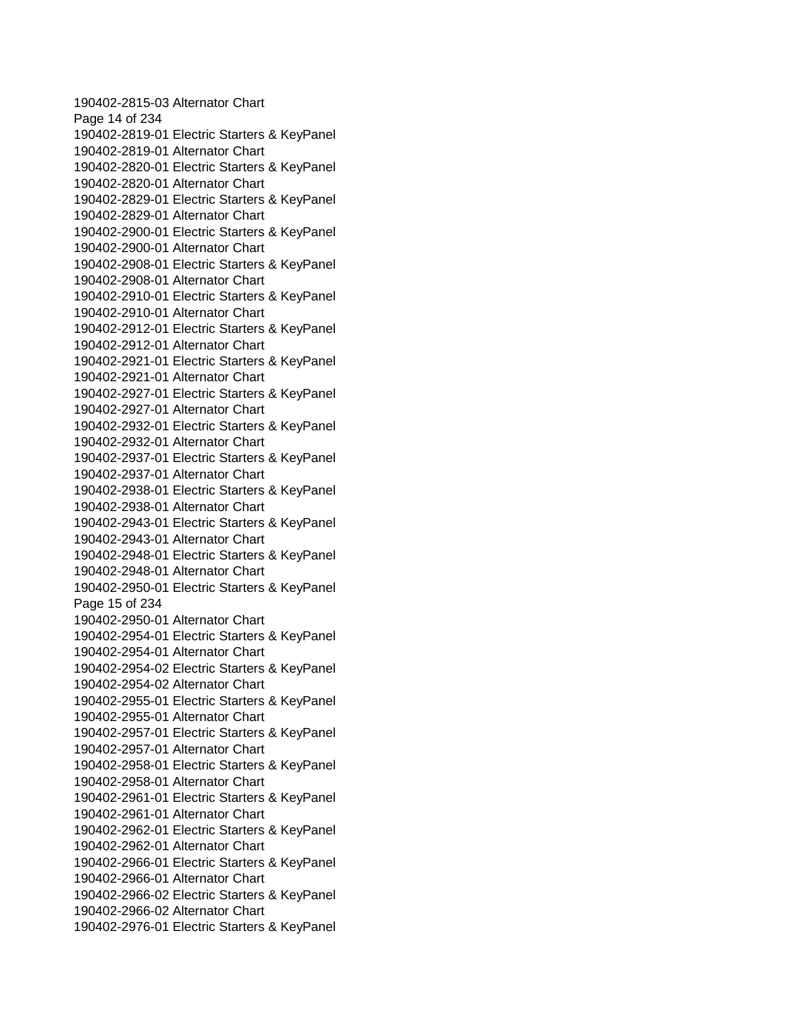190402-2815-03 Alternator Chart Page 14 of 234 190402-2819-01 Electric Starters & KeyPanel 190402-2819-01 Alternator Chart 190402-2820-01 Electric Starters & KeyPanel 190402-2820-01 Alternator Chart 190402-2829-01 Electric Starters & KeyPanel 190402-2829-01 Alternator Chart 190402-2900-01 Electric Starters & KeyPanel 190402-2900-01 Alternator Chart 190402-2908-01 Electric Starters & KeyPanel 190402-2908-01 Alternator Chart 190402-2910-01 Electric Starters & KeyPanel 190402-2910-01 Alternator Chart 190402-2912-01 Electric Starters & KeyPanel 190402-2912-01 Alternator Chart 190402-2921-01 Electric Starters & KeyPanel 190402-2921-01 Alternator Chart 190402-2927-01 Electric Starters & KeyPanel 190402-2927-01 Alternator Chart 190402-2932-01 Electric Starters & KeyPanel 190402-2932-01 Alternator Chart 190402-2937-01 Electric Starters & KeyPanel 190402-2937-01 Alternator Chart 190402-2938-01 Electric Starters & KeyPanel 190402-2938-01 Alternator Chart 190402-2943-01 Electric Starters & KeyPanel 190402-2943-01 Alternator Chart 190402-2948-01 Electric Starters & KeyPanel 190402-2948-01 Alternator Chart 190402-2950-01 Electric Starters & KeyPanel Page 15 of 234 190402-2950-01 Alternator Chart 190402-2954-01 Electric Starters & KeyPanel 190402-2954-01 Alternator Chart 190402-2954-02 Electric Starters & KeyPanel 190402-2954-02 Alternator Chart 190402-2955-01 Electric Starters & KeyPanel 190402-2955-01 Alternator Chart 190402-2957-01 Electric Starters & KeyPanel 190402-2957-01 Alternator Chart 190402-2958-01 Electric Starters & KeyPanel 190402-2958-01 Alternator Chart 190402-2961-01 Electric Starters & KeyPanel 190402-2961-01 Alternator Chart 190402-2962-01 Electric Starters & KeyPanel 190402-2962-01 Alternator Chart 190402-2966-01 Electric Starters & KeyPanel 190402-2966-01 Alternator Chart 190402-2966-02 Electric Starters & KeyPanel 190402-2966-02 Alternator Chart 190402-2976-01 Electric Starters & KeyPanel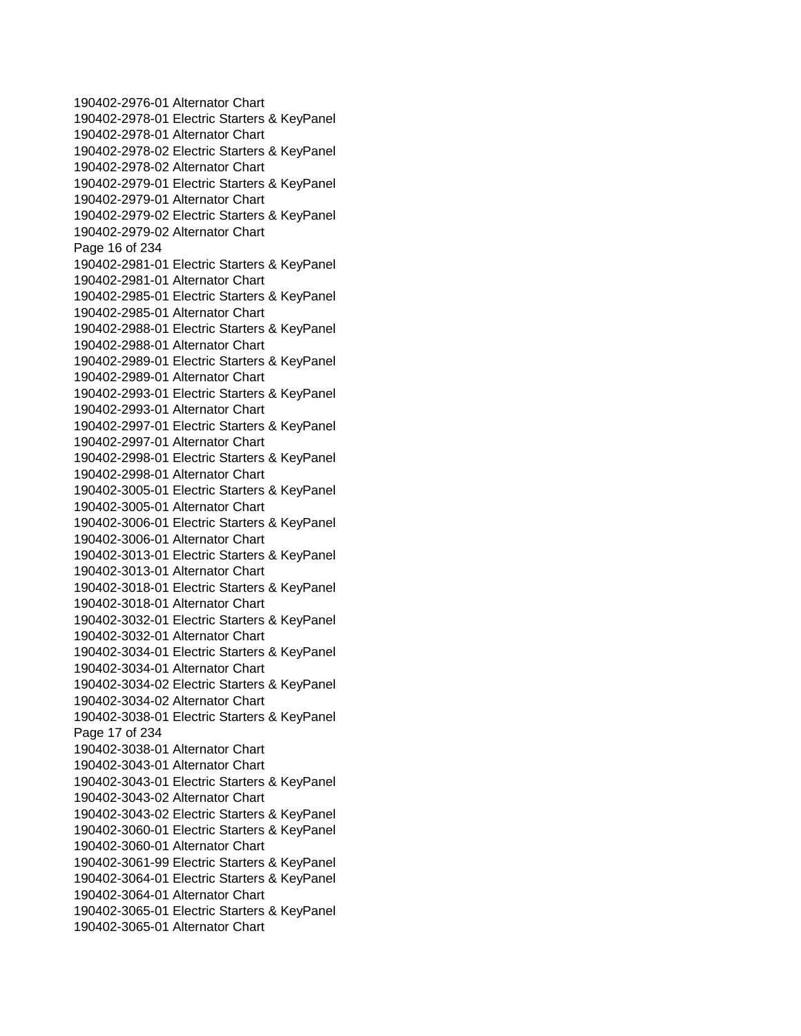190402-2976-01 Alternator Chart 190402-2978-01 Electric Starters & KeyPanel 190402-2978-01 Alternator Chart 190402-2978-02 Electric Starters & KeyPanel 190402-2978-02 Alternator Chart 190402-2979-01 Electric Starters & KeyPanel 190402-2979-01 Alternator Chart 190402-2979-02 Electric Starters & KeyPanel 190402-2979-02 Alternator Chart Page 16 of 234 190402-2981-01 Electric Starters & KeyPanel 190402-2981-01 Alternator Chart 190402-2985-01 Electric Starters & KeyPanel 190402-2985-01 Alternator Chart 190402-2988-01 Electric Starters & KeyPanel 190402-2988-01 Alternator Chart 190402-2989-01 Electric Starters & KeyPanel 190402-2989-01 Alternator Chart 190402-2993-01 Electric Starters & KeyPanel 190402-2993-01 Alternator Chart 190402-2997-01 Electric Starters & KeyPanel 190402-2997-01 Alternator Chart 190402-2998-01 Electric Starters & KeyPanel 190402-2998-01 Alternator Chart 190402-3005-01 Electric Starters & KeyPanel 190402-3005-01 Alternator Chart 190402-3006-01 Electric Starters & KeyPanel 190402-3006-01 Alternator Chart 190402-3013-01 Electric Starters & KeyPanel 190402-3013-01 Alternator Chart 190402-3018-01 Electric Starters & KeyPanel 190402-3018-01 Alternator Chart 190402-3032-01 Electric Starters & KeyPanel 190402-3032-01 Alternator Chart 190402-3034-01 Electric Starters & KeyPanel 190402-3034-01 Alternator Chart 190402-3034-02 Electric Starters & KeyPanel 190402-3034-02 Alternator Chart 190402-3038-01 Electric Starters & KeyPanel Page 17 of 234 190402-3038-01 Alternator Chart 190402-3043-01 Alternator Chart 190402-3043-01 Electric Starters & KeyPanel 190402-3043-02 Alternator Chart 190402-3043-02 Electric Starters & KeyPanel 190402-3060-01 Electric Starters & KeyPanel 190402-3060-01 Alternator Chart 190402-3061-99 Electric Starters & KeyPanel 190402-3064-01 Electric Starters & KeyPanel 190402-3064-01 Alternator Chart 190402-3065-01 Electric Starters & KeyPanel 190402-3065-01 Alternator Chart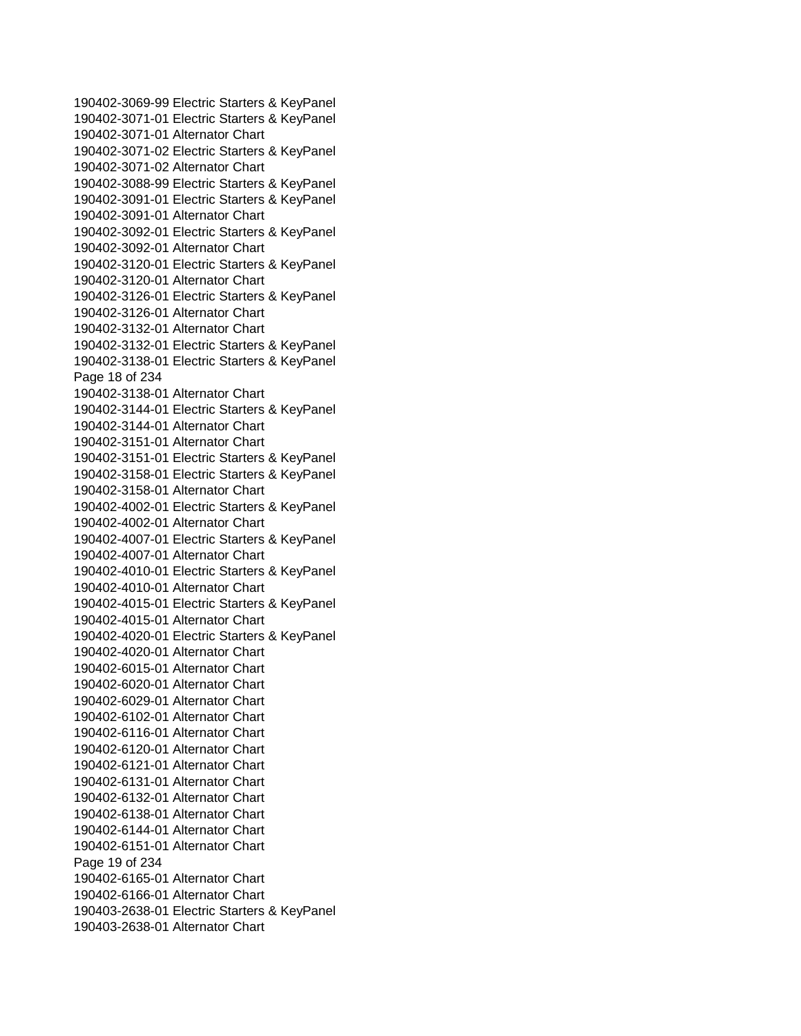190402-3069-99 Electric Starters & KeyPanel 190402-3071-01 Electric Starters & KeyPanel 190402-3071-01 Alternator Chart 190402-3071-02 Electric Starters & KeyPanel 190402-3071-02 Alternator Chart 190402-3088-99 Electric Starters & KeyPanel 190402-3091-01 Electric Starters & KeyPanel 190402-3091-01 Alternator Chart 190402-3092-01 Electric Starters & KeyPanel 190402-3092-01 Alternator Chart 190402-3120-01 Electric Starters & KeyPanel 190402-3120-01 Alternator Chart 190402-3126-01 Electric Starters & KeyPanel 190402-3126-01 Alternator Chart 190402-3132-01 Alternator Chart 190402-3132-01 Electric Starters & KeyPanel 190402-3138-01 Electric Starters & KeyPanel Page 18 of 234 190402-3138-01 Alternator Chart 190402-3144-01 Electric Starters & KeyPanel 190402-3144-01 Alternator Chart 190402-3151-01 Alternator Chart 190402-3151-01 Electric Starters & KeyPanel 190402-3158-01 Electric Starters & KeyPanel 190402-3158-01 Alternator Chart 190402-4002-01 Electric Starters & KeyPanel 190402-4002-01 Alternator Chart 190402-4007-01 Electric Starters & KeyPanel 190402-4007-01 Alternator Chart 190402-4010-01 Electric Starters & KeyPanel 190402-4010-01 Alternator Chart 190402-4015-01 Electric Starters & KeyPanel 190402-4015-01 Alternator Chart 190402-4020-01 Electric Starters & KeyPanel 190402-4020-01 Alternator Chart 190402-6015-01 Alternator Chart 190402-6020-01 Alternator Chart 190402-6029-01 Alternator Chart 190402-6102-01 Alternator Chart 190402-6116-01 Alternator Chart 190402-6120-01 Alternator Chart 190402-6121-01 Alternator Chart 190402-6131-01 Alternator Chart 190402-6132-01 Alternator Chart 190402-6138-01 Alternator Chart 190402-6144-01 Alternator Chart 190402-6151-01 Alternator Chart Page 19 of 234 190402-6165-01 Alternator Chart 190402-6166-01 Alternator Chart 190403-2638-01 Electric Starters & KeyPanel 190403-2638-01 Alternator Chart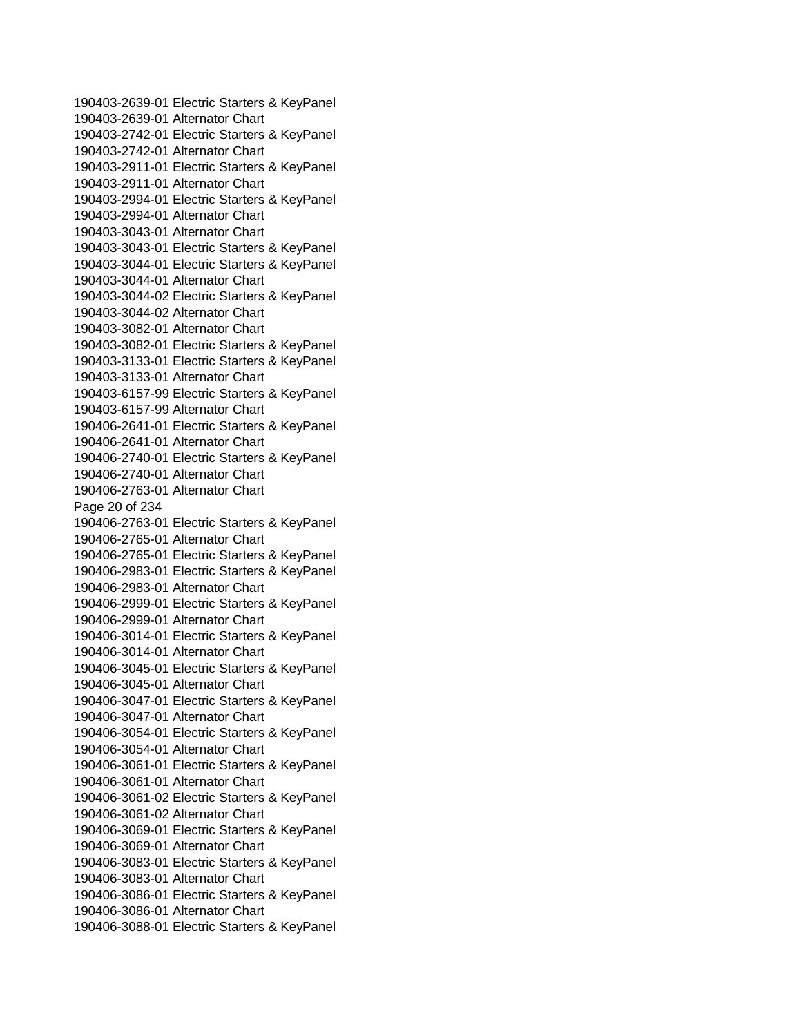190403-2639-01 Electric Starters & KeyPanel 190403-2639-01 Alternator Chart 190403-2742-01 Electric Starters & KeyPanel 190403-2742-01 Alternator Chart 190403-2911-01 Electric Starters & KeyPanel 190403-2911-01 Alternator Chart 190403-2994-01 Electric Starters & KeyPanel 190403-2994-01 Alternator Chart 190403-3043-01 Alternator Chart 190403-3043-01 Electric Starters & KeyPanel 190403-3044-01 Electric Starters & KeyPanel 190403-3044-01 Alternator Chart 190403-3044-02 Electric Starters & KeyPanel 190403-3044-02 Alternator Chart 190403-3082-01 Alternator Chart 190403-3082-01 Electric Starters & KeyPanel 190403-3133-01 Electric Starters & KeyPanel 190403-3133-01 Alternator Chart 190403-6157-99 Electric Starters & KeyPanel 190403-6157-99 Alternator Chart 190406-2641-01 Electric Starters & KeyPanel 190406-2641-01 Alternator Chart 190406-2740-01 Electric Starters & KeyPanel 190406-2740-01 Alternator Chart 190406-2763-01 Alternator Chart Page 20 of 234 190406-2763-01 Electric Starters & KeyPanel 190406-2765-01 Alternator Chart 190406-2765-01 Electric Starters & KeyPanel 190406-2983-01 Electric Starters & KeyPanel 190406-2983-01 Alternator Chart 190406-2999-01 Electric Starters & KeyPanel 190406-2999-01 Alternator Chart 190406-3014-01 Electric Starters & KeyPanel 190406-3014-01 Alternator Chart 190406-3045-01 Electric Starters & KeyPanel 190406-3045-01 Alternator Chart 190406-3047-01 Electric Starters & KeyPanel 190406-3047-01 Alternator Chart 190406-3054-01 Electric Starters & KeyPanel 190406-3054-01 Alternator Chart 190406-3061-01 Electric Starters & KeyPanel 190406-3061-01 Alternator Chart 190406-3061-02 Electric Starters & KeyPanel 190406-3061-02 Alternator Chart 190406-3069-01 Electric Starters & KeyPanel 190406-3069-01 Alternator Chart 190406-3083-01 Electric Starters & KeyPanel 190406-3083-01 Alternator Chart 190406-3086-01 Electric Starters & KeyPanel 190406-3086-01 Alternator Chart 190406-3088-01 Electric Starters & KeyPanel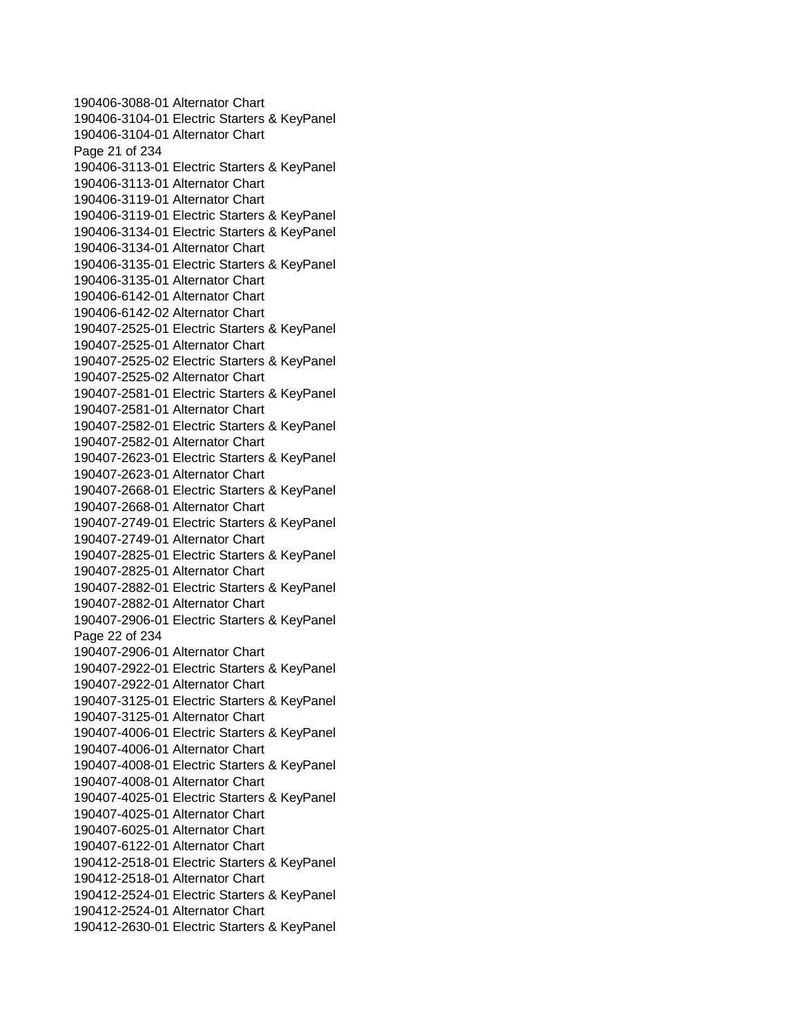190406-3088-01 Alternator Chart 190406-3104-01 Electric Starters & KeyPanel 190406-3104-01 Alternator Chart Page 21 of 234 190406-3113-01 Electric Starters & KeyPanel 190406-3113-01 Alternator Chart 190406-3119-01 Alternator Chart 190406-3119-01 Electric Starters & KeyPanel 190406-3134-01 Electric Starters & KeyPanel 190406-3134-01 Alternator Chart 190406-3135-01 Electric Starters & KeyPanel 190406-3135-01 Alternator Chart 190406-6142-01 Alternator Chart 190406-6142-02 Alternator Chart 190407-2525-01 Electric Starters & KeyPanel 190407-2525-01 Alternator Chart 190407-2525-02 Electric Starters & KeyPanel 190407-2525-02 Alternator Chart 190407-2581-01 Electric Starters & KeyPanel 190407-2581-01 Alternator Chart 190407-2582-01 Electric Starters & KeyPanel 190407-2582-01 Alternator Chart 190407-2623-01 Electric Starters & KeyPanel 190407-2623-01 Alternator Chart 190407-2668-01 Electric Starters & KeyPanel 190407-2668-01 Alternator Chart 190407-2749-01 Electric Starters & KeyPanel 190407-2749-01 Alternator Chart 190407-2825-01 Electric Starters & KeyPanel 190407-2825-01 Alternator Chart 190407-2882-01 Electric Starters & KeyPanel 190407-2882-01 Alternator Chart 190407-2906-01 Electric Starters & KeyPanel Page 22 of 234 190407-2906-01 Alternator Chart 190407-2922-01 Electric Starters & KeyPanel 190407-2922-01 Alternator Chart 190407-3125-01 Electric Starters & KeyPanel 190407-3125-01 Alternator Chart 190407-4006-01 Electric Starters & KeyPanel 190407-4006-01 Alternator Chart 190407-4008-01 Electric Starters & KeyPanel 190407-4008-01 Alternator Chart 190407-4025-01 Electric Starters & KeyPanel 190407-4025-01 Alternator Chart 190407-6025-01 Alternator Chart 190407-6122-01 Alternator Chart 190412-2518-01 Electric Starters & KeyPanel 190412-2518-01 Alternator Chart 190412-2524-01 Electric Starters & KeyPanel 190412-2524-01 Alternator Chart 190412-2630-01 Electric Starters & KeyPanel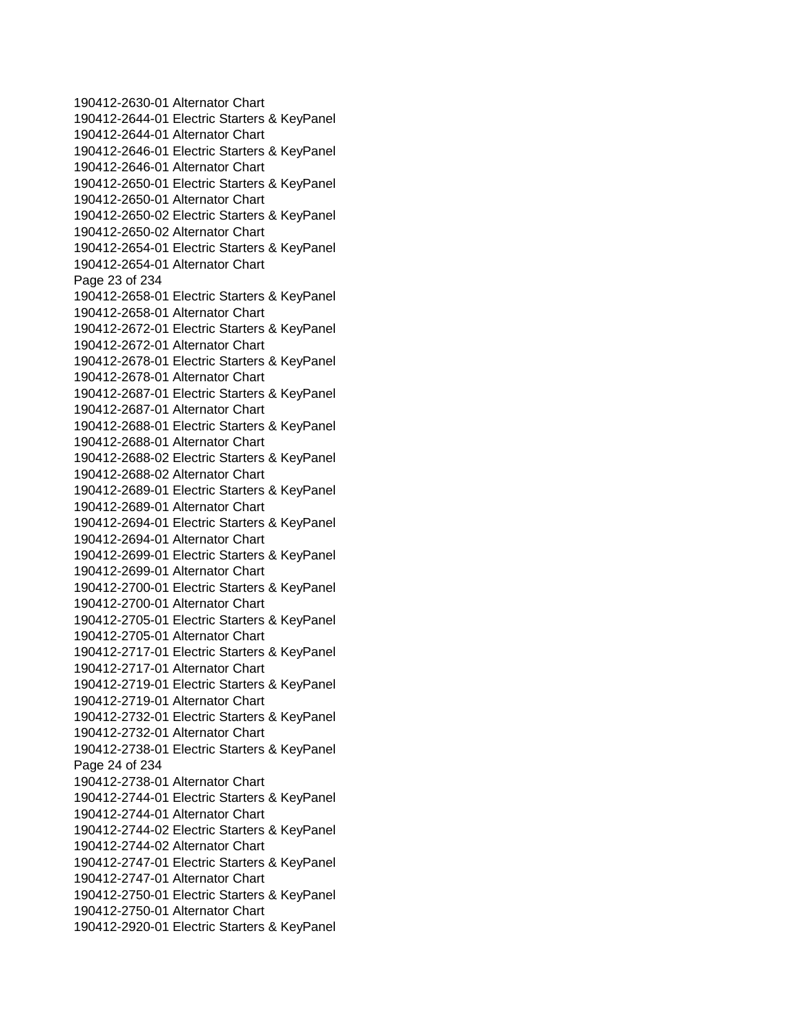190412-2630-01 Alternator Chart 190412-2644-01 Electric Starters & KeyPanel 190412-2644-01 Alternator Chart 190412-2646-01 Electric Starters & KeyPanel 190412-2646-01 Alternator Chart 190412-2650-01 Electric Starters & KeyPanel 190412-2650-01 Alternator Chart 190412-2650-02 Electric Starters & KeyPanel 190412-2650-02 Alternator Chart 190412-2654-01 Electric Starters & KeyPanel 190412-2654-01 Alternator Chart Page 23 of 234 190412-2658-01 Electric Starters & KeyPanel 190412-2658-01 Alternator Chart 190412-2672-01 Electric Starters & KeyPanel 190412-2672-01 Alternator Chart 190412-2678-01 Electric Starters & KeyPanel 190412-2678-01 Alternator Chart 190412-2687-01 Electric Starters & KeyPanel 190412-2687-01 Alternator Chart 190412-2688-01 Electric Starters & KeyPanel 190412-2688-01 Alternator Chart 190412-2688-02 Electric Starters & KeyPanel 190412-2688-02 Alternator Chart 190412-2689-01 Electric Starters & KeyPanel 190412-2689-01 Alternator Chart 190412-2694-01 Electric Starters & KeyPanel 190412-2694-01 Alternator Chart 190412-2699-01 Electric Starters & KeyPanel 190412-2699-01 Alternator Chart 190412-2700-01 Electric Starters & KeyPanel 190412-2700-01 Alternator Chart 190412-2705-01 Electric Starters & KeyPanel 190412-2705-01 Alternator Chart 190412-2717-01 Electric Starters & KeyPanel 190412-2717-01 Alternator Chart 190412-2719-01 Electric Starters & KeyPanel 190412-2719-01 Alternator Chart 190412-2732-01 Electric Starters & KeyPanel 190412-2732-01 Alternator Chart 190412-2738-01 Electric Starters & KeyPanel Page 24 of 234 190412-2738-01 Alternator Chart 190412-2744-01 Electric Starters & KeyPanel 190412-2744-01 Alternator Chart 190412-2744-02 Electric Starters & KeyPanel 190412-2744-02 Alternator Chart 190412-2747-01 Electric Starters & KeyPanel 190412-2747-01 Alternator Chart 190412-2750-01 Electric Starters & KeyPanel 190412-2750-01 Alternator Chart 190412-2920-01 Electric Starters & KeyPanel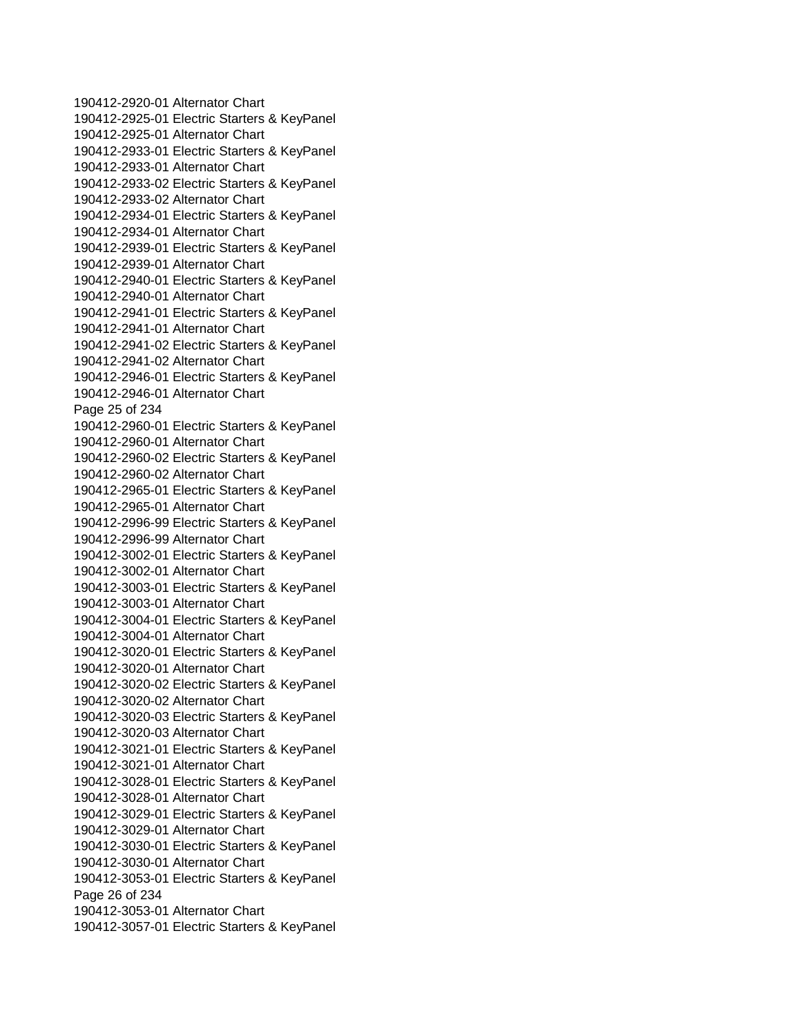190412-2920-01 Alternator Chart 190412-2925-01 Electric Starters & KeyPanel 190412-2925-01 Alternator Chart 190412-2933-01 Electric Starters & KeyPanel 190412-2933-01 Alternator Chart 190412-2933-02 Electric Starters & KeyPanel 190412-2933-02 Alternator Chart 190412-2934-01 Electric Starters & KeyPanel 190412-2934-01 Alternator Chart 190412-2939-01 Electric Starters & KeyPanel 190412-2939-01 Alternator Chart 190412-2940-01 Electric Starters & KeyPanel 190412-2940-01 Alternator Chart 190412-2941-01 Electric Starters & KeyPanel 190412-2941-01 Alternator Chart 190412-2941-02 Electric Starters & KeyPanel 190412-2941-02 Alternator Chart 190412-2946-01 Electric Starters & KeyPanel 190412-2946-01 Alternator Chart Page 25 of 234 190412-2960-01 Electric Starters & KeyPanel 190412-2960-01 Alternator Chart 190412-2960-02 Electric Starters & KeyPanel 190412-2960-02 Alternator Chart 190412-2965-01 Electric Starters & KeyPanel 190412-2965-01 Alternator Chart 190412-2996-99 Electric Starters & KeyPanel 190412-2996-99 Alternator Chart 190412-3002-01 Electric Starters & KeyPanel 190412-3002-01 Alternator Chart 190412-3003-01 Electric Starters & KeyPanel 190412-3003-01 Alternator Chart 190412-3004-01 Electric Starters & KeyPanel 190412-3004-01 Alternator Chart 190412-3020-01 Electric Starters & KeyPanel 190412-3020-01 Alternator Chart 190412-3020-02 Electric Starters & KeyPanel 190412-3020-02 Alternator Chart 190412-3020-03 Electric Starters & KeyPanel 190412-3020-03 Alternator Chart 190412-3021-01 Electric Starters & KeyPanel 190412-3021-01 Alternator Chart 190412-3028-01 Electric Starters & KeyPanel 190412-3028-01 Alternator Chart 190412-3029-01 Electric Starters & KeyPanel 190412-3029-01 Alternator Chart 190412-3030-01 Electric Starters & KeyPanel 190412-3030-01 Alternator Chart 190412-3053-01 Electric Starters & KeyPanel Page 26 of 234 190412-3053-01 Alternator Chart 190412-3057-01 Electric Starters & KeyPanel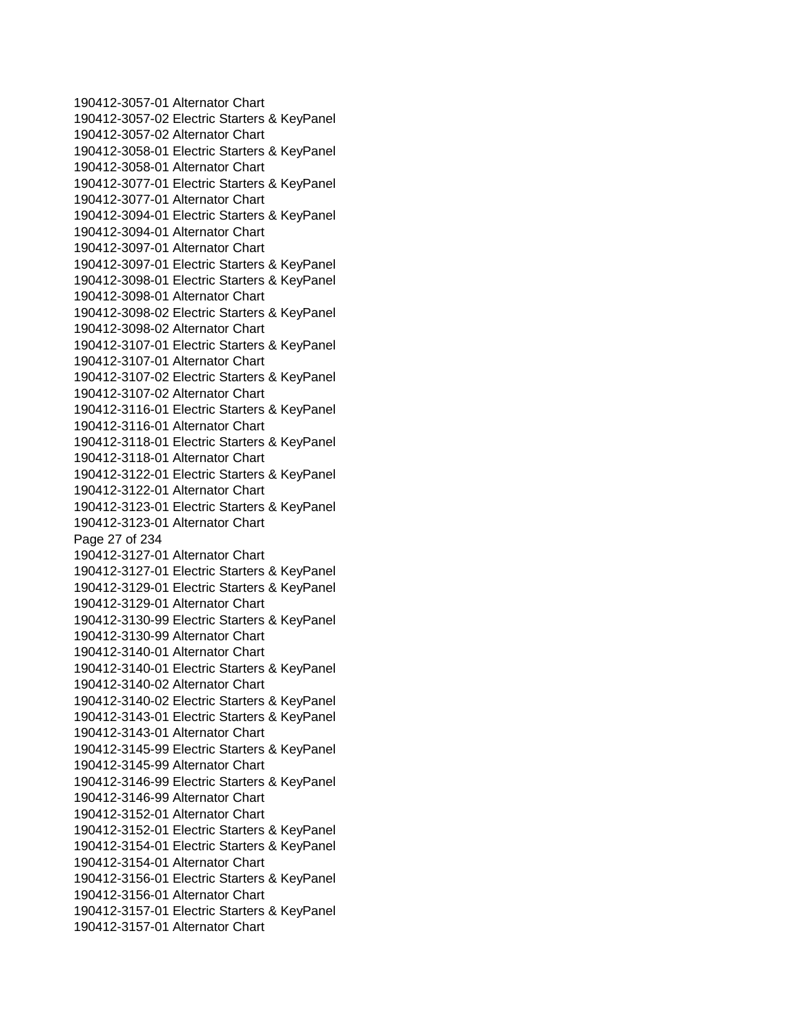190412-3057-01 Alternator Chart 190412-3057-02 Electric Starters & KeyPanel 190412-3057-02 Alternator Chart 190412-3058-01 Electric Starters & KeyPanel 190412-3058-01 Alternator Chart 190412-3077-01 Electric Starters & KeyPanel 190412-3077-01 Alternator Chart 190412-3094-01 Electric Starters & KeyPanel 190412-3094-01 Alternator Chart 190412-3097-01 Alternator Chart 190412-3097-01 Electric Starters & KeyPanel 190412-3098-01 Electric Starters & KeyPanel 190412-3098-01 Alternator Chart 190412-3098-02 Electric Starters & KeyPanel 190412-3098-02 Alternator Chart 190412-3107-01 Electric Starters & KeyPanel 190412-3107-01 Alternator Chart 190412-3107-02 Electric Starters & KeyPanel 190412-3107-02 Alternator Chart 190412-3116-01 Electric Starters & KeyPanel 190412-3116-01 Alternator Chart 190412-3118-01 Electric Starters & KeyPanel 190412-3118-01 Alternator Chart 190412-3122-01 Electric Starters & KeyPanel 190412-3122-01 Alternator Chart 190412-3123-01 Electric Starters & KeyPanel 190412-3123-01 Alternator Chart Page 27 of 234 190412-3127-01 Alternator Chart 190412-3127-01 Electric Starters & KeyPanel 190412-3129-01 Electric Starters & KeyPanel 190412-3129-01 Alternator Chart 190412-3130-99 Electric Starters & KeyPanel 190412-3130-99 Alternator Chart 190412-3140-01 Alternator Chart 190412-3140-01 Electric Starters & KeyPanel 190412-3140-02 Alternator Chart 190412-3140-02 Electric Starters & KeyPanel 190412-3143-01 Electric Starters & KeyPanel 190412-3143-01 Alternator Chart 190412-3145-99 Electric Starters & KeyPanel 190412-3145-99 Alternator Chart 190412-3146-99 Electric Starters & KeyPanel 190412-3146-99 Alternator Chart 190412-3152-01 Alternator Chart 190412-3152-01 Electric Starters & KeyPanel 190412-3154-01 Electric Starters & KeyPanel 190412-3154-01 Alternator Chart 190412-3156-01 Electric Starters & KeyPanel 190412-3156-01 Alternator Chart 190412-3157-01 Electric Starters & KeyPanel 190412-3157-01 Alternator Chart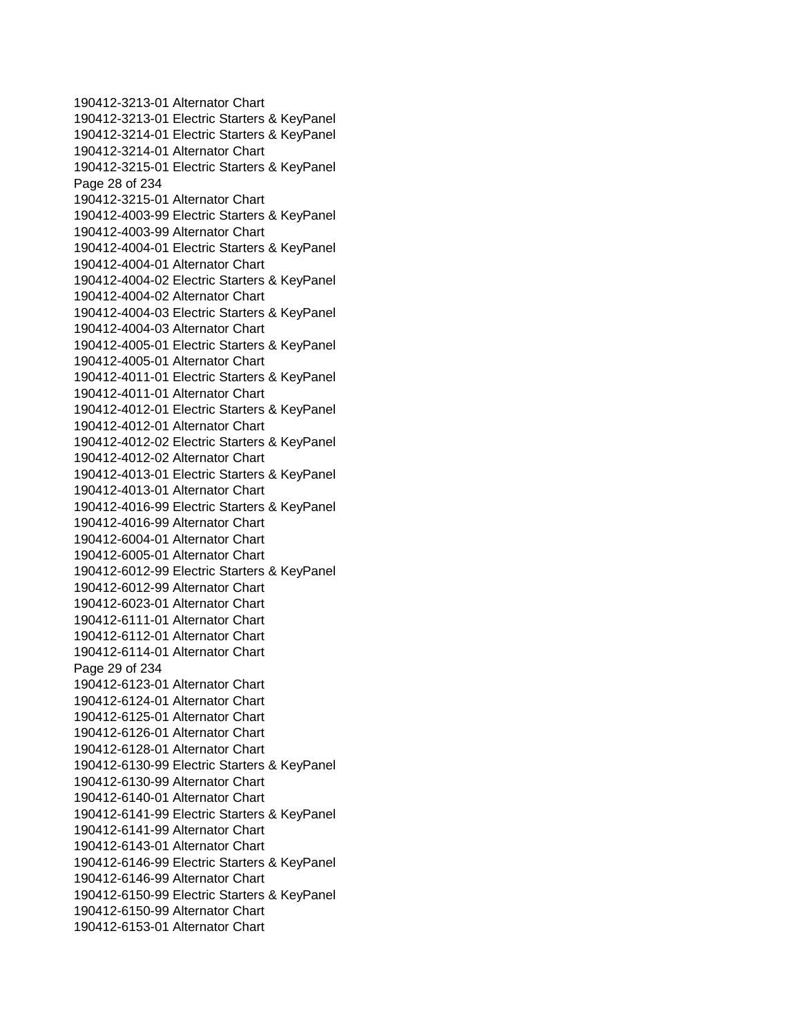190412-3213-01 Alternator Chart 190412-3213-01 Electric Starters & KeyPanel 190412-3214-01 Electric Starters & KeyPanel 190412-3214-01 Alternator Chart 190412-3215-01 Electric Starters & KeyPanel Page 28 of 234 190412-3215-01 Alternator Chart 190412-4003-99 Electric Starters & KeyPanel 190412-4003-99 Alternator Chart 190412-4004-01 Electric Starters & KeyPanel 190412-4004-01 Alternator Chart 190412-4004-02 Electric Starters & KeyPanel 190412-4004-02 Alternator Chart 190412-4004-03 Electric Starters & KeyPanel 190412-4004-03 Alternator Chart 190412-4005-01 Electric Starters & KeyPanel 190412-4005-01 Alternator Chart 190412-4011-01 Electric Starters & KeyPanel 190412-4011-01 Alternator Chart 190412-4012-01 Electric Starters & KeyPanel 190412-4012-01 Alternator Chart 190412-4012-02 Electric Starters & KeyPanel 190412-4012-02 Alternator Chart 190412-4013-01 Electric Starters & KeyPanel 190412-4013-01 Alternator Chart 190412-4016-99 Electric Starters & KeyPanel 190412-4016-99 Alternator Chart 190412-6004-01 Alternator Chart 190412-6005-01 Alternator Chart 190412-6012-99 Electric Starters & KeyPanel 190412-6012-99 Alternator Chart 190412-6023-01 Alternator Chart 190412-6111-01 Alternator Chart 190412-6112-01 Alternator Chart 190412-6114-01 Alternator Chart Page 29 of 234 190412-6123-01 Alternator Chart 190412-6124-01 Alternator Chart 190412-6125-01 Alternator Chart 190412-6126-01 Alternator Chart 190412-6128-01 Alternator Chart 190412-6130-99 Electric Starters & KeyPanel 190412-6130-99 Alternator Chart 190412-6140-01 Alternator Chart 190412-6141-99 Electric Starters & KeyPanel 190412-6141-99 Alternator Chart 190412-6143-01 Alternator Chart 190412-6146-99 Electric Starters & KeyPanel 190412-6146-99 Alternator Chart 190412-6150-99 Electric Starters & KeyPanel 190412-6150-99 Alternator Chart 190412-6153-01 Alternator Chart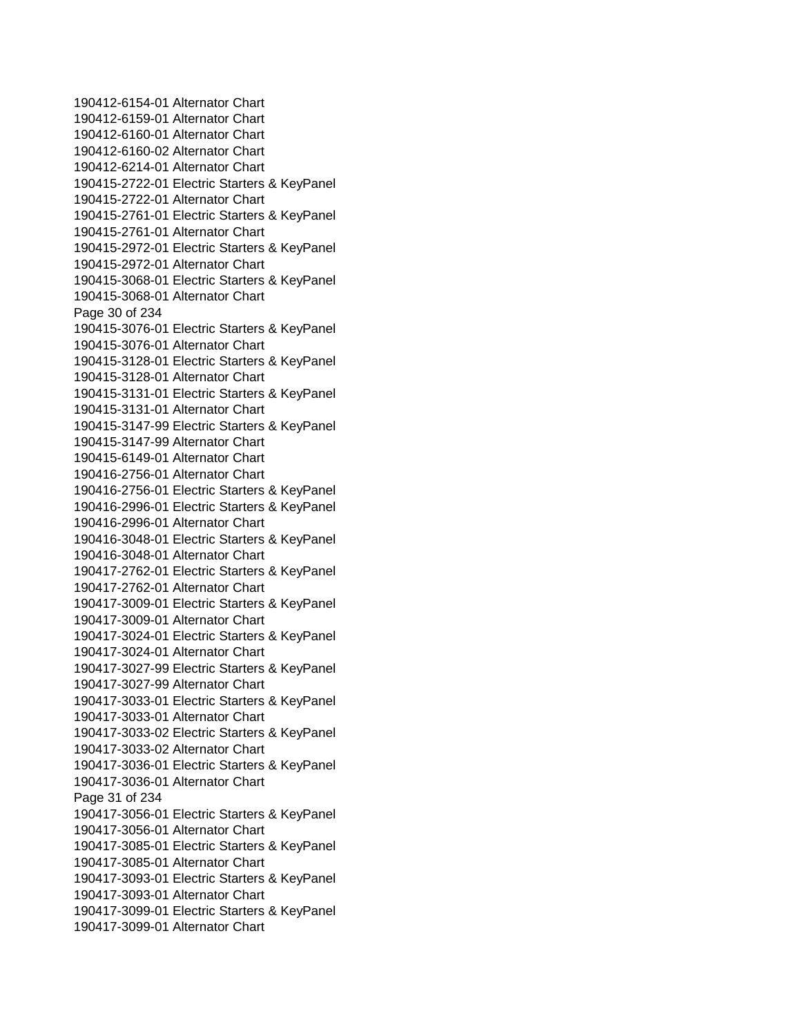190412-6154-01 Alternator Chart 190412-6159-01 Alternator Chart 190412-6160-01 Alternator Chart 190412-6160-02 Alternator Chart 190412-6214-01 Alternator Chart 190415-2722-01 Electric Starters & KeyPanel 190415-2722-01 Alternator Chart 190415-2761-01 Electric Starters & KeyPanel 190415-2761-01 Alternator Chart 190415-2972-01 Electric Starters & KeyPanel 190415-2972-01 Alternator Chart 190415-3068-01 Electric Starters & KeyPanel 190415-3068-01 Alternator Chart Page 30 of 234 190415-3076-01 Electric Starters & KeyPanel 190415-3076-01 Alternator Chart 190415-3128-01 Electric Starters & KeyPanel 190415-3128-01 Alternator Chart 190415-3131-01 Electric Starters & KeyPanel 190415-3131-01 Alternator Chart 190415-3147-99 Electric Starters & KeyPanel 190415-3147-99 Alternator Chart 190415-6149-01 Alternator Chart 190416-2756-01 Alternator Chart 190416-2756-01 Electric Starters & KeyPanel 190416-2996-01 Electric Starters & KeyPanel 190416-2996-01 Alternator Chart 190416-3048-01 Electric Starters & KeyPanel 190416-3048-01 Alternator Chart 190417-2762-01 Electric Starters & KeyPanel 190417-2762-01 Alternator Chart 190417-3009-01 Electric Starters & KeyPanel 190417-3009-01 Alternator Chart 190417-3024-01 Electric Starters & KeyPanel 190417-3024-01 Alternator Chart 190417-3027-99 Electric Starters & KeyPanel 190417-3027-99 Alternator Chart 190417-3033-01 Electric Starters & KeyPanel 190417-3033-01 Alternator Chart 190417-3033-02 Electric Starters & KeyPanel 190417-3033-02 Alternator Chart 190417-3036-01 Electric Starters & KeyPanel 190417-3036-01 Alternator Chart Page 31 of 234 190417-3056-01 Electric Starters & KeyPanel 190417-3056-01 Alternator Chart 190417-3085-01 Electric Starters & KeyPanel 190417-3085-01 Alternator Chart 190417-3093-01 Electric Starters & KeyPanel 190417-3093-01 Alternator Chart 190417-3099-01 Electric Starters & KeyPanel 190417-3099-01 Alternator Chart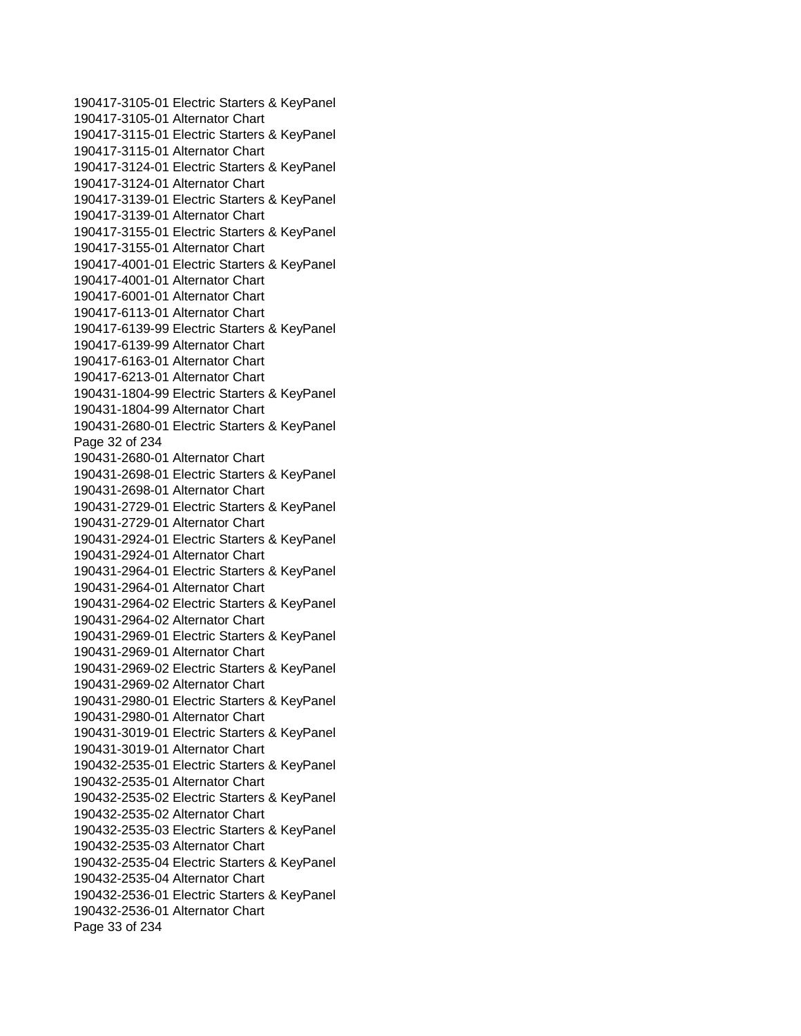190417-3105-01 Electric Starters & KeyPanel 190417-3105-01 Alternator Chart 190417-3115-01 Electric Starters & KeyPanel 190417-3115-01 Alternator Chart 190417-3124-01 Electric Starters & KeyPanel 190417-3124-01 Alternator Chart 190417-3139-01 Electric Starters & KeyPanel 190417-3139-01 Alternator Chart 190417-3155-01 Electric Starters & KeyPanel 190417-3155-01 Alternator Chart 190417-4001-01 Electric Starters & KeyPanel 190417-4001-01 Alternator Chart 190417-6001-01 Alternator Chart 190417-6113-01 Alternator Chart 190417-6139-99 Electric Starters & KeyPanel 190417-6139-99 Alternator Chart 190417-6163-01 Alternator Chart 190417-6213-01 Alternator Chart 190431-1804-99 Electric Starters & KeyPanel 190431-1804-99 Alternator Chart 190431-2680-01 Electric Starters & KeyPanel Page 32 of 234 190431-2680-01 Alternator Chart 190431-2698-01 Electric Starters & KeyPanel 190431-2698-01 Alternator Chart 190431-2729-01 Electric Starters & KeyPanel 190431-2729-01 Alternator Chart 190431-2924-01 Electric Starters & KeyPanel 190431-2924-01 Alternator Chart 190431-2964-01 Electric Starters & KeyPanel 190431-2964-01 Alternator Chart 190431-2964-02 Electric Starters & KeyPanel 190431-2964-02 Alternator Chart 190431-2969-01 Electric Starters & KeyPanel 190431-2969-01 Alternator Chart 190431-2969-02 Electric Starters & KeyPanel 190431-2969-02 Alternator Chart 190431-2980-01 Electric Starters & KeyPanel 190431-2980-01 Alternator Chart 190431-3019-01 Electric Starters & KeyPanel 190431-3019-01 Alternator Chart 190432-2535-01 Electric Starters & KeyPanel 190432-2535-01 Alternator Chart 190432-2535-02 Electric Starters & KeyPanel 190432-2535-02 Alternator Chart 190432-2535-03 Electric Starters & KeyPanel 190432-2535-03 Alternator Chart 190432-2535-04 Electric Starters & KeyPanel 190432-2535-04 Alternator Chart 190432-2536-01 Electric Starters & KeyPanel 190432-2536-01 Alternator Chart Page 33 of 234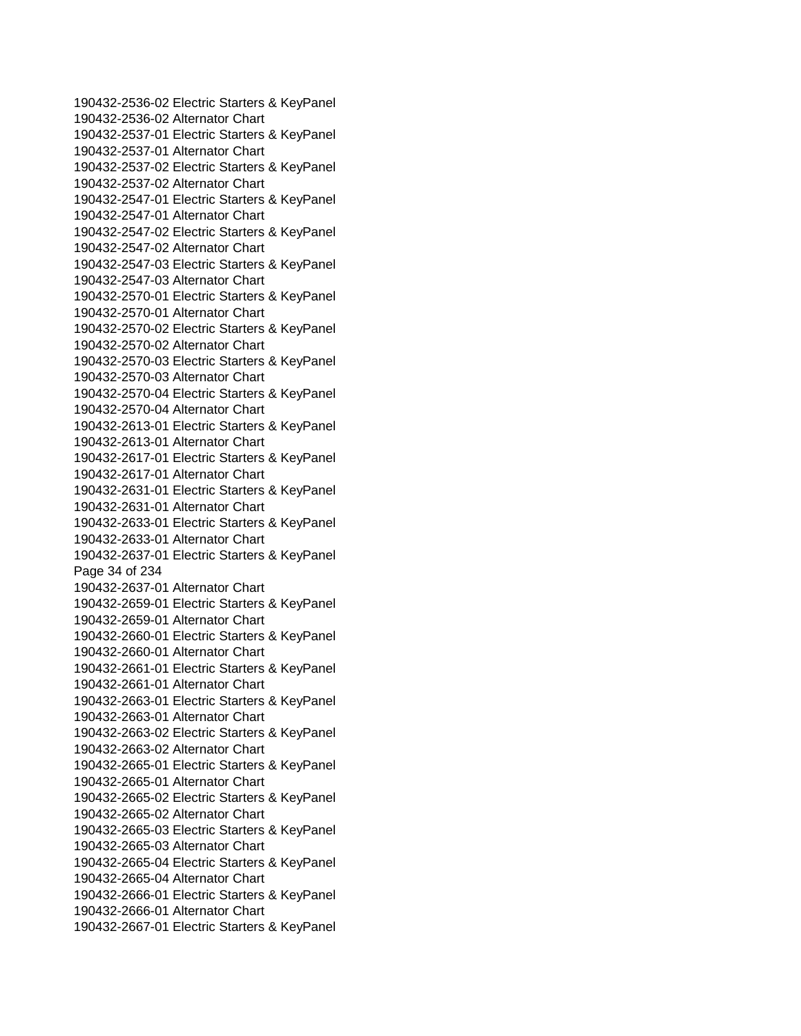190432-2536-02 Electric Starters & KeyPanel 190432-2536-02 Alternator Chart 190432-2537-01 Electric Starters & KeyPanel 190432-2537-01 Alternator Chart 190432-2537-02 Electric Starters & KeyPanel 190432-2537-02 Alternator Chart 190432-2547-01 Electric Starters & KeyPanel 190432-2547-01 Alternator Chart 190432-2547-02 Electric Starters & KeyPanel 190432-2547-02 Alternator Chart 190432-2547-03 Electric Starters & KeyPanel 190432-2547-03 Alternator Chart 190432-2570-01 Electric Starters & KeyPanel 190432-2570-01 Alternator Chart 190432-2570-02 Electric Starters & KeyPanel 190432-2570-02 Alternator Chart 190432-2570-03 Electric Starters & KeyPanel 190432-2570-03 Alternator Chart 190432-2570-04 Electric Starters & KeyPanel 190432-2570-04 Alternator Chart 190432-2613-01 Electric Starters & KeyPanel 190432-2613-01 Alternator Chart 190432-2617-01 Electric Starters & KeyPanel 190432-2617-01 Alternator Chart 190432-2631-01 Electric Starters & KeyPanel 190432-2631-01 Alternator Chart 190432-2633-01 Electric Starters & KeyPanel 190432-2633-01 Alternator Chart 190432-2637-01 Electric Starters & KeyPanel Page 34 of 234 190432-2637-01 Alternator Chart 190432-2659-01 Electric Starters & KeyPanel 190432-2659-01 Alternator Chart 190432-2660-01 Electric Starters & KeyPanel 190432-2660-01 Alternator Chart 190432-2661-01 Electric Starters & KeyPanel 190432-2661-01 Alternator Chart 190432-2663-01 Electric Starters & KeyPanel 190432-2663-01 Alternator Chart 190432-2663-02 Electric Starters & KeyPanel 190432-2663-02 Alternator Chart 190432-2665-01 Electric Starters & KeyPanel 190432-2665-01 Alternator Chart 190432-2665-02 Electric Starters & KeyPanel 190432-2665-02 Alternator Chart 190432-2665-03 Electric Starters & KeyPanel 190432-2665-03 Alternator Chart 190432-2665-04 Electric Starters & KeyPanel 190432-2665-04 Alternator Chart 190432-2666-01 Electric Starters & KeyPanel 190432-2666-01 Alternator Chart 190432-2667-01 Electric Starters & KeyPanel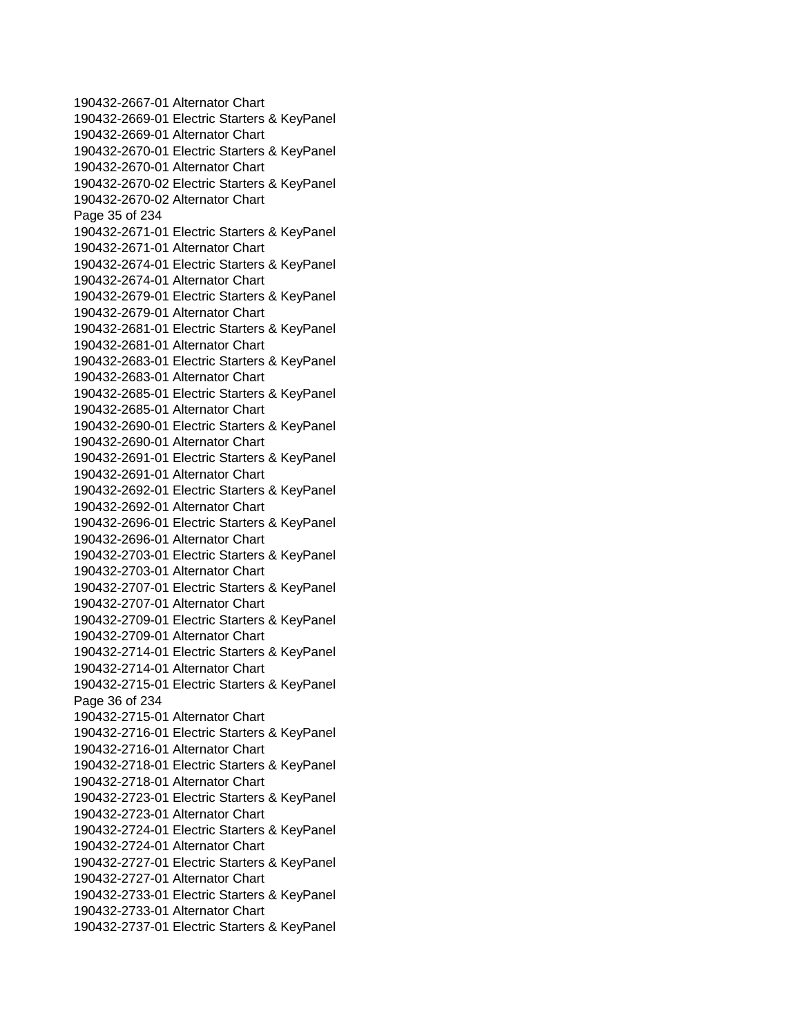190432-2667-01 Alternator Chart 190432-2669-01 Electric Starters & KeyPanel 190432-2669-01 Alternator Chart 190432-2670-01 Electric Starters & KeyPanel 190432-2670-01 Alternator Chart 190432-2670-02 Electric Starters & KeyPanel 190432-2670-02 Alternator Chart Page 35 of 234 190432-2671-01 Electric Starters & KeyPanel 190432-2671-01 Alternator Chart 190432-2674-01 Electric Starters & KeyPanel 190432-2674-01 Alternator Chart 190432-2679-01 Electric Starters & KeyPanel 190432-2679-01 Alternator Chart 190432-2681-01 Electric Starters & KeyPanel 190432-2681-01 Alternator Chart 190432-2683-01 Electric Starters & KeyPanel 190432-2683-01 Alternator Chart 190432-2685-01 Electric Starters & KeyPanel 190432-2685-01 Alternator Chart 190432-2690-01 Electric Starters & KeyPanel 190432-2690-01 Alternator Chart 190432-2691-01 Electric Starters & KeyPanel 190432-2691-01 Alternator Chart 190432-2692-01 Electric Starters & KeyPanel 190432-2692-01 Alternator Chart 190432-2696-01 Electric Starters & KeyPanel 190432-2696-01 Alternator Chart 190432-2703-01 Electric Starters & KeyPanel 190432-2703-01 Alternator Chart 190432-2707-01 Electric Starters & KeyPanel 190432-2707-01 Alternator Chart 190432-2709-01 Electric Starters & KeyPanel 190432-2709-01 Alternator Chart 190432-2714-01 Electric Starters & KeyPanel 190432-2714-01 Alternator Chart 190432-2715-01 Electric Starters & KeyPanel Page 36 of 234 190432-2715-01 Alternator Chart 190432-2716-01 Electric Starters & KeyPanel 190432-2716-01 Alternator Chart 190432-2718-01 Electric Starters & KeyPanel 190432-2718-01 Alternator Chart 190432-2723-01 Electric Starters & KeyPanel 190432-2723-01 Alternator Chart 190432-2724-01 Electric Starters & KeyPanel 190432-2724-01 Alternator Chart 190432-2727-01 Electric Starters & KeyPanel 190432-2727-01 Alternator Chart 190432-2733-01 Electric Starters & KeyPanel 190432-2733-01 Alternator Chart 190432-2737-01 Electric Starters & KeyPanel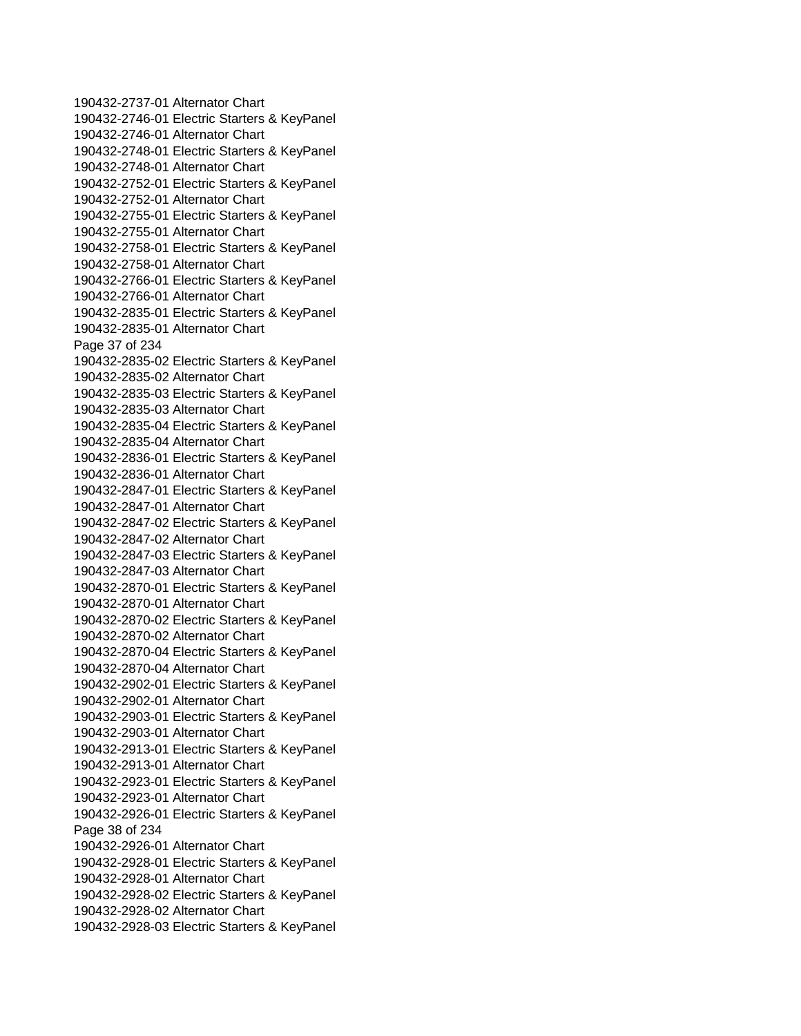190432-2737-01 Alternator Chart 190432-2746-01 Electric Starters & KeyPanel 190432-2746-01 Alternator Chart 190432-2748-01 Electric Starters & KeyPanel 190432-2748-01 Alternator Chart 190432-2752-01 Electric Starters & KeyPanel 190432-2752-01 Alternator Chart 190432-2755-01 Electric Starters & KeyPanel 190432-2755-01 Alternator Chart 190432-2758-01 Electric Starters & KeyPanel 190432-2758-01 Alternator Chart 190432-2766-01 Electric Starters & KeyPanel 190432-2766-01 Alternator Chart 190432-2835-01 Electric Starters & KeyPanel 190432-2835-01 Alternator Chart Page 37 of 234 190432-2835-02 Electric Starters & KeyPanel 190432-2835-02 Alternator Chart 190432-2835-03 Electric Starters & KeyPanel 190432-2835-03 Alternator Chart 190432-2835-04 Electric Starters & KeyPanel 190432-2835-04 Alternator Chart 190432-2836-01 Electric Starters & KeyPanel 190432-2836-01 Alternator Chart 190432-2847-01 Electric Starters & KeyPanel 190432-2847-01 Alternator Chart 190432-2847-02 Electric Starters & KeyPanel 190432-2847-02 Alternator Chart 190432-2847-03 Electric Starters & KeyPanel 190432-2847-03 Alternator Chart 190432-2870-01 Electric Starters & KeyPanel 190432-2870-01 Alternator Chart 190432-2870-02 Electric Starters & KeyPanel 190432-2870-02 Alternator Chart 190432-2870-04 Electric Starters & KeyPanel 190432-2870-04 Alternator Chart 190432-2902-01 Electric Starters & KeyPanel 190432-2902-01 Alternator Chart 190432-2903-01 Electric Starters & KeyPanel 190432-2903-01 Alternator Chart 190432-2913-01 Electric Starters & KeyPanel 190432-2913-01 Alternator Chart 190432-2923-01 Electric Starters & KeyPanel 190432-2923-01 Alternator Chart 190432-2926-01 Electric Starters & KeyPanel Page 38 of 234 190432-2926-01 Alternator Chart 190432-2928-01 Electric Starters & KeyPanel 190432-2928-01 Alternator Chart 190432-2928-02 Electric Starters & KeyPanel 190432-2928-02 Alternator Chart 190432-2928-03 Electric Starters & KeyPanel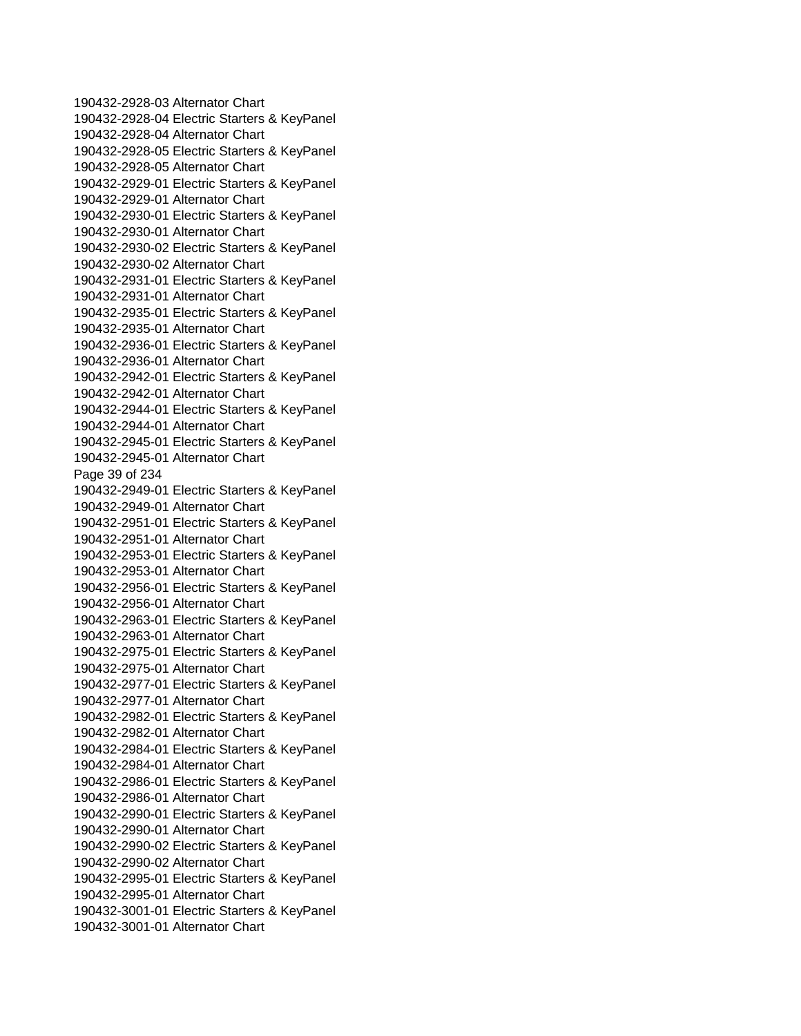190432-2928-03 Alternator Chart 190432-2928-04 Electric Starters & KeyPanel 190432-2928-04 Alternator Chart 190432-2928-05 Electric Starters & KeyPanel 190432-2928-05 Alternator Chart 190432-2929-01 Electric Starters & KeyPanel 190432-2929-01 Alternator Chart 190432-2930-01 Electric Starters & KeyPanel 190432-2930-01 Alternator Chart 190432-2930-02 Electric Starters & KeyPanel 190432-2930-02 Alternator Chart 190432-2931-01 Electric Starters & KeyPanel 190432-2931-01 Alternator Chart 190432-2935-01 Electric Starters & KeyPanel 190432-2935-01 Alternator Chart 190432-2936-01 Electric Starters & KeyPanel 190432-2936-01 Alternator Chart 190432-2942-01 Electric Starters & KeyPanel 190432-2942-01 Alternator Chart 190432-2944-01 Electric Starters & KeyPanel 190432-2944-01 Alternator Chart 190432-2945-01 Electric Starters & KeyPanel 190432-2945-01 Alternator Chart Page 39 of 234 190432-2949-01 Electric Starters & KeyPanel 190432-2949-01 Alternator Chart 190432-2951-01 Electric Starters & KeyPanel 190432-2951-01 Alternator Chart 190432-2953-01 Electric Starters & KeyPanel 190432-2953-01 Alternator Chart 190432-2956-01 Electric Starters & KeyPanel 190432-2956-01 Alternator Chart 190432-2963-01 Electric Starters & KeyPanel 190432-2963-01 Alternator Chart 190432-2975-01 Electric Starters & KeyPanel 190432-2975-01 Alternator Chart 190432-2977-01 Electric Starters & KeyPanel 190432-2977-01 Alternator Chart 190432-2982-01 Electric Starters & KeyPanel 190432-2982-01 Alternator Chart 190432-2984-01 Electric Starters & KeyPanel 190432-2984-01 Alternator Chart 190432-2986-01 Electric Starters & KeyPanel 190432-2986-01 Alternator Chart 190432-2990-01 Electric Starters & KeyPanel 190432-2990-01 Alternator Chart 190432-2990-02 Electric Starters & KeyPanel 190432-2990-02 Alternator Chart 190432-2995-01 Electric Starters & KeyPanel 190432-2995-01 Alternator Chart 190432-3001-01 Electric Starters & KeyPanel 190432-3001-01 Alternator Chart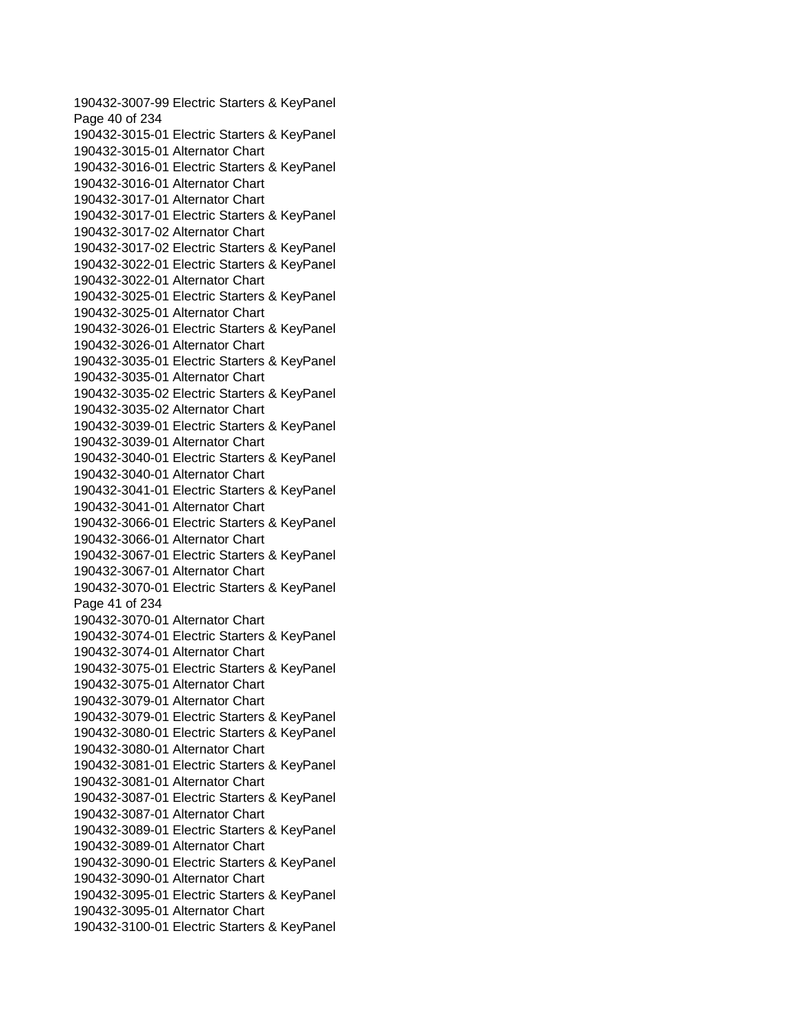190432-3007-99 Electric Starters & KeyPanel Page 40 of 234 190432-3015-01 Electric Starters & KeyPanel 190432-3015-01 Alternator Chart 190432-3016-01 Electric Starters & KeyPanel 190432-3016-01 Alternator Chart 190432-3017-01 Alternator Chart 190432-3017-01 Electric Starters & KeyPanel 190432-3017-02 Alternator Chart 190432-3017-02 Electric Starters & KeyPanel 190432-3022-01 Electric Starters & KeyPanel 190432-3022-01 Alternator Chart 190432-3025-01 Electric Starters & KeyPanel 190432-3025-01 Alternator Chart 190432-3026-01 Electric Starters & KeyPanel 190432-3026-01 Alternator Chart 190432-3035-01 Electric Starters & KeyPanel 190432-3035-01 Alternator Chart 190432-3035-02 Electric Starters & KeyPanel 190432-3035-02 Alternator Chart 190432-3039-01 Electric Starters & KeyPanel 190432-3039-01 Alternator Chart 190432-3040-01 Electric Starters & KeyPanel 190432-3040-01 Alternator Chart 190432-3041-01 Electric Starters & KeyPanel 190432-3041-01 Alternator Chart 190432-3066-01 Electric Starters & KeyPanel 190432-3066-01 Alternator Chart 190432-3067-01 Electric Starters & KeyPanel 190432-3067-01 Alternator Chart 190432-3070-01 Electric Starters & KeyPanel Page 41 of 234 190432-3070-01 Alternator Chart 190432-3074-01 Electric Starters & KeyPanel 190432-3074-01 Alternator Chart 190432-3075-01 Electric Starters & KeyPanel 190432-3075-01 Alternator Chart 190432-3079-01 Alternator Chart 190432-3079-01 Electric Starters & KeyPanel 190432-3080-01 Electric Starters & KeyPanel 190432-3080-01 Alternator Chart 190432-3081-01 Electric Starters & KeyPanel 190432-3081-01 Alternator Chart 190432-3087-01 Electric Starters & KeyPanel 190432-3087-01 Alternator Chart 190432-3089-01 Electric Starters & KeyPanel 190432-3089-01 Alternator Chart 190432-3090-01 Electric Starters & KeyPanel 190432-3090-01 Alternator Chart 190432-3095-01 Electric Starters & KeyPanel 190432-3095-01 Alternator Chart 190432-3100-01 Electric Starters & KeyPanel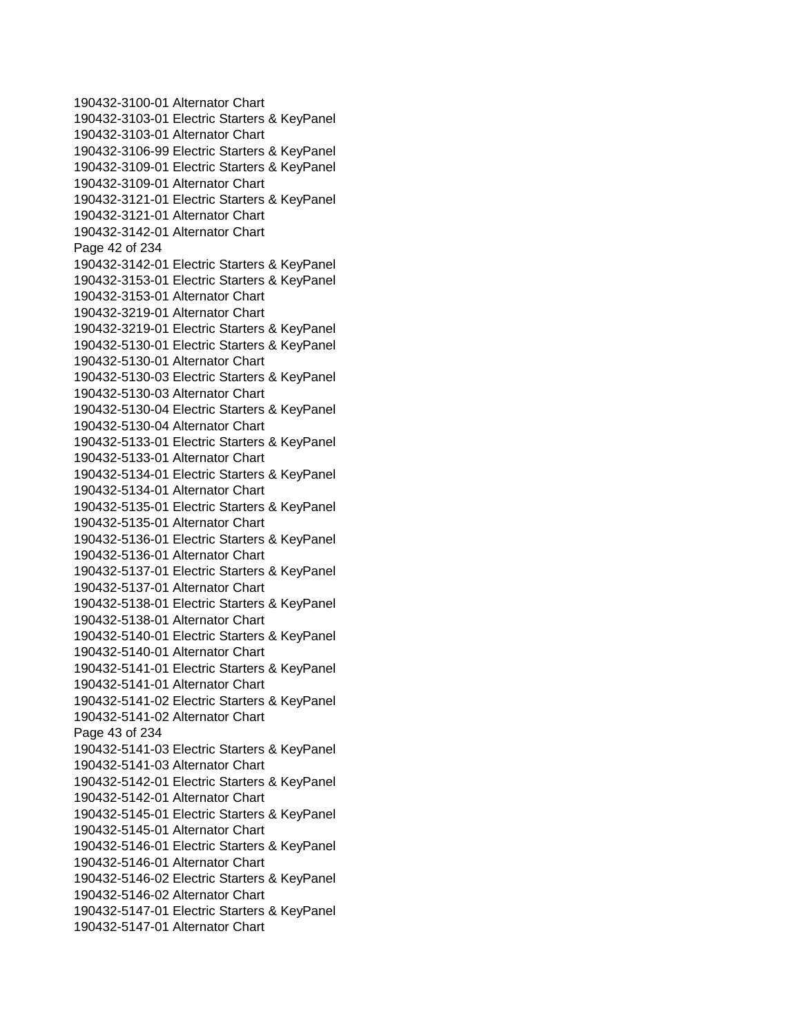190432-3100-01 Alternator Chart 190432-3103-01 Electric Starters & KeyPanel 190432-3103-01 Alternator Chart 190432-3106-99 Electric Starters & KeyPanel 190432-3109-01 Electric Starters & KeyPanel 190432-3109-01 Alternator Chart 190432-3121-01 Electric Starters & KeyPanel 190432-3121-01 Alternator Chart 190432-3142-01 Alternator Chart Page 42 of 234 190432-3142-01 Electric Starters & KeyPanel 190432-3153-01 Electric Starters & KeyPanel 190432-3153-01 Alternator Chart 190432-3219-01 Alternator Chart 190432-3219-01 Electric Starters & KeyPanel 190432-5130-01 Electric Starters & KeyPanel 190432-5130-01 Alternator Chart 190432-5130-03 Electric Starters & KeyPanel 190432-5130-03 Alternator Chart 190432-5130-04 Electric Starters & KeyPanel 190432-5130-04 Alternator Chart 190432-5133-01 Electric Starters & KeyPanel 190432-5133-01 Alternator Chart 190432-5134-01 Electric Starters & KeyPanel 190432-5134-01 Alternator Chart 190432-5135-01 Electric Starters & KeyPanel 190432-5135-01 Alternator Chart 190432-5136-01 Electric Starters & KeyPanel 190432-5136-01 Alternator Chart 190432-5137-01 Electric Starters & KeyPanel 190432-5137-01 Alternator Chart 190432-5138-01 Electric Starters & KeyPanel 190432-5138-01 Alternator Chart 190432-5140-01 Electric Starters & KeyPanel 190432-5140-01 Alternator Chart 190432-5141-01 Electric Starters & KeyPanel 190432-5141-01 Alternator Chart 190432-5141-02 Electric Starters & KeyPanel 190432-5141-02 Alternator Chart Page 43 of 234 190432-5141-03 Electric Starters & KeyPanel 190432-5141-03 Alternator Chart 190432-5142-01 Electric Starters & KeyPanel 190432-5142-01 Alternator Chart 190432-5145-01 Electric Starters & KeyPanel 190432-5145-01 Alternator Chart 190432-5146-01 Electric Starters & KeyPanel 190432-5146-01 Alternator Chart 190432-5146-02 Electric Starters & KeyPanel 190432-5146-02 Alternator Chart 190432-5147-01 Electric Starters & KeyPanel 190432-5147-01 Alternator Chart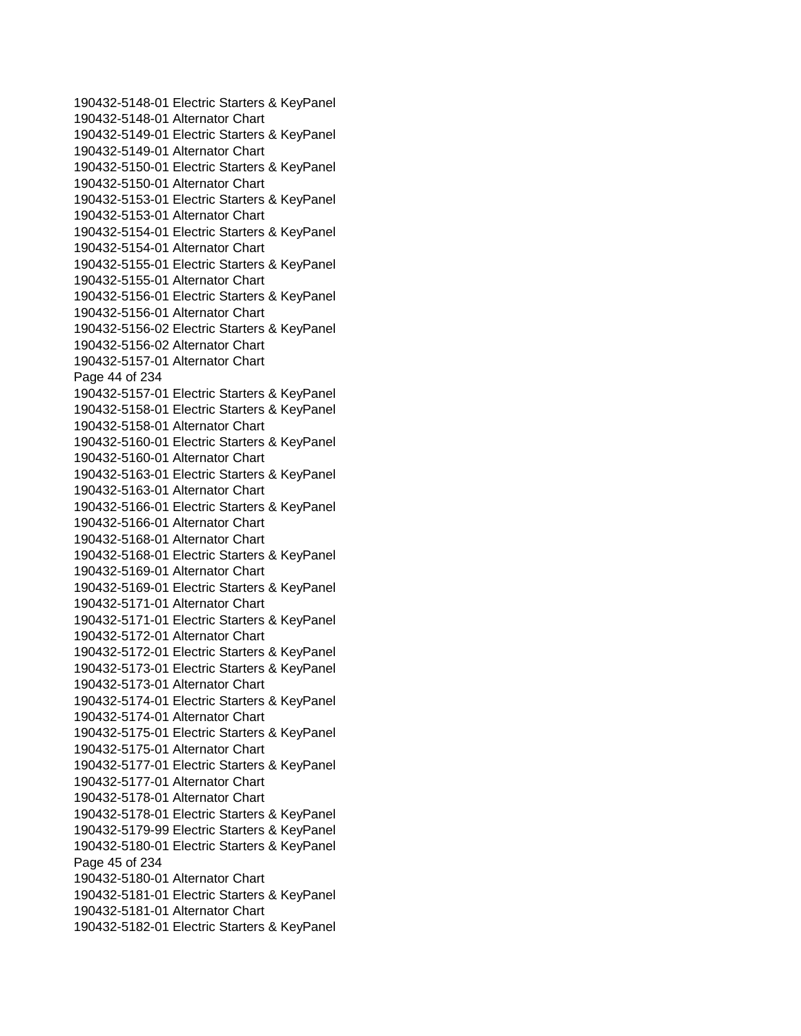190432-5148-01 Electric Starters & KeyPanel 190432-5148-01 Alternator Chart 190432-5149-01 Electric Starters & KeyPanel 190432-5149-01 Alternator Chart 190432-5150-01 Electric Starters & KeyPanel 190432-5150-01 Alternator Chart 190432-5153-01 Electric Starters & KeyPanel 190432-5153-01 Alternator Chart 190432-5154-01 Electric Starters & KeyPanel 190432-5154-01 Alternator Chart 190432-5155-01 Electric Starters & KeyPanel 190432-5155-01 Alternator Chart 190432-5156-01 Electric Starters & KeyPanel 190432-5156-01 Alternator Chart 190432-5156-02 Electric Starters & KeyPanel 190432-5156-02 Alternator Chart 190432-5157-01 Alternator Chart Page 44 of 234 190432-5157-01 Electric Starters & KeyPanel 190432-5158-01 Electric Starters & KeyPanel 190432-5158-01 Alternator Chart 190432-5160-01 Electric Starters & KeyPanel 190432-5160-01 Alternator Chart 190432-5163-01 Electric Starters & KeyPanel 190432-5163-01 Alternator Chart 190432-5166-01 Electric Starters & KeyPanel 190432-5166-01 Alternator Chart 190432-5168-01 Alternator Chart 190432-5168-01 Electric Starters & KeyPanel 190432-5169-01 Alternator Chart 190432-5169-01 Electric Starters & KeyPanel 190432-5171-01 Alternator Chart 190432-5171-01 Electric Starters & KeyPanel 190432-5172-01 Alternator Chart 190432-5172-01 Electric Starters & KeyPanel 190432-5173-01 Electric Starters & KeyPanel 190432-5173-01 Alternator Chart 190432-5174-01 Electric Starters & KeyPanel 190432-5174-01 Alternator Chart 190432-5175-01 Electric Starters & KeyPanel 190432-5175-01 Alternator Chart 190432-5177-01 Electric Starters & KeyPanel 190432-5177-01 Alternator Chart 190432-5178-01 Alternator Chart 190432-5178-01 Electric Starters & KeyPanel 190432-5179-99 Electric Starters & KeyPanel 190432-5180-01 Electric Starters & KeyPanel Page 45 of 234 190432-5180-01 Alternator Chart 190432-5181-01 Electric Starters & KeyPanel 190432-5181-01 Alternator Chart 190432-5182-01 Electric Starters & KeyPanel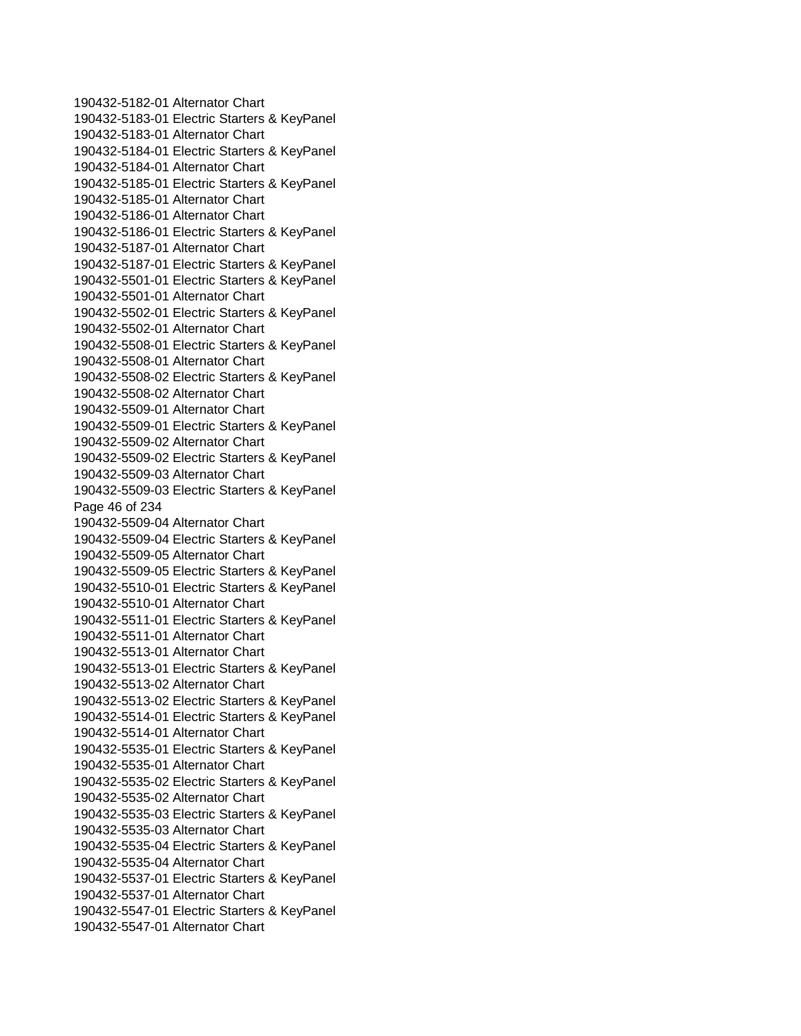190432-5182-01 Alternator Chart 190432-5183-01 Electric Starters & KeyPanel 190432-5183-01 Alternator Chart 190432-5184-01 Electric Starters & KeyPanel 190432-5184-01 Alternator Chart 190432-5185-01 Electric Starters & KeyPanel 190432-5185-01 Alternator Chart 190432-5186-01 Alternator Chart 190432-5186-01 Electric Starters & KeyPanel 190432-5187-01 Alternator Chart 190432-5187-01 Electric Starters & KeyPanel 190432-5501-01 Electric Starters & KeyPanel 190432-5501-01 Alternator Chart 190432-5502-01 Electric Starters & KeyPanel 190432-5502-01 Alternator Chart 190432-5508-01 Electric Starters & KeyPanel 190432-5508-01 Alternator Chart 190432-5508-02 Electric Starters & KeyPanel 190432-5508-02 Alternator Chart 190432-5509-01 Alternator Chart 190432-5509-01 Electric Starters & KeyPanel 190432-5509-02 Alternator Chart 190432-5509-02 Electric Starters & KeyPanel 190432-5509-03 Alternator Chart 190432-5509-03 Electric Starters & KeyPanel Page 46 of 234 190432-5509-04 Alternator Chart 190432-5509-04 Electric Starters & KeyPanel 190432-5509-05 Alternator Chart 190432-5509-05 Electric Starters & KeyPanel 190432-5510-01 Electric Starters & KeyPanel 190432-5510-01 Alternator Chart 190432-5511-01 Electric Starters & KeyPanel 190432-5511-01 Alternator Chart 190432-5513-01 Alternator Chart 190432-5513-01 Electric Starters & KeyPanel 190432-5513-02 Alternator Chart 190432-5513-02 Electric Starters & KeyPanel 190432-5514-01 Electric Starters & KeyPanel 190432-5514-01 Alternator Chart 190432-5535-01 Electric Starters & KeyPanel 190432-5535-01 Alternator Chart 190432-5535-02 Electric Starters & KeyPanel 190432-5535-02 Alternator Chart 190432-5535-03 Electric Starters & KeyPanel 190432-5535-03 Alternator Chart 190432-5535-04 Electric Starters & KeyPanel 190432-5535-04 Alternator Chart 190432-5537-01 Electric Starters & KeyPanel 190432-5537-01 Alternator Chart 190432-5547-01 Electric Starters & KeyPanel 190432-5547-01 Alternator Chart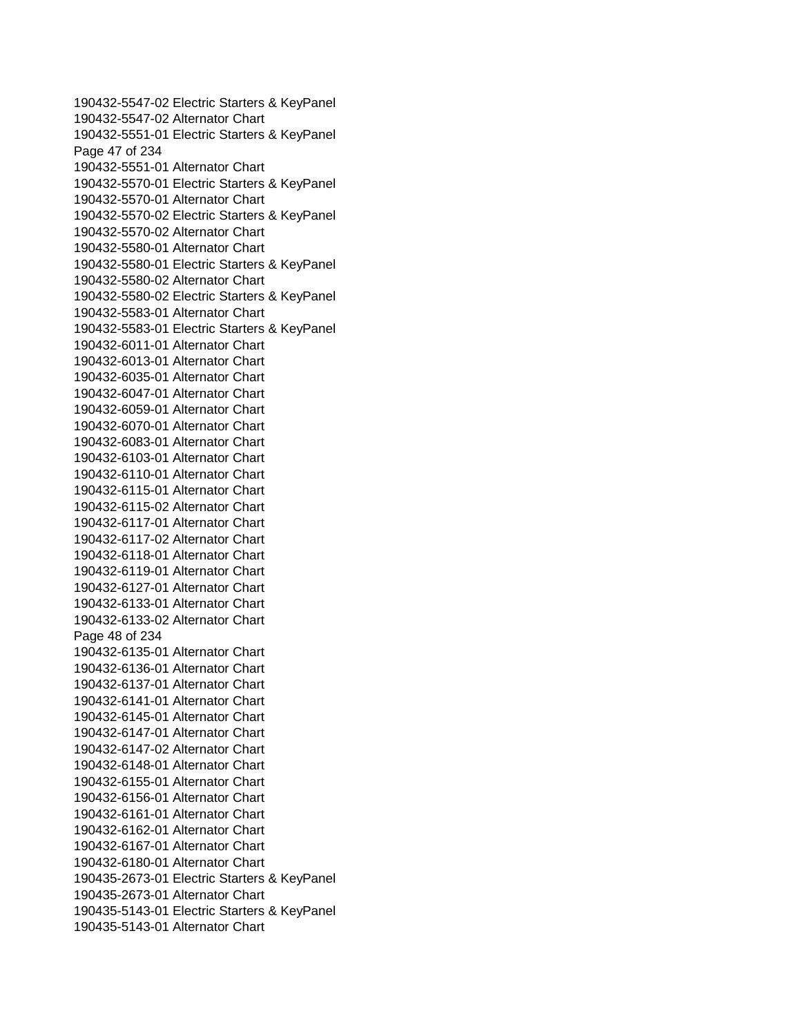190432-5547-02 Electric Starters & KeyPanel 190432-5547-02 Alternator Chart 190432-5551-01 Electric Starters & KeyPanel Page 47 of 234 190432-5551-01 Alternator Chart 190432-5570-01 Electric Starters & KeyPanel 190432-5570-01 Alternator Chart 190432-5570-02 Electric Starters & KeyPanel 190432-5570-02 Alternator Chart 190432-5580-01 Alternator Chart 190432-5580-01 Electric Starters & KeyPanel 190432-5580-02 Alternator Chart 190432-5580-02 Electric Starters & KeyPanel 190432-5583-01 Alternator Chart 190432-5583-01 Electric Starters & KeyPanel 190432-6011-01 Alternator Chart 190432-6013-01 Alternator Chart 190432-6035-01 Alternator Chart 190432-6047-01 Alternator Chart 190432-6059-01 Alternator Chart 190432-6070-01 Alternator Chart 190432-6083-01 Alternator Chart 190432-6103-01 Alternator Chart 190432-6110-01 Alternator Chart 190432-6115-01 Alternator Chart 190432-6115-02 Alternator Chart 190432-6117-01 Alternator Chart 190432-6117-02 Alternator Chart 190432-6118-01 Alternator Chart 190432-6119-01 Alternator Chart 190432-6127-01 Alternator Chart 190432-6133-01 Alternator Chart 190432-6133-02 Alternator Chart Page 48 of 234 190432-6135-01 Alternator Chart 190432-6136-01 Alternator Chart 190432-6137-01 Alternator Chart 190432-6141-01 Alternator Chart 190432-6145-01 Alternator Chart 190432-6147-01 Alternator Chart 190432-6147-02 Alternator Chart 190432-6148-01 Alternator Chart 190432-6155-01 Alternator Chart 190432-6156-01 Alternator Chart 190432-6161-01 Alternator Chart 190432-6162-01 Alternator Chart 190432-6167-01 Alternator Chart 190432-6180-01 Alternator Chart 190435-2673-01 Electric Starters & KeyPanel 190435-2673-01 Alternator Chart 190435-5143-01 Electric Starters & KeyPanel 190435-5143-01 Alternator Chart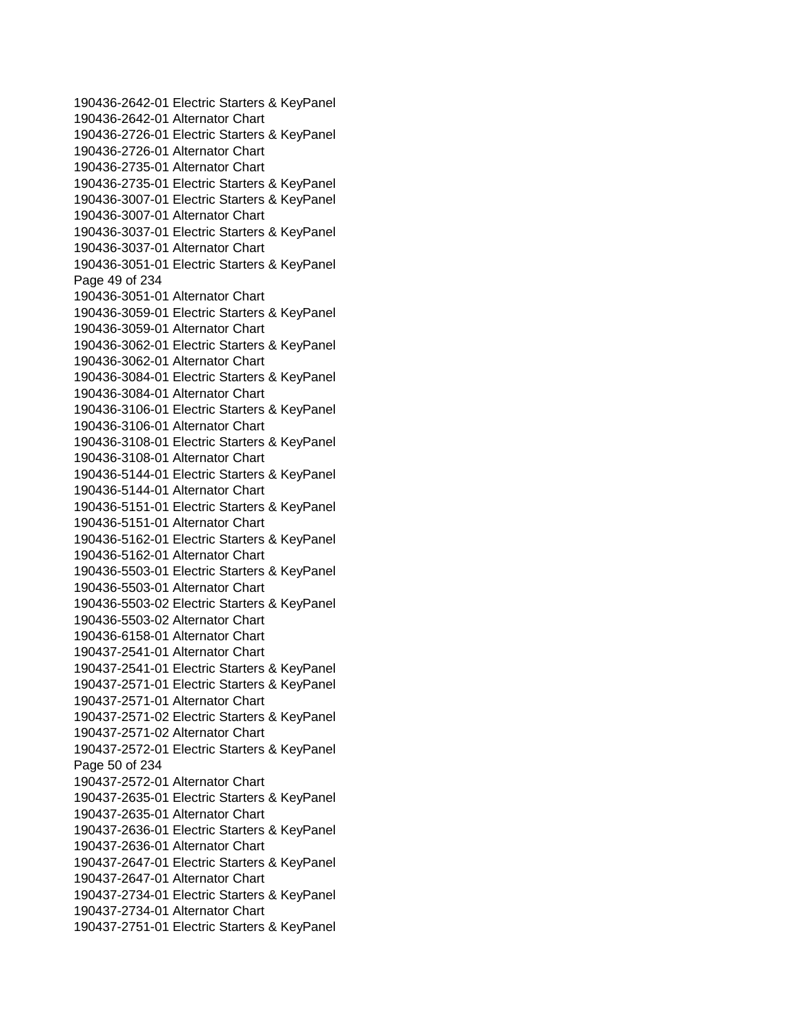190436-2642-01 Electric Starters & KeyPanel 190436-2642-01 Alternator Chart 190436-2726-01 Electric Starters & KeyPanel 190436-2726-01 Alternator Chart 190436-2735-01 Alternator Chart 190436-2735-01 Electric Starters & KeyPanel 190436-3007-01 Electric Starters & KeyPanel 190436-3007-01 Alternator Chart 190436-3037-01 Electric Starters & KeyPanel 190436-3037-01 Alternator Chart 190436-3051-01 Electric Starters & KeyPanel Page 49 of 234 190436-3051-01 Alternator Chart 190436-3059-01 Electric Starters & KeyPanel 190436-3059-01 Alternator Chart 190436-3062-01 Electric Starters & KeyPanel 190436-3062-01 Alternator Chart 190436-3084-01 Electric Starters & KeyPanel 190436-3084-01 Alternator Chart 190436-3106-01 Electric Starters & KeyPanel 190436-3106-01 Alternator Chart 190436-3108-01 Electric Starters & KeyPanel 190436-3108-01 Alternator Chart 190436-5144-01 Electric Starters & KeyPanel 190436-5144-01 Alternator Chart 190436-5151-01 Electric Starters & KeyPanel 190436-5151-01 Alternator Chart 190436-5162-01 Electric Starters & KeyPanel 190436-5162-01 Alternator Chart 190436-5503-01 Electric Starters & KeyPanel 190436-5503-01 Alternator Chart 190436-5503-02 Electric Starters & KeyPanel 190436-5503-02 Alternator Chart 190436-6158-01 Alternator Chart 190437-2541-01 Alternator Chart 190437-2541-01 Electric Starters & KeyPanel 190437-2571-01 Electric Starters & KeyPanel 190437-2571-01 Alternator Chart 190437-2571-02 Electric Starters & KeyPanel 190437-2571-02 Alternator Chart 190437-2572-01 Electric Starters & KeyPanel Page 50 of 234 190437-2572-01 Alternator Chart 190437-2635-01 Electric Starters & KeyPanel 190437-2635-01 Alternator Chart 190437-2636-01 Electric Starters & KeyPanel 190437-2636-01 Alternator Chart 190437-2647-01 Electric Starters & KeyPanel 190437-2647-01 Alternator Chart 190437-2734-01 Electric Starters & KeyPanel 190437-2734-01 Alternator Chart 190437-2751-01 Electric Starters & KeyPanel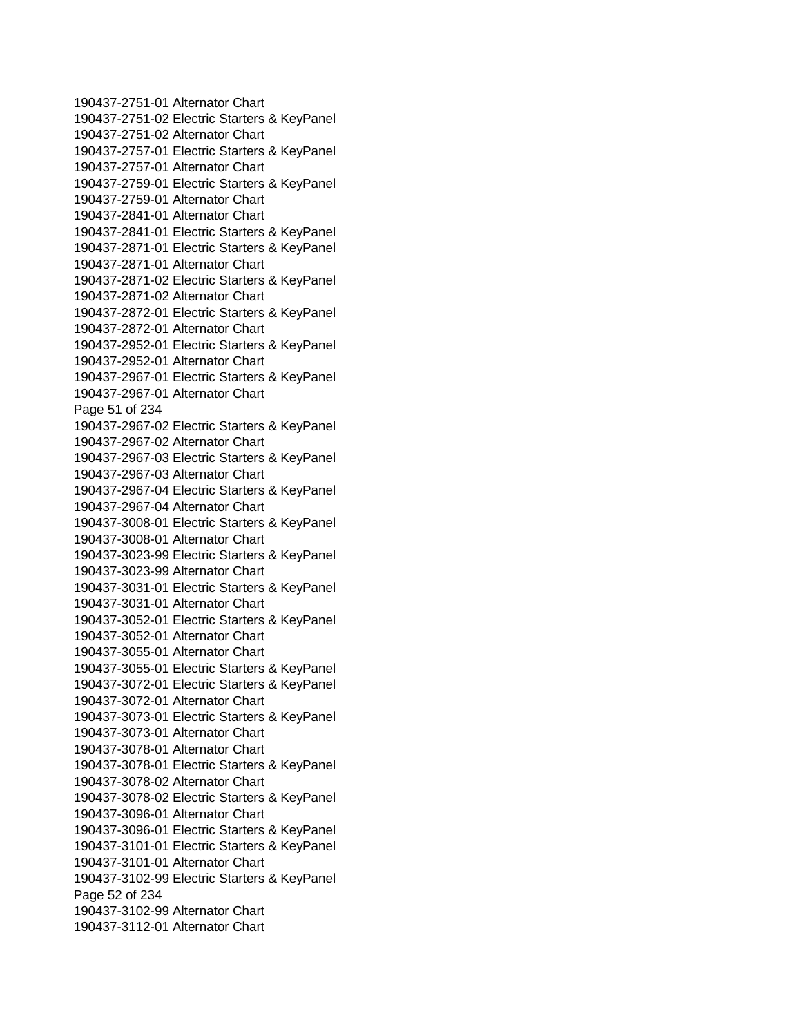190437-2751-01 Alternator Chart 190437-2751-02 Electric Starters & KeyPanel 190437-2751-02 Alternator Chart 190437-2757-01 Electric Starters & KeyPanel 190437-2757-01 Alternator Chart 190437-2759-01 Electric Starters & KeyPanel 190437-2759-01 Alternator Chart 190437-2841-01 Alternator Chart 190437-2841-01 Electric Starters & KeyPanel 190437-2871-01 Electric Starters & KeyPanel 190437-2871-01 Alternator Chart 190437-2871-02 Electric Starters & KeyPanel 190437-2871-02 Alternator Chart 190437-2872-01 Electric Starters & KeyPanel 190437-2872-01 Alternator Chart 190437-2952-01 Electric Starters & KeyPanel 190437-2952-01 Alternator Chart 190437-2967-01 Electric Starters & KeyPanel 190437-2967-01 Alternator Chart Page 51 of 234 190437-2967-02 Electric Starters & KeyPanel 190437-2967-02 Alternator Chart 190437-2967-03 Electric Starters & KeyPanel 190437-2967-03 Alternator Chart 190437-2967-04 Electric Starters & KeyPanel 190437-2967-04 Alternator Chart 190437-3008-01 Electric Starters & KeyPanel 190437-3008-01 Alternator Chart 190437-3023-99 Electric Starters & KeyPanel 190437-3023-99 Alternator Chart 190437-3031-01 Electric Starters & KeyPanel 190437-3031-01 Alternator Chart 190437-3052-01 Electric Starters & KeyPanel 190437-3052-01 Alternator Chart 190437-3055-01 Alternator Chart 190437-3055-01 Electric Starters & KeyPanel 190437-3072-01 Electric Starters & KeyPanel 190437-3072-01 Alternator Chart 190437-3073-01 Electric Starters & KeyPanel 190437-3073-01 Alternator Chart 190437-3078-01 Alternator Chart 190437-3078-01 Electric Starters & KeyPanel 190437-3078-02 Alternator Chart 190437-3078-02 Electric Starters & KeyPanel 190437-3096-01 Alternator Chart 190437-3096-01 Electric Starters & KeyPanel 190437-3101-01 Electric Starters & KeyPanel 190437-3101-01 Alternator Chart 190437-3102-99 Electric Starters & KeyPanel Page 52 of 234 190437-3102-99 Alternator Chart 190437-3112-01 Alternator Chart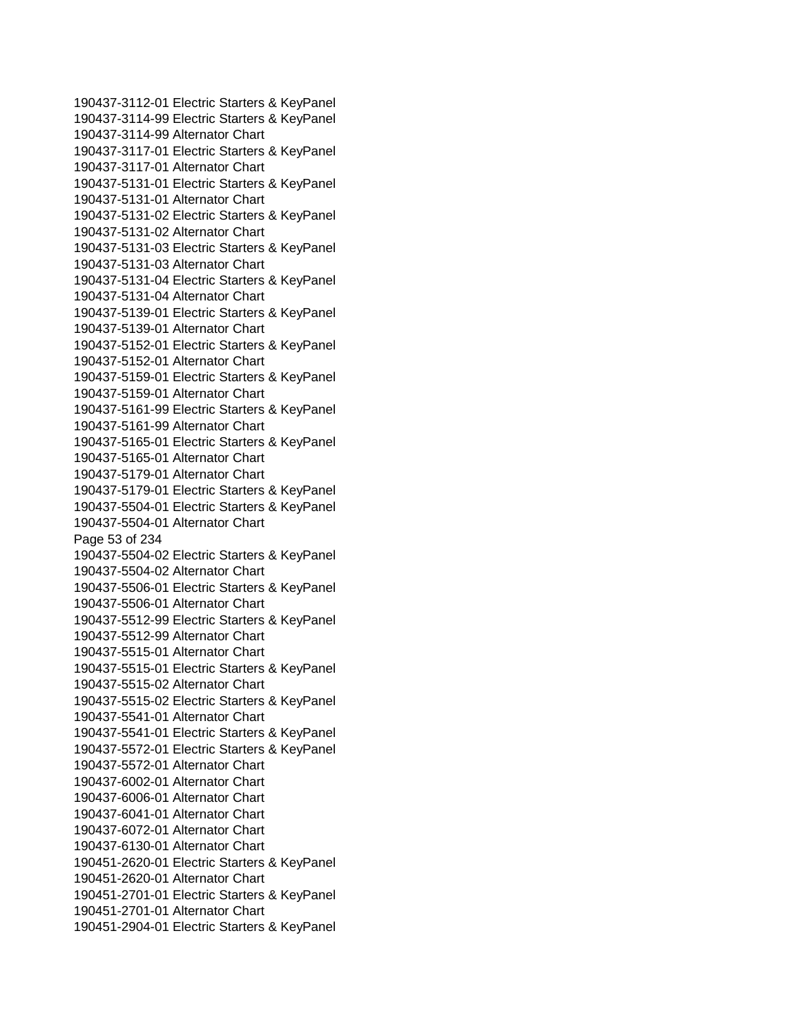190437-3112-01 Electric Starters & KeyPanel 190437-3114-99 Electric Starters & KeyPanel 190437-3114-99 Alternator Chart 190437-3117-01 Electric Starters & KeyPanel 190437-3117-01 Alternator Chart 190437-5131-01 Electric Starters & KeyPanel 190437-5131-01 Alternator Chart 190437-5131-02 Electric Starters & KeyPanel 190437-5131-02 Alternator Chart 190437-5131-03 Electric Starters & KeyPanel 190437-5131-03 Alternator Chart 190437-5131-04 Electric Starters & KeyPanel 190437-5131-04 Alternator Chart 190437-5139-01 Electric Starters & KeyPanel 190437-5139-01 Alternator Chart 190437-5152-01 Electric Starters & KeyPanel 190437-5152-01 Alternator Chart 190437-5159-01 Electric Starters & KeyPanel 190437-5159-01 Alternator Chart 190437-5161-99 Electric Starters & KeyPanel 190437-5161-99 Alternator Chart 190437-5165-01 Electric Starters & KeyPanel 190437-5165-01 Alternator Chart 190437-5179-01 Alternator Chart 190437-5179-01 Electric Starters & KeyPanel 190437-5504-01 Electric Starters & KeyPanel 190437-5504-01 Alternator Chart Page 53 of 234 190437-5504-02 Electric Starters & KeyPanel 190437-5504-02 Alternator Chart 190437-5506-01 Electric Starters & KeyPanel 190437-5506-01 Alternator Chart 190437-5512-99 Electric Starters & KeyPanel 190437-5512-99 Alternator Chart 190437-5515-01 Alternator Chart 190437-5515-01 Electric Starters & KeyPanel 190437-5515-02 Alternator Chart 190437-5515-02 Electric Starters & KeyPanel 190437-5541-01 Alternator Chart 190437-5541-01 Electric Starters & KeyPanel 190437-5572-01 Electric Starters & KeyPanel 190437-5572-01 Alternator Chart 190437-6002-01 Alternator Chart 190437-6006-01 Alternator Chart 190437-6041-01 Alternator Chart 190437-6072-01 Alternator Chart 190437-6130-01 Alternator Chart 190451-2620-01 Electric Starters & KeyPanel 190451-2620-01 Alternator Chart 190451-2701-01 Electric Starters & KeyPanel 190451-2701-01 Alternator Chart 190451-2904-01 Electric Starters & KeyPanel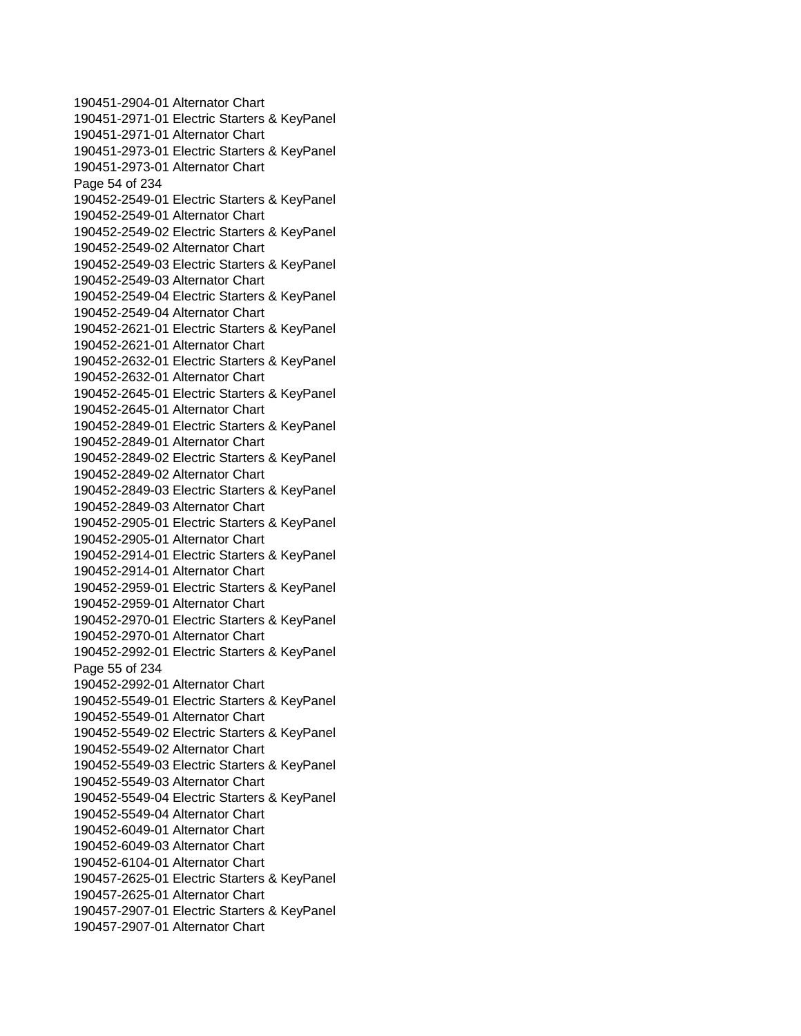190451-2904-01 Alternator Chart 190451-2971-01 Electric Starters & KeyPanel 190451-2971-01 Alternator Chart 190451-2973-01 Electric Starters & KeyPanel 190451-2973-01 Alternator Chart Page 54 of 234 190452-2549-01 Electric Starters & KeyPanel 190452-2549-01 Alternator Chart 190452-2549-02 Electric Starters & KeyPanel 190452-2549-02 Alternator Chart 190452-2549-03 Electric Starters & KeyPanel 190452-2549-03 Alternator Chart 190452-2549-04 Electric Starters & KeyPanel 190452-2549-04 Alternator Chart 190452-2621-01 Electric Starters & KeyPanel 190452-2621-01 Alternator Chart 190452-2632-01 Electric Starters & KeyPanel 190452-2632-01 Alternator Chart 190452-2645-01 Electric Starters & KeyPanel 190452-2645-01 Alternator Chart 190452-2849-01 Electric Starters & KeyPanel 190452-2849-01 Alternator Chart 190452-2849-02 Electric Starters & KeyPanel 190452-2849-02 Alternator Chart 190452-2849-03 Electric Starters & KeyPanel 190452-2849-03 Alternator Chart 190452-2905-01 Electric Starters & KeyPanel 190452-2905-01 Alternator Chart 190452-2914-01 Electric Starters & KeyPanel 190452-2914-01 Alternator Chart 190452-2959-01 Electric Starters & KeyPanel 190452-2959-01 Alternator Chart 190452-2970-01 Electric Starters & KeyPanel 190452-2970-01 Alternator Chart 190452-2992-01 Electric Starters & KeyPanel Page 55 of 234 190452-2992-01 Alternator Chart 190452-5549-01 Electric Starters & KeyPanel 190452-5549-01 Alternator Chart 190452-5549-02 Electric Starters & KeyPanel 190452-5549-02 Alternator Chart 190452-5549-03 Electric Starters & KeyPanel 190452-5549-03 Alternator Chart 190452-5549-04 Electric Starters & KeyPanel 190452-5549-04 Alternator Chart 190452-6049-01 Alternator Chart 190452-6049-03 Alternator Chart 190452-6104-01 Alternator Chart 190457-2625-01 Electric Starters & KeyPanel 190457-2625-01 Alternator Chart 190457-2907-01 Electric Starters & KeyPanel 190457-2907-01 Alternator Chart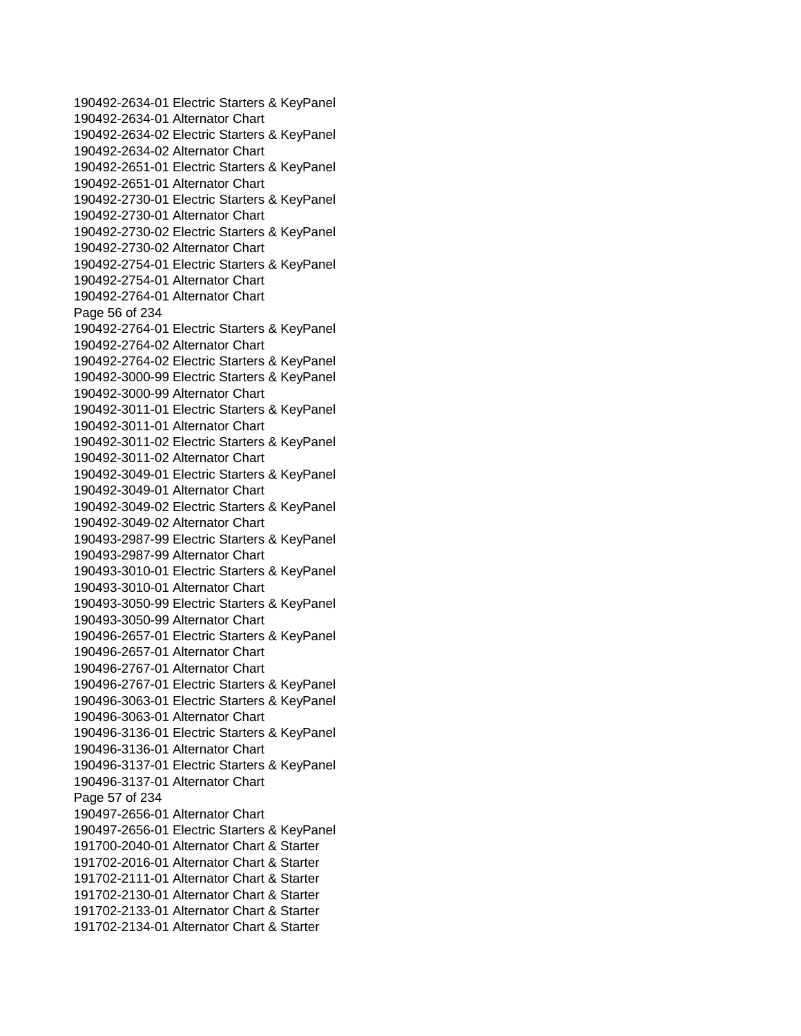190492-2634-01 Electric Starters & KeyPanel 190492-2634-01 Alternator Chart 190492-2634-02 Electric Starters & KeyPanel 190492-2634-02 Alternator Chart 190492-2651-01 Electric Starters & KeyPanel 190492-2651-01 Alternator Chart 190492-2730-01 Electric Starters & KeyPanel 190492-2730-01 Alternator Chart 190492-2730-02 Electric Starters & KeyPanel 190492-2730-02 Alternator Chart 190492-2754-01 Electric Starters & KeyPanel 190492-2754-01 Alternator Chart 190492-2764-01 Alternator Chart Page 56 of 234 190492-2764-01 Electric Starters & KeyPanel 190492-2764-02 Alternator Chart 190492-2764-02 Electric Starters & KeyPanel 190492-3000-99 Electric Starters & KeyPanel 190492-3000-99 Alternator Chart 190492-3011-01 Electric Starters & KeyPanel 190492-3011-01 Alternator Chart 190492-3011-02 Electric Starters & KeyPanel 190492-3011-02 Alternator Chart 190492-3049-01 Electric Starters & KeyPanel 190492-3049-01 Alternator Chart 190492-3049-02 Electric Starters & KeyPanel 190492-3049-02 Alternator Chart 190493-2987-99 Electric Starters & KeyPanel 190493-2987-99 Alternator Chart 190493-3010-01 Electric Starters & KeyPanel 190493-3010-01 Alternator Chart 190493-3050-99 Electric Starters & KeyPanel 190493-3050-99 Alternator Chart 190496-2657-01 Electric Starters & KeyPanel 190496-2657-01 Alternator Chart 190496-2767-01 Alternator Chart 190496-2767-01 Electric Starters & KeyPanel 190496-3063-01 Electric Starters & KeyPanel 190496-3063-01 Alternator Chart 190496-3136-01 Electric Starters & KeyPanel 190496-3136-01 Alternator Chart 190496-3137-01 Electric Starters & KeyPanel 190496-3137-01 Alternator Chart Page 57 of 234 190497-2656-01 Alternator Chart 190497-2656-01 Electric Starters & KeyPanel 191700-2040-01 Alternator Chart & Starter 191702-2016-01 Alternator Chart & Starter 191702-2111-01 Alternator Chart & Starter 191702-2130-01 Alternator Chart & Starter 191702-2133-01 Alternator Chart & Starter 191702-2134-01 Alternator Chart & Starter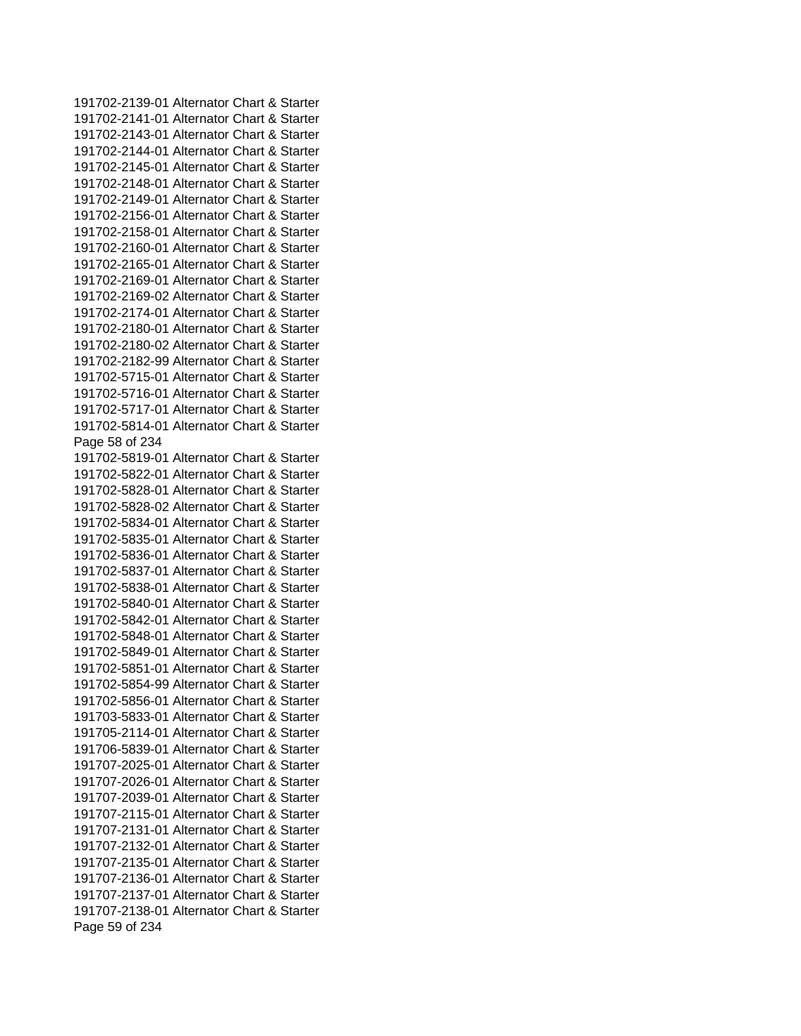191702-2139-01 Alternator Chart & Starter 191702-2141-01 Alternator Chart & Starter 191702-2143-01 Alternator Chart & Starter 191702-2144-01 Alternator Chart & Starter 191702-2145-01 Alternator Chart & Starter 191702-2148-01 Alternator Chart & Starter 191702-2149-01 Alternator Chart & Starter 191702-2156-01 Alternator Chart & Starter 191702-2158-01 Alternator Chart & Starter 191702-2160-01 Alternator Chart & Starter 191702-2165-01 Alternator Chart & Starter 191702-2169-01 Alternator Chart & Starter 191702-2169-02 Alternator Chart & Starter 191702-2174-01 Alternator Chart & Starter 191702-2180-01 Alternator Chart & Starter 191702-2180-02 Alternator Chart & Starter 191702-2182-99 Alternator Chart & Starter 191702-5715-01 Alternator Chart & Starter 191702-5716-01 Alternator Chart & Starter 191702-5717-01 Alternator Chart & Starter 191702-5814-01 Alternator Chart & Starter Page 58 of 234 191702-5819-01 Alternator Chart & Starter 191702-5822-01 Alternator Chart & Starter 191702-5828-01 Alternator Chart & Starter 191702-5828-02 Alternator Chart & Starter 191702-5834-01 Alternator Chart & Starter 191702-5835-01 Alternator Chart & Starter 191702-5836-01 Alternator Chart & Starter 191702-5837-01 Alternator Chart & Starter 191702-5838-01 Alternator Chart & Starter 191702-5840-01 Alternator Chart & Starter 191702-5842-01 Alternator Chart & Starter 191702-5848-01 Alternator Chart & Starter 191702-5849-01 Alternator Chart & Starter 191702-5851-01 Alternator Chart & Starter 191702-5854-99 Alternator Chart & Starter 191702-5856-01 Alternator Chart & Starter 191703-5833-01 Alternator Chart & Starter 191705-2114-01 Alternator Chart & Starter 191706-5839-01 Alternator Chart & Starter 191707-2025-01 Alternator Chart & Starter 191707-2026-01 Alternator Chart & Starter 191707-2039-01 Alternator Chart & Starter 191707-2115-01 Alternator Chart & Starter 191707-2131-01 Alternator Chart & Starter 191707-2132-01 Alternator Chart & Starter 191707-2135-01 Alternator Chart & Starter 191707-2136-01 Alternator Chart & Starter 191707-2137-01 Alternator Chart & Starter 191707-2138-01 Alternator Chart & Starter Page 59 of 234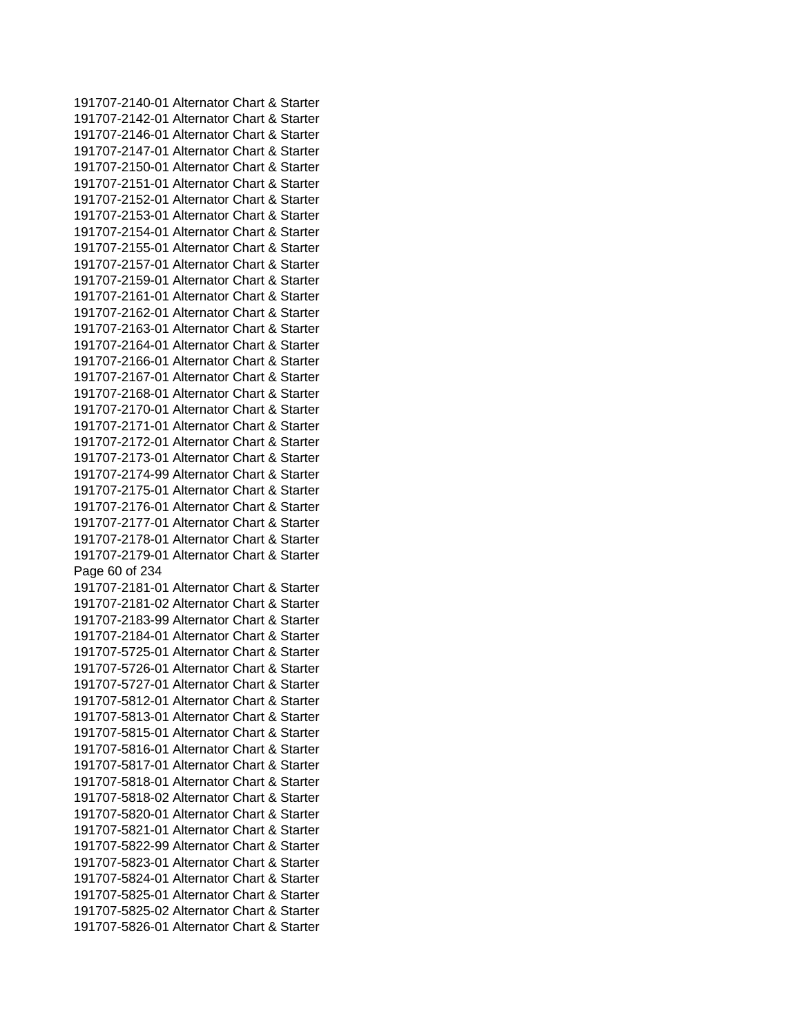191707-2140-01 Alternator Chart & Starter 191707-2142-01 Alternator Chart & Starter 191707-2146-01 Alternator Chart & Starter 191707-2147-01 Alternator Chart & Starter 191707-2150-01 Alternator Chart & Starter 191707-2151-01 Alternator Chart & Starter 191707-2152-01 Alternator Chart & Starter 191707-2153-01 Alternator Chart & Starter 191707-2154-01 Alternator Chart & Starter 191707-2155-01 Alternator Chart & Starter 191707-2157-01 Alternator Chart & Starter 191707-2159-01 Alternator Chart & Starter 191707-2161-01 Alternator Chart & Starter 191707-2162-01 Alternator Chart & Starter 191707-2163-01 Alternator Chart & Starter 191707-2164-01 Alternator Chart & Starter 191707-2166-01 Alternator Chart & Starter 191707-2167-01 Alternator Chart & Starter 191707-2168-01 Alternator Chart & Starter 191707-2170-01 Alternator Chart & Starter 191707-2171-01 Alternator Chart & Starter 191707-2172-01 Alternator Chart & Starter 191707-2173-01 Alternator Chart & Starter 191707-2174-99 Alternator Chart & Starter 191707-2175-01 Alternator Chart & Starter 191707-2176-01 Alternator Chart & Starter 191707-2177-01 Alternator Chart & Starter 191707-2178-01 Alternator Chart & Starter 191707-2179-01 Alternator Chart & Starter Page 60 of 234 191707-2181-01 Alternator Chart & Starter 191707-2181-02 Alternator Chart & Starter 191707-2183-99 Alternator Chart & Starter 191707-2184-01 Alternator Chart & Starter 191707-5725-01 Alternator Chart & Starter 191707-5726-01 Alternator Chart & Starter 191707-5727-01 Alternator Chart & Starter 191707-5812-01 Alternator Chart & Starter 191707-5813-01 Alternator Chart & Starter 191707-5815-01 Alternator Chart & Starter 191707-5816-01 Alternator Chart & Starter 191707-5817-01 Alternator Chart & Starter 191707-5818-01 Alternator Chart & Starter 191707-5818-02 Alternator Chart & Starter 191707-5820-01 Alternator Chart & Starter 191707-5821-01 Alternator Chart & Starter 191707-5822-99 Alternator Chart & Starter 191707-5823-01 Alternator Chart & Starter 191707-5824-01 Alternator Chart & Starter 191707-5825-01 Alternator Chart & Starter 191707-5825-02 Alternator Chart & Starter 191707-5826-01 Alternator Chart & Starter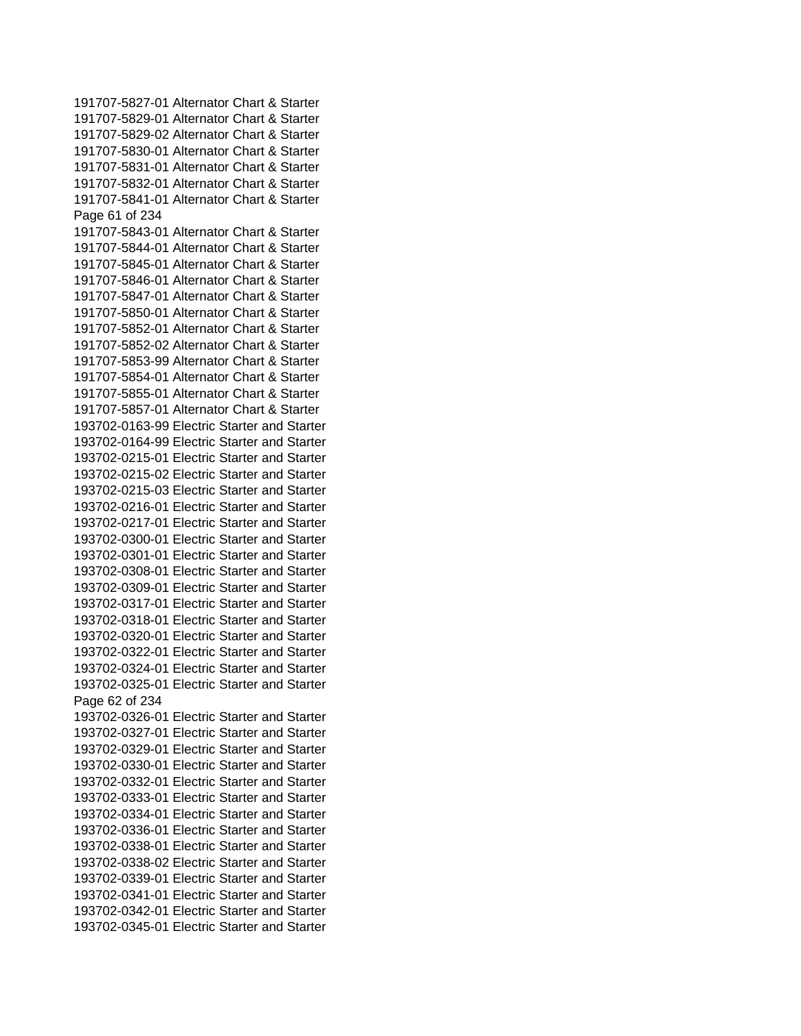191707-5827-01 Alternator Chart & Starter 191707-5829-01 Alternator Chart & Starter 191707-5829-02 Alternator Chart & Starter 191707-5830-01 Alternator Chart & Starter 191707-5831-01 Alternator Chart & Starter 191707-5832-01 Alternator Chart & Starter 191707-5841-01 Alternator Chart & Starter Page 61 of 234 191707-5843-01 Alternator Chart & Starter 191707-5844-01 Alternator Chart & Starter 191707-5845-01 Alternator Chart & Starter 191707-5846-01 Alternator Chart & Starter 191707-5847-01 Alternator Chart & Starter 191707-5850-01 Alternator Chart & Starter 191707-5852-01 Alternator Chart & Starter 191707-5852-02 Alternator Chart & Starter 191707-5853-99 Alternator Chart & Starter 191707-5854-01 Alternator Chart & Starter 191707-5855-01 Alternator Chart & Starter 191707-5857-01 Alternator Chart & Starter 193702-0163-99 Electric Starter and Starter 193702-0164-99 Electric Starter and Starter 193702-0215-01 Electric Starter and Starter 193702-0215-02 Electric Starter and Starter 193702-0215-03 Electric Starter and Starter 193702-0216-01 Electric Starter and Starter 193702-0217-01 Electric Starter and Starter 193702-0300-01 Electric Starter and Starter 193702-0301-01 Electric Starter and Starter 193702-0308-01 Electric Starter and Starter 193702-0309-01 Electric Starter and Starter 193702-0317-01 Electric Starter and Starter 193702-0318-01 Electric Starter and Starter 193702-0320-01 Electric Starter and Starter 193702-0322-01 Electric Starter and Starter 193702-0324-01 Electric Starter and Starter 193702-0325-01 Electric Starter and Starter Page 62 of 234 193702-0326-01 Electric Starter and Starter 193702-0327-01 Electric Starter and Starter 193702-0329-01 Electric Starter and Starter 193702-0330-01 Electric Starter and Starter 193702-0332-01 Electric Starter and Starter 193702-0333-01 Electric Starter and Starter 193702-0334-01 Electric Starter and Starter 193702-0336-01 Electric Starter and Starter 193702-0338-01 Electric Starter and Starter 193702-0338-02 Electric Starter and Starter 193702-0339-01 Electric Starter and Starter 193702-0341-01 Electric Starter and Starter 193702-0342-01 Electric Starter and Starter 193702-0345-01 Electric Starter and Starter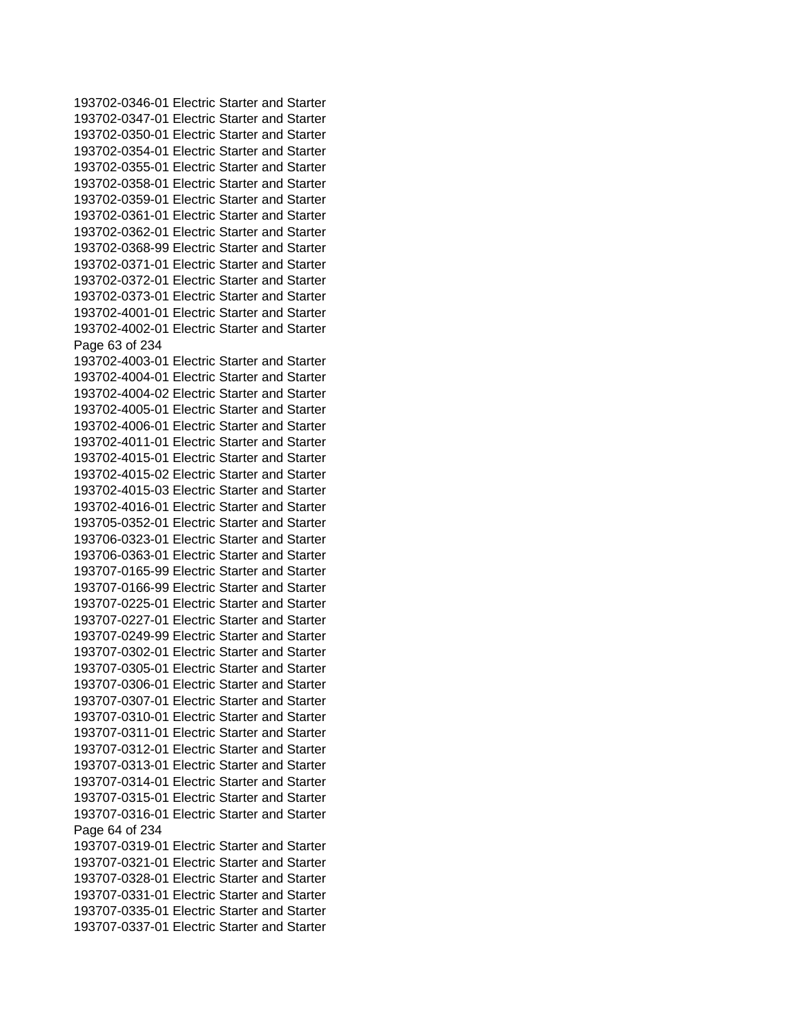193702-0346-01 Electric Starter and Starter 193702-0347-01 Electric Starter and Starter 193702-0350-01 Electric Starter and Starter 193702-0354-01 Electric Starter and Starter 193702-0355-01 Electric Starter and Starter 193702-0358-01 Electric Starter and Starter 193702-0359-01 Electric Starter and Starter 193702-0361-01 Electric Starter and Starter 193702-0362-01 Electric Starter and Starter 193702-0368-99 Electric Starter and Starter 193702-0371-01 Electric Starter and Starter 193702-0372-01 Electric Starter and Starter 193702-0373-01 Electric Starter and Starter 193702-4001-01 Electric Starter and Starter 193702-4002-01 Electric Starter and Starter Page 63 of 234 193702-4003-01 Electric Starter and Starter 193702-4004-01 Electric Starter and Starter 193702-4004-02 Electric Starter and Starter 193702-4005-01 Electric Starter and Starter 193702-4006-01 Electric Starter and Starter 193702-4011-01 Electric Starter and Starter 193702-4015-01 Electric Starter and Starter 193702-4015-02 Electric Starter and Starter 193702-4015-03 Electric Starter and Starter 193702-4016-01 Electric Starter and Starter 193705-0352-01 Electric Starter and Starter 193706-0323-01 Electric Starter and Starter 193706-0363-01 Electric Starter and Starter 193707-0165-99 Electric Starter and Starter 193707-0166-99 Electric Starter and Starter 193707-0225-01 Electric Starter and Starter 193707-0227-01 Electric Starter and Starter 193707-0249-99 Electric Starter and Starter 193707-0302-01 Electric Starter and Starter 193707-0305-01 Electric Starter and Starter 193707-0306-01 Electric Starter and Starter 193707-0307-01 Electric Starter and Starter 193707-0310-01 Electric Starter and Starter 193707-0311-01 Electric Starter and Starter 193707-0312-01 Electric Starter and Starter 193707-0313-01 Electric Starter and Starter 193707-0314-01 Electric Starter and Starter 193707-0315-01 Electric Starter and Starter 193707-0316-01 Electric Starter and Starter Page 64 of 234 193707-0319-01 Electric Starter and Starter 193707-0321-01 Electric Starter and Starter 193707-0328-01 Electric Starter and Starter 193707-0331-01 Electric Starter and Starter 193707-0335-01 Electric Starter and Starter 193707-0337-01 Electric Starter and Starter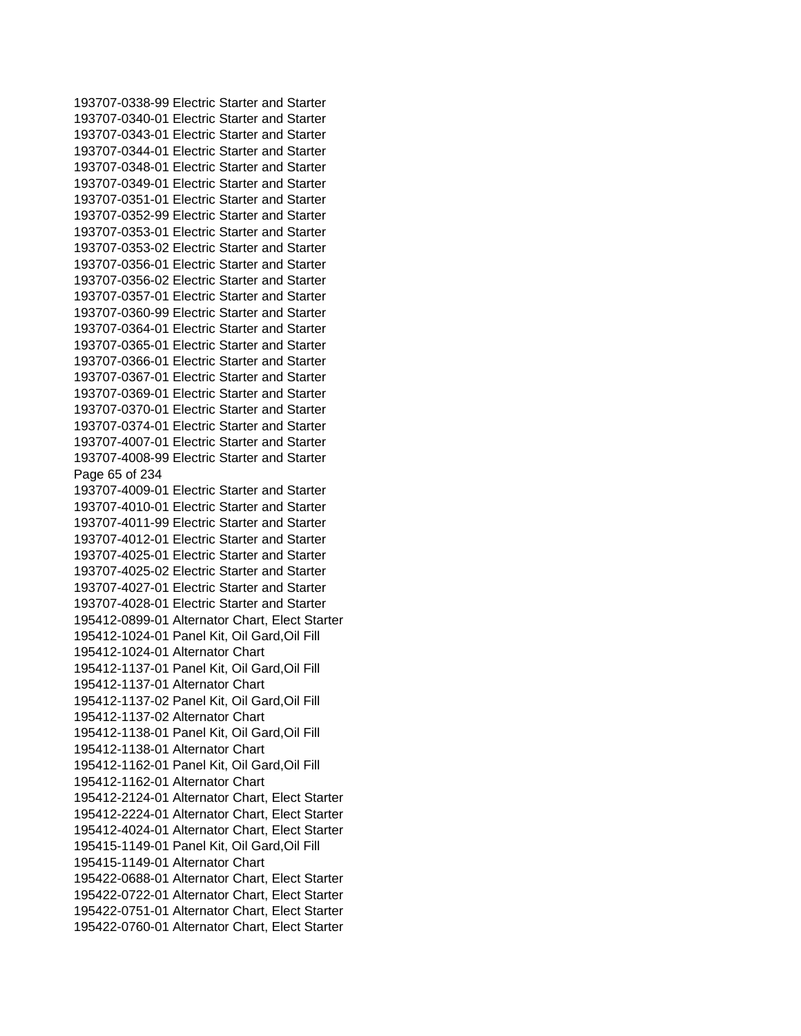193707-0338-99 Electric Starter and Starter 193707-0340-01 Electric Starter and Starter 193707-0343-01 Electric Starter and Starter 193707-0344-01 Electric Starter and Starter 193707-0348-01 Electric Starter and Starter 193707-0349-01 Electric Starter and Starter 193707-0351-01 Electric Starter and Starter 193707-0352-99 Electric Starter and Starter 193707-0353-01 Electric Starter and Starter 193707-0353-02 Electric Starter and Starter 193707-0356-01 Electric Starter and Starter 193707-0356-02 Electric Starter and Starter 193707-0357-01 Electric Starter and Starter 193707-0360-99 Electric Starter and Starter 193707-0364-01 Electric Starter and Starter 193707-0365-01 Electric Starter and Starter 193707-0366-01 Electric Starter and Starter 193707-0367-01 Electric Starter and Starter 193707-0369-01 Electric Starter and Starter 193707-0370-01 Electric Starter and Starter 193707-0374-01 Electric Starter and Starter 193707-4007-01 Electric Starter and Starter 193707-4008-99 Electric Starter and Starter Page 65 of 234 193707-4009-01 Electric Starter and Starter 193707-4010-01 Electric Starter and Starter 193707-4011-99 Electric Starter and Starter 193707-4012-01 Electric Starter and Starter 193707-4025-01 Electric Starter and Starter 193707-4025-02 Electric Starter and Starter 193707-4027-01 Electric Starter and Starter 193707-4028-01 Electric Starter and Starter 195412-0899-01 Alternator Chart, Elect Starter 195412-1024-01 Panel Kit, Oil Gard,Oil Fill 195412-1024-01 Alternator Chart 195412-1137-01 Panel Kit, Oil Gard,Oil Fill 195412-1137-01 Alternator Chart 195412-1137-02 Panel Kit, Oil Gard,Oil Fill 195412-1137-02 Alternator Chart 195412-1138-01 Panel Kit, Oil Gard,Oil Fill 195412-1138-01 Alternator Chart 195412-1162-01 Panel Kit, Oil Gard,Oil Fill 195412-1162-01 Alternator Chart 195412-2124-01 Alternator Chart, Elect Starter 195412-2224-01 Alternator Chart, Elect Starter 195412-4024-01 Alternator Chart, Elect Starter 195415-1149-01 Panel Kit, Oil Gard,Oil Fill 195415-1149-01 Alternator Chart 195422-0688-01 Alternator Chart, Elect Starter 195422-0722-01 Alternator Chart, Elect Starter 195422-0751-01 Alternator Chart, Elect Starter 195422-0760-01 Alternator Chart, Elect Starter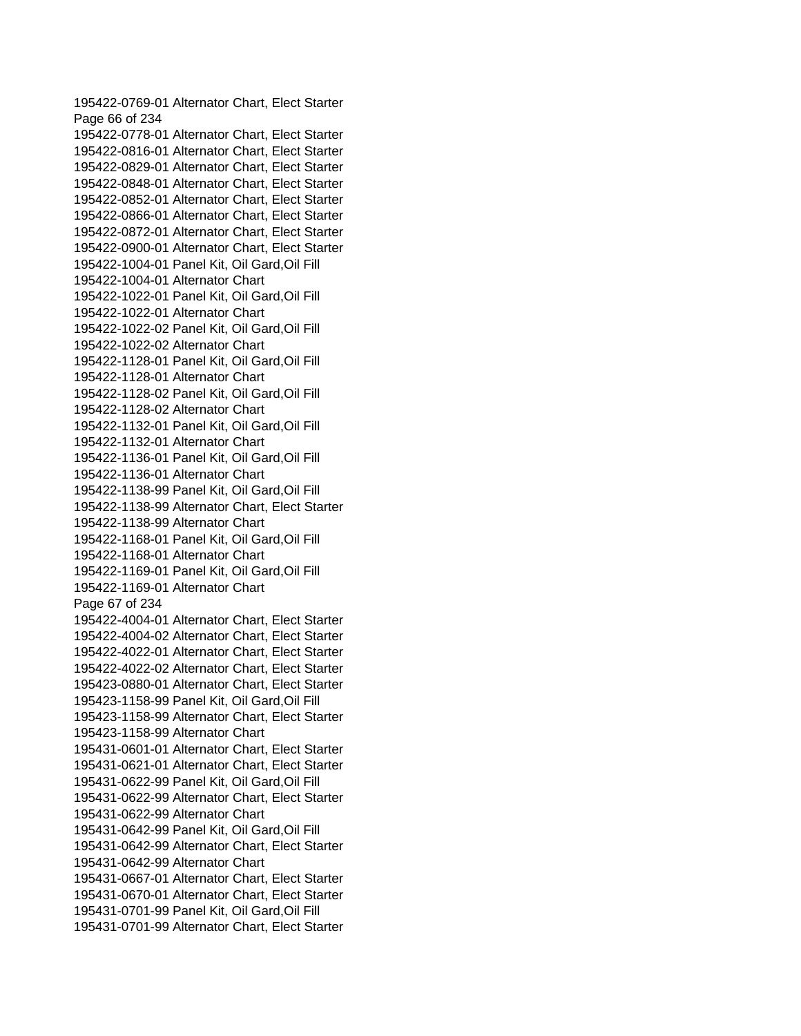195422-0769-01 Alternator Chart, Elect Starter Page 66 of 234 195422-0778-01 Alternator Chart, Elect Starter 195422-0816-01 Alternator Chart, Elect Starter 195422-0829-01 Alternator Chart, Elect Starter 195422-0848-01 Alternator Chart, Elect Starter 195422-0852-01 Alternator Chart, Elect Starter 195422-0866-01 Alternator Chart, Elect Starter 195422-0872-01 Alternator Chart, Elect Starter 195422-0900-01 Alternator Chart, Elect Starter 195422-1004-01 Panel Kit, Oil Gard,Oil Fill 195422-1004-01 Alternator Chart 195422-1022-01 Panel Kit, Oil Gard,Oil Fill 195422-1022-01 Alternator Chart 195422-1022-02 Panel Kit, Oil Gard,Oil Fill 195422-1022-02 Alternator Chart 195422-1128-01 Panel Kit, Oil Gard,Oil Fill 195422-1128-01 Alternator Chart 195422-1128-02 Panel Kit, Oil Gard,Oil Fill 195422-1128-02 Alternator Chart 195422-1132-01 Panel Kit, Oil Gard,Oil Fill 195422-1132-01 Alternator Chart 195422-1136-01 Panel Kit, Oil Gard,Oil Fill 195422-1136-01 Alternator Chart 195422-1138-99 Panel Kit, Oil Gard,Oil Fill 195422-1138-99 Alternator Chart, Elect Starter 195422-1138-99 Alternator Chart 195422-1168-01 Panel Kit, Oil Gard,Oil Fill 195422-1168-01 Alternator Chart 195422-1169-01 Panel Kit, Oil Gard,Oil Fill 195422-1169-01 Alternator Chart Page 67 of 234 195422-4004-01 Alternator Chart, Elect Starter 195422-4004-02 Alternator Chart, Elect Starter 195422-4022-01 Alternator Chart, Elect Starter 195422-4022-02 Alternator Chart, Elect Starter 195423-0880-01 Alternator Chart, Elect Starter 195423-1158-99 Panel Kit, Oil Gard,Oil Fill 195423-1158-99 Alternator Chart, Elect Starter 195423-1158-99 Alternator Chart 195431-0601-01 Alternator Chart, Elect Starter 195431-0621-01 Alternator Chart, Elect Starter 195431-0622-99 Panel Kit, Oil Gard,Oil Fill 195431-0622-99 Alternator Chart, Elect Starter 195431-0622-99 Alternator Chart 195431-0642-99 Panel Kit, Oil Gard,Oil Fill 195431-0642-99 Alternator Chart, Elect Starter 195431-0642-99 Alternator Chart 195431-0667-01 Alternator Chart, Elect Starter 195431-0670-01 Alternator Chart, Elect Starter 195431-0701-99 Panel Kit, Oil Gard,Oil Fill 195431-0701-99 Alternator Chart, Elect Starter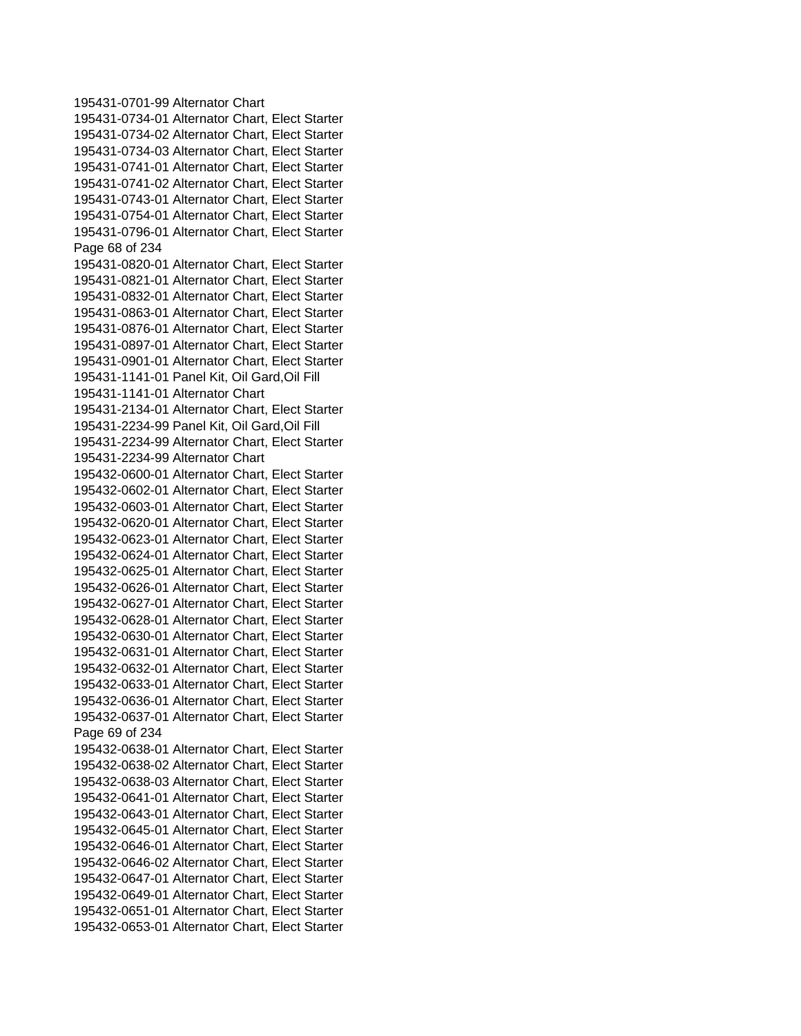195431-0701-99 Alternator Chart 195431-0734-01 Alternator Chart, Elect Starter 195431-0734-02 Alternator Chart, Elect Starter 195431-0734-03 Alternator Chart, Elect Starter 195431-0741-01 Alternator Chart, Elect Starter 195431-0741-02 Alternator Chart, Elect Starter 195431-0743-01 Alternator Chart, Elect Starter 195431-0754-01 Alternator Chart, Elect Starter 195431-0796-01 Alternator Chart, Elect Starter Page 68 of 234 195431-0820-01 Alternator Chart, Elect Starter 195431-0821-01 Alternator Chart, Elect Starter 195431-0832-01 Alternator Chart, Elect Starter 195431-0863-01 Alternator Chart, Elect Starter 195431-0876-01 Alternator Chart, Elect Starter 195431-0897-01 Alternator Chart, Elect Starter 195431-0901-01 Alternator Chart, Elect Starter 195431-1141-01 Panel Kit, Oil Gard,Oil Fill 195431-1141-01 Alternator Chart 195431-2134-01 Alternator Chart, Elect Starter 195431-2234-99 Panel Kit, Oil Gard,Oil Fill 195431-2234-99 Alternator Chart, Elect Starter 195431-2234-99 Alternator Chart 195432-0600-01 Alternator Chart, Elect Starter 195432-0602-01 Alternator Chart, Elect Starter 195432-0603-01 Alternator Chart, Elect Starter 195432-0620-01 Alternator Chart, Elect Starter 195432-0623-01 Alternator Chart, Elect Starter 195432-0624-01 Alternator Chart, Elect Starter 195432-0625-01 Alternator Chart, Elect Starter 195432-0626-01 Alternator Chart, Elect Starter 195432-0627-01 Alternator Chart, Elect Starter 195432-0628-01 Alternator Chart, Elect Starter 195432-0630-01 Alternator Chart, Elect Starter 195432-0631-01 Alternator Chart, Elect Starter 195432-0632-01 Alternator Chart, Elect Starter 195432-0633-01 Alternator Chart, Elect Starter 195432-0636-01 Alternator Chart, Elect Starter 195432-0637-01 Alternator Chart, Elect Starter Page 69 of 234 195432-0638-01 Alternator Chart, Elect Starter 195432-0638-02 Alternator Chart, Elect Starter 195432-0638-03 Alternator Chart, Elect Starter 195432-0641-01 Alternator Chart, Elect Starter 195432-0643-01 Alternator Chart, Elect Starter 195432-0645-01 Alternator Chart, Elect Starter 195432-0646-01 Alternator Chart, Elect Starter 195432-0646-02 Alternator Chart, Elect Starter 195432-0647-01 Alternator Chart, Elect Starter 195432-0649-01 Alternator Chart, Elect Starter 195432-0651-01 Alternator Chart, Elect Starter 195432-0653-01 Alternator Chart, Elect Starter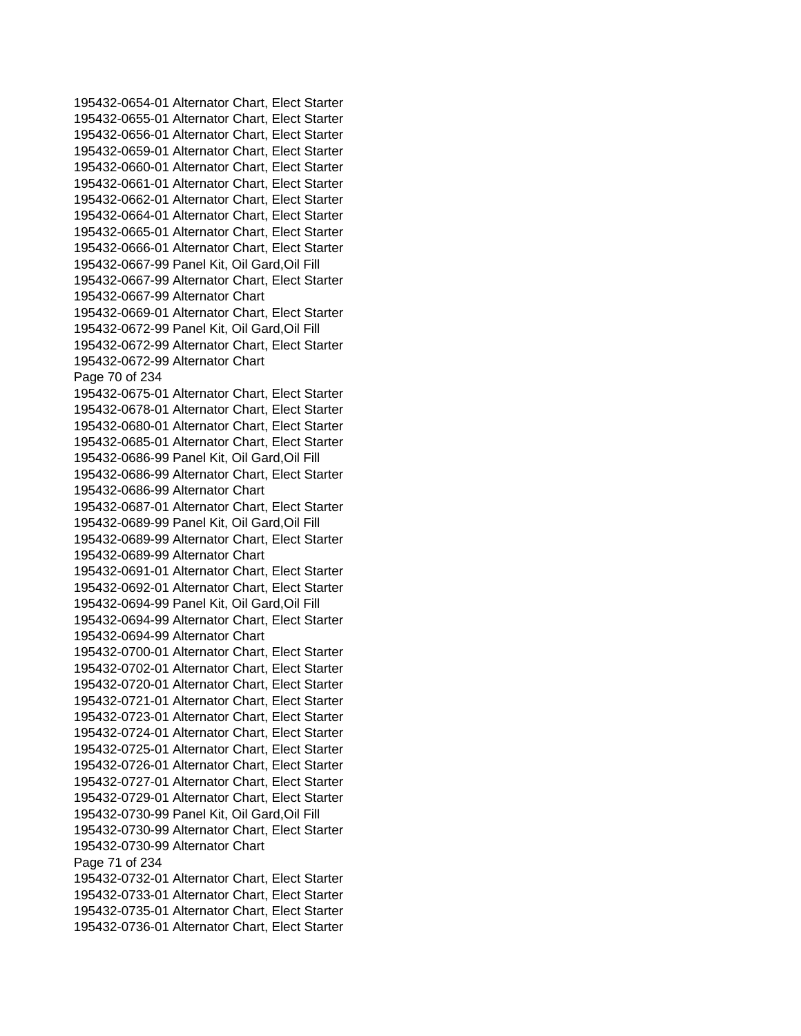195432-0654-01 Alternator Chart, Elect Starter 195432-0655-01 Alternator Chart, Elect Starter 195432-0656-01 Alternator Chart, Elect Starter 195432-0659-01 Alternator Chart, Elect Starter 195432-0660-01 Alternator Chart, Elect Starter 195432-0661-01 Alternator Chart, Elect Starter 195432-0662-01 Alternator Chart, Elect Starter 195432-0664-01 Alternator Chart, Elect Starter 195432-0665-01 Alternator Chart, Elect Starter 195432-0666-01 Alternator Chart, Elect Starter 195432-0667-99 Panel Kit, Oil Gard,Oil Fill 195432-0667-99 Alternator Chart, Elect Starter 195432-0667-99 Alternator Chart 195432-0669-01 Alternator Chart, Elect Starter 195432-0672-99 Panel Kit, Oil Gard,Oil Fill 195432-0672-99 Alternator Chart, Elect Starter 195432-0672-99 Alternator Chart Page 70 of 234 195432-0675-01 Alternator Chart, Elect Starter 195432-0678-01 Alternator Chart, Elect Starter 195432-0680-01 Alternator Chart, Elect Starter 195432-0685-01 Alternator Chart, Elect Starter 195432-0686-99 Panel Kit, Oil Gard,Oil Fill 195432-0686-99 Alternator Chart, Elect Starter 195432-0686-99 Alternator Chart 195432-0687-01 Alternator Chart, Elect Starter 195432-0689-99 Panel Kit, Oil Gard,Oil Fill 195432-0689-99 Alternator Chart, Elect Starter 195432-0689-99 Alternator Chart 195432-0691-01 Alternator Chart, Elect Starter 195432-0692-01 Alternator Chart, Elect Starter 195432-0694-99 Panel Kit, Oil Gard,Oil Fill 195432-0694-99 Alternator Chart, Elect Starter 195432-0694-99 Alternator Chart 195432-0700-01 Alternator Chart, Elect Starter 195432-0702-01 Alternator Chart, Elect Starter 195432-0720-01 Alternator Chart, Elect Starter 195432-0721-01 Alternator Chart, Elect Starter 195432-0723-01 Alternator Chart, Elect Starter 195432-0724-01 Alternator Chart, Elect Starter 195432-0725-01 Alternator Chart, Elect Starter 195432-0726-01 Alternator Chart, Elect Starter 195432-0727-01 Alternator Chart, Elect Starter 195432-0729-01 Alternator Chart, Elect Starter 195432-0730-99 Panel Kit, Oil Gard,Oil Fill 195432-0730-99 Alternator Chart, Elect Starter 195432-0730-99 Alternator Chart Page 71 of 234 195432-0732-01 Alternator Chart, Elect Starter 195432-0733-01 Alternator Chart, Elect Starter 195432-0735-01 Alternator Chart, Elect Starter 195432-0736-01 Alternator Chart, Elect Starter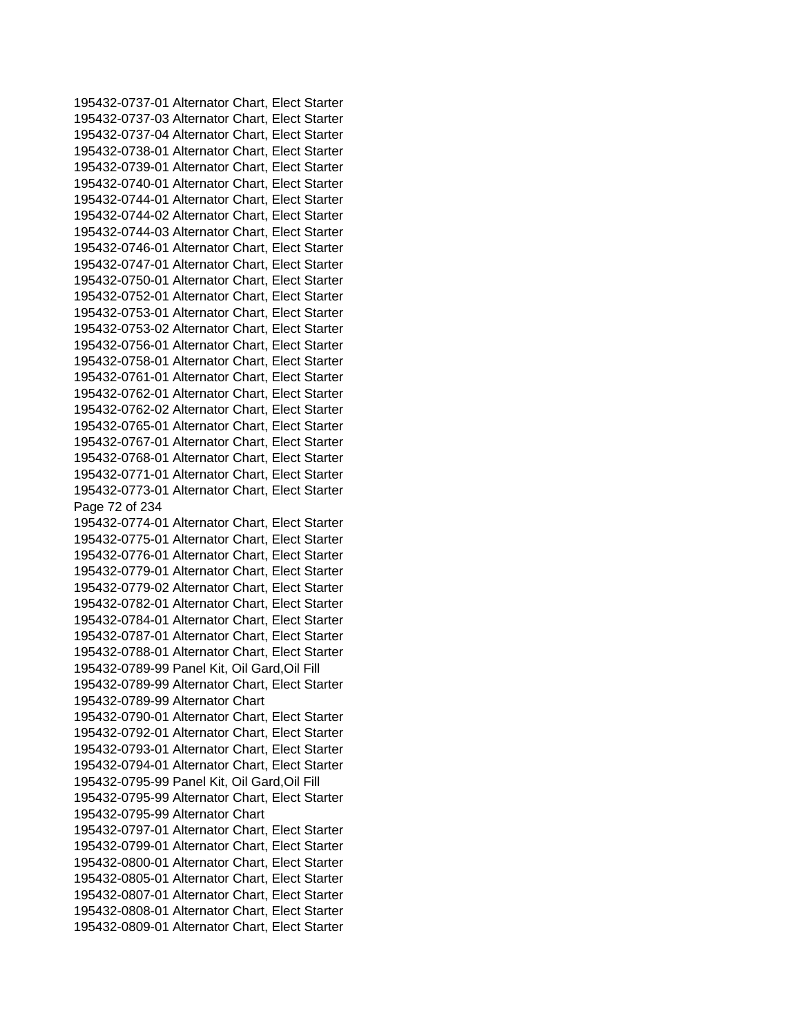195432-0737-01 Alternator Chart, Elect Starter 195432-0737-03 Alternator Chart, Elect Starter 195432-0737-04 Alternator Chart, Elect Starter 195432-0738-01 Alternator Chart, Elect Starter 195432-0739-01 Alternator Chart, Elect Starter 195432-0740-01 Alternator Chart, Elect Starter 195432-0744-01 Alternator Chart, Elect Starter 195432-0744-02 Alternator Chart, Elect Starter 195432-0744-03 Alternator Chart, Elect Starter 195432-0746-01 Alternator Chart, Elect Starter 195432-0747-01 Alternator Chart, Elect Starter 195432-0750-01 Alternator Chart, Elect Starter 195432-0752-01 Alternator Chart, Elect Starter 195432-0753-01 Alternator Chart, Elect Starter 195432-0753-02 Alternator Chart, Elect Starter 195432-0756-01 Alternator Chart, Elect Starter 195432-0758-01 Alternator Chart, Elect Starter 195432-0761-01 Alternator Chart, Elect Starter 195432-0762-01 Alternator Chart, Elect Starter 195432-0762-02 Alternator Chart, Elect Starter 195432-0765-01 Alternator Chart, Elect Starter 195432-0767-01 Alternator Chart, Elect Starter 195432-0768-01 Alternator Chart, Elect Starter 195432-0771-01 Alternator Chart, Elect Starter 195432-0773-01 Alternator Chart, Elect Starter Page 72 of 234 195432-0774-01 Alternator Chart, Elect Starter 195432-0775-01 Alternator Chart, Elect Starter 195432-0776-01 Alternator Chart, Elect Starter 195432-0779-01 Alternator Chart, Elect Starter 195432-0779-02 Alternator Chart, Elect Starter 195432-0782-01 Alternator Chart, Elect Starter 195432-0784-01 Alternator Chart, Elect Starter 195432-0787-01 Alternator Chart, Elect Starter 195432-0788-01 Alternator Chart, Elect Starter 195432-0789-99 Panel Kit, Oil Gard,Oil Fill 195432-0789-99 Alternator Chart, Elect Starter 195432-0789-99 Alternator Chart 195432-0790-01 Alternator Chart, Elect Starter 195432-0792-01 Alternator Chart, Elect Starter 195432-0793-01 Alternator Chart, Elect Starter 195432-0794-01 Alternator Chart, Elect Starter 195432-0795-99 Panel Kit, Oil Gard,Oil Fill 195432-0795-99 Alternator Chart, Elect Starter 195432-0795-99 Alternator Chart 195432-0797-01 Alternator Chart, Elect Starter 195432-0799-01 Alternator Chart, Elect Starter 195432-0800-01 Alternator Chart, Elect Starter 195432-0805-01 Alternator Chart, Elect Starter 195432-0807-01 Alternator Chart, Elect Starter 195432-0808-01 Alternator Chart, Elect Starter 195432-0809-01 Alternator Chart, Elect Starter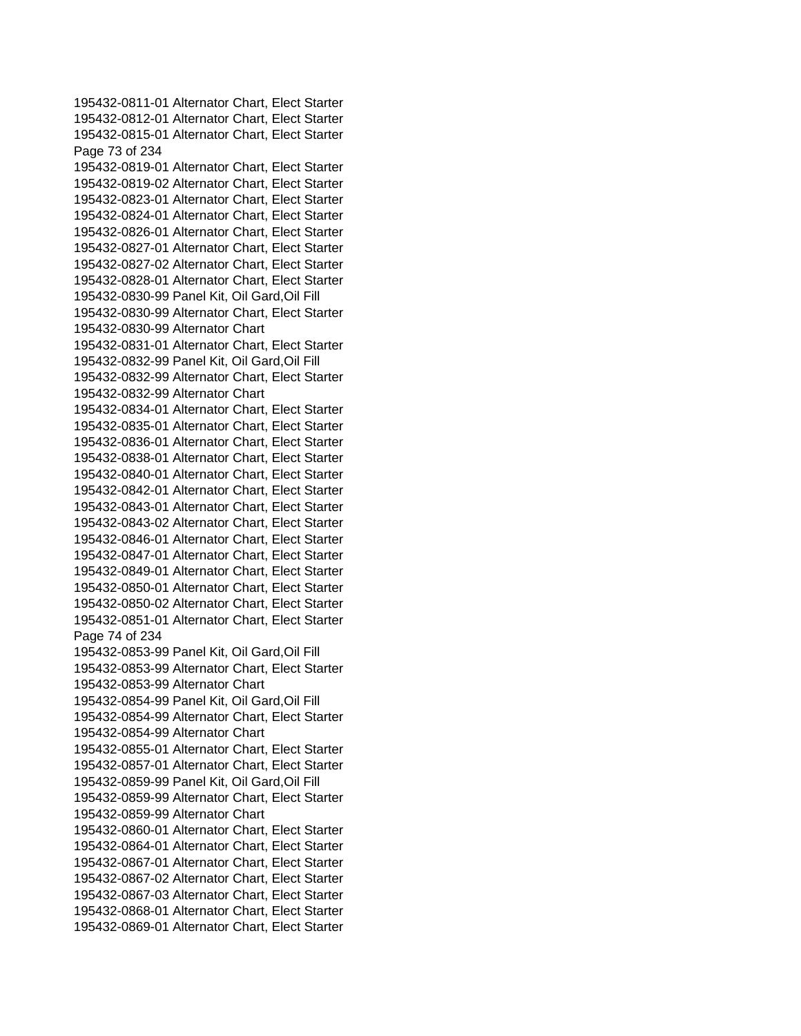195432-0811-01 Alternator Chart, Elect Starter 195432-0812-01 Alternator Chart, Elect Starter 195432-0815-01 Alternator Chart, Elect Starter Page 73 of 234 195432-0819-01 Alternator Chart, Elect Starter 195432-0819-02 Alternator Chart, Elect Starter 195432-0823-01 Alternator Chart, Elect Starter 195432-0824-01 Alternator Chart, Elect Starter 195432-0826-01 Alternator Chart, Elect Starter 195432-0827-01 Alternator Chart, Elect Starter 195432-0827-02 Alternator Chart, Elect Starter 195432-0828-01 Alternator Chart, Elect Starter 195432-0830-99 Panel Kit, Oil Gard,Oil Fill 195432-0830-99 Alternator Chart, Elect Starter 195432-0830-99 Alternator Chart 195432-0831-01 Alternator Chart, Elect Starter 195432-0832-99 Panel Kit, Oil Gard,Oil Fill 195432-0832-99 Alternator Chart, Elect Starter 195432-0832-99 Alternator Chart 195432-0834-01 Alternator Chart, Elect Starter 195432-0835-01 Alternator Chart, Elect Starter 195432-0836-01 Alternator Chart, Elect Starter 195432-0838-01 Alternator Chart, Elect Starter 195432-0840-01 Alternator Chart, Elect Starter 195432-0842-01 Alternator Chart, Elect Starter 195432-0843-01 Alternator Chart, Elect Starter 195432-0843-02 Alternator Chart, Elect Starter 195432-0846-01 Alternator Chart, Elect Starter 195432-0847-01 Alternator Chart, Elect Starter 195432-0849-01 Alternator Chart, Elect Starter 195432-0850-01 Alternator Chart, Elect Starter 195432-0850-02 Alternator Chart, Elect Starter 195432-0851-01 Alternator Chart, Elect Starter Page 74 of 234 195432-0853-99 Panel Kit, Oil Gard,Oil Fill 195432-0853-99 Alternator Chart, Elect Starter 195432-0853-99 Alternator Chart 195432-0854-99 Panel Kit, Oil Gard,Oil Fill 195432-0854-99 Alternator Chart, Elect Starter 195432-0854-99 Alternator Chart 195432-0855-01 Alternator Chart, Elect Starter 195432-0857-01 Alternator Chart, Elect Starter 195432-0859-99 Panel Kit, Oil Gard,Oil Fill 195432-0859-99 Alternator Chart, Elect Starter 195432-0859-99 Alternator Chart 195432-0860-01 Alternator Chart, Elect Starter 195432-0864-01 Alternator Chart, Elect Starter 195432-0867-01 Alternator Chart, Elect Starter 195432-0867-02 Alternator Chart, Elect Starter 195432-0867-03 Alternator Chart, Elect Starter 195432-0868-01 Alternator Chart, Elect Starter 195432-0869-01 Alternator Chart, Elect Starter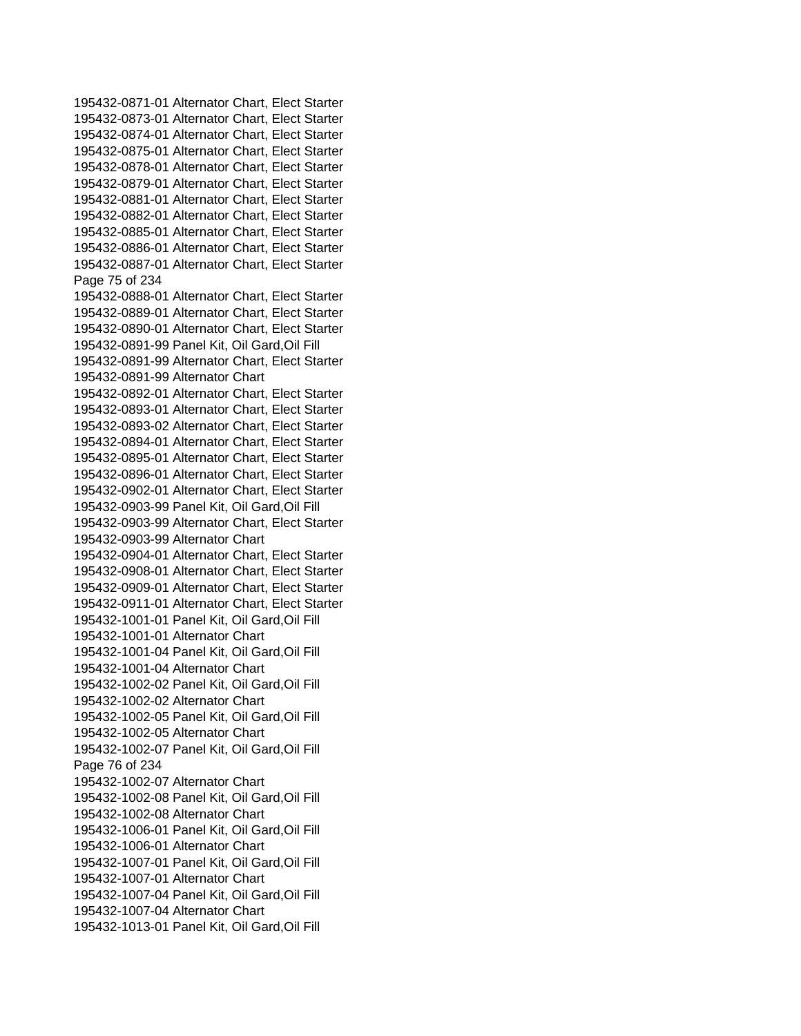195432-0871-01 Alternator Chart, Elect Starter 195432-0873-01 Alternator Chart, Elect Starter 195432-0874-01 Alternator Chart, Elect Starter 195432-0875-01 Alternator Chart, Elect Starter 195432-0878-01 Alternator Chart, Elect Starter 195432-0879-01 Alternator Chart, Elect Starter 195432-0881-01 Alternator Chart, Elect Starter 195432-0882-01 Alternator Chart, Elect Starter 195432-0885-01 Alternator Chart, Elect Starter 195432-0886-01 Alternator Chart, Elect Starter 195432-0887-01 Alternator Chart, Elect Starter Page 75 of 234 195432-0888-01 Alternator Chart, Elect Starter 195432-0889-01 Alternator Chart, Elect Starter 195432-0890-01 Alternator Chart, Elect Starter 195432-0891-99 Panel Kit, Oil Gard,Oil Fill 195432-0891-99 Alternator Chart, Elect Starter 195432-0891-99 Alternator Chart 195432-0892-01 Alternator Chart, Elect Starter 195432-0893-01 Alternator Chart, Elect Starter 195432-0893-02 Alternator Chart, Elect Starter 195432-0894-01 Alternator Chart, Elect Starter 195432-0895-01 Alternator Chart, Elect Starter 195432-0896-01 Alternator Chart, Elect Starter 195432-0902-01 Alternator Chart, Elect Starter 195432-0903-99 Panel Kit, Oil Gard,Oil Fill 195432-0903-99 Alternator Chart, Elect Starter 195432-0903-99 Alternator Chart 195432-0904-01 Alternator Chart, Elect Starter 195432-0908-01 Alternator Chart, Elect Starter 195432-0909-01 Alternator Chart, Elect Starter 195432-0911-01 Alternator Chart, Elect Starter 195432-1001-01 Panel Kit, Oil Gard,Oil Fill 195432-1001-01 Alternator Chart 195432-1001-04 Panel Kit, Oil Gard,Oil Fill 195432-1001-04 Alternator Chart 195432-1002-02 Panel Kit, Oil Gard,Oil Fill 195432-1002-02 Alternator Chart 195432-1002-05 Panel Kit, Oil Gard,Oil Fill 195432-1002-05 Alternator Chart 195432-1002-07 Panel Kit, Oil Gard,Oil Fill Page 76 of 234 195432-1002-07 Alternator Chart 195432-1002-08 Panel Kit, Oil Gard,Oil Fill 195432-1002-08 Alternator Chart 195432-1006-01 Panel Kit, Oil Gard,Oil Fill 195432-1006-01 Alternator Chart 195432-1007-01 Panel Kit, Oil Gard,Oil Fill 195432-1007-01 Alternator Chart 195432-1007-04 Panel Kit, Oil Gard,Oil Fill 195432-1007-04 Alternator Chart 195432-1013-01 Panel Kit, Oil Gard,Oil Fill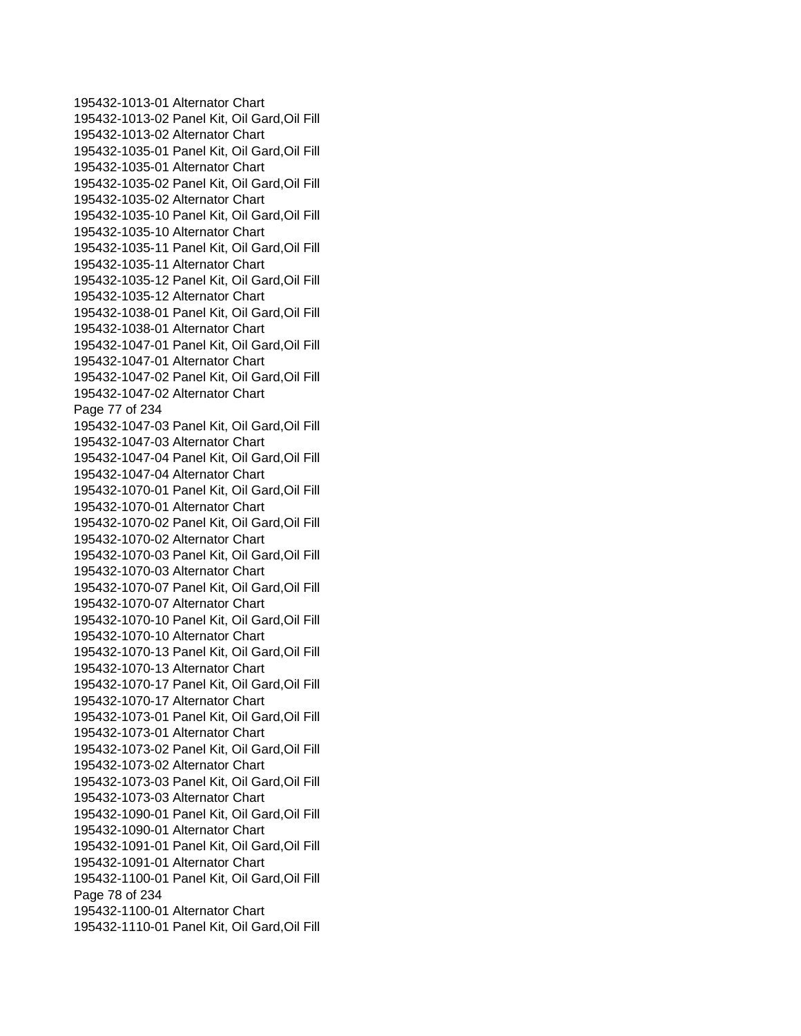195432-1013-01 Alternator Chart 195432-1013-02 Panel Kit, Oil Gard,Oil Fill 195432-1013-02 Alternator Chart 195432-1035-01 Panel Kit, Oil Gard,Oil Fill 195432-1035-01 Alternator Chart 195432-1035-02 Panel Kit, Oil Gard,Oil Fill 195432-1035-02 Alternator Chart 195432-1035-10 Panel Kit, Oil Gard,Oil Fill 195432-1035-10 Alternator Chart 195432-1035-11 Panel Kit, Oil Gard,Oil Fill 195432-1035-11 Alternator Chart 195432-1035-12 Panel Kit, Oil Gard,Oil Fill 195432-1035-12 Alternator Chart 195432-1038-01 Panel Kit, Oil Gard,Oil Fill 195432-1038-01 Alternator Chart 195432-1047-01 Panel Kit, Oil Gard,Oil Fill 195432-1047-01 Alternator Chart 195432-1047-02 Panel Kit, Oil Gard,Oil Fill 195432-1047-02 Alternator Chart Page 77 of 234 195432-1047-03 Panel Kit, Oil Gard,Oil Fill 195432-1047-03 Alternator Chart 195432-1047-04 Panel Kit, Oil Gard,Oil Fill 195432-1047-04 Alternator Chart 195432-1070-01 Panel Kit, Oil Gard,Oil Fill 195432-1070-01 Alternator Chart 195432-1070-02 Panel Kit, Oil Gard,Oil Fill 195432-1070-02 Alternator Chart 195432-1070-03 Panel Kit, Oil Gard,Oil Fill 195432-1070-03 Alternator Chart 195432-1070-07 Panel Kit, Oil Gard,Oil Fill 195432-1070-07 Alternator Chart 195432-1070-10 Panel Kit, Oil Gard,Oil Fill 195432-1070-10 Alternator Chart 195432-1070-13 Panel Kit, Oil Gard,Oil Fill 195432-1070-13 Alternator Chart 195432-1070-17 Panel Kit, Oil Gard,Oil Fill 195432-1070-17 Alternator Chart 195432-1073-01 Panel Kit, Oil Gard,Oil Fill 195432-1073-01 Alternator Chart 195432-1073-02 Panel Kit, Oil Gard,Oil Fill 195432-1073-02 Alternator Chart 195432-1073-03 Panel Kit, Oil Gard,Oil Fill 195432-1073-03 Alternator Chart 195432-1090-01 Panel Kit, Oil Gard,Oil Fill 195432-1090-01 Alternator Chart 195432-1091-01 Panel Kit, Oil Gard,Oil Fill 195432-1091-01 Alternator Chart 195432-1100-01 Panel Kit, Oil Gard,Oil Fill Page 78 of 234 195432-1100-01 Alternator Chart 195432-1110-01 Panel Kit, Oil Gard,Oil Fill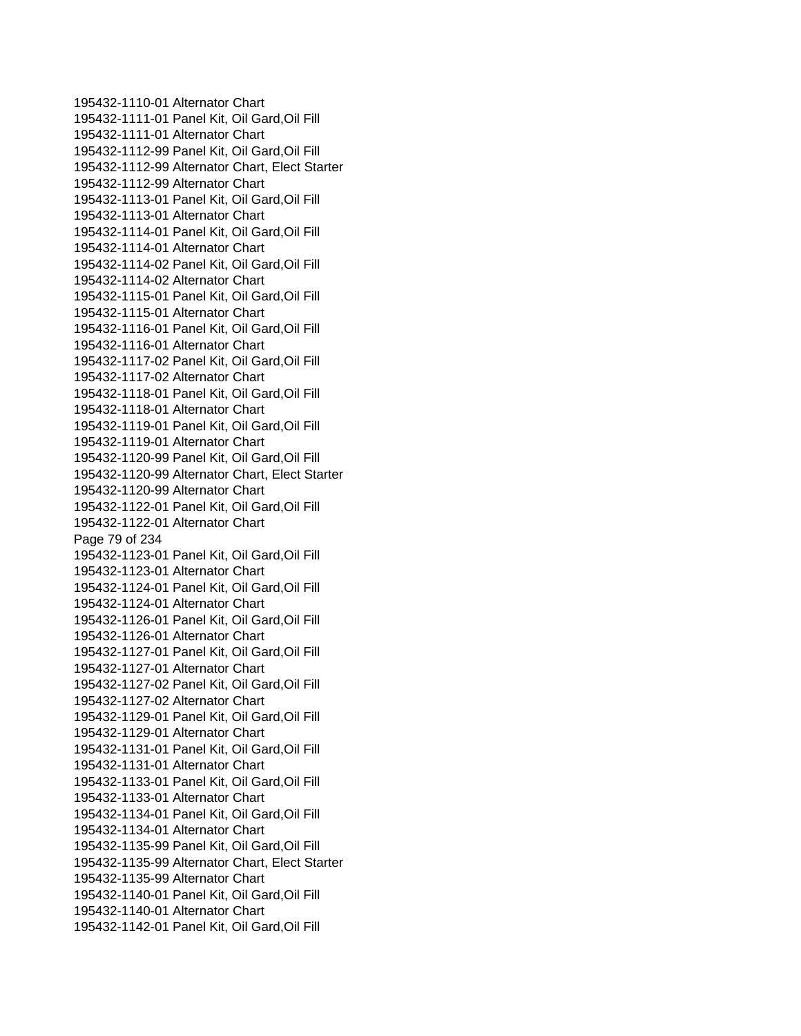195432-1110-01 Alternator Chart 195432-1111-01 Panel Kit, Oil Gard,Oil Fill 195432-1111-01 Alternator Chart 195432-1112-99 Panel Kit, Oil Gard,Oil Fill 195432-1112-99 Alternator Chart, Elect Starter 195432-1112-99 Alternator Chart 195432-1113-01 Panel Kit, Oil Gard,Oil Fill 195432-1113-01 Alternator Chart 195432-1114-01 Panel Kit, Oil Gard,Oil Fill 195432-1114-01 Alternator Chart 195432-1114-02 Panel Kit, Oil Gard,Oil Fill 195432-1114-02 Alternator Chart 195432-1115-01 Panel Kit, Oil Gard,Oil Fill 195432-1115-01 Alternator Chart 195432-1116-01 Panel Kit, Oil Gard,Oil Fill 195432-1116-01 Alternator Chart 195432-1117-02 Panel Kit, Oil Gard,Oil Fill 195432-1117-02 Alternator Chart 195432-1118-01 Panel Kit, Oil Gard,Oil Fill 195432-1118-01 Alternator Chart 195432-1119-01 Panel Kit, Oil Gard,Oil Fill 195432-1119-01 Alternator Chart 195432-1120-99 Panel Kit, Oil Gard,Oil Fill 195432-1120-99 Alternator Chart, Elect Starter 195432-1120-99 Alternator Chart 195432-1122-01 Panel Kit, Oil Gard,Oil Fill 195432-1122-01 Alternator Chart Page 79 of 234 195432-1123-01 Panel Kit, Oil Gard,Oil Fill 195432-1123-01 Alternator Chart 195432-1124-01 Panel Kit, Oil Gard,Oil Fill 195432-1124-01 Alternator Chart 195432-1126-01 Panel Kit, Oil Gard,Oil Fill 195432-1126-01 Alternator Chart 195432-1127-01 Panel Kit, Oil Gard,Oil Fill 195432-1127-01 Alternator Chart 195432-1127-02 Panel Kit, Oil Gard,Oil Fill 195432-1127-02 Alternator Chart 195432-1129-01 Panel Kit, Oil Gard,Oil Fill 195432-1129-01 Alternator Chart 195432-1131-01 Panel Kit, Oil Gard,Oil Fill 195432-1131-01 Alternator Chart 195432-1133-01 Panel Kit, Oil Gard,Oil Fill 195432-1133-01 Alternator Chart 195432-1134-01 Panel Kit, Oil Gard,Oil Fill 195432-1134-01 Alternator Chart 195432-1135-99 Panel Kit, Oil Gard,Oil Fill 195432-1135-99 Alternator Chart, Elect Starter 195432-1135-99 Alternator Chart 195432-1140-01 Panel Kit, Oil Gard,Oil Fill 195432-1140-01 Alternator Chart 195432-1142-01 Panel Kit, Oil Gard,Oil Fill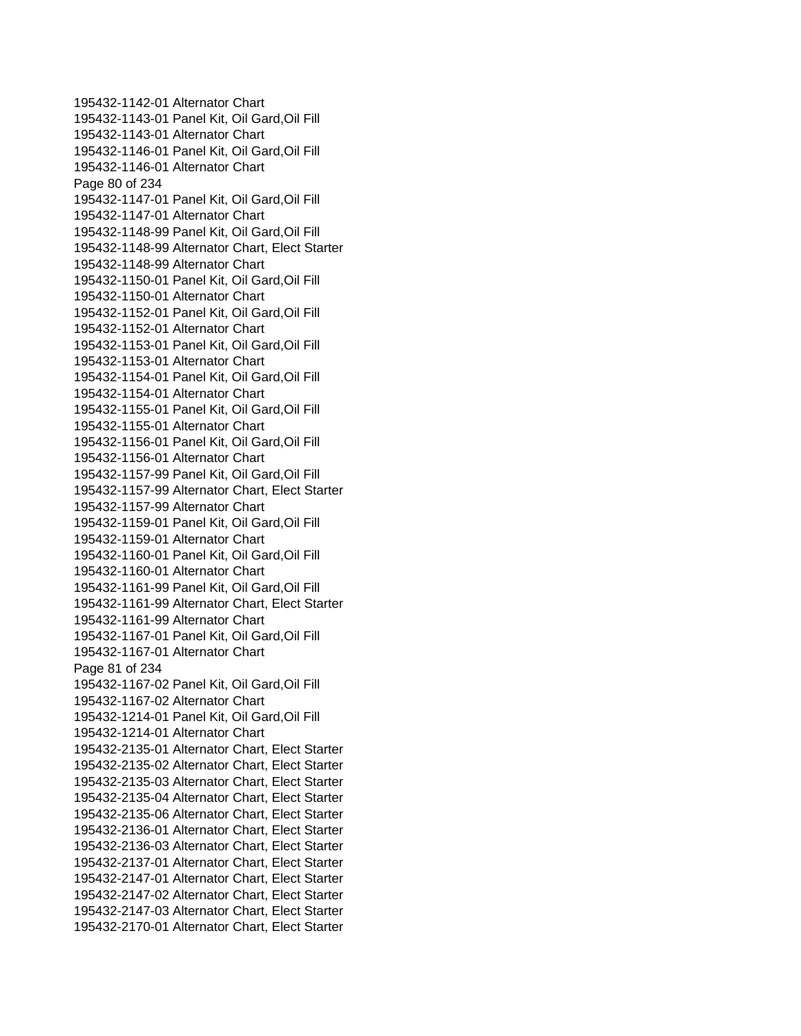195432-1142-01 Alternator Chart 195432-1143-01 Panel Kit, Oil Gard,Oil Fill 195432-1143-01 Alternator Chart 195432-1146-01 Panel Kit, Oil Gard,Oil Fill 195432-1146-01 Alternator Chart Page 80 of 234 195432-1147-01 Panel Kit, Oil Gard,Oil Fill 195432-1147-01 Alternator Chart 195432-1148-99 Panel Kit, Oil Gard,Oil Fill 195432-1148-99 Alternator Chart, Elect Starter 195432-1148-99 Alternator Chart 195432-1150-01 Panel Kit, Oil Gard,Oil Fill 195432-1150-01 Alternator Chart 195432-1152-01 Panel Kit, Oil Gard,Oil Fill 195432-1152-01 Alternator Chart 195432-1153-01 Panel Kit, Oil Gard,Oil Fill 195432-1153-01 Alternator Chart 195432-1154-01 Panel Kit, Oil Gard,Oil Fill 195432-1154-01 Alternator Chart 195432-1155-01 Panel Kit, Oil Gard,Oil Fill 195432-1155-01 Alternator Chart 195432-1156-01 Panel Kit, Oil Gard,Oil Fill 195432-1156-01 Alternator Chart 195432-1157-99 Panel Kit, Oil Gard,Oil Fill 195432-1157-99 Alternator Chart, Elect Starter 195432-1157-99 Alternator Chart 195432-1159-01 Panel Kit, Oil Gard,Oil Fill 195432-1159-01 Alternator Chart 195432-1160-01 Panel Kit, Oil Gard,Oil Fill 195432-1160-01 Alternator Chart 195432-1161-99 Panel Kit, Oil Gard,Oil Fill 195432-1161-99 Alternator Chart, Elect Starter 195432-1161-99 Alternator Chart 195432-1167-01 Panel Kit, Oil Gard,Oil Fill 195432-1167-01 Alternator Chart Page 81 of 234 195432-1167-02 Panel Kit, Oil Gard,Oil Fill 195432-1167-02 Alternator Chart 195432-1214-01 Panel Kit, Oil Gard,Oil Fill 195432-1214-01 Alternator Chart 195432-2135-01 Alternator Chart, Elect Starter 195432-2135-02 Alternator Chart, Elect Starter 195432-2135-03 Alternator Chart, Elect Starter 195432-2135-04 Alternator Chart, Elect Starter 195432-2135-06 Alternator Chart, Elect Starter 195432-2136-01 Alternator Chart, Elect Starter 195432-2136-03 Alternator Chart, Elect Starter 195432-2137-01 Alternator Chart, Elect Starter 195432-2147-01 Alternator Chart, Elect Starter 195432-2147-02 Alternator Chart, Elect Starter 195432-2147-03 Alternator Chart, Elect Starter 195432-2170-01 Alternator Chart, Elect Starter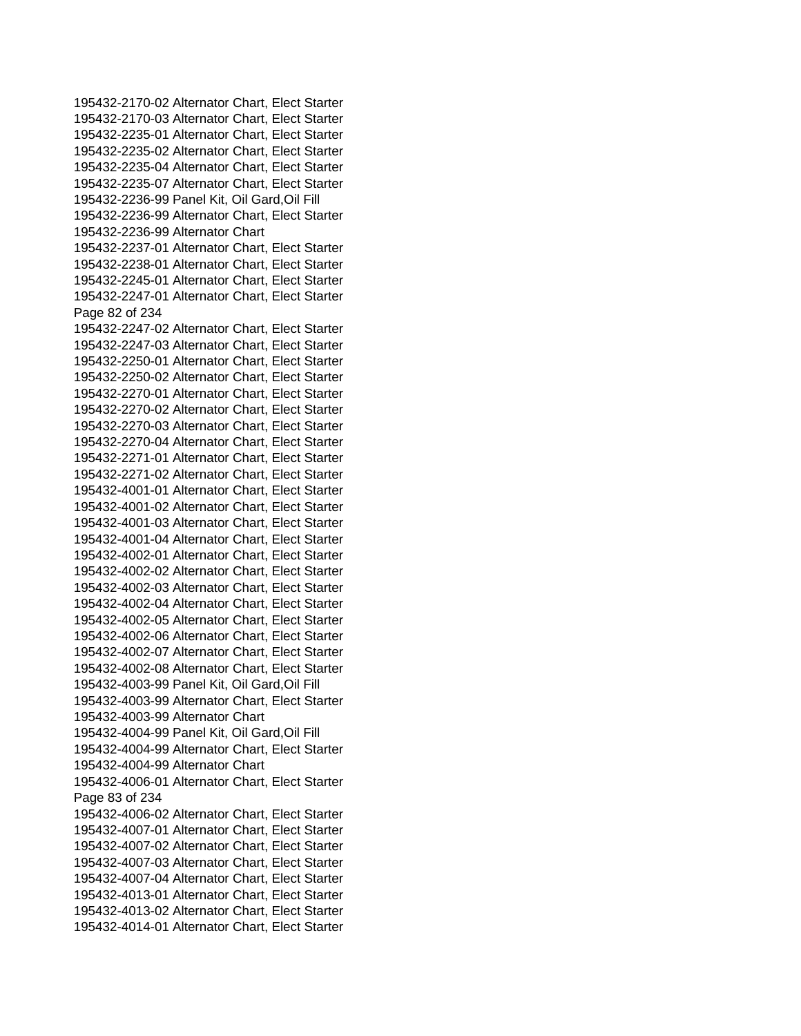195432-2170-02 Alternator Chart, Elect Starter 195432-2170-03 Alternator Chart, Elect Starter 195432-2235-01 Alternator Chart, Elect Starter 195432-2235-02 Alternator Chart, Elect Starter 195432-2235-04 Alternator Chart, Elect Starter 195432-2235-07 Alternator Chart, Elect Starter 195432-2236-99 Panel Kit, Oil Gard,Oil Fill 195432-2236-99 Alternator Chart, Elect Starter 195432-2236-99 Alternator Chart 195432-2237-01 Alternator Chart, Elect Starter 195432-2238-01 Alternator Chart, Elect Starter 195432-2245-01 Alternator Chart, Elect Starter 195432-2247-01 Alternator Chart, Elect Starter Page 82 of 234 195432-2247-02 Alternator Chart, Elect Starter 195432-2247-03 Alternator Chart, Elect Starter 195432-2250-01 Alternator Chart, Elect Starter 195432-2250-02 Alternator Chart, Elect Starter 195432-2270-01 Alternator Chart, Elect Starter 195432-2270-02 Alternator Chart, Elect Starter 195432-2270-03 Alternator Chart, Elect Starter 195432-2270-04 Alternator Chart, Elect Starter 195432-2271-01 Alternator Chart, Elect Starter 195432-2271-02 Alternator Chart, Elect Starter 195432-4001-01 Alternator Chart, Elect Starter 195432-4001-02 Alternator Chart, Elect Starter 195432-4001-03 Alternator Chart, Elect Starter 195432-4001-04 Alternator Chart, Elect Starter 195432-4002-01 Alternator Chart, Elect Starter 195432-4002-02 Alternator Chart, Elect Starter 195432-4002-03 Alternator Chart, Elect Starter 195432-4002-04 Alternator Chart, Elect Starter 195432-4002-05 Alternator Chart, Elect Starter 195432-4002-06 Alternator Chart, Elect Starter 195432-4002-07 Alternator Chart, Elect Starter 195432-4002-08 Alternator Chart, Elect Starter 195432-4003-99 Panel Kit, Oil Gard,Oil Fill 195432-4003-99 Alternator Chart, Elect Starter 195432-4003-99 Alternator Chart 195432-4004-99 Panel Kit, Oil Gard,Oil Fill 195432-4004-99 Alternator Chart, Elect Starter 195432-4004-99 Alternator Chart 195432-4006-01 Alternator Chart, Elect Starter Page 83 of 234 195432-4006-02 Alternator Chart, Elect Starter 195432-4007-01 Alternator Chart, Elect Starter 195432-4007-02 Alternator Chart, Elect Starter 195432-4007-03 Alternator Chart, Elect Starter 195432-4007-04 Alternator Chart, Elect Starter 195432-4013-01 Alternator Chart, Elect Starter 195432-4013-02 Alternator Chart, Elect Starter 195432-4014-01 Alternator Chart, Elect Starter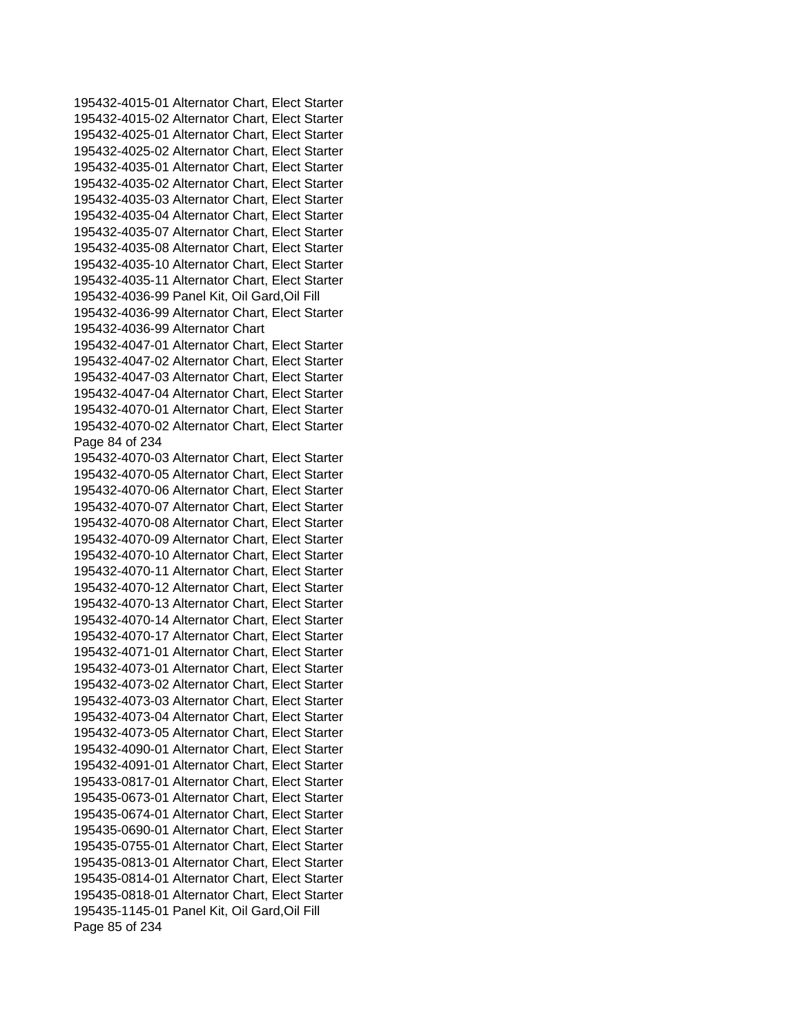195432-4015-01 Alternator Chart, Elect Starter 195432-4015-02 Alternator Chart, Elect Starter 195432-4025-01 Alternator Chart, Elect Starter 195432-4025-02 Alternator Chart, Elect Starter 195432-4035-01 Alternator Chart, Elect Starter 195432-4035-02 Alternator Chart, Elect Starter 195432-4035-03 Alternator Chart, Elect Starter 195432-4035-04 Alternator Chart, Elect Starter 195432-4035-07 Alternator Chart, Elect Starter 195432-4035-08 Alternator Chart, Elect Starter 195432-4035-10 Alternator Chart, Elect Starter 195432-4035-11 Alternator Chart, Elect Starter 195432-4036-99 Panel Kit, Oil Gard,Oil Fill 195432-4036-99 Alternator Chart, Elect Starter 195432-4036-99 Alternator Chart 195432-4047-01 Alternator Chart, Elect Starter 195432-4047-02 Alternator Chart, Elect Starter 195432-4047-03 Alternator Chart, Elect Starter 195432-4047-04 Alternator Chart, Elect Starter 195432-4070-01 Alternator Chart, Elect Starter 195432-4070-02 Alternator Chart, Elect Starter Page 84 of 234 195432-4070-03 Alternator Chart, Elect Starter 195432-4070-05 Alternator Chart, Elect Starter 195432-4070-06 Alternator Chart, Elect Starter 195432-4070-07 Alternator Chart, Elect Starter 195432-4070-08 Alternator Chart, Elect Starter 195432-4070-09 Alternator Chart, Elect Starter 195432-4070-10 Alternator Chart, Elect Starter 195432-4070-11 Alternator Chart, Elect Starter 195432-4070-12 Alternator Chart, Elect Starter 195432-4070-13 Alternator Chart, Elect Starter 195432-4070-14 Alternator Chart, Elect Starter 195432-4070-17 Alternator Chart, Elect Starter 195432-4071-01 Alternator Chart, Elect Starter 195432-4073-01 Alternator Chart, Elect Starter 195432-4073-02 Alternator Chart, Elect Starter 195432-4073-03 Alternator Chart, Elect Starter 195432-4073-04 Alternator Chart, Elect Starter 195432-4073-05 Alternator Chart, Elect Starter 195432-4090-01 Alternator Chart, Elect Starter 195432-4091-01 Alternator Chart, Elect Starter 195433-0817-01 Alternator Chart, Elect Starter 195435-0673-01 Alternator Chart, Elect Starter 195435-0674-01 Alternator Chart, Elect Starter 195435-0690-01 Alternator Chart, Elect Starter 195435-0755-01 Alternator Chart, Elect Starter 195435-0813-01 Alternator Chart, Elect Starter 195435-0814-01 Alternator Chart, Elect Starter 195435-0818-01 Alternator Chart, Elect Starter 195435-1145-01 Panel Kit, Oil Gard,Oil Fill Page 85 of 234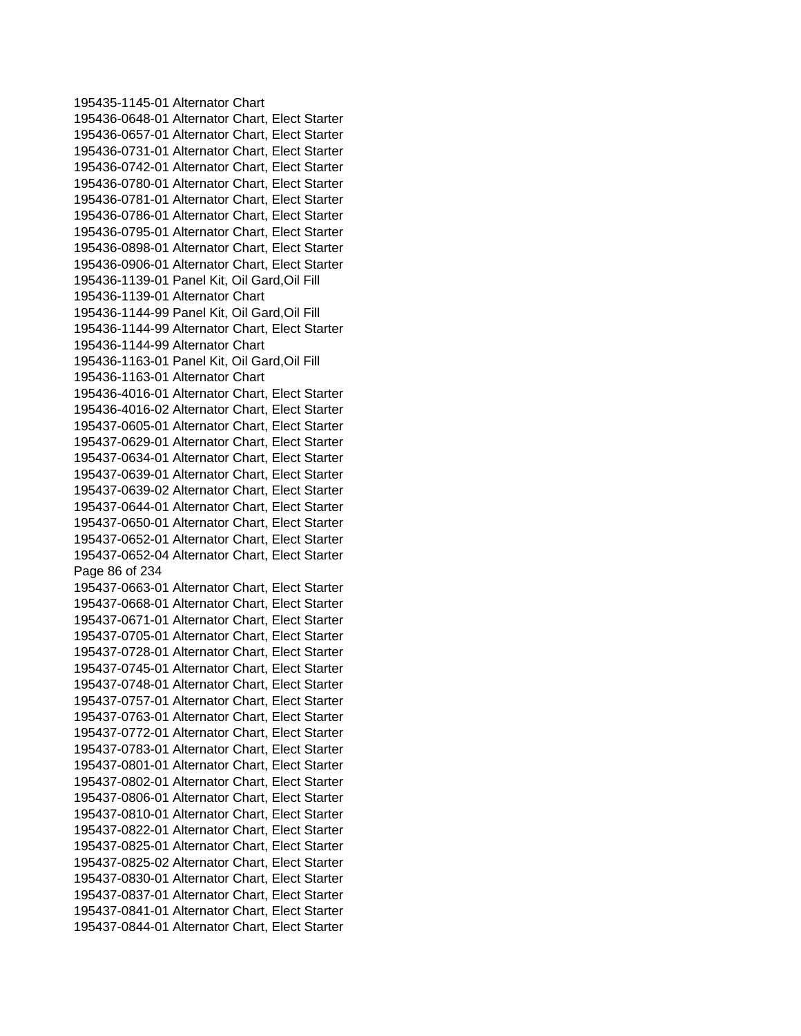195435-1145-01 Alternator Chart 195436-0648-01 Alternator Chart, Elect Starter 195436-0657-01 Alternator Chart, Elect Starter 195436-0731-01 Alternator Chart, Elect Starter 195436-0742-01 Alternator Chart, Elect Starter 195436-0780-01 Alternator Chart, Elect Starter 195436-0781-01 Alternator Chart, Elect Starter 195436-0786-01 Alternator Chart, Elect Starter 195436-0795-01 Alternator Chart, Elect Starter 195436-0898-01 Alternator Chart, Elect Starter 195436-0906-01 Alternator Chart, Elect Starter 195436-1139-01 Panel Kit, Oil Gard,Oil Fill 195436-1139-01 Alternator Chart 195436-1144-99 Panel Kit, Oil Gard,Oil Fill 195436-1144-99 Alternator Chart, Elect Starter 195436-1144-99 Alternator Chart 195436-1163-01 Panel Kit, Oil Gard,Oil Fill 195436-1163-01 Alternator Chart 195436-4016-01 Alternator Chart, Elect Starter 195436-4016-02 Alternator Chart, Elect Starter 195437-0605-01 Alternator Chart, Elect Starter 195437-0629-01 Alternator Chart, Elect Starter 195437-0634-01 Alternator Chart, Elect Starter 195437-0639-01 Alternator Chart, Elect Starter 195437-0639-02 Alternator Chart, Elect Starter 195437-0644-01 Alternator Chart, Elect Starter 195437-0650-01 Alternator Chart, Elect Starter 195437-0652-01 Alternator Chart, Elect Starter 195437-0652-04 Alternator Chart, Elect Starter Page 86 of 234 195437-0663-01 Alternator Chart, Elect Starter 195437-0668-01 Alternator Chart, Elect Starter 195437-0671-01 Alternator Chart, Elect Starter 195437-0705-01 Alternator Chart, Elect Starter 195437-0728-01 Alternator Chart, Elect Starter 195437-0745-01 Alternator Chart, Elect Starter 195437-0748-01 Alternator Chart, Elect Starter 195437-0757-01 Alternator Chart, Elect Starter 195437-0763-01 Alternator Chart, Elect Starter 195437-0772-01 Alternator Chart, Elect Starter 195437-0783-01 Alternator Chart, Elect Starter 195437-0801-01 Alternator Chart, Elect Starter 195437-0802-01 Alternator Chart, Elect Starter 195437-0806-01 Alternator Chart, Elect Starter 195437-0810-01 Alternator Chart, Elect Starter 195437-0822-01 Alternator Chart, Elect Starter 195437-0825-01 Alternator Chart, Elect Starter 195437-0825-02 Alternator Chart, Elect Starter 195437-0830-01 Alternator Chart, Elect Starter 195437-0837-01 Alternator Chart, Elect Starter 195437-0841-01 Alternator Chart, Elect Starter 195437-0844-01 Alternator Chart, Elect Starter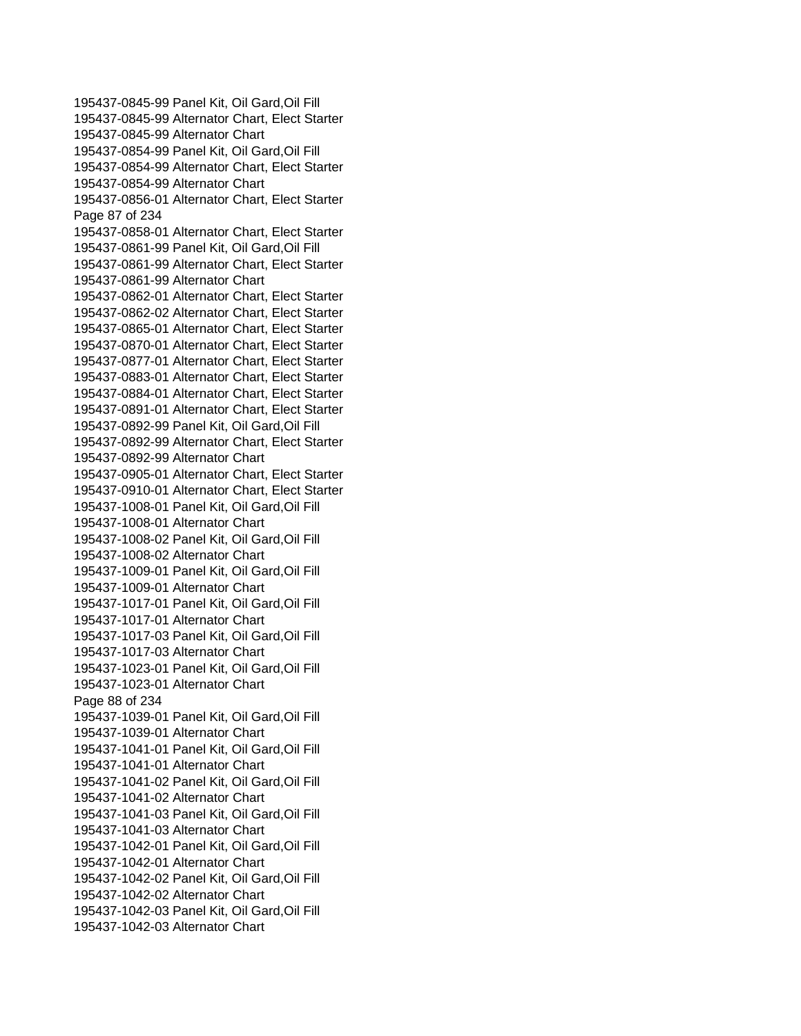195437-0845-99 Panel Kit, Oil Gard,Oil Fill 195437-0845-99 Alternator Chart, Elect Starter 195437-0845-99 Alternator Chart 195437-0854-99 Panel Kit, Oil Gard,Oil Fill 195437-0854-99 Alternator Chart, Elect Starter 195437-0854-99 Alternator Chart 195437-0856-01 Alternator Chart, Elect Starter Page 87 of 234 195437-0858-01 Alternator Chart, Elect Starter 195437-0861-99 Panel Kit, Oil Gard,Oil Fill 195437-0861-99 Alternator Chart, Elect Starter 195437-0861-99 Alternator Chart 195437-0862-01 Alternator Chart, Elect Starter 195437-0862-02 Alternator Chart, Elect Starter 195437-0865-01 Alternator Chart, Elect Starter 195437-0870-01 Alternator Chart, Elect Starter 195437-0877-01 Alternator Chart, Elect Starter 195437-0883-01 Alternator Chart, Elect Starter 195437-0884-01 Alternator Chart, Elect Starter 195437-0891-01 Alternator Chart, Elect Starter 195437-0892-99 Panel Kit, Oil Gard,Oil Fill 195437-0892-99 Alternator Chart, Elect Starter 195437-0892-99 Alternator Chart 195437-0905-01 Alternator Chart, Elect Starter 195437-0910-01 Alternator Chart, Elect Starter 195437-1008-01 Panel Kit, Oil Gard,Oil Fill 195437-1008-01 Alternator Chart 195437-1008-02 Panel Kit, Oil Gard,Oil Fill 195437-1008-02 Alternator Chart 195437-1009-01 Panel Kit, Oil Gard,Oil Fill 195437-1009-01 Alternator Chart 195437-1017-01 Panel Kit, Oil Gard,Oil Fill 195437-1017-01 Alternator Chart 195437-1017-03 Panel Kit, Oil Gard,Oil Fill 195437-1017-03 Alternator Chart 195437-1023-01 Panel Kit, Oil Gard,Oil Fill 195437-1023-01 Alternator Chart Page 88 of 234 195437-1039-01 Panel Kit, Oil Gard,Oil Fill 195437-1039-01 Alternator Chart 195437-1041-01 Panel Kit, Oil Gard,Oil Fill 195437-1041-01 Alternator Chart 195437-1041-02 Panel Kit, Oil Gard,Oil Fill 195437-1041-02 Alternator Chart 195437-1041-03 Panel Kit, Oil Gard,Oil Fill 195437-1041-03 Alternator Chart 195437-1042-01 Panel Kit, Oil Gard,Oil Fill 195437-1042-01 Alternator Chart 195437-1042-02 Panel Kit, Oil Gard,Oil Fill 195437-1042-02 Alternator Chart 195437-1042-03 Panel Kit, Oil Gard,Oil Fill 195437-1042-03 Alternator Chart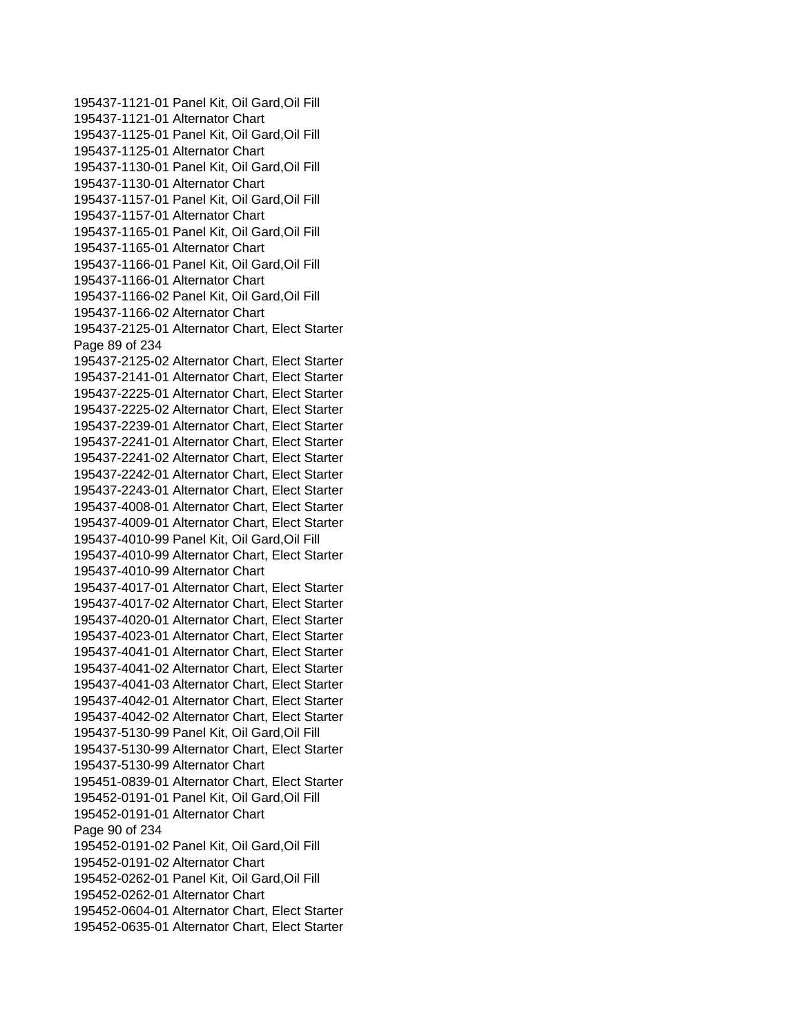195437-1121-01 Panel Kit, Oil Gard,Oil Fill 195437-1121-01 Alternator Chart 195437-1125-01 Panel Kit, Oil Gard,Oil Fill 195437-1125-01 Alternator Chart 195437-1130-01 Panel Kit, Oil Gard,Oil Fill 195437-1130-01 Alternator Chart 195437-1157-01 Panel Kit, Oil Gard,Oil Fill 195437-1157-01 Alternator Chart 195437-1165-01 Panel Kit, Oil Gard,Oil Fill 195437-1165-01 Alternator Chart 195437-1166-01 Panel Kit, Oil Gard,Oil Fill 195437-1166-01 Alternator Chart 195437-1166-02 Panel Kit, Oil Gard,Oil Fill 195437-1166-02 Alternator Chart 195437-2125-01 Alternator Chart, Elect Starter Page 89 of 234 195437-2125-02 Alternator Chart, Elect Starter 195437-2141-01 Alternator Chart, Elect Starter 195437-2225-01 Alternator Chart, Elect Starter 195437-2225-02 Alternator Chart, Elect Starter 195437-2239-01 Alternator Chart, Elect Starter 195437-2241-01 Alternator Chart, Elect Starter 195437-2241-02 Alternator Chart, Elect Starter 195437-2242-01 Alternator Chart, Elect Starter 195437-2243-01 Alternator Chart, Elect Starter 195437-4008-01 Alternator Chart, Elect Starter 195437-4009-01 Alternator Chart, Elect Starter 195437-4010-99 Panel Kit, Oil Gard,Oil Fill 195437-4010-99 Alternator Chart, Elect Starter 195437-4010-99 Alternator Chart 195437-4017-01 Alternator Chart, Elect Starter 195437-4017-02 Alternator Chart, Elect Starter 195437-4020-01 Alternator Chart, Elect Starter 195437-4023-01 Alternator Chart, Elect Starter 195437-4041-01 Alternator Chart, Elect Starter 195437-4041-02 Alternator Chart, Elect Starter 195437-4041-03 Alternator Chart, Elect Starter 195437-4042-01 Alternator Chart, Elect Starter 195437-4042-02 Alternator Chart, Elect Starter 195437-5130-99 Panel Kit, Oil Gard,Oil Fill 195437-5130-99 Alternator Chart, Elect Starter 195437-5130-99 Alternator Chart 195451-0839-01 Alternator Chart, Elect Starter 195452-0191-01 Panel Kit, Oil Gard,Oil Fill 195452-0191-01 Alternator Chart Page 90 of 234 195452-0191-02 Panel Kit, Oil Gard,Oil Fill 195452-0191-02 Alternator Chart 195452-0262-01 Panel Kit, Oil Gard,Oil Fill 195452-0262-01 Alternator Chart 195452-0604-01 Alternator Chart, Elect Starter 195452-0635-01 Alternator Chart, Elect Starter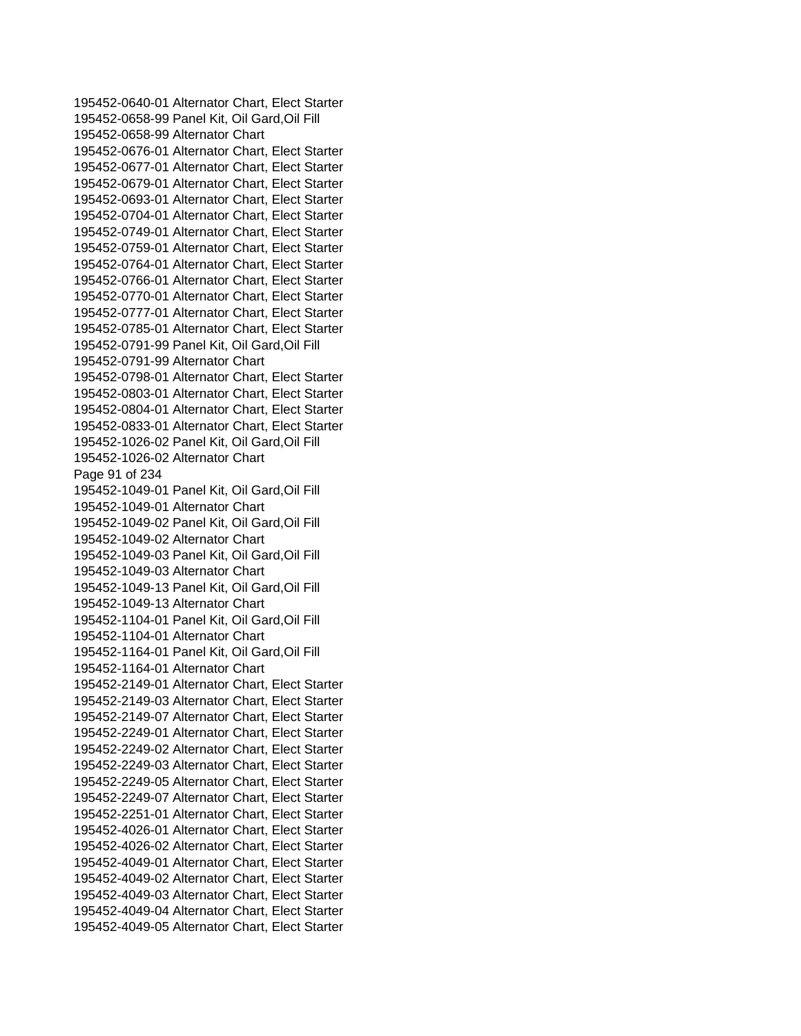195452-0640-01 Alternator Chart, Elect Starter 195452-0658-99 Panel Kit, Oil Gard,Oil Fill 195452-0658-99 Alternator Chart 195452-0676-01 Alternator Chart, Elect Starter 195452-0677-01 Alternator Chart, Elect Starter 195452-0679-01 Alternator Chart, Elect Starter 195452-0693-01 Alternator Chart, Elect Starter 195452-0704-01 Alternator Chart, Elect Starter 195452-0749-01 Alternator Chart, Elect Starter 195452-0759-01 Alternator Chart, Elect Starter 195452-0764-01 Alternator Chart, Elect Starter 195452-0766-01 Alternator Chart, Elect Starter 195452-0770-01 Alternator Chart, Elect Starter 195452-0777-01 Alternator Chart, Elect Starter 195452-0785-01 Alternator Chart, Elect Starter 195452-0791-99 Panel Kit, Oil Gard,Oil Fill 195452-0791-99 Alternator Chart 195452-0798-01 Alternator Chart, Elect Starter 195452-0803-01 Alternator Chart, Elect Starter 195452-0804-01 Alternator Chart, Elect Starter 195452-0833-01 Alternator Chart, Elect Starter 195452-1026-02 Panel Kit, Oil Gard,Oil Fill 195452-1026-02 Alternator Chart Page 91 of 234 195452-1049-01 Panel Kit, Oil Gard,Oil Fill 195452-1049-01 Alternator Chart 195452-1049-02 Panel Kit, Oil Gard,Oil Fill 195452-1049-02 Alternator Chart 195452-1049-03 Panel Kit, Oil Gard,Oil Fill 195452-1049-03 Alternator Chart 195452-1049-13 Panel Kit, Oil Gard,Oil Fill 195452-1049-13 Alternator Chart 195452-1104-01 Panel Kit, Oil Gard,Oil Fill 195452-1104-01 Alternator Chart 195452-1164-01 Panel Kit, Oil Gard,Oil Fill 195452-1164-01 Alternator Chart 195452-2149-01 Alternator Chart, Elect Starter 195452-2149-03 Alternator Chart, Elect Starter 195452-2149-07 Alternator Chart, Elect Starter 195452-2249-01 Alternator Chart, Elect Starter 195452-2249-02 Alternator Chart, Elect Starter 195452-2249-03 Alternator Chart, Elect Starter 195452-2249-05 Alternator Chart, Elect Starter 195452-2249-07 Alternator Chart, Elect Starter 195452-2251-01 Alternator Chart, Elect Starter 195452-4026-01 Alternator Chart, Elect Starter 195452-4026-02 Alternator Chart, Elect Starter 195452-4049-01 Alternator Chart, Elect Starter 195452-4049-02 Alternator Chart, Elect Starter 195452-4049-03 Alternator Chart, Elect Starter 195452-4049-04 Alternator Chart, Elect Starter 195452-4049-05 Alternator Chart, Elect Starter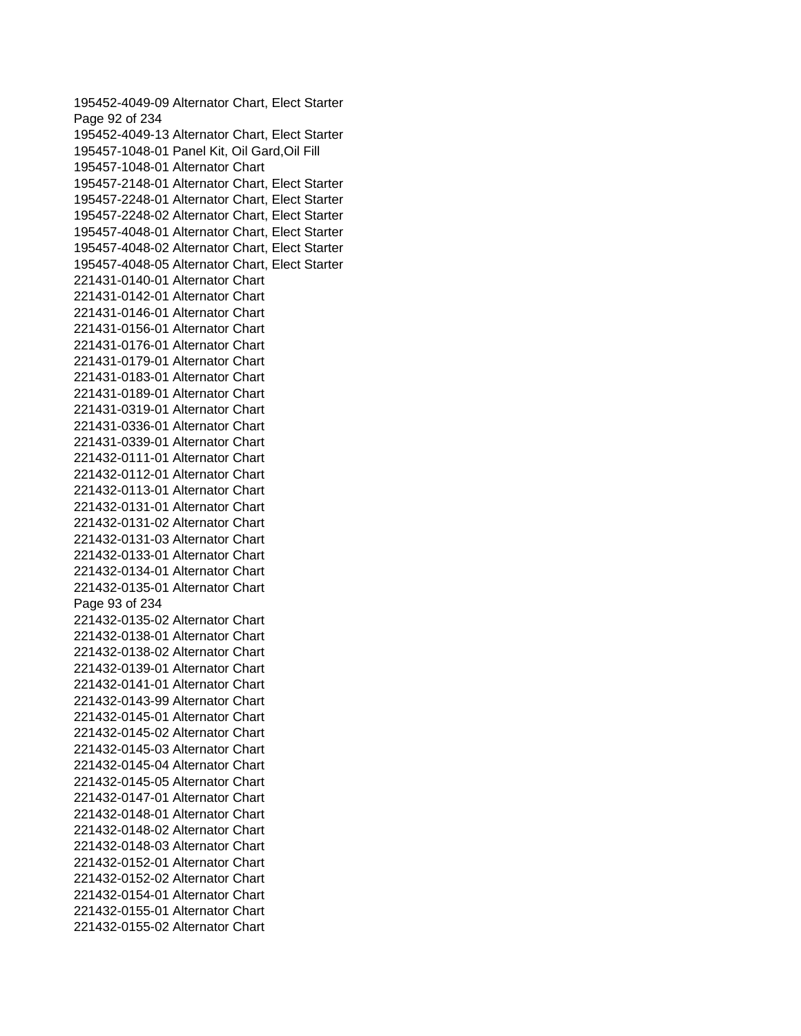195452-4049-09 Alternator Chart, Elect Starter Page 92 of 234 195452-4049-13 Alternator Chart, Elect Starter 195457-1048-01 Panel Kit, Oil Gard,Oil Fill 195457-1048-01 Alternator Chart 195457-2148-01 Alternator Chart, Elect Starter 195457-2248-01 Alternator Chart, Elect Starter 195457-2248-02 Alternator Chart, Elect Starter 195457-4048-01 Alternator Chart, Elect Starter 195457-4048-02 Alternator Chart, Elect Starter 195457-4048-05 Alternator Chart, Elect Starter 221431-0140-01 Alternator Chart 221431-0142-01 Alternator Chart 221431-0146-01 Alternator Chart 221431-0156-01 Alternator Chart 221431-0176-01 Alternator Chart 221431-0179-01 Alternator Chart 221431-0183-01 Alternator Chart 221431-0189-01 Alternator Chart 221431-0319-01 Alternator Chart 221431-0336-01 Alternator Chart 221431-0339-01 Alternator Chart 221432-0111-01 Alternator Chart 221432-0112-01 Alternator Chart 221432-0113-01 Alternator Chart 221432-0131-01 Alternator Chart 221432-0131-02 Alternator Chart 221432-0131-03 Alternator Chart 221432-0133-01 Alternator Chart 221432-0134-01 Alternator Chart 221432-0135-01 Alternator Chart Page 93 of 234 221432-0135-02 Alternator Chart 221432-0138-01 Alternator Chart 221432-0138-02 Alternator Chart 221432-0139-01 Alternator Chart 221432-0141-01 Alternator Chart 221432-0143-99 Alternator Chart 221432-0145-01 Alternator Chart 221432-0145-02 Alternator Chart 221432-0145-03 Alternator Chart 221432-0145-04 Alternator Chart 221432-0145-05 Alternator Chart 221432-0147-01 Alternator Chart 221432-0148-01 Alternator Chart 221432-0148-02 Alternator Chart 221432-0148-03 Alternator Chart 221432-0152-01 Alternator Chart 221432-0152-02 Alternator Chart 221432-0154-01 Alternator Chart 221432-0155-01 Alternator Chart 221432-0155-02 Alternator Chart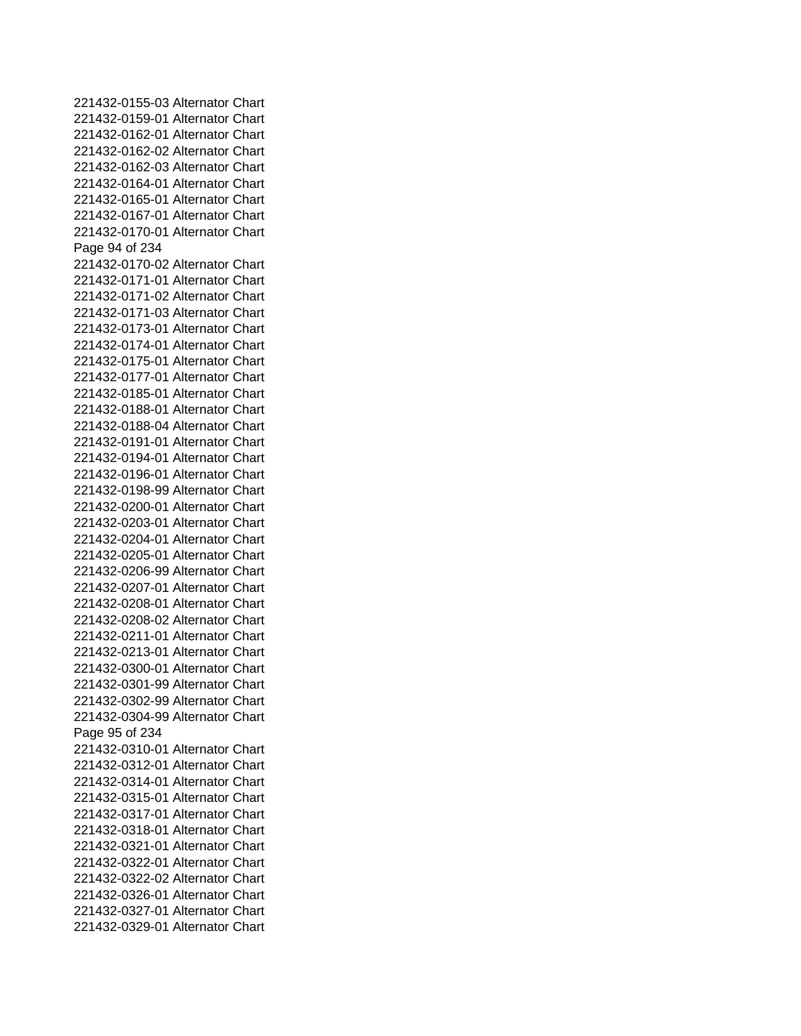221432-0155-03 Alternator Chart 221432-0159-01 Alternator Chart 221432-0162-01 Alternator Chart 221432-0162-02 Alternator Chart 221432-0162-03 Alternator Chart 221432-0164-01 Alternator Chart 221432-0165-01 Alternator Chart 221432-0167-01 Alternator Chart 221432-0170-01 Alternator Chart Page 94 of 234 221432-0170-02 Alternator Chart 221432-0171-01 Alternator Chart 221432-0171-02 Alternator Chart 221432-0171-03 Alternator Chart 221432-0173-01 Alternator Chart 221432-0174-01 Alternator Chart 221432-0175-01 Alternator Chart 221432-0177-01 Alternator Chart 221432-0185-01 Alternator Chart 221432-0188-01 Alternator Chart 221432-0188-04 Alternator Chart 221432-0191-01 Alternator Chart 221432-0194-01 Alternator Chart 221432-0196-01 Alternator Chart 221432-0198-99 Alternator Chart 221432-0200-01 Alternator Chart 221432-0203-01 Alternator Chart 221432-0204-01 Alternator Chart 221432-0205-01 Alternator Chart 221432-0206-99 Alternator Chart 221432-0207-01 Alternator Chart 221432-0208-01 Alternator Chart 221432-0208-02 Alternator Chart 221432-0211-01 Alternator Chart 221432-0213-01 Alternator Chart 221432-0300-01 Alternator Chart 221432-0301-99 Alternator Chart 221432-0302-99 Alternator Chart 221432-0304-99 Alternator Chart Page 95 of 234 221432-0310-01 Alternator Chart 221432-0312-01 Alternator Chart 221432-0314-01 Alternator Chart 221432-0315-01 Alternator Chart 221432-0317-01 Alternator Chart 221432-0318-01 Alternator Chart 221432-0321-01 Alternator Chart 221432-0322-01 Alternator Chart 221432-0322-02 Alternator Chart 221432-0326-01 Alternator Chart 221432-0327-01 Alternator Chart 221432-0329-01 Alternator Chart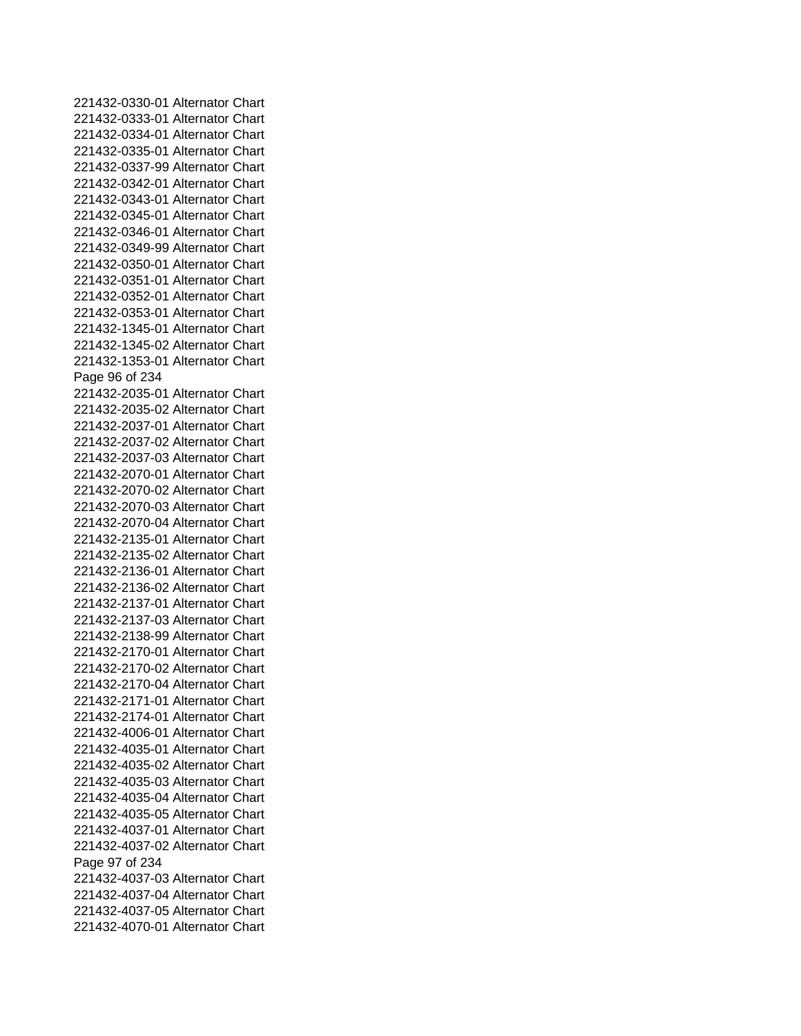221432-0330-01 Alternator Chart 221432-0333-01 Alternator Chart 221432-0334-01 Alternator Chart 221432-0335-01 Alternator Chart 221432-0337-99 Alternator Chart 221432-0342-01 Alternator Chart 221432-0343-01 Alternator Chart 221432-0345-01 Alternator Chart 221432-0346-01 Alternator Chart 221432-0349-99 Alternator Chart 221432-0350-01 Alternator Chart 221432-0351-01 Alternator Chart 221432-0352-01 Alternator Chart 221432-0353-01 Alternator Chart 221432-1345-01 Alternator Chart 221432-1345-02 Alternator Chart 221432-1353-01 Alternator Chart Page 96 of 234 221432-2035-01 Alternator Chart 221432-2035-02 Alternator Chart 221432-2037-01 Alternator Chart 221432-2037-02 Alternator Chart 221432-2037-03 Alternator Chart 221432-2070-01 Alternator Chart 221432-2070-02 Alternator Chart 221432-2070-03 Alternator Chart 221432-2070-04 Alternator Chart 221432-2135-01 Alternator Chart 221432-2135-02 Alternator Chart 221432-2136-01 Alternator Chart 221432-2136-02 Alternator Chart 221432-2137-01 Alternator Chart 221432-2137-03 Alternator Chart 221432-2138-99 Alternator Chart 221432-2170-01 Alternator Chart 221432-2170-02 Alternator Chart 221432-2170-04 Alternator Chart 221432-2171-01 Alternator Chart 221432-2174-01 Alternator Chart 221432-4006-01 Alternator Chart 221432-4035-01 Alternator Chart 221432-4035-02 Alternator Chart 221432-4035-03 Alternator Chart 221432-4035-04 Alternator Chart 221432-4035-05 Alternator Chart 221432-4037-01 Alternator Chart 221432-4037-02 Alternator Chart Page 97 of 234 221432-4037-03 Alternator Chart 221432-4037-04 Alternator Chart 221432-4037-05 Alternator Chart 221432-4070-01 Alternator Chart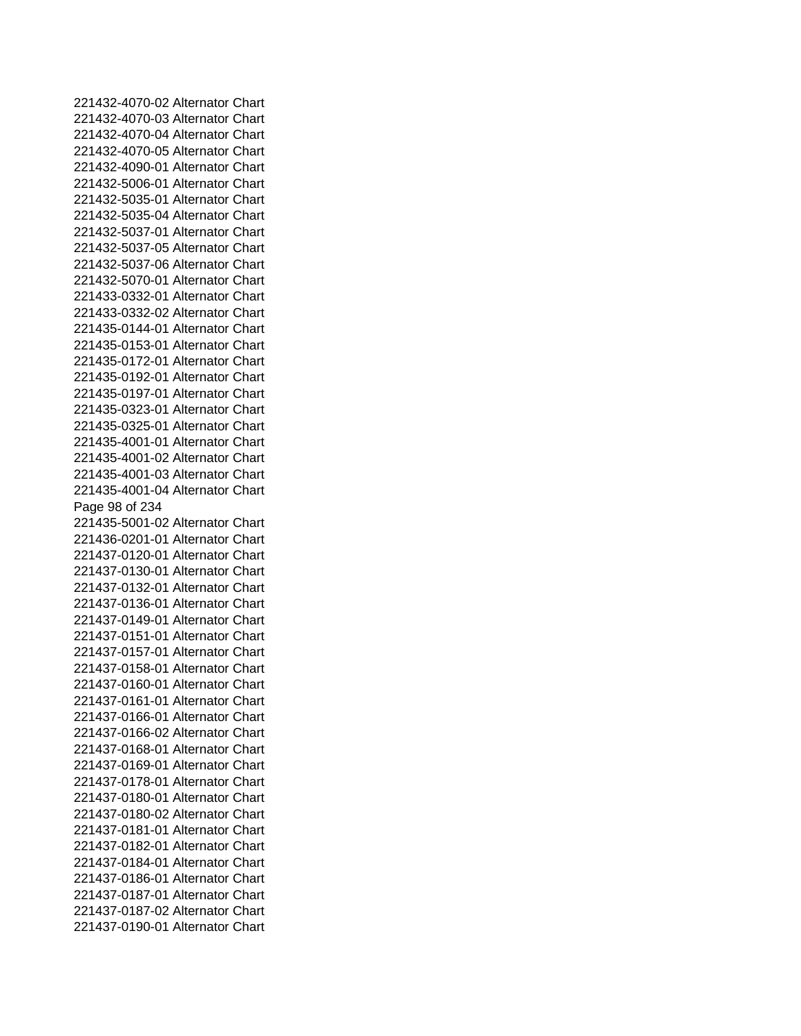221432-4070-02 Alternator Chart 221432-4070-03 Alternator Chart 221432-4070-04 Alternator Chart 221432-4070-05 Alternator Chart 221432-4090-01 Alternator Chart 221432-5006-01 Alternator Chart 221432-5035-01 Alternator Chart 221432-5035-04 Alternator Chart 221432-5037-01 Alternator Chart 221432-5037-05 Alternator Chart 221432-5037-06 Alternator Chart 221432-5070-01 Alternator Chart 221433-0332-01 Alternator Chart 221433-0332-02 Alternator Chart 221435-0144-01 Alternator Chart 221435-0153-01 Alternator Chart 221435-0172-01 Alternator Chart 221435-0192-01 Alternator Chart 221435-0197-01 Alternator Chart 221435-0323-01 Alternator Chart 221435-0325-01 Alternator Chart 221435-4001-01 Alternator Chart 221435-4001-02 Alternator Chart 221435-4001-03 Alternator Chart 221435-4001-04 Alternator Chart Page 98 of 234 221435-5001-02 Alternator Chart 221436-0201-01 Alternator Chart 221437-0120-01 Alternator Chart 221437-0130-01 Alternator Chart 221437-0132-01 Alternator Chart 221437-0136-01 Alternator Chart 221437-0149-01 Alternator Chart 221437-0151-01 Alternator Chart 221437-0157-01 Alternator Chart 221437-0158-01 Alternator Chart 221437-0160-01 Alternator Chart 221437-0161-01 Alternator Chart 221437-0166-01 Alternator Chart 221437-0166-02 Alternator Chart 221437-0168-01 Alternator Chart 221437-0169-01 Alternator Chart 221437-0178-01 Alternator Chart 221437-0180-01 Alternator Chart 221437-0180-02 Alternator Chart 221437-0181-01 Alternator Chart 221437-0182-01 Alternator Chart 221437-0184-01 Alternator Chart 221437-0186-01 Alternator Chart 221437-0187-01 Alternator Chart 221437-0187-02 Alternator Chart 221437-0190-01 Alternator Chart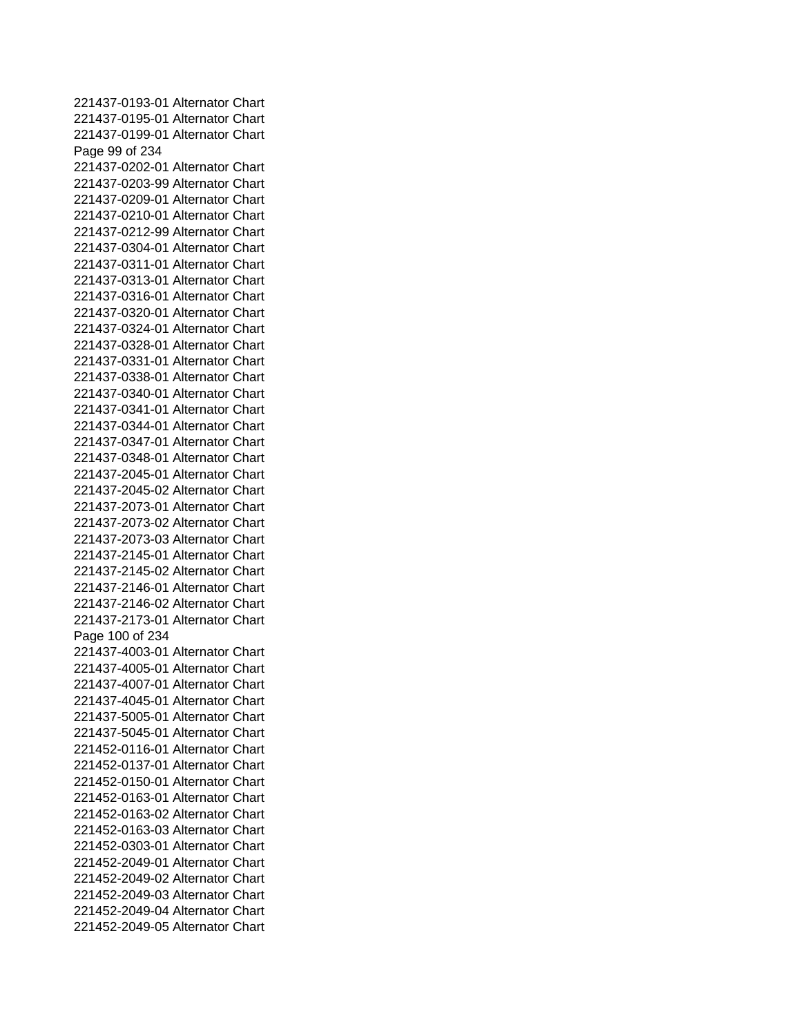221437-0193-01 Alternator Chart 221437-0195-01 Alternator Chart 221437-0199-01 Alternator Chart Page 99 of 234 221437-0202-01 Alternator Chart 221437-0203-99 Alternator Chart 221437-0209-01 Alternator Chart 221437-0210-01 Alternator Chart 221437-0212-99 Alternator Chart 221437-0304-01 Alternator Chart 221437-0311-01 Alternator Chart 221437-0313-01 Alternator Chart 221437-0316-01 Alternator Chart 221437-0320-01 Alternator Chart 221437-0324-01 Alternator Chart 221437-0328-01 Alternator Chart 221437-0331-01 Alternator Chart 221437-0338-01 Alternator Chart 221437-0340-01 Alternator Chart 221437-0341-01 Alternator Chart 221437-0344-01 Alternator Chart 221437-0347-01 Alternator Chart 221437-0348-01 Alternator Chart 221437-2045-01 Alternator Chart 221437-2045-02 Alternator Chart 221437-2073-01 Alternator Chart 221437-2073-02 Alternator Chart 221437-2073-03 Alternator Chart 221437-2145-01 Alternator Chart 221437-2145-02 Alternator Chart 221437-2146-01 Alternator Chart 221437-2146-02 Alternator Chart 221437-2173-01 Alternator Chart Page 100 of 234 221437-4003-01 Alternator Chart 221437-4005-01 Alternator Chart 221437-4007-01 Alternator Chart 221437-4045-01 Alternator Chart 221437-5005-01 Alternator Chart 221437-5045-01 Alternator Chart 221452-0116-01 Alternator Chart 221452-0137-01 Alternator Chart 221452-0150-01 Alternator Chart 221452-0163-01 Alternator Chart 221452-0163-02 Alternator Chart 221452-0163-03 Alternator Chart 221452-0303-01 Alternator Chart 221452-2049-01 Alternator Chart 221452-2049-02 Alternator Chart 221452-2049-03 Alternator Chart 221452-2049-04 Alternator Chart 221452-2049-05 Alternator Chart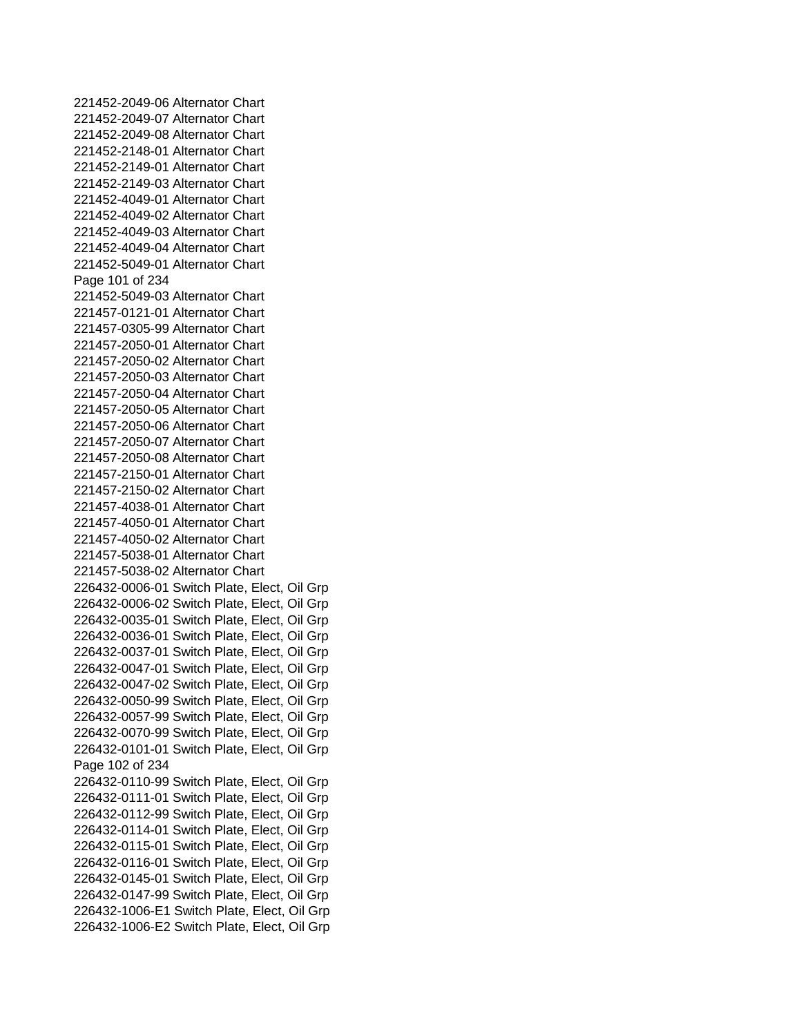221452-2049-06 Alternator Chart 221452-2049-07 Alternator Chart 221452-2049-08 Alternator Chart 221452-2148-01 Alternator Chart 221452-2149-01 Alternator Chart 221452-2149-03 Alternator Chart 221452-4049-01 Alternator Chart 221452-4049-02 Alternator Chart 221452-4049-03 Alternator Chart 221452-4049-04 Alternator Chart 221452-5049-01 Alternator Chart Page 101 of 234 221452-5049-03 Alternator Chart 221457-0121-01 Alternator Chart 221457-0305-99 Alternator Chart 221457-2050-01 Alternator Chart 221457-2050-02 Alternator Chart 221457-2050-03 Alternator Chart 221457-2050-04 Alternator Chart 221457-2050-05 Alternator Chart 221457-2050-06 Alternator Chart 221457-2050-07 Alternator Chart 221457-2050-08 Alternator Chart 221457-2150-01 Alternator Chart 221457-2150-02 Alternator Chart 221457-4038-01 Alternator Chart 221457-4050-01 Alternator Chart 221457-4050-02 Alternator Chart 221457-5038-01 Alternator Chart 221457-5038-02 Alternator Chart 226432-0006-01 Switch Plate, Elect, Oil Grp 226432-0006-02 Switch Plate, Elect, Oil Grp 226432-0035-01 Switch Plate, Elect, Oil Grp 226432-0036-01 Switch Plate, Elect, Oil Grp 226432-0037-01 Switch Plate, Elect, Oil Grp 226432-0047-01 Switch Plate, Elect, Oil Grp 226432-0047-02 Switch Plate, Elect, Oil Grp 226432-0050-99 Switch Plate, Elect, Oil Grp 226432-0057-99 Switch Plate, Elect, Oil Grp 226432-0070-99 Switch Plate, Elect, Oil Grp 226432-0101-01 Switch Plate, Elect, Oil Grp Page 102 of 234 226432-0110-99 Switch Plate, Elect, Oil Grp 226432-0111-01 Switch Plate, Elect, Oil Grp 226432-0112-99 Switch Plate, Elect, Oil Grp 226432-0114-01 Switch Plate, Elect, Oil Grp 226432-0115-01 Switch Plate, Elect, Oil Grp 226432-0116-01 Switch Plate, Elect, Oil Grp 226432-0145-01 Switch Plate, Elect, Oil Grp 226432-0147-99 Switch Plate, Elect, Oil Grp 226432-1006-E1 Switch Plate, Elect, Oil Grp 226432-1006-E2 Switch Plate, Elect, Oil Grp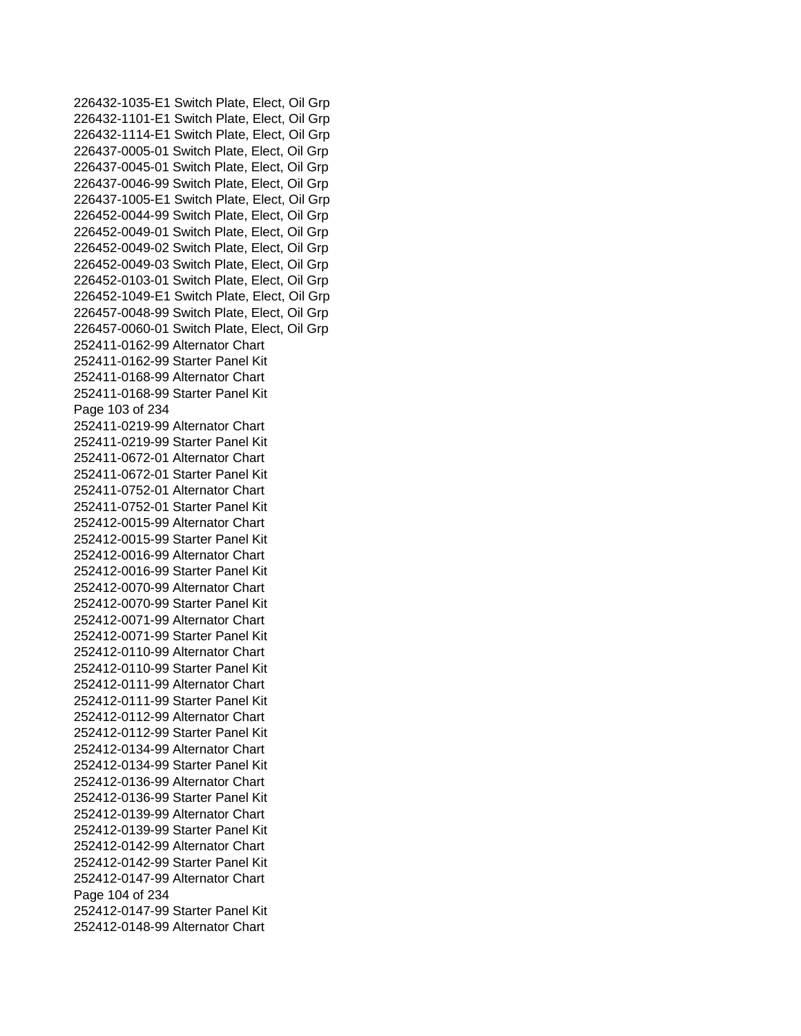226432-1035-E1 Switch Plate, Elect, Oil Grp 226432-1101-E1 Switch Plate, Elect, Oil Grp 226432-1114-E1 Switch Plate, Elect, Oil Grp 226437-0005-01 Switch Plate, Elect, Oil Grp 226437-0045-01 Switch Plate, Elect, Oil Grp 226437-0046-99 Switch Plate, Elect, Oil Grp 226437-1005-E1 Switch Plate, Elect, Oil Grp 226452-0044-99 Switch Plate, Elect, Oil Grp 226452-0049-01 Switch Plate, Elect, Oil Grp 226452-0049-02 Switch Plate, Elect, Oil Grp 226452-0049-03 Switch Plate, Elect, Oil Grp 226452-0103-01 Switch Plate, Elect, Oil Grp 226452-1049-E1 Switch Plate, Elect, Oil Grp 226457-0048-99 Switch Plate, Elect, Oil Grp 226457-0060-01 Switch Plate, Elect, Oil Grp 252411-0162-99 Alternator Chart 252411-0162-99 Starter Panel Kit 252411-0168-99 Alternator Chart 252411-0168-99 Starter Panel Kit Page 103 of 234 252411-0219-99 Alternator Chart 252411-0219-99 Starter Panel Kit 252411-0672-01 Alternator Chart 252411-0672-01 Starter Panel Kit 252411-0752-01 Alternator Chart 252411-0752-01 Starter Panel Kit 252412-0015-99 Alternator Chart 252412-0015-99 Starter Panel Kit 252412-0016-99 Alternator Chart 252412-0016-99 Starter Panel Kit 252412-0070-99 Alternator Chart 252412-0070-99 Starter Panel Kit 252412-0071-99 Alternator Chart 252412-0071-99 Starter Panel Kit 252412-0110-99 Alternator Chart 252412-0110-99 Starter Panel Kit 252412-0111-99 Alternator Chart 252412-0111-99 Starter Panel Kit 252412-0112-99 Alternator Chart 252412-0112-99 Starter Panel Kit 252412-0134-99 Alternator Chart 252412-0134-99 Starter Panel Kit 252412-0136-99 Alternator Chart 252412-0136-99 Starter Panel Kit 252412-0139-99 Alternator Chart 252412-0139-99 Starter Panel Kit 252412-0142-99 Alternator Chart 252412-0142-99 Starter Panel Kit 252412-0147-99 Alternator Chart Page 104 of 234 252412-0147-99 Starter Panel Kit 252412-0148-99 Alternator Chart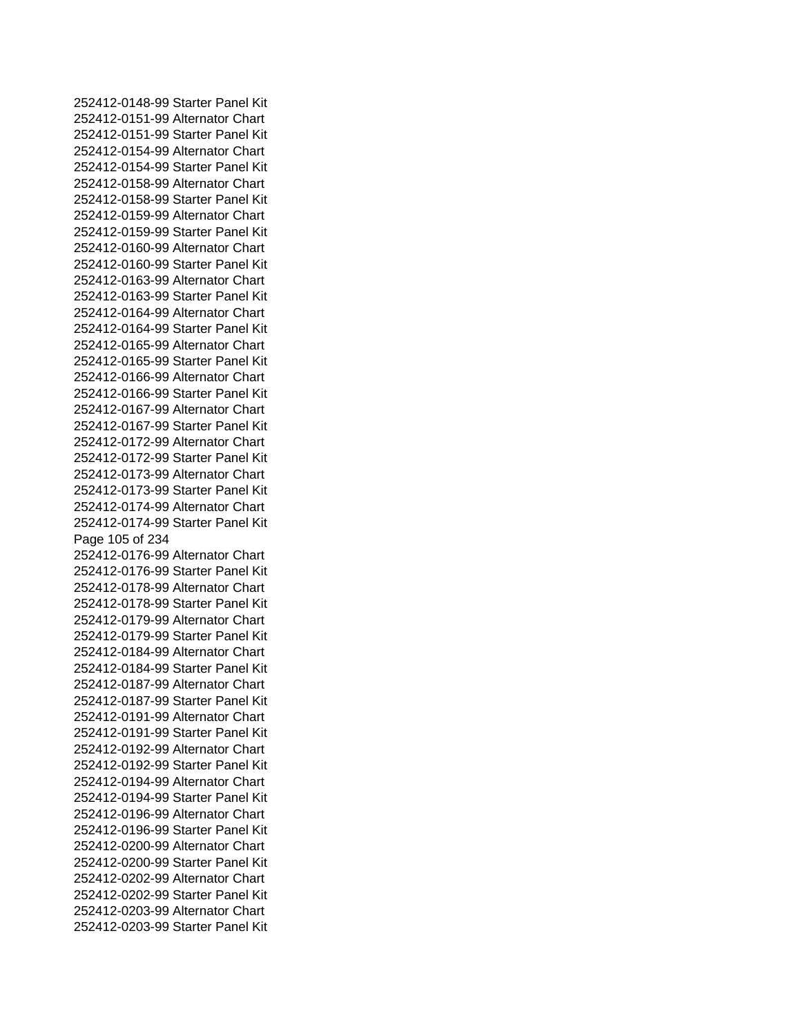252412-0148-99 Starter Panel Kit 252412-0151-99 Alternator Chart 252412-0151-99 Starter Panel Kit 252412-0154-99 Alternator Chart 252412-0154-99 Starter Panel Kit 252412-0158-99 Alternator Chart 252412-0158-99 Starter Panel Kit 252412-0159-99 Alternator Chart 252412-0159-99 Starter Panel Kit 252412-0160-99 Alternator Chart 252412-0160-99 Starter Panel Kit 252412-0163-99 Alternator Chart 252412-0163-99 Starter Panel Kit 252412-0164-99 Alternator Chart 252412-0164-99 Starter Panel Kit 252412-0165-99 Alternator Chart 252412-0165-99 Starter Panel Kit 252412-0166-99 Alternator Chart 252412-0166-99 Starter Panel Kit 252412-0167-99 Alternator Chart 252412-0167-99 Starter Panel Kit 252412-0172-99 Alternator Chart 252412-0172-99 Starter Panel Kit 252412-0173-99 Alternator Chart 252412-0173-99 Starter Panel Kit 252412-0174-99 Alternator Chart 252412-0174-99 Starter Panel Kit Page 105 of 234 252412-0176-99 Alternator Chart 252412-0176-99 Starter Panel Kit 252412-0178-99 Alternator Chart 252412-0178-99 Starter Panel Kit 252412-0179-99 Alternator Chart 252412-0179-99 Starter Panel Kit 252412-0184-99 Alternator Chart 252412-0184-99 Starter Panel Kit 252412-0187-99 Alternator Chart 252412-0187-99 Starter Panel Kit 252412-0191-99 Alternator Chart 252412-0191-99 Starter Panel Kit 252412-0192-99 Alternator Chart 252412-0192-99 Starter Panel Kit 252412-0194-99 Alternator Chart 252412-0194-99 Starter Panel Kit 252412-0196-99 Alternator Chart 252412-0196-99 Starter Panel Kit 252412-0200-99 Alternator Chart 252412-0200-99 Starter Panel Kit 252412-0202-99 Alternator Chart 252412-0202-99 Starter Panel Kit 252412-0203-99 Alternator Chart 252412-0203-99 Starter Panel Kit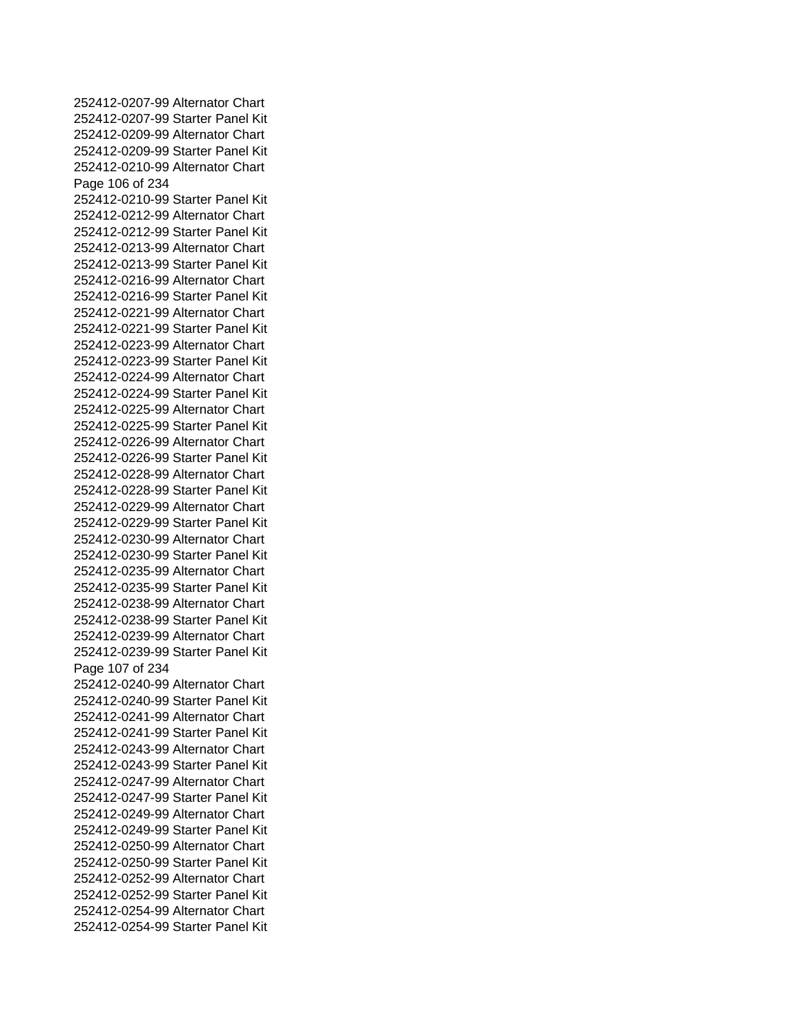252412-0207-99 Alternator Chart 252412-0207-99 Starter Panel Kit 252412-0209-99 Alternator Chart 252412-0209-99 Starter Panel Kit 252412-0210-99 Alternator Chart Page 106 of 234 252412-0210-99 Starter Panel Kit 252412-0212-99 Alternator Chart 252412-0212-99 Starter Panel Kit 252412-0213-99 Alternator Chart 252412-0213-99 Starter Panel Kit 252412-0216-99 Alternator Chart 252412-0216-99 Starter Panel Kit 252412-0221-99 Alternator Chart 252412-0221-99 Starter Panel Kit 252412-0223-99 Alternator Chart 252412-0223-99 Starter Panel Kit 252412-0224-99 Alternator Chart 252412-0224-99 Starter Panel Kit 252412-0225-99 Alternator Chart 252412-0225-99 Starter Panel Kit 252412-0226-99 Alternator Chart 252412-0226-99 Starter Panel Kit 252412-0228-99 Alternator Chart 252412-0228-99 Starter Panel Kit 252412-0229-99 Alternator Chart 252412-0229-99 Starter Panel Kit 252412-0230-99 Alternator Chart 252412-0230-99 Starter Panel Kit 252412-0235-99 Alternator Chart 252412-0235-99 Starter Panel Kit 252412-0238-99 Alternator Chart 252412-0238-99 Starter Panel Kit 252412-0239-99 Alternator Chart 252412-0239-99 Starter Panel Kit Page 107 of 234 252412-0240-99 Alternator Chart 252412-0240-99 Starter Panel Kit 252412-0241-99 Alternator Chart 252412-0241-99 Starter Panel Kit 252412-0243-99 Alternator Chart 252412-0243-99 Starter Panel Kit 252412-0247-99 Alternator Chart 252412-0247-99 Starter Panel Kit 252412-0249-99 Alternator Chart 252412-0249-99 Starter Panel Kit 252412-0250-99 Alternator Chart 252412-0250-99 Starter Panel Kit 252412-0252-99 Alternator Chart 252412-0252-99 Starter Panel Kit 252412-0254-99 Alternator Chart 252412-0254-99 Starter Panel Kit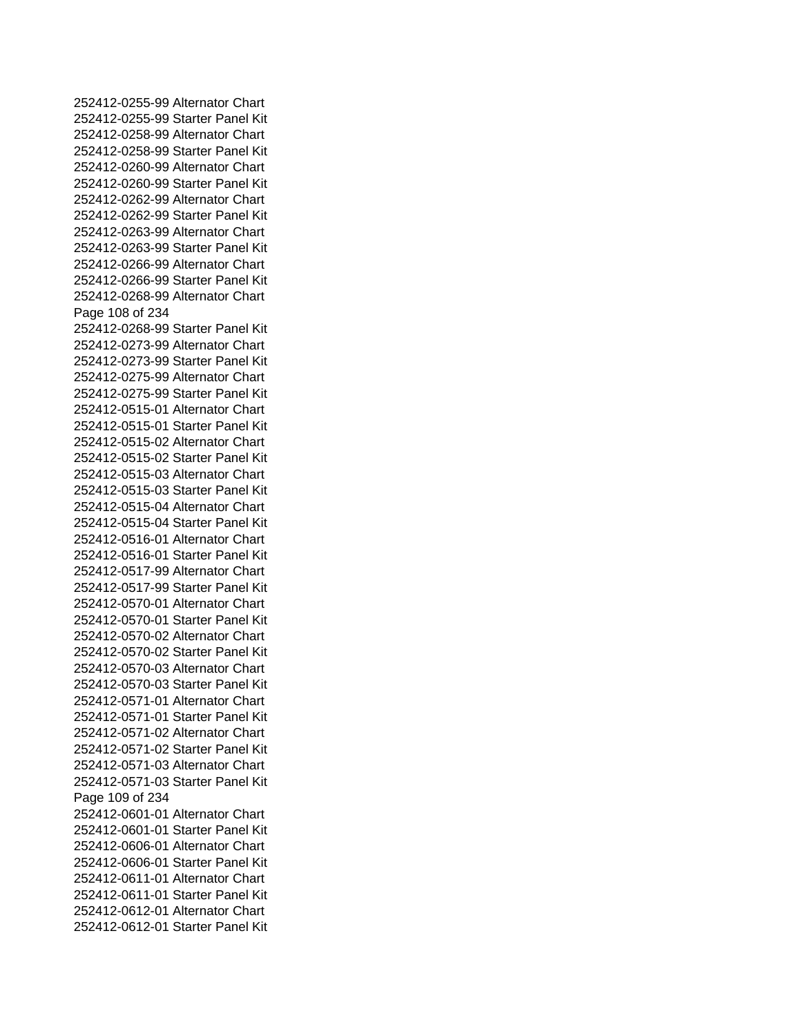252412-0255-99 Alternator Chart 252412-0255-99 Starter Panel Kit 252412-0258-99 Alternator Chart 252412-0258-99 Starter Panel Kit 252412-0260-99 Alternator Chart 252412-0260-99 Starter Panel Kit 252412-0262-99 Alternator Chart 252412-0262-99 Starter Panel Kit 252412-0263-99 Alternator Chart 252412-0263-99 Starter Panel Kit 252412-0266-99 Alternator Chart 252412-0266-99 Starter Panel Kit 252412-0268-99 Alternator Chart Page 108 of 234 252412-0268-99 Starter Panel Kit 252412-0273-99 Alternator Chart 252412-0273-99 Starter Panel Kit 252412-0275-99 Alternator Chart 252412-0275-99 Starter Panel Kit 252412-0515-01 Alternator Chart 252412-0515-01 Starter Panel Kit 252412-0515-02 Alternator Chart 252412-0515-02 Starter Panel Kit 252412-0515-03 Alternator Chart 252412-0515-03 Starter Panel Kit 252412-0515-04 Alternator Chart 252412-0515-04 Starter Panel Kit 252412-0516-01 Alternator Chart 252412-0516-01 Starter Panel Kit 252412-0517-99 Alternator Chart 252412-0517-99 Starter Panel Kit 252412-0570-01 Alternator Chart 252412-0570-01 Starter Panel Kit 252412-0570-02 Alternator Chart 252412-0570-02 Starter Panel Kit 252412-0570-03 Alternator Chart 252412-0570-03 Starter Panel Kit 252412-0571-01 Alternator Chart 252412-0571-01 Starter Panel Kit 252412-0571-02 Alternator Chart 252412-0571-02 Starter Panel Kit 252412-0571-03 Alternator Chart 252412-0571-03 Starter Panel Kit Page 109 of 234 252412-0601-01 Alternator Chart 252412-0601-01 Starter Panel Kit 252412-0606-01 Alternator Chart 252412-0606-01 Starter Panel Kit 252412-0611-01 Alternator Chart 252412-0611-01 Starter Panel Kit 252412-0612-01 Alternator Chart 252412-0612-01 Starter Panel Kit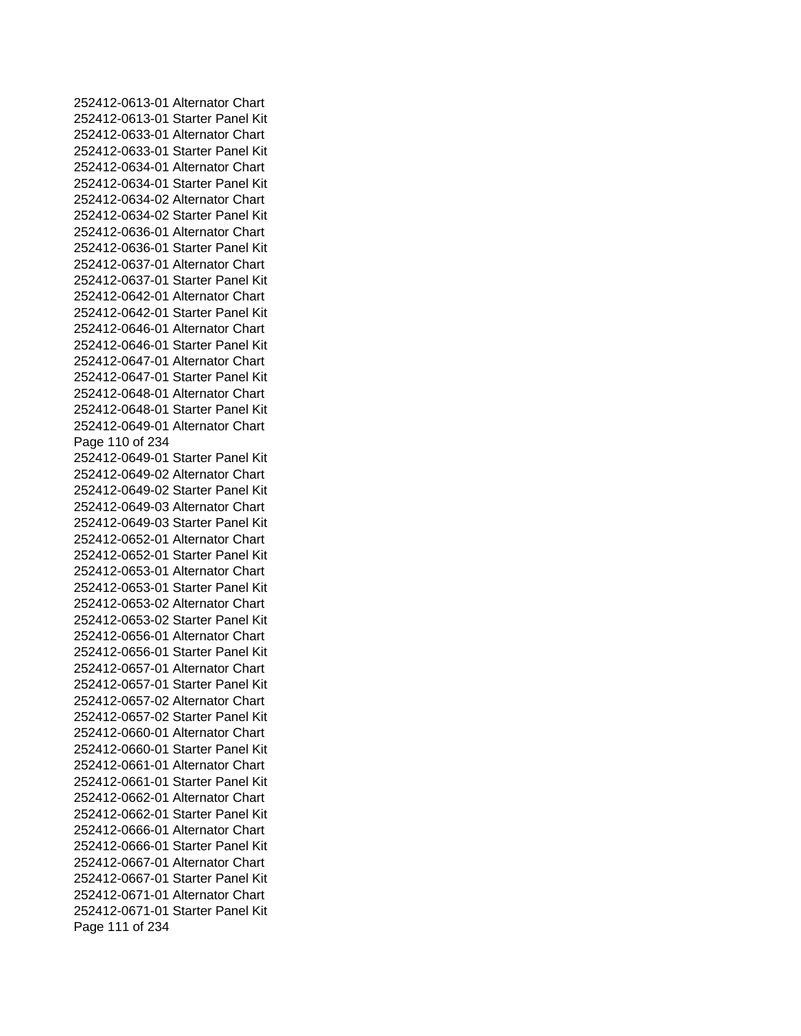252412-0613-01 Alternator Chart 252412-0613-01 Starter Panel Kit 252412-0633-01 Alternator Chart 252412-0633-01 Starter Panel Kit 252412-0634-01 Alternator Chart 252412-0634-01 Starter Panel Kit 252412-0634-02 Alternator Chart 252412-0634-02 Starter Panel Kit 252412-0636-01 Alternator Chart 252412-0636-01 Starter Panel Kit 252412-0637-01 Alternator Chart 252412-0637-01 Starter Panel Kit 252412-0642-01 Alternator Chart 252412-0642-01 Starter Panel Kit 252412-0646-01 Alternator Chart 252412-0646-01 Starter Panel Kit 252412-0647-01 Alternator Chart 252412-0647-01 Starter Panel Kit 252412-0648-01 Alternator Chart 252412-0648-01 Starter Panel Kit 252412-0649-01 Alternator Chart Page 110 of 234 252412-0649-01 Starter Panel Kit 252412-0649-02 Alternator Chart 252412-0649-02 Starter Panel Kit 252412-0649-03 Alternator Chart 252412-0649-03 Starter Panel Kit 252412-0652-01 Alternator Chart 252412-0652-01 Starter Panel Kit 252412-0653-01 Alternator Chart 252412-0653-01 Starter Panel Kit 252412-0653-02 Alternator Chart 252412-0653-02 Starter Panel Kit 252412-0656-01 Alternator Chart 252412-0656-01 Starter Panel Kit 252412-0657-01 Alternator Chart 252412-0657-01 Starter Panel Kit 252412-0657-02 Alternator Chart 252412-0657-02 Starter Panel Kit 252412-0660-01 Alternator Chart 252412-0660-01 Starter Panel Kit 252412-0661-01 Alternator Chart 252412-0661-01 Starter Panel Kit 252412-0662-01 Alternator Chart 252412-0662-01 Starter Panel Kit 252412-0666-01 Alternator Chart 252412-0666-01 Starter Panel Kit 252412-0667-01 Alternator Chart 252412-0667-01 Starter Panel Kit 252412-0671-01 Alternator Chart 252412-0671-01 Starter Panel Kit Page 111 of 234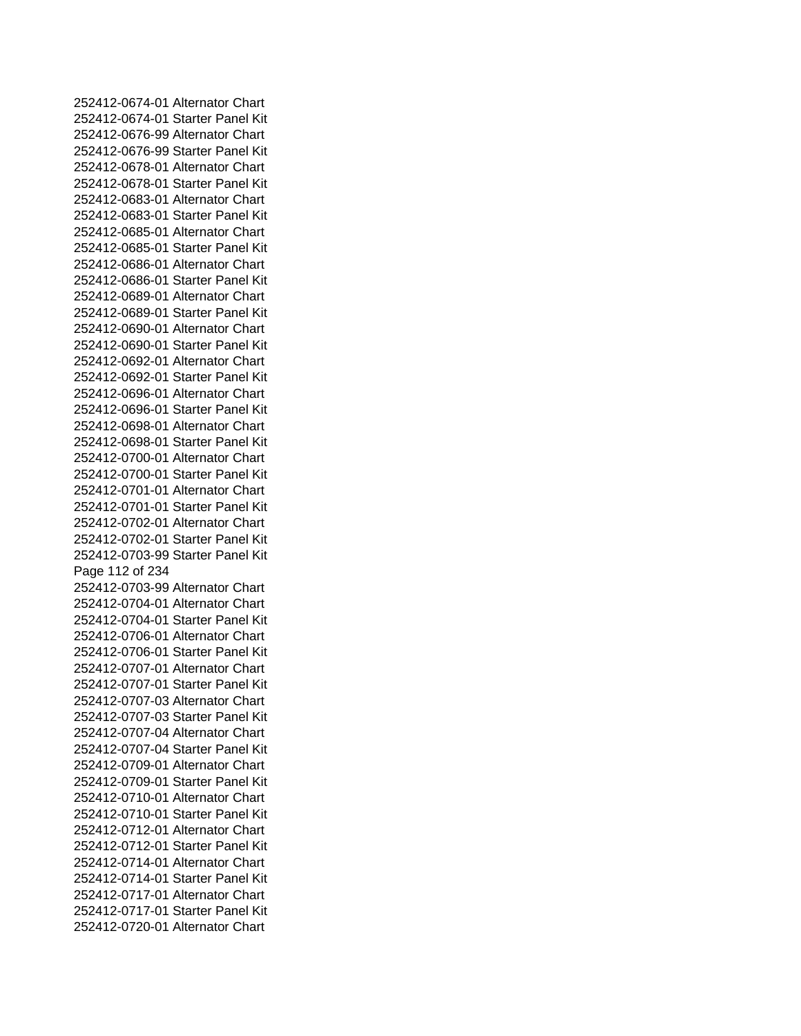252412-0674-01 Alternator Chart 252412-0674-01 Starter Panel Kit 252412-0676-99 Alternator Chart 252412-0676-99 Starter Panel Kit 252412-0678-01 Alternator Chart 252412-0678-01 Starter Panel Kit 252412-0683-01 Alternator Chart 252412-0683-01 Starter Panel Kit 252412-0685-01 Alternator Chart 252412-0685-01 Starter Panel Kit 252412-0686-01 Alternator Chart 252412-0686-01 Starter Panel Kit 252412-0689-01 Alternator Chart 252412-0689-01 Starter Panel Kit 252412-0690-01 Alternator Chart 252412-0690-01 Starter Panel Kit 252412-0692-01 Alternator Chart 252412-0692-01 Starter Panel Kit 252412-0696-01 Alternator Chart 252412-0696-01 Starter Panel Kit 252412-0698-01 Alternator Chart 252412-0698-01 Starter Panel Kit 252412-0700-01 Alternator Chart 252412-0700-01 Starter Panel Kit 252412-0701-01 Alternator Chart 252412-0701-01 Starter Panel Kit 252412-0702-01 Alternator Chart 252412-0702-01 Starter Panel Kit 252412-0703-99 Starter Panel Kit Page 112 of 234 252412-0703-99 Alternator Chart 252412-0704-01 Alternator Chart 252412-0704-01 Starter Panel Kit 252412-0706-01 Alternator Chart 252412-0706-01 Starter Panel Kit 252412-0707-01 Alternator Chart 252412-0707-01 Starter Panel Kit 252412-0707-03 Alternator Chart 252412-0707-03 Starter Panel Kit 252412-0707-04 Alternator Chart 252412-0707-04 Starter Panel Kit 252412-0709-01 Alternator Chart 252412-0709-01 Starter Panel Kit 252412-0710-01 Alternator Chart 252412-0710-01 Starter Panel Kit 252412-0712-01 Alternator Chart 252412-0712-01 Starter Panel Kit 252412-0714-01 Alternator Chart 252412-0714-01 Starter Panel Kit 252412-0717-01 Alternator Chart 252412-0717-01 Starter Panel Kit 252412-0720-01 Alternator Chart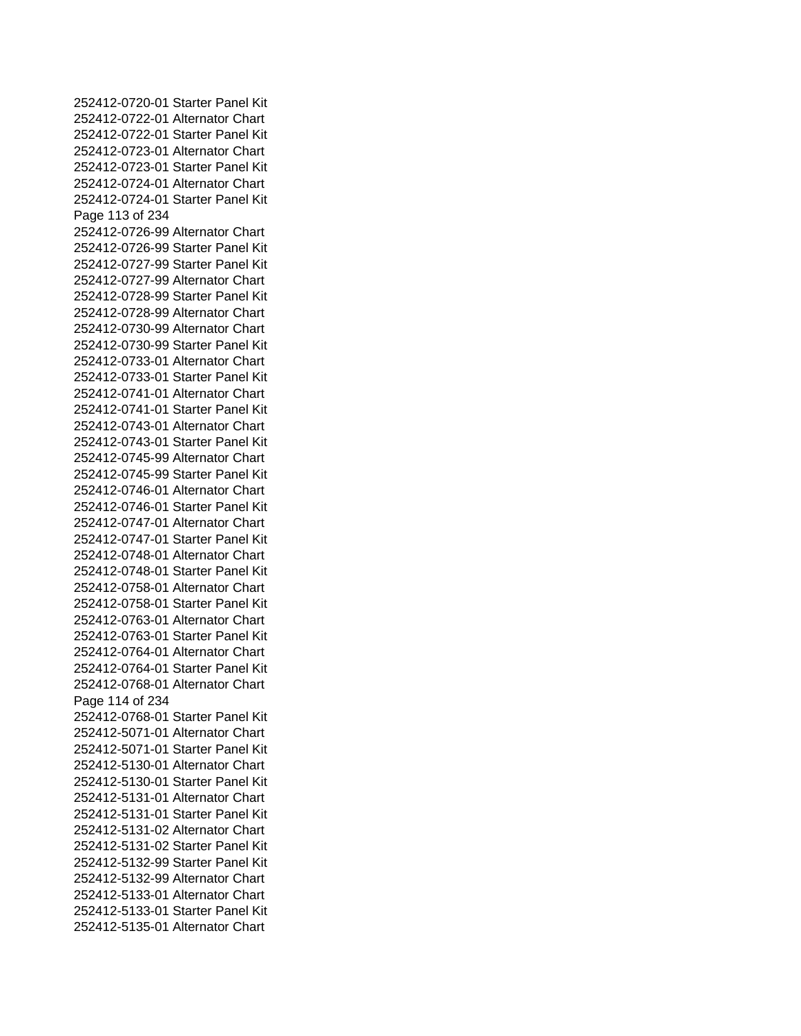252412-0720-01 Starter Panel Kit 252412-0722-01 Alternator Chart 252412-0722-01 Starter Panel Kit 252412-0723-01 Alternator Chart 252412-0723-01 Starter Panel Kit 252412-0724-01 Alternator Chart 252412-0724-01 Starter Panel Kit Page 113 of 234 252412-0726-99 Alternator Chart 252412-0726-99 Starter Panel Kit 252412-0727-99 Starter Panel Kit 252412-0727-99 Alternator Chart 252412-0728-99 Starter Panel Kit 252412-0728-99 Alternator Chart 252412-0730-99 Alternator Chart 252412-0730-99 Starter Panel Kit 252412-0733-01 Alternator Chart 252412-0733-01 Starter Panel Kit 252412-0741-01 Alternator Chart 252412-0741-01 Starter Panel Kit 252412-0743-01 Alternator Chart 252412-0743-01 Starter Panel Kit 252412-0745-99 Alternator Chart 252412-0745-99 Starter Panel Kit 252412-0746-01 Alternator Chart 252412-0746-01 Starter Panel Kit 252412-0747-01 Alternator Chart 252412-0747-01 Starter Panel Kit 252412-0748-01 Alternator Chart 252412-0748-01 Starter Panel Kit 252412-0758-01 Alternator Chart 252412-0758-01 Starter Panel Kit 252412-0763-01 Alternator Chart 252412-0763-01 Starter Panel Kit 252412-0764-01 Alternator Chart 252412-0764-01 Starter Panel Kit 252412-0768-01 Alternator Chart Page 114 of 234 252412-0768-01 Starter Panel Kit 252412-5071-01 Alternator Chart 252412-5071-01 Starter Panel Kit 252412-5130-01 Alternator Chart 252412-5130-01 Starter Panel Kit 252412-5131-01 Alternator Chart 252412-5131-01 Starter Panel Kit 252412-5131-02 Alternator Chart 252412-5131-02 Starter Panel Kit 252412-5132-99 Starter Panel Kit 252412-5132-99 Alternator Chart 252412-5133-01 Alternator Chart 252412-5133-01 Starter Panel Kit 252412-5135-01 Alternator Chart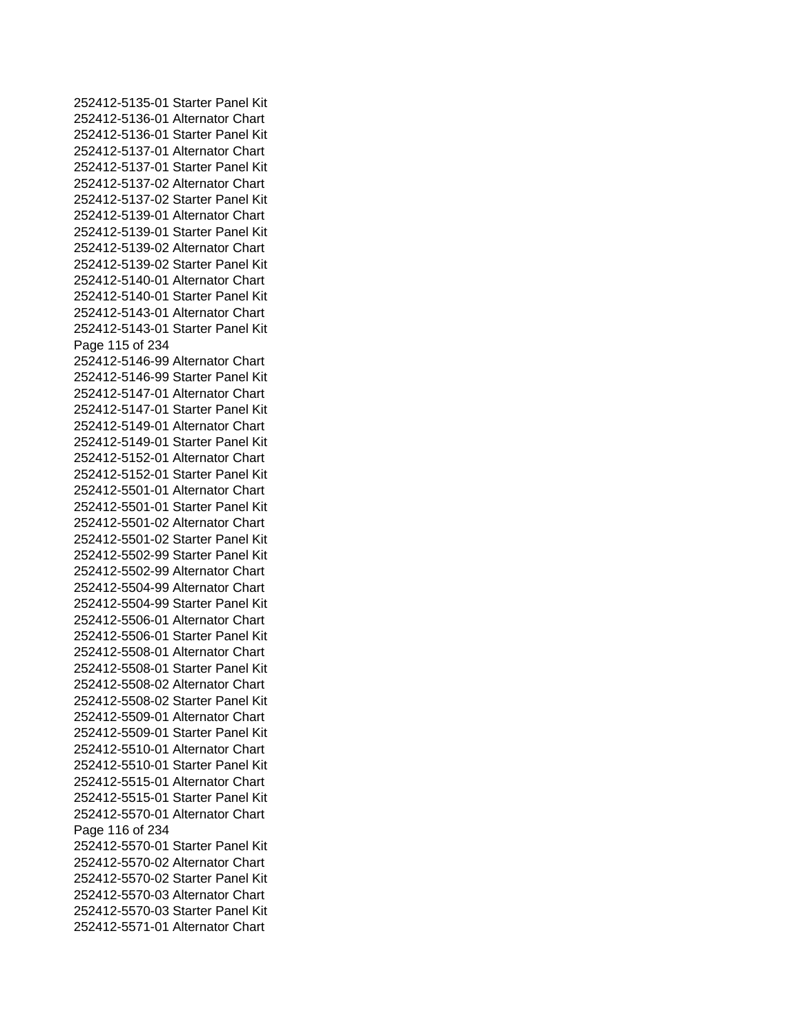252412-5135-01 Starter Panel Kit 252412-5136-01 Alternator Chart 252412-5136-01 Starter Panel Kit 252412-5137-01 Alternator Chart 252412-5137-01 Starter Panel Kit 252412-5137-02 Alternator Chart 252412-5137-02 Starter Panel Kit 252412-5139-01 Alternator Chart 252412-5139-01 Starter Panel Kit 252412-5139-02 Alternator Chart 252412-5139-02 Starter Panel Kit 252412-5140-01 Alternator Chart 252412-5140-01 Starter Panel Kit 252412-5143-01 Alternator Chart 252412-5143-01 Starter Panel Kit Page 115 of 234 252412-5146-99 Alternator Chart 252412-5146-99 Starter Panel Kit 252412-5147-01 Alternator Chart 252412-5147-01 Starter Panel Kit 252412-5149-01 Alternator Chart 252412-5149-01 Starter Panel Kit 252412-5152-01 Alternator Chart 252412-5152-01 Starter Panel Kit 252412-5501-01 Alternator Chart 252412-5501-01 Starter Panel Kit 252412-5501-02 Alternator Chart 252412-5501-02 Starter Panel Kit 252412-5502-99 Starter Panel Kit 252412-5502-99 Alternator Chart 252412-5504-99 Alternator Chart 252412-5504-99 Starter Panel Kit 252412-5506-01 Alternator Chart 252412-5506-01 Starter Panel Kit 252412-5508-01 Alternator Chart 252412-5508-01 Starter Panel Kit 252412-5508-02 Alternator Chart 252412-5508-02 Starter Panel Kit 252412-5509-01 Alternator Chart 252412-5509-01 Starter Panel Kit 252412-5510-01 Alternator Chart 252412-5510-01 Starter Panel Kit 252412-5515-01 Alternator Chart 252412-5515-01 Starter Panel Kit 252412-5570-01 Alternator Chart Page 116 of 234 252412-5570-01 Starter Panel Kit 252412-5570-02 Alternator Chart 252412-5570-02 Starter Panel Kit 252412-5570-03 Alternator Chart 252412-5570-03 Starter Panel Kit 252412-5571-01 Alternator Chart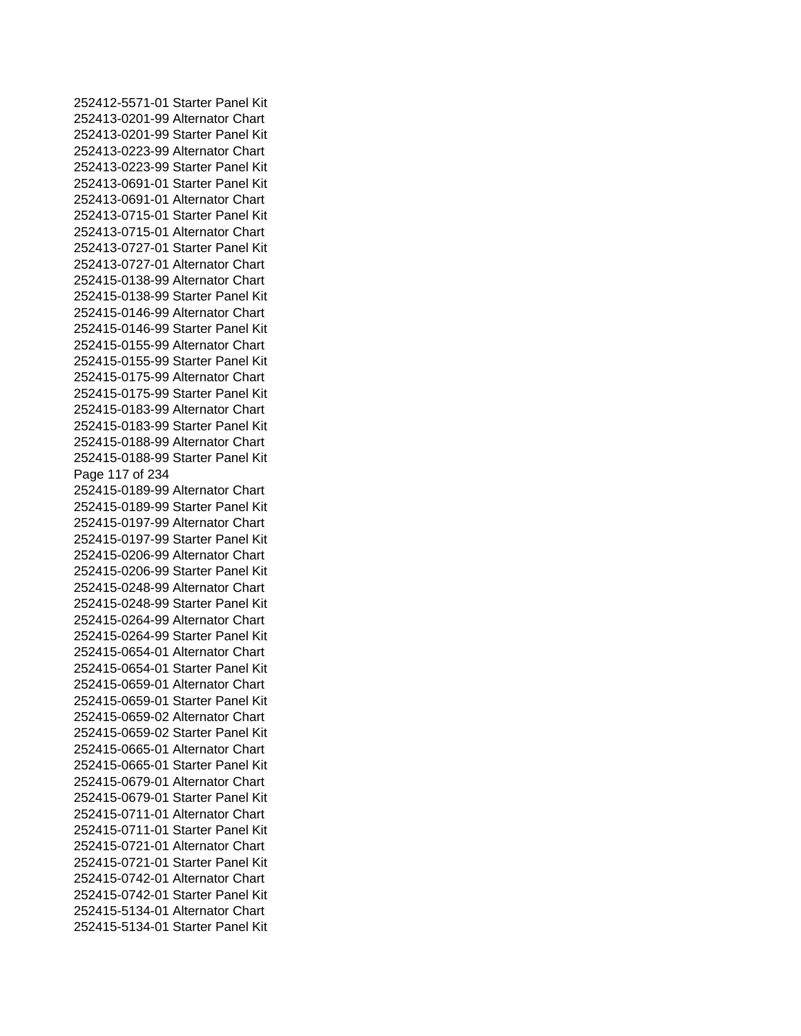252412-5571-01 Starter Panel Kit 252413-0201-99 Alternator Chart 252413-0201-99 Starter Panel Kit 252413-0223-99 Alternator Chart 252413-0223-99 Starter Panel Kit 252413-0691-01 Starter Panel Kit 252413-0691-01 Alternator Chart 252413-0715-01 Starter Panel Kit 252413-0715-01 Alternator Chart 252413-0727-01 Starter Panel Kit 252413-0727-01 Alternator Chart 252415-0138-99 Alternator Chart 252415-0138-99 Starter Panel Kit 252415-0146-99 Alternator Chart 252415-0146-99 Starter Panel Kit 252415-0155-99 Alternator Chart 252415-0155-99 Starter Panel Kit 252415-0175-99 Alternator Chart 252415-0175-99 Starter Panel Kit 252415-0183-99 Alternator Chart 252415-0183-99 Starter Panel Kit 252415-0188-99 Alternator Chart 252415-0188-99 Starter Panel Kit Page 117 of 234 252415-0189-99 Alternator Chart 252415-0189-99 Starter Panel Kit 252415-0197-99 Alternator Chart 252415-0197-99 Starter Panel Kit 252415-0206-99 Alternator Chart 252415-0206-99 Starter Panel Kit 252415-0248-99 Alternator Chart 252415-0248-99 Starter Panel Kit 252415-0264-99 Alternator Chart 252415-0264-99 Starter Panel Kit 252415-0654-01 Alternator Chart 252415-0654-01 Starter Panel Kit 252415-0659-01 Alternator Chart 252415-0659-01 Starter Panel Kit 252415-0659-02 Alternator Chart 252415-0659-02 Starter Panel Kit 252415-0665-01 Alternator Chart 252415-0665-01 Starter Panel Kit 252415-0679-01 Alternator Chart 252415-0679-01 Starter Panel Kit 252415-0711-01 Alternator Chart 252415-0711-01 Starter Panel Kit 252415-0721-01 Alternator Chart 252415-0721-01 Starter Panel Kit 252415-0742-01 Alternator Chart 252415-0742-01 Starter Panel Kit 252415-5134-01 Alternator Chart 252415-5134-01 Starter Panel Kit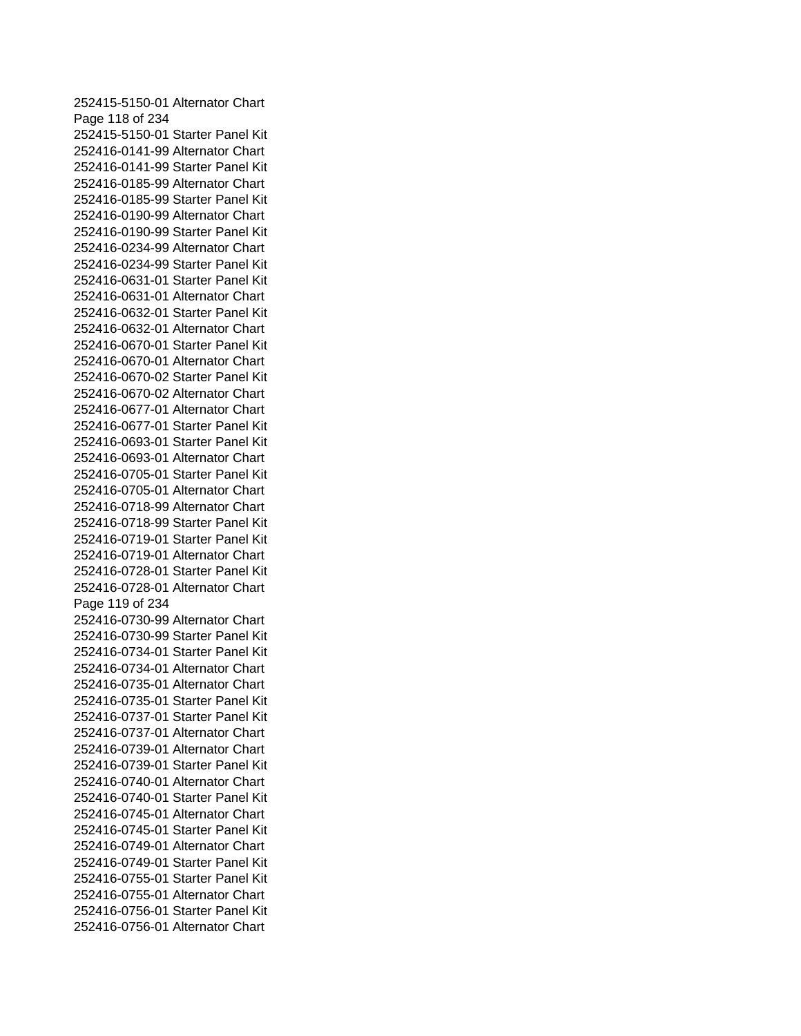252415-5150-01 Alternator Chart Page 118 of 234 252415-5150-01 Starter Panel Kit 252416-0141-99 Alternator Chart 252416-0141-99 Starter Panel Kit 252416-0185-99 Alternator Chart 252416-0185-99 Starter Panel Kit 252416-0190-99 Alternator Chart 252416-0190-99 Starter Panel Kit 252416-0234-99 Alternator Chart 252416-0234-99 Starter Panel Kit 252416-0631-01 Starter Panel Kit 252416-0631-01 Alternator Chart 252416-0632-01 Starter Panel Kit 252416-0632-01 Alternator Chart 252416-0670-01 Starter Panel Kit 252416-0670-01 Alternator Chart 252416-0670-02 Starter Panel Kit 252416-0670-02 Alternator Chart 252416-0677-01 Alternator Chart 252416-0677-01 Starter Panel Kit 252416-0693-01 Starter Panel Kit 252416-0693-01 Alternator Chart 252416-0705-01 Starter Panel Kit 252416-0705-01 Alternator Chart 252416-0718-99 Alternator Chart 252416-0718-99 Starter Panel Kit 252416-0719-01 Starter Panel Kit 252416-0719-01 Alternator Chart 252416-0728-01 Starter Panel Kit 252416-0728-01 Alternator Chart Page 119 of 234 252416-0730-99 Alternator Chart 252416-0730-99 Starter Panel Kit 252416-0734-01 Starter Panel Kit 252416-0734-01 Alternator Chart 252416-0735-01 Alternator Chart 252416-0735-01 Starter Panel Kit 252416-0737-01 Starter Panel Kit 252416-0737-01 Alternator Chart 252416-0739-01 Alternator Chart 252416-0739-01 Starter Panel Kit 252416-0740-01 Alternator Chart 252416-0740-01 Starter Panel Kit 252416-0745-01 Alternator Chart 252416-0745-01 Starter Panel Kit 252416-0749-01 Alternator Chart 252416-0749-01 Starter Panel Kit 252416-0755-01 Starter Panel Kit 252416-0755-01 Alternator Chart 252416-0756-01 Starter Panel Kit 252416-0756-01 Alternator Chart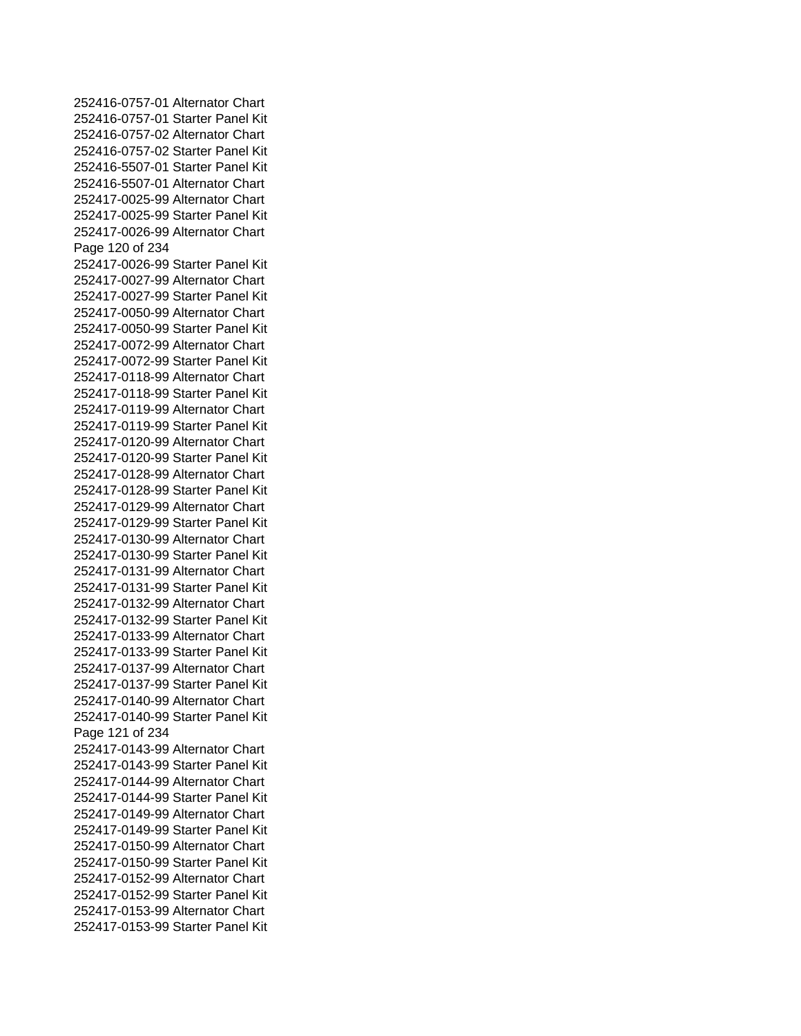252416-0757-01 Alternator Chart 252416-0757-01 Starter Panel Kit 252416-0757-02 Alternator Chart 252416-0757-02 Starter Panel Kit 252416-5507-01 Starter Panel Kit 252416-5507-01 Alternator Chart 252417-0025-99 Alternator Chart 252417-0025-99 Starter Panel Kit 252417-0026-99 Alternator Chart Page 120 of 234 252417-0026-99 Starter Panel Kit 252417-0027-99 Alternator Chart 252417-0027-99 Starter Panel Kit 252417-0050-99 Alternator Chart 252417-0050-99 Starter Panel Kit 252417-0072-99 Alternator Chart 252417-0072-99 Starter Panel Kit 252417-0118-99 Alternator Chart 252417-0118-99 Starter Panel Kit 252417-0119-99 Alternator Chart 252417-0119-99 Starter Panel Kit 252417-0120-99 Alternator Chart 252417-0120-99 Starter Panel Kit 252417-0128-99 Alternator Chart 252417-0128-99 Starter Panel Kit 252417-0129-99 Alternator Chart 252417-0129-99 Starter Panel Kit 252417-0130-99 Alternator Chart 252417-0130-99 Starter Panel Kit 252417-0131-99 Alternator Chart 252417-0131-99 Starter Panel Kit 252417-0132-99 Alternator Chart 252417-0132-99 Starter Panel Kit 252417-0133-99 Alternator Chart 252417-0133-99 Starter Panel Kit 252417-0137-99 Alternator Chart 252417-0137-99 Starter Panel Kit 252417-0140-99 Alternator Chart 252417-0140-99 Starter Panel Kit Page 121 of 234 252417-0143-99 Alternator Chart 252417-0143-99 Starter Panel Kit 252417-0144-99 Alternator Chart 252417-0144-99 Starter Panel Kit 252417-0149-99 Alternator Chart 252417-0149-99 Starter Panel Kit 252417-0150-99 Alternator Chart 252417-0150-99 Starter Panel Kit 252417-0152-99 Alternator Chart 252417-0152-99 Starter Panel Kit 252417-0153-99 Alternator Chart 252417-0153-99 Starter Panel Kit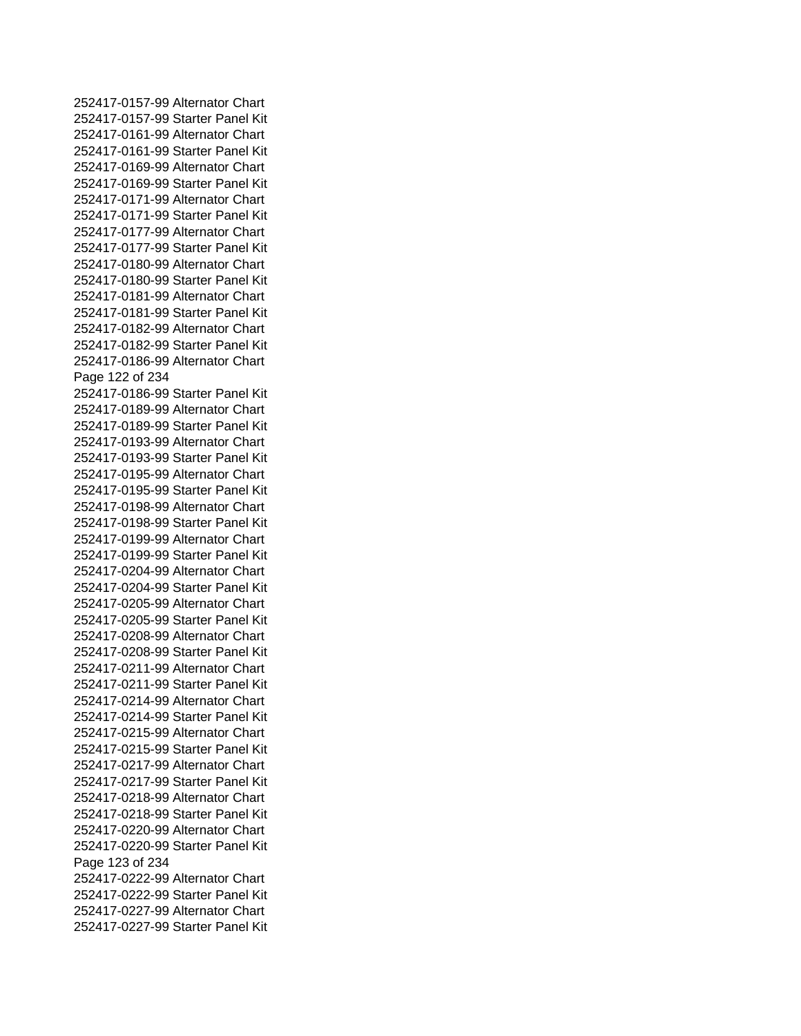252417-0157-99 Alternator Chart 252417-0157-99 Starter Panel Kit 252417-0161-99 Alternator Chart 252417-0161-99 Starter Panel Kit 252417-0169-99 Alternator Chart 252417-0169-99 Starter Panel Kit 252417-0171-99 Alternator Chart 252417-0171-99 Starter Panel Kit 252417-0177-99 Alternator Chart 252417-0177-99 Starter Panel Kit 252417-0180-99 Alternator Chart 252417-0180-99 Starter Panel Kit 252417-0181-99 Alternator Chart 252417-0181-99 Starter Panel Kit 252417-0182-99 Alternator Chart 252417-0182-99 Starter Panel Kit 252417-0186-99 Alternator Chart Page 122 of 234 252417-0186-99 Starter Panel Kit 252417-0189-99 Alternator Chart 252417-0189-99 Starter Panel Kit 252417-0193-99 Alternator Chart 252417-0193-99 Starter Panel Kit 252417-0195-99 Alternator Chart 252417-0195-99 Starter Panel Kit 252417-0198-99 Alternator Chart 252417-0198-99 Starter Panel Kit 252417-0199-99 Alternator Chart 252417-0199-99 Starter Panel Kit 252417-0204-99 Alternator Chart 252417-0204-99 Starter Panel Kit 252417-0205-99 Alternator Chart 252417-0205-99 Starter Panel Kit 252417-0208-99 Alternator Chart 252417-0208-99 Starter Panel Kit 252417-0211-99 Alternator Chart 252417-0211-99 Starter Panel Kit 252417-0214-99 Alternator Chart 252417-0214-99 Starter Panel Kit 252417-0215-99 Alternator Chart 252417-0215-99 Starter Panel Kit 252417-0217-99 Alternator Chart 252417-0217-99 Starter Panel Kit 252417-0218-99 Alternator Chart 252417-0218-99 Starter Panel Kit 252417-0220-99 Alternator Chart 252417-0220-99 Starter Panel Kit Page 123 of 234 252417-0222-99 Alternator Chart 252417-0222-99 Starter Panel Kit 252417-0227-99 Alternator Chart 252417-0227-99 Starter Panel Kit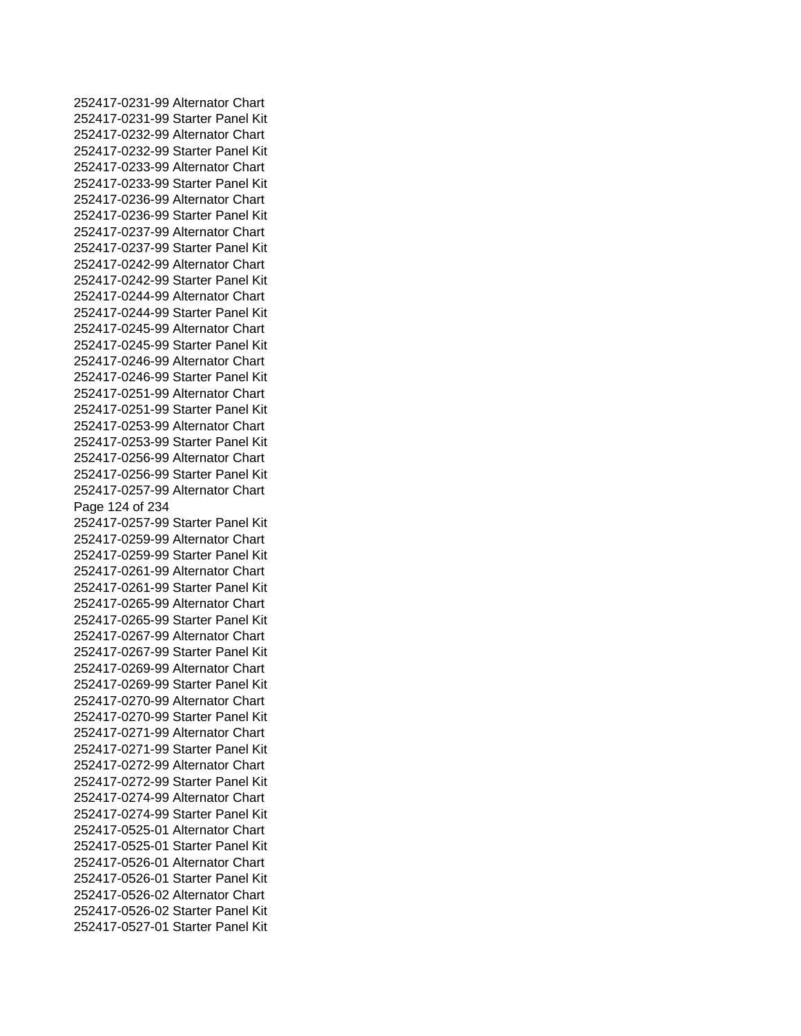252417-0231-99 Alternator Chart 252417-0231-99 Starter Panel Kit 252417-0232-99 Alternator Chart 252417-0232-99 Starter Panel Kit 252417-0233-99 Alternator Chart 252417-0233-99 Starter Panel Kit 252417-0236-99 Alternator Chart 252417-0236-99 Starter Panel Kit 252417-0237-99 Alternator Chart 252417-0237-99 Starter Panel Kit 252417-0242-99 Alternator Chart 252417-0242-99 Starter Panel Kit 252417-0244-99 Alternator Chart 252417-0244-99 Starter Panel Kit 252417-0245-99 Alternator Chart 252417-0245-99 Starter Panel Kit 252417-0246-99 Alternator Chart 252417-0246-99 Starter Panel Kit 252417-0251-99 Alternator Chart 252417-0251-99 Starter Panel Kit 252417-0253-99 Alternator Chart 252417-0253-99 Starter Panel Kit 252417-0256-99 Alternator Chart 252417-0256-99 Starter Panel Kit 252417-0257-99 Alternator Chart Page 124 of 234 252417-0257-99 Starter Panel Kit 252417-0259-99 Alternator Chart 252417-0259-99 Starter Panel Kit 252417-0261-99 Alternator Chart 252417-0261-99 Starter Panel Kit 252417-0265-99 Alternator Chart 252417-0265-99 Starter Panel Kit 252417-0267-99 Alternator Chart 252417-0267-99 Starter Panel Kit 252417-0269-99 Alternator Chart 252417-0269-99 Starter Panel Kit 252417-0270-99 Alternator Chart 252417-0270-99 Starter Panel Kit 252417-0271-99 Alternator Chart 252417-0271-99 Starter Panel Kit 252417-0272-99 Alternator Chart 252417-0272-99 Starter Panel Kit 252417-0274-99 Alternator Chart 252417-0274-99 Starter Panel Kit 252417-0525-01 Alternator Chart 252417-0525-01 Starter Panel Kit 252417-0526-01 Alternator Chart 252417-0526-01 Starter Panel Kit 252417-0526-02 Alternator Chart 252417-0526-02 Starter Panel Kit 252417-0527-01 Starter Panel Kit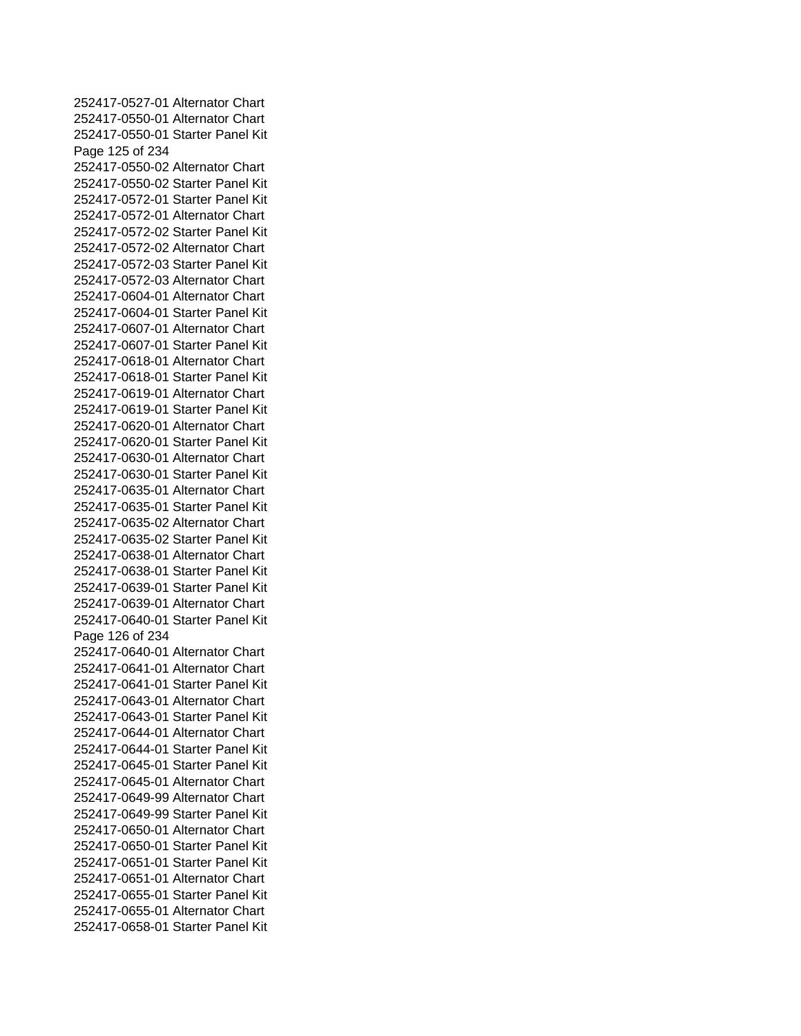252417-0527-01 Alternator Chart 252417-0550-01 Alternator Chart 252417-0550-01 Starter Panel Kit Page 125 of 234 252417-0550-02 Alternator Chart 252417-0550-02 Starter Panel Kit 252417-0572-01 Starter Panel Kit 252417-0572-01 Alternator Chart 252417-0572-02 Starter Panel Kit 252417-0572-02 Alternator Chart 252417-0572-03 Starter Panel Kit 252417-0572-03 Alternator Chart 252417-0604-01 Alternator Chart 252417-0604-01 Starter Panel Kit 252417-0607-01 Alternator Chart 252417-0607-01 Starter Panel Kit 252417-0618-01 Alternator Chart 252417-0618-01 Starter Panel Kit 252417-0619-01 Alternator Chart 252417-0619-01 Starter Panel Kit 252417-0620-01 Alternator Chart 252417-0620-01 Starter Panel Kit 252417-0630-01 Alternator Chart 252417-0630-01 Starter Panel Kit 252417-0635-01 Alternator Chart 252417-0635-01 Starter Panel Kit 252417-0635-02 Alternator Chart 252417-0635-02 Starter Panel Kit 252417-0638-01 Alternator Chart 252417-0638-01 Starter Panel Kit 252417-0639-01 Starter Panel Kit 252417-0639-01 Alternator Chart 252417-0640-01 Starter Panel Kit Page 126 of 234 252417-0640-01 Alternator Chart 252417-0641-01 Alternator Chart 252417-0641-01 Starter Panel Kit 252417-0643-01 Alternator Chart 252417-0643-01 Starter Panel Kit 252417-0644-01 Alternator Chart 252417-0644-01 Starter Panel Kit 252417-0645-01 Starter Panel Kit 252417-0645-01 Alternator Chart 252417-0649-99 Alternator Chart 252417-0649-99 Starter Panel Kit 252417-0650-01 Alternator Chart 252417-0650-01 Starter Panel Kit 252417-0651-01 Starter Panel Kit 252417-0651-01 Alternator Chart 252417-0655-01 Starter Panel Kit 252417-0655-01 Alternator Chart 252417-0658-01 Starter Panel Kit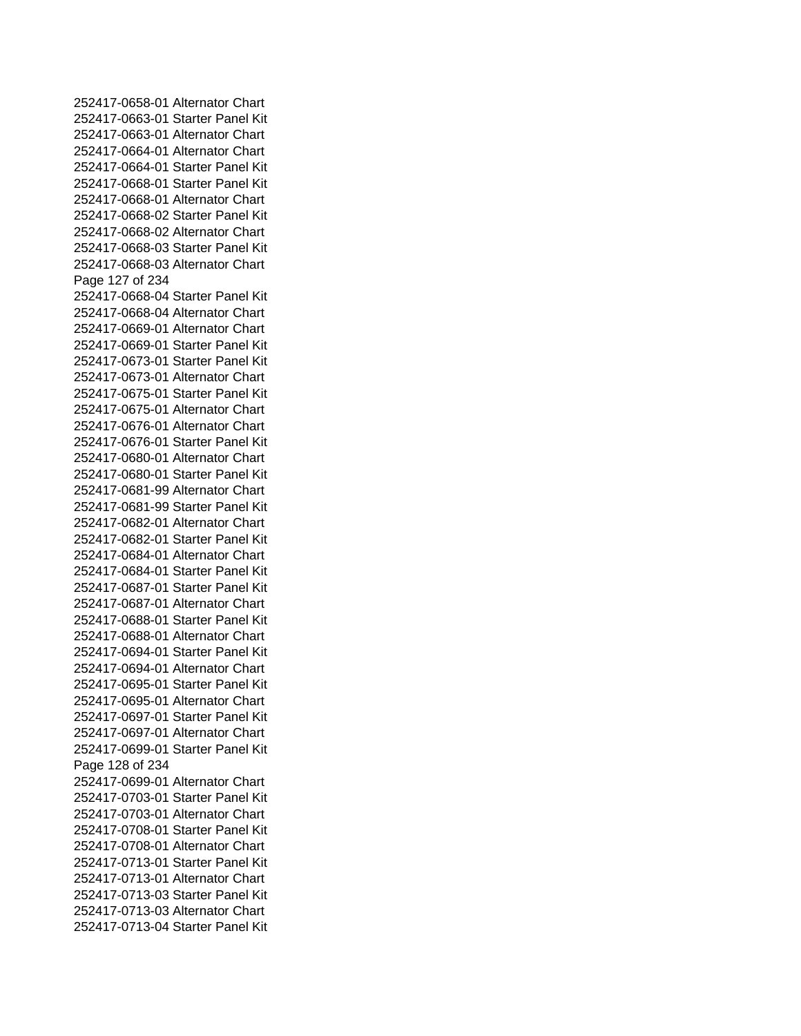252417-0658-01 Alternator Chart 252417-0663-01 Starter Panel Kit 252417-0663-01 Alternator Chart 252417-0664-01 Alternator Chart 252417-0664-01 Starter Panel Kit 252417-0668-01 Starter Panel Kit 252417-0668-01 Alternator Chart 252417-0668-02 Starter Panel Kit 252417-0668-02 Alternator Chart 252417-0668-03 Starter Panel Kit 252417-0668-03 Alternator Chart Page 127 of 234 252417-0668-04 Starter Panel Kit 252417-0668-04 Alternator Chart 252417-0669-01 Alternator Chart 252417-0669-01 Starter Panel Kit 252417-0673-01 Starter Panel Kit 252417-0673-01 Alternator Chart 252417-0675-01 Starter Panel Kit 252417-0675-01 Alternator Chart 252417-0676-01 Alternator Chart 252417-0676-01 Starter Panel Kit 252417-0680-01 Alternator Chart 252417-0680-01 Starter Panel Kit 252417-0681-99 Alternator Chart 252417-0681-99 Starter Panel Kit 252417-0682-01 Alternator Chart 252417-0682-01 Starter Panel Kit 252417-0684-01 Alternator Chart 252417-0684-01 Starter Panel Kit 252417-0687-01 Starter Panel Kit 252417-0687-01 Alternator Chart 252417-0688-01 Starter Panel Kit 252417-0688-01 Alternator Chart 252417-0694-01 Starter Panel Kit 252417-0694-01 Alternator Chart 252417-0695-01 Starter Panel Kit 252417-0695-01 Alternator Chart 252417-0697-01 Starter Panel Kit 252417-0697-01 Alternator Chart 252417-0699-01 Starter Panel Kit Page 128 of 234 252417-0699-01 Alternator Chart 252417-0703-01 Starter Panel Kit 252417-0703-01 Alternator Chart 252417-0708-01 Starter Panel Kit 252417-0708-01 Alternator Chart 252417-0713-01 Starter Panel Kit 252417-0713-01 Alternator Chart 252417-0713-03 Starter Panel Kit 252417-0713-03 Alternator Chart 252417-0713-04 Starter Panel Kit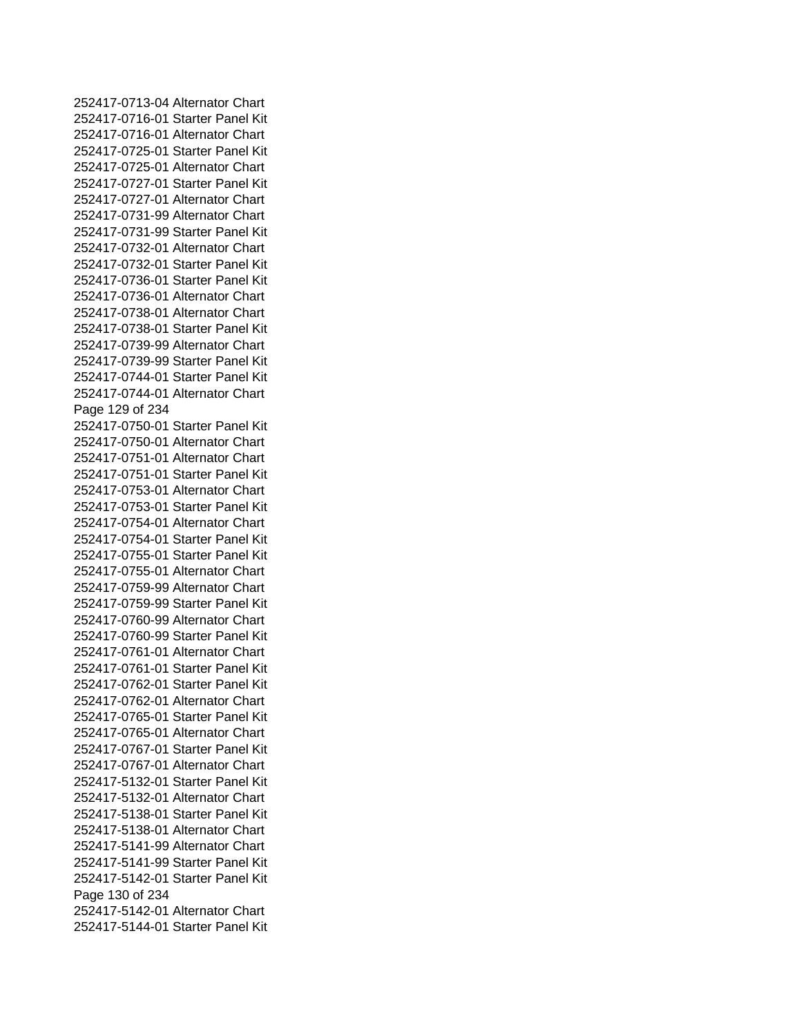252417-0713-04 Alternator Chart 252417-0716-01 Starter Panel Kit 252417-0716-01 Alternator Chart 252417-0725-01 Starter Panel Kit 252417-0725-01 Alternator Chart 252417-0727-01 Starter Panel Kit 252417-0727-01 Alternator Chart 252417-0731-99 Alternator Chart 252417-0731-99 Starter Panel Kit 252417-0732-01 Alternator Chart 252417-0732-01 Starter Panel Kit 252417-0736-01 Starter Panel Kit 252417-0736-01 Alternator Chart 252417-0738-01 Alternator Chart 252417-0738-01 Starter Panel Kit 252417-0739-99 Alternator Chart 252417-0739-99 Starter Panel Kit 252417-0744-01 Starter Panel Kit 252417-0744-01 Alternator Chart Page 129 of 234 252417-0750-01 Starter Panel Kit 252417-0750-01 Alternator Chart 252417-0751-01 Alternator Chart 252417-0751-01 Starter Panel Kit 252417-0753-01 Alternator Chart 252417-0753-01 Starter Panel Kit 252417-0754-01 Alternator Chart 252417-0754-01 Starter Panel Kit 252417-0755-01 Starter Panel Kit 252417-0755-01 Alternator Chart 252417-0759-99 Alternator Chart 252417-0759-99 Starter Panel Kit 252417-0760-99 Alternator Chart 252417-0760-99 Starter Panel Kit 252417-0761-01 Alternator Chart 252417-0761-01 Starter Panel Kit 252417-0762-01 Starter Panel Kit 252417-0762-01 Alternator Chart 252417-0765-01 Starter Panel Kit 252417-0765-01 Alternator Chart 252417-0767-01 Starter Panel Kit 252417-0767-01 Alternator Chart 252417-5132-01 Starter Panel Kit 252417-5132-01 Alternator Chart 252417-5138-01 Starter Panel Kit 252417-5138-01 Alternator Chart 252417-5141-99 Alternator Chart 252417-5141-99 Starter Panel Kit 252417-5142-01 Starter Panel Kit Page 130 of 234 252417-5142-01 Alternator Chart 252417-5144-01 Starter Panel Kit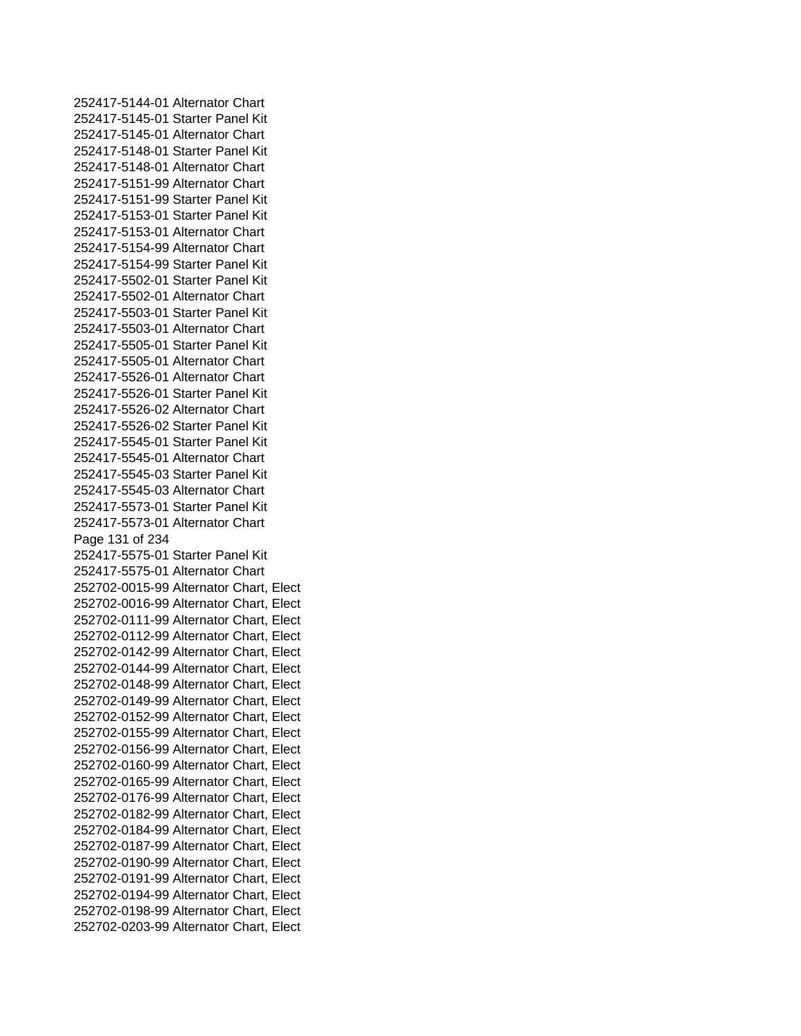252417-5144-01 Alternator Chart 252417-5145-01 Starter Panel Kit 252417-5145-01 Alternator Chart 252417-5148-01 Starter Panel Kit 252417-5148-01 Alternator Chart 252417-5151-99 Alternator Chart 252417-5151-99 Starter Panel Kit 252417-5153-01 Starter Panel Kit 252417-5153-01 Alternator Chart 252417-5154-99 Alternator Chart 252417-5154-99 Starter Panel Kit 252417-5502-01 Starter Panel Kit 252417-5502-01 Alternator Chart 252417-5503-01 Starter Panel Kit 252417-5503-01 Alternator Chart 252417-5505-01 Starter Panel Kit 252417-5505-01 Alternator Chart 252417-5526-01 Alternator Chart 252417-5526-01 Starter Panel Kit 252417-5526-02 Alternator Chart 252417-5526-02 Starter Panel Kit 252417-5545-01 Starter Panel Kit 252417-5545-01 Alternator Chart 252417-5545-03 Starter Panel Kit 252417-5545-03 Alternator Chart 252417-5573-01 Starter Panel Kit 252417-5573-01 Alternator Chart Page 131 of 234 252417-5575-01 Starter Panel Kit 252417-5575-01 Alternator Chart 252702-0015-99 Alternator Chart, Elect 252702-0016-99 Alternator Chart, Elect 252702-0111-99 Alternator Chart, Elect 252702-0112-99 Alternator Chart, Elect 252702-0142-99 Alternator Chart, Elect 252702-0144-99 Alternator Chart, Elect 252702-0148-99 Alternator Chart, Elect 252702-0149-99 Alternator Chart, Elect 252702-0152-99 Alternator Chart, Elect 252702-0155-99 Alternator Chart, Elect 252702-0156-99 Alternator Chart, Elect 252702-0160-99 Alternator Chart, Elect 252702-0165-99 Alternator Chart, Elect 252702-0176-99 Alternator Chart, Elect 252702-0182-99 Alternator Chart, Elect 252702-0184-99 Alternator Chart, Elect 252702-0187-99 Alternator Chart, Elect 252702-0190-99 Alternator Chart, Elect 252702-0191-99 Alternator Chart, Elect 252702-0194-99 Alternator Chart, Elect 252702-0198-99 Alternator Chart, Elect 252702-0203-99 Alternator Chart, Elect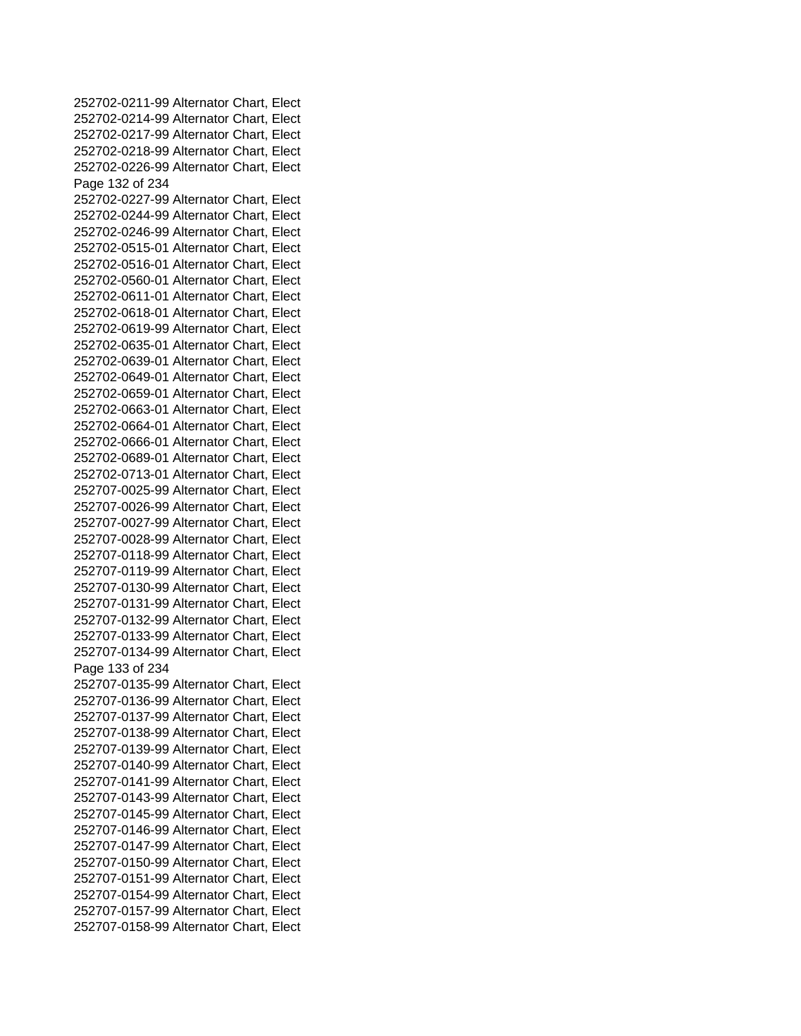252702-0211-99 Alternator Chart, Elect 252702-0214-99 Alternator Chart, Elect 252702-0217-99 Alternator Chart, Elect 252702-0218-99 Alternator Chart, Elect 252702-0226-99 Alternator Chart, Elect Page 132 of 234 252702-0227-99 Alternator Chart, Elect 252702-0244-99 Alternator Chart, Elect 252702-0246-99 Alternator Chart, Elect 252702-0515-01 Alternator Chart, Elect 252702-0516-01 Alternator Chart, Elect 252702-0560-01 Alternator Chart, Elect 252702-0611-01 Alternator Chart, Elect 252702-0618-01 Alternator Chart, Elect 252702-0619-99 Alternator Chart, Elect 252702-0635-01 Alternator Chart, Elect 252702-0639-01 Alternator Chart, Elect 252702-0649-01 Alternator Chart, Elect 252702-0659-01 Alternator Chart, Elect 252702-0663-01 Alternator Chart, Elect 252702-0664-01 Alternator Chart, Elect 252702-0666-01 Alternator Chart, Elect 252702-0689-01 Alternator Chart, Elect 252702-0713-01 Alternator Chart, Elect 252707-0025-99 Alternator Chart, Elect 252707-0026-99 Alternator Chart, Elect 252707-0027-99 Alternator Chart, Elect 252707-0028-99 Alternator Chart, Elect 252707-0118-99 Alternator Chart, Elect 252707-0119-99 Alternator Chart, Elect 252707-0130-99 Alternator Chart, Elect 252707-0131-99 Alternator Chart, Elect 252707-0132-99 Alternator Chart, Elect 252707-0133-99 Alternator Chart, Elect 252707-0134-99 Alternator Chart, Elect Page 133 of 234 252707-0135-99 Alternator Chart, Elect 252707-0136-99 Alternator Chart, Elect 252707-0137-99 Alternator Chart, Elect 252707-0138-99 Alternator Chart, Elect 252707-0139-99 Alternator Chart, Elect 252707-0140-99 Alternator Chart, Elect 252707-0141-99 Alternator Chart, Elect 252707-0143-99 Alternator Chart, Elect 252707-0145-99 Alternator Chart, Elect 252707-0146-99 Alternator Chart, Elect 252707-0147-99 Alternator Chart, Elect 252707-0150-99 Alternator Chart, Elect 252707-0151-99 Alternator Chart, Elect 252707-0154-99 Alternator Chart, Elect 252707-0157-99 Alternator Chart, Elect 252707-0158-99 Alternator Chart, Elect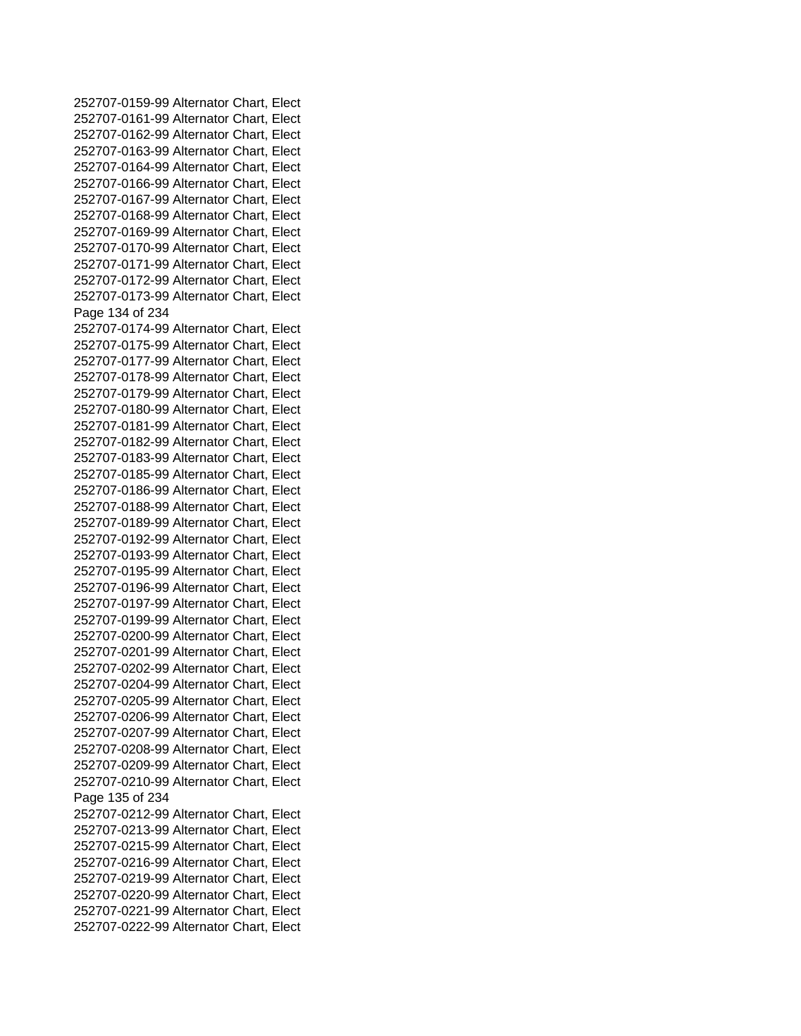252707-0159-99 Alternator Chart, Elect 252707-0161-99 Alternator Chart, Elect 252707-0162-99 Alternator Chart, Elect 252707-0163-99 Alternator Chart, Elect 252707-0164-99 Alternator Chart, Elect 252707-0166-99 Alternator Chart, Elect 252707-0167-99 Alternator Chart, Elect 252707-0168-99 Alternator Chart, Elect 252707-0169-99 Alternator Chart, Elect 252707-0170-99 Alternator Chart, Elect 252707-0171-99 Alternator Chart, Elect 252707-0172-99 Alternator Chart, Elect 252707-0173-99 Alternator Chart, Elect Page 134 of 234 252707-0174-99 Alternator Chart, Elect 252707-0175-99 Alternator Chart, Elect 252707-0177-99 Alternator Chart, Elect 252707-0178-99 Alternator Chart, Elect 252707-0179-99 Alternator Chart, Elect 252707-0180-99 Alternator Chart, Elect 252707-0181-99 Alternator Chart, Elect 252707-0182-99 Alternator Chart, Elect 252707-0183-99 Alternator Chart, Elect 252707-0185-99 Alternator Chart, Elect 252707-0186-99 Alternator Chart, Elect 252707-0188-99 Alternator Chart, Elect 252707-0189-99 Alternator Chart, Elect 252707-0192-99 Alternator Chart, Elect 252707-0193-99 Alternator Chart, Elect 252707-0195-99 Alternator Chart, Elect 252707-0196-99 Alternator Chart, Elect 252707-0197-99 Alternator Chart, Elect 252707-0199-99 Alternator Chart, Elect 252707-0200-99 Alternator Chart, Elect 252707-0201-99 Alternator Chart, Elect 252707-0202-99 Alternator Chart, Elect 252707-0204-99 Alternator Chart, Elect 252707-0205-99 Alternator Chart, Elect 252707-0206-99 Alternator Chart, Elect 252707-0207-99 Alternator Chart, Elect 252707-0208-99 Alternator Chart, Elect 252707-0209-99 Alternator Chart, Elect 252707-0210-99 Alternator Chart, Elect Page 135 of 234 252707-0212-99 Alternator Chart, Elect 252707-0213-99 Alternator Chart, Elect 252707-0215-99 Alternator Chart, Elect 252707-0216-99 Alternator Chart, Elect 252707-0219-99 Alternator Chart, Elect 252707-0220-99 Alternator Chart, Elect 252707-0221-99 Alternator Chart, Elect 252707-0222-99 Alternator Chart, Elect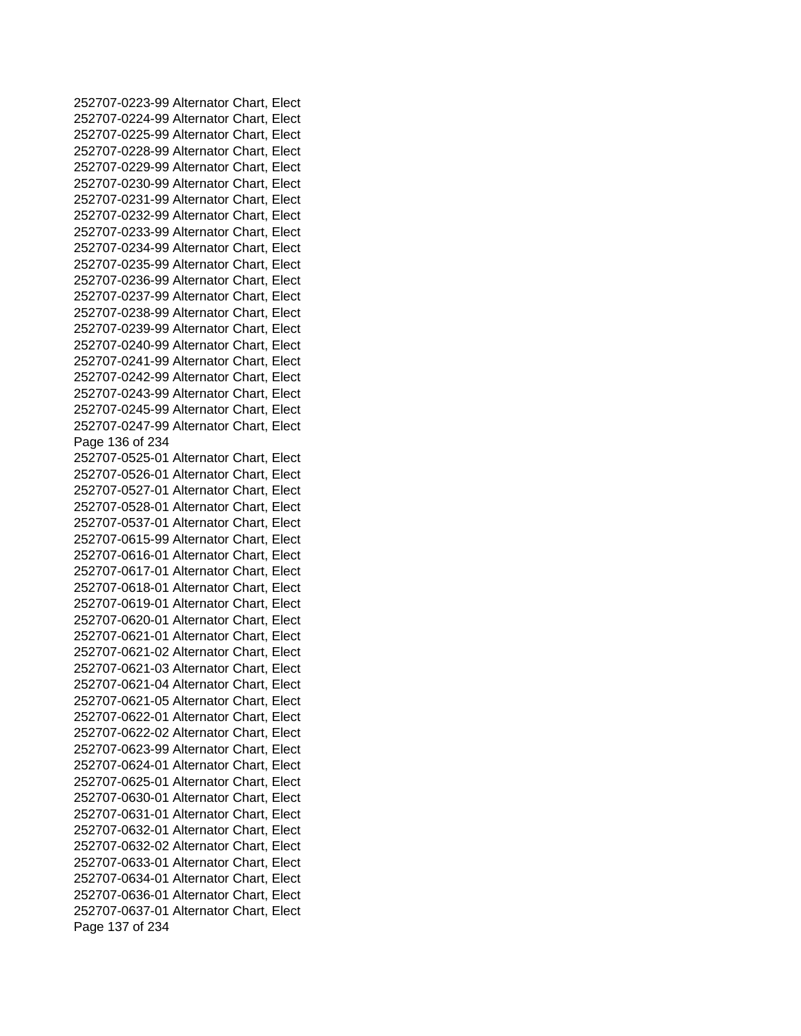252707-0223-99 Alternator Chart, Elect 252707-0224-99 Alternator Chart, Elect 252707-0225-99 Alternator Chart, Elect 252707-0228-99 Alternator Chart, Elect 252707-0229-99 Alternator Chart, Elect 252707-0230-99 Alternator Chart, Elect 252707-0231-99 Alternator Chart, Elect 252707-0232-99 Alternator Chart, Elect 252707-0233-99 Alternator Chart, Elect 252707-0234-99 Alternator Chart, Elect 252707-0235-99 Alternator Chart, Elect 252707-0236-99 Alternator Chart, Elect 252707-0237-99 Alternator Chart, Elect 252707-0238-99 Alternator Chart, Elect 252707-0239-99 Alternator Chart, Elect 252707-0240-99 Alternator Chart, Elect 252707-0241-99 Alternator Chart, Elect 252707-0242-99 Alternator Chart, Elect 252707-0243-99 Alternator Chart, Elect 252707-0245-99 Alternator Chart, Elect 252707-0247-99 Alternator Chart, Elect Page 136 of 234 252707-0525-01 Alternator Chart, Elect 252707-0526-01 Alternator Chart, Elect 252707-0527-01 Alternator Chart, Elect 252707-0528-01 Alternator Chart, Elect 252707-0537-01 Alternator Chart, Elect 252707-0615-99 Alternator Chart, Elect 252707-0616-01 Alternator Chart, Elect 252707-0617-01 Alternator Chart, Elect 252707-0618-01 Alternator Chart, Elect 252707-0619-01 Alternator Chart, Elect 252707-0620-01 Alternator Chart, Elect 252707-0621-01 Alternator Chart, Elect 252707-0621-02 Alternator Chart, Elect 252707-0621-03 Alternator Chart, Elect 252707-0621-04 Alternator Chart, Elect 252707-0621-05 Alternator Chart, Elect 252707-0622-01 Alternator Chart, Elect 252707-0622-02 Alternator Chart, Elect 252707-0623-99 Alternator Chart, Elect 252707-0624-01 Alternator Chart, Elect 252707-0625-01 Alternator Chart, Elect 252707-0630-01 Alternator Chart, Elect 252707-0631-01 Alternator Chart, Elect 252707-0632-01 Alternator Chart, Elect 252707-0632-02 Alternator Chart, Elect 252707-0633-01 Alternator Chart, Elect 252707-0634-01 Alternator Chart, Elect 252707-0636-01 Alternator Chart, Elect 252707-0637-01 Alternator Chart, Elect Page 137 of 234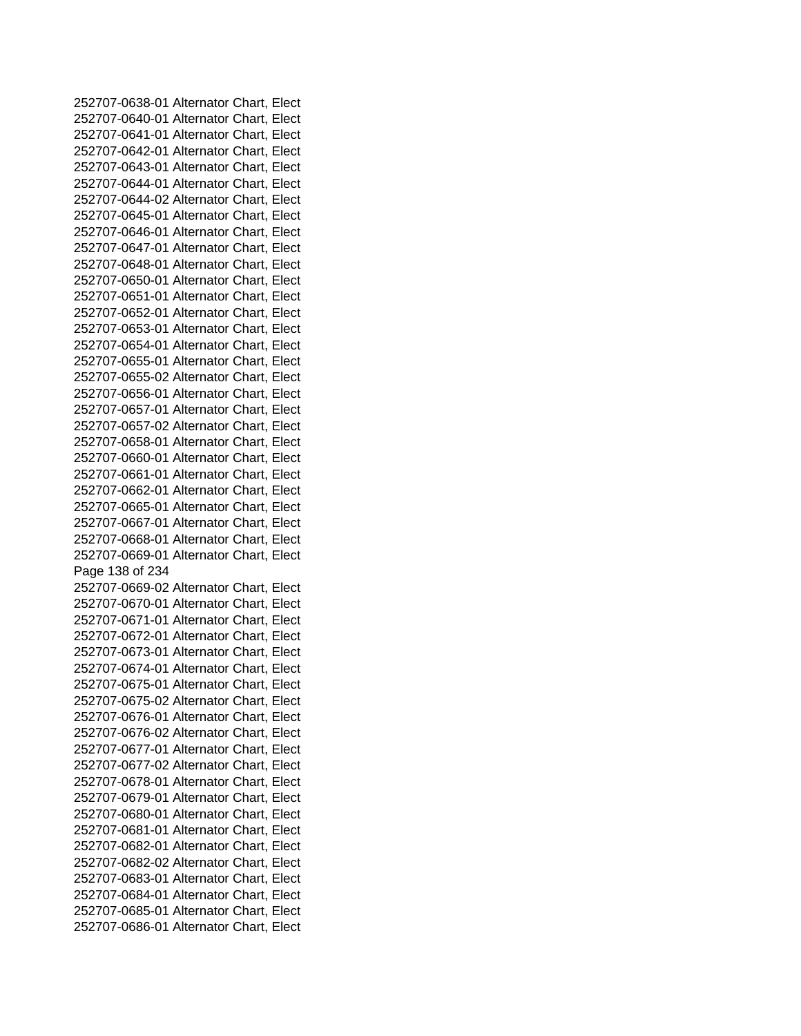252707-0638-01 Alternator Chart, Elect 252707-0640-01 Alternator Chart, Elect 252707-0641-01 Alternator Chart, Elect 252707-0642-01 Alternator Chart, Elect 252707-0643-01 Alternator Chart, Elect 252707-0644-01 Alternator Chart, Elect 252707-0644-02 Alternator Chart, Elect 252707-0645-01 Alternator Chart, Elect 252707-0646-01 Alternator Chart, Elect 252707-0647-01 Alternator Chart, Elect 252707-0648-01 Alternator Chart, Elect 252707-0650-01 Alternator Chart, Elect 252707-0651-01 Alternator Chart, Elect 252707-0652-01 Alternator Chart, Elect 252707-0653-01 Alternator Chart, Elect 252707-0654-01 Alternator Chart, Elect 252707-0655-01 Alternator Chart, Elect 252707-0655-02 Alternator Chart, Elect 252707-0656-01 Alternator Chart, Elect 252707-0657-01 Alternator Chart, Elect 252707-0657-02 Alternator Chart, Elect 252707-0658-01 Alternator Chart, Elect 252707-0660-01 Alternator Chart, Elect 252707-0661-01 Alternator Chart, Elect 252707-0662-01 Alternator Chart, Elect 252707-0665-01 Alternator Chart, Elect 252707-0667-01 Alternator Chart, Elect 252707-0668-01 Alternator Chart, Elect 252707-0669-01 Alternator Chart, Elect Page 138 of 234 252707-0669-02 Alternator Chart, Elect 252707-0670-01 Alternator Chart, Elect 252707-0671-01 Alternator Chart, Elect 252707-0672-01 Alternator Chart, Elect 252707-0673-01 Alternator Chart, Elect 252707-0674-01 Alternator Chart, Elect 252707-0675-01 Alternator Chart, Elect 252707-0675-02 Alternator Chart, Elect 252707-0676-01 Alternator Chart, Elect 252707-0676-02 Alternator Chart, Elect 252707-0677-01 Alternator Chart, Elect 252707-0677-02 Alternator Chart, Elect 252707-0678-01 Alternator Chart, Elect 252707-0679-01 Alternator Chart, Elect 252707-0680-01 Alternator Chart, Elect 252707-0681-01 Alternator Chart, Elect 252707-0682-01 Alternator Chart, Elect 252707-0682-02 Alternator Chart, Elect 252707-0683-01 Alternator Chart, Elect 252707-0684-01 Alternator Chart, Elect 252707-0685-01 Alternator Chart, Elect 252707-0686-01 Alternator Chart, Elect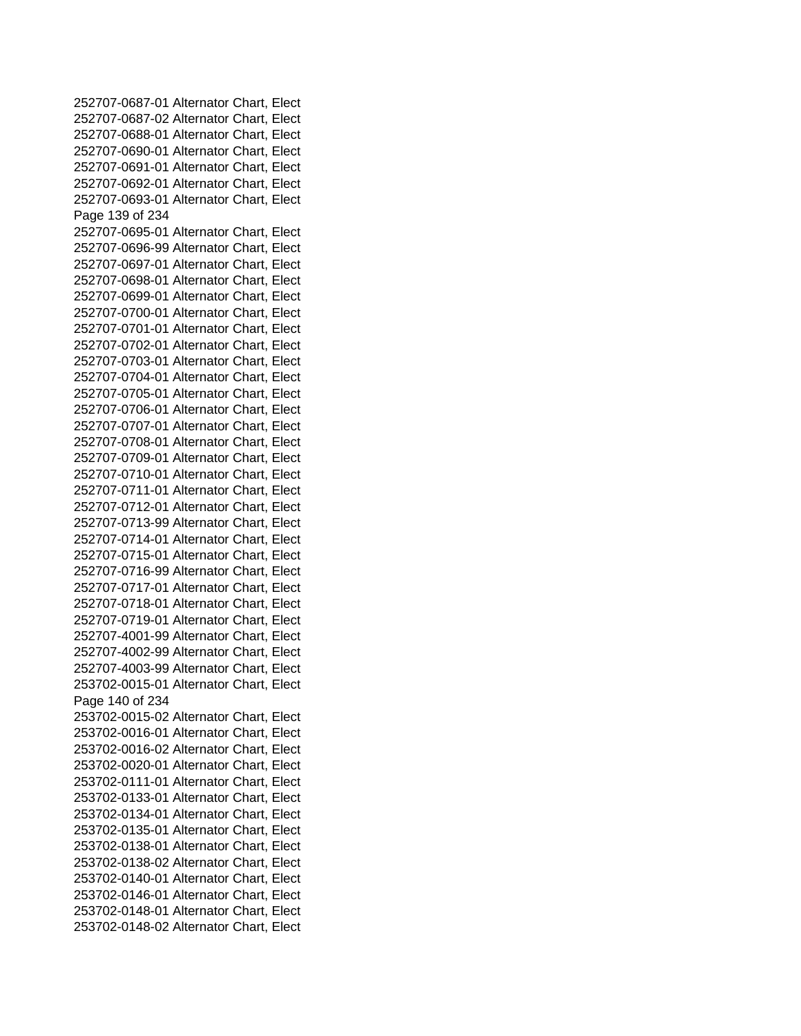252707-0687-01 Alternator Chart, Elect 252707-0687-02 Alternator Chart, Elect 252707-0688-01 Alternator Chart, Elect 252707-0690-01 Alternator Chart, Elect 252707-0691-01 Alternator Chart, Elect 252707-0692-01 Alternator Chart, Elect 252707-0693-01 Alternator Chart, Elect Page 139 of 234 252707-0695-01 Alternator Chart, Elect 252707-0696-99 Alternator Chart, Elect 252707-0697-01 Alternator Chart, Elect 252707-0698-01 Alternator Chart, Elect 252707-0699-01 Alternator Chart, Elect 252707-0700-01 Alternator Chart, Elect 252707-0701-01 Alternator Chart, Elect 252707-0702-01 Alternator Chart, Elect 252707-0703-01 Alternator Chart, Elect 252707-0704-01 Alternator Chart, Elect 252707-0705-01 Alternator Chart, Elect 252707-0706-01 Alternator Chart, Elect 252707-0707-01 Alternator Chart, Elect 252707-0708-01 Alternator Chart, Elect 252707-0709-01 Alternator Chart, Elect 252707-0710-01 Alternator Chart, Elect 252707-0711-01 Alternator Chart, Elect 252707-0712-01 Alternator Chart, Elect 252707-0713-99 Alternator Chart, Elect 252707-0714-01 Alternator Chart, Elect 252707-0715-01 Alternator Chart, Elect 252707-0716-99 Alternator Chart, Elect 252707-0717-01 Alternator Chart, Elect 252707-0718-01 Alternator Chart, Elect 252707-0719-01 Alternator Chart, Elect 252707-4001-99 Alternator Chart, Elect 252707-4002-99 Alternator Chart, Elect 252707-4003-99 Alternator Chart, Elect 253702-0015-01 Alternator Chart, Elect Page 140 of 234 253702-0015-02 Alternator Chart, Elect 253702-0016-01 Alternator Chart, Elect 253702-0016-02 Alternator Chart, Elect 253702-0020-01 Alternator Chart, Elect 253702-0111-01 Alternator Chart, Elect 253702-0133-01 Alternator Chart, Elect 253702-0134-01 Alternator Chart, Elect 253702-0135-01 Alternator Chart, Elect 253702-0138-01 Alternator Chart, Elect 253702-0138-02 Alternator Chart, Elect 253702-0140-01 Alternator Chart, Elect 253702-0146-01 Alternator Chart, Elect 253702-0148-01 Alternator Chart, Elect 253702-0148-02 Alternator Chart, Elect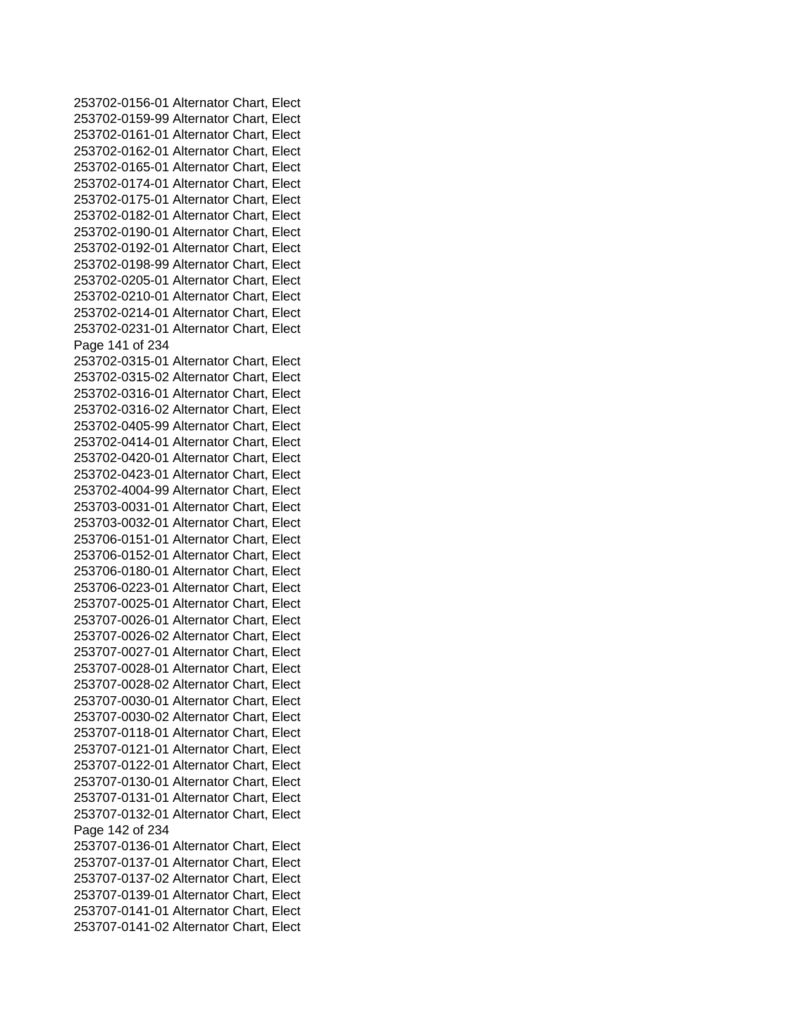253702-0156-01 Alternator Chart, Elect 253702-0159-99 Alternator Chart, Elect 253702-0161-01 Alternator Chart, Elect 253702-0162-01 Alternator Chart, Elect 253702-0165-01 Alternator Chart, Elect 253702-0174-01 Alternator Chart, Elect 253702-0175-01 Alternator Chart, Elect 253702-0182-01 Alternator Chart, Elect 253702-0190-01 Alternator Chart, Elect 253702-0192-01 Alternator Chart, Elect 253702-0198-99 Alternator Chart, Elect 253702-0205-01 Alternator Chart, Elect 253702-0210-01 Alternator Chart, Elect 253702-0214-01 Alternator Chart, Elect 253702-0231-01 Alternator Chart, Elect Page 141 of 234 253702-0315-01 Alternator Chart, Elect 253702-0315-02 Alternator Chart, Elect 253702-0316-01 Alternator Chart, Elect 253702-0316-02 Alternator Chart, Elect 253702-0405-99 Alternator Chart, Elect 253702-0414-01 Alternator Chart, Elect 253702-0420-01 Alternator Chart, Elect 253702-0423-01 Alternator Chart, Elect 253702-4004-99 Alternator Chart, Elect 253703-0031-01 Alternator Chart, Elect 253703-0032-01 Alternator Chart, Elect 253706-0151-01 Alternator Chart, Elect 253706-0152-01 Alternator Chart, Elect 253706-0180-01 Alternator Chart, Elect 253706-0223-01 Alternator Chart, Elect 253707-0025-01 Alternator Chart, Elect 253707-0026-01 Alternator Chart, Elect 253707-0026-02 Alternator Chart, Elect 253707-0027-01 Alternator Chart, Elect 253707-0028-01 Alternator Chart, Elect 253707-0028-02 Alternator Chart, Elect 253707-0030-01 Alternator Chart, Elect 253707-0030-02 Alternator Chart, Elect 253707-0118-01 Alternator Chart, Elect 253707-0121-01 Alternator Chart, Elect 253707-0122-01 Alternator Chart, Elect 253707-0130-01 Alternator Chart, Elect 253707-0131-01 Alternator Chart, Elect 253707-0132-01 Alternator Chart, Elect Page 142 of 234 253707-0136-01 Alternator Chart, Elect 253707-0137-01 Alternator Chart, Elect 253707-0137-02 Alternator Chart, Elect 253707-0139-01 Alternator Chart, Elect 253707-0141-01 Alternator Chart, Elect 253707-0141-02 Alternator Chart, Elect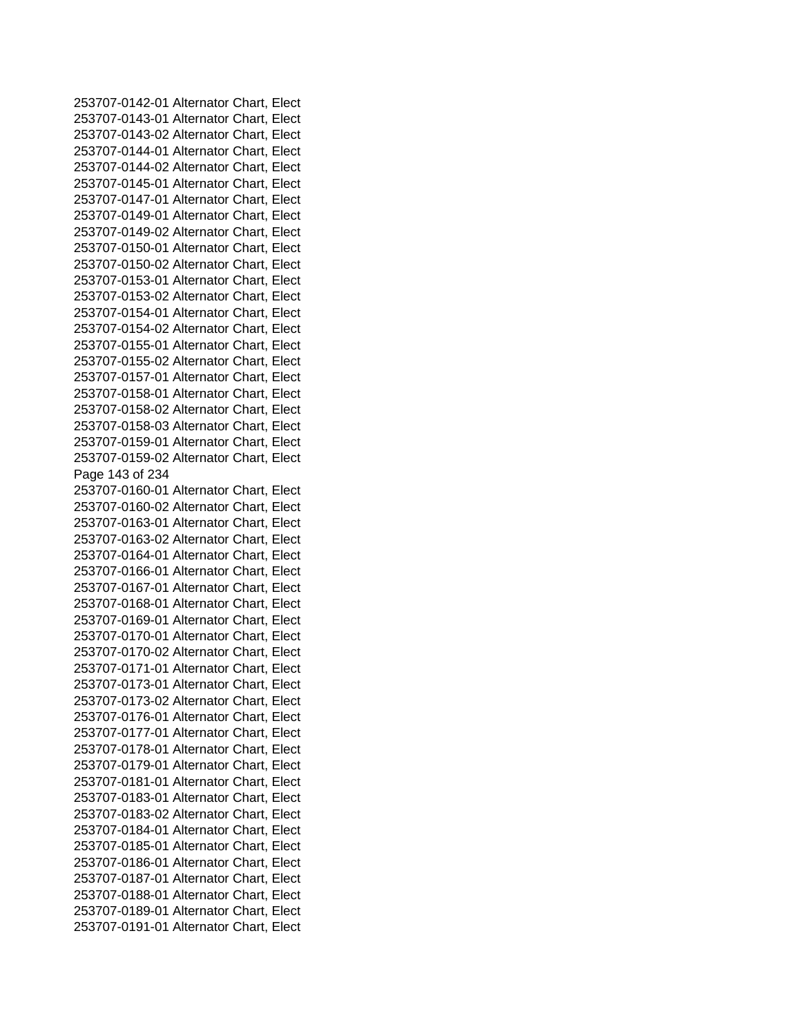253707-0142-01 Alternator Chart, Elect 253707-0143-01 Alternator Chart, Elect 253707-0143-02 Alternator Chart, Elect 253707-0144-01 Alternator Chart, Elect 253707-0144-02 Alternator Chart, Elect 253707-0145-01 Alternator Chart, Elect 253707-0147-01 Alternator Chart, Elect 253707-0149-01 Alternator Chart, Elect 253707-0149-02 Alternator Chart, Elect 253707-0150-01 Alternator Chart, Elect 253707-0150-02 Alternator Chart, Elect 253707-0153-01 Alternator Chart, Elect 253707-0153-02 Alternator Chart, Elect 253707-0154-01 Alternator Chart, Elect 253707-0154-02 Alternator Chart, Elect 253707-0155-01 Alternator Chart, Elect 253707-0155-02 Alternator Chart, Elect 253707-0157-01 Alternator Chart, Elect 253707-0158-01 Alternator Chart, Elect 253707-0158-02 Alternator Chart, Elect 253707-0158-03 Alternator Chart, Elect 253707-0159-01 Alternator Chart, Elect 253707-0159-02 Alternator Chart, Elect Page 143 of 234 253707-0160-01 Alternator Chart, Elect 253707-0160-02 Alternator Chart, Elect 253707-0163-01 Alternator Chart, Elect 253707-0163-02 Alternator Chart, Elect 253707-0164-01 Alternator Chart, Elect 253707-0166-01 Alternator Chart, Elect 253707-0167-01 Alternator Chart, Elect 253707-0168-01 Alternator Chart, Elect 253707-0169-01 Alternator Chart, Elect 253707-0170-01 Alternator Chart, Elect 253707-0170-02 Alternator Chart, Elect 253707-0171-01 Alternator Chart, Elect 253707-0173-01 Alternator Chart, Elect 253707-0173-02 Alternator Chart, Elect 253707-0176-01 Alternator Chart, Elect 253707-0177-01 Alternator Chart, Elect 253707-0178-01 Alternator Chart, Elect 253707-0179-01 Alternator Chart, Elect 253707-0181-01 Alternator Chart, Elect 253707-0183-01 Alternator Chart, Elect 253707-0183-02 Alternator Chart, Elect 253707-0184-01 Alternator Chart, Elect 253707-0185-01 Alternator Chart, Elect 253707-0186-01 Alternator Chart, Elect 253707-0187-01 Alternator Chart, Elect 253707-0188-01 Alternator Chart, Elect 253707-0189-01 Alternator Chart, Elect 253707-0191-01 Alternator Chart, Elect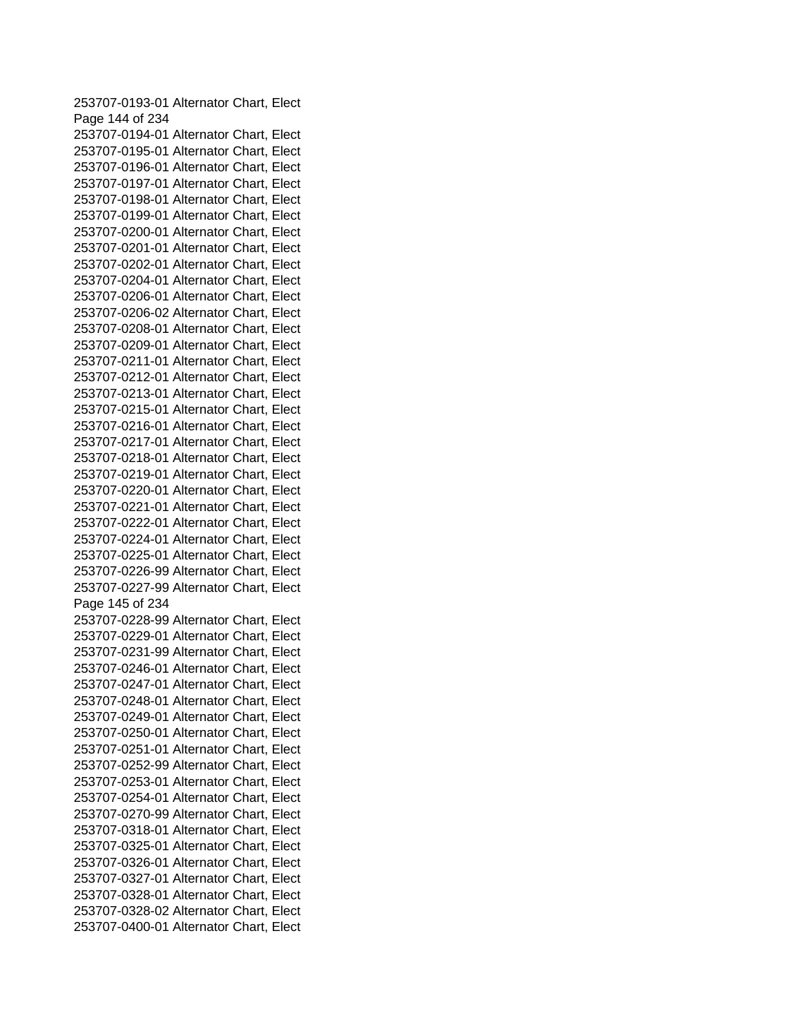253707-0193-01 Alternator Chart, Elect Page 144 of 234 253707-0194-01 Alternator Chart, Elect 253707-0195-01 Alternator Chart, Elect 253707-0196-01 Alternator Chart, Elect 253707-0197-01 Alternator Chart, Elect 253707-0198-01 Alternator Chart, Elect 253707-0199-01 Alternator Chart, Elect 253707-0200-01 Alternator Chart, Elect 253707-0201-01 Alternator Chart, Elect 253707-0202-01 Alternator Chart, Elect 253707-0204-01 Alternator Chart, Elect 253707-0206-01 Alternator Chart, Elect 253707-0206-02 Alternator Chart, Elect 253707-0208-01 Alternator Chart, Elect 253707-0209-01 Alternator Chart, Elect 253707-0211-01 Alternator Chart, Elect 253707-0212-01 Alternator Chart, Elect 253707-0213-01 Alternator Chart, Elect 253707-0215-01 Alternator Chart, Elect 253707-0216-01 Alternator Chart, Elect 253707-0217-01 Alternator Chart, Elect 253707-0218-01 Alternator Chart, Elect 253707-0219-01 Alternator Chart, Elect 253707-0220-01 Alternator Chart, Elect 253707-0221-01 Alternator Chart, Elect 253707-0222-01 Alternator Chart, Elect 253707-0224-01 Alternator Chart, Elect 253707-0225-01 Alternator Chart, Elect 253707-0226-99 Alternator Chart, Elect 253707-0227-99 Alternator Chart, Elect Page 145 of 234 253707-0228-99 Alternator Chart, Elect 253707-0229-01 Alternator Chart, Elect 253707-0231-99 Alternator Chart, Elect 253707-0246-01 Alternator Chart, Elect 253707-0247-01 Alternator Chart, Elect 253707-0248-01 Alternator Chart, Elect 253707-0249-01 Alternator Chart, Elect 253707-0250-01 Alternator Chart, Elect 253707-0251-01 Alternator Chart, Elect 253707-0252-99 Alternator Chart, Elect 253707-0253-01 Alternator Chart, Elect 253707-0254-01 Alternator Chart, Elect 253707-0270-99 Alternator Chart, Elect 253707-0318-01 Alternator Chart, Elect 253707-0325-01 Alternator Chart, Elect 253707-0326-01 Alternator Chart, Elect 253707-0327-01 Alternator Chart, Elect 253707-0328-01 Alternator Chart, Elect 253707-0328-02 Alternator Chart, Elect 253707-0400-01 Alternator Chart, Elect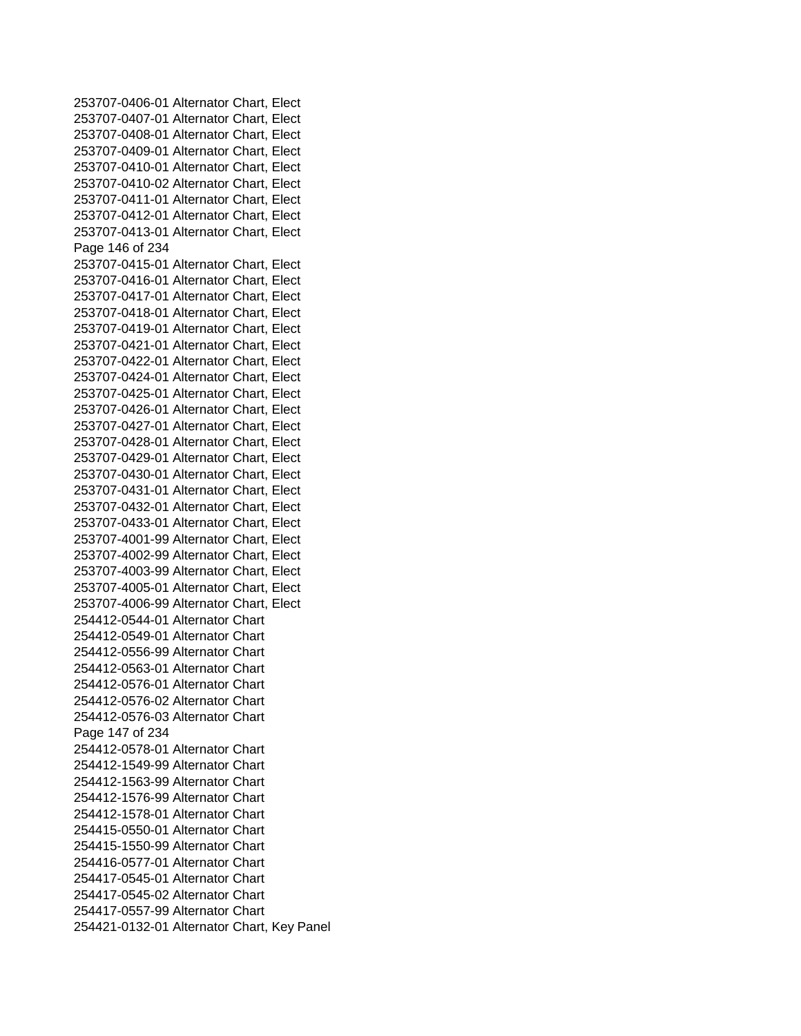253707-0406-01 Alternator Chart, Elect 253707-0407-01 Alternator Chart, Elect 253707-0408-01 Alternator Chart, Elect 253707-0409-01 Alternator Chart, Elect 253707-0410-01 Alternator Chart, Elect 253707-0410-02 Alternator Chart, Elect 253707-0411-01 Alternator Chart, Elect 253707-0412-01 Alternator Chart, Elect 253707-0413-01 Alternator Chart, Elect Page 146 of 234 253707-0415-01 Alternator Chart, Elect 253707-0416-01 Alternator Chart, Elect 253707-0417-01 Alternator Chart, Elect 253707-0418-01 Alternator Chart, Elect 253707-0419-01 Alternator Chart, Elect 253707-0421-01 Alternator Chart, Elect 253707-0422-01 Alternator Chart, Elect 253707-0424-01 Alternator Chart, Elect 253707-0425-01 Alternator Chart, Elect 253707-0426-01 Alternator Chart, Elect 253707-0427-01 Alternator Chart, Elect 253707-0428-01 Alternator Chart, Elect 253707-0429-01 Alternator Chart, Elect 253707-0430-01 Alternator Chart, Elect 253707-0431-01 Alternator Chart, Elect 253707-0432-01 Alternator Chart, Elect 253707-0433-01 Alternator Chart, Elect 253707-4001-99 Alternator Chart, Elect 253707-4002-99 Alternator Chart, Elect 253707-4003-99 Alternator Chart, Elect 253707-4005-01 Alternator Chart, Elect 253707-4006-99 Alternator Chart, Elect 254412-0544-01 Alternator Chart 254412-0549-01 Alternator Chart 254412-0556-99 Alternator Chart 254412-0563-01 Alternator Chart 254412-0576-01 Alternator Chart 254412-0576-02 Alternator Chart 254412-0576-03 Alternator Chart Page 147 of 234 254412-0578-01 Alternator Chart 254412-1549-99 Alternator Chart 254412-1563-99 Alternator Chart 254412-1576-99 Alternator Chart 254412-1578-01 Alternator Chart 254415-0550-01 Alternator Chart 254415-1550-99 Alternator Chart 254416-0577-01 Alternator Chart 254417-0545-01 Alternator Chart 254417-0545-02 Alternator Chart 254417-0557-99 Alternator Chart 254421-0132-01 Alternator Chart, Key Panel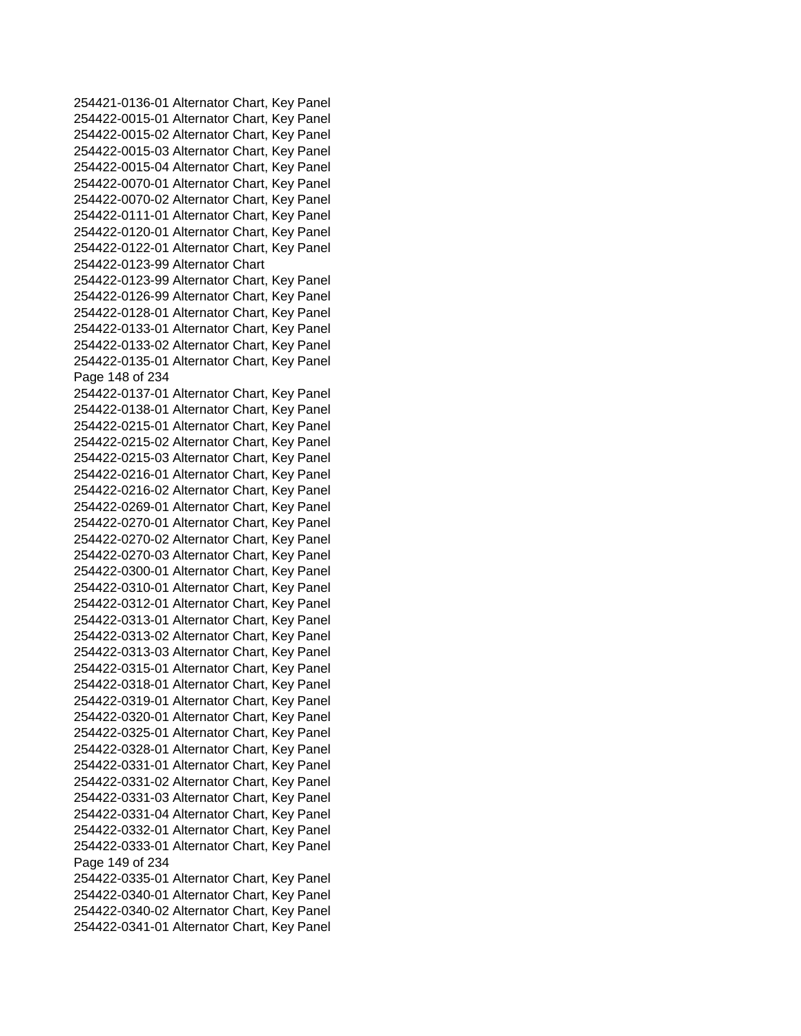254421-0136-01 Alternator Chart, Key Panel 254422-0015-01 Alternator Chart, Key Panel 254422-0015-02 Alternator Chart, Key Panel 254422-0015-03 Alternator Chart, Key Panel 254422-0015-04 Alternator Chart, Key Panel 254422-0070-01 Alternator Chart, Key Panel 254422-0070-02 Alternator Chart, Key Panel 254422-0111-01 Alternator Chart, Key Panel 254422-0120-01 Alternator Chart, Key Panel 254422-0122-01 Alternator Chart, Key Panel 254422-0123-99 Alternator Chart 254422-0123-99 Alternator Chart, Key Panel 254422-0126-99 Alternator Chart, Key Panel 254422-0128-01 Alternator Chart, Key Panel 254422-0133-01 Alternator Chart, Key Panel 254422-0133-02 Alternator Chart, Key Panel 254422-0135-01 Alternator Chart, Key Panel Page 148 of 234 254422-0137-01 Alternator Chart, Key Panel 254422-0138-01 Alternator Chart, Key Panel 254422-0215-01 Alternator Chart, Key Panel 254422-0215-02 Alternator Chart, Key Panel 254422-0215-03 Alternator Chart, Key Panel 254422-0216-01 Alternator Chart, Key Panel 254422-0216-02 Alternator Chart, Key Panel 254422-0269-01 Alternator Chart, Key Panel 254422-0270-01 Alternator Chart, Key Panel 254422-0270-02 Alternator Chart, Key Panel 254422-0270-03 Alternator Chart, Key Panel 254422-0300-01 Alternator Chart, Key Panel 254422-0310-01 Alternator Chart, Key Panel 254422-0312-01 Alternator Chart, Key Panel 254422-0313-01 Alternator Chart, Key Panel 254422-0313-02 Alternator Chart, Key Panel 254422-0313-03 Alternator Chart, Key Panel 254422-0315-01 Alternator Chart, Key Panel 254422-0318-01 Alternator Chart, Key Panel 254422-0319-01 Alternator Chart, Key Panel 254422-0320-01 Alternator Chart, Key Panel 254422-0325-01 Alternator Chart, Key Panel 254422-0328-01 Alternator Chart, Key Panel 254422-0331-01 Alternator Chart, Key Panel 254422-0331-02 Alternator Chart, Key Panel 254422-0331-03 Alternator Chart, Key Panel 254422-0331-04 Alternator Chart, Key Panel 254422-0332-01 Alternator Chart, Key Panel 254422-0333-01 Alternator Chart, Key Panel Page 149 of 234 254422-0335-01 Alternator Chart, Key Panel 254422-0340-01 Alternator Chart, Key Panel 254422-0340-02 Alternator Chart, Key Panel 254422-0341-01 Alternator Chart, Key Panel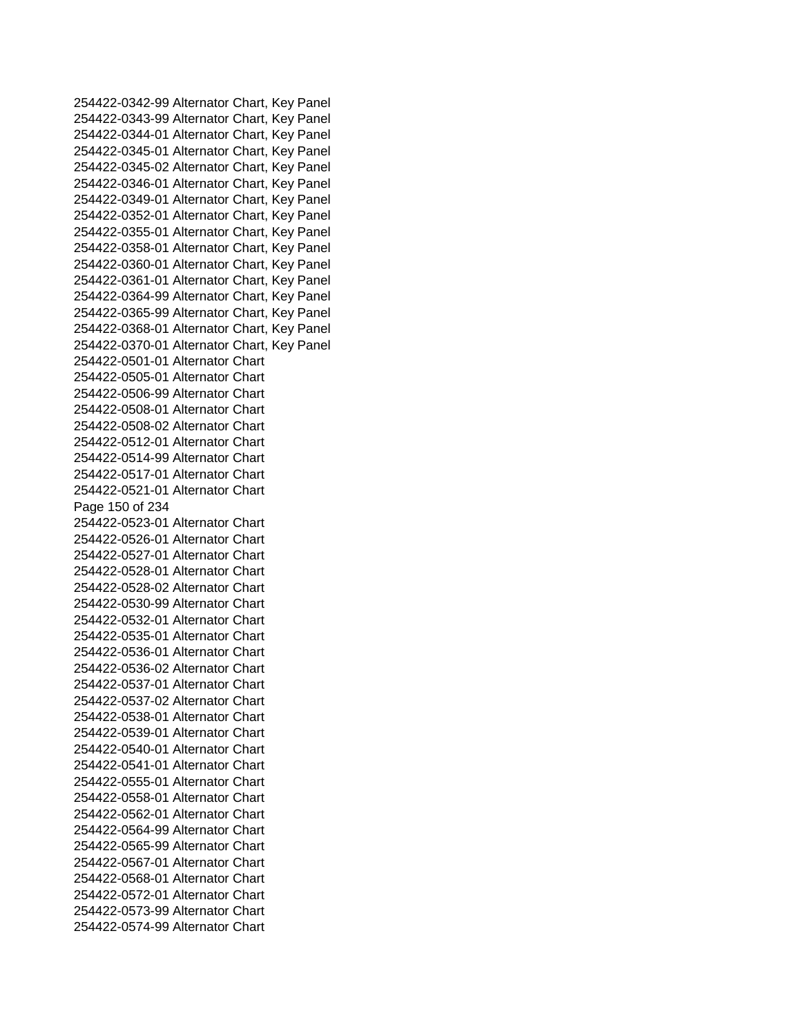254422-0342-99 Alternator Chart, Key Panel 254422-0343-99 Alternator Chart, Key Panel 254422-0344-01 Alternator Chart, Key Panel 254422-0345-01 Alternator Chart, Key Panel 254422-0345-02 Alternator Chart, Key Panel 254422-0346-01 Alternator Chart, Key Panel 254422-0349-01 Alternator Chart, Key Panel 254422-0352-01 Alternator Chart, Key Panel 254422-0355-01 Alternator Chart, Key Panel 254422-0358-01 Alternator Chart, Key Panel 254422-0360-01 Alternator Chart, Key Panel 254422-0361-01 Alternator Chart, Key Panel 254422-0364-99 Alternator Chart, Key Panel 254422-0365-99 Alternator Chart, Key Panel 254422-0368-01 Alternator Chart, Key Panel 254422-0370-01 Alternator Chart, Key Panel 254422-0501-01 Alternator Chart 254422-0505-01 Alternator Chart 254422-0506-99 Alternator Chart 254422-0508-01 Alternator Chart 254422-0508-02 Alternator Chart 254422-0512-01 Alternator Chart 254422-0514-99 Alternator Chart 254422-0517-01 Alternator Chart 254422-0521-01 Alternator Chart Page 150 of 234 254422-0523-01 Alternator Chart 254422-0526-01 Alternator Chart 254422-0527-01 Alternator Chart 254422-0528-01 Alternator Chart 254422-0528-02 Alternator Chart 254422-0530-99 Alternator Chart 254422-0532-01 Alternator Chart 254422-0535-01 Alternator Chart 254422-0536-01 Alternator Chart 254422-0536-02 Alternator Chart 254422-0537-01 Alternator Chart 254422-0537-02 Alternator Chart 254422-0538-01 Alternator Chart 254422-0539-01 Alternator Chart 254422-0540-01 Alternator Chart 254422-0541-01 Alternator Chart 254422-0555-01 Alternator Chart 254422-0558-01 Alternator Chart 254422-0562-01 Alternator Chart 254422-0564-99 Alternator Chart 254422-0565-99 Alternator Chart 254422-0567-01 Alternator Chart 254422-0568-01 Alternator Chart 254422-0572-01 Alternator Chart 254422-0573-99 Alternator Chart 254422-0574-99 Alternator Chart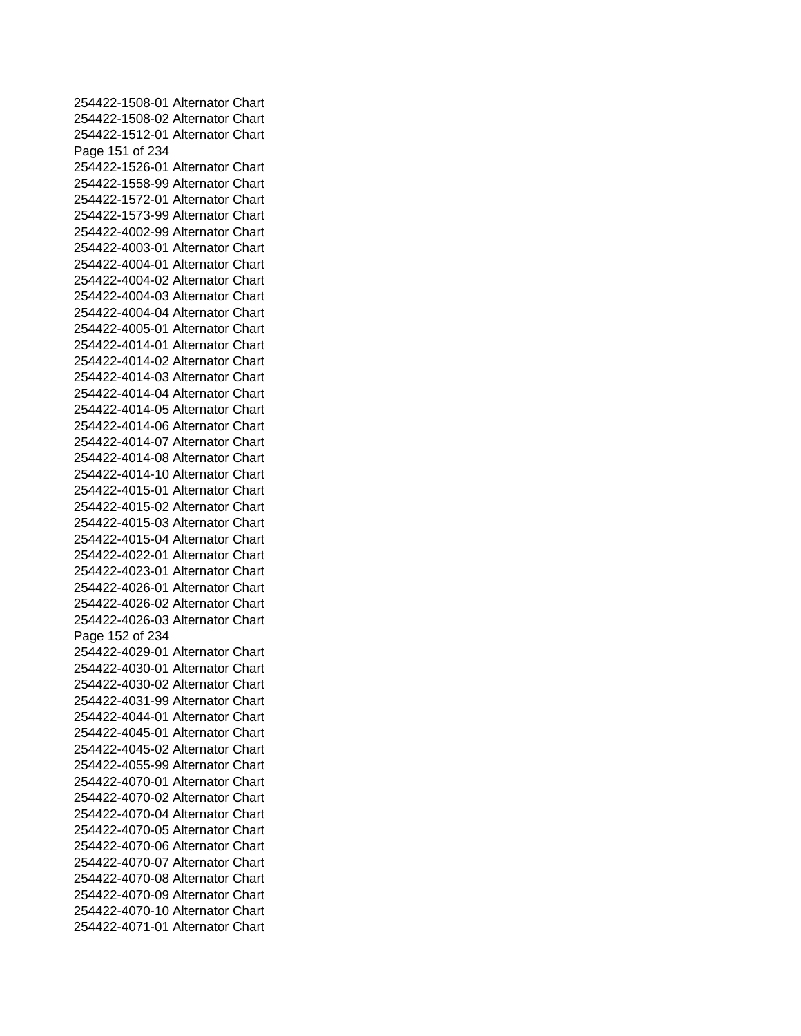254422-1508-01 Alternator Chart 254422-1508-02 Alternator Chart 254422-1512-01 Alternator Chart Page 151 of 234 254422-1526-01 Alternator Chart 254422-1558-99 Alternator Chart 254422-1572-01 Alternator Chart 254422-1573-99 Alternator Chart 254422-4002-99 Alternator Chart 254422-4003-01 Alternator Chart 254422-4004-01 Alternator Chart 254422-4004-02 Alternator Chart 254422-4004-03 Alternator Chart 254422-4004-04 Alternator Chart 254422-4005-01 Alternator Chart 254422-4014-01 Alternator Chart 254422-4014-02 Alternator Chart 254422-4014-03 Alternator Chart 254422-4014-04 Alternator Chart 254422-4014-05 Alternator Chart 254422-4014-06 Alternator Chart 254422-4014-07 Alternator Chart 254422-4014-08 Alternator Chart 254422-4014-10 Alternator Chart 254422-4015-01 Alternator Chart 254422-4015-02 Alternator Chart 254422-4015-03 Alternator Chart 254422-4015-04 Alternator Chart 254422-4022-01 Alternator Chart 254422-4023-01 Alternator Chart 254422-4026-01 Alternator Chart 254422-4026-02 Alternator Chart 254422-4026-03 Alternator Chart Page 152 of 234 254422-4029-01 Alternator Chart 254422-4030-01 Alternator Chart 254422-4030-02 Alternator Chart 254422-4031-99 Alternator Chart 254422-4044-01 Alternator Chart 254422-4045-01 Alternator Chart 254422-4045-02 Alternator Chart 254422-4055-99 Alternator Chart 254422-4070-01 Alternator Chart 254422-4070-02 Alternator Chart 254422-4070-04 Alternator Chart 254422-4070-05 Alternator Chart 254422-4070-06 Alternator Chart 254422-4070-07 Alternator Chart 254422-4070-08 Alternator Chart 254422-4070-09 Alternator Chart 254422-4070-10 Alternator Chart 254422-4071-01 Alternator Chart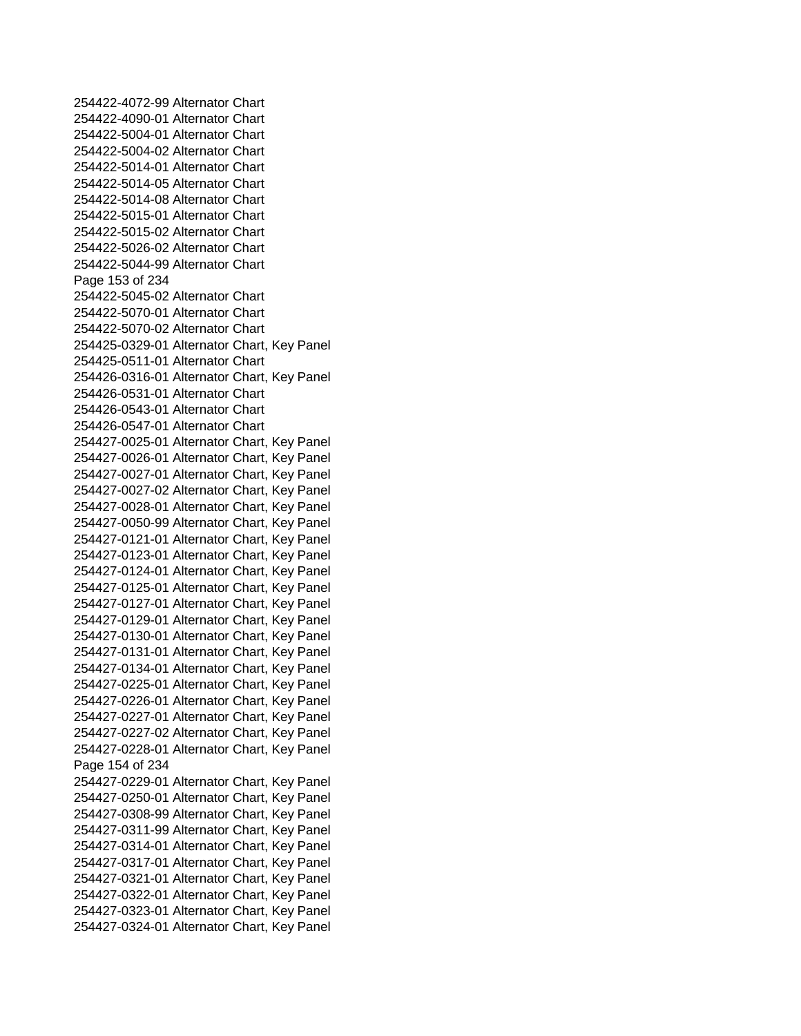254422-4072-99 Alternator Chart 254422-4090-01 Alternator Chart 254422-5004-01 Alternator Chart 254422-5004-02 Alternator Chart 254422-5014-01 Alternator Chart 254422-5014-05 Alternator Chart 254422-5014-08 Alternator Chart 254422-5015-01 Alternator Chart 254422-5015-02 Alternator Chart 254422-5026-02 Alternator Chart 254422-5044-99 Alternator Chart Page 153 of 234 254422-5045-02 Alternator Chart 254422-5070-01 Alternator Chart 254422-5070-02 Alternator Chart 254425-0329-01 Alternator Chart, Key Panel 254425-0511-01 Alternator Chart 254426-0316-01 Alternator Chart, Key Panel 254426-0531-01 Alternator Chart 254426-0543-01 Alternator Chart 254426-0547-01 Alternator Chart 254427-0025-01 Alternator Chart, Key Panel 254427-0026-01 Alternator Chart, Key Panel 254427-0027-01 Alternator Chart, Key Panel 254427-0027-02 Alternator Chart, Key Panel 254427-0028-01 Alternator Chart, Key Panel 254427-0050-99 Alternator Chart, Key Panel 254427-0121-01 Alternator Chart, Key Panel 254427-0123-01 Alternator Chart, Key Panel 254427-0124-01 Alternator Chart, Key Panel 254427-0125-01 Alternator Chart, Key Panel 254427-0127-01 Alternator Chart, Key Panel 254427-0129-01 Alternator Chart, Key Panel 254427-0130-01 Alternator Chart, Key Panel 254427-0131-01 Alternator Chart, Key Panel 254427-0134-01 Alternator Chart, Key Panel 254427-0225-01 Alternator Chart, Key Panel 254427-0226-01 Alternator Chart, Key Panel 254427-0227-01 Alternator Chart, Key Panel 254427-0227-02 Alternator Chart, Key Panel 254427-0228-01 Alternator Chart, Key Panel Page 154 of 234 254427-0229-01 Alternator Chart, Key Panel 254427-0250-01 Alternator Chart, Key Panel 254427-0308-99 Alternator Chart, Key Panel 254427-0311-99 Alternator Chart, Key Panel 254427-0314-01 Alternator Chart, Key Panel 254427-0317-01 Alternator Chart, Key Panel 254427-0321-01 Alternator Chart, Key Panel 254427-0322-01 Alternator Chart, Key Panel 254427-0323-01 Alternator Chart, Key Panel 254427-0324-01 Alternator Chart, Key Panel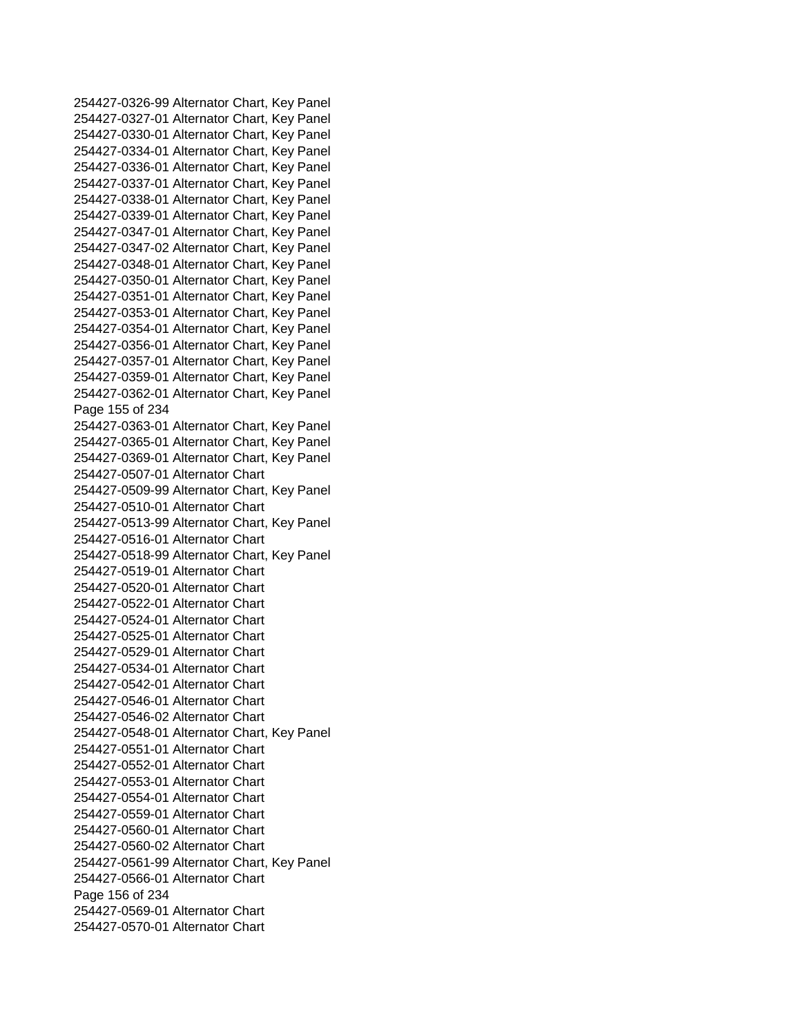254427-0326-99 Alternator Chart, Key Panel 254427-0327-01 Alternator Chart, Key Panel 254427-0330-01 Alternator Chart, Key Panel 254427-0334-01 Alternator Chart, Key Panel 254427-0336-01 Alternator Chart, Key Panel 254427-0337-01 Alternator Chart, Key Panel 254427-0338-01 Alternator Chart, Key Panel 254427-0339-01 Alternator Chart, Key Panel 254427-0347-01 Alternator Chart, Key Panel 254427-0347-02 Alternator Chart, Key Panel 254427-0348-01 Alternator Chart, Key Panel 254427-0350-01 Alternator Chart, Key Panel 254427-0351-01 Alternator Chart, Key Panel 254427-0353-01 Alternator Chart, Key Panel 254427-0354-01 Alternator Chart, Key Panel 254427-0356-01 Alternator Chart, Key Panel 254427-0357-01 Alternator Chart, Key Panel 254427-0359-01 Alternator Chart, Key Panel 254427-0362-01 Alternator Chart, Key Panel Page 155 of 234 254427-0363-01 Alternator Chart, Key Panel 254427-0365-01 Alternator Chart, Key Panel 254427-0369-01 Alternator Chart, Key Panel 254427-0507-01 Alternator Chart 254427-0509-99 Alternator Chart, Key Panel 254427-0510-01 Alternator Chart 254427-0513-99 Alternator Chart, Key Panel 254427-0516-01 Alternator Chart 254427-0518-99 Alternator Chart, Key Panel 254427-0519-01 Alternator Chart 254427-0520-01 Alternator Chart 254427-0522-01 Alternator Chart 254427-0524-01 Alternator Chart 254427-0525-01 Alternator Chart 254427-0529-01 Alternator Chart 254427-0534-01 Alternator Chart 254427-0542-01 Alternator Chart 254427-0546-01 Alternator Chart 254427-0546-02 Alternator Chart 254427-0548-01 Alternator Chart, Key Panel 254427-0551-01 Alternator Chart 254427-0552-01 Alternator Chart 254427-0553-01 Alternator Chart 254427-0554-01 Alternator Chart 254427-0559-01 Alternator Chart 254427-0560-01 Alternator Chart 254427-0560-02 Alternator Chart 254427-0561-99 Alternator Chart, Key Panel 254427-0566-01 Alternator Chart Page 156 of 234 254427-0569-01 Alternator Chart 254427-0570-01 Alternator Chart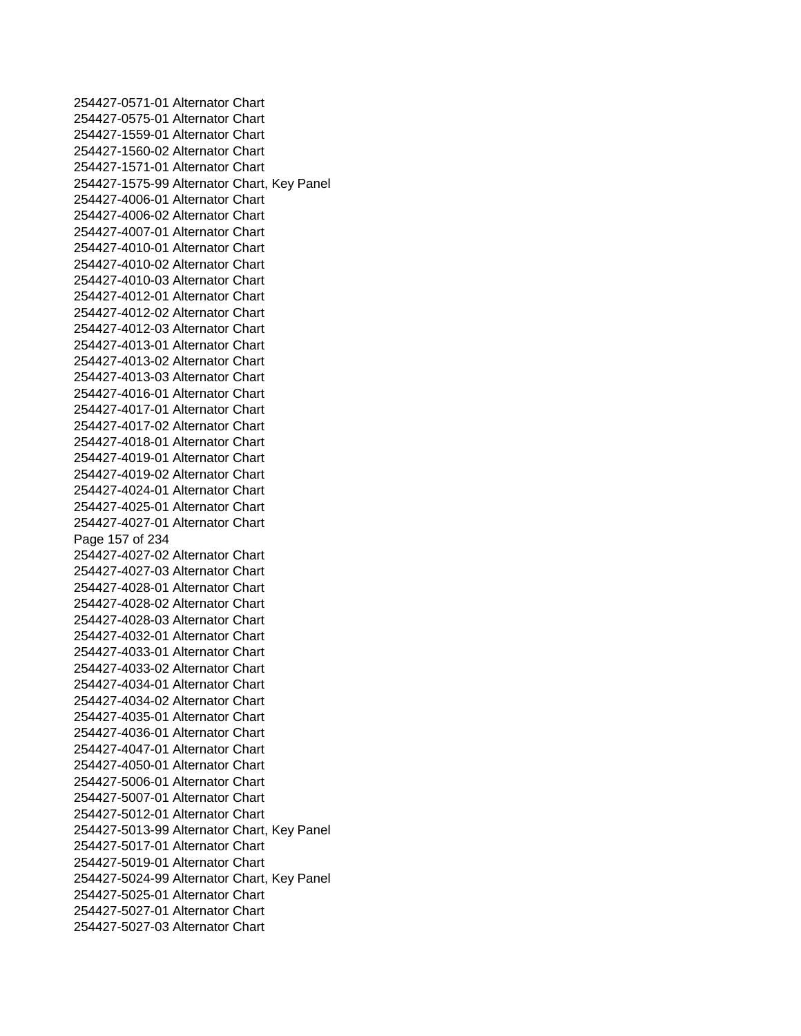254427-0571-01 Alternator Chart 254427-0575-01 Alternator Chart 254427-1559-01 Alternator Chart 254427-1560-02 Alternator Chart 254427-1571-01 Alternator Chart 254427-1575-99 Alternator Chart, Key Panel 254427-4006-01 Alternator Chart 254427-4006-02 Alternator Chart 254427-4007-01 Alternator Chart 254427-4010-01 Alternator Chart 254427-4010-02 Alternator Chart 254427-4010-03 Alternator Chart 254427-4012-01 Alternator Chart 254427-4012-02 Alternator Chart 254427-4012-03 Alternator Chart 254427-4013-01 Alternator Chart 254427-4013-02 Alternator Chart 254427-4013-03 Alternator Chart 254427-4016-01 Alternator Chart 254427-4017-01 Alternator Chart 254427-4017-02 Alternator Chart 254427-4018-01 Alternator Chart 254427-4019-01 Alternator Chart 254427-4019-02 Alternator Chart 254427-4024-01 Alternator Chart 254427-4025-01 Alternator Chart 254427-4027-01 Alternator Chart Page 157 of 234 254427-4027-02 Alternator Chart 254427-4027-03 Alternator Chart 254427-4028-01 Alternator Chart 254427-4028-02 Alternator Chart 254427-4028-03 Alternator Chart 254427-4032-01 Alternator Chart 254427-4033-01 Alternator Chart 254427-4033-02 Alternator Chart 254427-4034-01 Alternator Chart 254427-4034-02 Alternator Chart 254427-4035-01 Alternator Chart 254427-4036-01 Alternator Chart 254427-4047-01 Alternator Chart 254427-4050-01 Alternator Chart 254427-5006-01 Alternator Chart 254427-5007-01 Alternator Chart 254427-5012-01 Alternator Chart 254427-5013-99 Alternator Chart, Key Panel 254427-5017-01 Alternator Chart 254427-5019-01 Alternator Chart 254427-5024-99 Alternator Chart, Key Panel 254427-5025-01 Alternator Chart 254427-5027-01 Alternator Chart 254427-5027-03 Alternator Chart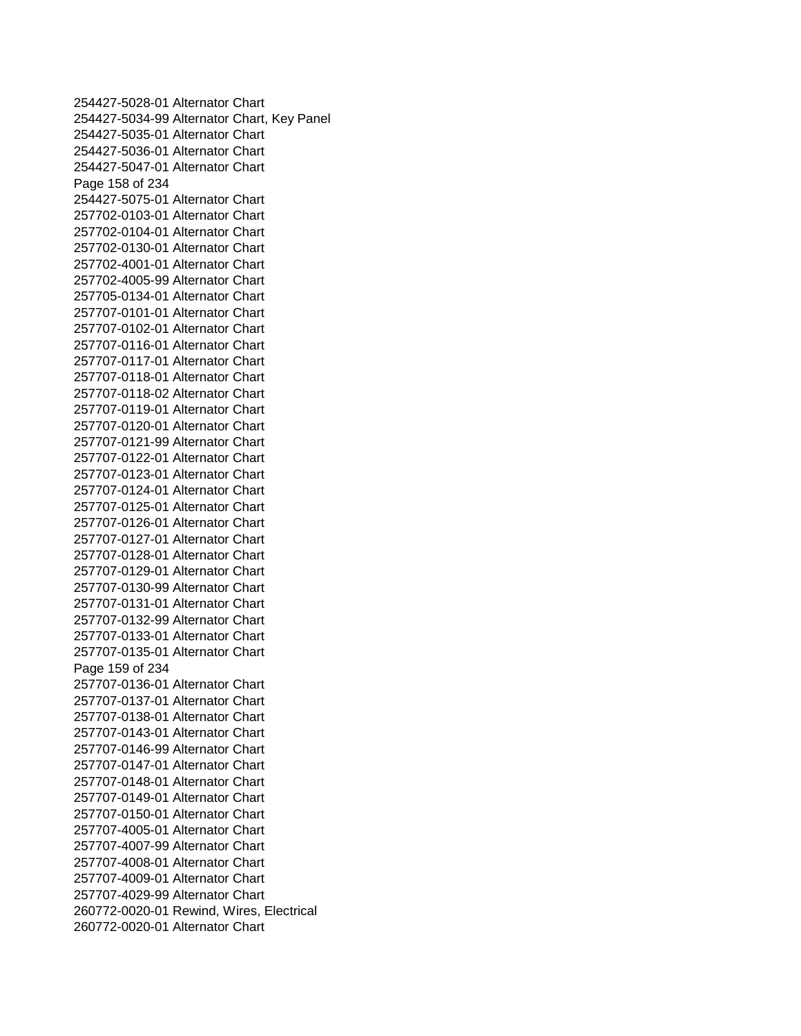254427-5028-01 Alternator Chart 254427-5034-99 Alternator Chart, Key Panel 254427-5035-01 Alternator Chart 254427-5036-01 Alternator Chart 254427-5047-01 Alternator Chart Page 158 of 234 254427-5075-01 Alternator Chart 257702-0103-01 Alternator Chart 257702-0104-01 Alternator Chart 257702-0130-01 Alternator Chart 257702-4001-01 Alternator Chart 257702-4005-99 Alternator Chart 257705-0134-01 Alternator Chart 257707-0101-01 Alternator Chart 257707-0102-01 Alternator Chart 257707-0116-01 Alternator Chart 257707-0117-01 Alternator Chart 257707-0118-01 Alternator Chart 257707-0118-02 Alternator Chart 257707-0119-01 Alternator Chart 257707-0120-01 Alternator Chart 257707-0121-99 Alternator Chart 257707-0122-01 Alternator Chart 257707-0123-01 Alternator Chart 257707-0124-01 Alternator Chart 257707-0125-01 Alternator Chart 257707-0126-01 Alternator Chart 257707-0127-01 Alternator Chart 257707-0128-01 Alternator Chart 257707-0129-01 Alternator Chart 257707-0130-99 Alternator Chart 257707-0131-01 Alternator Chart 257707-0132-99 Alternator Chart 257707-0133-01 Alternator Chart 257707-0135-01 Alternator Chart Page 159 of 234 257707-0136-01 Alternator Chart 257707-0137-01 Alternator Chart 257707-0138-01 Alternator Chart 257707-0143-01 Alternator Chart 257707-0146-99 Alternator Chart 257707-0147-01 Alternator Chart 257707-0148-01 Alternator Chart 257707-0149-01 Alternator Chart 257707-0150-01 Alternator Chart 257707-4005-01 Alternator Chart 257707-4007-99 Alternator Chart 257707-4008-01 Alternator Chart 257707-4009-01 Alternator Chart 257707-4029-99 Alternator Chart 260772-0020-01 Rewind, Wires, Electrical 260772-0020-01 Alternator Chart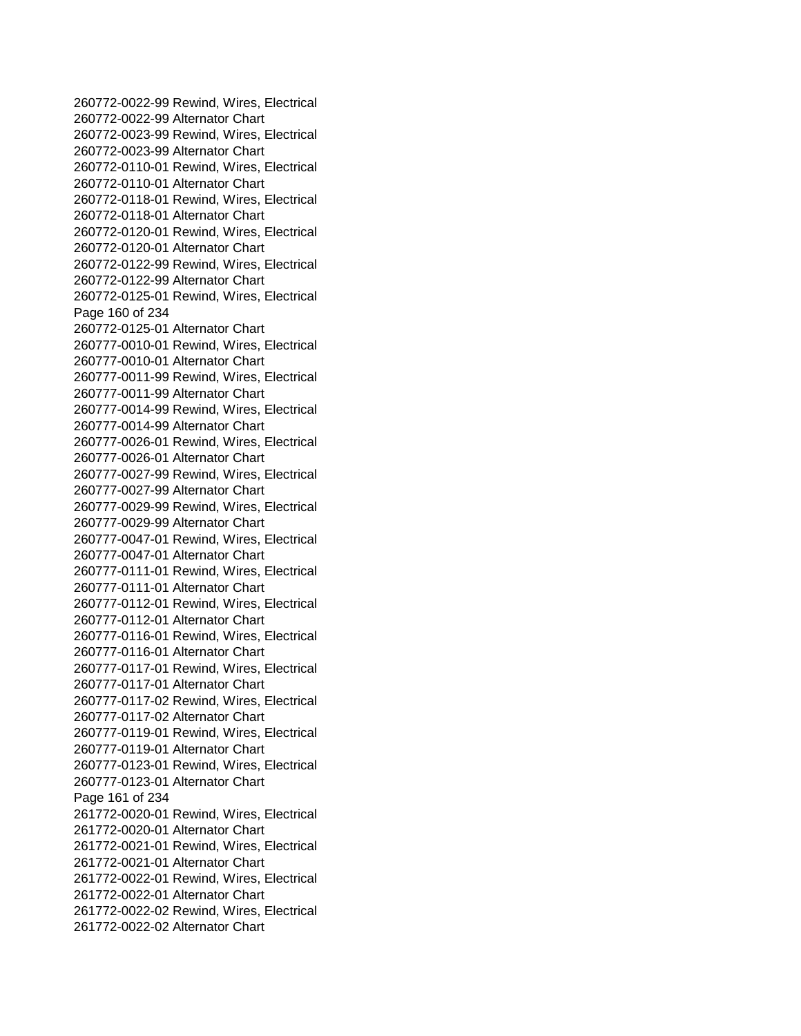260772-0022-99 Rewind, Wires, Electrical 260772-0022-99 Alternator Chart 260772-0023-99 Rewind, Wires, Electrical 260772-0023-99 Alternator Chart 260772-0110-01 Rewind, Wires, Electrical 260772-0110-01 Alternator Chart 260772-0118-01 Rewind, Wires, Electrical 260772-0118-01 Alternator Chart 260772-0120-01 Rewind, Wires, Electrical 260772-0120-01 Alternator Chart 260772-0122-99 Rewind, Wires, Electrical 260772-0122-99 Alternator Chart 260772-0125-01 Rewind, Wires, Electrical Page 160 of 234 260772-0125-01 Alternator Chart 260777-0010-01 Rewind, Wires, Electrical 260777-0010-01 Alternator Chart 260777-0011-99 Rewind, Wires, Electrical 260777-0011-99 Alternator Chart 260777-0014-99 Rewind, Wires, Electrical 260777-0014-99 Alternator Chart 260777-0026-01 Rewind, Wires, Electrical 260777-0026-01 Alternator Chart 260777-0027-99 Rewind, Wires, Electrical 260777-0027-99 Alternator Chart 260777-0029-99 Rewind, Wires, Electrical 260777-0029-99 Alternator Chart 260777-0047-01 Rewind, Wires, Electrical 260777-0047-01 Alternator Chart 260777-0111-01 Rewind, Wires, Electrical 260777-0111-01 Alternator Chart 260777-0112-01 Rewind, Wires, Electrical 260777-0112-01 Alternator Chart 260777-0116-01 Rewind, Wires, Electrical 260777-0116-01 Alternator Chart 260777-0117-01 Rewind, Wires, Electrical 260777-0117-01 Alternator Chart 260777-0117-02 Rewind, Wires, Electrical 260777-0117-02 Alternator Chart 260777-0119-01 Rewind, Wires, Electrical 260777-0119-01 Alternator Chart 260777-0123-01 Rewind, Wires, Electrical 260777-0123-01 Alternator Chart Page 161 of 234 261772-0020-01 Rewind, Wires, Electrical 261772-0020-01 Alternator Chart 261772-0021-01 Rewind, Wires, Electrical 261772-0021-01 Alternator Chart 261772-0022-01 Rewind, Wires, Electrical 261772-0022-01 Alternator Chart 261772-0022-02 Rewind, Wires, Electrical 261772-0022-02 Alternator Chart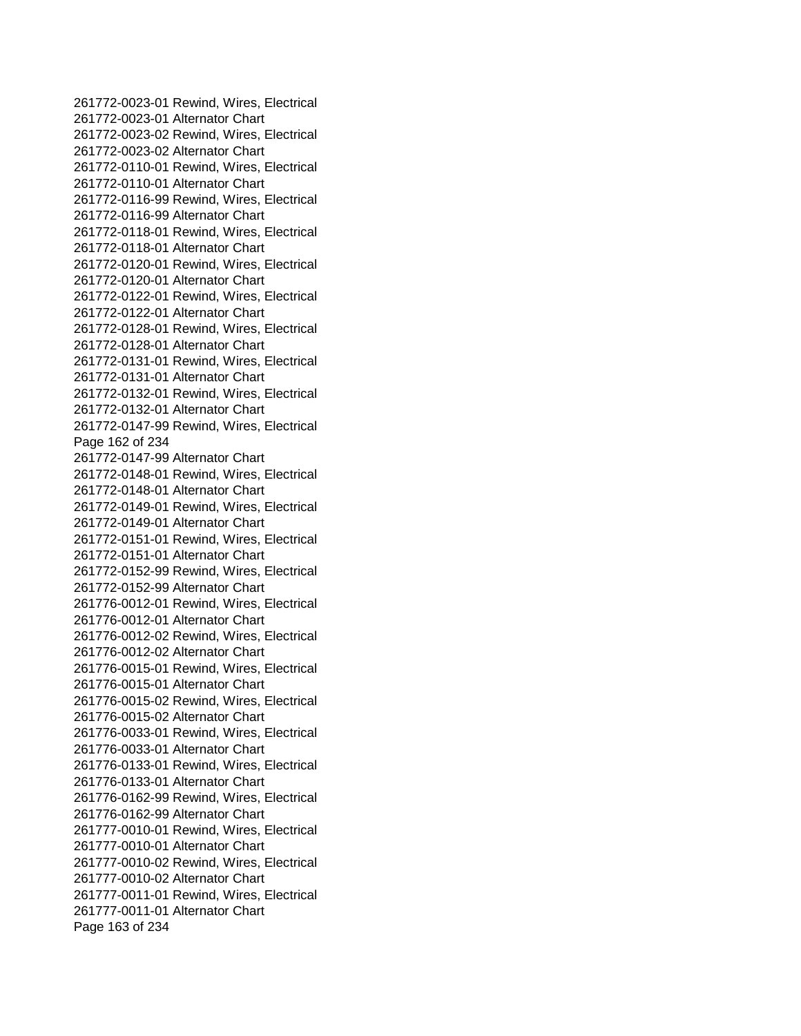261772-0023-01 Rewind, Wires, Electrical 261772-0023-01 Alternator Chart 261772-0023-02 Rewind, Wires, Electrical 261772-0023-02 Alternator Chart 261772-0110-01 Rewind, Wires, Electrical 261772-0110-01 Alternator Chart 261772-0116-99 Rewind, Wires, Electrical 261772-0116-99 Alternator Chart 261772-0118-01 Rewind, Wires, Electrical 261772-0118-01 Alternator Chart 261772-0120-01 Rewind, Wires, Electrical 261772-0120-01 Alternator Chart 261772-0122-01 Rewind, Wires, Electrical 261772-0122-01 Alternator Chart 261772-0128-01 Rewind, Wires, Electrical 261772-0128-01 Alternator Chart 261772-0131-01 Rewind, Wires, Electrical 261772-0131-01 Alternator Chart 261772-0132-01 Rewind, Wires, Electrical 261772-0132-01 Alternator Chart 261772-0147-99 Rewind, Wires, Electrical Page 162 of 234 261772-0147-99 Alternator Chart 261772-0148-01 Rewind, Wires, Electrical 261772-0148-01 Alternator Chart 261772-0149-01 Rewind, Wires, Electrical 261772-0149-01 Alternator Chart 261772-0151-01 Rewind, Wires, Electrical 261772-0151-01 Alternator Chart 261772-0152-99 Rewind, Wires, Electrical 261772-0152-99 Alternator Chart 261776-0012-01 Rewind, Wires, Electrical 261776-0012-01 Alternator Chart 261776-0012-02 Rewind, Wires, Electrical 261776-0012-02 Alternator Chart 261776-0015-01 Rewind, Wires, Electrical 261776-0015-01 Alternator Chart 261776-0015-02 Rewind, Wires, Electrical 261776-0015-02 Alternator Chart 261776-0033-01 Rewind, Wires, Electrical 261776-0033-01 Alternator Chart 261776-0133-01 Rewind, Wires, Electrical 261776-0133-01 Alternator Chart 261776-0162-99 Rewind, Wires, Electrical 261776-0162-99 Alternator Chart 261777-0010-01 Rewind, Wires, Electrical 261777-0010-01 Alternator Chart 261777-0010-02 Rewind, Wires, Electrical 261777-0010-02 Alternator Chart 261777-0011-01 Rewind, Wires, Electrical 261777-0011-01 Alternator Chart Page 163 of 234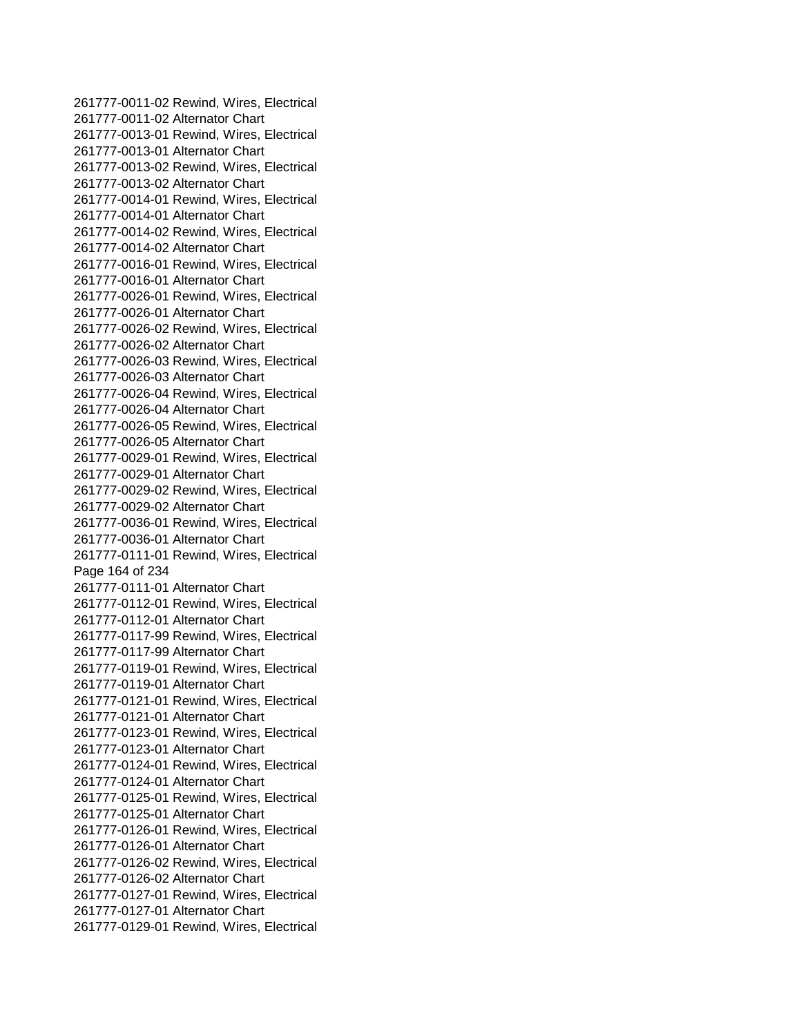261777-0011-02 Rewind, Wires, Electrical 261777-0011-02 Alternator Chart 261777-0013-01 Rewind, Wires, Electrical 261777-0013-01 Alternator Chart 261777-0013-02 Rewind, Wires, Electrical 261777-0013-02 Alternator Chart 261777-0014-01 Rewind, Wires, Electrical 261777-0014-01 Alternator Chart 261777-0014-02 Rewind, Wires, Electrical 261777-0014-02 Alternator Chart 261777-0016-01 Rewind, Wires, Electrical 261777-0016-01 Alternator Chart 261777-0026-01 Rewind, Wires, Electrical 261777-0026-01 Alternator Chart 261777-0026-02 Rewind, Wires, Electrical 261777-0026-02 Alternator Chart 261777-0026-03 Rewind, Wires, Electrical 261777-0026-03 Alternator Chart 261777-0026-04 Rewind, Wires, Electrical 261777-0026-04 Alternator Chart 261777-0026-05 Rewind, Wires, Electrical 261777-0026-05 Alternator Chart 261777-0029-01 Rewind, Wires, Electrical 261777-0029-01 Alternator Chart 261777-0029-02 Rewind, Wires, Electrical 261777-0029-02 Alternator Chart 261777-0036-01 Rewind, Wires, Electrical 261777-0036-01 Alternator Chart 261777-0111-01 Rewind, Wires, Electrical Page 164 of 234 261777-0111-01 Alternator Chart 261777-0112-01 Rewind, Wires, Electrical 261777-0112-01 Alternator Chart 261777-0117-99 Rewind, Wires, Electrical 261777-0117-99 Alternator Chart 261777-0119-01 Rewind, Wires, Electrical 261777-0119-01 Alternator Chart 261777-0121-01 Rewind, Wires, Electrical 261777-0121-01 Alternator Chart 261777-0123-01 Rewind, Wires, Electrical 261777-0123-01 Alternator Chart 261777-0124-01 Rewind, Wires, Electrical 261777-0124-01 Alternator Chart 261777-0125-01 Rewind, Wires, Electrical 261777-0125-01 Alternator Chart 261777-0126-01 Rewind, Wires, Electrical 261777-0126-01 Alternator Chart 261777-0126-02 Rewind, Wires, Electrical 261777-0126-02 Alternator Chart 261777-0127-01 Rewind, Wires, Electrical 261777-0127-01 Alternator Chart 261777-0129-01 Rewind, Wires, Electrical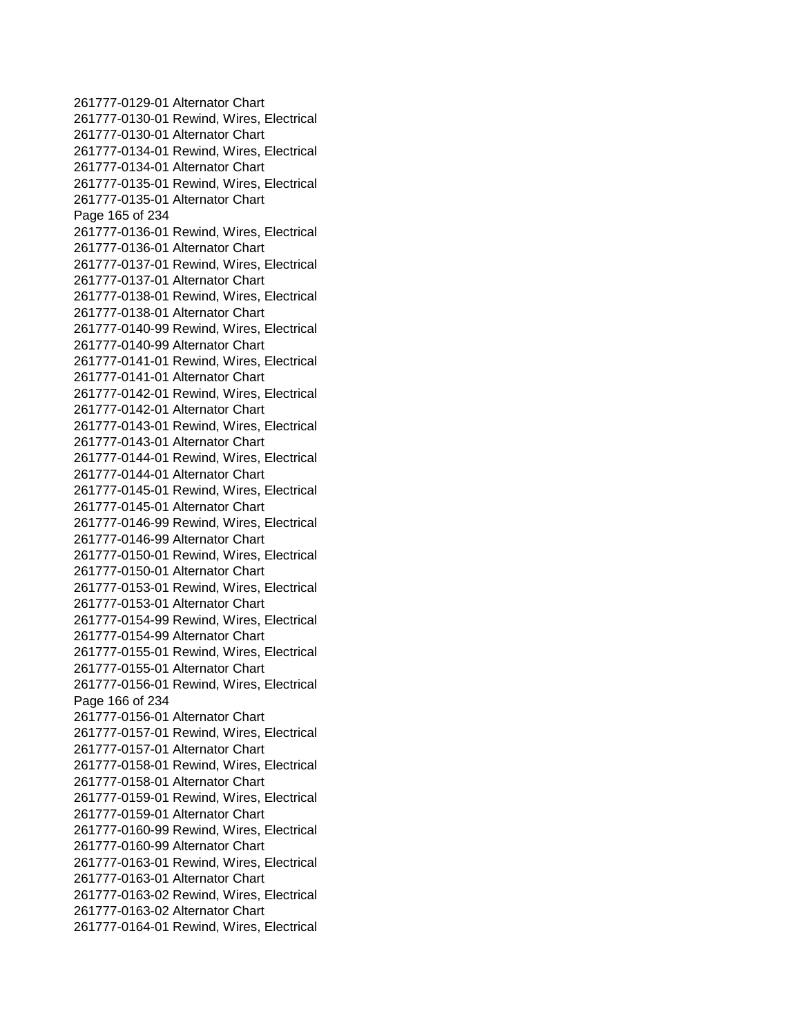261777-0129-01 Alternator Chart 261777-0130-01 Rewind, Wires, Electrical 261777-0130-01 Alternator Chart 261777-0134-01 Rewind, Wires, Electrical 261777-0134-01 Alternator Chart 261777-0135-01 Rewind, Wires, Electrical 261777-0135-01 Alternator Chart Page 165 of 234 261777-0136-01 Rewind, Wires, Electrical 261777-0136-01 Alternator Chart 261777-0137-01 Rewind, Wires, Electrical 261777-0137-01 Alternator Chart 261777-0138-01 Rewind, Wires, Electrical 261777-0138-01 Alternator Chart 261777-0140-99 Rewind, Wires, Electrical 261777-0140-99 Alternator Chart 261777-0141-01 Rewind, Wires, Electrical 261777-0141-01 Alternator Chart 261777-0142-01 Rewind, Wires, Electrical 261777-0142-01 Alternator Chart 261777-0143-01 Rewind, Wires, Electrical 261777-0143-01 Alternator Chart 261777-0144-01 Rewind, Wires, Electrical 261777-0144-01 Alternator Chart 261777-0145-01 Rewind, Wires, Electrical 261777-0145-01 Alternator Chart 261777-0146-99 Rewind, Wires, Electrical 261777-0146-99 Alternator Chart 261777-0150-01 Rewind, Wires, Electrical 261777-0150-01 Alternator Chart 261777-0153-01 Rewind, Wires, Electrical 261777-0153-01 Alternator Chart 261777-0154-99 Rewind, Wires, Electrical 261777-0154-99 Alternator Chart 261777-0155-01 Rewind, Wires, Electrical 261777-0155-01 Alternator Chart 261777-0156-01 Rewind, Wires, Electrical Page 166 of 234 261777-0156-01 Alternator Chart 261777-0157-01 Rewind, Wires, Electrical 261777-0157-01 Alternator Chart 261777-0158-01 Rewind, Wires, Electrical 261777-0158-01 Alternator Chart 261777-0159-01 Rewind, Wires, Electrical 261777-0159-01 Alternator Chart 261777-0160-99 Rewind, Wires, Electrical 261777-0160-99 Alternator Chart 261777-0163-01 Rewind, Wires, Electrical 261777-0163-01 Alternator Chart 261777-0163-02 Rewind, Wires, Electrical 261777-0163-02 Alternator Chart 261777-0164-01 Rewind, Wires, Electrical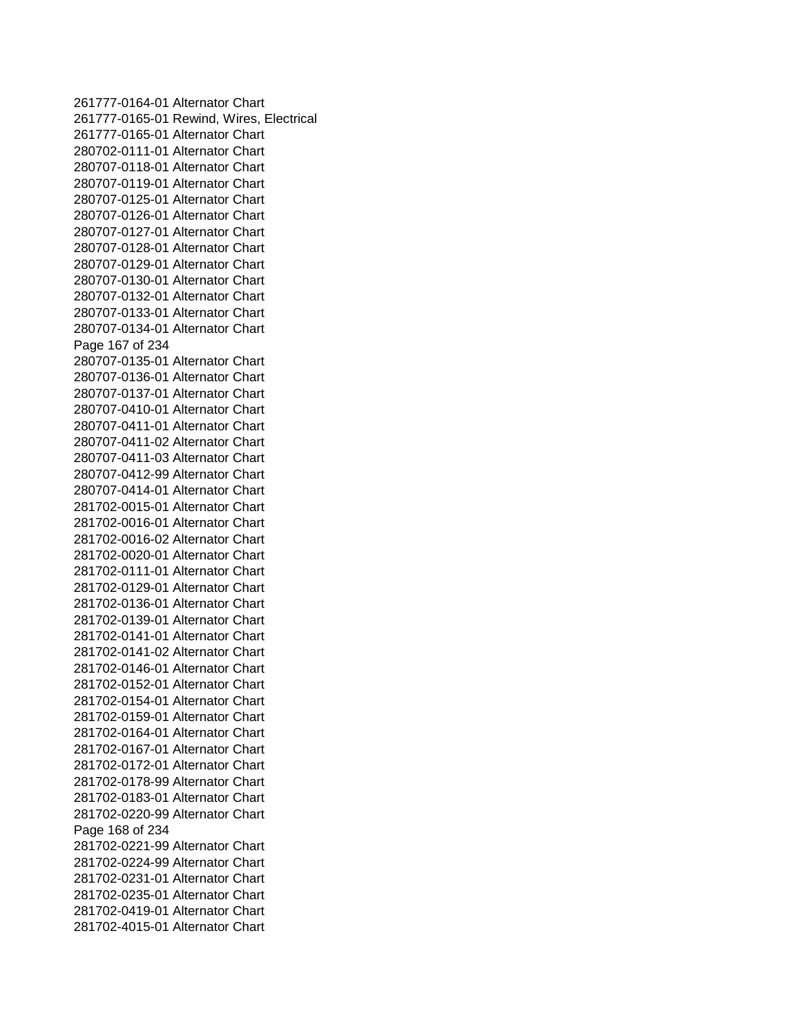261777-0164-01 Alternator Chart 261777-0165-01 Rewind, Wires, Electrical 261777-0165-01 Alternator Chart 280702-0111-01 Alternator Chart 280707-0118-01 Alternator Chart 280707-0119-01 Alternator Chart 280707-0125-01 Alternator Chart 280707-0126-01 Alternator Chart 280707-0127-01 Alternator Chart 280707-0128-01 Alternator Chart 280707-0129-01 Alternator Chart 280707-0130-01 Alternator Chart 280707-0132-01 Alternator Chart 280707-0133-01 Alternator Chart 280707-0134-01 Alternator Chart Page 167 of 234 280707-0135-01 Alternator Chart 280707-0136-01 Alternator Chart 280707-0137-01 Alternator Chart 280707-0410-01 Alternator Chart 280707-0411-01 Alternator Chart 280707-0411-02 Alternator Chart 280707-0411-03 Alternator Chart 280707-0412-99 Alternator Chart 280707-0414-01 Alternator Chart 281702-0015-01 Alternator Chart 281702-0016-01 Alternator Chart 281702-0016-02 Alternator Chart 281702-0020-01 Alternator Chart 281702-0111-01 Alternator Chart 281702-0129-01 Alternator Chart 281702-0136-01 Alternator Chart 281702-0139-01 Alternator Chart 281702-0141-01 Alternator Chart 281702-0141-02 Alternator Chart 281702-0146-01 Alternator Chart 281702-0152-01 Alternator Chart 281702-0154-01 Alternator Chart 281702-0159-01 Alternator Chart 281702-0164-01 Alternator Chart 281702-0167-01 Alternator Chart 281702-0172-01 Alternator Chart 281702-0178-99 Alternator Chart 281702-0183-01 Alternator Chart 281702-0220-99 Alternator Chart Page 168 of 234 281702-0221-99 Alternator Chart 281702-0224-99 Alternator Chart 281702-0231-01 Alternator Chart 281702-0235-01 Alternator Chart 281702-0419-01 Alternator Chart 281702-4015-01 Alternator Chart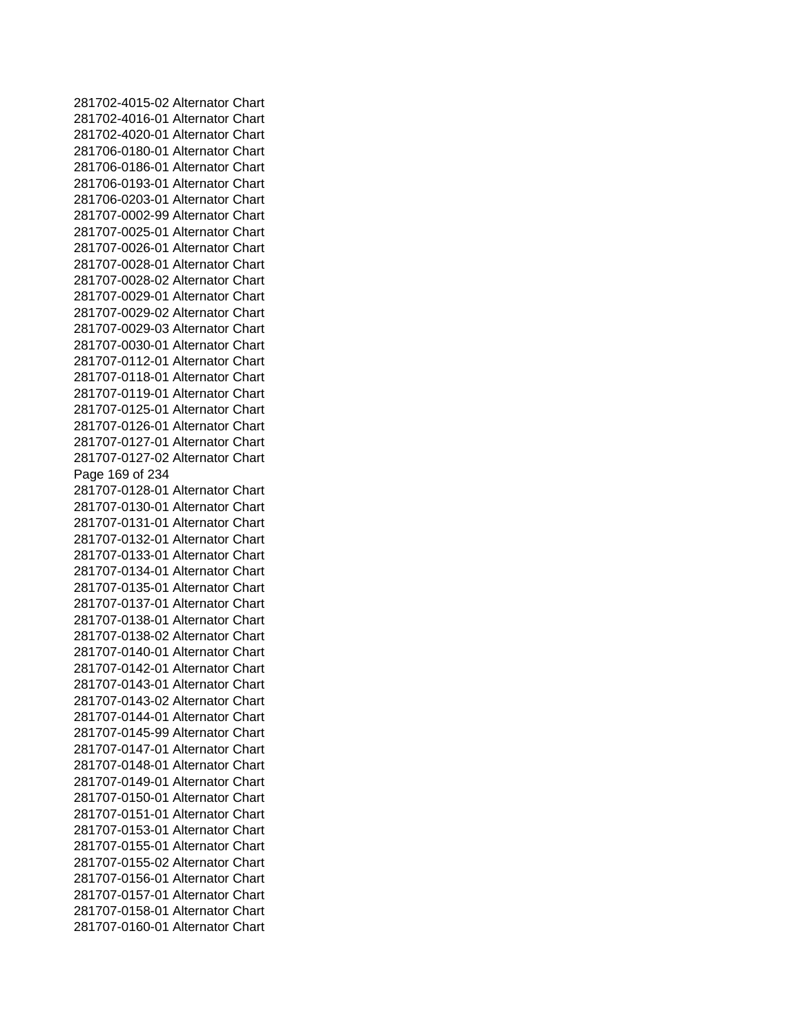281702-4015-02 Alternator Chart 281702-4016-01 Alternator Chart 281702-4020-01 Alternator Chart 281706-0180-01 Alternator Chart 281706-0186-01 Alternator Chart 281706-0193-01 Alternator Chart 281706-0203-01 Alternator Chart 281707-0002-99 Alternator Chart 281707-0025-01 Alternator Chart 281707-0026-01 Alternator Chart 281707-0028-01 Alternator Chart 281707-0028-02 Alternator Chart 281707-0029-01 Alternator Chart 281707-0029-02 Alternator Chart 281707-0029-03 Alternator Chart 281707-0030-01 Alternator Chart 281707-0112-01 Alternator Chart 281707-0118-01 Alternator Chart 281707-0119-01 Alternator Chart 281707-0125-01 Alternator Chart 281707-0126-01 Alternator Chart 281707-0127-01 Alternator Chart 281707-0127-02 Alternator Chart Page 169 of 234 281707-0128-01 Alternator Chart 281707-0130-01 Alternator Chart 281707-0131-01 Alternator Chart 281707-0132-01 Alternator Chart 281707-0133-01 Alternator Chart 281707-0134-01 Alternator Chart 281707-0135-01 Alternator Chart 281707-0137-01 Alternator Chart 281707-0138-01 Alternator Chart 281707-0138-02 Alternator Chart 281707-0140-01 Alternator Chart 281707-0142-01 Alternator Chart 281707-0143-01 Alternator Chart 281707-0143-02 Alternator Chart 281707-0144-01 Alternator Chart 281707-0145-99 Alternator Chart 281707-0147-01 Alternator Chart 281707-0148-01 Alternator Chart 281707-0149-01 Alternator Chart 281707-0150-01 Alternator Chart 281707-0151-01 Alternator Chart 281707-0153-01 Alternator Chart 281707-0155-01 Alternator Chart 281707-0155-02 Alternator Chart 281707-0156-01 Alternator Chart 281707-0157-01 Alternator Chart 281707-0158-01 Alternator Chart 281707-0160-01 Alternator Chart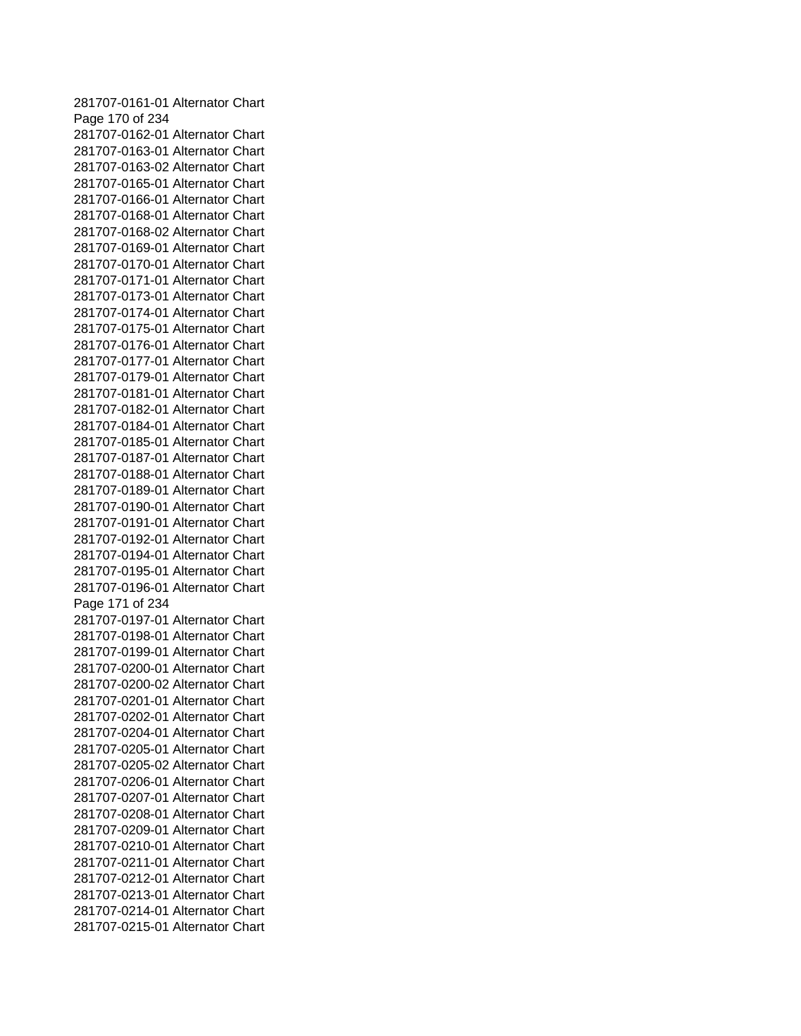281707-0161-01 Alternator Chart Page 170 of 234 281707-0162-01 Alternator Chart 281707-0163-01 Alternator Chart 281707-0163-02 Alternator Chart 281707-0165-01 Alternator Chart 281707-0166-01 Alternator Chart 281707-0168-01 Alternator Chart 281707-0168-02 Alternator Chart 281707-0169-01 Alternator Chart 281707-0170-01 Alternator Chart 281707-0171-01 Alternator Chart 281707-0173-01 Alternator Chart 281707-0174-01 Alternator Chart 281707-0175-01 Alternator Chart 281707-0176-01 Alternator Chart 281707-0177-01 Alternator Chart 281707-0179-01 Alternator Chart 281707-0181-01 Alternator Chart 281707-0182-01 Alternator Chart 281707-0184-01 Alternator Chart 281707-0185-01 Alternator Chart 281707-0187-01 Alternator Chart 281707-0188-01 Alternator Chart 281707-0189-01 Alternator Chart 281707-0190-01 Alternator Chart 281707-0191-01 Alternator Chart 281707-0192-01 Alternator Chart 281707-0194-01 Alternator Chart 281707-0195-01 Alternator Chart 281707-0196-01 Alternator Chart Page 171 of 234 281707-0197-01 Alternator Chart 281707-0198-01 Alternator Chart 281707-0199-01 Alternator Chart 281707-0200-01 Alternator Chart 281707-0200-02 Alternator Chart 281707-0201-01 Alternator Chart 281707-0202-01 Alternator Chart 281707-0204-01 Alternator Chart 281707-0205-01 Alternator Chart 281707-0205-02 Alternator Chart 281707-0206-01 Alternator Chart 281707-0207-01 Alternator Chart 281707-0208-01 Alternator Chart 281707-0209-01 Alternator Chart 281707-0210-01 Alternator Chart 281707-0211-01 Alternator Chart 281707-0212-01 Alternator Chart 281707-0213-01 Alternator Chart 281707-0214-01 Alternator Chart 281707-0215-01 Alternator Chart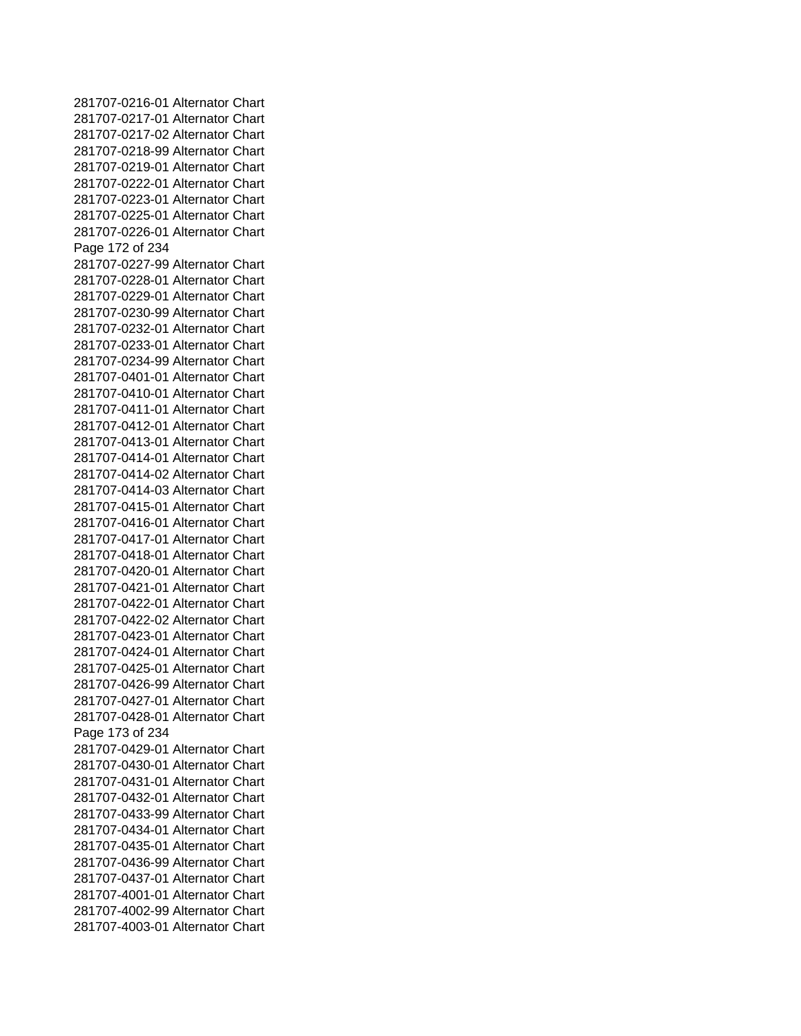281707-0216-01 Alternator Chart 281707-0217-01 Alternator Chart 281707-0217-02 Alternator Chart 281707-0218-99 Alternator Chart 281707-0219-01 Alternator Chart 281707-0222-01 Alternator Chart 281707-0223-01 Alternator Chart 281707-0225-01 Alternator Chart 281707-0226-01 Alternator Chart Page 172 of 234 281707-0227-99 Alternator Chart 281707-0228-01 Alternator Chart 281707-0229-01 Alternator Chart 281707-0230-99 Alternator Chart 281707-0232-01 Alternator Chart 281707-0233-01 Alternator Chart 281707-0234-99 Alternator Chart 281707-0401-01 Alternator Chart 281707-0410-01 Alternator Chart 281707-0411-01 Alternator Chart 281707-0412-01 Alternator Chart 281707-0413-01 Alternator Chart 281707-0414-01 Alternator Chart 281707-0414-02 Alternator Chart 281707-0414-03 Alternator Chart 281707-0415-01 Alternator Chart 281707-0416-01 Alternator Chart 281707-0417-01 Alternator Chart 281707-0418-01 Alternator Chart 281707-0420-01 Alternator Chart 281707-0421-01 Alternator Chart 281707-0422-01 Alternator Chart 281707-0422-02 Alternator Chart 281707-0423-01 Alternator Chart 281707-0424-01 Alternator Chart 281707-0425-01 Alternator Chart 281707-0426-99 Alternator Chart 281707-0427-01 Alternator Chart 281707-0428-01 Alternator Chart Page 173 of 234 281707-0429-01 Alternator Chart 281707-0430-01 Alternator Chart 281707-0431-01 Alternator Chart 281707-0432-01 Alternator Chart 281707-0433-99 Alternator Chart 281707-0434-01 Alternator Chart 281707-0435-01 Alternator Chart 281707-0436-99 Alternator Chart 281707-0437-01 Alternator Chart 281707-4001-01 Alternator Chart 281707-4002-99 Alternator Chart 281707-4003-01 Alternator Chart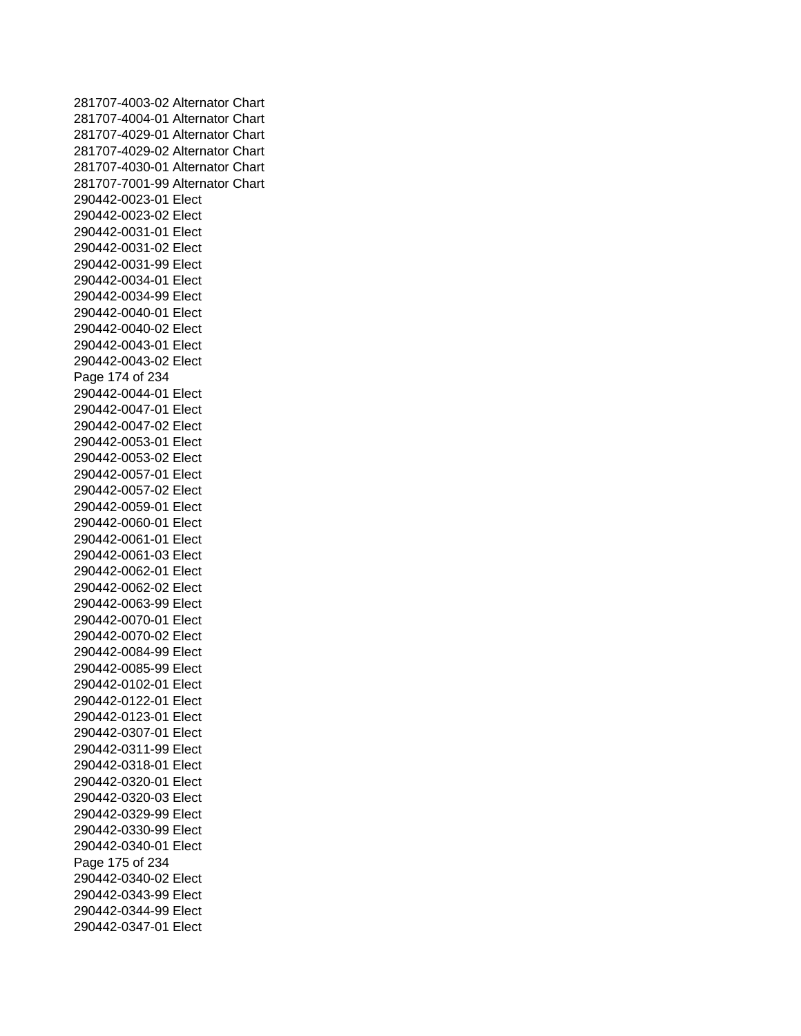281707-4003-02 Alternator Chart 281707-4004-01 Alternator Chart 281707-4029-01 Alternator Chart 281707-4029-02 Alternator Chart 281707-4030-01 Alternator Chart 281707-7001-99 Alternator Chart 290442-0023-01 Elect 290442-0023-02 Elect 290442-0031-01 Elect 290442-0031-02 Elect 290442-0031-99 Elect 290442-0034-01 Elect 290442-0034-99 Elect 290442-0040-01 Elect 290442-0040-02 Elect 290442-0043-01 Elect 290442-0043-02 Elect Page 174 of 234 290442-0044-01 Elect 290442-0047-01 Elect 290442-0047-02 Elect 290442-0053-01 Elect 290442-0053-02 Elect 290442-0057-01 Elect 290442-0057-02 Elect 290442-0059-01 Elect 290442-0060-01 Elect 290442-0061-01 Elect 290442-0061-03 Elect 290442-0062-01 Elect 290442-0062-02 Elect 290442-0063-99 Elect 290442-0070-01 Elect 290442-0070-02 Elect 290442-0084-99 Elect 290442-0085-99 Elect 290442-0102-01 Elect 290442-0122-01 Elect 290442-0123-01 Elect 290442-0307-01 Elect 290442-0311-99 Elect 290442-0318-01 Elect 290442-0320-01 Elect 290442-0320-03 Elect 290442-0329-99 Elect 290442-0330-99 Elect 290442-0340-01 Elect Page 175 of 234 290442-0340-02 Elect 290442-0343-99 Elect 290442-0344-99 Elect 290442-0347-01 Elect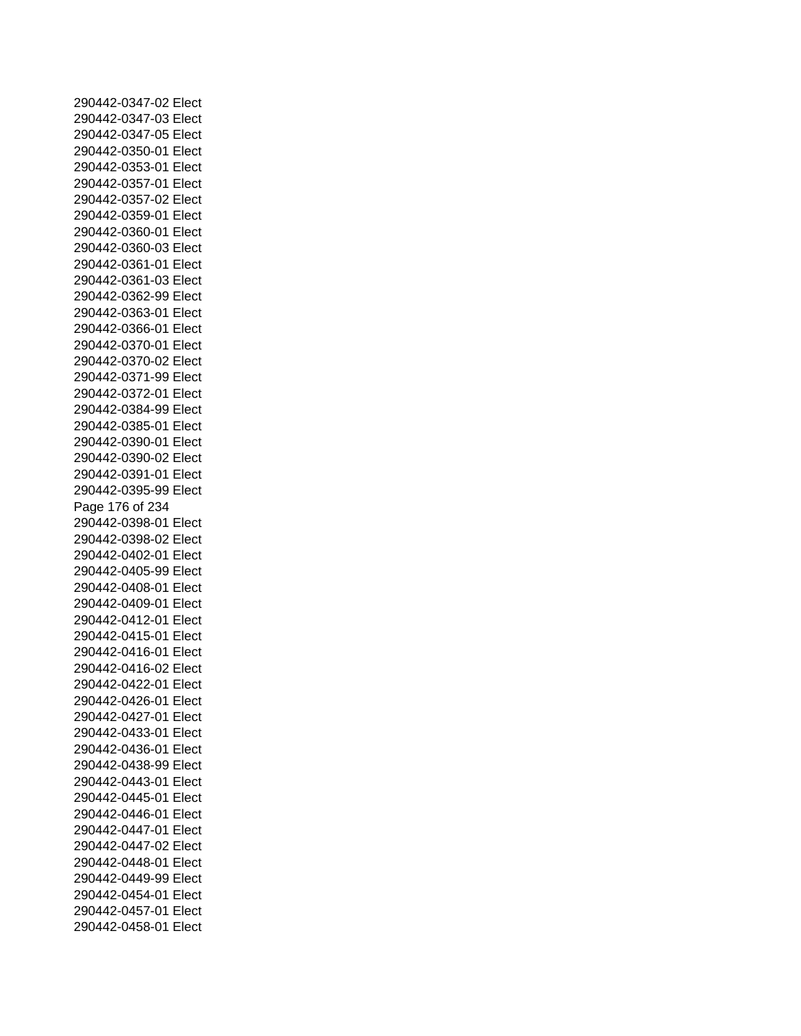290442-0347-02 Elect 290442-0347-03 Elect 290442-0347-05 Elect 290442-0350-01 Elect 290442-0353-01 Elect 290442-0357-01 Elect 290442-0357-02 Elect 290442-0359-01 Elect 290442-0360-01 Elect 290442-0360-03 Elect 290442-0361-01 Elect 290442-0361-03 Elect 290442-0362-99 Elect 290442-0363-01 Elect 290442-0366-01 Elect 290442-0370-01 Elect 290442-0370-02 Elect 290442-0371-99 Elect 290442-0372-01 Elect 290442-0384-99 Elect 290442-0385-01 Elect 290442-0390-01 Elect 290442-0390-02 Elect 290442-0391-01 Elect 290442-0395-99 Elect Page 176 of 234 290442-0398-01 Elect 290442-0398-02 Elect 290442-0402-01 Elect 290442-0405-99 Elect 290442-0408-01 Elect 290442-0409-01 Elect 290442-0412-01 Elect 290442-0415-01 Elect 290442-0416-01 Elect 290442-0416-02 Elect 290442-0422-01 Elect 290442-0426-01 Elect 290442-0427-01 Elect 290442-0433-01 Elect 290442-0436-01 Elect 290442-0438-99 Elect 290442-0443-01 Elect 290442-0445-01 Elect 290442-0446-01 Elect 290442-0447-01 Elect 290442-0447-02 Elect 290442-0448-01 Elect 290442-0449-99 Elect 290442-0454-01 Elect 290442-0457-01 Elect 290442-0458-01 Elect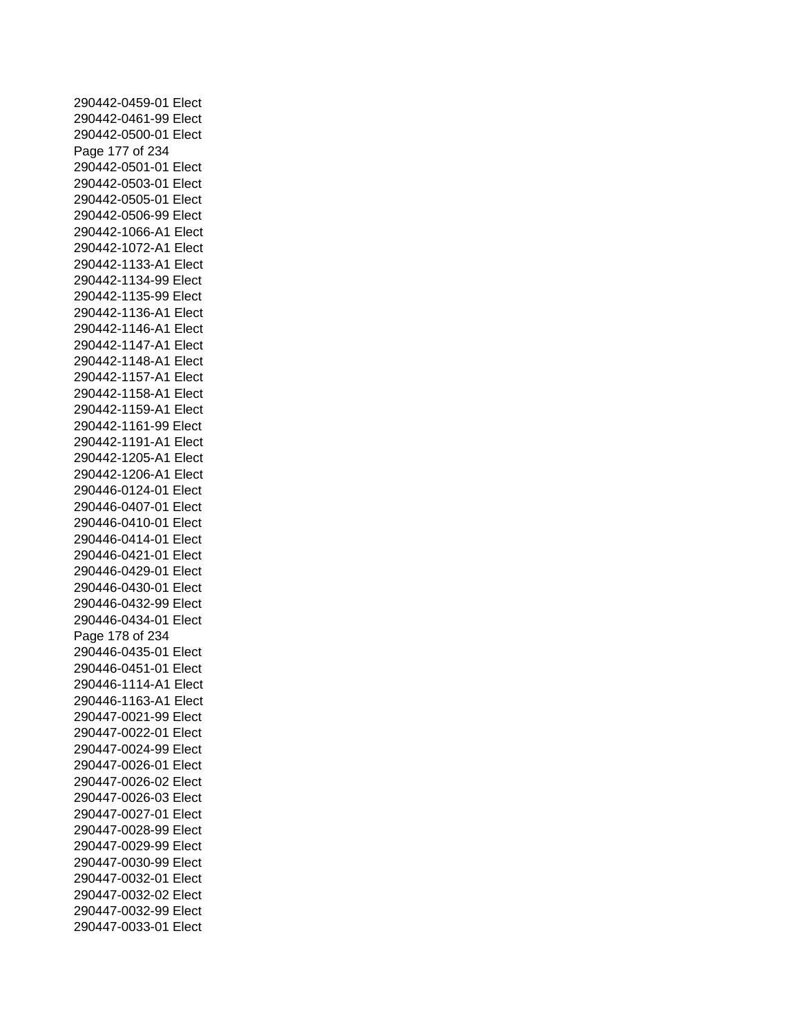290442-0459-01 Elect 290442-0461-99 Elect 290442-0500-01 Elect Page 177 of 234 290442-0501-01 Elect 290442-0503-01 Elect 290442-0505-01 Elect 290442-0506-99 Elect 290442-1066-A1 Elect 290442-1072-A1 Elect 290442-1133-A1 Elect 290442-1134-99 Elect 290442-1135-99 Elect 290442-1136-A1 Elect 290442-1146-A1 Elect 290442-1147-A1 Elect 290442-1148-A1 Elect 290442-1157-A1 Elect 290442-1158-A1 Elect 290442-1159-A1 Elect 290442-1161-99 Elect 290442-1191-A1 Elect 290442-1205-A1 Elect 290442-1206-A1 Elect 290446-0124-01 Elect 290446-0407-01 Elect 290446-0410-01 Elect 290446-0414-01 Elect 290446-0421-01 Elect 290446-0429-01 Elect 290446-0430-01 Elect 290446-0432-99 Elect 290446-0434-01 Elect Page 178 of 234 290446-0435-01 Elect 290446-0451-01 Elect 290446-1114-A1 Elect 290446-1163-A1 Elect 290447-0021-99 Elect 290447-0022-01 Elect 290447-0024-99 Elect 290447-0026-01 Elect 290447-0026-02 Elect 290447-0026-03 Elect 290447-0027-01 Elect 290447-0028-99 Elect 290447-0029-99 Elect 290447-0030-99 Elect 290447-0032-01 Elect 290447-0032-02 Elect 290447-0032-99 Elect 290447-0033-01 Elect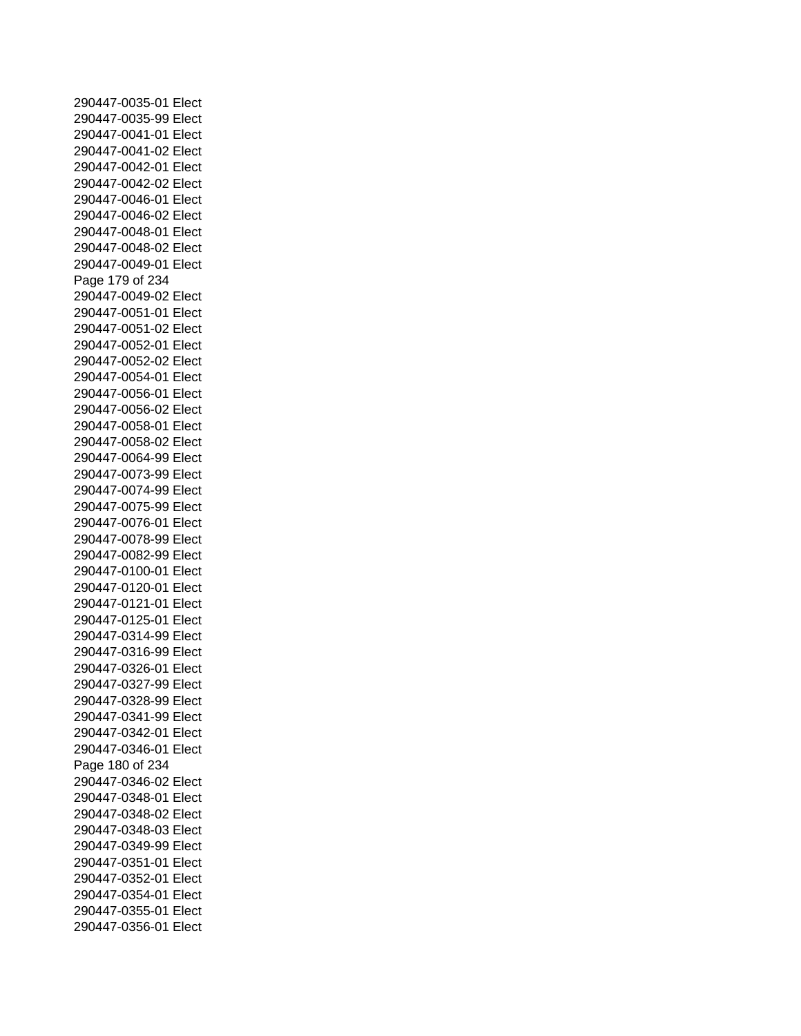290447-0035-01 Elect 290447-0035-99 Elect 290447-0041-01 Elect 290447-0041-02 Elect 290447-0042-01 Elect 290447-0042-02 Elect 290447-0046-01 Elect 290447-0046-02 Elect 290447-0048-01 Elect 290447-0048-02 Elect 290447-0049-01 Elect Page 179 of 234 290447-0049-02 Elect 290447-0051-01 Elect 290447-0051-02 Elect 290447-0052-01 Elect 290447-0052-02 Elect 290447-0054-01 Elect 290447-0056-01 Elect 290447-0056-02 Elect 290447-0058-01 Elect 290447-0058-02 Elect 290447-0064-99 Elect 290447-0073-99 Elect 290447-0074-99 Elect 290447-0075-99 Elect 290447-0076-01 Elect 290447-0078-99 Elect 290447-0082-99 Elect 290447-0100-01 Elect 290447-0120-01 Elect 290447-0121-01 Elect 290447-0125-01 Elect 290447-0314-99 Elect 290447-0316-99 Elect 290447-0326-01 Elect 290447-0327-99 Elect 290447-0328-99 Elect 290447-0341-99 Elect 290447-0342-01 Elect 290447-0346-01 Elect Page 180 of 234 290447-0346-02 Elect 290447-0348-01 Elect 290447-0348-02 Elect 290447-0348-03 Elect 290447-0349-99 Elect 290447-0351-01 Elect 290447-0352-01 Elect 290447-0354-01 Elect 290447-0355-01 Elect 290447-0356-01 Elect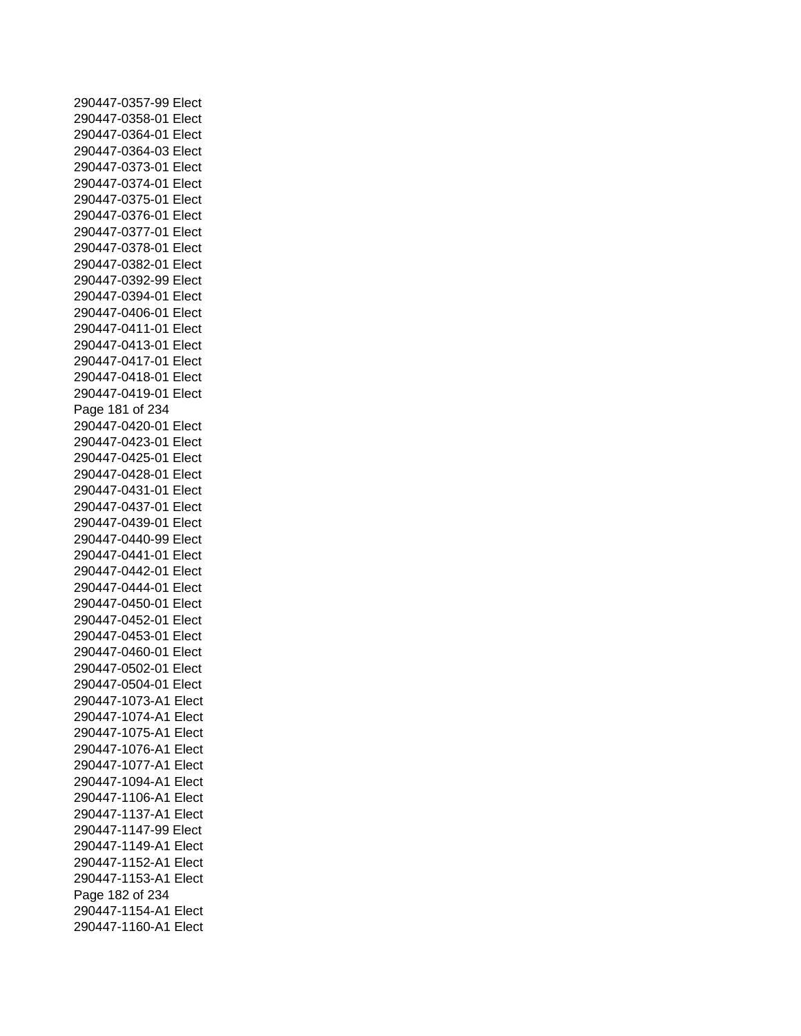290447-0357-99 Elect 290447-0358-01 Elect 290447-0364-01 Elect 290447-0364-03 Elect 290447-0373-01 Elect 290447-0374-01 Elect 290447-0375-01 Elect 290447-0376-01 Elect 290447-0377-01 Elect 290447-0378-01 Elect 290447-0382-01 Elect 290447-0392-99 Elect 290447-0394-01 Elect 290447-0406-01 Elect 290447-0411-01 Elect 290447-0413-01 Elect 290447-0417-01 Elect 290447-0418-01 Elect 290447-0419-01 Elect Page 181 of 234 290447-0420-01 Elect 290447-0423-01 Elect 290447-0425-01 Elect 290447-0428-01 Elect 290447-0431-01 Elect 290447-0437-01 Elect 290447-0439-01 Elect 290447-0440-99 Elect 290447-0441-01 Elect 290447-0442-01 Elect 290447-0444-01 Elect 290447-0450-01 Elect 290447-0452-01 Elect 290447-0453-01 Elect 290447-0460-01 Elect 290447-0502-01 Elect 290447-0504-01 Elect 290447-1073-A1 Elect 290447-1074-A1 Elect 290447-1075-A1 Elect 290447-1076-A1 Elect 290447-1077-A1 Elect 290447-1094-A1 Elect 290447-1106-A1 Elect 290447-1137-A1 Elect 290447-1147-99 Elect 290447-1149-A1 Elect 290447-1152-A1 Elect 290447-1153-A1 Elect Page 182 of 234 290447-1154-A1 Elect 290447-1160-A1 Elect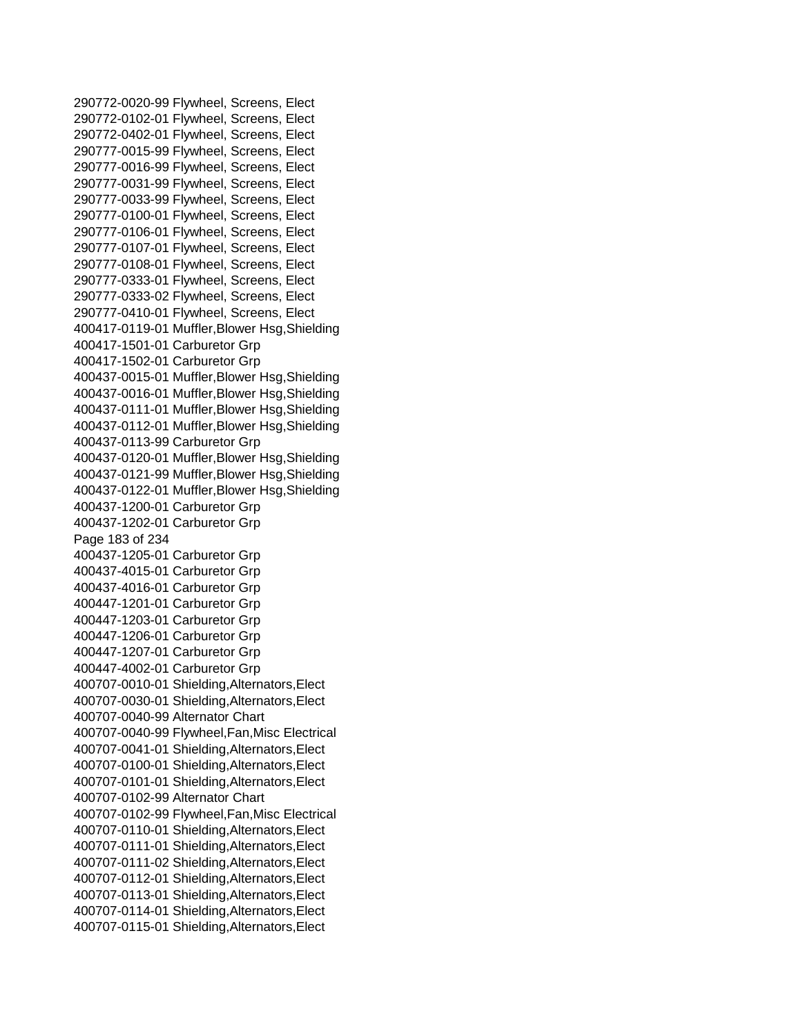290772-0020-99 Flywheel, Screens, Elect 290772-0102-01 Flywheel, Screens, Elect 290772-0402-01 Flywheel, Screens, Elect 290777-0015-99 Flywheel, Screens, Elect 290777-0016-99 Flywheel, Screens, Elect 290777-0031-99 Flywheel, Screens, Elect 290777-0033-99 Flywheel, Screens, Elect 290777-0100-01 Flywheel, Screens, Elect 290777-0106-01 Flywheel, Screens, Elect 290777-0107-01 Flywheel, Screens, Elect 290777-0108-01 Flywheel, Screens, Elect 290777-0333-01 Flywheel, Screens, Elect 290777-0333-02 Flywheel, Screens, Elect 290777-0410-01 Flywheel, Screens, Elect 400417-0119-01 Muffler,Blower Hsg,Shielding 400417-1501-01 Carburetor Grp 400417-1502-01 Carburetor Grp 400437-0015-01 Muffler,Blower Hsg,Shielding 400437-0016-01 Muffler,Blower Hsg,Shielding 400437-0111-01 Muffler,Blower Hsg,Shielding 400437-0112-01 Muffler,Blower Hsg,Shielding 400437-0113-99 Carburetor Grp 400437-0120-01 Muffler,Blower Hsg,Shielding 400437-0121-99 Muffler,Blower Hsg,Shielding 400437-0122-01 Muffler,Blower Hsg,Shielding 400437-1200-01 Carburetor Grp 400437-1202-01 Carburetor Grp Page 183 of 234 400437-1205-01 Carburetor Grp 400437-4015-01 Carburetor Grp 400437-4016-01 Carburetor Grp 400447-1201-01 Carburetor Grp 400447-1203-01 Carburetor Grp 400447-1206-01 Carburetor Grp 400447-1207-01 Carburetor Grp 400447-4002-01 Carburetor Grp 400707-0010-01 Shielding,Alternators,Elect 400707-0030-01 Shielding,Alternators,Elect 400707-0040-99 Alternator Chart 400707-0040-99 Flywheel,Fan,Misc Electrical 400707-0041-01 Shielding,Alternators,Elect 400707-0100-01 Shielding,Alternators,Elect 400707-0101-01 Shielding,Alternators,Elect 400707-0102-99 Alternator Chart 400707-0102-99 Flywheel,Fan,Misc Electrical 400707-0110-01 Shielding,Alternators,Elect 400707-0111-01 Shielding,Alternators,Elect 400707-0111-02 Shielding,Alternators,Elect 400707-0112-01 Shielding,Alternators,Elect 400707-0113-01 Shielding,Alternators,Elect 400707-0114-01 Shielding,Alternators,Elect 400707-0115-01 Shielding,Alternators,Elect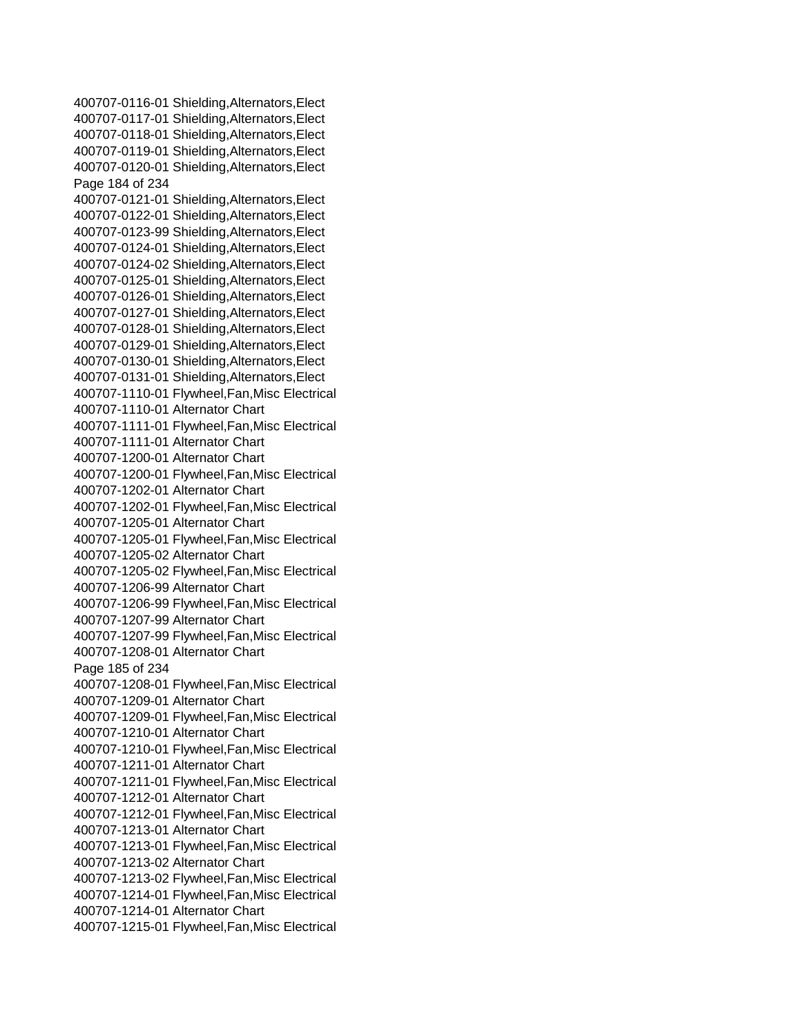400707-0116-01 Shielding,Alternators,Elect 400707-0117-01 Shielding,Alternators,Elect 400707-0118-01 Shielding,Alternators,Elect 400707-0119-01 Shielding,Alternators,Elect 400707-0120-01 Shielding,Alternators,Elect Page 184 of 234 400707-0121-01 Shielding,Alternators,Elect 400707-0122-01 Shielding,Alternators,Elect 400707-0123-99 Shielding,Alternators,Elect 400707-0124-01 Shielding,Alternators,Elect 400707-0124-02 Shielding,Alternators,Elect 400707-0125-01 Shielding,Alternators,Elect 400707-0126-01 Shielding,Alternators,Elect 400707-0127-01 Shielding,Alternators,Elect 400707-0128-01 Shielding,Alternators,Elect 400707-0129-01 Shielding,Alternators,Elect 400707-0130-01 Shielding,Alternators,Elect 400707-0131-01 Shielding,Alternators,Elect 400707-1110-01 Flywheel,Fan,Misc Electrical 400707-1110-01 Alternator Chart 400707-1111-01 Flywheel,Fan,Misc Electrical 400707-1111-01 Alternator Chart 400707-1200-01 Alternator Chart 400707-1200-01 Flywheel,Fan,Misc Electrical 400707-1202-01 Alternator Chart 400707-1202-01 Flywheel,Fan,Misc Electrical 400707-1205-01 Alternator Chart 400707-1205-01 Flywheel,Fan,Misc Electrical 400707-1205-02 Alternator Chart 400707-1205-02 Flywheel,Fan,Misc Electrical 400707-1206-99 Alternator Chart 400707-1206-99 Flywheel,Fan,Misc Electrical 400707-1207-99 Alternator Chart 400707-1207-99 Flywheel,Fan,Misc Electrical 400707-1208-01 Alternator Chart Page 185 of 234 400707-1208-01 Flywheel,Fan,Misc Electrical 400707-1209-01 Alternator Chart 400707-1209-01 Flywheel,Fan,Misc Electrical 400707-1210-01 Alternator Chart 400707-1210-01 Flywheel,Fan,Misc Electrical 400707-1211-01 Alternator Chart 400707-1211-01 Flywheel,Fan,Misc Electrical 400707-1212-01 Alternator Chart 400707-1212-01 Flywheel,Fan,Misc Electrical 400707-1213-01 Alternator Chart 400707-1213-01 Flywheel,Fan,Misc Electrical 400707-1213-02 Alternator Chart 400707-1213-02 Flywheel,Fan,Misc Electrical 400707-1214-01 Flywheel,Fan,Misc Electrical 400707-1214-01 Alternator Chart 400707-1215-01 Flywheel,Fan,Misc Electrical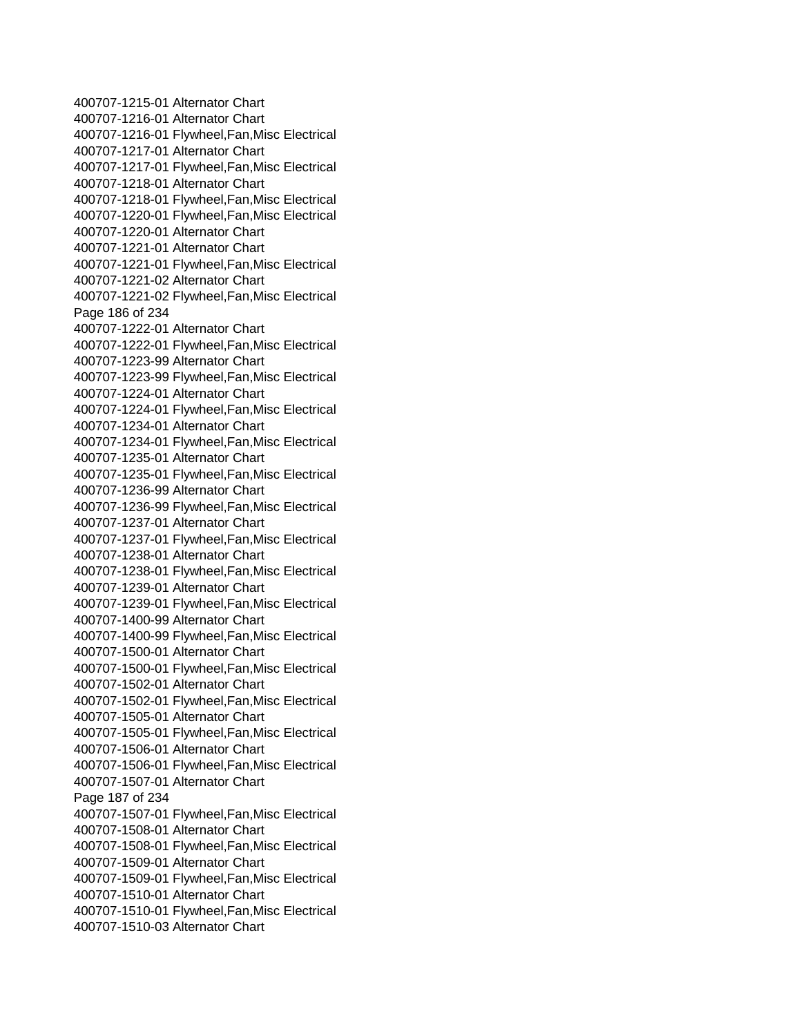400707-1215-01 Alternator Chart 400707-1216-01 Alternator Chart 400707-1216-01 Flywheel,Fan,Misc Electrical 400707-1217-01 Alternator Chart 400707-1217-01 Flywheel,Fan,Misc Electrical 400707-1218-01 Alternator Chart 400707-1218-01 Flywheel,Fan,Misc Electrical 400707-1220-01 Flywheel,Fan,Misc Electrical 400707-1220-01 Alternator Chart 400707-1221-01 Alternator Chart 400707-1221-01 Flywheel,Fan,Misc Electrical 400707-1221-02 Alternator Chart 400707-1221-02 Flywheel,Fan,Misc Electrical Page 186 of 234 400707-1222-01 Alternator Chart 400707-1222-01 Flywheel,Fan,Misc Electrical 400707-1223-99 Alternator Chart 400707-1223-99 Flywheel,Fan,Misc Electrical 400707-1224-01 Alternator Chart 400707-1224-01 Flywheel,Fan,Misc Electrical 400707-1234-01 Alternator Chart 400707-1234-01 Flywheel,Fan,Misc Electrical 400707-1235-01 Alternator Chart 400707-1235-01 Flywheel,Fan,Misc Electrical 400707-1236-99 Alternator Chart 400707-1236-99 Flywheel,Fan,Misc Electrical 400707-1237-01 Alternator Chart 400707-1237-01 Flywheel,Fan,Misc Electrical 400707-1238-01 Alternator Chart 400707-1238-01 Flywheel,Fan,Misc Electrical 400707-1239-01 Alternator Chart 400707-1239-01 Flywheel,Fan,Misc Electrical 400707-1400-99 Alternator Chart 400707-1400-99 Flywheel,Fan,Misc Electrical 400707-1500-01 Alternator Chart 400707-1500-01 Flywheel,Fan,Misc Electrical 400707-1502-01 Alternator Chart 400707-1502-01 Flywheel,Fan,Misc Electrical 400707-1505-01 Alternator Chart 400707-1505-01 Flywheel,Fan,Misc Electrical 400707-1506-01 Alternator Chart 400707-1506-01 Flywheel,Fan,Misc Electrical 400707-1507-01 Alternator Chart Page 187 of 234 400707-1507-01 Flywheel,Fan,Misc Electrical 400707-1508-01 Alternator Chart 400707-1508-01 Flywheel,Fan,Misc Electrical 400707-1509-01 Alternator Chart 400707-1509-01 Flywheel,Fan,Misc Electrical 400707-1510-01 Alternator Chart 400707-1510-01 Flywheel,Fan,Misc Electrical 400707-1510-03 Alternator Chart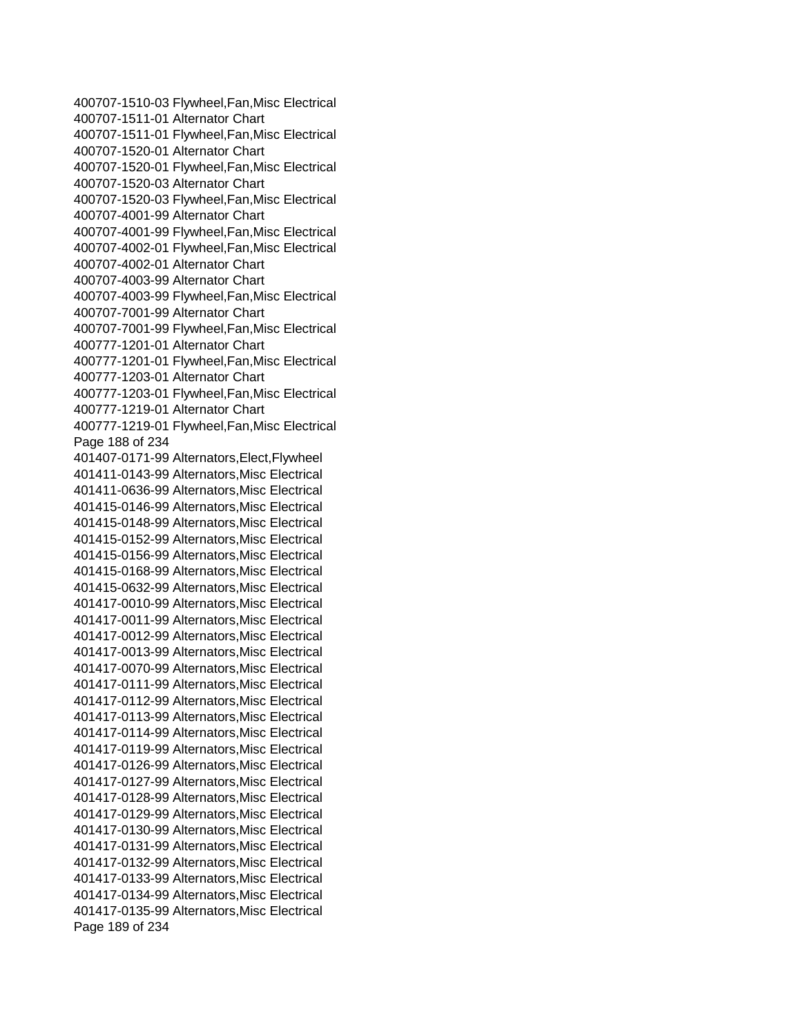400707-1510-03 Flywheel,Fan,Misc Electrical 400707-1511-01 Alternator Chart 400707-1511-01 Flywheel,Fan,Misc Electrical 400707-1520-01 Alternator Chart 400707-1520-01 Flywheel,Fan,Misc Electrical 400707-1520-03 Alternator Chart 400707-1520-03 Flywheel,Fan,Misc Electrical 400707-4001-99 Alternator Chart 400707-4001-99 Flywheel,Fan,Misc Electrical 400707-4002-01 Flywheel,Fan,Misc Electrical 400707-4002-01 Alternator Chart 400707-4003-99 Alternator Chart 400707-4003-99 Flywheel,Fan,Misc Electrical 400707-7001-99 Alternator Chart 400707-7001-99 Flywheel,Fan,Misc Electrical 400777-1201-01 Alternator Chart 400777-1201-01 Flywheel,Fan,Misc Electrical 400777-1203-01 Alternator Chart 400777-1203-01 Flywheel,Fan,Misc Electrical 400777-1219-01 Alternator Chart 400777-1219-01 Flywheel,Fan,Misc Electrical Page 188 of 234 401407-0171-99 Alternators,Elect,Flywheel 401411-0143-99 Alternators,Misc Electrical 401411-0636-99 Alternators,Misc Electrical 401415-0146-99 Alternators,Misc Electrical 401415-0148-99 Alternators,Misc Electrical 401415-0152-99 Alternators,Misc Electrical 401415-0156-99 Alternators,Misc Electrical 401415-0168-99 Alternators,Misc Electrical 401415-0632-99 Alternators,Misc Electrical 401417-0010-99 Alternators,Misc Electrical 401417-0011-99 Alternators,Misc Electrical 401417-0012-99 Alternators,Misc Electrical 401417-0013-99 Alternators,Misc Electrical 401417-0070-99 Alternators,Misc Electrical 401417-0111-99 Alternators,Misc Electrical 401417-0112-99 Alternators,Misc Electrical 401417-0113-99 Alternators,Misc Electrical 401417-0114-99 Alternators,Misc Electrical 401417-0119-99 Alternators,Misc Electrical 401417-0126-99 Alternators,Misc Electrical 401417-0127-99 Alternators,Misc Electrical 401417-0128-99 Alternators,Misc Electrical 401417-0129-99 Alternators,Misc Electrical 401417-0130-99 Alternators,Misc Electrical 401417-0131-99 Alternators,Misc Electrical 401417-0132-99 Alternators,Misc Electrical 401417-0133-99 Alternators,Misc Electrical 401417-0134-99 Alternators,Misc Electrical 401417-0135-99 Alternators,Misc Electrical Page 189 of 234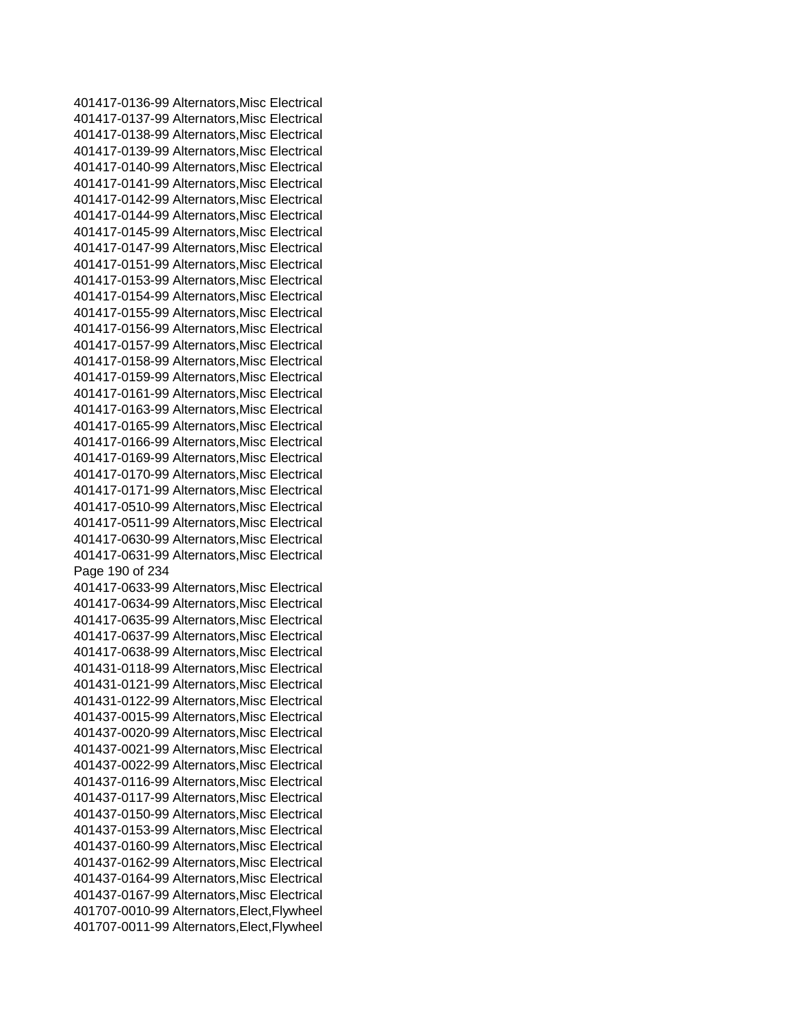401417-0136-99 Alternators,Misc Electrical 401417-0137-99 Alternators,Misc Electrical 401417-0138-99 Alternators,Misc Electrical 401417-0139-99 Alternators,Misc Electrical 401417-0140-99 Alternators,Misc Electrical 401417-0141-99 Alternators,Misc Electrical 401417-0142-99 Alternators,Misc Electrical 401417-0144-99 Alternators,Misc Electrical 401417-0145-99 Alternators,Misc Electrical 401417-0147-99 Alternators,Misc Electrical 401417-0151-99 Alternators,Misc Electrical 401417-0153-99 Alternators,Misc Electrical 401417-0154-99 Alternators,Misc Electrical 401417-0155-99 Alternators,Misc Electrical 401417-0156-99 Alternators,Misc Electrical 401417-0157-99 Alternators,Misc Electrical 401417-0158-99 Alternators,Misc Electrical 401417-0159-99 Alternators,Misc Electrical 401417-0161-99 Alternators,Misc Electrical 401417-0163-99 Alternators,Misc Electrical 401417-0165-99 Alternators,Misc Electrical 401417-0166-99 Alternators,Misc Electrical 401417-0169-99 Alternators,Misc Electrical 401417-0170-99 Alternators,Misc Electrical 401417-0171-99 Alternators,Misc Electrical 401417-0510-99 Alternators,Misc Electrical 401417-0511-99 Alternators,Misc Electrical 401417-0630-99 Alternators,Misc Electrical 401417-0631-99 Alternators,Misc Electrical Page 190 of 234 401417-0633-99 Alternators,Misc Electrical 401417-0634-99 Alternators,Misc Electrical 401417-0635-99 Alternators,Misc Electrical 401417-0637-99 Alternators,Misc Electrical 401417-0638-99 Alternators,Misc Electrical 401431-0118-99 Alternators,Misc Electrical 401431-0121-99 Alternators,Misc Electrical 401431-0122-99 Alternators,Misc Electrical 401437-0015-99 Alternators,Misc Electrical 401437-0020-99 Alternators,Misc Electrical 401437-0021-99 Alternators,Misc Electrical 401437-0022-99 Alternators,Misc Electrical 401437-0116-99 Alternators,Misc Electrical 401437-0117-99 Alternators,Misc Electrical 401437-0150-99 Alternators,Misc Electrical 401437-0153-99 Alternators,Misc Electrical 401437-0160-99 Alternators,Misc Electrical 401437-0162-99 Alternators,Misc Electrical 401437-0164-99 Alternators,Misc Electrical 401437-0167-99 Alternators,Misc Electrical 401707-0010-99 Alternators,Elect,Flywheel 401707-0011-99 Alternators,Elect,Flywheel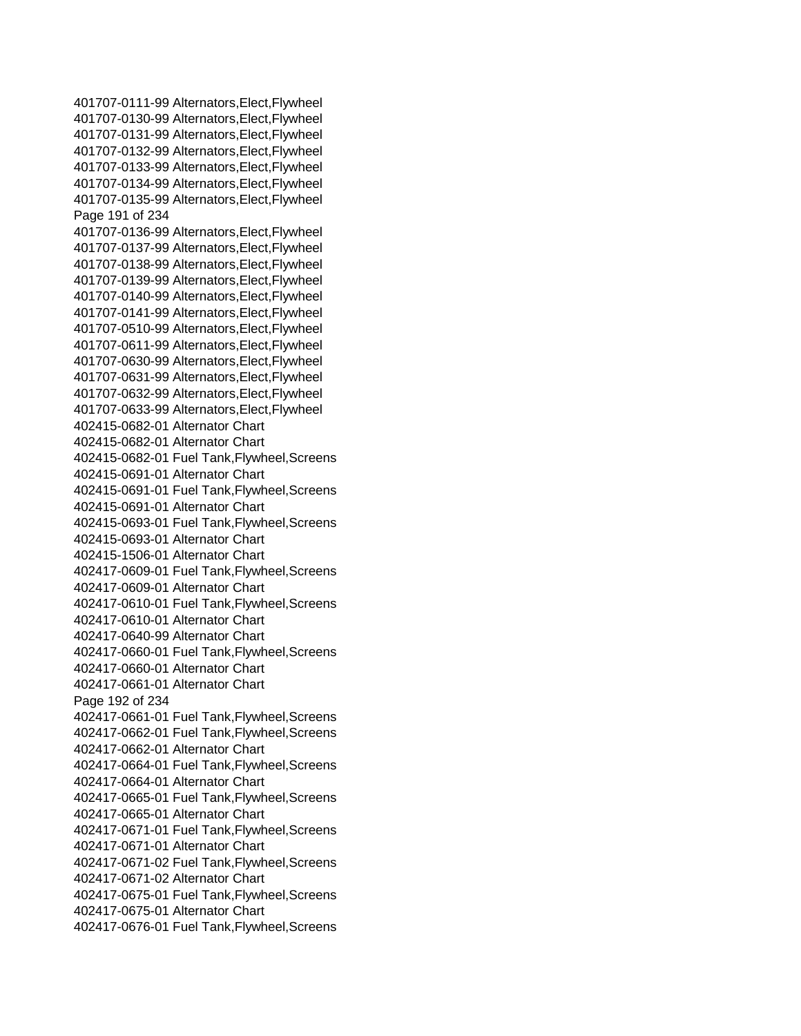401707-0111-99 Alternators,Elect,Flywheel 401707-0130-99 Alternators,Elect,Flywheel 401707-0131-99 Alternators,Elect,Flywheel 401707-0132-99 Alternators,Elect,Flywheel 401707-0133-99 Alternators,Elect,Flywheel 401707-0134-99 Alternators,Elect,Flywheel 401707-0135-99 Alternators,Elect,Flywheel Page 191 of 234 401707-0136-99 Alternators,Elect,Flywheel 401707-0137-99 Alternators,Elect,Flywheel 401707-0138-99 Alternators,Elect,Flywheel 401707-0139-99 Alternators,Elect,Flywheel 401707-0140-99 Alternators,Elect,Flywheel 401707-0141-99 Alternators,Elect,Flywheel 401707-0510-99 Alternators,Elect,Flywheel 401707-0611-99 Alternators,Elect,Flywheel 401707-0630-99 Alternators,Elect,Flywheel 401707-0631-99 Alternators,Elect,Flywheel 401707-0632-99 Alternators,Elect,Flywheel 401707-0633-99 Alternators,Elect,Flywheel 402415-0682-01 Alternator Chart 402415-0682-01 Alternator Chart 402415-0682-01 Fuel Tank,Flywheel,Screens 402415-0691-01 Alternator Chart 402415-0691-01 Fuel Tank,Flywheel,Screens 402415-0691-01 Alternator Chart 402415-0693-01 Fuel Tank,Flywheel,Screens 402415-0693-01 Alternator Chart 402415-1506-01 Alternator Chart 402417-0609-01 Fuel Tank,Flywheel,Screens 402417-0609-01 Alternator Chart 402417-0610-01 Fuel Tank,Flywheel,Screens 402417-0610-01 Alternator Chart 402417-0640-99 Alternator Chart 402417-0660-01 Fuel Tank,Flywheel,Screens 402417-0660-01 Alternator Chart 402417-0661-01 Alternator Chart Page 192 of 234 402417-0661-01 Fuel Tank,Flywheel,Screens 402417-0662-01 Fuel Tank,Flywheel,Screens 402417-0662-01 Alternator Chart 402417-0664-01 Fuel Tank,Flywheel,Screens 402417-0664-01 Alternator Chart 402417-0665-01 Fuel Tank,Flywheel,Screens 402417-0665-01 Alternator Chart 402417-0671-01 Fuel Tank,Flywheel,Screens 402417-0671-01 Alternator Chart 402417-0671-02 Fuel Tank,Flywheel,Screens 402417-0671-02 Alternator Chart 402417-0675-01 Fuel Tank,Flywheel,Screens 402417-0675-01 Alternator Chart 402417-0676-01 Fuel Tank,Flywheel,Screens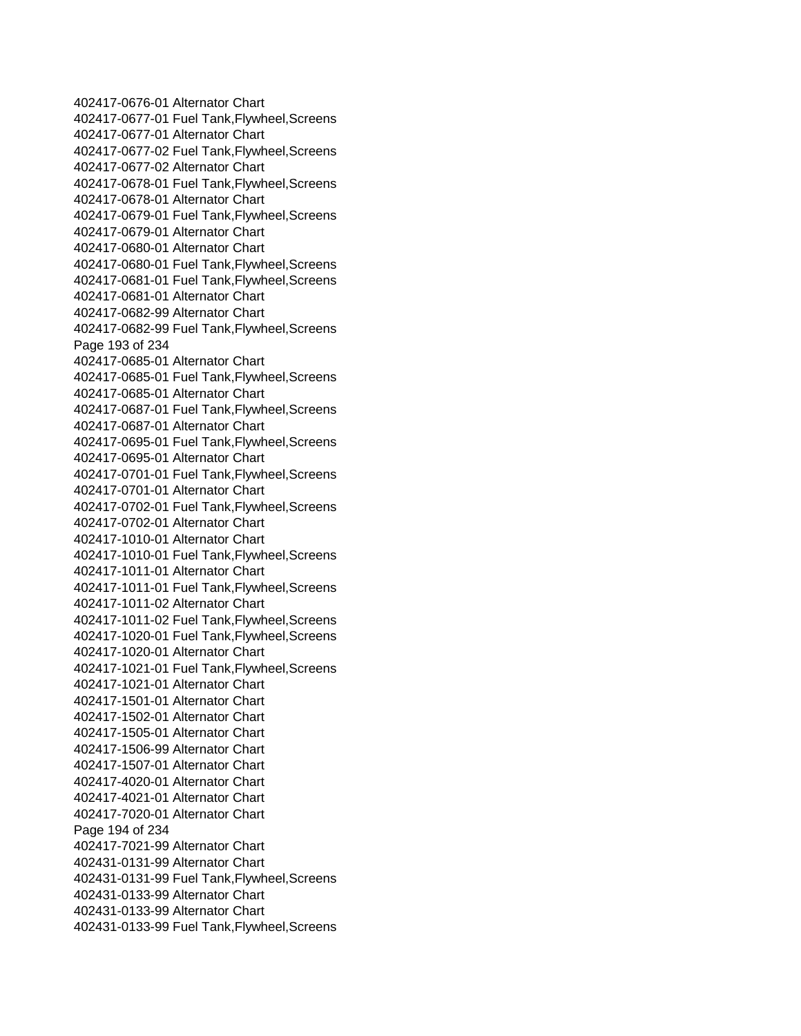402417-0676-01 Alternator Chart 402417-0677-01 Fuel Tank,Flywheel,Screens 402417-0677-01 Alternator Chart 402417-0677-02 Fuel Tank,Flywheel,Screens 402417-0677-02 Alternator Chart 402417-0678-01 Fuel Tank,Flywheel,Screens 402417-0678-01 Alternator Chart 402417-0679-01 Fuel Tank,Flywheel,Screens 402417-0679-01 Alternator Chart 402417-0680-01 Alternator Chart 402417-0680-01 Fuel Tank,Flywheel,Screens 402417-0681-01 Fuel Tank,Flywheel,Screens 402417-0681-01 Alternator Chart 402417-0682-99 Alternator Chart 402417-0682-99 Fuel Tank,Flywheel,Screens Page 193 of 234 402417-0685-01 Alternator Chart 402417-0685-01 Fuel Tank,Flywheel,Screens 402417-0685-01 Alternator Chart 402417-0687-01 Fuel Tank,Flywheel,Screens 402417-0687-01 Alternator Chart 402417-0695-01 Fuel Tank,Flywheel,Screens 402417-0695-01 Alternator Chart 402417-0701-01 Fuel Tank,Flywheel,Screens 402417-0701-01 Alternator Chart 402417-0702-01 Fuel Tank,Flywheel,Screens 402417-0702-01 Alternator Chart 402417-1010-01 Alternator Chart 402417-1010-01 Fuel Tank,Flywheel,Screens 402417-1011-01 Alternator Chart 402417-1011-01 Fuel Tank,Flywheel,Screens 402417-1011-02 Alternator Chart 402417-1011-02 Fuel Tank,Flywheel,Screens 402417-1020-01 Fuel Tank,Flywheel,Screens 402417-1020-01 Alternator Chart 402417-1021-01 Fuel Tank,Flywheel,Screens 402417-1021-01 Alternator Chart 402417-1501-01 Alternator Chart 402417-1502-01 Alternator Chart 402417-1505-01 Alternator Chart 402417-1506-99 Alternator Chart 402417-1507-01 Alternator Chart 402417-4020-01 Alternator Chart 402417-4021-01 Alternator Chart 402417-7020-01 Alternator Chart Page 194 of 234 402417-7021-99 Alternator Chart 402431-0131-99 Alternator Chart 402431-0131-99 Fuel Tank,Flywheel,Screens 402431-0133-99 Alternator Chart 402431-0133-99 Alternator Chart 402431-0133-99 Fuel Tank,Flywheel,Screens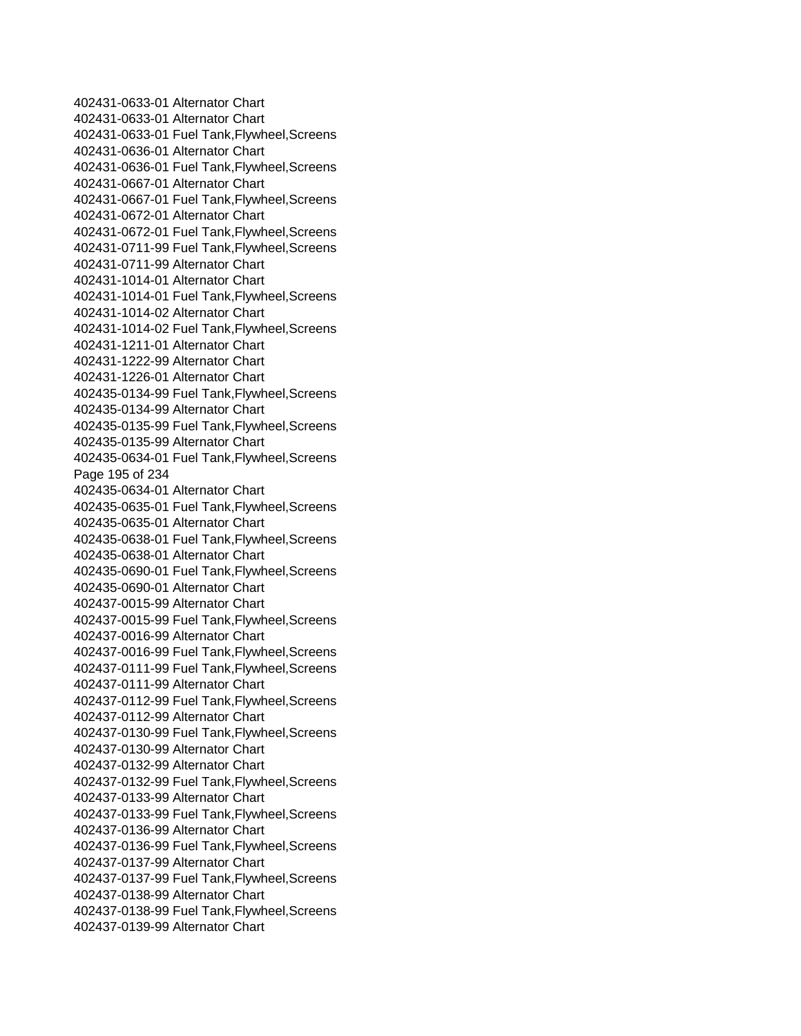402431-0633-01 Alternator Chart 402431-0633-01 Alternator Chart 402431-0633-01 Fuel Tank,Flywheel,Screens 402431-0636-01 Alternator Chart 402431-0636-01 Fuel Tank,Flywheel,Screens 402431-0667-01 Alternator Chart 402431-0667-01 Fuel Tank,Flywheel,Screens 402431-0672-01 Alternator Chart 402431-0672-01 Fuel Tank,Flywheel,Screens 402431-0711-99 Fuel Tank,Flywheel,Screens 402431-0711-99 Alternator Chart 402431-1014-01 Alternator Chart 402431-1014-01 Fuel Tank,Flywheel,Screens 402431-1014-02 Alternator Chart 402431-1014-02 Fuel Tank,Flywheel,Screens 402431-1211-01 Alternator Chart 402431-1222-99 Alternator Chart 402431-1226-01 Alternator Chart 402435-0134-99 Fuel Tank,Flywheel,Screens 402435-0134-99 Alternator Chart 402435-0135-99 Fuel Tank,Flywheel,Screens 402435-0135-99 Alternator Chart 402435-0634-01 Fuel Tank,Flywheel,Screens Page 195 of 234 402435-0634-01 Alternator Chart 402435-0635-01 Fuel Tank,Flywheel,Screens 402435-0635-01 Alternator Chart 402435-0638-01 Fuel Tank,Flywheel,Screens 402435-0638-01 Alternator Chart 402435-0690-01 Fuel Tank,Flywheel,Screens 402435-0690-01 Alternator Chart 402437-0015-99 Alternator Chart 402437-0015-99 Fuel Tank,Flywheel,Screens 402437-0016-99 Alternator Chart 402437-0016-99 Fuel Tank,Flywheel,Screens 402437-0111-99 Fuel Tank,Flywheel,Screens 402437-0111-99 Alternator Chart 402437-0112-99 Fuel Tank,Flywheel,Screens 402437-0112-99 Alternator Chart 402437-0130-99 Fuel Tank,Flywheel,Screens 402437-0130-99 Alternator Chart 402437-0132-99 Alternator Chart 402437-0132-99 Fuel Tank,Flywheel,Screens 402437-0133-99 Alternator Chart 402437-0133-99 Fuel Tank,Flywheel,Screens 402437-0136-99 Alternator Chart 402437-0136-99 Fuel Tank,Flywheel,Screens 402437-0137-99 Alternator Chart 402437-0137-99 Fuel Tank,Flywheel,Screens 402437-0138-99 Alternator Chart 402437-0138-99 Fuel Tank,Flywheel,Screens 402437-0139-99 Alternator Chart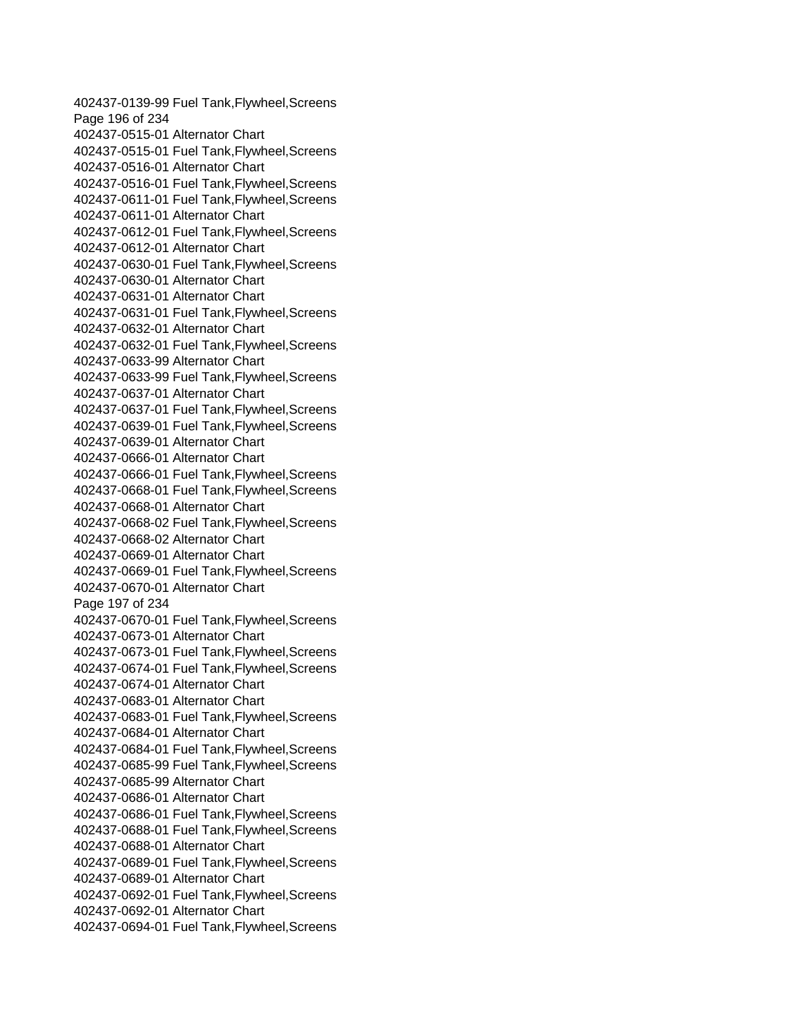402437-0139-99 Fuel Tank,Flywheel,Screens Page 196 of 234 402437-0515-01 Alternator Chart 402437-0515-01 Fuel Tank,Flywheel,Screens 402437-0516-01 Alternator Chart 402437-0516-01 Fuel Tank,Flywheel,Screens 402437-0611-01 Fuel Tank,Flywheel,Screens 402437-0611-01 Alternator Chart 402437-0612-01 Fuel Tank,Flywheel,Screens 402437-0612-01 Alternator Chart 402437-0630-01 Fuel Tank,Flywheel,Screens 402437-0630-01 Alternator Chart 402437-0631-01 Alternator Chart 402437-0631-01 Fuel Tank,Flywheel,Screens 402437-0632-01 Alternator Chart 402437-0632-01 Fuel Tank,Flywheel,Screens 402437-0633-99 Alternator Chart 402437-0633-99 Fuel Tank,Flywheel,Screens 402437-0637-01 Alternator Chart 402437-0637-01 Fuel Tank,Flywheel,Screens 402437-0639-01 Fuel Tank,Flywheel,Screens 402437-0639-01 Alternator Chart 402437-0666-01 Alternator Chart 402437-0666-01 Fuel Tank,Flywheel,Screens 402437-0668-01 Fuel Tank,Flywheel,Screens 402437-0668-01 Alternator Chart 402437-0668-02 Fuel Tank,Flywheel,Screens 402437-0668-02 Alternator Chart 402437-0669-01 Alternator Chart 402437-0669-01 Fuel Tank,Flywheel,Screens 402437-0670-01 Alternator Chart Page 197 of 234 402437-0670-01 Fuel Tank,Flywheel,Screens 402437-0673-01 Alternator Chart 402437-0673-01 Fuel Tank,Flywheel,Screens 402437-0674-01 Fuel Tank,Flywheel,Screens 402437-0674-01 Alternator Chart 402437-0683-01 Alternator Chart 402437-0683-01 Fuel Tank,Flywheel,Screens 402437-0684-01 Alternator Chart 402437-0684-01 Fuel Tank,Flywheel,Screens 402437-0685-99 Fuel Tank,Flywheel,Screens 402437-0685-99 Alternator Chart 402437-0686-01 Alternator Chart 402437-0686-01 Fuel Tank,Flywheel,Screens 402437-0688-01 Fuel Tank,Flywheel,Screens 402437-0688-01 Alternator Chart 402437-0689-01 Fuel Tank,Flywheel,Screens 402437-0689-01 Alternator Chart 402437-0692-01 Fuel Tank,Flywheel,Screens 402437-0692-01 Alternator Chart 402437-0694-01 Fuel Tank,Flywheel,Screens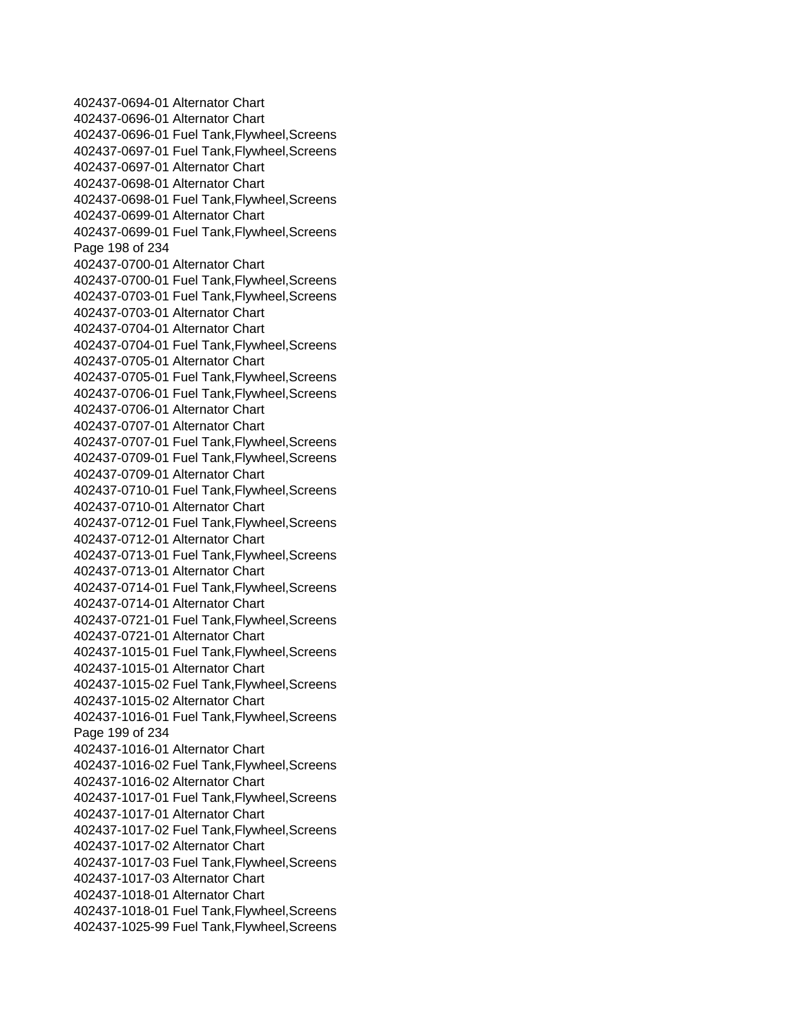402437-0694-01 Alternator Chart 402437-0696-01 Alternator Chart 402437-0696-01 Fuel Tank,Flywheel,Screens 402437-0697-01 Fuel Tank,Flywheel,Screens 402437-0697-01 Alternator Chart 402437-0698-01 Alternator Chart 402437-0698-01 Fuel Tank,Flywheel,Screens 402437-0699-01 Alternator Chart 402437-0699-01 Fuel Tank,Flywheel,Screens Page 198 of 234 402437-0700-01 Alternator Chart 402437-0700-01 Fuel Tank,Flywheel,Screens 402437-0703-01 Fuel Tank,Flywheel,Screens 402437-0703-01 Alternator Chart 402437-0704-01 Alternator Chart 402437-0704-01 Fuel Tank,Flywheel,Screens 402437-0705-01 Alternator Chart 402437-0705-01 Fuel Tank,Flywheel,Screens 402437-0706-01 Fuel Tank,Flywheel,Screens 402437-0706-01 Alternator Chart 402437-0707-01 Alternator Chart 402437-0707-01 Fuel Tank,Flywheel,Screens 402437-0709-01 Fuel Tank,Flywheel,Screens 402437-0709-01 Alternator Chart 402437-0710-01 Fuel Tank,Flywheel,Screens 402437-0710-01 Alternator Chart 402437-0712-01 Fuel Tank,Flywheel,Screens 402437-0712-01 Alternator Chart 402437-0713-01 Fuel Tank,Flywheel,Screens 402437-0713-01 Alternator Chart 402437-0714-01 Fuel Tank,Flywheel,Screens 402437-0714-01 Alternator Chart 402437-0721-01 Fuel Tank,Flywheel,Screens 402437-0721-01 Alternator Chart 402437-1015-01 Fuel Tank,Flywheel,Screens 402437-1015-01 Alternator Chart 402437-1015-02 Fuel Tank,Flywheel,Screens 402437-1015-02 Alternator Chart 402437-1016-01 Fuel Tank,Flywheel,Screens Page 199 of 234 402437-1016-01 Alternator Chart 402437-1016-02 Fuel Tank,Flywheel,Screens 402437-1016-02 Alternator Chart 402437-1017-01 Fuel Tank,Flywheel,Screens 402437-1017-01 Alternator Chart 402437-1017-02 Fuel Tank,Flywheel,Screens 402437-1017-02 Alternator Chart 402437-1017-03 Fuel Tank,Flywheel,Screens 402437-1017-03 Alternator Chart 402437-1018-01 Alternator Chart 402437-1018-01 Fuel Tank,Flywheel,Screens 402437-1025-99 Fuel Tank,Flywheel,Screens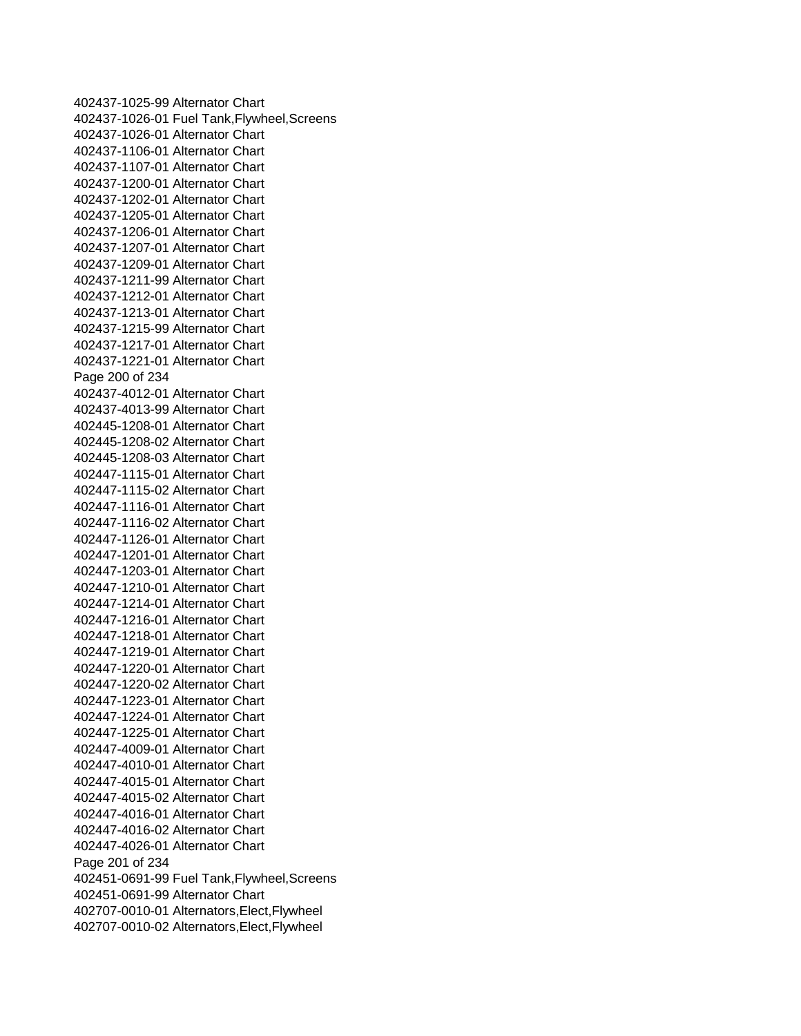402437-1025-99 Alternator Chart 402437-1026-01 Fuel Tank,Flywheel,Screens 402437-1026-01 Alternator Chart 402437-1106-01 Alternator Chart 402437-1107-01 Alternator Chart 402437-1200-01 Alternator Chart 402437-1202-01 Alternator Chart 402437-1205-01 Alternator Chart 402437-1206-01 Alternator Chart 402437-1207-01 Alternator Chart 402437-1209-01 Alternator Chart 402437-1211-99 Alternator Chart 402437-1212-01 Alternator Chart 402437-1213-01 Alternator Chart 402437-1215-99 Alternator Chart 402437-1217-01 Alternator Chart 402437-1221-01 Alternator Chart Page 200 of 234 402437-4012-01 Alternator Chart 402437-4013-99 Alternator Chart 402445-1208-01 Alternator Chart 402445-1208-02 Alternator Chart 402445-1208-03 Alternator Chart 402447-1115-01 Alternator Chart 402447-1115-02 Alternator Chart 402447-1116-01 Alternator Chart 402447-1116-02 Alternator Chart 402447-1126-01 Alternator Chart 402447-1201-01 Alternator Chart 402447-1203-01 Alternator Chart 402447-1210-01 Alternator Chart 402447-1214-01 Alternator Chart 402447-1216-01 Alternator Chart 402447-1218-01 Alternator Chart 402447-1219-01 Alternator Chart 402447-1220-01 Alternator Chart 402447-1220-02 Alternator Chart 402447-1223-01 Alternator Chart 402447-1224-01 Alternator Chart 402447-1225-01 Alternator Chart 402447-4009-01 Alternator Chart 402447-4010-01 Alternator Chart 402447-4015-01 Alternator Chart 402447-4015-02 Alternator Chart 402447-4016-01 Alternator Chart 402447-4016-02 Alternator Chart 402447-4026-01 Alternator Chart Page 201 of 234 402451-0691-99 Fuel Tank,Flywheel,Screens 402451-0691-99 Alternator Chart 402707-0010-01 Alternators,Elect,Flywheel 402707-0010-02 Alternators,Elect,Flywheel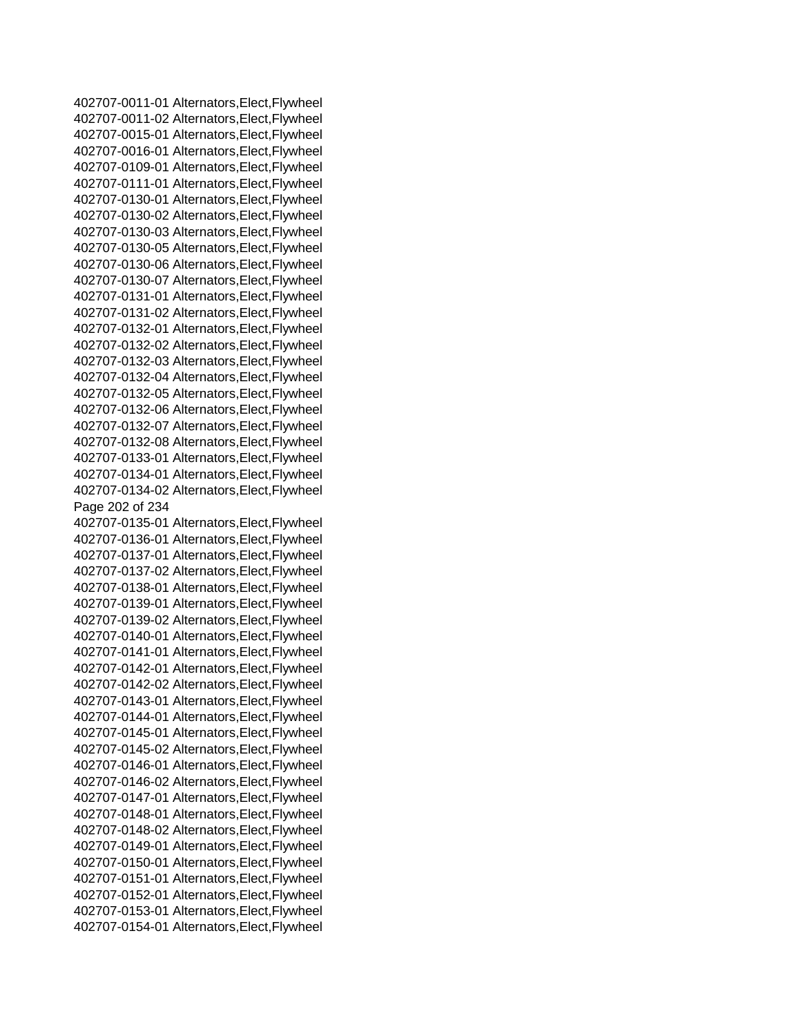402707-0011-01 Alternators,Elect,Flywheel 402707-0011-02 Alternators,Elect,Flywheel 402707-0015-01 Alternators,Elect,Flywheel 402707-0016-01 Alternators,Elect,Flywheel 402707-0109-01 Alternators,Elect,Flywheel 402707-0111-01 Alternators,Elect,Flywheel 402707-0130-01 Alternators,Elect,Flywheel 402707-0130-02 Alternators,Elect,Flywheel 402707-0130-03 Alternators,Elect,Flywheel 402707-0130-05 Alternators,Elect,Flywheel 402707-0130-06 Alternators,Elect,Flywheel 402707-0130-07 Alternators,Elect,Flywheel 402707-0131-01 Alternators,Elect,Flywheel 402707-0131-02 Alternators,Elect,Flywheel 402707-0132-01 Alternators,Elect,Flywheel 402707-0132-02 Alternators,Elect,Flywheel 402707-0132-03 Alternators,Elect,Flywheel 402707-0132-04 Alternators,Elect,Flywheel 402707-0132-05 Alternators,Elect,Flywheel 402707-0132-06 Alternators,Elect,Flywheel 402707-0132-07 Alternators,Elect,Flywheel 402707-0132-08 Alternators,Elect,Flywheel 402707-0133-01 Alternators,Elect,Flywheel 402707-0134-01 Alternators,Elect,Flywheel 402707-0134-02 Alternators,Elect,Flywheel Page 202 of 234 402707-0135-01 Alternators,Elect,Flywheel 402707-0136-01 Alternators,Elect,Flywheel 402707-0137-01 Alternators,Elect,Flywheel 402707-0137-02 Alternators,Elect,Flywheel 402707-0138-01 Alternators,Elect,Flywheel 402707-0139-01 Alternators,Elect,Flywheel 402707-0139-02 Alternators,Elect,Flywheel 402707-0140-01 Alternators,Elect,Flywheel 402707-0141-01 Alternators,Elect,Flywheel 402707-0142-01 Alternators,Elect,Flywheel 402707-0142-02 Alternators,Elect,Flywheel 402707-0143-01 Alternators,Elect,Flywheel 402707-0144-01 Alternators,Elect,Flywheel 402707-0145-01 Alternators,Elect,Flywheel 402707-0145-02 Alternators,Elect,Flywheel 402707-0146-01 Alternators,Elect,Flywheel 402707-0146-02 Alternators,Elect,Flywheel 402707-0147-01 Alternators,Elect,Flywheel 402707-0148-01 Alternators,Elect,Flywheel 402707-0148-02 Alternators,Elect,Flywheel 402707-0149-01 Alternators,Elect,Flywheel 402707-0150-01 Alternators,Elect,Flywheel 402707-0151-01 Alternators,Elect,Flywheel 402707-0152-01 Alternators,Elect,Flywheel 402707-0153-01 Alternators,Elect,Flywheel 402707-0154-01 Alternators,Elect,Flywheel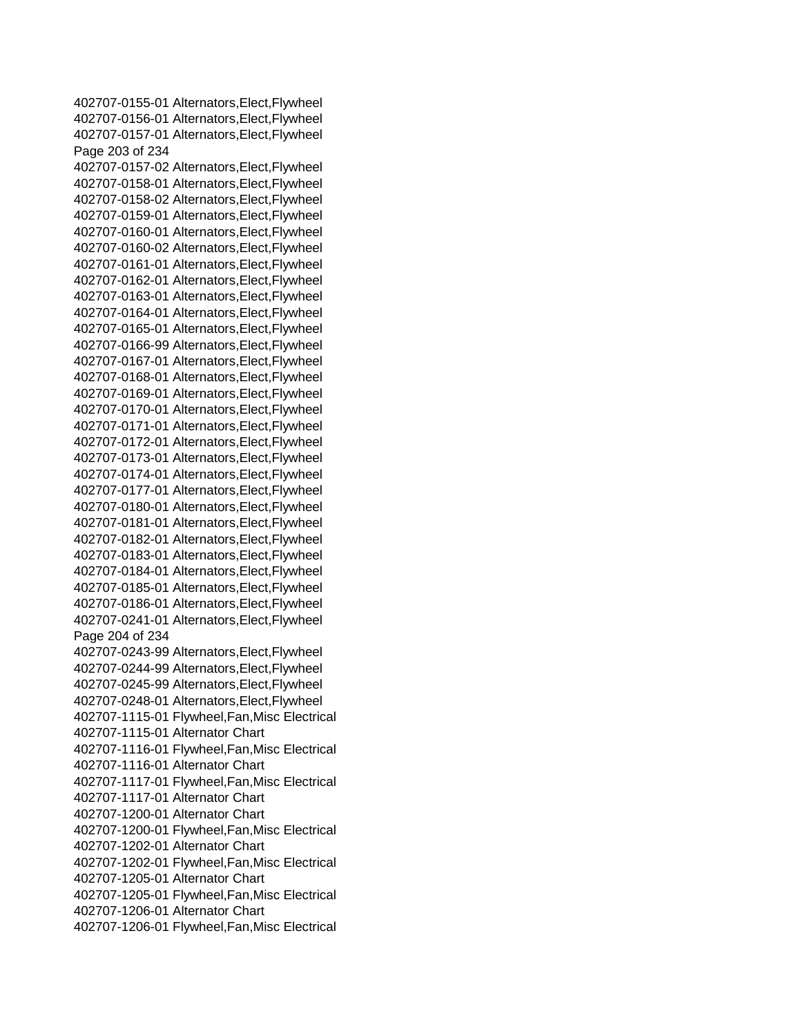402707-0155-01 Alternators,Elect,Flywheel 402707-0156-01 Alternators,Elect,Flywheel 402707-0157-01 Alternators,Elect,Flywheel Page 203 of 234 402707-0157-02 Alternators,Elect,Flywheel 402707-0158-01 Alternators,Elect,Flywheel 402707-0158-02 Alternators,Elect,Flywheel 402707-0159-01 Alternators,Elect,Flywheel 402707-0160-01 Alternators,Elect,Flywheel 402707-0160-02 Alternators,Elect,Flywheel 402707-0161-01 Alternators,Elect,Flywheel 402707-0162-01 Alternators,Elect,Flywheel 402707-0163-01 Alternators,Elect,Flywheel 402707-0164-01 Alternators,Elect,Flywheel 402707-0165-01 Alternators,Elect,Flywheel 402707-0166-99 Alternators,Elect,Flywheel 402707-0167-01 Alternators,Elect,Flywheel 402707-0168-01 Alternators,Elect,Flywheel 402707-0169-01 Alternators,Elect,Flywheel 402707-0170-01 Alternators,Elect,Flywheel 402707-0171-01 Alternators,Elect,Flywheel 402707-0172-01 Alternators,Elect,Flywheel 402707-0173-01 Alternators,Elect,Flywheel 402707-0174-01 Alternators,Elect,Flywheel 402707-0177-01 Alternators,Elect,Flywheel 402707-0180-01 Alternators,Elect,Flywheel 402707-0181-01 Alternators,Elect,Flywheel 402707-0182-01 Alternators,Elect,Flywheel 402707-0183-01 Alternators,Elect,Flywheel 402707-0184-01 Alternators,Elect,Flywheel 402707-0185-01 Alternators,Elect,Flywheel 402707-0186-01 Alternators,Elect,Flywheel 402707-0241-01 Alternators,Elect,Flywheel Page 204 of 234 402707-0243-99 Alternators,Elect,Flywheel 402707-0244-99 Alternators,Elect,Flywheel 402707-0245-99 Alternators,Elect,Flywheel 402707-0248-01 Alternators,Elect,Flywheel 402707-1115-01 Flywheel,Fan,Misc Electrical 402707-1115-01 Alternator Chart 402707-1116-01 Flywheel,Fan,Misc Electrical 402707-1116-01 Alternator Chart 402707-1117-01 Flywheel,Fan,Misc Electrical 402707-1117-01 Alternator Chart 402707-1200-01 Alternator Chart 402707-1200-01 Flywheel,Fan,Misc Electrical 402707-1202-01 Alternator Chart 402707-1202-01 Flywheel,Fan,Misc Electrical 402707-1205-01 Alternator Chart 402707-1205-01 Flywheel,Fan,Misc Electrical 402707-1206-01 Alternator Chart 402707-1206-01 Flywheel,Fan,Misc Electrical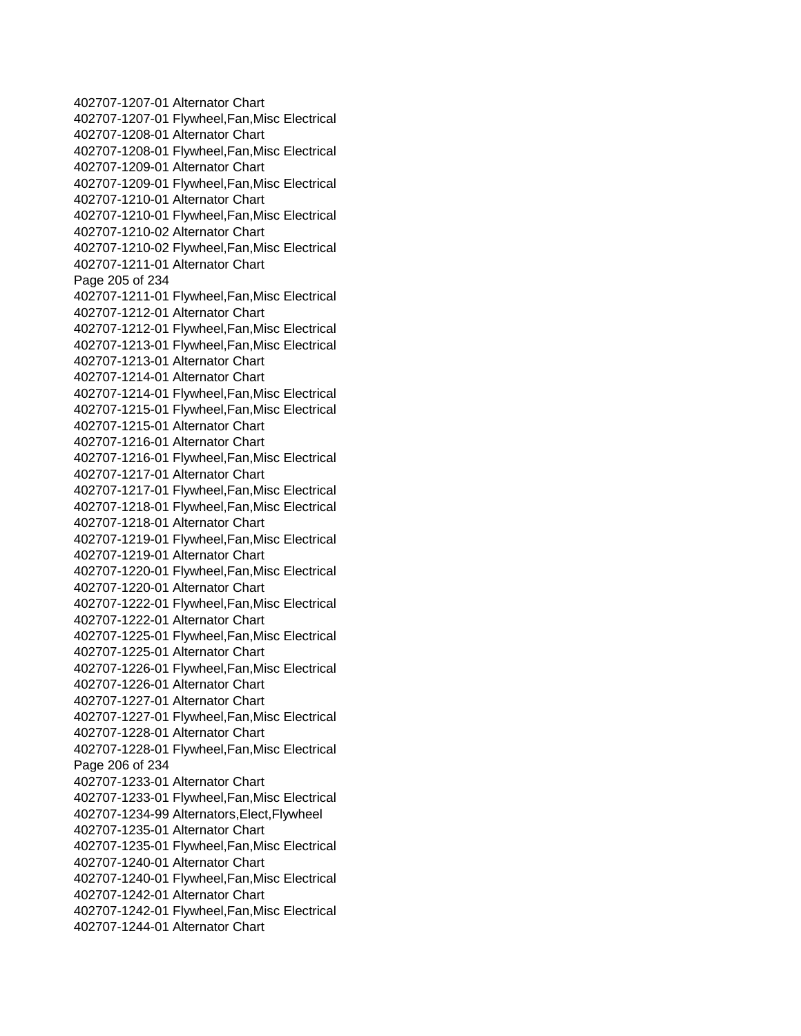402707-1207-01 Alternator Chart 402707-1207-01 Flywheel,Fan,Misc Electrical 402707-1208-01 Alternator Chart 402707-1208-01 Flywheel,Fan,Misc Electrical 402707-1209-01 Alternator Chart 402707-1209-01 Flywheel,Fan,Misc Electrical 402707-1210-01 Alternator Chart 402707-1210-01 Flywheel,Fan,Misc Electrical 402707-1210-02 Alternator Chart 402707-1210-02 Flywheel,Fan,Misc Electrical 402707-1211-01 Alternator Chart Page 205 of 234 402707-1211-01 Flywheel,Fan,Misc Electrical 402707-1212-01 Alternator Chart 402707-1212-01 Flywheel,Fan,Misc Electrical 402707-1213-01 Flywheel,Fan,Misc Electrical 402707-1213-01 Alternator Chart 402707-1214-01 Alternator Chart 402707-1214-01 Flywheel,Fan,Misc Electrical 402707-1215-01 Flywheel,Fan,Misc Electrical 402707-1215-01 Alternator Chart 402707-1216-01 Alternator Chart 402707-1216-01 Flywheel,Fan,Misc Electrical 402707-1217-01 Alternator Chart 402707-1217-01 Flywheel,Fan,Misc Electrical 402707-1218-01 Flywheel,Fan,Misc Electrical 402707-1218-01 Alternator Chart 402707-1219-01 Flywheel,Fan,Misc Electrical 402707-1219-01 Alternator Chart 402707-1220-01 Flywheel,Fan,Misc Electrical 402707-1220-01 Alternator Chart 402707-1222-01 Flywheel,Fan,Misc Electrical 402707-1222-01 Alternator Chart 402707-1225-01 Flywheel,Fan,Misc Electrical 402707-1225-01 Alternator Chart 402707-1226-01 Flywheel,Fan,Misc Electrical 402707-1226-01 Alternator Chart 402707-1227-01 Alternator Chart 402707-1227-01 Flywheel,Fan,Misc Electrical 402707-1228-01 Alternator Chart 402707-1228-01 Flywheel,Fan,Misc Electrical Page 206 of 234 402707-1233-01 Alternator Chart 402707-1233-01 Flywheel,Fan,Misc Electrical 402707-1234-99 Alternators,Elect,Flywheel 402707-1235-01 Alternator Chart 402707-1235-01 Flywheel,Fan,Misc Electrical 402707-1240-01 Alternator Chart 402707-1240-01 Flywheel,Fan,Misc Electrical 402707-1242-01 Alternator Chart 402707-1242-01 Flywheel,Fan,Misc Electrical 402707-1244-01 Alternator Chart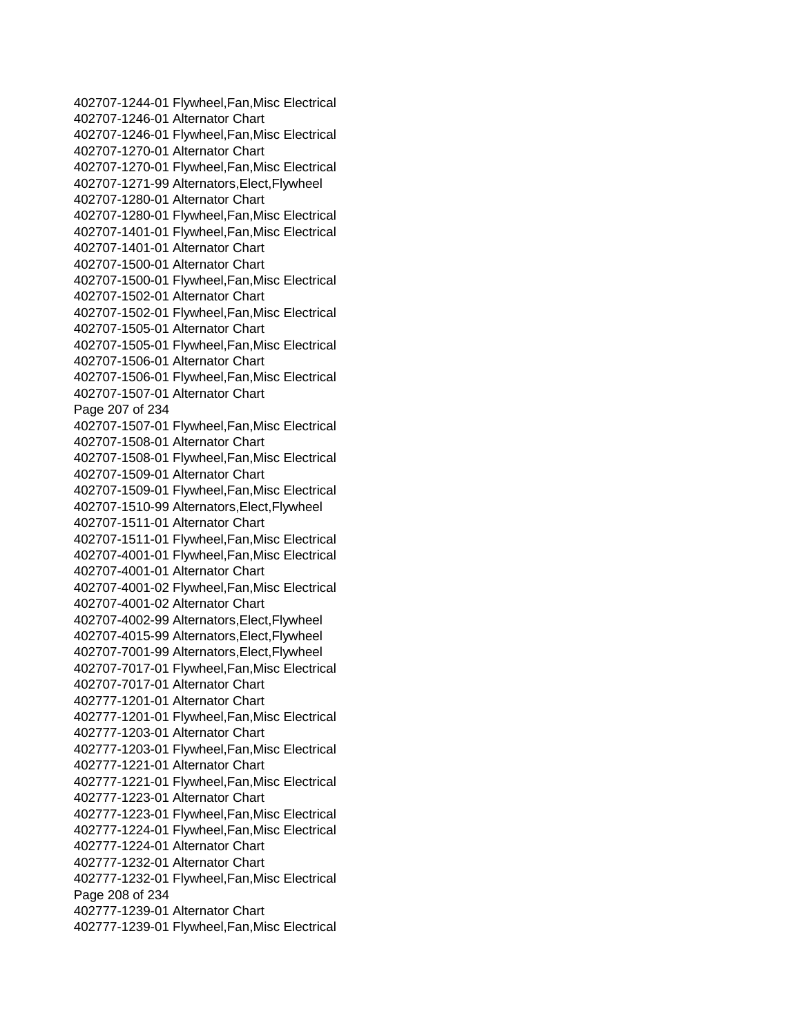402707-1244-01 Flywheel,Fan,Misc Electrical 402707-1246-01 Alternator Chart 402707-1246-01 Flywheel,Fan,Misc Electrical 402707-1270-01 Alternator Chart 402707-1270-01 Flywheel,Fan,Misc Electrical 402707-1271-99 Alternators,Elect,Flywheel 402707-1280-01 Alternator Chart 402707-1280-01 Flywheel,Fan,Misc Electrical 402707-1401-01 Flywheel,Fan,Misc Electrical 402707-1401-01 Alternator Chart 402707-1500-01 Alternator Chart 402707-1500-01 Flywheel,Fan,Misc Electrical 402707-1502-01 Alternator Chart 402707-1502-01 Flywheel,Fan,Misc Electrical 402707-1505-01 Alternator Chart 402707-1505-01 Flywheel,Fan,Misc Electrical 402707-1506-01 Alternator Chart 402707-1506-01 Flywheel,Fan,Misc Electrical 402707-1507-01 Alternator Chart Page 207 of 234 402707-1507-01 Flywheel,Fan,Misc Electrical 402707-1508-01 Alternator Chart 402707-1508-01 Flywheel,Fan,Misc Electrical 402707-1509-01 Alternator Chart 402707-1509-01 Flywheel,Fan,Misc Electrical 402707-1510-99 Alternators,Elect,Flywheel 402707-1511-01 Alternator Chart 402707-1511-01 Flywheel,Fan,Misc Electrical 402707-4001-01 Flywheel,Fan,Misc Electrical 402707-4001-01 Alternator Chart 402707-4001-02 Flywheel,Fan,Misc Electrical 402707-4001-02 Alternator Chart 402707-4002-99 Alternators,Elect,Flywheel 402707-4015-99 Alternators,Elect,Flywheel 402707-7001-99 Alternators,Elect,Flywheel 402707-7017-01 Flywheel,Fan,Misc Electrical 402707-7017-01 Alternator Chart 402777-1201-01 Alternator Chart 402777-1201-01 Flywheel,Fan,Misc Electrical 402777-1203-01 Alternator Chart 402777-1203-01 Flywheel,Fan,Misc Electrical 402777-1221-01 Alternator Chart 402777-1221-01 Flywheel,Fan,Misc Electrical 402777-1223-01 Alternator Chart 402777-1223-01 Flywheel,Fan,Misc Electrical 402777-1224-01 Flywheel,Fan,Misc Electrical 402777-1224-01 Alternator Chart 402777-1232-01 Alternator Chart 402777-1232-01 Flywheel,Fan,Misc Electrical Page 208 of 234 402777-1239-01 Alternator Chart 402777-1239-01 Flywheel,Fan,Misc Electrical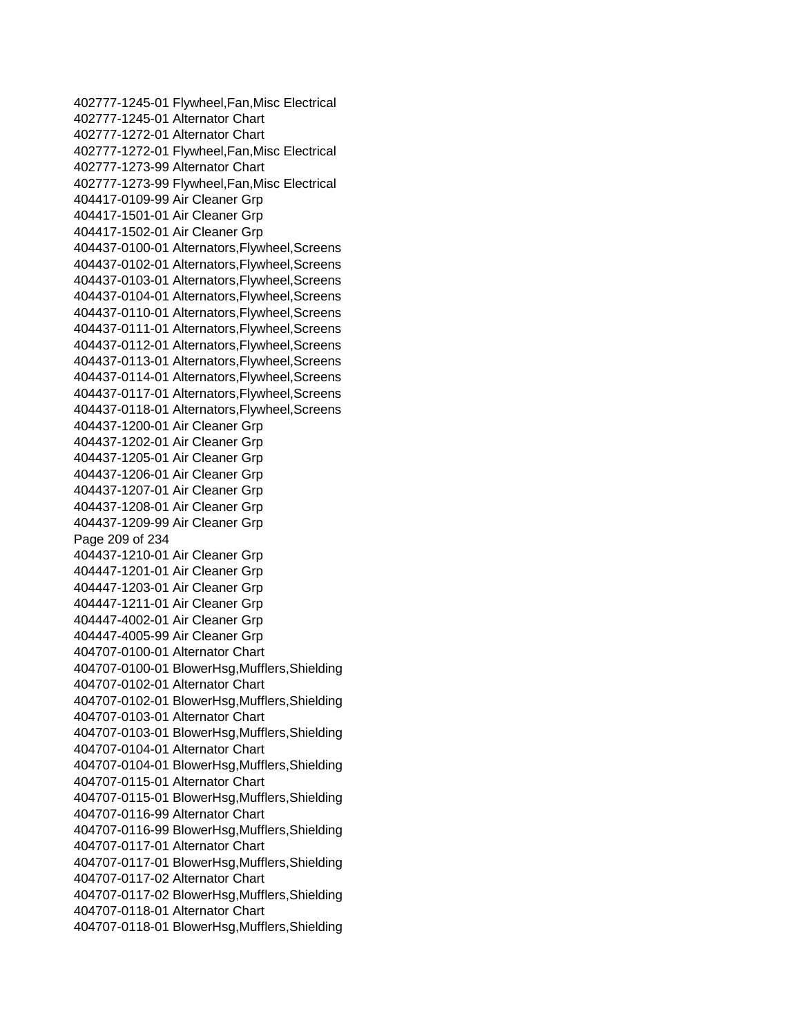402777-1245-01 Flywheel,Fan,Misc Electrical 402777-1245-01 Alternator Chart 402777-1272-01 Alternator Chart 402777-1272-01 Flywheel,Fan,Misc Electrical 402777-1273-99 Alternator Chart 402777-1273-99 Flywheel,Fan,Misc Electrical 404417-0109-99 Air Cleaner Grp 404417-1501-01 Air Cleaner Grp 404417-1502-01 Air Cleaner Grp 404437-0100-01 Alternators,Flywheel,Screens 404437-0102-01 Alternators,Flywheel,Screens 404437-0103-01 Alternators,Flywheel,Screens 404437-0104-01 Alternators,Flywheel,Screens 404437-0110-01 Alternators,Flywheel,Screens 404437-0111-01 Alternators,Flywheel,Screens 404437-0112-01 Alternators,Flywheel,Screens 404437-0113-01 Alternators,Flywheel,Screens 404437-0114-01 Alternators,Flywheel,Screens 404437-0117-01 Alternators,Flywheel,Screens 404437-0118-01 Alternators,Flywheel,Screens 404437-1200-01 Air Cleaner Grp 404437-1202-01 Air Cleaner Grp 404437-1205-01 Air Cleaner Grp 404437-1206-01 Air Cleaner Grp 404437-1207-01 Air Cleaner Grp 404437-1208-01 Air Cleaner Grp 404437-1209-99 Air Cleaner Grp Page 209 of 234 404437-1210-01 Air Cleaner Grp 404447-1201-01 Air Cleaner Grp 404447-1203-01 Air Cleaner Grp 404447-1211-01 Air Cleaner Grp 404447-4002-01 Air Cleaner Grp 404447-4005-99 Air Cleaner Grp 404707-0100-01 Alternator Chart 404707-0100-01 BlowerHsg,Mufflers,Shielding 404707-0102-01 Alternator Chart 404707-0102-01 BlowerHsg,Mufflers,Shielding 404707-0103-01 Alternator Chart 404707-0103-01 BlowerHsg,Mufflers,Shielding 404707-0104-01 Alternator Chart 404707-0104-01 BlowerHsg,Mufflers,Shielding 404707-0115-01 Alternator Chart 404707-0115-01 BlowerHsg,Mufflers,Shielding 404707-0116-99 Alternator Chart 404707-0116-99 BlowerHsg,Mufflers,Shielding 404707-0117-01 Alternator Chart 404707-0117-01 BlowerHsg,Mufflers,Shielding 404707-0117-02 Alternator Chart 404707-0117-02 BlowerHsg,Mufflers,Shielding 404707-0118-01 Alternator Chart 404707-0118-01 BlowerHsg,Mufflers,Shielding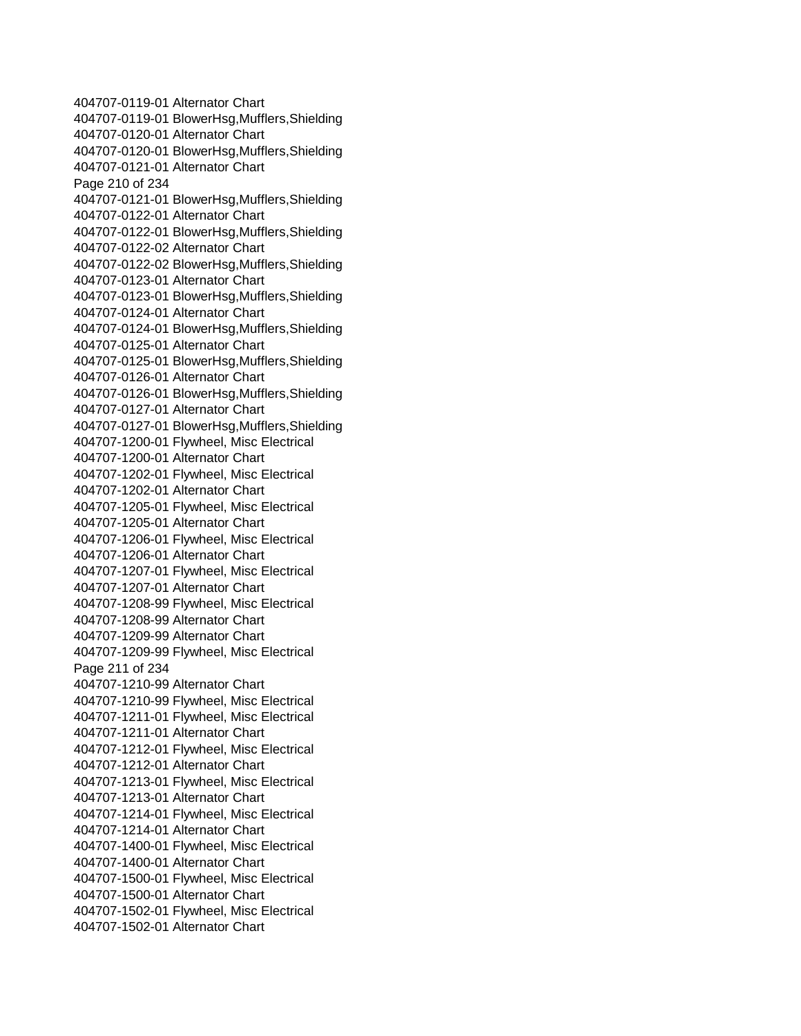404707-0119-01 Alternator Chart 404707-0119-01 BlowerHsg,Mufflers,Shielding 404707-0120-01 Alternator Chart 404707-0120-01 BlowerHsg,Mufflers,Shielding 404707-0121-01 Alternator Chart Page 210 of 234 404707-0121-01 BlowerHsg,Mufflers,Shielding 404707-0122-01 Alternator Chart 404707-0122-01 BlowerHsg,Mufflers,Shielding 404707-0122-02 Alternator Chart 404707-0122-02 BlowerHsg,Mufflers,Shielding 404707-0123-01 Alternator Chart 404707-0123-01 BlowerHsg,Mufflers,Shielding 404707-0124-01 Alternator Chart 404707-0124-01 BlowerHsg,Mufflers,Shielding 404707-0125-01 Alternator Chart 404707-0125-01 BlowerHsg,Mufflers,Shielding 404707-0126-01 Alternator Chart 404707-0126-01 BlowerHsg,Mufflers,Shielding 404707-0127-01 Alternator Chart 404707-0127-01 BlowerHsg,Mufflers,Shielding 404707-1200-01 Flywheel, Misc Electrical 404707-1200-01 Alternator Chart 404707-1202-01 Flywheel, Misc Electrical 404707-1202-01 Alternator Chart 404707-1205-01 Flywheel, Misc Electrical 404707-1205-01 Alternator Chart 404707-1206-01 Flywheel, Misc Electrical 404707-1206-01 Alternator Chart 404707-1207-01 Flywheel, Misc Electrical 404707-1207-01 Alternator Chart 404707-1208-99 Flywheel, Misc Electrical 404707-1208-99 Alternator Chart 404707-1209-99 Alternator Chart 404707-1209-99 Flywheel, Misc Electrical Page 211 of 234 404707-1210-99 Alternator Chart 404707-1210-99 Flywheel, Misc Electrical 404707-1211-01 Flywheel, Misc Electrical 404707-1211-01 Alternator Chart 404707-1212-01 Flywheel, Misc Electrical 404707-1212-01 Alternator Chart 404707-1213-01 Flywheel, Misc Electrical 404707-1213-01 Alternator Chart 404707-1214-01 Flywheel, Misc Electrical 404707-1214-01 Alternator Chart 404707-1400-01 Flywheel, Misc Electrical 404707-1400-01 Alternator Chart 404707-1500-01 Flywheel, Misc Electrical 404707-1500-01 Alternator Chart 404707-1502-01 Flywheel, Misc Electrical 404707-1502-01 Alternator Chart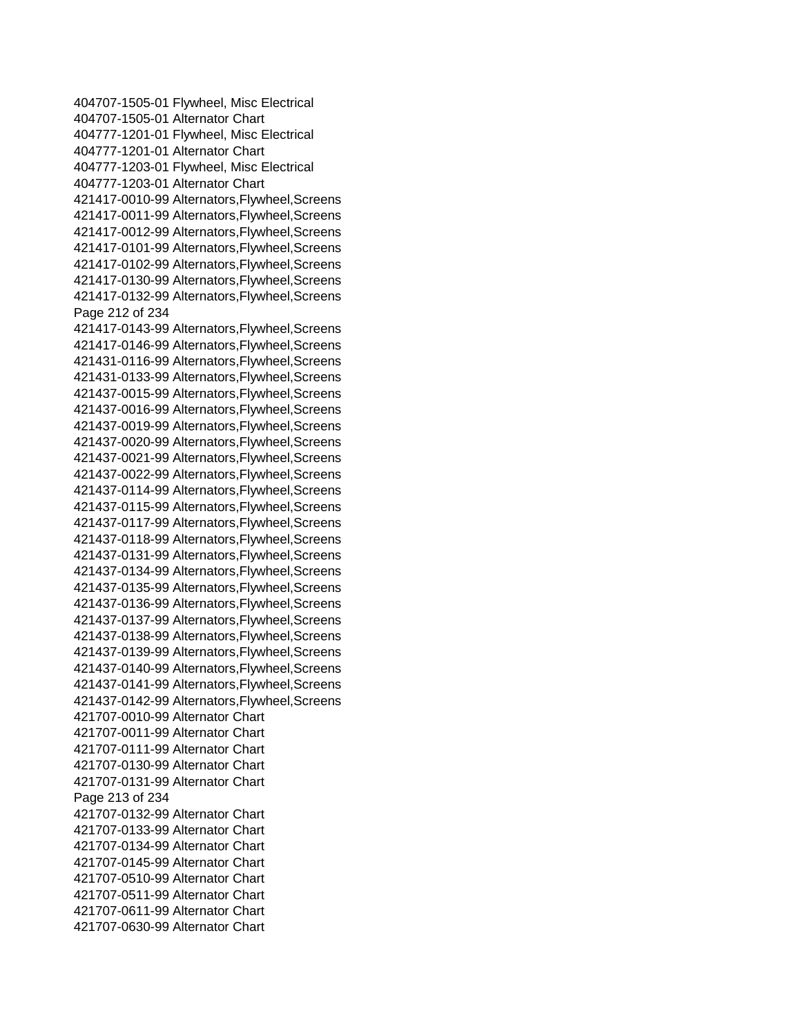404707-1505-01 Flywheel, Misc Electrical 404707-1505-01 Alternator Chart 404777-1201-01 Flywheel, Misc Electrical 404777-1201-01 Alternator Chart 404777-1203-01 Flywheel, Misc Electrical 404777-1203-01 Alternator Chart 421417-0010-99 Alternators,Flywheel,Screens 421417-0011-99 Alternators,Flywheel,Screens 421417-0012-99 Alternators,Flywheel,Screens 421417-0101-99 Alternators,Flywheel,Screens 421417-0102-99 Alternators,Flywheel,Screens 421417-0130-99 Alternators,Flywheel,Screens 421417-0132-99 Alternators,Flywheel,Screens Page 212 of 234 421417-0143-99 Alternators,Flywheel,Screens 421417-0146-99 Alternators,Flywheel,Screens 421431-0116-99 Alternators,Flywheel,Screens 421431-0133-99 Alternators,Flywheel,Screens 421437-0015-99 Alternators,Flywheel,Screens 421437-0016-99 Alternators,Flywheel,Screens 421437-0019-99 Alternators,Flywheel,Screens 421437-0020-99 Alternators,Flywheel,Screens 421437-0021-99 Alternators,Flywheel,Screens 421437-0022-99 Alternators,Flywheel,Screens 421437-0114-99 Alternators,Flywheel,Screens 421437-0115-99 Alternators,Flywheel,Screens 421437-0117-99 Alternators,Flywheel,Screens 421437-0118-99 Alternators,Flywheel,Screens 421437-0131-99 Alternators,Flywheel,Screens 421437-0134-99 Alternators,Flywheel,Screens 421437-0135-99 Alternators,Flywheel,Screens 421437-0136-99 Alternators,Flywheel,Screens 421437-0137-99 Alternators,Flywheel,Screens 421437-0138-99 Alternators,Flywheel,Screens 421437-0139-99 Alternators,Flywheel,Screens 421437-0140-99 Alternators,Flywheel,Screens 421437-0141-99 Alternators,Flywheel,Screens 421437-0142-99 Alternators,Flywheel,Screens 421707-0010-99 Alternator Chart 421707-0011-99 Alternator Chart 421707-0111-99 Alternator Chart 421707-0130-99 Alternator Chart 421707-0131-99 Alternator Chart Page 213 of 234 421707-0132-99 Alternator Chart 421707-0133-99 Alternator Chart 421707-0134-99 Alternator Chart 421707-0145-99 Alternator Chart 421707-0510-99 Alternator Chart 421707-0511-99 Alternator Chart 421707-0611-99 Alternator Chart 421707-0630-99 Alternator Chart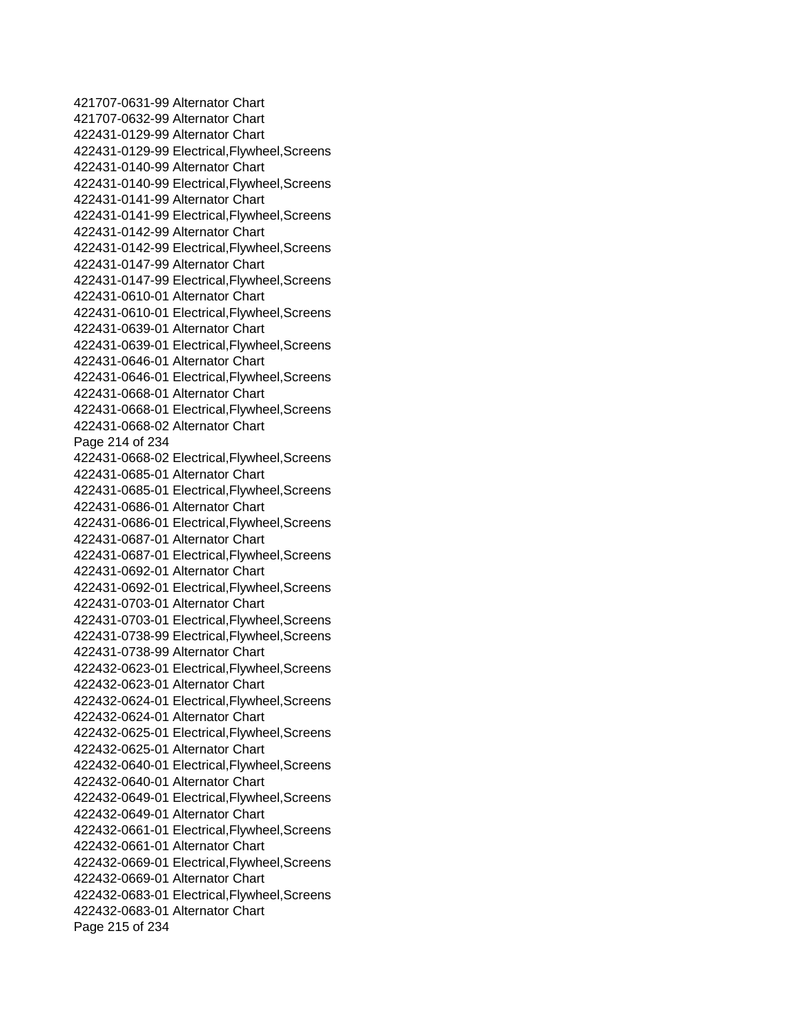421707-0631-99 Alternator Chart 421707-0632-99 Alternator Chart 422431-0129-99 Alternator Chart 422431-0129-99 Electrical,Flywheel,Screens 422431-0140-99 Alternator Chart 422431-0140-99 Electrical,Flywheel,Screens 422431-0141-99 Alternator Chart 422431-0141-99 Electrical,Flywheel,Screens 422431-0142-99 Alternator Chart 422431-0142-99 Electrical,Flywheel,Screens 422431-0147-99 Alternator Chart 422431-0147-99 Electrical,Flywheel,Screens 422431-0610-01 Alternator Chart 422431-0610-01 Electrical,Flywheel,Screens 422431-0639-01 Alternator Chart 422431-0639-01 Electrical,Flywheel,Screens 422431-0646-01 Alternator Chart 422431-0646-01 Electrical,Flywheel,Screens 422431-0668-01 Alternator Chart 422431-0668-01 Electrical,Flywheel,Screens 422431-0668-02 Alternator Chart Page 214 of 234 422431-0668-02 Electrical,Flywheel,Screens 422431-0685-01 Alternator Chart 422431-0685-01 Electrical,Flywheel,Screens 422431-0686-01 Alternator Chart 422431-0686-01 Electrical,Flywheel,Screens 422431-0687-01 Alternator Chart 422431-0687-01 Electrical,Flywheel,Screens 422431-0692-01 Alternator Chart 422431-0692-01 Electrical,Flywheel,Screens 422431-0703-01 Alternator Chart 422431-0703-01 Electrical,Flywheel,Screens 422431-0738-99 Electrical,Flywheel,Screens 422431-0738-99 Alternator Chart 422432-0623-01 Electrical,Flywheel,Screens 422432-0623-01 Alternator Chart 422432-0624-01 Electrical,Flywheel,Screens 422432-0624-01 Alternator Chart 422432-0625-01 Electrical,Flywheel,Screens 422432-0625-01 Alternator Chart 422432-0640-01 Electrical,Flywheel,Screens 422432-0640-01 Alternator Chart 422432-0649-01 Electrical,Flywheel,Screens 422432-0649-01 Alternator Chart 422432-0661-01 Electrical,Flywheel,Screens 422432-0661-01 Alternator Chart 422432-0669-01 Electrical,Flywheel,Screens 422432-0669-01 Alternator Chart 422432-0683-01 Electrical,Flywheel,Screens 422432-0683-01 Alternator Chart Page 215 of 234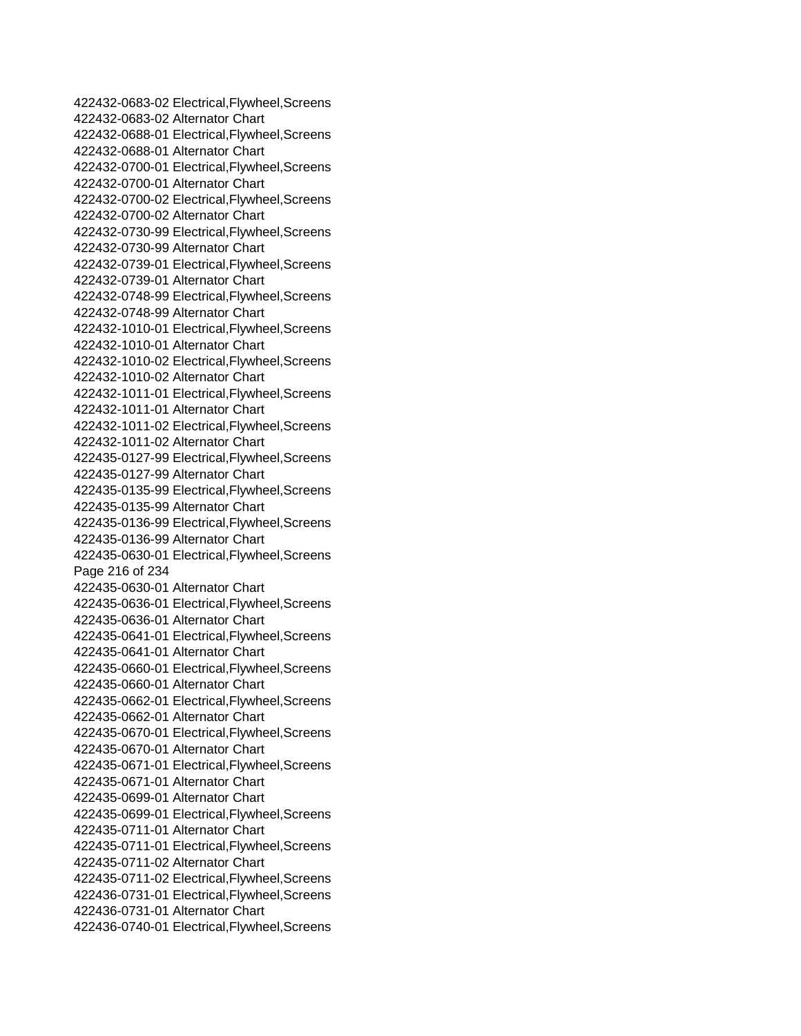422432-0683-02 Electrical,Flywheel,Screens 422432-0683-02 Alternator Chart 422432-0688-01 Electrical,Flywheel,Screens 422432-0688-01 Alternator Chart 422432-0700-01 Electrical,Flywheel,Screens 422432-0700-01 Alternator Chart 422432-0700-02 Electrical,Flywheel,Screens 422432-0700-02 Alternator Chart 422432-0730-99 Electrical,Flywheel,Screens 422432-0730-99 Alternator Chart 422432-0739-01 Electrical,Flywheel,Screens 422432-0739-01 Alternator Chart 422432-0748-99 Electrical,Flywheel,Screens 422432-0748-99 Alternator Chart 422432-1010-01 Electrical,Flywheel,Screens 422432-1010-01 Alternator Chart 422432-1010-02 Electrical,Flywheel,Screens 422432-1010-02 Alternator Chart 422432-1011-01 Electrical,Flywheel,Screens 422432-1011-01 Alternator Chart 422432-1011-02 Electrical,Flywheel,Screens 422432-1011-02 Alternator Chart 422435-0127-99 Electrical,Flywheel,Screens 422435-0127-99 Alternator Chart 422435-0135-99 Electrical,Flywheel,Screens 422435-0135-99 Alternator Chart 422435-0136-99 Electrical,Flywheel,Screens 422435-0136-99 Alternator Chart 422435-0630-01 Electrical,Flywheel,Screens Page 216 of 234 422435-0630-01 Alternator Chart 422435-0636-01 Electrical,Flywheel,Screens 422435-0636-01 Alternator Chart 422435-0641-01 Electrical,Flywheel,Screens 422435-0641-01 Alternator Chart 422435-0660-01 Electrical,Flywheel,Screens 422435-0660-01 Alternator Chart 422435-0662-01 Electrical,Flywheel,Screens 422435-0662-01 Alternator Chart 422435-0670-01 Electrical,Flywheel,Screens 422435-0670-01 Alternator Chart 422435-0671-01 Electrical,Flywheel,Screens 422435-0671-01 Alternator Chart 422435-0699-01 Alternator Chart 422435-0699-01 Electrical,Flywheel,Screens 422435-0711-01 Alternator Chart 422435-0711-01 Electrical,Flywheel,Screens 422435-0711-02 Alternator Chart 422435-0711-02 Electrical,Flywheel,Screens 422436-0731-01 Electrical,Flywheel,Screens 422436-0731-01 Alternator Chart 422436-0740-01 Electrical,Flywheel,Screens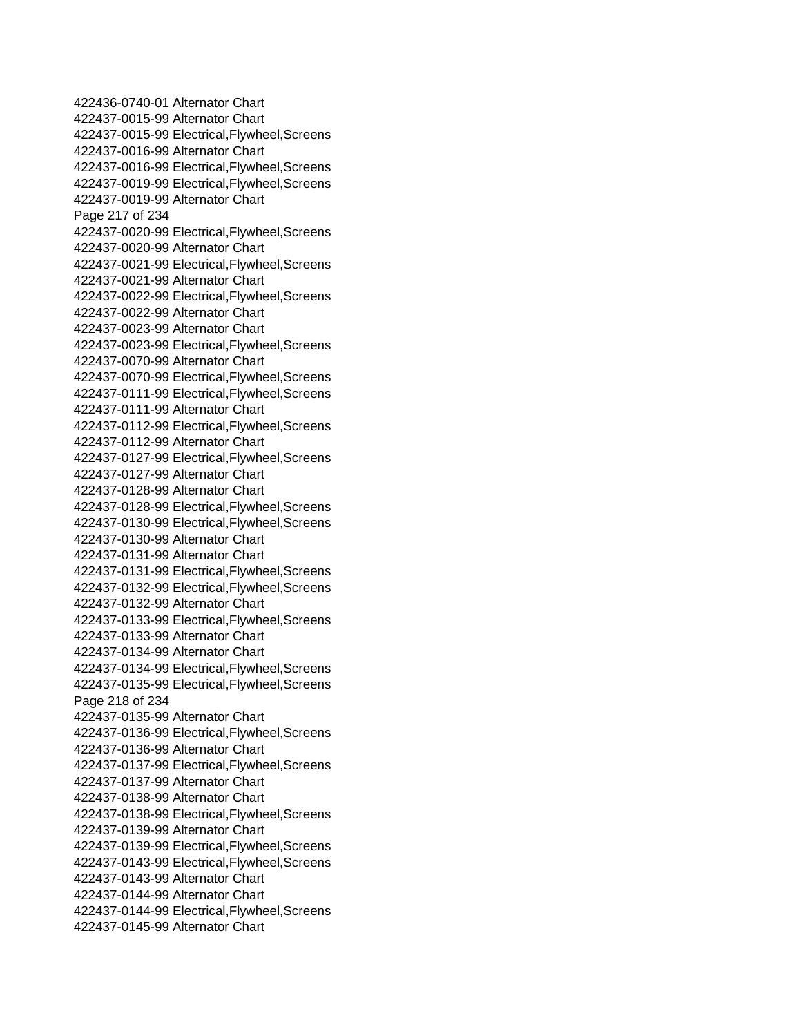422436-0740-01 Alternator Chart 422437-0015-99 Alternator Chart 422437-0015-99 Electrical,Flywheel,Screens 422437-0016-99 Alternator Chart 422437-0016-99 Electrical,Flywheel,Screens 422437-0019-99 Electrical,Flywheel,Screens 422437-0019-99 Alternator Chart Page 217 of 234 422437-0020-99 Electrical,Flywheel,Screens 422437-0020-99 Alternator Chart 422437-0021-99 Electrical,Flywheel,Screens 422437-0021-99 Alternator Chart 422437-0022-99 Electrical,Flywheel,Screens 422437-0022-99 Alternator Chart 422437-0023-99 Alternator Chart 422437-0023-99 Electrical,Flywheel,Screens 422437-0070-99 Alternator Chart 422437-0070-99 Electrical,Flywheel,Screens 422437-0111-99 Electrical,Flywheel,Screens 422437-0111-99 Alternator Chart 422437-0112-99 Electrical,Flywheel,Screens 422437-0112-99 Alternator Chart 422437-0127-99 Electrical,Flywheel,Screens 422437-0127-99 Alternator Chart 422437-0128-99 Alternator Chart 422437-0128-99 Electrical,Flywheel,Screens 422437-0130-99 Electrical,Flywheel,Screens 422437-0130-99 Alternator Chart 422437-0131-99 Alternator Chart 422437-0131-99 Electrical,Flywheel,Screens 422437-0132-99 Electrical,Flywheel,Screens 422437-0132-99 Alternator Chart 422437-0133-99 Electrical,Flywheel,Screens 422437-0133-99 Alternator Chart 422437-0134-99 Alternator Chart 422437-0134-99 Electrical,Flywheel,Screens 422437-0135-99 Electrical,Flywheel,Screens Page 218 of 234 422437-0135-99 Alternator Chart 422437-0136-99 Electrical,Flywheel,Screens 422437-0136-99 Alternator Chart 422437-0137-99 Electrical,Flywheel,Screens 422437-0137-99 Alternator Chart 422437-0138-99 Alternator Chart 422437-0138-99 Electrical,Flywheel,Screens 422437-0139-99 Alternator Chart 422437-0139-99 Electrical,Flywheel,Screens 422437-0143-99 Electrical,Flywheel,Screens 422437-0143-99 Alternator Chart 422437-0144-99 Alternator Chart 422437-0144-99 Electrical,Flywheel,Screens 422437-0145-99 Alternator Chart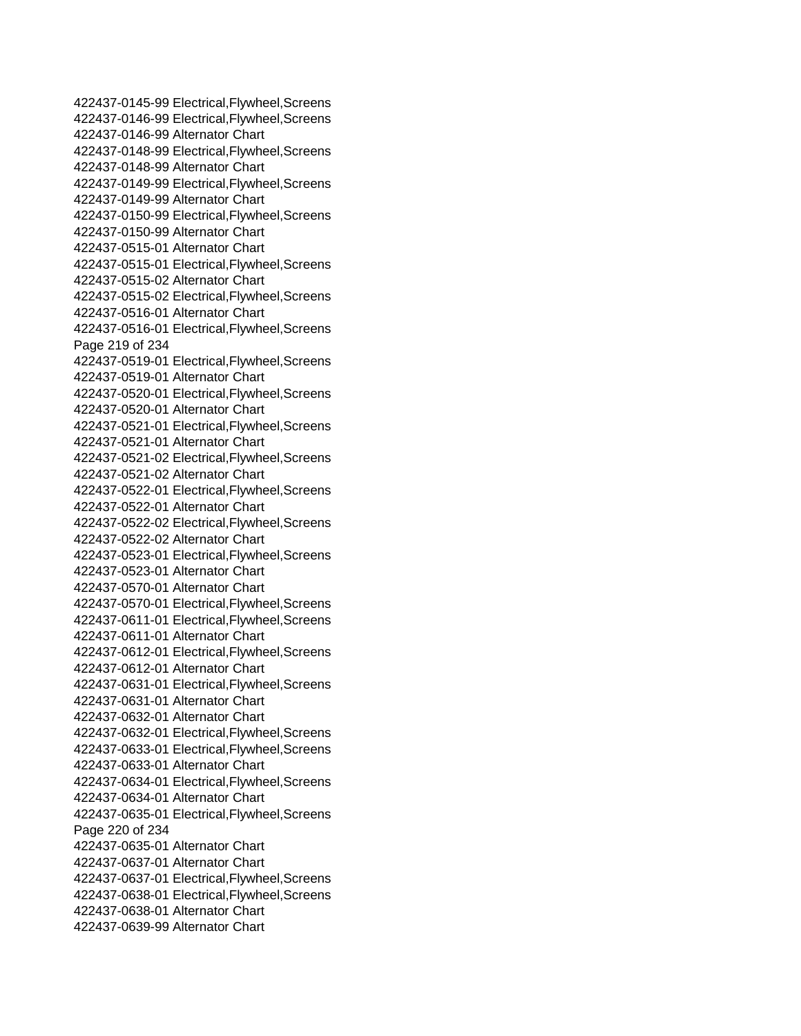422437-0145-99 Electrical,Flywheel,Screens 422437-0146-99 Electrical,Flywheel,Screens 422437-0146-99 Alternator Chart 422437-0148-99 Electrical,Flywheel,Screens 422437-0148-99 Alternator Chart 422437-0149-99 Electrical,Flywheel,Screens 422437-0149-99 Alternator Chart 422437-0150-99 Electrical,Flywheel,Screens 422437-0150-99 Alternator Chart 422437-0515-01 Alternator Chart 422437-0515-01 Electrical,Flywheel,Screens 422437-0515-02 Alternator Chart 422437-0515-02 Electrical,Flywheel,Screens 422437-0516-01 Alternator Chart 422437-0516-01 Electrical,Flywheel,Screens Page 219 of 234 422437-0519-01 Electrical,Flywheel,Screens 422437-0519-01 Alternator Chart 422437-0520-01 Electrical,Flywheel,Screens 422437-0520-01 Alternator Chart 422437-0521-01 Electrical,Flywheel,Screens 422437-0521-01 Alternator Chart 422437-0521-02 Electrical,Flywheel,Screens 422437-0521-02 Alternator Chart 422437-0522-01 Electrical,Flywheel,Screens 422437-0522-01 Alternator Chart 422437-0522-02 Electrical,Flywheel,Screens 422437-0522-02 Alternator Chart 422437-0523-01 Electrical,Flywheel,Screens 422437-0523-01 Alternator Chart 422437-0570-01 Alternator Chart 422437-0570-01 Electrical,Flywheel,Screens 422437-0611-01 Electrical,Flywheel,Screens 422437-0611-01 Alternator Chart 422437-0612-01 Electrical,Flywheel,Screens 422437-0612-01 Alternator Chart 422437-0631-01 Electrical,Flywheel,Screens 422437-0631-01 Alternator Chart 422437-0632-01 Alternator Chart 422437-0632-01 Electrical,Flywheel,Screens 422437-0633-01 Electrical,Flywheel,Screens 422437-0633-01 Alternator Chart 422437-0634-01 Electrical,Flywheel,Screens 422437-0634-01 Alternator Chart 422437-0635-01 Electrical,Flywheel,Screens Page 220 of 234 422437-0635-01 Alternator Chart 422437-0637-01 Alternator Chart 422437-0637-01 Electrical,Flywheel,Screens 422437-0638-01 Electrical,Flywheel,Screens 422437-0638-01 Alternator Chart 422437-0639-99 Alternator Chart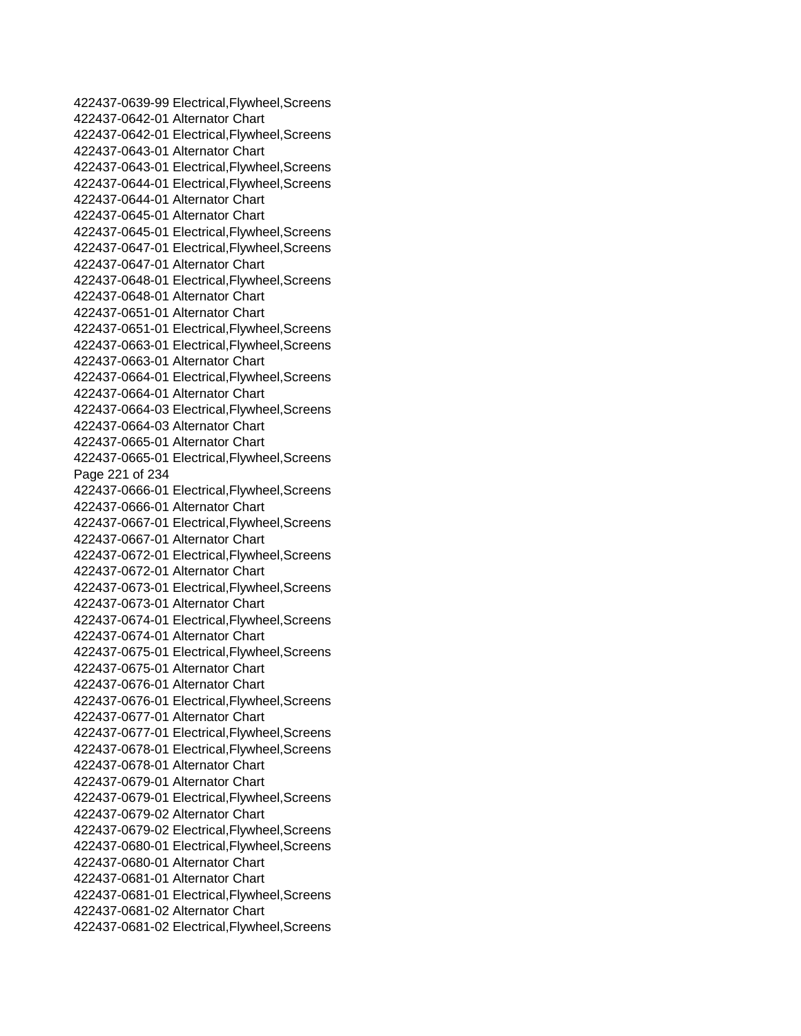422437-0639-99 Electrical,Flywheel,Screens 422437-0642-01 Alternator Chart 422437-0642-01 Electrical,Flywheel,Screens 422437-0643-01 Alternator Chart 422437-0643-01 Electrical,Flywheel,Screens 422437-0644-01 Electrical,Flywheel,Screens 422437-0644-01 Alternator Chart 422437-0645-01 Alternator Chart 422437-0645-01 Electrical,Flywheel,Screens 422437-0647-01 Electrical,Flywheel,Screens 422437-0647-01 Alternator Chart 422437-0648-01 Electrical,Flywheel,Screens 422437-0648-01 Alternator Chart 422437-0651-01 Alternator Chart 422437-0651-01 Electrical,Flywheel,Screens 422437-0663-01 Electrical,Flywheel,Screens 422437-0663-01 Alternator Chart 422437-0664-01 Electrical,Flywheel,Screens 422437-0664-01 Alternator Chart 422437-0664-03 Electrical,Flywheel,Screens 422437-0664-03 Alternator Chart 422437-0665-01 Alternator Chart 422437-0665-01 Electrical,Flywheel,Screens Page 221 of 234 422437-0666-01 Electrical,Flywheel,Screens 422437-0666-01 Alternator Chart 422437-0667-01 Electrical,Flywheel,Screens 422437-0667-01 Alternator Chart 422437-0672-01 Electrical,Flywheel,Screens 422437-0672-01 Alternator Chart 422437-0673-01 Electrical,Flywheel,Screens 422437-0673-01 Alternator Chart 422437-0674-01 Electrical,Flywheel,Screens 422437-0674-01 Alternator Chart 422437-0675-01 Electrical,Flywheel,Screens 422437-0675-01 Alternator Chart 422437-0676-01 Alternator Chart 422437-0676-01 Electrical,Flywheel,Screens 422437-0677-01 Alternator Chart 422437-0677-01 Electrical,Flywheel,Screens 422437-0678-01 Electrical,Flywheel,Screens 422437-0678-01 Alternator Chart 422437-0679-01 Alternator Chart 422437-0679-01 Electrical,Flywheel,Screens 422437-0679-02 Alternator Chart 422437-0679-02 Electrical,Flywheel,Screens 422437-0680-01 Electrical,Flywheel,Screens 422437-0680-01 Alternator Chart 422437-0681-01 Alternator Chart 422437-0681-01 Electrical,Flywheel,Screens 422437-0681-02 Alternator Chart 422437-0681-02 Electrical,Flywheel,Screens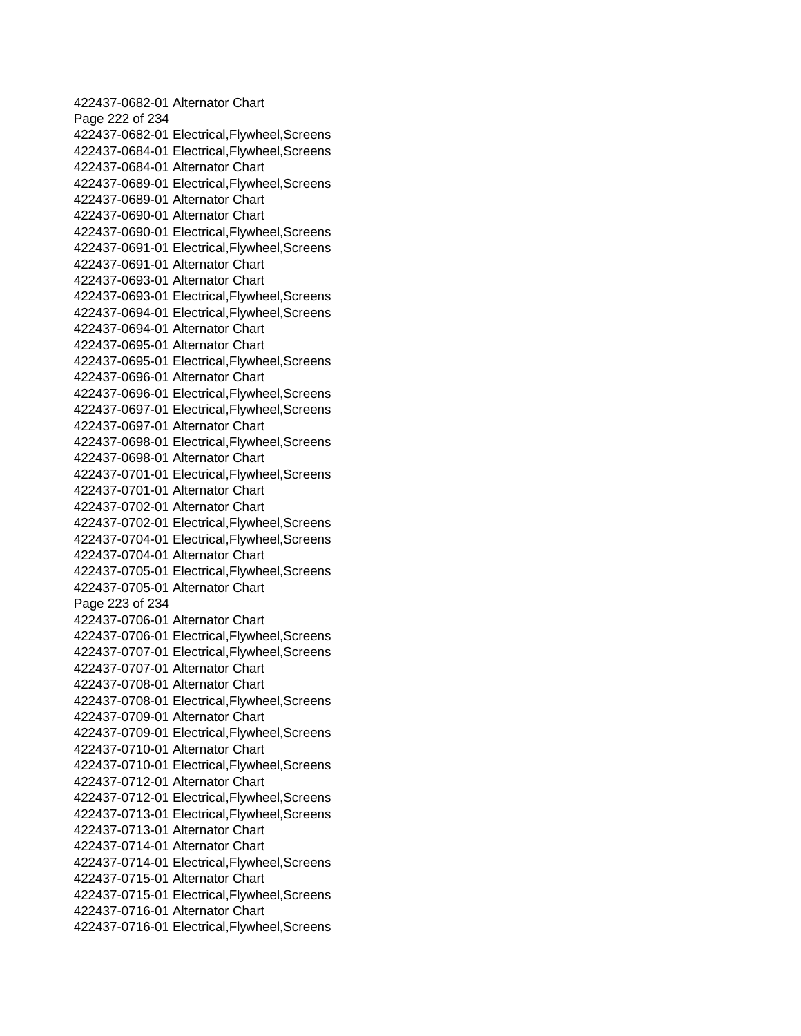422437-0682-01 Alternator Chart Page 222 of 234 422437-0682-01 Electrical,Flywheel,Screens 422437-0684-01 Electrical,Flywheel,Screens 422437-0684-01 Alternator Chart 422437-0689-01 Electrical,Flywheel,Screens 422437-0689-01 Alternator Chart 422437-0690-01 Alternator Chart 422437-0690-01 Electrical,Flywheel,Screens 422437-0691-01 Electrical,Flywheel,Screens 422437-0691-01 Alternator Chart 422437-0693-01 Alternator Chart 422437-0693-01 Electrical,Flywheel,Screens 422437-0694-01 Electrical,Flywheel,Screens 422437-0694-01 Alternator Chart 422437-0695-01 Alternator Chart 422437-0695-01 Electrical,Flywheel,Screens 422437-0696-01 Alternator Chart 422437-0696-01 Electrical,Flywheel,Screens 422437-0697-01 Electrical,Flywheel,Screens 422437-0697-01 Alternator Chart 422437-0698-01 Electrical,Flywheel,Screens 422437-0698-01 Alternator Chart 422437-0701-01 Electrical,Flywheel,Screens 422437-0701-01 Alternator Chart 422437-0702-01 Alternator Chart 422437-0702-01 Electrical,Flywheel,Screens 422437-0704-01 Electrical,Flywheel,Screens 422437-0704-01 Alternator Chart 422437-0705-01 Electrical,Flywheel,Screens 422437-0705-01 Alternator Chart Page 223 of 234 422437-0706-01 Alternator Chart 422437-0706-01 Electrical,Flywheel,Screens 422437-0707-01 Electrical,Flywheel,Screens 422437-0707-01 Alternator Chart 422437-0708-01 Alternator Chart 422437-0708-01 Electrical,Flywheel,Screens 422437-0709-01 Alternator Chart 422437-0709-01 Electrical,Flywheel,Screens 422437-0710-01 Alternator Chart 422437-0710-01 Electrical,Flywheel,Screens 422437-0712-01 Alternator Chart 422437-0712-01 Electrical,Flywheel,Screens 422437-0713-01 Electrical,Flywheel,Screens 422437-0713-01 Alternator Chart 422437-0714-01 Alternator Chart 422437-0714-01 Electrical,Flywheel,Screens 422437-0715-01 Alternator Chart 422437-0715-01 Electrical,Flywheel,Screens 422437-0716-01 Alternator Chart 422437-0716-01 Electrical,Flywheel,Screens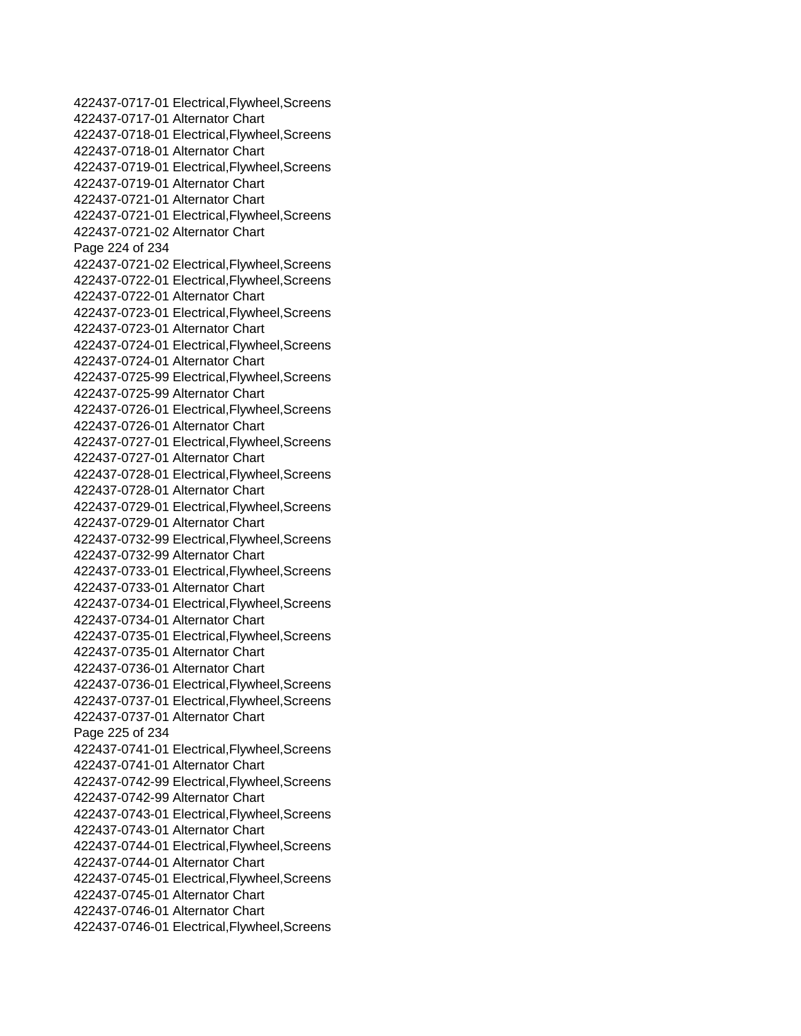422437-0717-01 Electrical,Flywheel,Screens 422437-0717-01 Alternator Chart 422437-0718-01 Electrical,Flywheel,Screens 422437-0718-01 Alternator Chart 422437-0719-01 Electrical,Flywheel,Screens 422437-0719-01 Alternator Chart 422437-0721-01 Alternator Chart 422437-0721-01 Electrical,Flywheel,Screens 422437-0721-02 Alternator Chart Page 224 of 234 422437-0721-02 Electrical,Flywheel,Screens 422437-0722-01 Electrical,Flywheel,Screens 422437-0722-01 Alternator Chart 422437-0723-01 Electrical,Flywheel,Screens 422437-0723-01 Alternator Chart 422437-0724-01 Electrical,Flywheel,Screens 422437-0724-01 Alternator Chart 422437-0725-99 Electrical,Flywheel,Screens 422437-0725-99 Alternator Chart 422437-0726-01 Electrical,Flywheel,Screens 422437-0726-01 Alternator Chart 422437-0727-01 Electrical,Flywheel,Screens 422437-0727-01 Alternator Chart 422437-0728-01 Electrical,Flywheel,Screens 422437-0728-01 Alternator Chart 422437-0729-01 Electrical,Flywheel,Screens 422437-0729-01 Alternator Chart 422437-0732-99 Electrical,Flywheel,Screens 422437-0732-99 Alternator Chart 422437-0733-01 Electrical,Flywheel,Screens 422437-0733-01 Alternator Chart 422437-0734-01 Electrical,Flywheel,Screens 422437-0734-01 Alternator Chart 422437-0735-01 Electrical,Flywheel,Screens 422437-0735-01 Alternator Chart 422437-0736-01 Alternator Chart 422437-0736-01 Electrical,Flywheel,Screens 422437-0737-01 Electrical,Flywheel,Screens 422437-0737-01 Alternator Chart Page 225 of 234 422437-0741-01 Electrical,Flywheel,Screens 422437-0741-01 Alternator Chart 422437-0742-99 Electrical,Flywheel,Screens 422437-0742-99 Alternator Chart 422437-0743-01 Electrical,Flywheel,Screens 422437-0743-01 Alternator Chart 422437-0744-01 Electrical,Flywheel,Screens 422437-0744-01 Alternator Chart 422437-0745-01 Electrical,Flywheel,Screens 422437-0745-01 Alternator Chart 422437-0746-01 Alternator Chart 422437-0746-01 Electrical,Flywheel,Screens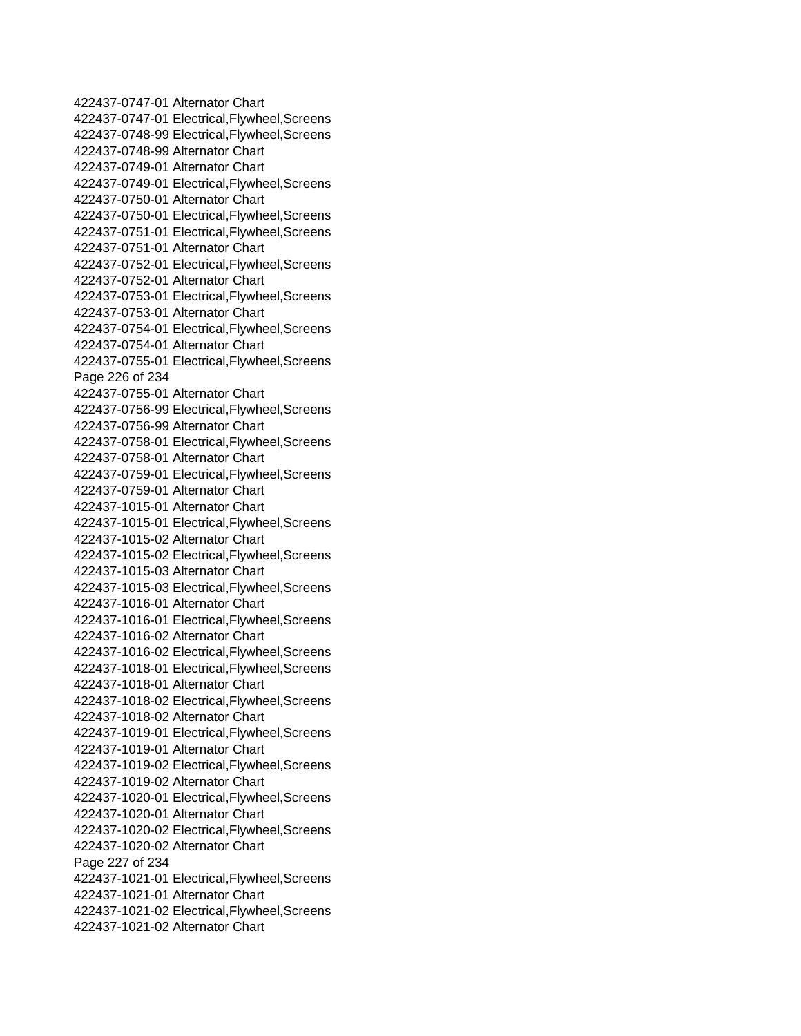422437-0747-01 Alternator Chart 422437-0747-01 Electrical,Flywheel,Screens 422437-0748-99 Electrical,Flywheel,Screens 422437-0748-99 Alternator Chart 422437-0749-01 Alternator Chart 422437-0749-01 Electrical,Flywheel,Screens 422437-0750-01 Alternator Chart 422437-0750-01 Electrical,Flywheel,Screens 422437-0751-01 Electrical,Flywheel,Screens 422437-0751-01 Alternator Chart 422437-0752-01 Electrical,Flywheel,Screens 422437-0752-01 Alternator Chart 422437-0753-01 Electrical,Flywheel,Screens 422437-0753-01 Alternator Chart 422437-0754-01 Electrical,Flywheel,Screens 422437-0754-01 Alternator Chart 422437-0755-01 Electrical,Flywheel,Screens Page 226 of 234 422437-0755-01 Alternator Chart 422437-0756-99 Electrical,Flywheel,Screens 422437-0756-99 Alternator Chart 422437-0758-01 Electrical,Flywheel,Screens 422437-0758-01 Alternator Chart 422437-0759-01 Electrical,Flywheel,Screens 422437-0759-01 Alternator Chart 422437-1015-01 Alternator Chart 422437-1015-01 Electrical,Flywheel,Screens 422437-1015-02 Alternator Chart 422437-1015-02 Electrical,Flywheel,Screens 422437-1015-03 Alternator Chart 422437-1015-03 Electrical,Flywheel,Screens 422437-1016-01 Alternator Chart 422437-1016-01 Electrical,Flywheel,Screens 422437-1016-02 Alternator Chart 422437-1016-02 Electrical,Flywheel,Screens 422437-1018-01 Electrical,Flywheel,Screens 422437-1018-01 Alternator Chart 422437-1018-02 Electrical,Flywheel,Screens 422437-1018-02 Alternator Chart 422437-1019-01 Electrical,Flywheel,Screens 422437-1019-01 Alternator Chart 422437-1019-02 Electrical,Flywheel,Screens 422437-1019-02 Alternator Chart 422437-1020-01 Electrical,Flywheel,Screens 422437-1020-01 Alternator Chart 422437-1020-02 Electrical,Flywheel,Screens 422437-1020-02 Alternator Chart Page 227 of 234 422437-1021-01 Electrical,Flywheel,Screens 422437-1021-01 Alternator Chart 422437-1021-02 Electrical,Flywheel,Screens 422437-1021-02 Alternator Chart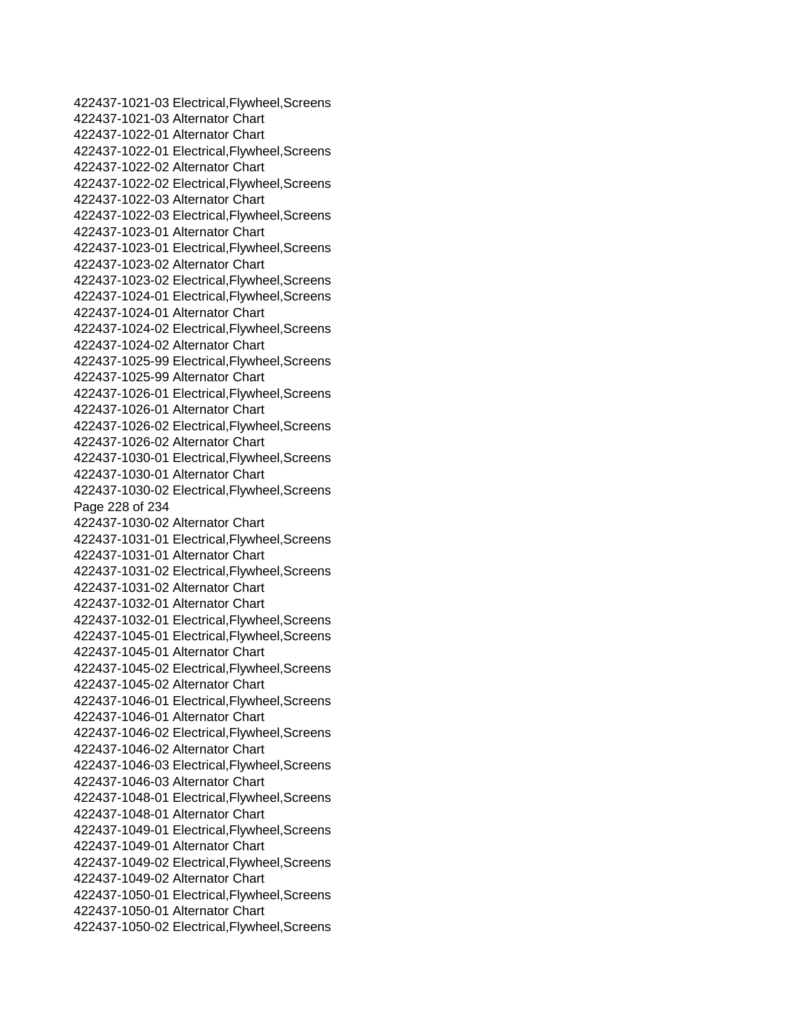422437-1021-03 Electrical,Flywheel,Screens 422437-1021-03 Alternator Chart 422437-1022-01 Alternator Chart 422437-1022-01 Electrical,Flywheel,Screens 422437-1022-02 Alternator Chart 422437-1022-02 Electrical,Flywheel,Screens 422437-1022-03 Alternator Chart 422437-1022-03 Electrical,Flywheel,Screens 422437-1023-01 Alternator Chart 422437-1023-01 Electrical,Flywheel,Screens 422437-1023-02 Alternator Chart 422437-1023-02 Electrical,Flywheel,Screens 422437-1024-01 Electrical,Flywheel,Screens 422437-1024-01 Alternator Chart 422437-1024-02 Electrical,Flywheel,Screens 422437-1024-02 Alternator Chart 422437-1025-99 Electrical,Flywheel,Screens 422437-1025-99 Alternator Chart 422437-1026-01 Electrical,Flywheel,Screens 422437-1026-01 Alternator Chart 422437-1026-02 Electrical,Flywheel,Screens 422437-1026-02 Alternator Chart 422437-1030-01 Electrical,Flywheel,Screens 422437-1030-01 Alternator Chart 422437-1030-02 Electrical,Flywheel,Screens Page 228 of 234 422437-1030-02 Alternator Chart 422437-1031-01 Electrical,Flywheel,Screens 422437-1031-01 Alternator Chart 422437-1031-02 Electrical,Flywheel,Screens 422437-1031-02 Alternator Chart 422437-1032-01 Alternator Chart 422437-1032-01 Electrical,Flywheel,Screens 422437-1045-01 Electrical,Flywheel,Screens 422437-1045-01 Alternator Chart 422437-1045-02 Electrical,Flywheel,Screens 422437-1045-02 Alternator Chart 422437-1046-01 Electrical,Flywheel,Screens 422437-1046-01 Alternator Chart 422437-1046-02 Electrical,Flywheel,Screens 422437-1046-02 Alternator Chart 422437-1046-03 Electrical,Flywheel,Screens 422437-1046-03 Alternator Chart 422437-1048-01 Electrical,Flywheel,Screens 422437-1048-01 Alternator Chart 422437-1049-01 Electrical,Flywheel,Screens 422437-1049-01 Alternator Chart 422437-1049-02 Electrical,Flywheel,Screens 422437-1049-02 Alternator Chart 422437-1050-01 Electrical,Flywheel,Screens 422437-1050-01 Alternator Chart 422437-1050-02 Electrical,Flywheel,Screens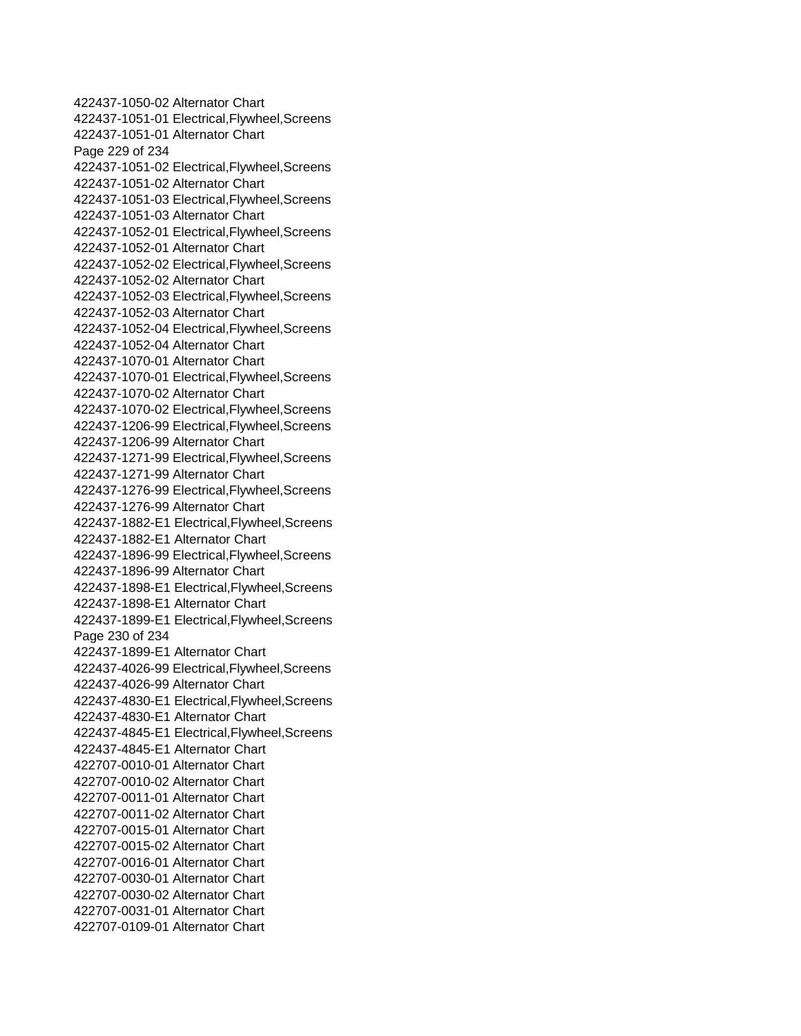422437-1050-02 Alternator Chart 422437-1051-01 Electrical,Flywheel,Screens 422437-1051-01 Alternator Chart Page 229 of 234 422437-1051-02 Electrical,Flywheel,Screens 422437-1051-02 Alternator Chart 422437-1051-03 Electrical,Flywheel,Screens 422437-1051-03 Alternator Chart 422437-1052-01 Electrical,Flywheel,Screens 422437-1052-01 Alternator Chart 422437-1052-02 Electrical,Flywheel,Screens 422437-1052-02 Alternator Chart 422437-1052-03 Electrical,Flywheel,Screens 422437-1052-03 Alternator Chart 422437-1052-04 Electrical,Flywheel,Screens 422437-1052-04 Alternator Chart 422437-1070-01 Alternator Chart 422437-1070-01 Electrical,Flywheel,Screens 422437-1070-02 Alternator Chart 422437-1070-02 Electrical,Flywheel,Screens 422437-1206-99 Electrical,Flywheel,Screens 422437-1206-99 Alternator Chart 422437-1271-99 Electrical,Flywheel,Screens 422437-1271-99 Alternator Chart 422437-1276-99 Electrical,Flywheel,Screens 422437-1276-99 Alternator Chart 422437-1882-E1 Electrical,Flywheel,Screens 422437-1882-E1 Alternator Chart 422437-1896-99 Electrical,Flywheel,Screens 422437-1896-99 Alternator Chart 422437-1898-E1 Electrical,Flywheel,Screens 422437-1898-E1 Alternator Chart 422437-1899-E1 Electrical,Flywheel,Screens Page 230 of 234 422437-1899-E1 Alternator Chart 422437-4026-99 Electrical,Flywheel,Screens 422437-4026-99 Alternator Chart 422437-4830-E1 Electrical,Flywheel,Screens 422437-4830-E1 Alternator Chart 422437-4845-E1 Electrical,Flywheel,Screens 422437-4845-E1 Alternator Chart 422707-0010-01 Alternator Chart 422707-0010-02 Alternator Chart 422707-0011-01 Alternator Chart 422707-0011-02 Alternator Chart 422707-0015-01 Alternator Chart 422707-0015-02 Alternator Chart 422707-0016-01 Alternator Chart 422707-0030-01 Alternator Chart 422707-0030-02 Alternator Chart 422707-0031-01 Alternator Chart 422707-0109-01 Alternator Chart